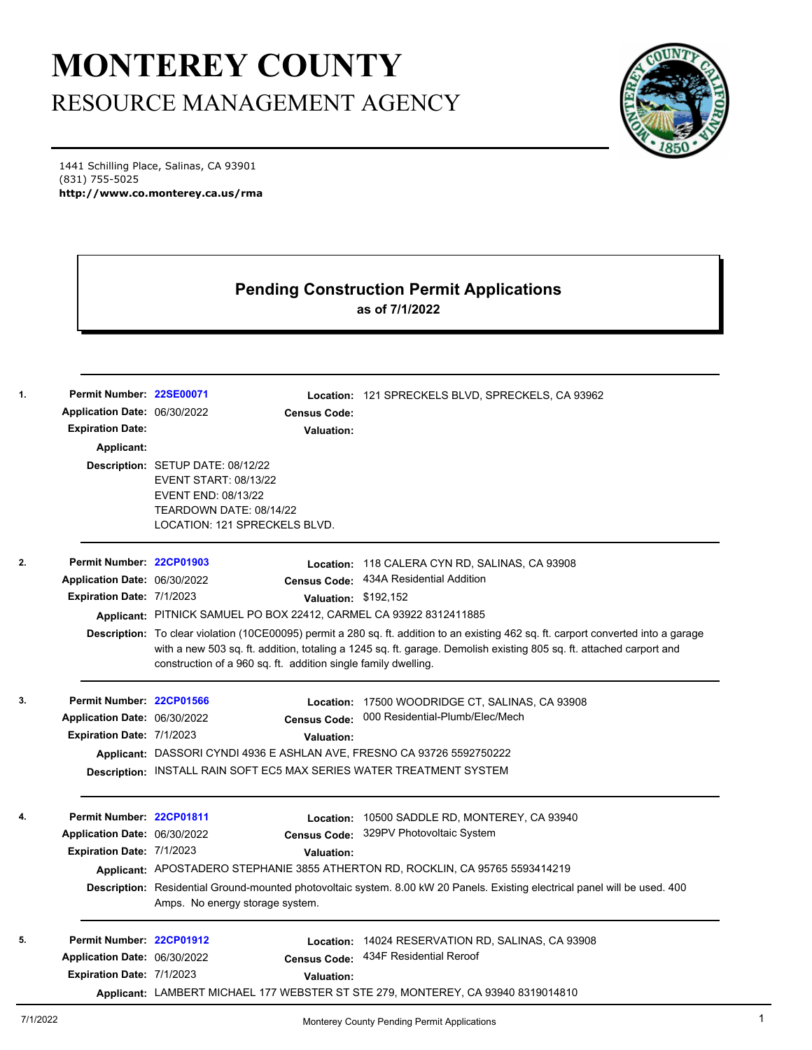## **MONTEREY COUNTY** RESOURCE MANAGEMENT AGENCY

1441 Schilling Place, Salinas, CA 93901 (831) 755-5025 **http://www.co.monterey.ca.us/rma**

## **Pending Construction Permit Applications as of 7/1/2022**

| Permit Number: 22SE00071     |                                                                                                                                      |                      | Location: 121 SPRECKELS BLVD, SPRECKELS, CA 93962                                                                           |  |  |
|------------------------------|--------------------------------------------------------------------------------------------------------------------------------------|----------------------|-----------------------------------------------------------------------------------------------------------------------------|--|--|
| Application Date: 06/30/2022 |                                                                                                                                      | <b>Census Code:</b>  |                                                                                                                             |  |  |
| <b>Expiration Date:</b>      |                                                                                                                                      | Valuation:           |                                                                                                                             |  |  |
| Applicant:                   |                                                                                                                                      |                      |                                                                                                                             |  |  |
|                              | Description: SETUP DATE: 08/12/22                                                                                                    |                      |                                                                                                                             |  |  |
|                              | <b>EVENT START: 08/13/22</b>                                                                                                         |                      |                                                                                                                             |  |  |
|                              | EVENT END: 08/13/22<br>TEARDOWN DATE: 08/14/22                                                                                       |                      |                                                                                                                             |  |  |
|                              | LOCATION: 121 SPRECKELS BLVD.                                                                                                        |                      |                                                                                                                             |  |  |
| Permit Number: 22CP01903     |                                                                                                                                      |                      | Location: 118 CALERA CYN RD, SALINAS, CA 93908                                                                              |  |  |
| Application Date: 06/30/2022 |                                                                                                                                      |                      | Census Code: 434A Residential Addition                                                                                      |  |  |
| Expiration Date: 7/1/2023    |                                                                                                                                      | Valuation: \$192,152 |                                                                                                                             |  |  |
|                              |                                                                                                                                      |                      | Applicant: PITNICK SAMUEL PO BOX 22412, CARMEL CA 93922 8312411885                                                          |  |  |
|                              | Description: To clear violation (10CE00095) permit a 280 sq. ft. addition to an existing 462 sq. ft. carport converted into a garage |                      |                                                                                                                             |  |  |
|                              |                                                                                                                                      |                      | with a new 503 sq. ft. addition, totaling a 1245 sq. ft. garage. Demolish existing 805 sq. ft. attached carport and         |  |  |
|                              | construction of a 960 sq. ft. addition single family dwelling.                                                                       |                      |                                                                                                                             |  |  |
| Permit Number: 22CP01566     |                                                                                                                                      |                      | Location: 17500 WOODRIDGE CT, SALINAS, CA 93908                                                                             |  |  |
| Application Date: 06/30/2022 |                                                                                                                                      |                      | Census Code: 000 Residential-Plumb/Elec/Mech                                                                                |  |  |
| Expiration Date: 7/1/2023    |                                                                                                                                      | Valuation:           |                                                                                                                             |  |  |
|                              | Applicant: DASSORI CYNDI 4936 E ASHLAN AVE, FRESNO CA 93726 5592750222                                                               |                      |                                                                                                                             |  |  |
|                              |                                                                                                                                      |                      | Description: INSTALL RAIN SOFT EC5 MAX SERIES WATER TREATMENT SYSTEM                                                        |  |  |
|                              |                                                                                                                                      |                      |                                                                                                                             |  |  |
| Permit Number: 22CP01811     |                                                                                                                                      |                      | Location: 10500 SADDLE RD, MONTEREY, CA 93940                                                                               |  |  |
| Application Date: 06/30/2022 |                                                                                                                                      | <b>Census Code:</b>  | 329PV Photovoltaic System                                                                                                   |  |  |
| Expiration Date: 7/1/2023    |                                                                                                                                      | Valuation:           |                                                                                                                             |  |  |
|                              |                                                                                                                                      |                      | Applicant: APOSTADERO STEPHANIE 3855 ATHERTON RD, ROCKLIN, CA 95765 5593414219                                              |  |  |
|                              | Amps. No energy storage system.                                                                                                      |                      | Description: Residential Ground-mounted photovoltaic system. 8.00 kW 20 Panels. Existing electrical panel will be used. 400 |  |  |
| Permit Number: 22CP01912     |                                                                                                                                      |                      | Location: 14024 RESERVATION RD, SALINAS, CA 93908                                                                           |  |  |
| Application Date: 06/30/2022 |                                                                                                                                      |                      | Census Code: 434F Residential Reroof                                                                                        |  |  |
| Expiration Date: 7/1/2023    |                                                                                                                                      | <b>Valuation:</b>    |                                                                                                                             |  |  |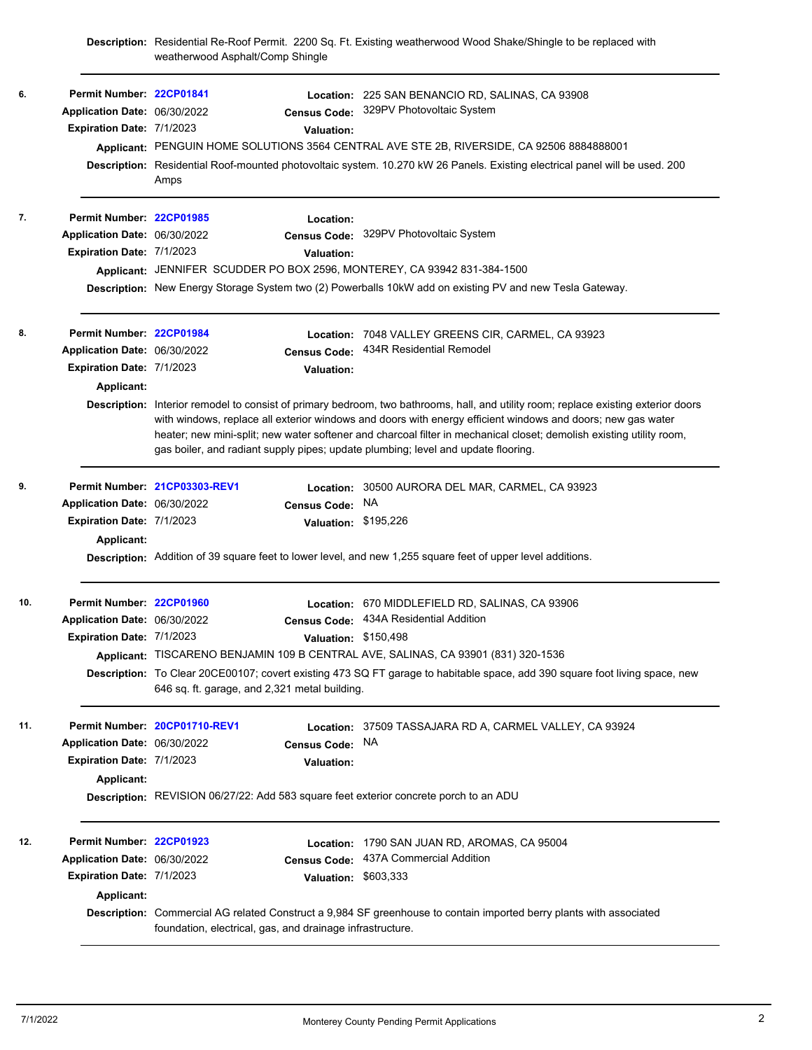**Description:** Residential Re-Roof Permit. 2200 Sq. Ft. Existing weatherwood Wood Shake/Shingle to be replaced with weatherwood Asphalt/Comp Shingle

| 6.  | Permit Number: 22CP01841<br>Application Date: 06/30/2022<br>Expiration Date: 7/1/2023               | <b>Valuation:</b><br>Amps                                                                                                                                         | Location: 225 SAN BENANCIO RD, SALINAS, CA 93908<br>Census Code: 329PV Photovoltaic System<br>Applicant: PENGUIN HOME SOLUTIONS 3564 CENTRAL AVE STE 2B, RIVERSIDE, CA 92506 8884888001<br>Description: Residential Roof-mounted photovoltaic system. 10.270 kW 26 Panels. Existing electrical panel will be used. 200                                                                                                                                       |
|-----|-----------------------------------------------------------------------------------------------------|-------------------------------------------------------------------------------------------------------------------------------------------------------------------|--------------------------------------------------------------------------------------------------------------------------------------------------------------------------------------------------------------------------------------------------------------------------------------------------------------------------------------------------------------------------------------------------------------------------------------------------------------|
| 7.  | Permit Number: 22CP01985<br>Application Date: 06/30/2022<br>Expiration Date: 7/1/2023               | Location:<br><b>Valuation:</b><br>Applicant: JENNIFER SCUDDER PO BOX 2596, MONTEREY, CA 93942 831-384-1500                                                        | Census Code: 329PV Photovoltaic System<br>Description: New Energy Storage System two (2) Powerballs 10kW add on existing PV and new Tesla Gateway.                                                                                                                                                                                                                                                                                                           |
| 8.  | Permit Number: 22CP01984<br>Application Date: 06/30/2022<br>Expiration Date: 7/1/2023<br>Applicant: | <b>Census Code:</b><br><b>Valuation:</b><br>gas boiler, and radiant supply pipes; update plumbing; level and update flooring.                                     | Location: 7048 VALLEY GREENS CIR, CARMEL, CA 93923<br>434R Residential Remodel<br>Description: Interior remodel to consist of primary bedroom, two bathrooms, hall, and utility room; replace existing exterior doors<br>with windows, replace all exterior windows and doors with energy efficient windows and doors; new gas water<br>heater; new mini-split; new water softener and charcoal filter in mechanical closet; demolish existing utility room, |
| 9.  | Application Date: 06/30/2022<br>Expiration Date: 7/1/2023<br><b>Applicant:</b>                      | Permit Number 21CP03303-REV1<br><b>Census Code:</b>                                                                                                               | Location: 30500 AURORA DEL MAR, CARMEL, CA 93923<br>NA.<br>Valuation: \$195,226<br>Description: Addition of 39 square feet to lower level, and new 1,255 square feet of upper level additions.                                                                                                                                                                                                                                                               |
| 10. | Permit Number: 22CP01960<br>Application Date: 06/30/2022<br>Expiration Date: 7/1/2023               | Valuation: \$150,498<br>646 sq. ft. garage, and 2,321 metal building.                                                                                             | Location: 670 MIDDLEFIELD RD, SALINAS, CA 93906<br>Census Code: 434A Residential Addition<br>Applicant: TISCARENO BENJAMIN 109 B CENTRAL AVE, SALINAS, CA 93901 (831) 320-1536<br>Description: To Clear 20CE00107; covert existing 473 SQ FT garage to habitable space, add 390 square foot living space, new                                                                                                                                                |
| 11. | Application Date: 06/30/2022<br>Expiration Date: 7/1/2023<br>Applicant:                             | Permit Number 20CP01710-REV1<br><b>Census Code:</b><br><b>Valuation:</b><br>Description: REVISION 06/27/22: Add 583 square feet exterior concrete porch to an ADU | Location: 37509 TASSAJARA RD A, CARMEL VALLEY, CA 93924<br>NA.                                                                                                                                                                                                                                                                                                                                                                                               |
| 12. | Permit Number: 22CP01923<br>Application Date: 06/30/2022<br>Expiration Date: 7/1/2023<br>Applicant: | <b>Census Code:</b><br>foundation, electrical, gas, and drainage infrastructure.                                                                                  | Location: 1790 SAN JUAN RD, AROMAS, CA 95004<br>437A Commercial Addition<br>Valuation: \$603,333<br>Description: Commercial AG related Construct a 9,984 SF greenhouse to contain imported berry plants with associated                                                                                                                                                                                                                                      |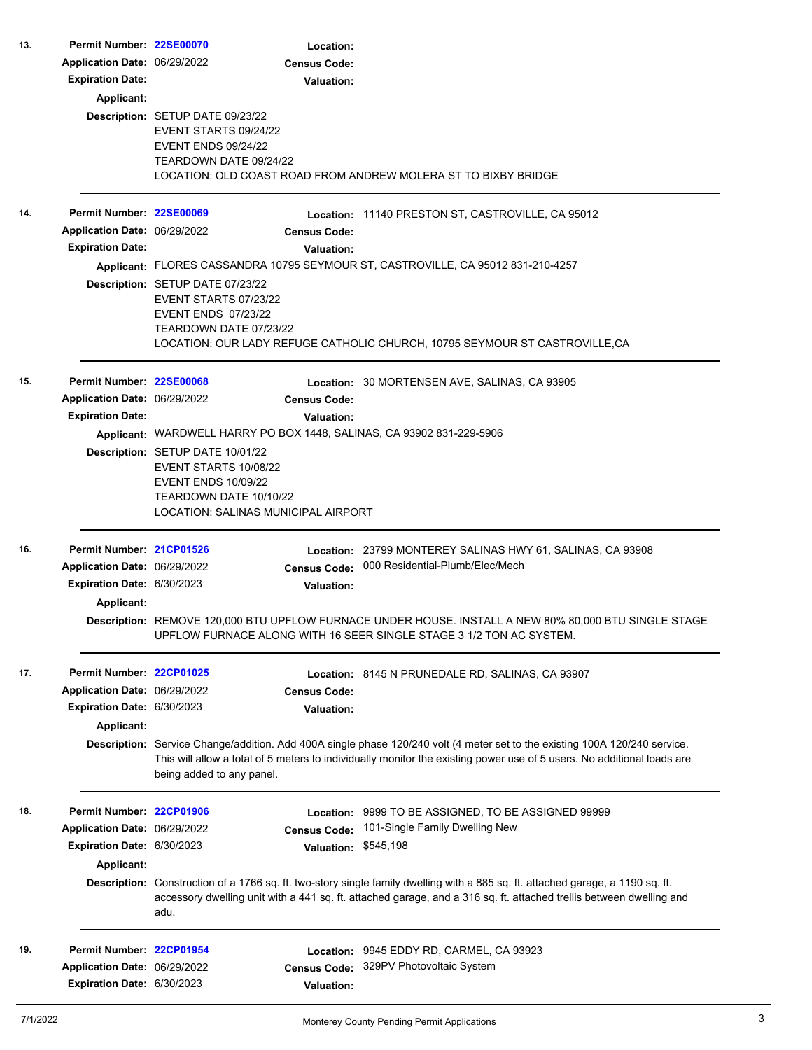| 13. | Permit Number: 22SE00070     |                                                                                                                                                                 | Location:            |                                                                                                                                                                                                                                                        |  |  |
|-----|------------------------------|-----------------------------------------------------------------------------------------------------------------------------------------------------------------|----------------------|--------------------------------------------------------------------------------------------------------------------------------------------------------------------------------------------------------------------------------------------------------|--|--|
|     | Application Date: 06/29/2022 |                                                                                                                                                                 | <b>Census Code:</b>  |                                                                                                                                                                                                                                                        |  |  |
|     | <b>Expiration Date:</b>      |                                                                                                                                                                 | <b>Valuation:</b>    |                                                                                                                                                                                                                                                        |  |  |
|     | <b>Applicant:</b>            |                                                                                                                                                                 |                      |                                                                                                                                                                                                                                                        |  |  |
|     |                              | Description: SETUP DATE 09/23/22<br>EVENT STARTS 09/24/22<br><b>EVENT ENDS 09/24/22</b><br>TEARDOWN DATE 09/24/22                                               |                      | LOCATION: OLD COAST ROAD FROM ANDREW MOLERA ST TO BIXBY BRIDGE                                                                                                                                                                                         |  |  |
| 14. | Permit Number: 22SE00069     |                                                                                                                                                                 |                      | Location: 11140 PRESTON ST, CASTROVILLE, CA 95012                                                                                                                                                                                                      |  |  |
|     | Application Date: 06/29/2022 |                                                                                                                                                                 | <b>Census Code:</b>  |                                                                                                                                                                                                                                                        |  |  |
|     | <b>Expiration Date:</b>      |                                                                                                                                                                 | <b>Valuation:</b>    |                                                                                                                                                                                                                                                        |  |  |
|     |                              |                                                                                                                                                                 |                      | Applicant: FLORES CASSANDRA 10795 SEYMOUR ST, CASTROVILLE, CA 95012 831-210-4257                                                                                                                                                                       |  |  |
|     |                              | Description: SETUP DATE 07/23/22                                                                                                                                |                      |                                                                                                                                                                                                                                                        |  |  |
|     |                              | EVENT STARTS 07/23/22<br><b>EVENT ENDS 07/23/22</b><br>TEARDOWN DATE 07/23/22                                                                                   |                      | LOCATION: OUR LADY REFUGE CATHOLIC CHURCH, 10795 SEYMOUR ST CASTROVILLE, CA                                                                                                                                                                            |  |  |
| 15. | Permit Number: 22SE00068     |                                                                                                                                                                 |                      |                                                                                                                                                                                                                                                        |  |  |
|     | Application Date: 06/29/2022 |                                                                                                                                                                 | <b>Census Code:</b>  | Location: 30 MORTENSEN AVE, SALINAS, CA 93905                                                                                                                                                                                                          |  |  |
|     | <b>Expiration Date:</b>      |                                                                                                                                                                 | <b>Valuation:</b>    |                                                                                                                                                                                                                                                        |  |  |
|     |                              |                                                                                                                                                                 |                      | Applicant: WARDWELL HARRY PO BOX 1448, SALINAS, CA 93902 831-229-5906                                                                                                                                                                                  |  |  |
|     |                              | <b>Description: SETUP DATE 10/01/22</b><br>EVENT STARTS 10/08/22<br><b>EVENT ENDS 10/09/22</b><br>TEARDOWN DATE 10/10/22<br>LOCATION: SALINAS MUNICIPAL AIRPORT |                      |                                                                                                                                                                                                                                                        |  |  |
| 16. | Permit Number: 21CP01526     |                                                                                                                                                                 |                      | Location: 23799 MONTEREY SALINAS HWY 61, SALINAS, CA 93908                                                                                                                                                                                             |  |  |
|     | Application Date: 06/29/2022 |                                                                                                                                                                 |                      | Census Code: 000 Residential-Plumb/Elec/Mech                                                                                                                                                                                                           |  |  |
|     | Expiration Date: 6/30/2023   |                                                                                                                                                                 | <b>Valuation:</b>    |                                                                                                                                                                                                                                                        |  |  |
|     | Applicant:                   |                                                                                                                                                                 |                      |                                                                                                                                                                                                                                                        |  |  |
|     |                              |                                                                                                                                                                 |                      | Description: REMOVE 120,000 BTU UPFLOW FURNACE UNDER HOUSE. INSTALL A NEW 80% 80,000 BTU SINGLE STAGE<br>UPFLOW FURNACE ALONG WITH 16 SEER SINGLE STAGE 3 1/2 TON AC SYSTEM.                                                                           |  |  |
| 17. | Permit Number: 22CP01025     |                                                                                                                                                                 |                      | Location: 8145 N PRUNEDALE RD, SALINAS, CA 93907                                                                                                                                                                                                       |  |  |
|     | Application Date: 06/29/2022 |                                                                                                                                                                 | <b>Census Code:</b>  |                                                                                                                                                                                                                                                        |  |  |
|     | Expiration Date: 6/30/2023   |                                                                                                                                                                 | <b>Valuation:</b>    |                                                                                                                                                                                                                                                        |  |  |
|     | Applicant:                   |                                                                                                                                                                 |                      |                                                                                                                                                                                                                                                        |  |  |
|     |                              | being added to any panel.                                                                                                                                       |                      | Description: Service Change/addition. Add 400A single phase 120/240 volt (4 meter set to the existing 100A 120/240 service.<br>This will allow a total of 5 meters to individually monitor the existing power use of 5 users. No additional loads are  |  |  |
| 18. | Permit Number: 22CP01906     |                                                                                                                                                                 | Location:            | 9999 TO BE ASSIGNED, TO BE ASSIGNED 99999                                                                                                                                                                                                              |  |  |
|     | Application Date: 06/29/2022 |                                                                                                                                                                 | <b>Census Code:</b>  | 101-Single Family Dwelling New                                                                                                                                                                                                                         |  |  |
|     | Expiration Date: 6/30/2023   |                                                                                                                                                                 | Valuation: \$545,198 |                                                                                                                                                                                                                                                        |  |  |
|     | Applicant:                   |                                                                                                                                                                 |                      |                                                                                                                                                                                                                                                        |  |  |
|     |                              | adu.                                                                                                                                                            |                      | Description: Construction of a 1766 sq. ft. two-story single family dwelling with a 885 sq. ft. attached garage, a 1190 sq. ft.<br>accessory dwelling unit with a 441 sq. ft. attached garage, and a 316 sq. ft. attached trellis between dwelling and |  |  |
| 19. | Permit Number: 22CP01954     |                                                                                                                                                                 | Location:            | 9945 EDDY RD, CARMEL, CA 93923                                                                                                                                                                                                                         |  |  |
|     | Application Date: 06/29/2022 |                                                                                                                                                                 | <b>Census Code:</b>  | 329PV Photovoltaic System                                                                                                                                                                                                                              |  |  |
|     | Expiration Date: 6/30/2023   |                                                                                                                                                                 | <b>Valuation:</b>    |                                                                                                                                                                                                                                                        |  |  |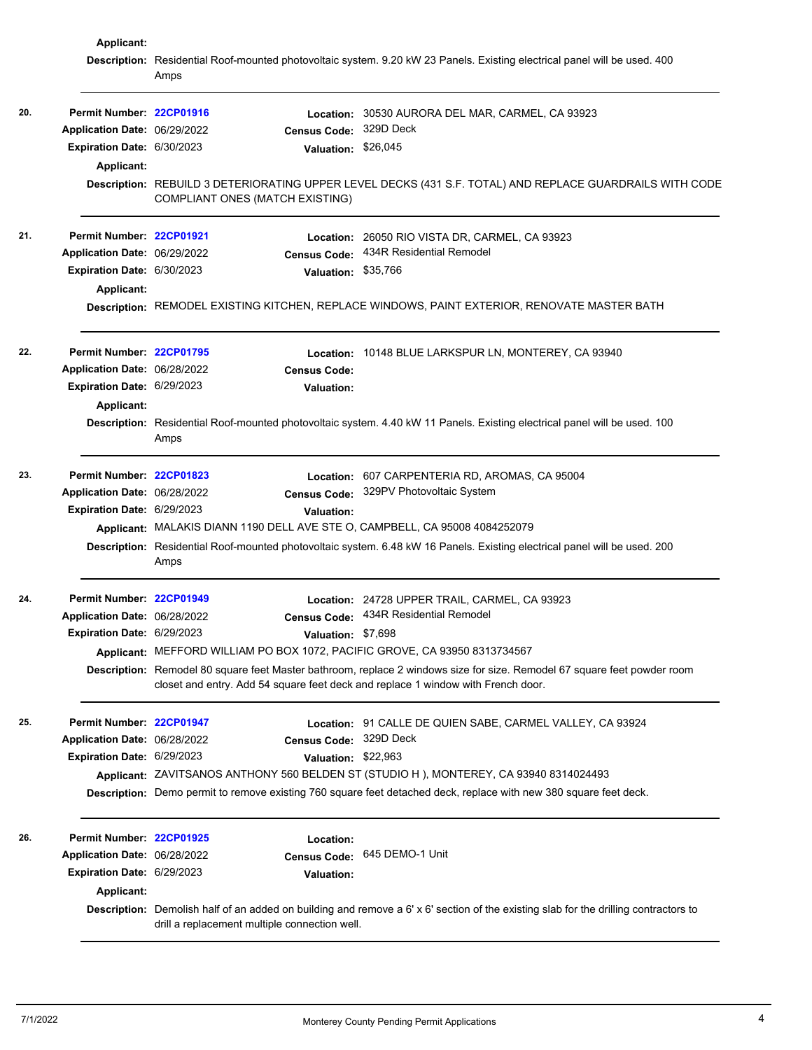|     | Applicant:                   | Description: Residential Roof-mounted photovoltaic system. 9.20 kW 23 Panels. Existing electrical panel will be used. 400                                                             |                                                                                                                           |  |
|-----|------------------------------|---------------------------------------------------------------------------------------------------------------------------------------------------------------------------------------|---------------------------------------------------------------------------------------------------------------------------|--|
|     |                              | Amps                                                                                                                                                                                  |                                                                                                                           |  |
| 20. | Permit Number: 22CP01916     |                                                                                                                                                                                       | Location: 30530 AURORA DEL MAR, CARMEL, CA 93923                                                                          |  |
|     | Application Date: 06/29/2022 | <b>Census Code:</b>                                                                                                                                                                   | 329D Deck                                                                                                                 |  |
|     | Expiration Date: 6/30/2023   | Valuation: \$26,045                                                                                                                                                                   |                                                                                                                           |  |
|     | Applicant:                   |                                                                                                                                                                                       |                                                                                                                           |  |
|     |                              | <b>COMPLIANT ONES (MATCH EXISTING)</b>                                                                                                                                                | Description: REBUILD 3 DETERIORATING UPPER LEVEL DECKS (431 S.F. TOTAL) AND REPLACE GUARDRAILS WITH CODE                  |  |
| 21. | Permit Number: 22CP01921     |                                                                                                                                                                                       | Location: 26050 RIO VISTA DR, CARMEL, CA 93923                                                                            |  |
|     | Application Date: 06/29/2022 | <b>Census Code:</b>                                                                                                                                                                   | 434R Residential Remodel                                                                                                  |  |
|     | Expiration Date: 6/30/2023   | Valuation: \$35,766                                                                                                                                                                   |                                                                                                                           |  |
|     | <b>Applicant:</b>            |                                                                                                                                                                                       |                                                                                                                           |  |
|     |                              |                                                                                                                                                                                       | Description: REMODEL EXISTING KITCHEN, REPLACE WINDOWS, PAINT EXTERIOR, RENOVATE MASTER BATH                              |  |
| 22. | Permit Number: 22CP01795     |                                                                                                                                                                                       | Location: 10148 BLUE LARKSPUR LN, MONTEREY, CA 93940                                                                      |  |
|     | Application Date: 06/28/2022 | <b>Census Code:</b>                                                                                                                                                                   |                                                                                                                           |  |
|     | Expiration Date: 6/29/2023   | <b>Valuation:</b>                                                                                                                                                                     |                                                                                                                           |  |
|     | Applicant:                   |                                                                                                                                                                                       |                                                                                                                           |  |
|     |                              | Amps                                                                                                                                                                                  | Description: Residential Roof-mounted photovoltaic system. 4.40 kW 11 Panels. Existing electrical panel will be used. 100 |  |
| 23. | Permit Number: 22CP01823     |                                                                                                                                                                                       | Location: 607 CARPENTERIA RD, AROMAS, CA 95004                                                                            |  |
|     | Application Date: 06/28/2022 | <b>Census Code:</b>                                                                                                                                                                   | 329PV Photovoltaic System                                                                                                 |  |
|     | Expiration Date: 6/29/2023   | Valuation:                                                                                                                                                                            |                                                                                                                           |  |
|     |                              | Applicant: MALAKIS DIANN 1190 DELL AVE STE O, CAMPBELL, CA 95008 4084252079                                                                                                           |                                                                                                                           |  |
|     |                              | Amps                                                                                                                                                                                  | Description: Residential Roof-mounted photovoltaic system. 6.48 kW 16 Panels. Existing electrical panel will be used. 200 |  |
| 24. | Permit Number: 22CP01949     |                                                                                                                                                                                       | Location: 24728 UPPER TRAIL, CARMEL, CA 93923                                                                             |  |
|     | Application Date: 06/28/2022 |                                                                                                                                                                                       | Census Code: 434R Residential Remodel                                                                                     |  |
|     | Expiration Date: 6/29/2023   | Valuation: \$7,698                                                                                                                                                                    |                                                                                                                           |  |
|     |                              | Applicant: MEFFORD WILLIAM PO BOX 1072, PACIFIC GROVE, CA 93950 8313734567                                                                                                            |                                                                                                                           |  |
|     |                              | closet and entry. Add 54 square feet deck and replace 1 window with French door.                                                                                                      | Description: Remodel 80 square feet Master bathroom, replace 2 windows size for size. Remodel 67 square feet powder room  |  |
| 25. | Permit Number: 22CP01947     |                                                                                                                                                                                       | Location: 91 CALLE DE QUIEN SABE, CARMEL VALLEY, CA 93924                                                                 |  |
|     | Application Date: 06/28/2022 | <b>Census Code:</b>                                                                                                                                                                   | 329D Deck                                                                                                                 |  |
|     | Expiration Date: 6/29/2023   | Valuation: \$22,963                                                                                                                                                                   |                                                                                                                           |  |
|     |                              |                                                                                                                                                                                       | Applicant: ZAVITSANOS ANTHONY 560 BELDEN ST (STUDIO H), MONTEREY, CA 93940 8314024493                                     |  |
|     |                              |                                                                                                                                                                                       | Description: Demo permit to remove existing 760 square feet detached deck, replace with new 380 square feet deck.         |  |
| 26. | Permit Number: 22CP01925     | Location:                                                                                                                                                                             |                                                                                                                           |  |
|     | Application Date: 06/28/2022 | <b>Census Code:</b>                                                                                                                                                                   | 645 DEMO-1 Unit                                                                                                           |  |
|     | Expiration Date: 6/29/2023   | <b>Valuation:</b>                                                                                                                                                                     |                                                                                                                           |  |
|     | <b>Applicant:</b>            |                                                                                                                                                                                       |                                                                                                                           |  |
|     |                              | Description: Demolish half of an added on building and remove a 6' x 6' section of the existing slab for the drilling contractors to<br>drill a replacement multiple connection well. |                                                                                                                           |  |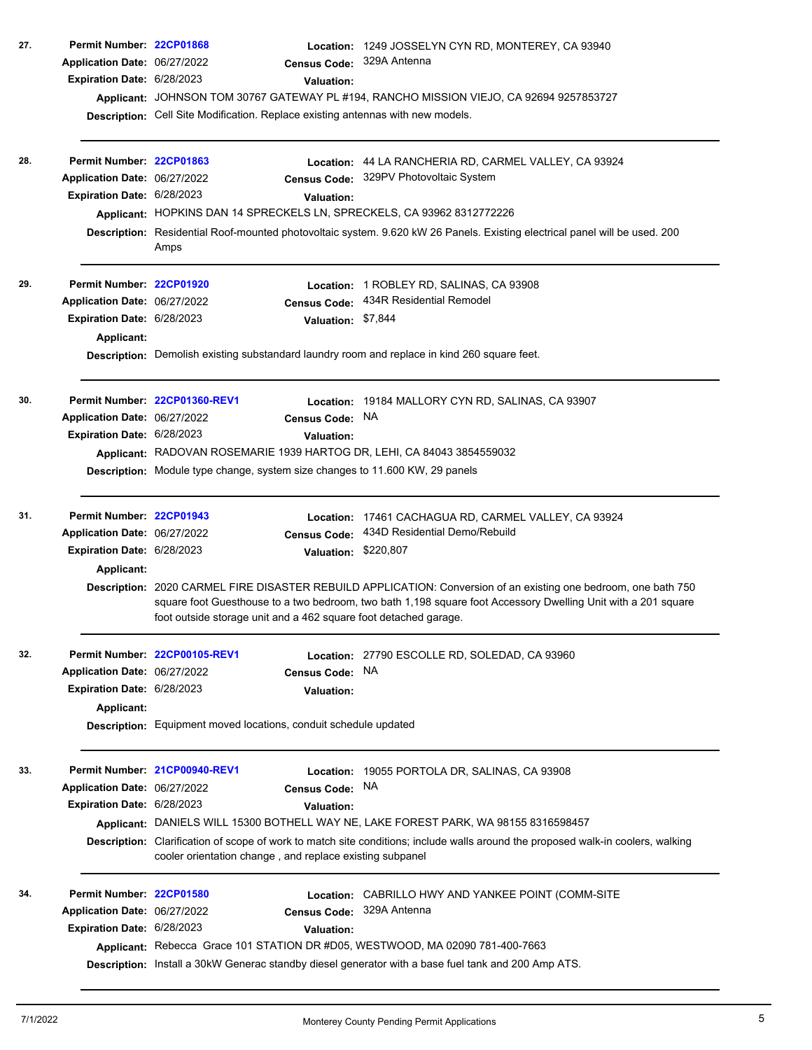| 27. | Permit Number: 22CP01868<br>Application Date: 06/27/2022<br>Expiration Date: 6/28/2023               | <b>Valuation:</b><br>Description: Cell Site Modification. Replace existing antennas with new models.                                                                                                                           | Location: 1249 JOSSELYN CYN RD, MONTEREY, CA 93940<br>Census Code: 329A Antenna<br>Applicant: JOHNSON TOM 30767 GATEWAY PL #194, RANCHO MISSION VIEJO, CA 92694 9257853727                                                                                                                                                |
|-----|------------------------------------------------------------------------------------------------------|--------------------------------------------------------------------------------------------------------------------------------------------------------------------------------------------------------------------------------|---------------------------------------------------------------------------------------------------------------------------------------------------------------------------------------------------------------------------------------------------------------------------------------------------------------------------|
| 28. | Permit Number: 22CP01863<br>Application Date: 06/27/2022<br>Expiration Date: 6/28/2023               | Valuation:<br>Applicant: HOPKINS DAN 14 SPRECKELS LN, SPRECKELS, CA 93962 8312772226<br>Amps                                                                                                                                   | Location: 44 LA RANCHERIA RD, CARMEL VALLEY, CA 93924<br>Census Code: 329PV Photovoltaic System<br>Description: Residential Roof-mounted photovoltaic system. 9.620 kW 26 Panels. Existing electrical panel will be used. 200                                                                                             |
| 29. | Permit Number: 22CP01920<br>Application Date: 06/27/2022<br>Expiration Date: 6/28/2023<br>Applicant: | Valuation: \$7,844<br>Description: Demolish existing substandard laundry room and replace in kind 260 square feet.                                                                                                             | Location: 1 ROBLEY RD, SALINAS, CA 93908<br>Census Code: 434R Residential Remodel                                                                                                                                                                                                                                         |
| 30. | Application Date: 06/27/2022<br>Expiration Date: 6/28/2023                                           | Permit Number 22CP01360-REV1<br>Census Code: NA<br><b>Valuation:</b><br>Applicant: RADOVAN ROSEMARIE 1939 HARTOG DR, LEHI, CA 84043 3854559032<br>Description: Module type change, system size changes to 11.600 KW, 29 panels | Location: 19184 MALLORY CYN RD, SALINAS, CA 93907                                                                                                                                                                                                                                                                         |
| 31. | Permit Number: 22CP01943<br>Application Date: 06/27/2022<br>Expiration Date: 6/28/2023<br>Applicant: | <b>Census Code:</b><br>Valuation: \$220,807<br>foot outside storage unit and a 462 square foot detached garage.                                                                                                                | Location: 17461 CACHAGUA RD, CARMEL VALLEY, CA 93924<br>434D Residential Demo/Rebuild<br>Description: 2020 CARMEL FIRE DISASTER REBUILD APPLICATION: Conversion of an existing one bedroom, one bath 750<br>square foot Guesthouse to a two bedroom, two bath 1,198 square foot Accessory Dwelling Unit with a 201 square |
| 32. | Application Date: 06/27/2022<br>Expiration Date: 6/28/2023<br><b>Applicant:</b>                      | Permit Number: 22CP00105-REV1<br><b>Census Code:</b><br><b>Valuation:</b><br>Description: Equipment moved locations, conduit schedule updated                                                                                  | Location: 27790 ESCOLLE RD, SOLEDAD, CA 93960<br>NA.                                                                                                                                                                                                                                                                      |
| 33. | Application Date: 06/27/2022<br>Expiration Date: 6/28/2023                                           | Permit Number. 21CP00940-REV1<br>Location:<br><b>Census Code:</b><br><b>Valuation:</b><br>cooler orientation change, and replace existing subpanel                                                                             | 19055 PORTOLA DR, SALINAS, CA 93908<br>NA.<br>Applicant: DANIELS WILL 15300 BOTHELL WAY NE, LAKE FOREST PARK, WA 98155 8316598457<br>Description: Clarification of scope of work to match site conditions; include walls around the proposed walk-in coolers, walking                                                     |
| 34. | Permit Number: 22CP01580<br>Application Date: 06/27/2022<br>Expiration Date: 6/28/2023               | <b>Census Code:</b><br><b>Valuation:</b><br>Applicant: Rebecca Grace 101 STATION DR #D05, WESTWOOD, MA 02090 781-400-7663                                                                                                      | <b>Location: CABRILLO HWY AND YANKEE POINT (COMM-SITE)</b><br>329A Antenna<br>Description: Install a 30kW Generac standby diesel generator with a base fuel tank and 200 Amp ATS.                                                                                                                                         |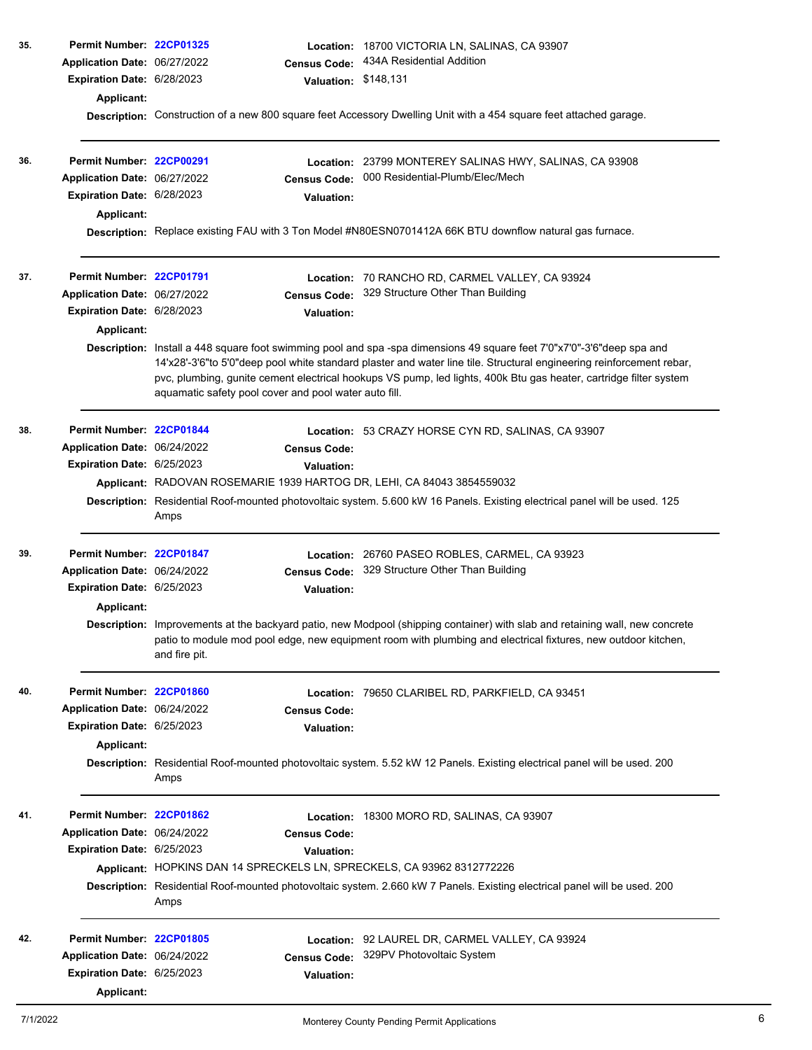| 35. | Permit Number: 22CP01325<br>Application Date: 06/27/2022<br>Expiration Date: 6/28/2023        |                                                                        | <b>Census Code:</b>                      | Location: 18700 VICTORIA LN, SALINAS, CA 93907<br>434A Residential Addition<br>Valuation: \$148,131                                                                                                                                                                                                                                                                 |
|-----|-----------------------------------------------------------------------------------------------|------------------------------------------------------------------------|------------------------------------------|---------------------------------------------------------------------------------------------------------------------------------------------------------------------------------------------------------------------------------------------------------------------------------------------------------------------------------------------------------------------|
|     | <b>Applicant:</b>                                                                             |                                                                        |                                          | Description: Construction of a new 800 square feet Accessory Dwelling Unit with a 454 square feet attached garage.                                                                                                                                                                                                                                                  |
| 36. | Permit Number: 22CP00291<br>Application Date: 06/27/2022<br><b>Expiration Date: 6/28/2023</b> |                                                                        | <b>Census Code:</b><br><b>Valuation:</b> | Location: 23799 MONTEREY SALINAS HWY, SALINAS, CA 93908<br>000 Residential-Plumb/Elec/Mech                                                                                                                                                                                                                                                                          |
|     | Applicant:                                                                                    |                                                                        |                                          | Description: Replace existing FAU with 3 Ton Model #N80ESN0701412A 66K BTU downflow natural gas furnace.                                                                                                                                                                                                                                                            |
| 37. | Permit Number: 22CP01791<br>Application Date: 06/27/2022                                      |                                                                        | <b>Census Code:</b>                      | Location: 70 RANCHO RD, CARMEL VALLEY, CA 93924<br>329 Structure Other Than Building                                                                                                                                                                                                                                                                                |
|     | <b>Expiration Date: 6/28/2023</b>                                                             |                                                                        | <b>Valuation:</b>                        |                                                                                                                                                                                                                                                                                                                                                                     |
|     | <b>Applicant:</b>                                                                             |                                                                        |                                          |                                                                                                                                                                                                                                                                                                                                                                     |
|     |                                                                                               | aquamatic safety pool cover and pool water auto fill.                  |                                          | Description: Install a 448 square foot swimming pool and spa -spa dimensions 49 square feet 7'0"x7'0"-3'6"deep spa and<br>14'x28'-3'6"to 5'0"deep pool white standard plaster and water line tile. Structural engineering reinforcement rebar,<br>pvc, plumbing, gunite cement electrical hookups VS pump, led lights, 400k Btu gas heater, cartridge filter system |
| 38. | Permit Number: 22CP01844                                                                      |                                                                        |                                          | Location: 53 CRAZY HORSE CYN RD, SALINAS, CA 93907                                                                                                                                                                                                                                                                                                                  |
|     | Application Date: 06/24/2022                                                                  |                                                                        | <b>Census Code:</b>                      |                                                                                                                                                                                                                                                                                                                                                                     |
|     | Expiration Date: 6/25/2023                                                                    | Applicant: RADOVAN ROSEMARIE 1939 HARTOG DR, LEHI, CA 84043 3854559032 | <b>Valuation:</b>                        |                                                                                                                                                                                                                                                                                                                                                                     |
|     |                                                                                               |                                                                        |                                          |                                                                                                                                                                                                                                                                                                                                                                     |
|     |                                                                                               | Amps                                                                   |                                          | Description: Residential Roof-mounted photovoltaic system. 5.600 kW 16 Panels. Existing electrical panel will be used. 125                                                                                                                                                                                                                                          |
| 39. | Permit Number: 22CP01847                                                                      |                                                                        |                                          | Location: 26760 PASEO ROBLES, CARMEL, CA 93923                                                                                                                                                                                                                                                                                                                      |
|     | Application Date: 06/24/2022                                                                  |                                                                        | <b>Census Code:</b>                      | 329 Structure Other Than Building                                                                                                                                                                                                                                                                                                                                   |
|     | Expiration Date: 6/25/2023                                                                    |                                                                        | <b>Valuation:</b>                        |                                                                                                                                                                                                                                                                                                                                                                     |
|     | <b>Applicant:</b>                                                                             |                                                                        |                                          |                                                                                                                                                                                                                                                                                                                                                                     |
|     |                                                                                               | and fire pit.                                                          |                                          | Description: Improvements at the backyard patio, new Modpool (shipping container) with slab and retaining wall, new concrete<br>patio to module mod pool edge, new equipment room with plumbing and electrical fixtures, new outdoor kitchen,                                                                                                                       |
| 40. | Permit Number: 22CP01860                                                                      |                                                                        |                                          | Location: 79650 CLARIBEL RD, PARKFIELD, CA 93451                                                                                                                                                                                                                                                                                                                    |
|     | Application Date: 06/24/2022                                                                  |                                                                        | Census Code:                             |                                                                                                                                                                                                                                                                                                                                                                     |
|     | Expiration Date: 6/25/2023                                                                    |                                                                        | <b>Valuation:</b>                        |                                                                                                                                                                                                                                                                                                                                                                     |
|     | <b>Applicant:</b>                                                                             | Amps                                                                   |                                          | Description: Residential Roof-mounted photovoltaic system. 5.52 kW 12 Panels. Existing electrical panel will be used. 200                                                                                                                                                                                                                                           |
| 41. | Permit Number: 22CP01862                                                                      |                                                                        |                                          | Location: 18300 MORO RD, SALINAS, CA 93907                                                                                                                                                                                                                                                                                                                          |
|     | Application Date: 06/24/2022                                                                  |                                                                        | <b>Census Code:</b>                      |                                                                                                                                                                                                                                                                                                                                                                     |
|     | Expiration Date: 6/25/2023                                                                    |                                                                        | <b>Valuation:</b>                        |                                                                                                                                                                                                                                                                                                                                                                     |
|     |                                                                                               | Applicant: HOPKINS DAN 14 SPRECKELS LN, SPRECKELS, CA 93962 8312772226 |                                          |                                                                                                                                                                                                                                                                                                                                                                     |
|     |                                                                                               | Amps                                                                   |                                          | Description: Residential Roof-mounted photovoltaic system. 2.660 kW 7 Panels. Existing electrical panel will be used. 200                                                                                                                                                                                                                                           |
| 42. | Permit Number: 22CP01805                                                                      |                                                                        |                                          | Location: 92 LAUREL DR, CARMEL VALLEY, CA 93924                                                                                                                                                                                                                                                                                                                     |
|     | Application Date: 06/24/2022                                                                  |                                                                        | <b>Census Code:</b>                      | 329PV Photovoltaic System                                                                                                                                                                                                                                                                                                                                           |
|     | Expiration Date: 6/25/2023                                                                    |                                                                        | <b>Valuation:</b>                        |                                                                                                                                                                                                                                                                                                                                                                     |
|     | Applicant:                                                                                    |                                                                        |                                          |                                                                                                                                                                                                                                                                                                                                                                     |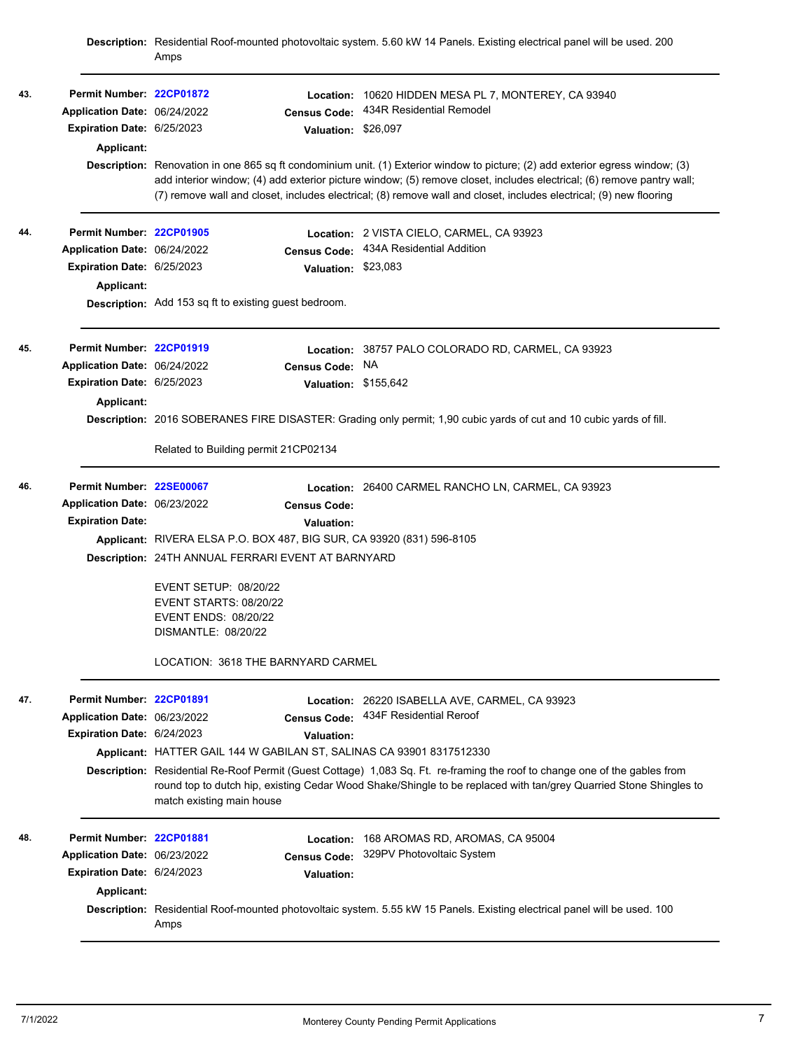|     |                              | Amps                                                                                                                |                      | Description: Residential Roof-mounted photovoltaic system. 5.60 kW 14 Panels. Existing electrical panel will be used. 200                                                                                                                                                                                                                                                     |  |  |  |
|-----|------------------------------|---------------------------------------------------------------------------------------------------------------------|----------------------|-------------------------------------------------------------------------------------------------------------------------------------------------------------------------------------------------------------------------------------------------------------------------------------------------------------------------------------------------------------------------------|--|--|--|
| 43. | Permit Number: 22CP01872     |                                                                                                                     | Location:            | 10620 HIDDEN MESA PL 7, MONTEREY, CA 93940                                                                                                                                                                                                                                                                                                                                    |  |  |  |
|     | Application Date: 06/24/2022 |                                                                                                                     | <b>Census Code:</b>  | 434R Residential Remodel                                                                                                                                                                                                                                                                                                                                                      |  |  |  |
|     | Expiration Date: 6/25/2023   |                                                                                                                     | Valuation: \$26,097  |                                                                                                                                                                                                                                                                                                                                                                               |  |  |  |
|     | <b>Applicant:</b>            |                                                                                                                     |                      |                                                                                                                                                                                                                                                                                                                                                                               |  |  |  |
|     |                              |                                                                                                                     |                      | Description: Renovation in one 865 sq ft condominium unit. (1) Exterior window to picture; (2) add exterior egress window; (3)<br>add interior window; (4) add exterior picture window; (5) remove closet, includes electrical; (6) remove pantry wall;<br>(7) remove wall and closet, includes electrical; (8) remove wall and closet, includes electrical; (9) new flooring |  |  |  |
| 44. | Permit Number: 22CP01905     |                                                                                                                     | Location:            | 2 VISTA CIELO, CARMEL, CA 93923                                                                                                                                                                                                                                                                                                                                               |  |  |  |
|     | Application Date: 06/24/2022 |                                                                                                                     | <b>Census Code:</b>  | 434A Residential Addition                                                                                                                                                                                                                                                                                                                                                     |  |  |  |
|     | Expiration Date: 6/25/2023   |                                                                                                                     | Valuation: \$23,083  |                                                                                                                                                                                                                                                                                                                                                                               |  |  |  |
|     | <b>Applicant:</b>            |                                                                                                                     |                      |                                                                                                                                                                                                                                                                                                                                                                               |  |  |  |
|     |                              | <b>Description:</b> Add 153 sq ft to existing guest bedroom.                                                        |                      |                                                                                                                                                                                                                                                                                                                                                                               |  |  |  |
| 45. | Permit Number: 22CP01919     |                                                                                                                     | Location:            | 38757 PALO COLORADO RD, CARMEL, CA 93923                                                                                                                                                                                                                                                                                                                                      |  |  |  |
|     | Application Date: 06/24/2022 |                                                                                                                     | <b>Census Code:</b>  | NA                                                                                                                                                                                                                                                                                                                                                                            |  |  |  |
|     | Expiration Date: 6/25/2023   |                                                                                                                     | Valuation: \$155,642 |                                                                                                                                                                                                                                                                                                                                                                               |  |  |  |
|     | <b>Applicant:</b>            |                                                                                                                     |                      |                                                                                                                                                                                                                                                                                                                                                                               |  |  |  |
|     |                              | Description: 2016 SOBERANES FIRE DISASTER: Grading only permit; 1,90 cubic yards of cut and 10 cubic yards of fill. |                      |                                                                                                                                                                                                                                                                                                                                                                               |  |  |  |
|     |                              | Related to Building permit 21CP02134                                                                                |                      |                                                                                                                                                                                                                                                                                                                                                                               |  |  |  |
| 46. | Permit Number: 22SE00067     |                                                                                                                     |                      | Location: 26400 CARMEL RANCHO LN, CARMEL, CA 93923                                                                                                                                                                                                                                                                                                                            |  |  |  |
|     | Application Date: 06/23/2022 |                                                                                                                     | <b>Census Code:</b>  |                                                                                                                                                                                                                                                                                                                                                                               |  |  |  |
|     | <b>Expiration Date:</b>      |                                                                                                                     | <b>Valuation:</b>    |                                                                                                                                                                                                                                                                                                                                                                               |  |  |  |
|     |                              | Applicant: RIVERA ELSA P.O. BOX 487, BIG SUR, CA 93920 (831) 596-8105                                               |                      |                                                                                                                                                                                                                                                                                                                                                                               |  |  |  |
|     |                              | Description: 24TH ANNUAL FERRARI EVENT AT BARNYARD                                                                  |                      |                                                                                                                                                                                                                                                                                                                                                                               |  |  |  |
|     |                              | <b>EVENT SETUP: 08/20/22</b>                                                                                        |                      |                                                                                                                                                                                                                                                                                                                                                                               |  |  |  |
|     |                              | <b>EVENT STARTS: 08/20/22</b>                                                                                       |                      |                                                                                                                                                                                                                                                                                                                                                                               |  |  |  |
|     |                              | EVENT ENDS: 08/20/22<br>DISMANTLE: 08/20/22                                                                         |                      |                                                                                                                                                                                                                                                                                                                                                                               |  |  |  |
|     |                              |                                                                                                                     |                      |                                                                                                                                                                                                                                                                                                                                                                               |  |  |  |
|     |                              | LOCATION: 3618 THE BARNYARD CARMEL                                                                                  |                      |                                                                                                                                                                                                                                                                                                                                                                               |  |  |  |
| 47. | Permit Number: 22CP01891     |                                                                                                                     |                      | Location: 26220 ISABELLA AVE, CARMEL, CA 93923                                                                                                                                                                                                                                                                                                                                |  |  |  |
|     | Application Date: 06/23/2022 |                                                                                                                     | <b>Census Code:</b>  | 434F Residential Reroof                                                                                                                                                                                                                                                                                                                                                       |  |  |  |
|     | Expiration Date: 6/24/2023   |                                                                                                                     | <b>Valuation:</b>    |                                                                                                                                                                                                                                                                                                                                                                               |  |  |  |
|     |                              | Applicant: HATTER GAIL 144 W GABILAN ST, SALINAS CA 93901 8317512330                                                |                      |                                                                                                                                                                                                                                                                                                                                                                               |  |  |  |
|     |                              | match existing main house                                                                                           |                      | Description: Residential Re-Roof Permit (Guest Cottage) 1,083 Sq. Ft. re-framing the roof to change one of the gables from<br>round top to dutch hip, existing Cedar Wood Shake/Shingle to be replaced with tan/grey Quarried Stone Shingles to                                                                                                                               |  |  |  |
| 48. | Permit Number: 22CP01881     |                                                                                                                     | Location:            | 168 AROMAS RD, AROMAS, CA 95004                                                                                                                                                                                                                                                                                                                                               |  |  |  |
|     | Application Date: 06/23/2022 |                                                                                                                     | <b>Census Code:</b>  | 329PV Photovoltaic System                                                                                                                                                                                                                                                                                                                                                     |  |  |  |
|     | Expiration Date: 6/24/2023   |                                                                                                                     | Valuation:           |                                                                                                                                                                                                                                                                                                                                                                               |  |  |  |
|     | Applicant:                   |                                                                                                                     |                      |                                                                                                                                                                                                                                                                                                                                                                               |  |  |  |
|     |                              | Amps                                                                                                                |                      | Description: Residential Roof-mounted photovoltaic system. 5.55 kW 15 Panels. Existing electrical panel will be used. 100                                                                                                                                                                                                                                                     |  |  |  |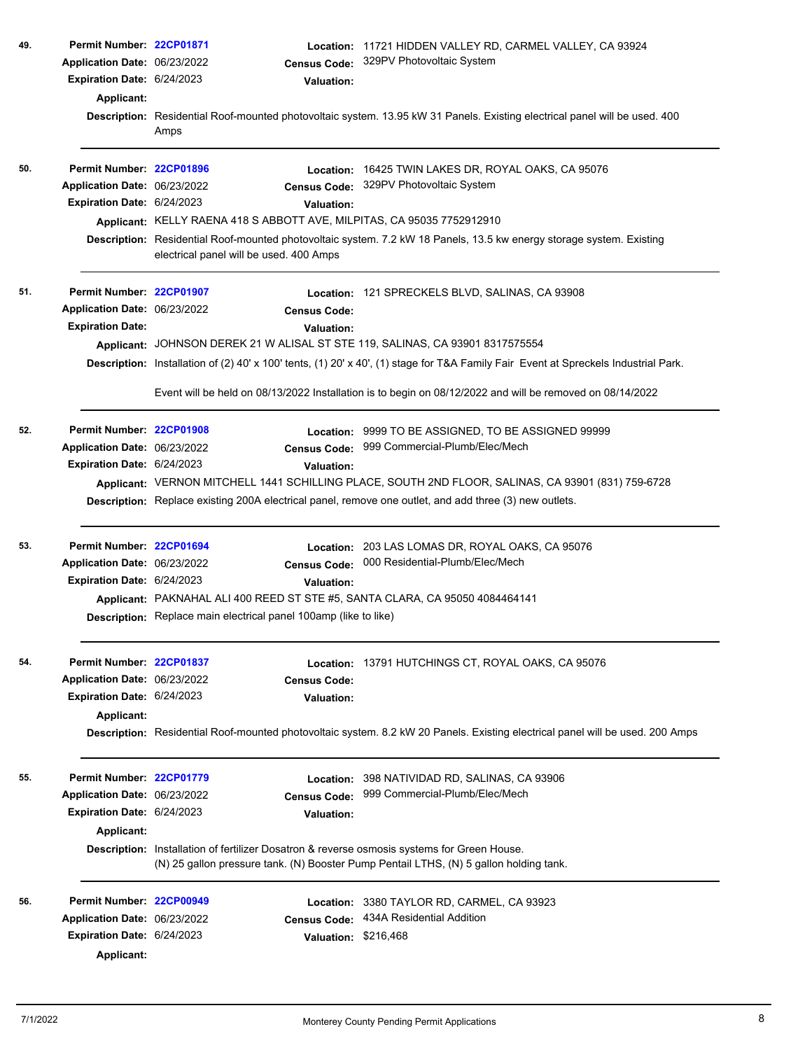| 49. | Permit Number: 22CP01871<br>Application Date: 06/23/2022<br>Expiration Date: 6/24/2023<br>Applicant: |                                                                                                                               | <b>Census Code:</b><br><b>Valuation:</b> | Location: 11721 HIDDEN VALLEY RD, CARMEL VALLEY, CA 93924<br>329PV Photovoltaic System                                                                                                |  |  |
|-----|------------------------------------------------------------------------------------------------------|-------------------------------------------------------------------------------------------------------------------------------|------------------------------------------|---------------------------------------------------------------------------------------------------------------------------------------------------------------------------------------|--|--|
|     |                                                                                                      | Amps                                                                                                                          |                                          | Description: Residential Roof-mounted photovoltaic system. 13.95 kW 31 Panels. Existing electrical panel will be used. 400                                                            |  |  |
| 50. | Permit Number: 22CP01896                                                                             |                                                                                                                               | Location:                                | 16425 TWIN LAKES DR, ROYAL OAKS, CA 95076                                                                                                                                             |  |  |
|     | Application Date: 06/23/2022                                                                         |                                                                                                                               | <b>Census Code:</b>                      | 329PV Photovoltaic System                                                                                                                                                             |  |  |
|     | Expiration Date: 6/24/2023                                                                           |                                                                                                                               | Valuation:                               |                                                                                                                                                                                       |  |  |
|     |                                                                                                      |                                                                                                                               |                                          | Applicant: KELLY RAENA 418 S ABBOTT AVE, MILPITAS, CA 95035 7752912910                                                                                                                |  |  |
|     |                                                                                                      | electrical panel will be used. 400 Amps                                                                                       |                                          | Description: Residential Roof-mounted photovoltaic system. 7.2 kW 18 Panels, 13.5 kw energy storage system. Existing                                                                  |  |  |
| 51. | Permit Number: 22CP01907                                                                             |                                                                                                                               |                                          | Location: 121 SPRECKELS BLVD, SALINAS, CA 93908                                                                                                                                       |  |  |
|     | Application Date: 06/23/2022                                                                         |                                                                                                                               | <b>Census Code:</b>                      |                                                                                                                                                                                       |  |  |
|     | <b>Expiration Date:</b>                                                                              |                                                                                                                               | <b>Valuation:</b>                        |                                                                                                                                                                                       |  |  |
|     |                                                                                                      |                                                                                                                               |                                          | Applicant: JOHNSON DEREK 21 W ALISAL ST STE 119, SALINAS, CA 93901 8317575554                                                                                                         |  |  |
|     |                                                                                                      |                                                                                                                               |                                          | Description: Installation of (2) 40' x 100' tents, (1) 20' x 40', (1) stage for T&A Family Fair Event at Spreckels Industrial Park.                                                   |  |  |
|     |                                                                                                      |                                                                                                                               |                                          | Event will be held on 08/13/2022 Installation is to begin on 08/12/2022 and will be removed on 08/14/2022                                                                             |  |  |
| 52. | Permit Number: 22CP01908                                                                             |                                                                                                                               |                                          | Location: 9999 TO BE ASSIGNED, TO BE ASSIGNED 99999                                                                                                                                   |  |  |
|     | Application Date: 06/23/2022                                                                         |                                                                                                                               | <b>Census Code:</b>                      | 999 Commercial-Plumb/Elec/Mech                                                                                                                                                        |  |  |
|     | Expiration Date: 6/24/2023                                                                           |                                                                                                                               | <b>Valuation:</b>                        |                                                                                                                                                                                       |  |  |
|     |                                                                                                      |                                                                                                                               |                                          | Applicant: VERNON MITCHELL 1441 SCHILLING PLACE, SOUTH 2ND FLOOR, SALINAS, CA 93901 (831) 759-6728                                                                                    |  |  |
|     |                                                                                                      |                                                                                                                               |                                          | Description: Replace existing 200A electrical panel, remove one outlet, and add three (3) new outlets.                                                                                |  |  |
| 53. | Permit Number: 22CP01694                                                                             |                                                                                                                               |                                          | Location: 203 LAS LOMAS DR, ROYAL OAKS, CA 95076                                                                                                                                      |  |  |
|     | Application Date: 06/23/2022                                                                         |                                                                                                                               | <b>Census Code:</b>                      | 000 Residential-Plumb/Elec/Mech                                                                                                                                                       |  |  |
|     | <b>Expiration Date: 6/24/2023</b>                                                                    |                                                                                                                               | <b>Valuation:</b>                        |                                                                                                                                                                                       |  |  |
|     |                                                                                                      |                                                                                                                               |                                          | Applicant: PAKNAHAL ALI 400 REED ST STE #5, SANTA CLARA, CA 95050 4084464141                                                                                                          |  |  |
|     |                                                                                                      | Description: Replace main electrical panel 100amp (like to like)                                                              |                                          |                                                                                                                                                                                       |  |  |
| 54. | Permit Number: 22CP01837                                                                             |                                                                                                                               |                                          | Location: 13791 HUTCHINGS CT, ROYAL OAKS, CA 95076                                                                                                                                    |  |  |
|     | Application Date: 06/23/2022                                                                         |                                                                                                                               | <b>Census Code:</b>                      |                                                                                                                                                                                       |  |  |
|     | <b>Expiration Date: 6/24/2023</b>                                                                    |                                                                                                                               | <b>Valuation:</b>                        |                                                                                                                                                                                       |  |  |
|     | <b>Applicant:</b>                                                                                    | Description: Residential Roof-mounted photovoltaic system. 8.2 kW 20 Panels. Existing electrical panel will be used. 200 Amps |                                          |                                                                                                                                                                                       |  |  |
| 55. | Permit Number: 22CP01779                                                                             |                                                                                                                               |                                          | Location: 398 NATIVIDAD RD, SALINAS, CA 93906                                                                                                                                         |  |  |
|     | Application Date: 06/23/2022                                                                         |                                                                                                                               | <b>Census Code:</b>                      | 999 Commercial-Plumb/Elec/Mech                                                                                                                                                        |  |  |
|     | Expiration Date: 6/24/2023                                                                           |                                                                                                                               | <b>Valuation:</b>                        |                                                                                                                                                                                       |  |  |
|     | <b>Applicant:</b>                                                                                    |                                                                                                                               |                                          |                                                                                                                                                                                       |  |  |
|     |                                                                                                      |                                                                                                                               |                                          | Description: Installation of fertilizer Dosatron & reverse osmosis systems for Green House.<br>(N) 25 gallon pressure tank. (N) Booster Pump Pentail LTHS, (N) 5 gallon holding tank. |  |  |
| 56. | Permit Number: 22CP00949                                                                             |                                                                                                                               |                                          | Location: 3380 TAYLOR RD, CARMEL, CA 93923                                                                                                                                            |  |  |
|     | Application Date: 06/23/2022                                                                         |                                                                                                                               | <b>Census Code:</b>                      | 434A Residential Addition                                                                                                                                                             |  |  |
|     | Expiration Date: 6/24/2023                                                                           |                                                                                                                               | Valuation: \$216,468                     |                                                                                                                                                                                       |  |  |
|     | Applicant:                                                                                           |                                                                                                                               |                                          |                                                                                                                                                                                       |  |  |
|     |                                                                                                      |                                                                                                                               |                                          |                                                                                                                                                                                       |  |  |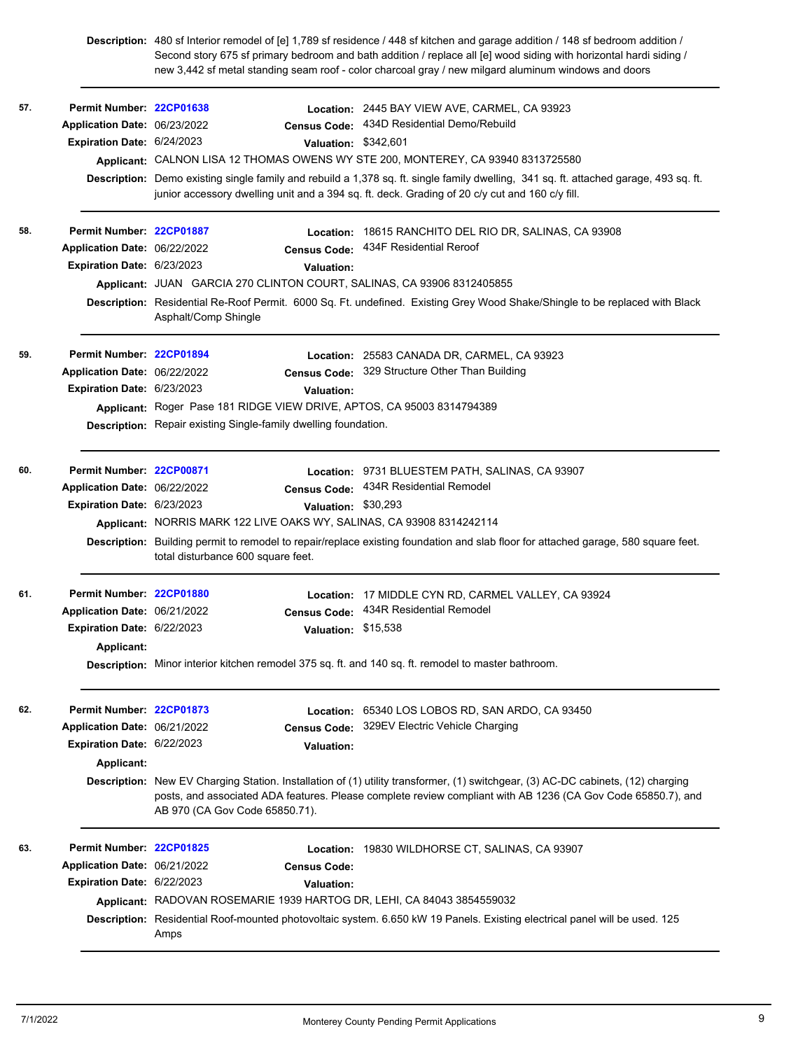**Description:** 480 sf Interior remodel of [e] 1,789 sf residence / 448 sf kitchen and garage addition / 148 sf bedroom addition / Second story 675 sf primary bedroom and bath addition / replace all [e] wood siding with horizontal hardi siding / new 3,442 sf metal standing seam roof - color charcoal gray / new milgard aluminum windows and doors

| 57. | Permit Number: 22CP01638<br>Application Date: 06/23/2022<br>Expiration Date: 6/24/2023               | Valuation: \$342,601                                                                                                                                                                  | Location: 2445 BAY VIEW AVE, CARMEL, CA 93923<br>Census Code: 434D Residential Demo/Rebuild<br>Applicant: CALNON LISA 12 THOMAS OWENS WY STE 200, MONTEREY, CA 93940 8313725580<br>Description: Demo existing single family and rebuild a 1,378 sq. ft. single family dwelling, 341 sq. ft. attached garage, 493 sq. ft.<br>junior accessory dwelling unit and a 394 sq. ft. deck. Grading of 20 c/y cut and 160 c/y fill. |
|-----|------------------------------------------------------------------------------------------------------|---------------------------------------------------------------------------------------------------------------------------------------------------------------------------------------|----------------------------------------------------------------------------------------------------------------------------------------------------------------------------------------------------------------------------------------------------------------------------------------------------------------------------------------------------------------------------------------------------------------------------|
| 58. | Permit Number: 22CP01887<br>Application Date: 06/22/2022<br>Expiration Date: 6/23/2023               | <b>Valuation:</b><br>Applicant: JUAN GARCIA 270 CLINTON COURT, SALINAS, CA 93906 8312405855<br>Asphalt/Comp Shingle                                                                   | Location: 18615 RANCHITO DEL RIO DR, SALINAS, CA 93908<br>Census Code: 434F Residential Reroof<br>Description: Residential Re-Roof Permit. 6000 Sq. Ft. undefined. Existing Grey Wood Shake/Shingle to be replaced with Black                                                                                                                                                                                              |
| 59. | Permit Number: 22CP01894<br>Application Date: 06/22/2022<br>Expiration Date: 6/23/2023               | <b>Census Code:</b><br>Valuation:<br>Applicant: Roger Pase 181 RIDGE VIEW DRIVE, APTOS, CA 95003 8314794389<br><b>Description:</b> Repair existing Single-family dwelling foundation. | Location: 25583 CANADA DR, CARMEL, CA 93923<br>329 Structure Other Than Building                                                                                                                                                                                                                                                                                                                                           |
| 60. | Permit Number: 22CP00871<br>Application Date: 06/22/2022<br>Expiration Date: 6/23/2023               | Valuation: \$30,293<br>Applicant: NORRIS MARK 122 LIVE OAKS WY, SALINAS, CA 93908 8314242114<br>total disturbance 600 square feet.                                                    | Location: 9731 BLUESTEM PATH, SALINAS, CA 93907<br>Census Code: 434R Residential Remodel<br>Description: Building permit to remodel to repair/replace existing foundation and slab floor for attached garage, 580 square feet.                                                                                                                                                                                             |
| 61. | Permit Number: 22CP01880<br>Application Date: 06/21/2022<br>Expiration Date: 6/22/2023<br>Applicant: | <b>Census Code:</b><br>Valuation: \$15,538<br>Description: Minor interior kitchen remodel 375 sq. ft. and 140 sq. ft. remodel to master bathroom.                                     | Location: 17 MIDDLE CYN RD, CARMEL VALLEY, CA 93924<br>434R Residential Remodel                                                                                                                                                                                                                                                                                                                                            |
| 62. | Permit Number: 22CP01873<br>Application Date: 06/21/2022<br>Expiration Date: 6/22/2023<br>Applicant: | <b>Census Code:</b><br><b>Valuation:</b><br>AB 970 (CA Gov Code 65850.71).                                                                                                            | Location: 65340 LOS LOBOS RD, SAN ARDO, CA 93450<br>329EV Electric Vehicle Charging<br>Description: New EV Charging Station. Installation of (1) utility transformer, (1) switchgear, (3) AC-DC cabinets, (12) charging<br>posts, and associated ADA features. Please complete review compliant with AB 1236 (CA Gov Code 65850.7), and                                                                                    |
| 63. | Permit Number: 22CP01825<br>Application Date: 06/21/2022<br>Expiration Date: 6/22/2023               | <b>Census Code:</b><br><b>Valuation:</b><br>Applicant: RADOVAN ROSEMARIE 1939 HARTOG DR, LEHI, CA 84043 3854559032<br>Amps                                                            | Location: 19830 WILDHORSE CT, SALINAS, CA 93907<br>Description: Residential Roof-mounted photovoltaic system. 6.650 kW 19 Panels. Existing electrical panel will be used. 125                                                                                                                                                                                                                                              |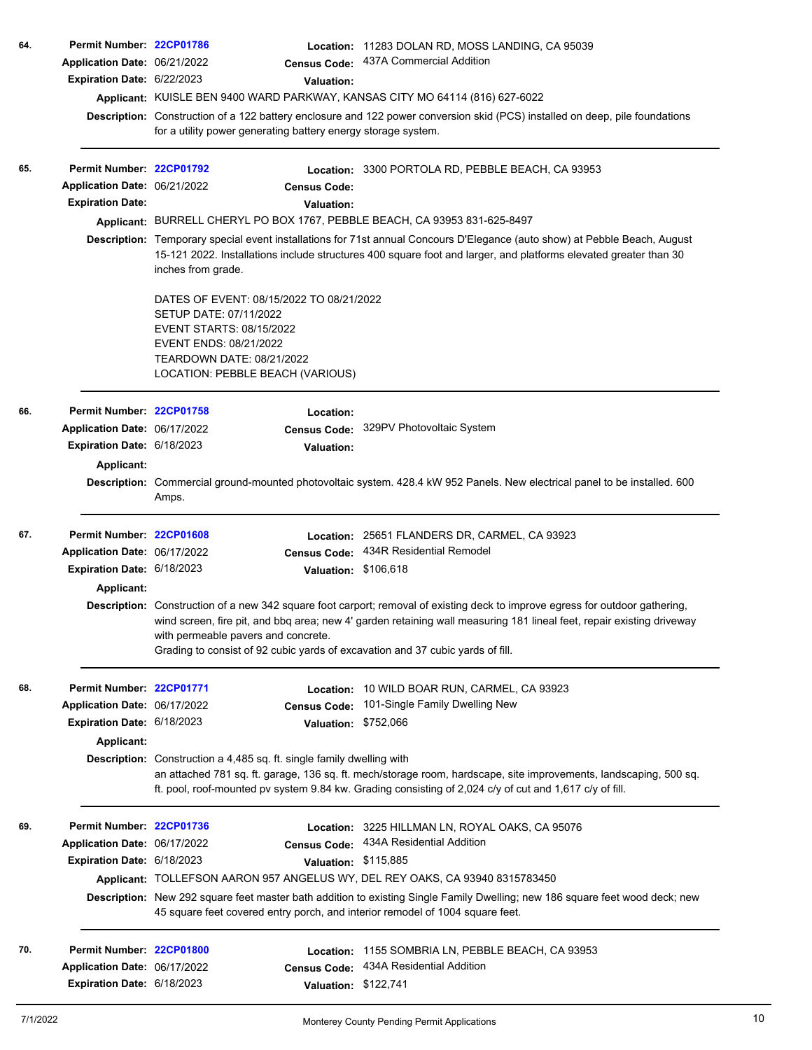| 64. | Permit Number: 22CP01786          |                                                                                                                                                                                                                                                                                                                                                                                 | Location: 11283 DOLAN RD, MOSS LANDING, CA 95039                                                                                                                                                                             |  |  |  |  |
|-----|-----------------------------------|---------------------------------------------------------------------------------------------------------------------------------------------------------------------------------------------------------------------------------------------------------------------------------------------------------------------------------------------------------------------------------|------------------------------------------------------------------------------------------------------------------------------------------------------------------------------------------------------------------------------|--|--|--|--|
|     | Application Date: 06/21/2022      | <b>Census Code:</b>                                                                                                                                                                                                                                                                                                                                                             | 437A Commercial Addition                                                                                                                                                                                                     |  |  |  |  |
|     | Expiration Date: 6/22/2023        | <b>Valuation:</b>                                                                                                                                                                                                                                                                                                                                                               |                                                                                                                                                                                                                              |  |  |  |  |
|     |                                   |                                                                                                                                                                                                                                                                                                                                                                                 | Applicant: KUISLE BEN 9400 WARD PARKWAY, KANSAS CITY MO 64114 (816) 627-6022                                                                                                                                                 |  |  |  |  |
|     |                                   |                                                                                                                                                                                                                                                                                                                                                                                 | Description: Construction of a 122 battery enclosure and 122 power conversion skid (PCS) installed on deep, pile foundations                                                                                                 |  |  |  |  |
|     |                                   | for a utility power generating battery energy storage system.                                                                                                                                                                                                                                                                                                                   |                                                                                                                                                                                                                              |  |  |  |  |
| 65. | Permit Number: 22CP01792          |                                                                                                                                                                                                                                                                                                                                                                                 | Location: 3300 PORTOLA RD, PEBBLE BEACH, CA 93953                                                                                                                                                                            |  |  |  |  |
|     | Application Date: 06/21/2022      | <b>Census Code:</b>                                                                                                                                                                                                                                                                                                                                                             |                                                                                                                                                                                                                              |  |  |  |  |
|     | <b>Expiration Date:</b>           | <b>Valuation:</b>                                                                                                                                                                                                                                                                                                                                                               |                                                                                                                                                                                                                              |  |  |  |  |
|     |                                   |                                                                                                                                                                                                                                                                                                                                                                                 | Applicant: BURRELL CHERYL PO BOX 1767, PEBBLE BEACH, CA 93953 831-625-8497                                                                                                                                                   |  |  |  |  |
|     |                                   | Description: Temporary special event installations for 71st annual Concours D'Elegance (auto show) at Pebble Beach, August<br>15-121 2022. Installations include structures 400 square foot and larger, and platforms elevated greater than 30<br>inches from grade.                                                                                                            |                                                                                                                                                                                                                              |  |  |  |  |
|     |                                   | DATES OF EVENT: 08/15/2022 TO 08/21/2022<br>SETUP DATE: 07/11/2022<br><b>EVENT STARTS: 08/15/2022</b><br>EVENT ENDS: 08/21/2022<br>TEARDOWN DATE: 08/21/2022<br>LOCATION: PEBBLE BEACH (VARIOUS)                                                                                                                                                                                |                                                                                                                                                                                                                              |  |  |  |  |
| 66. | Permit Number: 22CP01758          | Location:                                                                                                                                                                                                                                                                                                                                                                       |                                                                                                                                                                                                                              |  |  |  |  |
|     | Application Date: 06/17/2022      | <b>Census Code:</b>                                                                                                                                                                                                                                                                                                                                                             | 329PV Photovoltaic System                                                                                                                                                                                                    |  |  |  |  |
|     | Expiration Date: 6/18/2023        | <b>Valuation:</b>                                                                                                                                                                                                                                                                                                                                                               |                                                                                                                                                                                                                              |  |  |  |  |
|     | <b>Applicant:</b>                 |                                                                                                                                                                                                                                                                                                                                                                                 |                                                                                                                                                                                                                              |  |  |  |  |
|     |                                   |                                                                                                                                                                                                                                                                                                                                                                                 | Description: Commercial ground-mounted photovoltaic system. 428.4 kW 952 Panels. New electrical panel to be installed. 600                                                                                                   |  |  |  |  |
|     |                                   | Amps.                                                                                                                                                                                                                                                                                                                                                                           |                                                                                                                                                                                                                              |  |  |  |  |
| 67. | Permit Number: 22CP01608          | Location:                                                                                                                                                                                                                                                                                                                                                                       | 25651 FLANDERS DR, CARMEL, CA 93923                                                                                                                                                                                          |  |  |  |  |
|     | Application Date: 06/17/2022      | <b>Census Code:</b>                                                                                                                                                                                                                                                                                                                                                             | 434R Residential Remodel                                                                                                                                                                                                     |  |  |  |  |
|     | Expiration Date: 6/18/2023        |                                                                                                                                                                                                                                                                                                                                                                                 | Valuation: \$106,618                                                                                                                                                                                                         |  |  |  |  |
|     | Applicant:                        |                                                                                                                                                                                                                                                                                                                                                                                 |                                                                                                                                                                                                                              |  |  |  |  |
|     |                                   | Description: Construction of a new 342 square foot carport; removal of existing deck to improve egress for outdoor gathering,<br>wind screen, fire pit, and bbq area; new 4' garden retaining wall measuring 181 lineal feet, repair existing driveway<br>with permeable pavers and concrete.<br>Grading to consist of 92 cubic yards of excavation and 37 cubic yards of fill. |                                                                                                                                                                                                                              |  |  |  |  |
|     |                                   |                                                                                                                                                                                                                                                                                                                                                                                 |                                                                                                                                                                                                                              |  |  |  |  |
| 68. | Permit Number: 22CP01771          | Location:                                                                                                                                                                                                                                                                                                                                                                       | 10 WILD BOAR RUN, CARMEL, CA 93923                                                                                                                                                                                           |  |  |  |  |
|     | Application Date: 06/17/2022      | <b>Census Code:</b>                                                                                                                                                                                                                                                                                                                                                             | 101-Single Family Dwelling New                                                                                                                                                                                               |  |  |  |  |
|     | Expiration Date: 6/18/2023        | <b>Valuation:</b>                                                                                                                                                                                                                                                                                                                                                               | \$752,066                                                                                                                                                                                                                    |  |  |  |  |
|     | Applicant:                        |                                                                                                                                                                                                                                                                                                                                                                                 |                                                                                                                                                                                                                              |  |  |  |  |
|     |                                   | Description: Construction a 4,485 sq. ft. single family dwelling with                                                                                                                                                                                                                                                                                                           | an attached 781 sq. ft. garage, 136 sq. ft. mech/storage room, hardscape, site improvements, landscaping, 500 sq.<br>ft. pool, roof-mounted pv system 9.84 kw. Grading consisting of 2,024 c/y of cut and 1,617 c/y of fill. |  |  |  |  |
| 69. | Permit Number: 22CP01736          |                                                                                                                                                                                                                                                                                                                                                                                 | Location: 3225 HILLMAN LN, ROYAL OAKS, CA 95076                                                                                                                                                                              |  |  |  |  |
|     | Application Date: 06/17/2022      | <b>Census Code:</b>                                                                                                                                                                                                                                                                                                                                                             | 434A Residential Addition                                                                                                                                                                                                    |  |  |  |  |
|     | <b>Expiration Date: 6/18/2023</b> |                                                                                                                                                                                                                                                                                                                                                                                 | Valuation: \$115,885                                                                                                                                                                                                         |  |  |  |  |
|     |                                   |                                                                                                                                                                                                                                                                                                                                                                                 | Applicant: TOLLEFSON AARON 957 ANGELUS WY, DEL REY OAKS, CA 93940 8315783450                                                                                                                                                 |  |  |  |  |
|     |                                   |                                                                                                                                                                                                                                                                                                                                                                                 | Description: New 292 square feet master bath addition to existing Single Family Dwelling; new 186 square feet wood deck; new                                                                                                 |  |  |  |  |
|     |                                   | 45 square feet covered entry porch, and interior remodel of 1004 square feet.                                                                                                                                                                                                                                                                                                   |                                                                                                                                                                                                                              |  |  |  |  |
| 70. | Permit Number: 22CP01800          | Location:                                                                                                                                                                                                                                                                                                                                                                       | 1155 SOMBRIA LN, PEBBLE BEACH, CA 93953                                                                                                                                                                                      |  |  |  |  |
|     | Application Date: 06/17/2022      | <b>Census Code:</b>                                                                                                                                                                                                                                                                                                                                                             | 434A Residential Addition                                                                                                                                                                                                    |  |  |  |  |
|     | Expiration Date: 6/18/2023        |                                                                                                                                                                                                                                                                                                                                                                                 | Valuation: \$122,741                                                                                                                                                                                                         |  |  |  |  |
|     |                                   |                                                                                                                                                                                                                                                                                                                                                                                 |                                                                                                                                                                                                                              |  |  |  |  |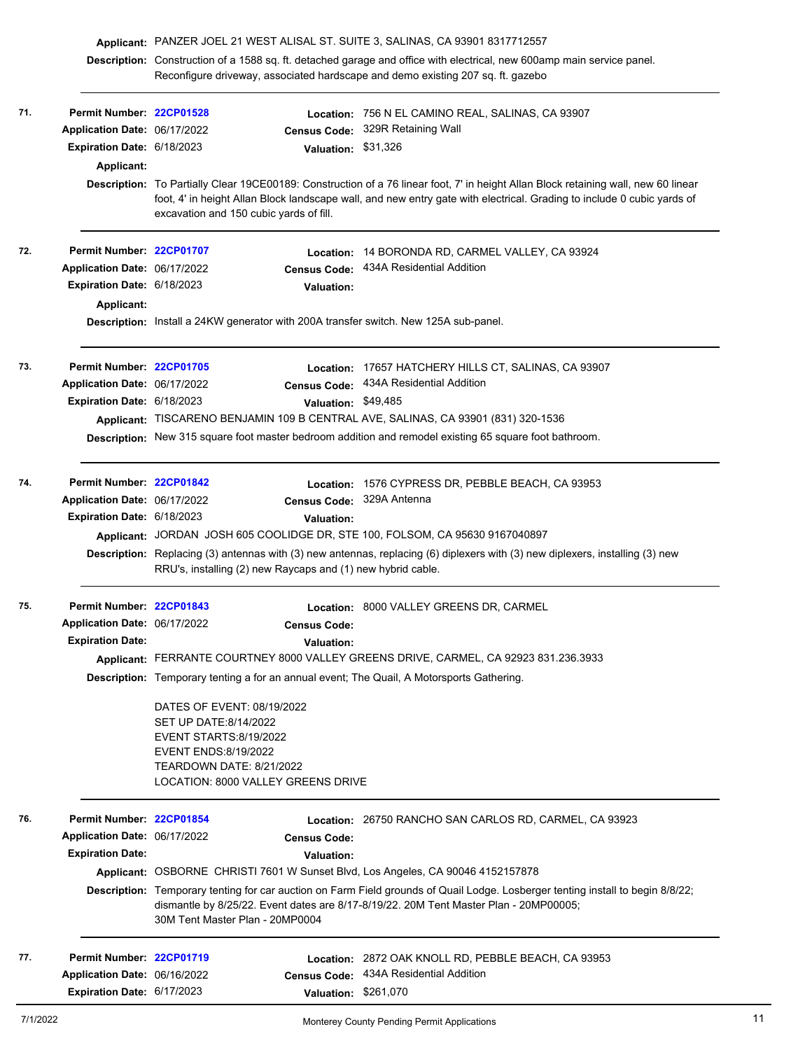|     |                                   | Applicant: PANZER JOEL 21 WEST ALISAL ST. SUITE 3, SALINAS, CA 93901 8317712557                                                                                                                           |                      |                                                                                                                                                                                                                                                               |  |
|-----|-----------------------------------|-----------------------------------------------------------------------------------------------------------------------------------------------------------------------------------------------------------|----------------------|---------------------------------------------------------------------------------------------------------------------------------------------------------------------------------------------------------------------------------------------------------------|--|
|     |                                   | Description: Construction of a 1588 sq. ft. detached garage and office with electrical, new 600amp main service panel.<br>Reconfigure driveway, associated hardscape and demo existing 207 sq. ft. gazebo |                      |                                                                                                                                                                                                                                                               |  |
| 71. | Permit Number: 22CP01528          |                                                                                                                                                                                                           |                      | Location: 756 N EL CAMINO REAL, SALINAS, CA 93907                                                                                                                                                                                                             |  |
|     | Application Date: 06/17/2022      |                                                                                                                                                                                                           | <b>Census Code:</b>  | 329R Retaining Wall                                                                                                                                                                                                                                           |  |
|     | <b>Expiration Date: 6/18/2023</b> |                                                                                                                                                                                                           | <b>Valuation:</b>    | \$31,326                                                                                                                                                                                                                                                      |  |
|     | Applicant:                        |                                                                                                                                                                                                           |                      |                                                                                                                                                                                                                                                               |  |
|     |                                   | excavation and 150 cubic yards of fill.                                                                                                                                                                   |                      | Description: To Partially Clear 19CE00189: Construction of a 76 linear foot, 7' in height Allan Block retaining wall, new 60 linear<br>foot, 4' in height Allan Block landscape wall, and new entry gate with electrical. Grading to include 0 cubic yards of |  |
| 72. | Permit Number: 22CP01707          |                                                                                                                                                                                                           | Location:            | 14 BORONDA RD, CARMEL VALLEY, CA 93924                                                                                                                                                                                                                        |  |
|     | Application Date: 06/17/2022      |                                                                                                                                                                                                           | <b>Census Code:</b>  | 434A Residential Addition                                                                                                                                                                                                                                     |  |
|     | Expiration Date: 6/18/2023        |                                                                                                                                                                                                           | <b>Valuation:</b>    |                                                                                                                                                                                                                                                               |  |
|     | Applicant:                        |                                                                                                                                                                                                           |                      |                                                                                                                                                                                                                                                               |  |
|     |                                   |                                                                                                                                                                                                           |                      | Description: Install a 24KW generator with 200A transfer switch. New 125A sub-panel.                                                                                                                                                                          |  |
| 73. | Permit Number: 22CP01705          |                                                                                                                                                                                                           |                      | Location: 17657 HATCHERY HILLS CT, SALINAS, CA 93907                                                                                                                                                                                                          |  |
|     | Application Date: 06/17/2022      |                                                                                                                                                                                                           | <b>Census Code:</b>  | 434A Residential Addition                                                                                                                                                                                                                                     |  |
|     | Expiration Date: 6/18/2023        |                                                                                                                                                                                                           | Valuation: \$49,485  |                                                                                                                                                                                                                                                               |  |
|     |                                   |                                                                                                                                                                                                           |                      | Applicant: TISCARENO BENJAMIN 109 B CENTRAL AVE, SALINAS, CA 93901 (831) 320-1536                                                                                                                                                                             |  |
|     |                                   |                                                                                                                                                                                                           |                      | Description: New 315 square foot master bedroom addition and remodel existing 65 square foot bathroom.                                                                                                                                                        |  |
| 74. | Permit Number: 22CP01842          |                                                                                                                                                                                                           |                      | Location: 1576 CYPRESS DR, PEBBLE BEACH, CA 93953                                                                                                                                                                                                             |  |
|     | Application Date: 06/17/2022      |                                                                                                                                                                                                           | <b>Census Code:</b>  | 329A Antenna                                                                                                                                                                                                                                                  |  |
|     | Expiration Date: 6/18/2023        |                                                                                                                                                                                                           | <b>Valuation:</b>    |                                                                                                                                                                                                                                                               |  |
|     |                                   |                                                                                                                                                                                                           |                      | Applicant: JORDAN JOSH 605 COOLIDGE DR, STE 100, FOLSOM, CA 95630 9167040897                                                                                                                                                                                  |  |
|     |                                   | RRU's, installing (2) new Raycaps and (1) new hybrid cable.                                                                                                                                               |                      | Description: Replacing (3) antennas with (3) new antennas, replacing (6) diplexers with (3) new diplexers, installing (3) new                                                                                                                                 |  |
| 75. | Permit Number: 22CP01843          |                                                                                                                                                                                                           |                      | Location: 8000 VALLEY GREENS DR, CARMEL                                                                                                                                                                                                                       |  |
|     | Application Date: 06/17/2022      |                                                                                                                                                                                                           | <b>Census Code:</b>  |                                                                                                                                                                                                                                                               |  |
|     | <b>Expiration Date:</b>           |                                                                                                                                                                                                           | <b>Valuation:</b>    |                                                                                                                                                                                                                                                               |  |
|     |                                   |                                                                                                                                                                                                           |                      | Applicant: FERRANTE COURTNEY 8000 VALLEY GREENS DRIVE, CARMEL, CA 92923 831.236.3933                                                                                                                                                                          |  |
|     |                                   |                                                                                                                                                                                                           |                      | <b>Description:</b> Temporary tenting a for an annual event; The Quail, A Motorsports Gathering.                                                                                                                                                              |  |
|     |                                   | DATES OF EVENT: 08/19/2022<br>SET UP DATE:8/14/2022<br><b>EVENT STARTS:8/19/2022</b><br>EVENT ENDS: 8/19/2022<br>TEARDOWN DATE: 8/21/2022<br>LOCATION: 8000 VALLEY GREENS DRIVE                           |                      |                                                                                                                                                                                                                                                               |  |
| 76. | Permit Number: 22CP01854          |                                                                                                                                                                                                           |                      | Location: 26750 RANCHO SAN CARLOS RD, CARMEL, CA 93923                                                                                                                                                                                                        |  |
|     | Application Date: 06/17/2022      |                                                                                                                                                                                                           | <b>Census Code:</b>  |                                                                                                                                                                                                                                                               |  |
|     | <b>Expiration Date:</b>           |                                                                                                                                                                                                           | <b>Valuation:</b>    |                                                                                                                                                                                                                                                               |  |
|     |                                   |                                                                                                                                                                                                           |                      | Applicant: OSBORNE CHRISTI 7601 W Sunset Blvd, Los Angeles, CA 90046 4152157878                                                                                                                                                                               |  |
|     |                                   | 30M Tent Master Plan - 20MP0004                                                                                                                                                                           |                      | Description: Temporary tenting for car auction on Farm Field grounds of Quail Lodge. Losberger tenting install to begin 8/8/22;<br>dismantle by 8/25/22. Event dates are 8/17-8/19/22. 20M Tent Master Plan - 20MP00005;                                      |  |
| 77. | Permit Number: 22CP01719          |                                                                                                                                                                                                           |                      | Location: 2872 OAK KNOLL RD, PEBBLE BEACH, CA 93953                                                                                                                                                                                                           |  |
|     | Application Date: 06/16/2022      |                                                                                                                                                                                                           | <b>Census Code:</b>  | 434A Residential Addition                                                                                                                                                                                                                                     |  |
|     | Expiration Date: 6/17/2023        |                                                                                                                                                                                                           | Valuation: \$261,070 |                                                                                                                                                                                                                                                               |  |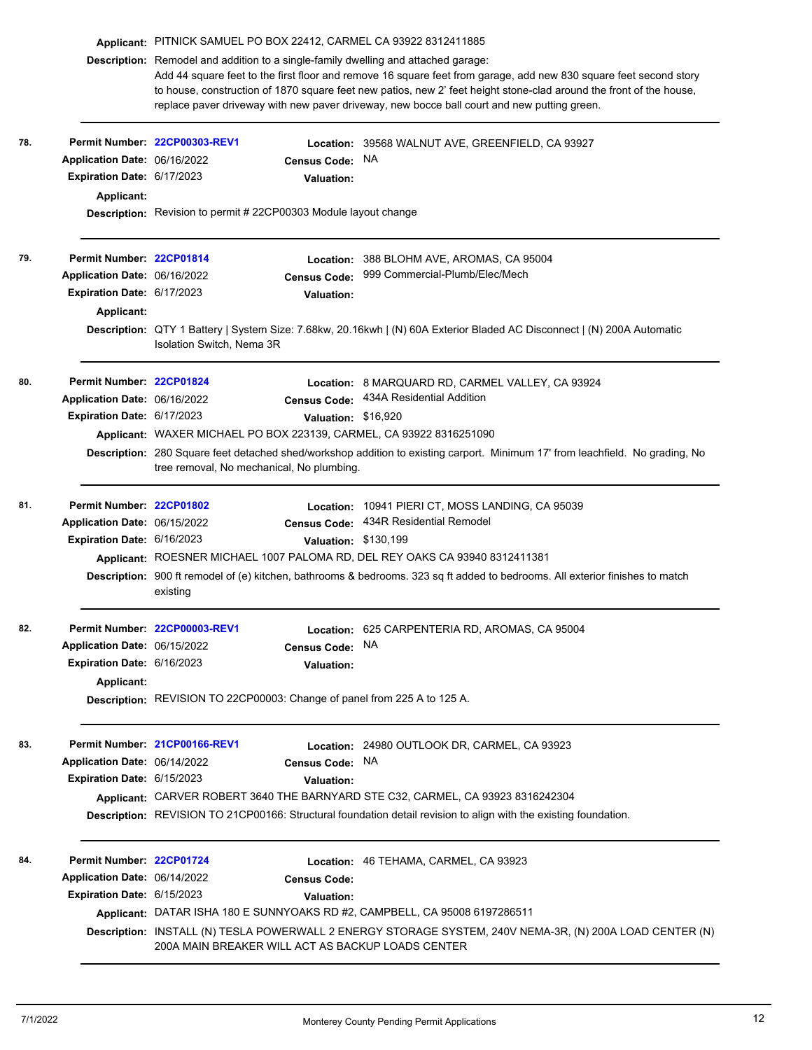|     |                                   | Applicant: PITNICK SAMUEL PO BOX 22412, CARMEL CA 93922 8312411885                                                                                                                                                                                                                                                                                                                                                            |                      |                                                                                                                         |  |  |  |
|-----|-----------------------------------|-------------------------------------------------------------------------------------------------------------------------------------------------------------------------------------------------------------------------------------------------------------------------------------------------------------------------------------------------------------------------------------------------------------------------------|----------------------|-------------------------------------------------------------------------------------------------------------------------|--|--|--|
|     |                                   | Description: Remodel and addition to a single-family dwelling and attached garage:<br>Add 44 square feet to the first floor and remove 16 square feet from garage, add new 830 square feet second story<br>to house, construction of 1870 square feet new patios, new 2' feet height stone-clad around the front of the house,<br>replace paver driveway with new paver driveway, new bocce ball court and new putting green. |                      |                                                                                                                         |  |  |  |
| 78. |                                   | Permit Number 22CP00303-REV1                                                                                                                                                                                                                                                                                                                                                                                                  |                      | Location: 39568 WALNUT AVE, GREENFIELD, CA 93927                                                                        |  |  |  |
|     | Application Date: 06/16/2022      |                                                                                                                                                                                                                                                                                                                                                                                                                               | <b>Census Code:</b>  | NA.                                                                                                                     |  |  |  |
|     | Expiration Date: 6/17/2023        |                                                                                                                                                                                                                                                                                                                                                                                                                               | <b>Valuation:</b>    |                                                                                                                         |  |  |  |
|     | Applicant:                        |                                                                                                                                                                                                                                                                                                                                                                                                                               |                      |                                                                                                                         |  |  |  |
|     |                                   | <b>Description:</b> Revision to permit #22CP00303 Module layout change                                                                                                                                                                                                                                                                                                                                                        |                      |                                                                                                                         |  |  |  |
| 79. | Permit Number: 22CP01814          |                                                                                                                                                                                                                                                                                                                                                                                                                               | <b>Location:</b>     | 388 BLOHM AVE, AROMAS, CA 95004                                                                                         |  |  |  |
|     | Application Date: 06/16/2022      |                                                                                                                                                                                                                                                                                                                                                                                                                               | <b>Census Code:</b>  | 999 Commercial-Plumb/Elec/Mech                                                                                          |  |  |  |
|     | Expiration Date: 6/17/2023        |                                                                                                                                                                                                                                                                                                                                                                                                                               | <b>Valuation:</b>    |                                                                                                                         |  |  |  |
|     | Applicant:                        |                                                                                                                                                                                                                                                                                                                                                                                                                               |                      |                                                                                                                         |  |  |  |
|     |                                   | Isolation Switch, Nema 3R                                                                                                                                                                                                                                                                                                                                                                                                     |                      | Description: QTY 1 Battery   System Size: 7.68kw, 20.16kwh   (N) 60A Exterior Bladed AC Disconnect   (N) 200A Automatic |  |  |  |
| 80. | Permit Number: 22CP01824          |                                                                                                                                                                                                                                                                                                                                                                                                                               |                      | Location: 8 MARQUARD RD, CARMEL VALLEY, CA 93924                                                                        |  |  |  |
|     | Application Date: 06/16/2022      |                                                                                                                                                                                                                                                                                                                                                                                                                               | <b>Census Code:</b>  | 434A Residential Addition                                                                                               |  |  |  |
|     | <b>Expiration Date: 6/17/2023</b> |                                                                                                                                                                                                                                                                                                                                                                                                                               | Valuation: \$16,920  |                                                                                                                         |  |  |  |
|     |                                   |                                                                                                                                                                                                                                                                                                                                                                                                                               |                      | Applicant: WAXER MICHAEL PO BOX 223139, CARMEL, CA 93922 8316251090                                                     |  |  |  |
|     |                                   | Description: 280 Square feet detached shed/workshop addition to existing carport. Minimum 17' from leachfield. No grading, No<br>tree removal, No mechanical, No plumbing.                                                                                                                                                                                                                                                    |                      |                                                                                                                         |  |  |  |
| 81. | Permit Number: 22CP01802          |                                                                                                                                                                                                                                                                                                                                                                                                                               |                      | Location: 10941 PIERI CT, MOSS LANDING, CA 95039                                                                        |  |  |  |
|     | Application Date: 06/15/2022      |                                                                                                                                                                                                                                                                                                                                                                                                                               | <b>Census Code:</b>  | 434R Residential Remodel                                                                                                |  |  |  |
|     | Expiration Date: 6/16/2023        |                                                                                                                                                                                                                                                                                                                                                                                                                               | Valuation: \$130,199 |                                                                                                                         |  |  |  |
|     |                                   |                                                                                                                                                                                                                                                                                                                                                                                                                               |                      | Applicant: ROESNER MICHAEL 1007 PALOMA RD, DEL REY OAKS CA 93940 8312411381                                             |  |  |  |
|     |                                   | Description: 900 ft remodel of (e) kitchen, bathrooms & bedrooms. 323 sq ft added to bedrooms. All exterior finishes to match<br>existing                                                                                                                                                                                                                                                                                     |                      |                                                                                                                         |  |  |  |
| 82. |                                   | Permit Number: 22CP00003-REV1                                                                                                                                                                                                                                                                                                                                                                                                 |                      | Location: 625 CARPENTERIA RD, AROMAS, CA 95004                                                                          |  |  |  |
|     | Application Date: 06/15/2022      |                                                                                                                                                                                                                                                                                                                                                                                                                               | <b>Census Code:</b>  | <b>NA</b>                                                                                                               |  |  |  |
|     | Expiration Date: 6/16/2023        |                                                                                                                                                                                                                                                                                                                                                                                                                               | <b>Valuation:</b>    |                                                                                                                         |  |  |  |
|     | Applicant:                        |                                                                                                                                                                                                                                                                                                                                                                                                                               |                      |                                                                                                                         |  |  |  |
|     |                                   | Description: REVISION TO 22CP00003: Change of panel from 225 A to 125 A.                                                                                                                                                                                                                                                                                                                                                      |                      |                                                                                                                         |  |  |  |
| 83. |                                   | Permit Number 21CP00166-REV1                                                                                                                                                                                                                                                                                                                                                                                                  |                      | Location: 24980 OUTLOOK DR, CARMEL, CA 93923                                                                            |  |  |  |
|     | Application Date: 06/14/2022      |                                                                                                                                                                                                                                                                                                                                                                                                                               | Census Code: NA      |                                                                                                                         |  |  |  |
|     | Expiration Date: 6/15/2023        |                                                                                                                                                                                                                                                                                                                                                                                                                               | <b>Valuation:</b>    |                                                                                                                         |  |  |  |
|     |                                   |                                                                                                                                                                                                                                                                                                                                                                                                                               |                      | Applicant: CARVER ROBERT 3640 THE BARNYARD STE C32, CARMEL, CA 93923 8316242304                                         |  |  |  |
|     |                                   |                                                                                                                                                                                                                                                                                                                                                                                                                               |                      | Description: REVISION TO 21CP00166: Structural foundation detail revision to align with the existing foundation.        |  |  |  |
| 84. | Permit Number: 22CP01724          |                                                                                                                                                                                                                                                                                                                                                                                                                               |                      | Location: 46 TEHAMA, CARMEL, CA 93923                                                                                   |  |  |  |
|     | Application Date: 06/14/2022      |                                                                                                                                                                                                                                                                                                                                                                                                                               | <b>Census Code:</b>  |                                                                                                                         |  |  |  |
|     | Expiration Date: 6/15/2023        |                                                                                                                                                                                                                                                                                                                                                                                                                               |                      |                                                                                                                         |  |  |  |
|     |                                   |                                                                                                                                                                                                                                                                                                                                                                                                                               | <b>Valuation:</b>    | Applicant: DATAR ISHA 180 E SUNNYOAKS RD #2, CAMPBELL, CA 95008 6197286511                                              |  |  |  |
|     |                                   |                                                                                                                                                                                                                                                                                                                                                                                                                               |                      |                                                                                                                         |  |  |  |
|     |                                   | Description: INSTALL (N) TESLA POWERWALL 2 ENERGY STORAGE SYSTEM, 240V NEMA-3R, (N) 200A LOAD CENTER (N)<br>200A MAIN BREAKER WILL ACT AS BACKUP LOADS CENTER                                                                                                                                                                                                                                                                 |                      |                                                                                                                         |  |  |  |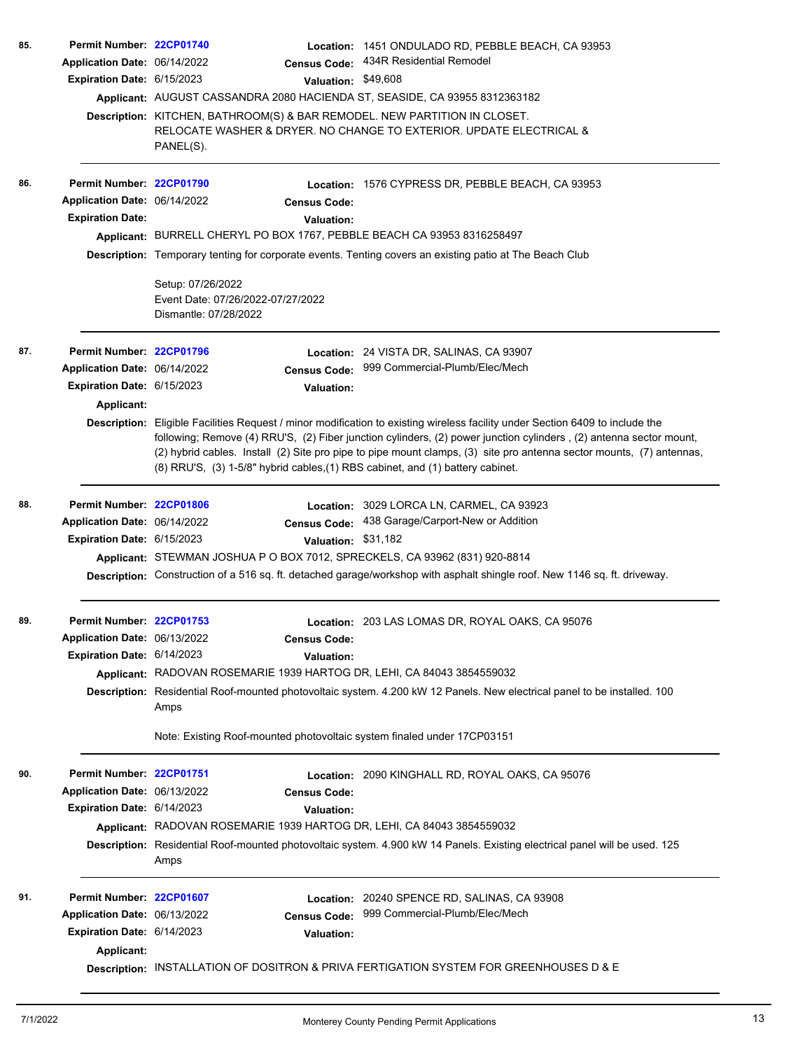| 85. | Permit Number: 22CP01740          |                                                                                                         |                   | Location: 1451 ONDULADO RD, PEBBLE BEACH, CA 93953                                                                                                                                                                                                                                                                                                                          |  |  |  |
|-----|-----------------------------------|---------------------------------------------------------------------------------------------------------|-------------------|-----------------------------------------------------------------------------------------------------------------------------------------------------------------------------------------------------------------------------------------------------------------------------------------------------------------------------------------------------------------------------|--|--|--|
|     | Application Date: 06/14/2022      | <b>Census Code:</b>                                                                                     |                   | 434R Residential Remodel                                                                                                                                                                                                                                                                                                                                                    |  |  |  |
|     | Expiration Date: 6/15/2023        |                                                                                                         |                   | Valuation: \$49,608                                                                                                                                                                                                                                                                                                                                                         |  |  |  |
|     |                                   |                                                                                                         |                   | Applicant: AUGUST CASSANDRA 2080 HACIENDA ST, SEASIDE, CA 93955 8312363182                                                                                                                                                                                                                                                                                                  |  |  |  |
|     |                                   | Description: KITCHEN, BATHROOM(S) & BAR REMODEL. NEW PARTITION IN CLOSET.                               |                   |                                                                                                                                                                                                                                                                                                                                                                             |  |  |  |
|     |                                   | PANEL(S).                                                                                               |                   | RELOCATE WASHER & DRYER. NO CHANGE TO EXTERIOR. UPDATE ELECTRICAL &                                                                                                                                                                                                                                                                                                         |  |  |  |
| 86. | Permit Number: 22CP01790          |                                                                                                         |                   | Location: 1576 CYPRESS DR, PEBBLE BEACH, CA 93953                                                                                                                                                                                                                                                                                                                           |  |  |  |
|     | Application Date: 06/14/2022      | <b>Census Code:</b>                                                                                     |                   |                                                                                                                                                                                                                                                                                                                                                                             |  |  |  |
|     | <b>Expiration Date:</b>           |                                                                                                         | Valuation:        |                                                                                                                                                                                                                                                                                                                                                                             |  |  |  |
|     |                                   | Applicant: BURRELL CHERYL PO BOX 1767, PEBBLE BEACH CA 93953 8316258497                                 |                   |                                                                                                                                                                                                                                                                                                                                                                             |  |  |  |
|     |                                   | Description: Temporary tenting for corporate events. Tenting covers an existing patio at The Beach Club |                   |                                                                                                                                                                                                                                                                                                                                                                             |  |  |  |
|     |                                   | Setup: 07/26/2022<br>Event Date: 07/26/2022-07/27/2022<br>Dismantle: 07/28/2022                         |                   |                                                                                                                                                                                                                                                                                                                                                                             |  |  |  |
| 87. | Permit Number: 22CP01796          |                                                                                                         |                   | <b>Location: 24 VISTA DR, SALINAS, CA 93907</b>                                                                                                                                                                                                                                                                                                                             |  |  |  |
|     | Application Date: 06/14/2022      | <b>Census Code:</b>                                                                                     |                   | 999 Commercial-Plumb/Elec/Mech                                                                                                                                                                                                                                                                                                                                              |  |  |  |
|     | Expiration Date: 6/15/2023        |                                                                                                         | <b>Valuation:</b> |                                                                                                                                                                                                                                                                                                                                                                             |  |  |  |
|     | Applicant:                        |                                                                                                         |                   |                                                                                                                                                                                                                                                                                                                                                                             |  |  |  |
|     |                                   | (8) RRU'S, (3) 1-5/8" hybrid cables, (1) RBS cabinet, and (1) battery cabinet.                          |                   | Description: Eligible Facilities Request / minor modification to existing wireless facility under Section 6409 to include the<br>following; Remove (4) RRU'S, (2) Fiber junction cylinders, (2) power junction cylinders, (2) antenna sector mount,<br>(2) hybrid cables. Install (2) Site pro pipe to pipe mount clamps, (3) site pro antenna sector mounts, (7) antennas, |  |  |  |
| 88. | Permit Number: 22CP01806          |                                                                                                         |                   | Location: 3029 LORCA LN, CARMEL, CA 93923                                                                                                                                                                                                                                                                                                                                   |  |  |  |
|     | Application Date: 06/14/2022      | <b>Census Code:</b>                                                                                     |                   | 438 Garage/Carport-New or Addition                                                                                                                                                                                                                                                                                                                                          |  |  |  |
|     | Expiration Date: 6/15/2023        |                                                                                                         |                   | Valuation: \$31,182                                                                                                                                                                                                                                                                                                                                                         |  |  |  |
|     |                                   | Applicant: STEWMAN JOSHUA P O BOX 7012, SPRECKELS, CA 93962 (831) 920-8814                              |                   |                                                                                                                                                                                                                                                                                                                                                                             |  |  |  |
|     |                                   |                                                                                                         |                   | Description: Construction of a 516 sq. ft. detached garage/workshop with asphalt shingle roof. New 1146 sq. ft. driveway.                                                                                                                                                                                                                                                   |  |  |  |
| 89. | Permit Number: 22CP01753          |                                                                                                         |                   | Location: 203 LAS LOMAS DR, ROYAL OAKS, CA 95076                                                                                                                                                                                                                                                                                                                            |  |  |  |
|     | Application Date: 06/13/2022      | <b>Census Code:</b>                                                                                     |                   |                                                                                                                                                                                                                                                                                                                                                                             |  |  |  |
|     | <b>Expiration Date: 6/14/2023</b> |                                                                                                         | <b>Valuation:</b> |                                                                                                                                                                                                                                                                                                                                                                             |  |  |  |
|     |                                   | Applicant: RADOVAN ROSEMARIE 1939 HARTOG DR, LEHI, CA 84043 3854559032                                  |                   |                                                                                                                                                                                                                                                                                                                                                                             |  |  |  |
|     |                                   | Amps                                                                                                    |                   | Description: Residential Roof-mounted photovoltaic system. 4.200 kW 12 Panels. New electrical panel to be installed. 100                                                                                                                                                                                                                                                    |  |  |  |
|     |                                   | Note: Existing Roof-mounted photovoltaic system finaled under 17CP03151                                 |                   |                                                                                                                                                                                                                                                                                                                                                                             |  |  |  |
| 90. | Permit Number: 22CP01751          |                                                                                                         |                   | Location: 2090 KINGHALL RD, ROYAL OAKS, CA 95076                                                                                                                                                                                                                                                                                                                            |  |  |  |
|     | Application Date: 06/13/2022      | <b>Census Code:</b>                                                                                     |                   |                                                                                                                                                                                                                                                                                                                                                                             |  |  |  |
|     | Expiration Date: 6/14/2023        |                                                                                                         | <b>Valuation:</b> |                                                                                                                                                                                                                                                                                                                                                                             |  |  |  |
|     |                                   | Applicant: RADOVAN ROSEMARIE 1939 HARTOG DR, LEHI, CA 84043 3854559032                                  |                   |                                                                                                                                                                                                                                                                                                                                                                             |  |  |  |
|     |                                   | Amps                                                                                                    |                   | Description: Residential Roof-mounted photovoltaic system. 4.900 kW 14 Panels. Existing electrical panel will be used. 125                                                                                                                                                                                                                                                  |  |  |  |
| 91. | Permit Number: 22CP01607          |                                                                                                         |                   | Location: 20240 SPENCE RD, SALINAS, CA 93908                                                                                                                                                                                                                                                                                                                                |  |  |  |
|     | Application Date: 06/13/2022      | <b>Census Code:</b>                                                                                     |                   | 999 Commercial-Plumb/Elec/Mech                                                                                                                                                                                                                                                                                                                                              |  |  |  |
|     | Expiration Date: 6/14/2023        |                                                                                                         | <b>Valuation:</b> |                                                                                                                                                                                                                                                                                                                                                                             |  |  |  |
|     | Applicant:                        |                                                                                                         |                   |                                                                                                                                                                                                                                                                                                                                                                             |  |  |  |
|     |                                   |                                                                                                         |                   | Description: INSTALLATION OF DOSITRON & PRIVA FERTIGATION SYSTEM FOR GREENHOUSES D & E                                                                                                                                                                                                                                                                                      |  |  |  |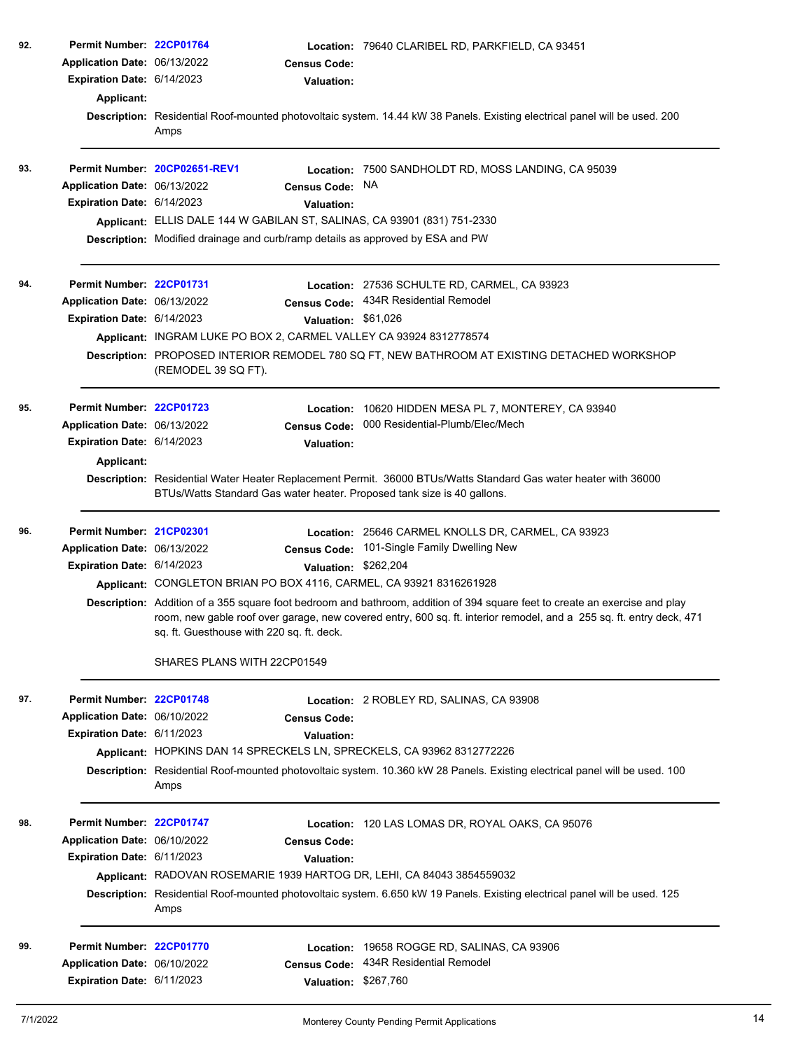| 92. | Permit Number: 22CP01764<br>Application Date: 06/13/2022<br>Expiration Date: 6/14/2023<br>Applicant:        | <b>Census Code:</b><br><b>Valuation:</b><br>Amps                                                                                                                                                                                        | Location: 79640 CLARIBEL RD, PARKFIELD, CA 93451<br>Description: Residential Roof-mounted photovoltaic system. 14.44 kW 38 Panels. Existing electrical panel will be used. 200                                                                                                                                                              |
|-----|-------------------------------------------------------------------------------------------------------------|-----------------------------------------------------------------------------------------------------------------------------------------------------------------------------------------------------------------------------------------|---------------------------------------------------------------------------------------------------------------------------------------------------------------------------------------------------------------------------------------------------------------------------------------------------------------------------------------------|
| 93. | Application Date: 06/13/2022<br>Expiration Date: 6/14/2023                                                  | Permit Number: 20CP02651-REV1<br><b>Census Code:</b><br><b>Valuation:</b><br>Applicant: ELLIS DALE 144 W GABILAN ST, SALINAS, CA 93901 (831) 751-2330<br>Description: Modified drainage and curb/ramp details as approved by ESA and PW | <b>Location: 7500 SANDHOLDT RD, MOSS LANDING, CA 95039</b><br>NA.                                                                                                                                                                                                                                                                           |
| 94. | Permit Number: 22CP01731<br>Application Date: 06/13/2022<br>Expiration Date: 6/14/2023                      | Valuation: \$61,026<br>Applicant: INGRAM LUKE PO BOX 2, CARMEL VALLEY CA 93924 8312778574<br>(REMODEL 39 SQ FT).                                                                                                                        | Location: 27536 SCHULTE RD, CARMEL, CA 93923<br>Census Code: 434R Residential Remodel<br>Description: PROPOSED INTERIOR REMODEL 780 SQ FT, NEW BATHROOM AT EXISTING DETACHED WORKSHOP                                                                                                                                                       |
| 95. | Permit Number: 22CP01723<br>Application Date: 06/13/2022<br>Expiration Date: 6/14/2023<br><b>Applicant:</b> | <b>Census Code:</b><br><b>Valuation:</b><br>BTUs/Watts Standard Gas water heater. Proposed tank size is 40 gallons.                                                                                                                     | Location: 10620 HIDDEN MESA PL 7, MONTEREY, CA 93940<br>000 Residential-Plumb/Elec/Mech<br>Description: Residential Water Heater Replacement Permit. 36000 BTUs/Watts Standard Gas water heater with 36000                                                                                                                                  |
| 96. | Permit Number: 21CP02301<br>Application Date: 06/13/2022<br>Expiration Date: 6/14/2023                      | <b>Census Code:</b><br>Valuation: \$262,204<br>Applicant: CONGLETON BRIAN PO BOX 4116, CARMEL, CA 93921 8316261928<br>sq. ft. Guesthouse with 220 sq. ft. deck.<br>SHARES PLANS WITH 22CP01549                                          | Location: 25646 CARMEL KNOLLS DR, CARMEL, CA 93923<br>101-Single Family Dwelling New<br>Description: Addition of a 355 square foot bedroom and bathroom, addition of 394 square feet to create an exercise and play<br>room, new gable roof over garage, new covered entry, 600 sq. ft. interior remodel, and a 255 sq. ft. entry deck, 471 |
| 97. | Permit Number: 22CP01748<br>Application Date: 06/10/2022<br>Expiration Date: 6/11/2023                      | <b>Census Code:</b><br><b>Valuation:</b><br>Applicant: HOPKINS DAN 14 SPRECKELS LN, SPRECKELS, CA 93962 8312772226<br>Amps                                                                                                              | Location: 2 ROBLEY RD, SALINAS, CA 93908<br>Description: Residential Roof-mounted photovoltaic system. 10.360 kW 28 Panels. Existing electrical panel will be used. 100                                                                                                                                                                     |
| 98. | Permit Number: 22CP01747<br>Application Date: 06/10/2022<br>Expiration Date: 6/11/2023                      | <b>Census Code:</b><br>Valuation:<br>Applicant: RADOVAN ROSEMARIE 1939 HARTOG DR, LEHI, CA 84043 3854559032<br>Amps                                                                                                                     | Location: 120 LAS LOMAS DR, ROYAL OAKS, CA 95076<br>Description: Residential Roof-mounted photovoltaic system. 6.650 kW 19 Panels. Existing electrical panel will be used. 125                                                                                                                                                              |
| 99. | Permit Number: 22CP01770<br>Application Date: 06/10/2022<br>Expiration Date: 6/11/2023                      | Location:<br><b>Census Code:</b><br><b>Valuation:</b>                                                                                                                                                                                   | 19658 ROGGE RD, SALINAS, CA 93906<br>434R Residential Remodel<br>\$267,760                                                                                                                                                                                                                                                                  |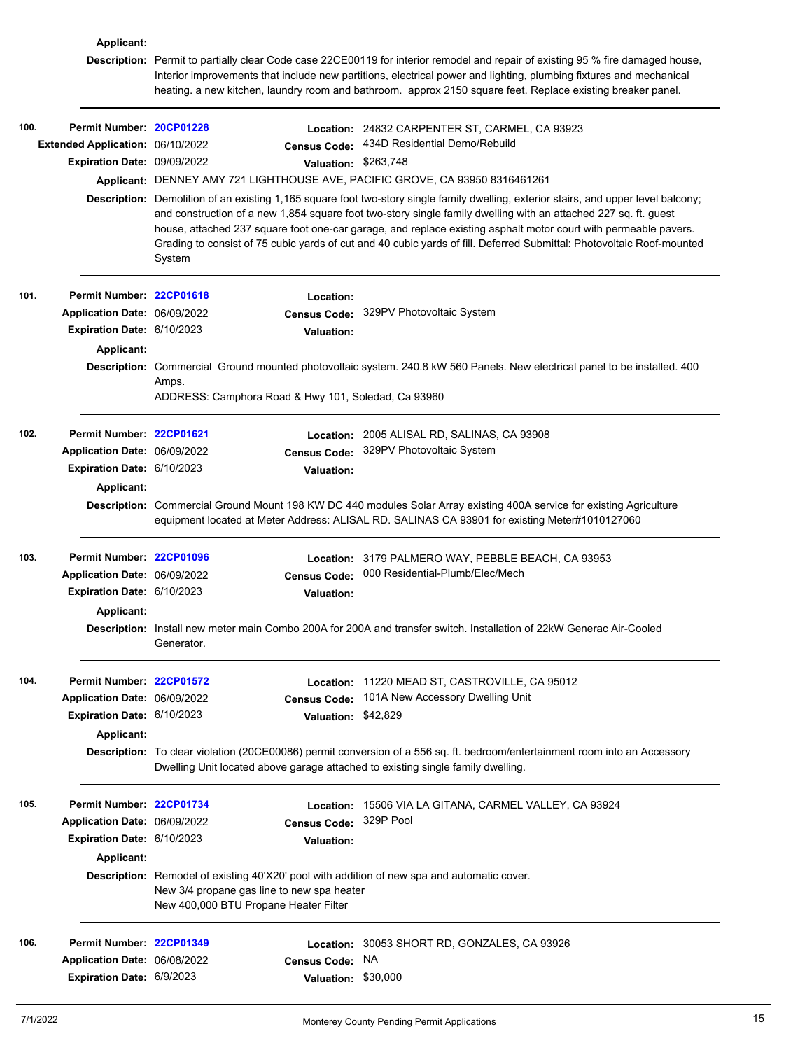|      | Applicant:                       |            |                                                                                     |                                                                                                                                                                                                                                                                                                                                                                                                                                                                                                     |
|------|----------------------------------|------------|-------------------------------------------------------------------------------------|-----------------------------------------------------------------------------------------------------------------------------------------------------------------------------------------------------------------------------------------------------------------------------------------------------------------------------------------------------------------------------------------------------------------------------------------------------------------------------------------------------|
|      |                                  |            |                                                                                     | Description: Permit to partially clear Code case 22CE00119 for interior remodel and repair of existing 95 % fire damaged house,<br>Interior improvements that include new partitions, electrical power and lighting, plumbing fixtures and mechanical<br>heating. a new kitchen, laundry room and bathroom. approx 2150 square feet. Replace existing breaker panel.                                                                                                                                |
| 100. | Permit Number: 20CP01228         |            |                                                                                     | Location: 24832 CARPENTER ST, CARMEL, CA 93923                                                                                                                                                                                                                                                                                                                                                                                                                                                      |
|      | Extended Application: 06/10/2022 |            | <b>Census Code:</b>                                                                 | 434D Residential Demo/Rebuild                                                                                                                                                                                                                                                                                                                                                                                                                                                                       |
|      | Expiration Date: 09/09/2022      |            | Valuation: \$263,748                                                                |                                                                                                                                                                                                                                                                                                                                                                                                                                                                                                     |
|      |                                  |            |                                                                                     | Applicant: DENNEY AMY 721 LIGHTHOUSE AVE, PACIFIC GROVE, CA 93950 8316461261                                                                                                                                                                                                                                                                                                                                                                                                                        |
|      |                                  | System     |                                                                                     | Description: Demolition of an existing 1,165 square foot two-story single family dwelling, exterior stairs, and upper level balcony;<br>and construction of a new 1,854 square foot two-story single family dwelling with an attached 227 sq. ft. guest<br>house, attached 237 square foot one-car garage, and replace existing asphalt motor court with permeable pavers.<br>Grading to consist of 75 cubic yards of cut and 40 cubic yards of fill. Deferred Submittal: Photovoltaic Roof-mounted |
| 101. | Permit Number: 22CP01618         |            | Location:                                                                           |                                                                                                                                                                                                                                                                                                                                                                                                                                                                                                     |
|      | Application Date: 06/09/2022     |            | <b>Census Code:</b>                                                                 | 329PV Photovoltaic System                                                                                                                                                                                                                                                                                                                                                                                                                                                                           |
|      | Expiration Date: 6/10/2023       |            | <b>Valuation:</b>                                                                   |                                                                                                                                                                                                                                                                                                                                                                                                                                                                                                     |
|      | Applicant:                       |            |                                                                                     |                                                                                                                                                                                                                                                                                                                                                                                                                                                                                                     |
|      |                                  | Amps.      | ADDRESS: Camphora Road & Hwy 101, Soledad, Ca 93960                                 | Description: Commercial Ground mounted photovoltaic system. 240.8 kW 560 Panels. New electrical panel to be installed. 400                                                                                                                                                                                                                                                                                                                                                                          |
| 102. | Permit Number: 22CP01621         |            |                                                                                     | Location: 2005 ALISAL RD, SALINAS, CA 93908                                                                                                                                                                                                                                                                                                                                                                                                                                                         |
|      | Application Date: 06/09/2022     |            | <b>Census Code:</b>                                                                 | 329PV Photovoltaic System                                                                                                                                                                                                                                                                                                                                                                                                                                                                           |
|      | Expiration Date: 6/10/2023       |            | <b>Valuation:</b>                                                                   |                                                                                                                                                                                                                                                                                                                                                                                                                                                                                                     |
|      | Applicant:                       |            |                                                                                     |                                                                                                                                                                                                                                                                                                                                                                                                                                                                                                     |
|      |                                  |            |                                                                                     | Description: Commercial Ground Mount 198 KW DC 440 modules Solar Array existing 400A service for existing Agriculture<br>equipment located at Meter Address: ALISAL RD. SALINAS CA 93901 for existing Meter#1010127060                                                                                                                                                                                                                                                                              |
| 103. | Permit Number: 22CP01096         |            |                                                                                     | Location: 3179 PALMERO WAY, PEBBLE BEACH, CA 93953                                                                                                                                                                                                                                                                                                                                                                                                                                                  |
|      | Application Date: 06/09/2022     |            | <b>Census Code:</b>                                                                 | 000 Residential-Plumb/Elec/Mech                                                                                                                                                                                                                                                                                                                                                                                                                                                                     |
|      | Expiration Date: 6/10/2023       |            | <b>Valuation:</b>                                                                   |                                                                                                                                                                                                                                                                                                                                                                                                                                                                                                     |
|      | Applicant:                       |            |                                                                                     |                                                                                                                                                                                                                                                                                                                                                                                                                                                                                                     |
|      |                                  | Generator. |                                                                                     | Description: Install new meter main Combo 200A for 200A and transfer switch. Installation of 22kW Generac Air-Cooled                                                                                                                                                                                                                                                                                                                                                                                |
| 104. | Permit Number: 22CP01572         |            |                                                                                     | Location: 11220 MEAD ST, CASTROVILLE, CA 95012                                                                                                                                                                                                                                                                                                                                                                                                                                                      |
|      | Application Date: 06/09/2022     |            | <b>Census Code:</b>                                                                 | 101A New Accessory Dwelling Unit                                                                                                                                                                                                                                                                                                                                                                                                                                                                    |
|      | Expiration Date: 6/10/2023       |            | Valuation: \$42,829                                                                 |                                                                                                                                                                                                                                                                                                                                                                                                                                                                                                     |
|      | Applicant:                       |            |                                                                                     |                                                                                                                                                                                                                                                                                                                                                                                                                                                                                                     |
|      |                                  |            |                                                                                     | Description: To clear violation (20CE00086) permit conversion of a 556 sq. ft. bedroom/entertainment room into an Accessory<br>Dwelling Unit located above garage attached to existing single family dwelling.                                                                                                                                                                                                                                                                                      |
| 105. | Permit Number: 22CP01734         |            |                                                                                     | Location: 15506 VIA LA GITANA, CARMEL VALLEY, CA 93924                                                                                                                                                                                                                                                                                                                                                                                                                                              |
|      | Application Date: 06/09/2022     |            | <b>Census Code:</b>                                                                 | 329P Pool                                                                                                                                                                                                                                                                                                                                                                                                                                                                                           |
|      | Expiration Date: 6/10/2023       |            | <b>Valuation:</b>                                                                   |                                                                                                                                                                                                                                                                                                                                                                                                                                                                                                     |
|      | Applicant:                       |            |                                                                                     |                                                                                                                                                                                                                                                                                                                                                                                                                                                                                                     |
|      |                                  |            | New 3/4 propane gas line to new spa heater<br>New 400,000 BTU Propane Heater Filter | Description: Remodel of existing 40'X20' pool with addition of new spa and automatic cover.                                                                                                                                                                                                                                                                                                                                                                                                         |
| 106. | Permit Number: 22CP01349         |            | Location:                                                                           | 30053 SHORT RD, GONZALES, CA 93926                                                                                                                                                                                                                                                                                                                                                                                                                                                                  |
|      | Application Date: 06/08/2022     |            | <b>Census Code:</b>                                                                 | <b>NA</b>                                                                                                                                                                                                                                                                                                                                                                                                                                                                                           |
|      | Expiration Date: 6/9/2023        |            | Valuation: \$30,000                                                                 |                                                                                                                                                                                                                                                                                                                                                                                                                                                                                                     |
|      |                                  |            |                                                                                     |                                                                                                                                                                                                                                                                                                                                                                                                                                                                                                     |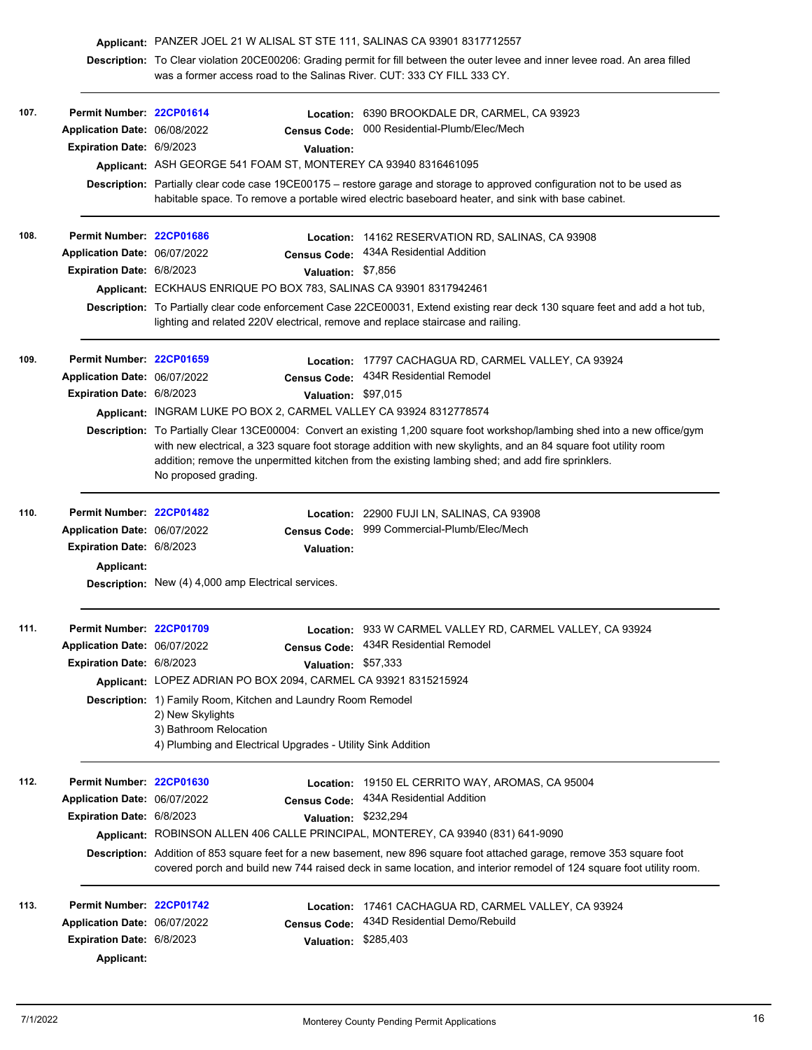|      |                                                                                                     | Applicant: PANZER JOEL 21 W ALISAL ST STE 111, SALINAS CA 93901 8317712557                                                                                                                                 |                                                                                                                                                                                                                                                                                                                                                     |  |  |  |
|------|-----------------------------------------------------------------------------------------------------|------------------------------------------------------------------------------------------------------------------------------------------------------------------------------------------------------------|-----------------------------------------------------------------------------------------------------------------------------------------------------------------------------------------------------------------------------------------------------------------------------------------------------------------------------------------------------|--|--|--|
|      |                                                                                                     | Description: To Clear violation 20CE00206: Grading permit for fill between the outer levee and inner levee road. An area filled<br>was a former access road to the Salinas River. CUT: 333 CY FILL 333 CY. |                                                                                                                                                                                                                                                                                                                                                     |  |  |  |
| 107. | Permit Number: 22CP01614                                                                            |                                                                                                                                                                                                            | Location: 6390 BROOKDALE DR, CARMEL, CA 93923                                                                                                                                                                                                                                                                                                       |  |  |  |
|      | Application Date: 06/08/2022                                                                        | <b>Census Code:</b>                                                                                                                                                                                        | 000 Residential-Plumb/Elec/Mech                                                                                                                                                                                                                                                                                                                     |  |  |  |
|      | Expiration Date: 6/9/2023                                                                           | <b>Valuation:</b>                                                                                                                                                                                          |                                                                                                                                                                                                                                                                                                                                                     |  |  |  |
|      |                                                                                                     | Applicant: ASH GEORGE 541 FOAM ST, MONTEREY CA 93940 8316461095                                                                                                                                            |                                                                                                                                                                                                                                                                                                                                                     |  |  |  |
|      |                                                                                                     |                                                                                                                                                                                                            | Description: Partially clear code case 19CE00175 - restore garage and storage to approved configuration not to be used as<br>habitable space. To remove a portable wired electric baseboard heater, and sink with base cabinet.                                                                                                                     |  |  |  |
| 108. | Permit Number: 22CP01686                                                                            |                                                                                                                                                                                                            | Location: 14162 RESERVATION RD, SALINAS, CA 93908                                                                                                                                                                                                                                                                                                   |  |  |  |
|      | Application Date: 06/07/2022                                                                        | <b>Census Code:</b>                                                                                                                                                                                        | 434A Residential Addition                                                                                                                                                                                                                                                                                                                           |  |  |  |
|      | Expiration Date: 6/8/2023                                                                           | Valuation: \$7,856                                                                                                                                                                                         |                                                                                                                                                                                                                                                                                                                                                     |  |  |  |
|      |                                                                                                     | Applicant: ECKHAUS ENRIQUE PO BOX 783, SALINAS CA 93901 8317942461                                                                                                                                         |                                                                                                                                                                                                                                                                                                                                                     |  |  |  |
|      |                                                                                                     | lighting and related 220V electrical, remove and replace staircase and railing.                                                                                                                            | Description: To Partially clear code enforcement Case 22CE00031, Extend existing rear deck 130 square feet and add a hot tub,                                                                                                                                                                                                                       |  |  |  |
| 109. | Permit Number: 22CP01659                                                                            | Location:                                                                                                                                                                                                  | 17797 CACHAGUA RD, CARMEL VALLEY, CA 93924                                                                                                                                                                                                                                                                                                          |  |  |  |
|      | Application Date: 06/07/2022                                                                        | <b>Census Code:</b>                                                                                                                                                                                        | 434R Residential Remodel                                                                                                                                                                                                                                                                                                                            |  |  |  |
|      | Expiration Date: 6/8/2023                                                                           | Valuation: \$97,015                                                                                                                                                                                        |                                                                                                                                                                                                                                                                                                                                                     |  |  |  |
|      |                                                                                                     | Applicant: INGRAM LUKE PO BOX 2, CARMEL VALLEY CA 93924 8312778574                                                                                                                                         |                                                                                                                                                                                                                                                                                                                                                     |  |  |  |
|      |                                                                                                     | No proposed grading.                                                                                                                                                                                       | Description: To Partially Clear 13CE00004: Convert an existing 1,200 square foot workshop/lambing shed into a new office/gym<br>with new electrical, a 323 square foot storage addition with new skylights, and an 84 square foot utility room<br>addition; remove the unpermitted kitchen from the existing lambing shed; and add fire sprinklers. |  |  |  |
| 110. | Permit Number: 22CP01482                                                                            |                                                                                                                                                                                                            | Location: 22900 FUJI LN, SALINAS, CA 93908                                                                                                                                                                                                                                                                                                          |  |  |  |
|      | Application Date: 06/07/2022                                                                        | <b>Census Code:</b>                                                                                                                                                                                        | 999 Commercial-Plumb/Elec/Mech                                                                                                                                                                                                                                                                                                                      |  |  |  |
|      | Expiration Date: 6/8/2023                                                                           | <b>Valuation:</b>                                                                                                                                                                                          |                                                                                                                                                                                                                                                                                                                                                     |  |  |  |
|      | Applicant:                                                                                          | Description: New (4) 4,000 amp Electrical services.                                                                                                                                                        |                                                                                                                                                                                                                                                                                                                                                     |  |  |  |
| 111. | Permit Number: 22CP01709                                                                            |                                                                                                                                                                                                            | Location: 933 W CARMEL VALLEY RD, CARMEL VALLEY, CA 93924                                                                                                                                                                                                                                                                                           |  |  |  |
|      | Application Date: 06/07/2022                                                                        |                                                                                                                                                                                                            | Census Code: 434R Residential Remodel                                                                                                                                                                                                                                                                                                               |  |  |  |
|      | Expiration Date: 6/8/2023                                                                           | Valuation: \$57,333                                                                                                                                                                                        |                                                                                                                                                                                                                                                                                                                                                     |  |  |  |
|      |                                                                                                     | Applicant: LOPEZ ADRIAN PO BOX 2094, CARMEL CA 93921 8315215924                                                                                                                                            |                                                                                                                                                                                                                                                                                                                                                     |  |  |  |
|      |                                                                                                     | <b>Description:</b> 1) Family Room, Kitchen and Laundry Room Remodel<br>2) New Skylights<br>3) Bathroom Relocation<br>4) Plumbing and Electrical Upgrades - Utility Sink Addition                          |                                                                                                                                                                                                                                                                                                                                                     |  |  |  |
| 112. | Permit Number: 22CP01630                                                                            |                                                                                                                                                                                                            | Location: 19150 EL CERRITO WAY, AROMAS, CA 95004                                                                                                                                                                                                                                                                                                    |  |  |  |
|      | Application Date: 06/07/2022                                                                        | <b>Census Code:</b>                                                                                                                                                                                        | 434A Residential Addition                                                                                                                                                                                                                                                                                                                           |  |  |  |
|      | Expiration Date: 6/8/2023                                                                           | Valuation: \$232,294                                                                                                                                                                                       |                                                                                                                                                                                                                                                                                                                                                     |  |  |  |
|      |                                                                                                     | Applicant: ROBINSON ALLEN 406 CALLE PRINCIPAL, MONTEREY, CA 93940 (831) 641-9090                                                                                                                           |                                                                                                                                                                                                                                                                                                                                                     |  |  |  |
|      |                                                                                                     |                                                                                                                                                                                                            | Description: Addition of 853 square feet for a new basement, new 896 square foot attached garage, remove 353 square foot<br>covered porch and build new 744 raised deck in same location, and interior remodel of 124 square foot utility room.                                                                                                     |  |  |  |
| 113. | Permit Number: 22CP01742<br>Application Date: 06/07/2022<br>Expiration Date: 6/8/2023<br>Applicant: | <b>Census Code:</b><br>Valuation: \$285,403                                                                                                                                                                | Location: 17461 CACHAGUA RD, CARMEL VALLEY, CA 93924<br>434D Residential Demo/Rebuild                                                                                                                                                                                                                                                               |  |  |  |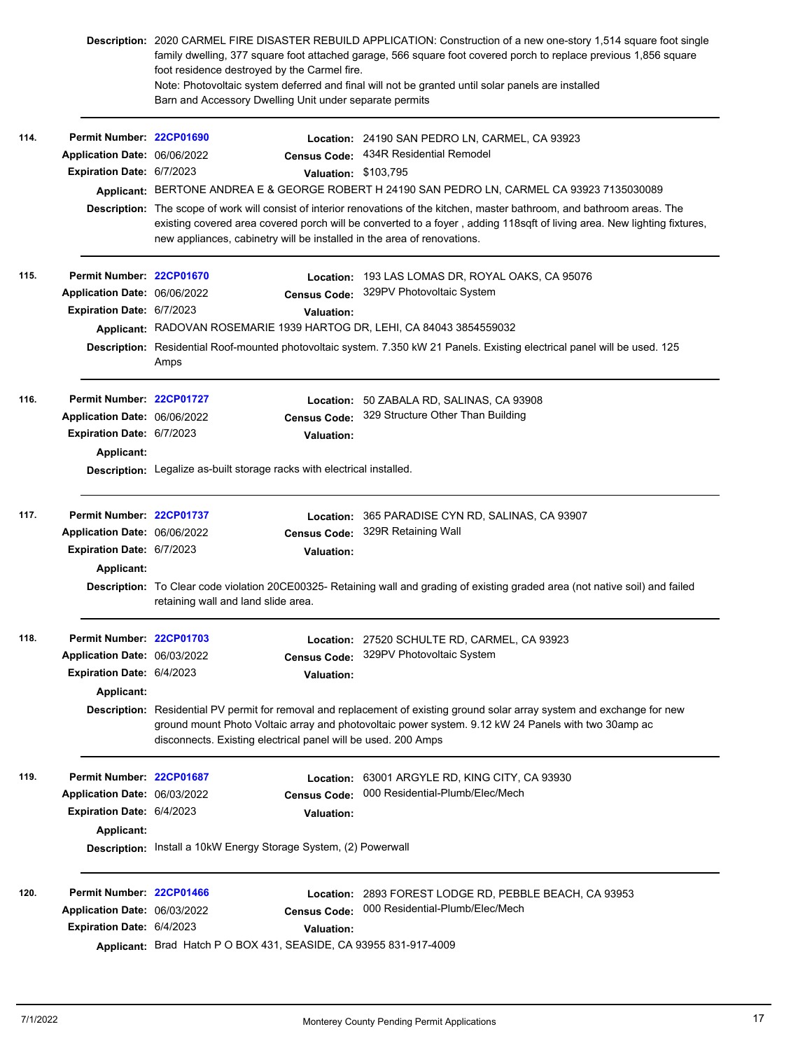|      | Description: 2020 CARMEL FIRE DISASTER REBUILD APPLICATION: Construction of a new one-story 1,514 square foot single<br>family dwelling, 377 square foot attached garage, 566 square foot covered porch to replace previous 1,856 square<br>foot residence destroyed by the Carmel fire.<br>Note: Photovoltaic system deferred and final will not be granted until solar panels are installed<br>Barn and Accessory Dwelling Unit under separate permits |                                                                                                                                                                                                                              |                                                                   |                                                                                                                                                                                                    |  |  |  |
|------|----------------------------------------------------------------------------------------------------------------------------------------------------------------------------------------------------------------------------------------------------------------------------------------------------------------------------------------------------------------------------------------------------------------------------------------------------------|------------------------------------------------------------------------------------------------------------------------------------------------------------------------------------------------------------------------------|-------------------------------------------------------------------|----------------------------------------------------------------------------------------------------------------------------------------------------------------------------------------------------|--|--|--|
| 114. | Permit Number: 22CP01690                                                                                                                                                                                                                                                                                                                                                                                                                                 |                                                                                                                                                                                                                              |                                                                   | Location: 24190 SAN PEDRO LN, CARMEL, CA 93923                                                                                                                                                     |  |  |  |
|      | Application Date: 06/06/2022                                                                                                                                                                                                                                                                                                                                                                                                                             |                                                                                                                                                                                                                              | <b>Census Code:</b>                                               | 434R Residential Remodel                                                                                                                                                                           |  |  |  |
|      | Expiration Date: 6/7/2023                                                                                                                                                                                                                                                                                                                                                                                                                                |                                                                                                                                                                                                                              | Valuation: \$103,795                                              |                                                                                                                                                                                                    |  |  |  |
|      |                                                                                                                                                                                                                                                                                                                                                                                                                                                          | Applicant: BERTONE ANDREA E & GEORGE ROBERT H 24190 SAN PEDRO LN, CARMEL CA 93923 7135030089<br>Description: The scope of work will consist of interior renovations of the kitchen, master bathroom, and bathroom areas. The |                                                                   |                                                                                                                                                                                                    |  |  |  |
|      |                                                                                                                                                                                                                                                                                                                                                                                                                                                          |                                                                                                                                                                                                                              |                                                                   | existing covered area covered porch will be converted to a foyer, adding 118sqft of living area. New lighting fixtures,<br>new appliances, cabinetry will be installed in the area of renovations. |  |  |  |
| 115. | Permit Number: 22CP01670                                                                                                                                                                                                                                                                                                                                                                                                                                 |                                                                                                                                                                                                                              |                                                                   | Location: 193 LAS LOMAS DR, ROYAL OAKS, CA 95076                                                                                                                                                   |  |  |  |
|      | Application Date: 06/06/2022                                                                                                                                                                                                                                                                                                                                                                                                                             |                                                                                                                                                                                                                              | <b>Census Code:</b>                                               | 329PV Photovoltaic System                                                                                                                                                                          |  |  |  |
|      | Expiration Date: 6/7/2023                                                                                                                                                                                                                                                                                                                                                                                                                                |                                                                                                                                                                                                                              | Valuation:                                                        |                                                                                                                                                                                                    |  |  |  |
|      |                                                                                                                                                                                                                                                                                                                                                                                                                                                          |                                                                                                                                                                                                                              |                                                                   | Applicant: RADOVAN ROSEMARIE 1939 HARTOG DR, LEHI, CA 84043 3854559032                                                                                                                             |  |  |  |
|      |                                                                                                                                                                                                                                                                                                                                                                                                                                                          | Amps                                                                                                                                                                                                                         |                                                                   | Description: Residential Roof-mounted photovoltaic system. 7.350 kW 21 Panels. Existing electrical panel will be used. 125                                                                         |  |  |  |
| 116. | Permit Number: 22CP01727                                                                                                                                                                                                                                                                                                                                                                                                                                 |                                                                                                                                                                                                                              |                                                                   | Location: 50 ZABALA RD, SALINAS, CA 93908                                                                                                                                                          |  |  |  |
|      | Application Date: 06/06/2022                                                                                                                                                                                                                                                                                                                                                                                                                             |                                                                                                                                                                                                                              | <b>Census Code:</b>                                               | 329 Structure Other Than Building                                                                                                                                                                  |  |  |  |
|      | Expiration Date: 6/7/2023                                                                                                                                                                                                                                                                                                                                                                                                                                |                                                                                                                                                                                                                              | <b>Valuation:</b>                                                 |                                                                                                                                                                                                    |  |  |  |
|      | Applicant:                                                                                                                                                                                                                                                                                                                                                                                                                                               |                                                                                                                                                                                                                              |                                                                   |                                                                                                                                                                                                    |  |  |  |
|      |                                                                                                                                                                                                                                                                                                                                                                                                                                                          | <b>Description:</b> Legalize as-built storage racks with electrical installed.                                                                                                                                               |                                                                   |                                                                                                                                                                                                    |  |  |  |
| 117. | Permit Number: 22CP01737                                                                                                                                                                                                                                                                                                                                                                                                                                 |                                                                                                                                                                                                                              | Location:                                                         | 365 PARADISE CYN RD, SALINAS, CA 93907                                                                                                                                                             |  |  |  |
|      | Application Date: 06/06/2022                                                                                                                                                                                                                                                                                                                                                                                                                             |                                                                                                                                                                                                                              | <b>Census Code:</b>                                               | 329R Retaining Wall                                                                                                                                                                                |  |  |  |
|      | Expiration Date: 6/7/2023                                                                                                                                                                                                                                                                                                                                                                                                                                |                                                                                                                                                                                                                              | <b>Valuation:</b>                                                 |                                                                                                                                                                                                    |  |  |  |
|      | <b>Applicant:</b>                                                                                                                                                                                                                                                                                                                                                                                                                                        |                                                                                                                                                                                                                              |                                                                   |                                                                                                                                                                                                    |  |  |  |
|      |                                                                                                                                                                                                                                                                                                                                                                                                                                                          | Description: To Clear code violation 20CE00325- Retaining wall and grading of existing graded area (not native soil) and failed<br>retaining wall and land slide area.                                                       |                                                                   |                                                                                                                                                                                                    |  |  |  |
| 118. | Permit Number: 22CP01703                                                                                                                                                                                                                                                                                                                                                                                                                                 |                                                                                                                                                                                                                              |                                                                   | Location: 27520 SCHULTE RD, CARMEL, CA 93923                                                                                                                                                       |  |  |  |
|      | Application Date: 06/03/2022                                                                                                                                                                                                                                                                                                                                                                                                                             |                                                                                                                                                                                                                              | <b>Census Code:</b>                                               | 329PV Photovoltaic System                                                                                                                                                                          |  |  |  |
|      | Expiration Date: 6/4/2023                                                                                                                                                                                                                                                                                                                                                                                                                                |                                                                                                                                                                                                                              | <b>Valuation:</b>                                                 |                                                                                                                                                                                                    |  |  |  |
|      | Applicant:                                                                                                                                                                                                                                                                                                                                                                                                                                               |                                                                                                                                                                                                                              |                                                                   | Description: Residential PV permit for removal and replacement of existing ground solar array system and exchange for new                                                                          |  |  |  |
|      |                                                                                                                                                                                                                                                                                                                                                                                                                                                          | ground mount Photo Voltaic array and photovoltaic power system. 9.12 kW 24 Panels with two 30amp ac<br>disconnects. Existing electrical panel will be used. 200 Amps                                                         |                                                                   |                                                                                                                                                                                                    |  |  |  |
| 119. | Permit Number: 22CP01687                                                                                                                                                                                                                                                                                                                                                                                                                                 |                                                                                                                                                                                                                              | Location:                                                         | 63001 ARGYLE RD, KING CITY, CA 93930                                                                                                                                                               |  |  |  |
|      | Application Date: 06/03/2022                                                                                                                                                                                                                                                                                                                                                                                                                             |                                                                                                                                                                                                                              | <b>Census Code:</b>                                               | 000 Residential-Plumb/Elec/Mech                                                                                                                                                                    |  |  |  |
|      | Expiration Date: 6/4/2023                                                                                                                                                                                                                                                                                                                                                                                                                                |                                                                                                                                                                                                                              | <b>Valuation:</b>                                                 |                                                                                                                                                                                                    |  |  |  |
|      | <b>Applicant:</b>                                                                                                                                                                                                                                                                                                                                                                                                                                        |                                                                                                                                                                                                                              | Description: Install a 10kW Energy Storage System, (2) Powerwall  |                                                                                                                                                                                                    |  |  |  |
| 120. | Permit Number: 22CP01466                                                                                                                                                                                                                                                                                                                                                                                                                                 |                                                                                                                                                                                                                              |                                                                   | Location: 2893 FOREST LODGE RD, PEBBLE BEACH, CA 93953                                                                                                                                             |  |  |  |
|      | Application Date: 06/03/2022                                                                                                                                                                                                                                                                                                                                                                                                                             |                                                                                                                                                                                                                              | <b>Census Code:</b>                                               | 000 Residential-Plumb/Elec/Mech                                                                                                                                                                    |  |  |  |
|      | Expiration Date: 6/4/2023                                                                                                                                                                                                                                                                                                                                                                                                                                |                                                                                                                                                                                                                              | <b>Valuation:</b>                                                 |                                                                                                                                                                                                    |  |  |  |
|      |                                                                                                                                                                                                                                                                                                                                                                                                                                                          |                                                                                                                                                                                                                              | Applicant: Brad Hatch P O BOX 431, SEASIDE, CA 93955 831-917-4009 |                                                                                                                                                                                                    |  |  |  |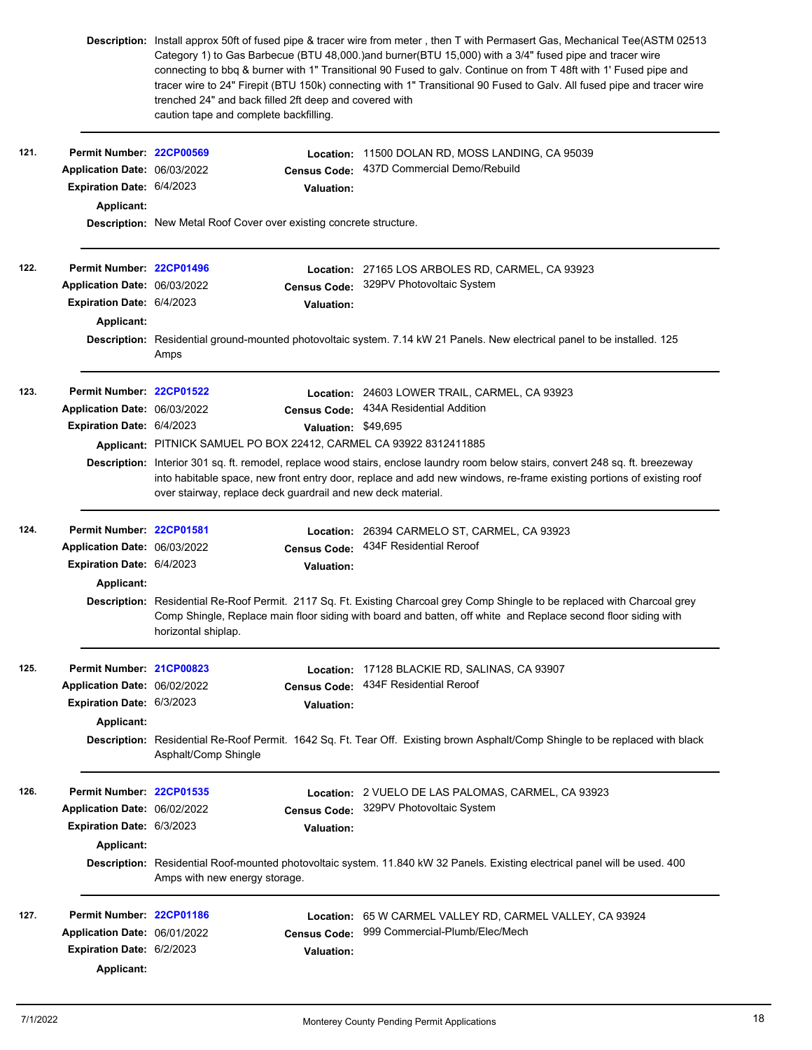|      |                              | trenched 24" and back filled 2ft deep and covered with<br>caution tape and complete backfilling.                                                                                                                                                                                                                         |                     | Description: Install approx 50ft of fused pipe & tracer wire from meter, then T with Permasert Gas, Mechanical Tee(ASTM 02513<br>Category 1) to Gas Barbecue (BTU 48,000.)and burner(BTU 15,000) with a 3/4" fused pipe and tracer wire<br>connecting to bbq & burner with 1" Transitional 90 Fused to galv. Continue on from T 48ft with 1' Fused pipe and<br>tracer wire to 24" Firepit (BTU 150k) connecting with 1" Transitional 90 Fused to Galv. All fused pipe and tracer wire |  |  |
|------|------------------------------|--------------------------------------------------------------------------------------------------------------------------------------------------------------------------------------------------------------------------------------------------------------------------------------------------------------------------|---------------------|---------------------------------------------------------------------------------------------------------------------------------------------------------------------------------------------------------------------------------------------------------------------------------------------------------------------------------------------------------------------------------------------------------------------------------------------------------------------------------------|--|--|
| 121. | Permit Number: 22CP00569     |                                                                                                                                                                                                                                                                                                                          | Location:           | 11500 DOLAN RD, MOSS LANDING, CA 95039                                                                                                                                                                                                                                                                                                                                                                                                                                                |  |  |
|      | Application Date: 06/03/2022 |                                                                                                                                                                                                                                                                                                                          | <b>Census Code:</b> | 437D Commercial Demo/Rebuild                                                                                                                                                                                                                                                                                                                                                                                                                                                          |  |  |
|      | Expiration Date: 6/4/2023    |                                                                                                                                                                                                                                                                                                                          | <b>Valuation:</b>   |                                                                                                                                                                                                                                                                                                                                                                                                                                                                                       |  |  |
|      | Applicant:                   |                                                                                                                                                                                                                                                                                                                          |                     |                                                                                                                                                                                                                                                                                                                                                                                                                                                                                       |  |  |
|      |                              | <b>Description:</b> New Metal Roof Cover over existing concrete structure.                                                                                                                                                                                                                                               |                     |                                                                                                                                                                                                                                                                                                                                                                                                                                                                                       |  |  |
| 122. | Permit Number: 22CP01496     |                                                                                                                                                                                                                                                                                                                          |                     | Location: 27165 LOS ARBOLES RD, CARMEL, CA 93923                                                                                                                                                                                                                                                                                                                                                                                                                                      |  |  |
|      | Application Date: 06/03/2022 |                                                                                                                                                                                                                                                                                                                          | <b>Census Code:</b> | 329PV Photovoltaic System                                                                                                                                                                                                                                                                                                                                                                                                                                                             |  |  |
|      | Expiration Date: 6/4/2023    |                                                                                                                                                                                                                                                                                                                          | <b>Valuation:</b>   |                                                                                                                                                                                                                                                                                                                                                                                                                                                                                       |  |  |
|      | Applicant:                   |                                                                                                                                                                                                                                                                                                                          |                     |                                                                                                                                                                                                                                                                                                                                                                                                                                                                                       |  |  |
|      |                              | Description: Residential ground-mounted photovoltaic system. 7.14 kW 21 Panels. New electrical panel to be installed. 125<br>Amps                                                                                                                                                                                        |                     |                                                                                                                                                                                                                                                                                                                                                                                                                                                                                       |  |  |
| 123. | Permit Number: 22CP01522     |                                                                                                                                                                                                                                                                                                                          |                     | Location: 24603 LOWER TRAIL, CARMEL, CA 93923                                                                                                                                                                                                                                                                                                                                                                                                                                         |  |  |
|      | Application Date: 06/03/2022 |                                                                                                                                                                                                                                                                                                                          | <b>Census Code:</b> | 434A Residential Addition                                                                                                                                                                                                                                                                                                                                                                                                                                                             |  |  |
|      | Expiration Date: 6/4/2023    |                                                                                                                                                                                                                                                                                                                          | Valuation: \$49,695 |                                                                                                                                                                                                                                                                                                                                                                                                                                                                                       |  |  |
|      |                              | Applicant: PITNICK SAMUEL PO BOX 22412, CARMEL CA 93922 8312411885                                                                                                                                                                                                                                                       |                     |                                                                                                                                                                                                                                                                                                                                                                                                                                                                                       |  |  |
|      |                              | Description: Interior 301 sq. ft. remodel, replace wood stairs, enclose laundry room below stairs, convert 248 sq. ft. breezeway<br>into habitable space, new front entry door, replace and add new windows, re-frame existing portions of existing roof<br>over stairway, replace deck guardrail and new deck material. |                     |                                                                                                                                                                                                                                                                                                                                                                                                                                                                                       |  |  |
| 124. | Permit Number: 22CP01581     |                                                                                                                                                                                                                                                                                                                          |                     | Location: 26394 CARMELO ST, CARMEL, CA 93923                                                                                                                                                                                                                                                                                                                                                                                                                                          |  |  |
|      | Application Date: 06/03/2022 |                                                                                                                                                                                                                                                                                                                          | <b>Census Code:</b> | 434F Residential Reroof                                                                                                                                                                                                                                                                                                                                                                                                                                                               |  |  |
|      | Expiration Date: 6/4/2023    |                                                                                                                                                                                                                                                                                                                          | Valuation:          |                                                                                                                                                                                                                                                                                                                                                                                                                                                                                       |  |  |
|      | Applicant:                   |                                                                                                                                                                                                                                                                                                                          |                     |                                                                                                                                                                                                                                                                                                                                                                                                                                                                                       |  |  |
|      |                              | horizontal shiplap.                                                                                                                                                                                                                                                                                                      |                     | Description: Residential Re-Roof Permit. 2117 Sq. Ft. Existing Charcoal grey Comp Shingle to be replaced with Charcoal grey<br>Comp Shingle, Replace main floor siding with board and batten, off white and Replace second floor siding with                                                                                                                                                                                                                                          |  |  |
| 125. | Permit Number: 21CP00823     |                                                                                                                                                                                                                                                                                                                          | Location:           | 17128 BLACKIE RD, SALINAS, CA 93907                                                                                                                                                                                                                                                                                                                                                                                                                                                   |  |  |
|      | Application Date: 06/02/2022 |                                                                                                                                                                                                                                                                                                                          | <b>Census Code:</b> | 434F Residential Reroof                                                                                                                                                                                                                                                                                                                                                                                                                                                               |  |  |
|      | Expiration Date: 6/3/2023    |                                                                                                                                                                                                                                                                                                                          | <b>Valuation:</b>   |                                                                                                                                                                                                                                                                                                                                                                                                                                                                                       |  |  |
|      | Applicant:                   |                                                                                                                                                                                                                                                                                                                          |                     |                                                                                                                                                                                                                                                                                                                                                                                                                                                                                       |  |  |
|      |                              | Asphalt/Comp Shingle                                                                                                                                                                                                                                                                                                     |                     | Description: Residential Re-Roof Permit. 1642 Sq. Ft. Tear Off. Existing brown Asphalt/Comp Shingle to be replaced with black                                                                                                                                                                                                                                                                                                                                                         |  |  |
| 126. | Permit Number: 22CP01535     |                                                                                                                                                                                                                                                                                                                          |                     | Location: 2 VUELO DE LAS PALOMAS, CARMEL, CA 93923                                                                                                                                                                                                                                                                                                                                                                                                                                    |  |  |
|      | Application Date: 06/02/2022 |                                                                                                                                                                                                                                                                                                                          | <b>Census Code:</b> | 329PV Photovoltaic System                                                                                                                                                                                                                                                                                                                                                                                                                                                             |  |  |
|      | Expiration Date: 6/3/2023    |                                                                                                                                                                                                                                                                                                                          | <b>Valuation:</b>   |                                                                                                                                                                                                                                                                                                                                                                                                                                                                                       |  |  |
|      | Applicant:                   |                                                                                                                                                                                                                                                                                                                          |                     |                                                                                                                                                                                                                                                                                                                                                                                                                                                                                       |  |  |
|      |                              | Amps with new energy storage.                                                                                                                                                                                                                                                                                            |                     | Description: Residential Roof-mounted photovoltaic system. 11.840 kW 32 Panels. Existing electrical panel will be used. 400                                                                                                                                                                                                                                                                                                                                                           |  |  |
| 127. | Permit Number: 22CP01186     |                                                                                                                                                                                                                                                                                                                          | Location:           | 65 W CARMEL VALLEY RD, CARMEL VALLEY, CA 93924                                                                                                                                                                                                                                                                                                                                                                                                                                        |  |  |
|      | Application Date: 06/01/2022 |                                                                                                                                                                                                                                                                                                                          | <b>Census Code:</b> | 999 Commercial-Plumb/Elec/Mech                                                                                                                                                                                                                                                                                                                                                                                                                                                        |  |  |
|      | Expiration Date: 6/2/2023    |                                                                                                                                                                                                                                                                                                                          | <b>Valuation:</b>   |                                                                                                                                                                                                                                                                                                                                                                                                                                                                                       |  |  |
|      |                              |                                                                                                                                                                                                                                                                                                                          |                     |                                                                                                                                                                                                                                                                                                                                                                                                                                                                                       |  |  |
|      | Applicant:                   |                                                                                                                                                                                                                                                                                                                          |                     |                                                                                                                                                                                                                                                                                                                                                                                                                                                                                       |  |  |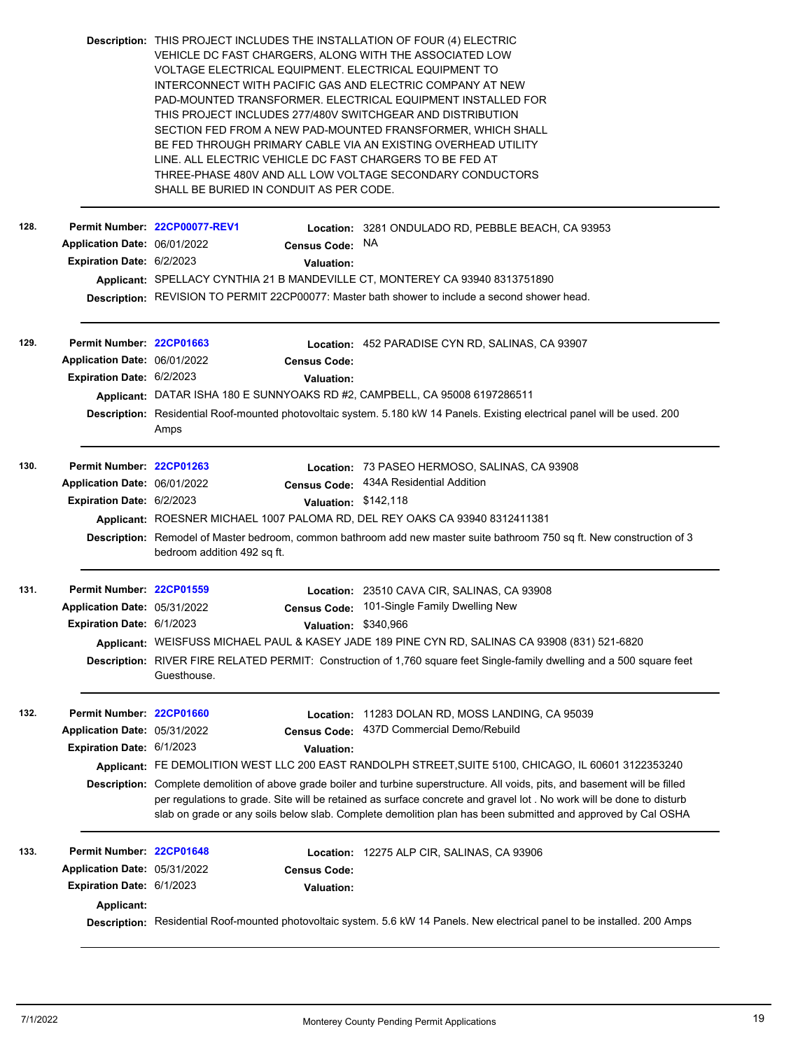|      |                                  | Description: THIS PROJECT INCLUDES THE INSTALLATION OF FOUR (4) ELECTRIC<br>VEHICLE DC FAST CHARGERS, ALONG WITH THE ASSOCIATED LOW<br>VOLTAGE ELECTRICAL EQUIPMENT. ELECTRICAL EQUIPMENT TO<br>INTERCONNECT WITH PACIFIC GAS AND ELECTRIC COMPANY AT NEW<br>THIS PROJECT INCLUDES 277/480V SWITCHGEAR AND DISTRIBUTION<br>BE FED THROUGH PRIMARY CABLE VIA AN EXISTING OVERHEAD UTILITY<br>LINE. ALL ELECTRIC VEHICLE DC FAST CHARGERS TO BE FED AT<br>THREE-PHASE 480V AND ALL LOW VOLTAGE SECONDARY CONDUCTORS<br>SHALL BE BURIED IN CONDUIT AS PER CODE. | PAD-MOUNTED TRANSFORMER. ELECTRICAL EQUIPMENT INSTALLED FOR<br>SECTION FED FROM A NEW PAD-MOUNTED FRANSFORMER, WHICH SHALL                                                                                                                                                                                                                                             |  |  |  |
|------|----------------------------------|--------------------------------------------------------------------------------------------------------------------------------------------------------------------------------------------------------------------------------------------------------------------------------------------------------------------------------------------------------------------------------------------------------------------------------------------------------------------------------------------------------------------------------------------------------------|------------------------------------------------------------------------------------------------------------------------------------------------------------------------------------------------------------------------------------------------------------------------------------------------------------------------------------------------------------------------|--|--|--|
| 128. |                                  | Permit Number 22CP00077-REV1                                                                                                                                                                                                                                                                                                                                                                                                                                                                                                                                 | Location: 3281 ONDULADO RD, PEBBLE BEACH, CA 93953                                                                                                                                                                                                                                                                                                                     |  |  |  |
|      | Application Date: 06/01/2022     | Census Code: NA                                                                                                                                                                                                                                                                                                                                                                                                                                                                                                                                              |                                                                                                                                                                                                                                                                                                                                                                        |  |  |  |
|      | Expiration Date: 6/2/2023        | Valuation:                                                                                                                                                                                                                                                                                                                                                                                                                                                                                                                                                   |                                                                                                                                                                                                                                                                                                                                                                        |  |  |  |
|      |                                  |                                                                                                                                                                                                                                                                                                                                                                                                                                                                                                                                                              | Applicant: SPELLACY CYNTHIA 21 B MANDEVILLE CT, MONTEREY CA 93940 8313751890                                                                                                                                                                                                                                                                                           |  |  |  |
|      |                                  |                                                                                                                                                                                                                                                                                                                                                                                                                                                                                                                                                              | Description: REVISION TO PERMIT 22CP00077: Master bath shower to include a second shower head.                                                                                                                                                                                                                                                                         |  |  |  |
| 129. | Permit Number: 22CP01663         |                                                                                                                                                                                                                                                                                                                                                                                                                                                                                                                                                              | Location: 452 PARADISE CYN RD, SALINAS, CA 93907                                                                                                                                                                                                                                                                                                                       |  |  |  |
|      | Application Date: 06/01/2022     | <b>Census Code:</b>                                                                                                                                                                                                                                                                                                                                                                                                                                                                                                                                          |                                                                                                                                                                                                                                                                                                                                                                        |  |  |  |
|      | Expiration Date: 6/2/2023        | Valuation:                                                                                                                                                                                                                                                                                                                                                                                                                                                                                                                                                   |                                                                                                                                                                                                                                                                                                                                                                        |  |  |  |
|      |                                  | Applicant: DATAR ISHA 180 E SUNNYOAKS RD #2, CAMPBELL, CA 95008 6197286511                                                                                                                                                                                                                                                                                                                                                                                                                                                                                   |                                                                                                                                                                                                                                                                                                                                                                        |  |  |  |
|      |                                  | Description: Residential Roof-mounted photovoltaic system. 5.180 kW 14 Panels. Existing electrical panel will be used. 200<br>Amps                                                                                                                                                                                                                                                                                                                                                                                                                           |                                                                                                                                                                                                                                                                                                                                                                        |  |  |  |
| 130. | Permit Number: 22CP01263         |                                                                                                                                                                                                                                                                                                                                                                                                                                                                                                                                                              | Location: 73 PASEO HERMOSO, SALINAS, CA 93908                                                                                                                                                                                                                                                                                                                          |  |  |  |
|      | Application Date: 06/01/2022     |                                                                                                                                                                                                                                                                                                                                                                                                                                                                                                                                                              | Census Code: 434A Residential Addition                                                                                                                                                                                                                                                                                                                                 |  |  |  |
|      | <b>Expiration Date: 6/2/2023</b> |                                                                                                                                                                                                                                                                                                                                                                                                                                                                                                                                                              | Valuation: \$142,118                                                                                                                                                                                                                                                                                                                                                   |  |  |  |
|      |                                  |                                                                                                                                                                                                                                                                                                                                                                                                                                                                                                                                                              | Applicant: ROESNER MICHAEL 1007 PALOMA RD, DEL REY OAKS CA 93940 8312411381                                                                                                                                                                                                                                                                                            |  |  |  |
|      |                                  | bedroom addition 492 sq ft.                                                                                                                                                                                                                                                                                                                                                                                                                                                                                                                                  | Description: Remodel of Master bedroom, common bathroom add new master suite bathroom 750 sq ft. New construction of 3                                                                                                                                                                                                                                                 |  |  |  |
| 131. | Permit Number: 22CP01559         |                                                                                                                                                                                                                                                                                                                                                                                                                                                                                                                                                              | Location: 23510 CAVA CIR, SALINAS, CA 93908                                                                                                                                                                                                                                                                                                                            |  |  |  |
|      | Application Date: 05/31/2022     |                                                                                                                                                                                                                                                                                                                                                                                                                                                                                                                                                              | Census Code: 101-Single Family Dwelling New                                                                                                                                                                                                                                                                                                                            |  |  |  |
|      | Expiration Date: 6/1/2023        |                                                                                                                                                                                                                                                                                                                                                                                                                                                                                                                                                              | Valuation: \$340,966                                                                                                                                                                                                                                                                                                                                                   |  |  |  |
|      |                                  |                                                                                                                                                                                                                                                                                                                                                                                                                                                                                                                                                              | Applicant: WEISFUSS MICHAEL PAUL & KASEY JADE 189 PINE CYN RD, SALINAS CA 93908 (831) 521-6820                                                                                                                                                                                                                                                                         |  |  |  |
|      |                                  | Guesthouse.                                                                                                                                                                                                                                                                                                                                                                                                                                                                                                                                                  | Description: RIVER FIRE RELATED PERMIT: Construction of 1,760 square feet Single-family dwelling and a 500 square feet                                                                                                                                                                                                                                                 |  |  |  |
| 132. | Permit Number: 22CP01660         |                                                                                                                                                                                                                                                                                                                                                                                                                                                                                                                                                              | Location: 11283 DOLAN RD, MOSS LANDING, CA 95039                                                                                                                                                                                                                                                                                                                       |  |  |  |
|      | Application Date: 05/31/2022     | <b>Census Code:</b>                                                                                                                                                                                                                                                                                                                                                                                                                                                                                                                                          | 437D Commercial Demo/Rebuild                                                                                                                                                                                                                                                                                                                                           |  |  |  |
|      | <b>Expiration Date: 6/1/2023</b> | <b>Valuation:</b>                                                                                                                                                                                                                                                                                                                                                                                                                                                                                                                                            |                                                                                                                                                                                                                                                                                                                                                                        |  |  |  |
|      |                                  |                                                                                                                                                                                                                                                                                                                                                                                                                                                                                                                                                              | Applicant: FE DEMOLITION WEST LLC 200 EAST RANDOLPH STREET, SUITE 5100, CHICAGO, IL 60601 3122353240                                                                                                                                                                                                                                                                   |  |  |  |
|      |                                  |                                                                                                                                                                                                                                                                                                                                                                                                                                                                                                                                                              | Description: Complete demolition of above grade boiler and turbine superstructure. All voids, pits, and basement will be filled<br>per regulations to grade. Site will be retained as surface concrete and gravel lot . No work will be done to disturb<br>slab on grade or any soils below slab. Complete demolition plan has been submitted and approved by Cal OSHA |  |  |  |
| 133. | Permit Number: 22CP01648         |                                                                                                                                                                                                                                                                                                                                                                                                                                                                                                                                                              | Location: 12275 ALP CIR, SALINAS, CA 93906                                                                                                                                                                                                                                                                                                                             |  |  |  |
|      | Application Date: 05/31/2022     | <b>Census Code:</b>                                                                                                                                                                                                                                                                                                                                                                                                                                                                                                                                          |                                                                                                                                                                                                                                                                                                                                                                        |  |  |  |
|      | Expiration Date: 6/1/2023        | Valuation:                                                                                                                                                                                                                                                                                                                                                                                                                                                                                                                                                   |                                                                                                                                                                                                                                                                                                                                                                        |  |  |  |
|      | <b>Applicant:</b>                |                                                                                                                                                                                                                                                                                                                                                                                                                                                                                                                                                              |                                                                                                                                                                                                                                                                                                                                                                        |  |  |  |
|      |                                  |                                                                                                                                                                                                                                                                                                                                                                                                                                                                                                                                                              | Description: Residential Roof-mounted photovoltaic system. 5.6 kW 14 Panels. New electrical panel to be installed. 200 Amps                                                                                                                                                                                                                                            |  |  |  |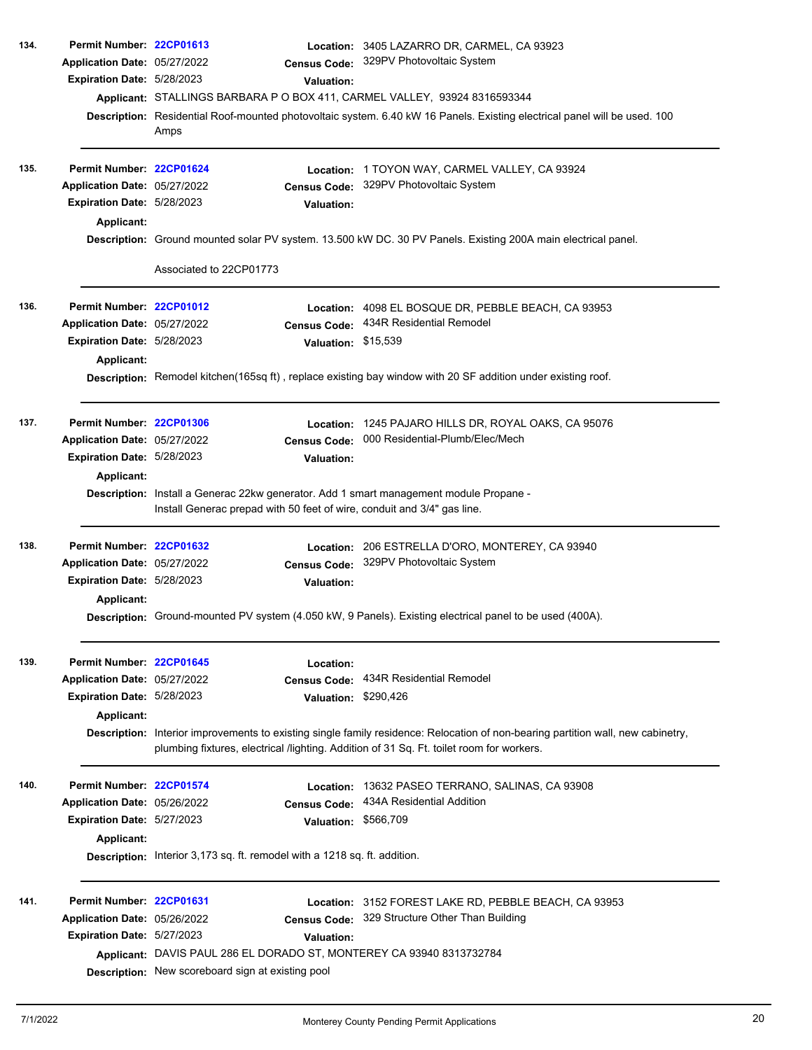| 134. | Permit Number: 22CP01613     |                                                                                                                                                                                                                              |                                                                           | Location: 3405 LAZARRO DR, CARMEL, CA 93923                                                                                                                       |  |  |
|------|------------------------------|------------------------------------------------------------------------------------------------------------------------------------------------------------------------------------------------------------------------------|---------------------------------------------------------------------------|-------------------------------------------------------------------------------------------------------------------------------------------------------------------|--|--|
|      | Application Date: 05/27/2022 |                                                                                                                                                                                                                              | <b>Census Code:</b>                                                       | 329PV Photovoltaic System                                                                                                                                         |  |  |
|      | Expiration Date: 5/28/2023   |                                                                                                                                                                                                                              | Valuation:                                                                |                                                                                                                                                                   |  |  |
|      |                              |                                                                                                                                                                                                                              |                                                                           | Applicant: STALLINGS BARBARA P O BOX 411, CARMEL VALLEY, 93924 8316593344                                                                                         |  |  |
|      |                              |                                                                                                                                                                                                                              |                                                                           | Description: Residential Roof-mounted photovoltaic system. 6.40 kW 16 Panels. Existing electrical panel will be used. 100                                         |  |  |
|      |                              | Amps                                                                                                                                                                                                                         |                                                                           |                                                                                                                                                                   |  |  |
| 135. | Permit Number: 22CP01624     |                                                                                                                                                                                                                              | Location:                                                                 | 1 TOYON WAY, CARMEL VALLEY, CA 93924                                                                                                                              |  |  |
|      | Application Date: 05/27/2022 |                                                                                                                                                                                                                              | <b>Census Code:</b>                                                       | 329PV Photovoltaic System                                                                                                                                         |  |  |
|      | Expiration Date: 5/28/2023   |                                                                                                                                                                                                                              | <b>Valuation:</b>                                                         |                                                                                                                                                                   |  |  |
|      | Applicant:                   |                                                                                                                                                                                                                              |                                                                           |                                                                                                                                                                   |  |  |
|      |                              |                                                                                                                                                                                                                              |                                                                           | Description: Ground mounted solar PV system. 13.500 kW DC. 30 PV Panels. Existing 200A main electrical panel.                                                     |  |  |
|      |                              | Associated to 22CP01773                                                                                                                                                                                                      |                                                                           |                                                                                                                                                                   |  |  |
| 136. | Permit Number: 22CP01012     |                                                                                                                                                                                                                              |                                                                           | Location: 4098 EL BOSQUE DR, PEBBLE BEACH, CA 93953                                                                                                               |  |  |
|      | Application Date: 05/27/2022 |                                                                                                                                                                                                                              | <b>Census Code:</b>                                                       | 434R Residential Remodel                                                                                                                                          |  |  |
|      | Expiration Date: 5/28/2023   |                                                                                                                                                                                                                              | Valuation: \$15,539                                                       |                                                                                                                                                                   |  |  |
|      |                              |                                                                                                                                                                                                                              |                                                                           |                                                                                                                                                                   |  |  |
|      | Applicant:                   |                                                                                                                                                                                                                              |                                                                           |                                                                                                                                                                   |  |  |
|      |                              |                                                                                                                                                                                                                              |                                                                           | Description: Remodel kitchen(165sq ft), replace existing bay window with 20 SF addition under existing roof.                                                      |  |  |
| 137. | Permit Number: 22CP01306     |                                                                                                                                                                                                                              | Location:                                                                 | 1245 PAJARO HILLS DR, ROYAL OAKS, CA 95076                                                                                                                        |  |  |
|      | Application Date: 05/27/2022 |                                                                                                                                                                                                                              | <b>Census Code:</b>                                                       | 000 Residential-Plumb/Elec/Mech                                                                                                                                   |  |  |
|      | Expiration Date: 5/28/2023   |                                                                                                                                                                                                                              | <b>Valuation:</b>                                                         |                                                                                                                                                                   |  |  |
|      | <b>Applicant:</b>            |                                                                                                                                                                                                                              |                                                                           |                                                                                                                                                                   |  |  |
|      |                              |                                                                                                                                                                                                                              |                                                                           | Description: Install a Generac 22kw generator. Add 1 smart management module Propane -<br>Install Generac prepad with 50 feet of wire, conduit and 3/4" gas line. |  |  |
| 138. | Permit Number: 22CP01632     |                                                                                                                                                                                                                              |                                                                           | Location: 206 ESTRELLA D'ORO, MONTEREY, CA 93940                                                                                                                  |  |  |
|      | Application Date: 05/27/2022 |                                                                                                                                                                                                                              |                                                                           | Census Code: 329PV Photovoltaic System                                                                                                                            |  |  |
|      | Expiration Date: 5/28/2023   |                                                                                                                                                                                                                              | <b>Valuation:</b>                                                         |                                                                                                                                                                   |  |  |
|      | <b>Applicant:</b>            |                                                                                                                                                                                                                              |                                                                           |                                                                                                                                                                   |  |  |
|      |                              | Description: Ground-mounted PV system (4.050 kW, 9 Panels). Existing electrical panel to be used (400A).                                                                                                                     |                                                                           |                                                                                                                                                                   |  |  |
| 139. | Permit Number: 22CP01645     |                                                                                                                                                                                                                              | Location:                                                                 |                                                                                                                                                                   |  |  |
|      | Application Date: 05/27/2022 |                                                                                                                                                                                                                              |                                                                           | Census Code: 434R Residential Remodel                                                                                                                             |  |  |
|      | Expiration Date: 5/28/2023   |                                                                                                                                                                                                                              | Valuation: \$290,426                                                      |                                                                                                                                                                   |  |  |
|      | Applicant:                   |                                                                                                                                                                                                                              |                                                                           |                                                                                                                                                                   |  |  |
|      |                              | Description: Interior improvements to existing single family residence: Relocation of non-bearing partition wall, new cabinetry,<br>plumbing fixtures, electrical /lighting. Addition of 31 Sq. Ft. toilet room for workers. |                                                                           |                                                                                                                                                                   |  |  |
| 140. | Permit Number: 22CP01574     |                                                                                                                                                                                                                              |                                                                           | Location: 13632 PASEO TERRANO, SALINAS, CA 93908                                                                                                                  |  |  |
|      | Application Date: 05/26/2022 |                                                                                                                                                                                                                              | <b>Census Code:</b>                                                       | 434A Residential Addition                                                                                                                                         |  |  |
|      | Expiration Date: 5/27/2023   |                                                                                                                                                                                                                              | Valuation: \$566,709                                                      |                                                                                                                                                                   |  |  |
|      | <b>Applicant:</b>            |                                                                                                                                                                                                                              |                                                                           |                                                                                                                                                                   |  |  |
|      |                              |                                                                                                                                                                                                                              | Description: Interior 3,173 sq. ft. remodel with a 1218 sq. ft. addition. |                                                                                                                                                                   |  |  |
| 141. | Permit Number: 22CP01631     |                                                                                                                                                                                                                              |                                                                           | Location: 3152 FOREST LAKE RD, PEBBLE BEACH, CA 93953                                                                                                             |  |  |
|      | Application Date: 05/26/2022 |                                                                                                                                                                                                                              |                                                                           | Census Code: 329 Structure Other Than Building                                                                                                                    |  |  |
|      | Expiration Date: 5/27/2023   |                                                                                                                                                                                                                              | <b>Valuation:</b>                                                         |                                                                                                                                                                   |  |  |
|      |                              |                                                                                                                                                                                                                              |                                                                           | Applicant: DAVIS PAUL 286 EL DORADO ST, MONTEREY CA 93940 8313732784                                                                                              |  |  |
|      |                              | Description: New scoreboard sign at existing pool                                                                                                                                                                            |                                                                           |                                                                                                                                                                   |  |  |
|      |                              |                                                                                                                                                                                                                              |                                                                           |                                                                                                                                                                   |  |  |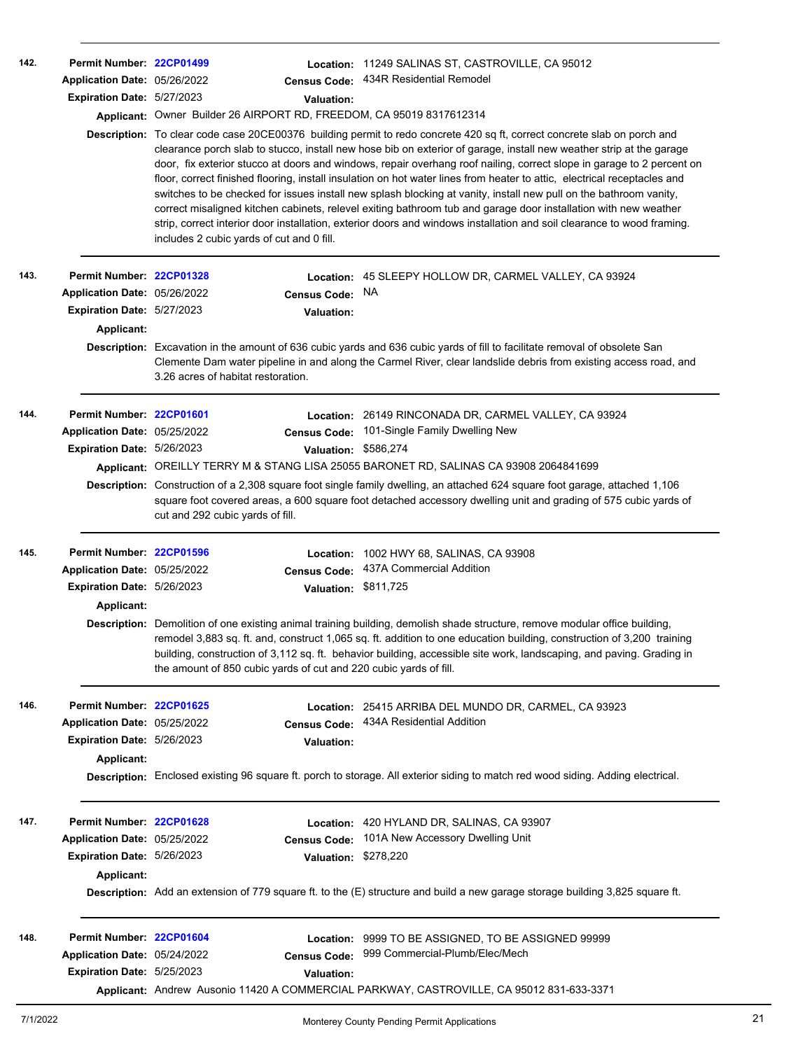| 142. | Permit Number: 22CP01499<br>Application Date: 05/26/2022<br>Expiration Date: 5/27/2023 | Applicant: Owner Builder 26 AIRPORT RD, FREEDOM, CA 95019 8317612314                                                                                                                                                                                                                 | <b>Census Code:</b><br><b>Valuation:</b> | Location: 11249 SALINAS ST, CASTROVILLE, CA 95012<br>434R Residential Remodel<br>Description: To clear code case 20CE00376 building permit to redo concrete 420 sq ft, correct concrete slab on porch and<br>clearance porch slab to stucco, install new hose bib on exterior of garage, install new weather strip at the garage<br>door, fix exterior stucco at doors and windows, repair overhang roof nailing, correct slope in garage to 2 percent on<br>floor, correct finished flooring, install insulation on hot water lines from heater to attic, electrical receptacles and<br>switches to be checked for issues install new splash blocking at vanity, install new pull on the bathroom vanity, |  |  |  |
|------|----------------------------------------------------------------------------------------|--------------------------------------------------------------------------------------------------------------------------------------------------------------------------------------------------------------------------------------------------------------------------------------|------------------------------------------|------------------------------------------------------------------------------------------------------------------------------------------------------------------------------------------------------------------------------------------------------------------------------------------------------------------------------------------------------------------------------------------------------------------------------------------------------------------------------------------------------------------------------------------------------------------------------------------------------------------------------------------------------------------------------------------------------------|--|--|--|
|      |                                                                                        | includes 2 cubic yards of cut and 0 fill.                                                                                                                                                                                                                                            |                                          | correct misaligned kitchen cabinets, relevel exiting bathroom tub and garage door installation with new weather<br>strip, correct interior door installation, exterior doors and windows installation and soil clearance to wood framing.                                                                                                                                                                                                                                                                                                                                                                                                                                                                  |  |  |  |
| 143. | Permit Number: 22CP01328                                                               |                                                                                                                                                                                                                                                                                      |                                          | Location: 45 SLEEPY HOLLOW DR, CARMEL VALLEY, CA 93924                                                                                                                                                                                                                                                                                                                                                                                                                                                                                                                                                                                                                                                     |  |  |  |
|      | Application Date: 05/26/2022                                                           |                                                                                                                                                                                                                                                                                      | <b>Census Code:</b>                      | <b>NA</b>                                                                                                                                                                                                                                                                                                                                                                                                                                                                                                                                                                                                                                                                                                  |  |  |  |
|      | Expiration Date: 5/27/2023                                                             |                                                                                                                                                                                                                                                                                      | <b>Valuation:</b>                        |                                                                                                                                                                                                                                                                                                                                                                                                                                                                                                                                                                                                                                                                                                            |  |  |  |
|      | Applicant:                                                                             |                                                                                                                                                                                                                                                                                      |                                          |                                                                                                                                                                                                                                                                                                                                                                                                                                                                                                                                                                                                                                                                                                            |  |  |  |
|      |                                                                                        | Description: Excavation in the amount of 636 cubic yards and 636 cubic yards of fill to facilitate removal of obsolete San<br>Clemente Dam water pipeline in and along the Carmel River, clear landslide debris from existing access road, and<br>3.26 acres of habitat restoration. |                                          |                                                                                                                                                                                                                                                                                                                                                                                                                                                                                                                                                                                                                                                                                                            |  |  |  |
| 144. | Permit Number: 22CP01601                                                               |                                                                                                                                                                                                                                                                                      |                                          | Location: 26149 RINCONADA DR, CARMEL VALLEY, CA 93924                                                                                                                                                                                                                                                                                                                                                                                                                                                                                                                                                                                                                                                      |  |  |  |
|      | Application Date: 05/25/2022                                                           |                                                                                                                                                                                                                                                                                      | <b>Census Code:</b>                      | 101-Single Family Dwelling New                                                                                                                                                                                                                                                                                                                                                                                                                                                                                                                                                                                                                                                                             |  |  |  |
|      | Expiration Date: 5/26/2023                                                             |                                                                                                                                                                                                                                                                                      | Valuation: \$586,274                     |                                                                                                                                                                                                                                                                                                                                                                                                                                                                                                                                                                                                                                                                                                            |  |  |  |
|      |                                                                                        |                                                                                                                                                                                                                                                                                      |                                          | Applicant: OREILLY TERRY M & STANG LISA 25055 BARONET RD, SALINAS CA 93908 2064841699                                                                                                                                                                                                                                                                                                                                                                                                                                                                                                                                                                                                                      |  |  |  |
|      |                                                                                        | cut and 292 cubic yards of fill.                                                                                                                                                                                                                                                     |                                          | Description: Construction of a 2,308 square foot single family dwelling, an attached 624 square foot garage, attached 1,106<br>square foot covered areas, a 600 square foot detached accessory dwelling unit and grading of 575 cubic yards of                                                                                                                                                                                                                                                                                                                                                                                                                                                             |  |  |  |
| 145. | Permit Number: 22CP01596                                                               |                                                                                                                                                                                                                                                                                      | Location:                                | 1002 HWY 68, SALINAS, CA 93908                                                                                                                                                                                                                                                                                                                                                                                                                                                                                                                                                                                                                                                                             |  |  |  |
|      | Application Date: 05/25/2022                                                           |                                                                                                                                                                                                                                                                                      | <b>Census Code:</b>                      | 437A Commercial Addition                                                                                                                                                                                                                                                                                                                                                                                                                                                                                                                                                                                                                                                                                   |  |  |  |
|      | Expiration Date: 5/26/2023                                                             |                                                                                                                                                                                                                                                                                      | Valuation: \$811,725                     |                                                                                                                                                                                                                                                                                                                                                                                                                                                                                                                                                                                                                                                                                                            |  |  |  |
|      | Applicant:                                                                             |                                                                                                                                                                                                                                                                                      |                                          |                                                                                                                                                                                                                                                                                                                                                                                                                                                                                                                                                                                                                                                                                                            |  |  |  |
|      |                                                                                        | the amount of 850 cubic yards of cut and 220 cubic yards of fill.                                                                                                                                                                                                                    |                                          | Description: Demolition of one existing animal training building, demolish shade structure, remove modular office building,<br>remodel 3,883 sq. ft. and, construct 1,065 sq. ft. addition to one education building, construction of 3,200 training<br>building, construction of 3,112 sq. ft. behavior building, accessible site work, landscaping, and paving. Grading in                                                                                                                                                                                                                                                                                                                               |  |  |  |
| 146. | Permit Number: 22CP01625                                                               |                                                                                                                                                                                                                                                                                      |                                          | Location: 25415 ARRIBA DEL MUNDO DR. CARMEL, CA 93923                                                                                                                                                                                                                                                                                                                                                                                                                                                                                                                                                                                                                                                      |  |  |  |
|      | Application Date: 05/25/2022                                                           |                                                                                                                                                                                                                                                                                      | <b>Census Code:</b>                      | 434A Residential Addition                                                                                                                                                                                                                                                                                                                                                                                                                                                                                                                                                                                                                                                                                  |  |  |  |
|      | Expiration Date: 5/26/2023                                                             |                                                                                                                                                                                                                                                                                      | <b>Valuation:</b>                        |                                                                                                                                                                                                                                                                                                                                                                                                                                                                                                                                                                                                                                                                                                            |  |  |  |
|      | <b>Applicant:</b>                                                                      |                                                                                                                                                                                                                                                                                      |                                          |                                                                                                                                                                                                                                                                                                                                                                                                                                                                                                                                                                                                                                                                                                            |  |  |  |
|      |                                                                                        | Description: Enclosed existing 96 square ft. porch to storage. All exterior siding to match red wood siding. Adding electrical.                                                                                                                                                      |                                          |                                                                                                                                                                                                                                                                                                                                                                                                                                                                                                                                                                                                                                                                                                            |  |  |  |
| 147. | Permit Number: 22CP01628                                                               |                                                                                                                                                                                                                                                                                      |                                          | <b>Location: 420 HYLAND DR, SALINAS, CA 93907</b>                                                                                                                                                                                                                                                                                                                                                                                                                                                                                                                                                                                                                                                          |  |  |  |
|      | Application Date: 05/25/2022                                                           |                                                                                                                                                                                                                                                                                      | <b>Census Code:</b>                      | 101A New Accessory Dwelling Unit                                                                                                                                                                                                                                                                                                                                                                                                                                                                                                                                                                                                                                                                           |  |  |  |
|      | Expiration Date: 5/26/2023                                                             |                                                                                                                                                                                                                                                                                      | Valuation: \$278,220                     |                                                                                                                                                                                                                                                                                                                                                                                                                                                                                                                                                                                                                                                                                                            |  |  |  |
|      | <b>Applicant:</b>                                                                      |                                                                                                                                                                                                                                                                                      |                                          |                                                                                                                                                                                                                                                                                                                                                                                                                                                                                                                                                                                                                                                                                                            |  |  |  |
|      |                                                                                        |                                                                                                                                                                                                                                                                                      |                                          | Description: Add an extension of 779 square ft. to the (E) structure and build a new garage storage building 3,825 square ft.                                                                                                                                                                                                                                                                                                                                                                                                                                                                                                                                                                              |  |  |  |
| 148. | Permit Number: 22CP01604                                                               |                                                                                                                                                                                                                                                                                      |                                          | Location: 9999 TO BE ASSIGNED, TO BE ASSIGNED 99999                                                                                                                                                                                                                                                                                                                                                                                                                                                                                                                                                                                                                                                        |  |  |  |
|      | Application Date: 05/24/2022                                                           |                                                                                                                                                                                                                                                                                      | <b>Census Code:</b>                      | 999 Commercial-Plumb/Elec/Mech                                                                                                                                                                                                                                                                                                                                                                                                                                                                                                                                                                                                                                                                             |  |  |  |
|      | <b>Expiration Date: 5/25/2023</b>                                                      |                                                                                                                                                                                                                                                                                      | <b>Valuation:</b>                        |                                                                                                                                                                                                                                                                                                                                                                                                                                                                                                                                                                                                                                                                                                            |  |  |  |
|      |                                                                                        |                                                                                                                                                                                                                                                                                      |                                          | Applicant: Andrew Ausonio 11420 A COMMERCIAL PARKWAY, CASTROVILLE, CA 95012 831-633-3371                                                                                                                                                                                                                                                                                                                                                                                                                                                                                                                                                                                                                   |  |  |  |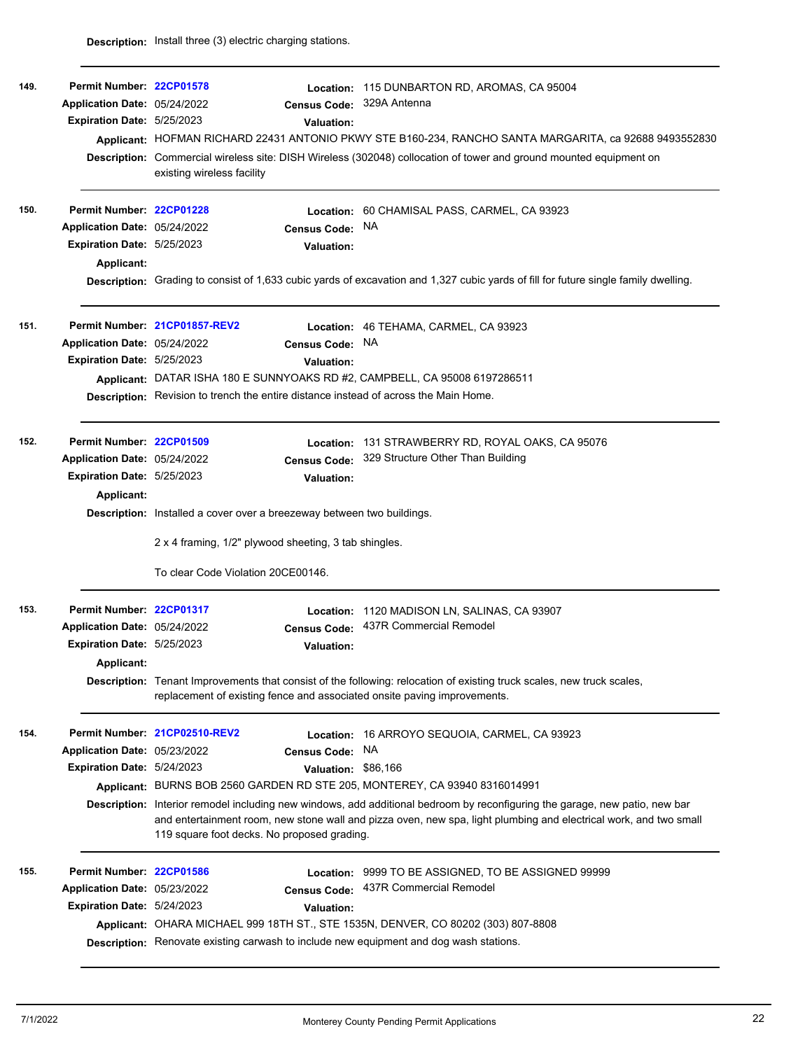| 149. | Permit Number: 22CP01578<br>Application Date: 05/24/2022<br>Expiration Date: 5/25/2023 | <b>Valuation:</b>                                                                      | Location: 115 DUNBARTON RD, AROMAS, CA 95004<br>Census Code: 329A Antenna<br>Applicant: HOFMAN RICHARD 22431 ANTONIO PKWY STE B160-234, RANCHO SANTA MARGARITA, ca 92688 9493552830<br>Description: Commercial wireless site: DISH Wireless (302048) collocation of tower and ground mounted equipment on |  |  |  |  |
|------|----------------------------------------------------------------------------------------|----------------------------------------------------------------------------------------|-----------------------------------------------------------------------------------------------------------------------------------------------------------------------------------------------------------------------------------------------------------------------------------------------------------|--|--|--|--|
|      |                                                                                        | existing wireless facility                                                             |                                                                                                                                                                                                                                                                                                           |  |  |  |  |
| 150. | Permit Number: 22CP01228                                                               |                                                                                        | Location: 60 CHAMISAL PASS, CARMEL, CA 93923                                                                                                                                                                                                                                                              |  |  |  |  |
|      | Application Date: 05/24/2022                                                           | <b>Census Code:</b>                                                                    | NA                                                                                                                                                                                                                                                                                                        |  |  |  |  |
|      | Expiration Date: 5/25/2023                                                             | <b>Valuation:</b>                                                                      |                                                                                                                                                                                                                                                                                                           |  |  |  |  |
|      | <b>Applicant:</b>                                                                      |                                                                                        |                                                                                                                                                                                                                                                                                                           |  |  |  |  |
|      |                                                                                        |                                                                                        | Description: Grading to consist of 1,633 cubic yards of excavation and 1,327 cubic yards of fill for future single family dwelling.                                                                                                                                                                       |  |  |  |  |
| 151. |                                                                                        | Permit Number 21CP01857-REV2                                                           | Location: 46 TEHAMA, CARMEL, CA 93923                                                                                                                                                                                                                                                                     |  |  |  |  |
|      | Application Date: 05/24/2022                                                           | <b>Census Code:</b>                                                                    | <b>NA</b>                                                                                                                                                                                                                                                                                                 |  |  |  |  |
|      | Expiration Date: 5/25/2023                                                             | <b>Valuation:</b>                                                                      |                                                                                                                                                                                                                                                                                                           |  |  |  |  |
|      |                                                                                        | Applicant: DATAR ISHA 180 E SUNNYOAKS RD #2, CAMPBELL, CA 95008 6197286511             |                                                                                                                                                                                                                                                                                                           |  |  |  |  |
|      |                                                                                        | Description: Revision to trench the entire distance instead of across the Main Home.   |                                                                                                                                                                                                                                                                                                           |  |  |  |  |
| 152. | Permit Number: 22CP01509                                                               |                                                                                        | Location: 131 STRAWBERRY RD, ROYAL OAKS, CA 95076                                                                                                                                                                                                                                                         |  |  |  |  |
|      | Application Date: 05/24/2022                                                           | <b>Census Code:</b>                                                                    | 329 Structure Other Than Building                                                                                                                                                                                                                                                                         |  |  |  |  |
|      | Expiration Date: 5/25/2023                                                             | <b>Valuation:</b>                                                                      |                                                                                                                                                                                                                                                                                                           |  |  |  |  |
|      | <b>Applicant:</b>                                                                      |                                                                                        |                                                                                                                                                                                                                                                                                                           |  |  |  |  |
|      |                                                                                        | <b>Description:</b> Installed a cover over a breezeway between two buildings.          |                                                                                                                                                                                                                                                                                                           |  |  |  |  |
|      |                                                                                        | 2 x 4 framing, 1/2" plywood sheeting, 3 tab shingles.                                  |                                                                                                                                                                                                                                                                                                           |  |  |  |  |
|      |                                                                                        | To clear Code Violation 20CE00146.                                                     |                                                                                                                                                                                                                                                                                                           |  |  |  |  |
| 153. | Permit Number: 22CP01317                                                               |                                                                                        | Location: 1120 MADISON LN, SALINAS, CA 93907                                                                                                                                                                                                                                                              |  |  |  |  |
|      | Application Date: 05/24/2022                                                           |                                                                                        | Census Code: 437R Commercial Remodel                                                                                                                                                                                                                                                                      |  |  |  |  |
|      | <b>Expiration Date: 5/25/2023</b>                                                      | <b>Valuation:</b>                                                                      |                                                                                                                                                                                                                                                                                                           |  |  |  |  |
|      | <b>Applicant:</b>                                                                      |                                                                                        |                                                                                                                                                                                                                                                                                                           |  |  |  |  |
|      |                                                                                        | replacement of existing fence and associated onsite paving improvements.               | Description: Tenant Improvements that consist of the following: relocation of existing truck scales, new truck scales,                                                                                                                                                                                    |  |  |  |  |
| 154. |                                                                                        | Permit Number 21CP02510-REV2                                                           | Location: 16 ARROYO SEQUOIA, CARMEL, CA 93923                                                                                                                                                                                                                                                             |  |  |  |  |
|      | Application Date: 05/23/2022                                                           | <b>Census Code:</b>                                                                    | <b>NA</b>                                                                                                                                                                                                                                                                                                 |  |  |  |  |
|      | Expiration Date: 5/24/2023                                                             | Valuation: \$86,166                                                                    |                                                                                                                                                                                                                                                                                                           |  |  |  |  |
|      |                                                                                        | Applicant: BURNS BOB 2560 GARDEN RD STE 205, MONTEREY, CA 93940 8316014991             |                                                                                                                                                                                                                                                                                                           |  |  |  |  |
|      |                                                                                        | 119 square foot decks. No proposed grading.                                            | Description: Interior remodel including new windows, add additional bedroom by reconfiguring the garage, new patio, new bar<br>and entertainment room, new stone wall and pizza oven, new spa, light plumbing and electrical work, and two small                                                          |  |  |  |  |
| 155. | Permit Number: 22CP01586                                                               |                                                                                        | <b>Location: 9999 TO BE ASSIGNED, TO BE ASSIGNED 99999</b>                                                                                                                                                                                                                                                |  |  |  |  |
|      | Application Date: 05/23/2022                                                           | <b>Census Code:</b>                                                                    | 437R Commercial Remodel                                                                                                                                                                                                                                                                                   |  |  |  |  |
|      | Expiration Date: 5/24/2023                                                             | <b>Valuation:</b>                                                                      |                                                                                                                                                                                                                                                                                                           |  |  |  |  |
|      |                                                                                        | Applicant: OHARA MICHAEL 999 18TH ST., STE 1535N, DENVER, CO 80202 (303) 807-8808      |                                                                                                                                                                                                                                                                                                           |  |  |  |  |
|      |                                                                                        | Description: Renovate existing carwash to include new equipment and dog wash stations. |                                                                                                                                                                                                                                                                                                           |  |  |  |  |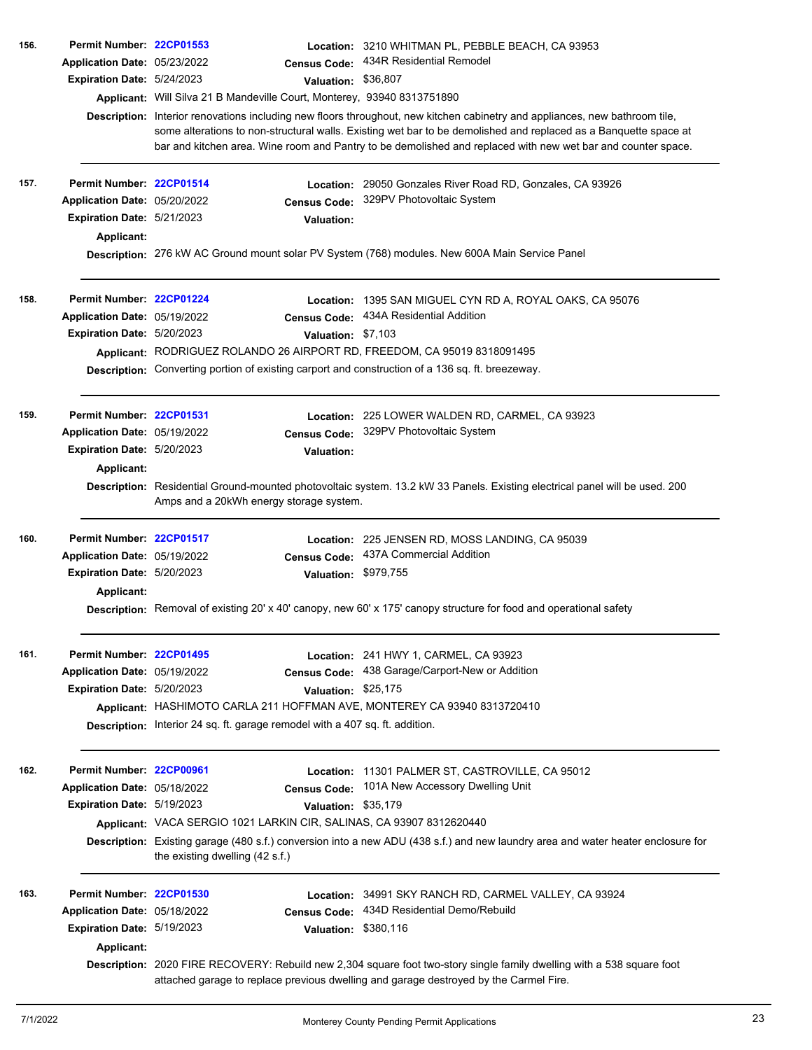| 156. | Permit Number: 22CP01553          |                                                                              |                      | Location: 3210 WHITMAN PL, PEBBLE BEACH, CA 93953                                                                                                                                                                                                                                                                                                               |  |  |
|------|-----------------------------------|------------------------------------------------------------------------------|----------------------|-----------------------------------------------------------------------------------------------------------------------------------------------------------------------------------------------------------------------------------------------------------------------------------------------------------------------------------------------------------------|--|--|
|      | Application Date: 05/23/2022      |                                                                              | <b>Census Code:</b>  | 434R Residential Remodel                                                                                                                                                                                                                                                                                                                                        |  |  |
|      | Expiration Date: 5/24/2023        |                                                                              | Valuation:           | \$36,807                                                                                                                                                                                                                                                                                                                                                        |  |  |
|      |                                   | Applicant: Will Silva 21 B Mandeville Court, Monterey, 93940 8313751890      |                      |                                                                                                                                                                                                                                                                                                                                                                 |  |  |
|      |                                   |                                                                              |                      | Description: Interior renovations including new floors throughout, new kitchen cabinetry and appliances, new bathroom tile,<br>some alterations to non-structural walls. Existing wet bar to be demolished and replaced as a Banquette space at<br>bar and kitchen area. Wine room and Pantry to be demolished and replaced with new wet bar and counter space. |  |  |
| 157. | Permit Number: 22CP01514          |                                                                              |                      | Location: 29050 Gonzales River Road RD, Gonzales, CA 93926                                                                                                                                                                                                                                                                                                      |  |  |
|      | Application Date: 05/20/2022      |                                                                              | <b>Census Code:</b>  | 329PV Photovoltaic System                                                                                                                                                                                                                                                                                                                                       |  |  |
|      | Expiration Date: 5/21/2023        |                                                                              | <b>Valuation:</b>    |                                                                                                                                                                                                                                                                                                                                                                 |  |  |
|      | Applicant:                        |                                                                              |                      |                                                                                                                                                                                                                                                                                                                                                                 |  |  |
|      |                                   |                                                                              |                      | Description: 276 kW AC Ground mount solar PV System (768) modules. New 600A Main Service Panel                                                                                                                                                                                                                                                                  |  |  |
| 158. | Permit Number: 22CP01224          |                                                                              | Location:            | 1395 SAN MIGUEL CYN RD A, ROYAL OAKS, CA 95076                                                                                                                                                                                                                                                                                                                  |  |  |
|      | Application Date: 05/19/2022      |                                                                              | <b>Census Code:</b>  | 434A Residential Addition                                                                                                                                                                                                                                                                                                                                       |  |  |
|      | Expiration Date: 5/20/2023        |                                                                              | Valuation: \$7,103   |                                                                                                                                                                                                                                                                                                                                                                 |  |  |
|      |                                   |                                                                              |                      | Applicant: RODRIGUEZ ROLANDO 26 AIRPORT RD, FREEDOM, CA 95019 8318091495                                                                                                                                                                                                                                                                                        |  |  |
|      |                                   |                                                                              |                      | Description: Converting portion of existing carport and construction of a 136 sq. ft. breezeway.                                                                                                                                                                                                                                                                |  |  |
| 159. | Permit Number: 22CP01531          |                                                                              |                      | Location: 225 LOWER WALDEN RD, CARMEL, CA 93923                                                                                                                                                                                                                                                                                                                 |  |  |
|      | Application Date: 05/19/2022      |                                                                              | <b>Census Code:</b>  | 329PV Photovoltaic System                                                                                                                                                                                                                                                                                                                                       |  |  |
|      | <b>Expiration Date: 5/20/2023</b> |                                                                              | Valuation:           |                                                                                                                                                                                                                                                                                                                                                                 |  |  |
|      | Applicant:                        |                                                                              |                      |                                                                                                                                                                                                                                                                                                                                                                 |  |  |
|      |                                   | Amps and a 20kWh energy storage system.                                      |                      | Description: Residential Ground-mounted photovoltaic system. 13.2 kW 33 Panels. Existing electrical panel will be used. 200                                                                                                                                                                                                                                     |  |  |
| 160. | Permit Number: 22CP01517          |                                                                              |                      | Location: 225 JENSEN RD, MOSS LANDING, CA 95039                                                                                                                                                                                                                                                                                                                 |  |  |
|      | Application Date: 05/19/2022      |                                                                              | <b>Census Code:</b>  | 437A Commercial Addition                                                                                                                                                                                                                                                                                                                                        |  |  |
|      | Expiration Date: 5/20/2023        |                                                                              | <b>Valuation:</b>    | \$979,755                                                                                                                                                                                                                                                                                                                                                       |  |  |
|      | Applicant:                        |                                                                              |                      | Description: Removal of existing 20' x 40' canopy, new 60' x 175' canopy structure for food and operational safety                                                                                                                                                                                                                                              |  |  |
| 161. | Permit Number: 22CP01495          |                                                                              |                      | Location: 241 HWY 1, CARMEL, CA 93923                                                                                                                                                                                                                                                                                                                           |  |  |
|      | Application Date: 05/19/2022      |                                                                              | <b>Census Code:</b>  | 438 Garage/Carport-New or Addition                                                                                                                                                                                                                                                                                                                              |  |  |
|      | Expiration Date: 5/20/2023        |                                                                              | Valuation: \$25,175  |                                                                                                                                                                                                                                                                                                                                                                 |  |  |
|      |                                   |                                                                              |                      | Applicant: HASHIMOTO CARLA 211 HOFFMAN AVE, MONTEREY CA 93940 8313720410                                                                                                                                                                                                                                                                                        |  |  |
|      |                                   | Description: Interior 24 sq. ft. garage remodel with a 407 sq. ft. addition. |                      |                                                                                                                                                                                                                                                                                                                                                                 |  |  |
| 162. | Permit Number: 22CP00961          |                                                                              |                      | Location: 11301 PALMER ST, CASTROVILLE, CA 95012                                                                                                                                                                                                                                                                                                                |  |  |
|      | Application Date: 05/18/2022      |                                                                              | <b>Census Code:</b>  | 101A New Accessory Dwelling Unit                                                                                                                                                                                                                                                                                                                                |  |  |
|      | Expiration Date: 5/19/2023        |                                                                              | Valuation: \$35,179  |                                                                                                                                                                                                                                                                                                                                                                 |  |  |
|      |                                   | Applicant: VACA SERGIO 1021 LARKIN CIR, SALINAS, CA 93907 8312620440         |                      |                                                                                                                                                                                                                                                                                                                                                                 |  |  |
|      |                                   | the existing dwelling (42 s.f.)                                              |                      | Description: Existing garage (480 s.f.) conversion into a new ADU (438 s.f.) and new laundry area and water heater enclosure for                                                                                                                                                                                                                                |  |  |
| 163. | Permit Number: 22CP01530          |                                                                              | Location:            | 34991 SKY RANCH RD, CARMEL VALLEY, CA 93924                                                                                                                                                                                                                                                                                                                     |  |  |
|      | Application Date: 05/18/2022      |                                                                              | <b>Census Code:</b>  | 434D Residential Demo/Rebuild                                                                                                                                                                                                                                                                                                                                   |  |  |
|      | Expiration Date: 5/19/2023        |                                                                              | Valuation: \$380,116 |                                                                                                                                                                                                                                                                                                                                                                 |  |  |
|      | Applicant:                        |                                                                              |                      |                                                                                                                                                                                                                                                                                                                                                                 |  |  |
|      |                                   |                                                                              |                      | Description: 2020 FIRE RECOVERY: Rebuild new 2,304 square foot two-story single family dwelling with a 538 square foot<br>attached garage to replace previous dwelling and garage destroyed by the Carmel Fire.                                                                                                                                                 |  |  |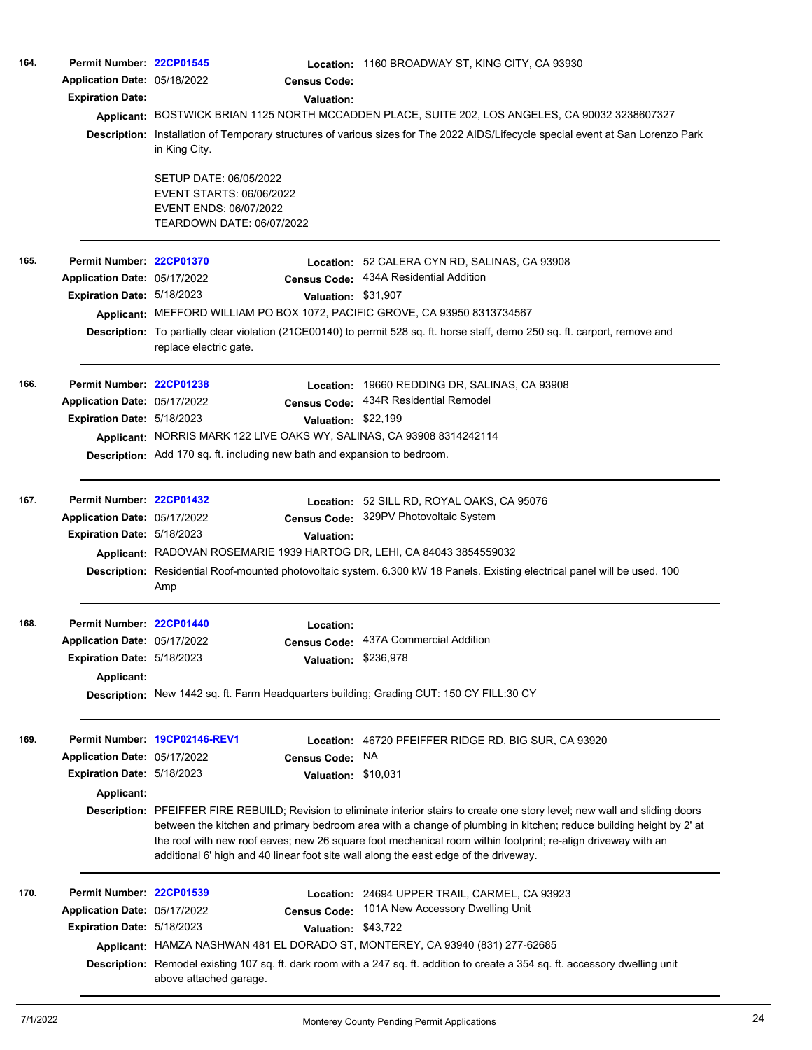| 164. | Permit Number: 22CP01545<br>Application Date: 05/18/2022<br><b>Expiration Date:</b>                  | <b>Census Code:</b><br><b>Valuation:</b><br>in King City.<br>SETUP DATE: 06/05/2022<br><b>EVENT STARTS: 06/06/2022</b><br>EVENT ENDS: 06/07/2022<br>TEARDOWN DATE: 06/07/2022 | Location: 1160 BROADWAY ST, KING CITY, CA 93930<br>Applicant: BOSTWICK BRIAN 1125 NORTH MCCADDEN PLACE, SUITE 202, LOS ANGELES, CA 90032 3238607327<br>Description: Installation of Temporary structures of various sizes for The 2022 AIDS/Lifecycle special event at San Lorenzo Park                                                                                                                                                                                                                                                             |
|------|------------------------------------------------------------------------------------------------------|-------------------------------------------------------------------------------------------------------------------------------------------------------------------------------|-----------------------------------------------------------------------------------------------------------------------------------------------------------------------------------------------------------------------------------------------------------------------------------------------------------------------------------------------------------------------------------------------------------------------------------------------------------------------------------------------------------------------------------------------------|
| 165. | Permit Number: 22CP01370<br>Application Date: 05/17/2022<br><b>Expiration Date: 5/18/2023</b>        | <b>Census Code:</b><br>Applicant: MEFFORD WILLIAM PO BOX 1072, PACIFIC GROVE, CA 93950 8313734567<br>replace electric gate.                                                   | Location: 52 CALERA CYN RD, SALINAS, CA 93908<br>434A Residential Addition<br>Valuation: \$31,907<br>Description: To partially clear violation (21CE00140) to permit 528 sq. ft. horse staff, demo 250 sq. ft. carport, remove and                                                                                                                                                                                                                                                                                                                  |
| 166. | Permit Number: 22CP01238<br>Application Date: 05/17/2022<br>Expiration Date: 5/18/2023               | Applicant: NORRIS MARK 122 LIVE OAKS WY, SALINAS, CA 93908 8314242114<br>Description: Add 170 sq. ft. including new bath and expansion to bedroom.                            | Location: 19660 REDDING DR, SALINAS, CA 93908<br>Census Code: 434R Residential Remodel<br>Valuation: \$22,199                                                                                                                                                                                                                                                                                                                                                                                                                                       |
| 167. | Permit Number: 22CP01432<br>Application Date: 05/17/2022<br>Expiration Date: 5/18/2023               | <b>Valuation:</b><br>Applicant: RADOVAN ROSEMARIE 1939 HARTOG DR, LEHI, CA 84043 3854559032<br>Amp                                                                            | Location: 52 SILL RD, ROYAL OAKS, CA 95076<br>Census Code: 329PV Photovoltaic System<br>Description: Residential Roof-mounted photovoltaic system. 6.300 kW 18 Panels. Existing electrical panel will be used. 100                                                                                                                                                                                                                                                                                                                                  |
| 168. | Permit Number: 22CP01440<br>Application Date: 05/17/2022<br>Expiration Date: 5/18/2023<br>Applicant: | Location:<br>Description: New 1442 sq. ft. Farm Headquarters building; Grading CUT: 150 CY FILL:30 CY                                                                         | Census Code: 437A Commercial Addition<br>Valuation: \$236,978                                                                                                                                                                                                                                                                                                                                                                                                                                                                                       |
| 169. | Application Date: 05/17/2022<br>Expiration Date: 5/18/2023<br>Applicant:                             | Permit Number: 19CP02146-REV1<br><b>Census Code:</b>                                                                                                                          | Location: 46720 PFEIFFER RIDGE RD, BIG SUR, CA 93920<br>NA.<br>Valuation: \$10,031<br>Description: PFEIFFER FIRE REBUILD; Revision to eliminate interior stairs to create one story level; new wall and sliding doors<br>between the kitchen and primary bedroom area with a change of plumbing in kitchen; reduce building height by 2' at<br>the roof with new roof eaves; new 26 square foot mechanical room within footprint; re-align driveway with an<br>additional 6' high and 40 linear foot site wall along the east edge of the driveway. |
| 170. | Permit Number: 22CP01539<br>Application Date: 05/17/2022<br>Expiration Date: 5/18/2023               | Location:<br><b>Census Code:</b><br>above attached garage.                                                                                                                    | 24694 UPPER TRAIL, CARMEL, CA 93923<br>101A New Accessory Dwelling Unit<br>Valuation: \$43,722<br>Applicant: HAMZA NASHWAN 481 EL DORADO ST, MONTEREY, CA 93940 (831) 277-62685<br>Description: Remodel existing 107 sq. ft. dark room with a 247 sq. ft. addition to create a 354 sq. ft. accessory dwelling unit                                                                                                                                                                                                                                  |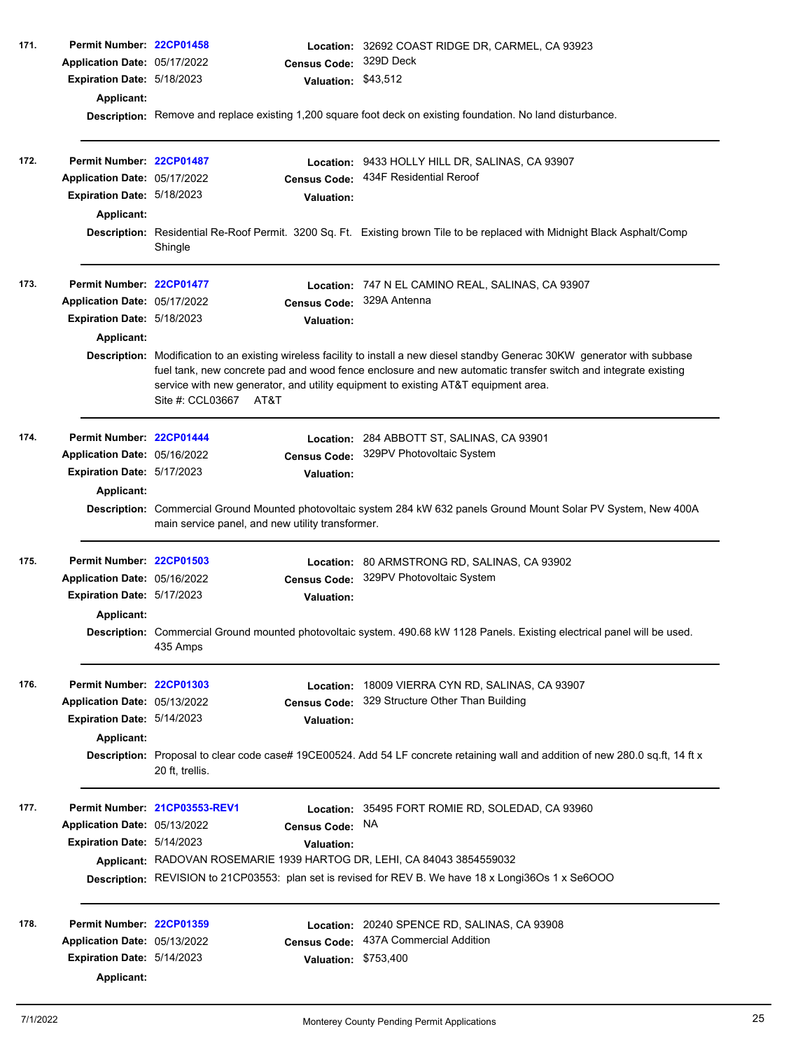| 171. | Permit Number: 22CP01458<br>Application Date: 05/17/2022<br>Expiration Date: 5/18/2023<br><b>Applicant:</b> | <b>Census Code:</b><br>Valuation: \$43,512                                                                                                         | Location: 32692 COAST RIDGE DR, CARMEL, CA 93923<br>329D Deck                                                                                                                                                                                   |
|------|-------------------------------------------------------------------------------------------------------------|----------------------------------------------------------------------------------------------------------------------------------------------------|-------------------------------------------------------------------------------------------------------------------------------------------------------------------------------------------------------------------------------------------------|
|      |                                                                                                             |                                                                                                                                                    | Description: Remove and replace existing 1,200 square foot deck on existing foundation. No land disturbance.                                                                                                                                    |
| 172. | Permit Number: 22CP01487<br>Application Date: 05/17/2022<br>Expiration Date: 5/18/2023<br><b>Applicant:</b> | <b>Census Code:</b><br>Valuation:                                                                                                                  | Location: 9433 HOLLY HILL DR, SALINAS, CA 93907<br>434F Residential Reroof                                                                                                                                                                      |
|      |                                                                                                             | Shingle                                                                                                                                            | Description: Residential Re-Roof Permit. 3200 Sq. Ft. Existing brown Tile to be replaced with Midnight Black Asphalt/Comp                                                                                                                       |
| 173. | Permit Number: 22CP01477<br>Application Date: 05/17/2022<br>Expiration Date: 5/18/2023<br><b>Applicant:</b> | <b>Valuation:</b>                                                                                                                                  | Location: 747 N EL CAMINO REAL, SALINAS, CA 93907<br>Census Code: 329A Antenna                                                                                                                                                                  |
|      |                                                                                                             | service with new generator, and utility equipment to existing AT&T equipment area.<br>Site #: CCL03667 AT&T                                        | Description: Modification to an existing wireless facility to install a new diesel standby Generac 30KW generator with subbase<br>fuel tank, new concrete pad and wood fence enclosure and new automatic transfer switch and integrate existing |
| 174. | Permit Number: 22CP01444<br>Application Date: 05/16/2022<br>Expiration Date: 5/17/2023<br><b>Applicant:</b> | Location:<br><b>Census Code:</b><br><b>Valuation:</b>                                                                                              | 284 ABBOTT ST, SALINAS, CA 93901<br>329PV Photovoltaic System                                                                                                                                                                                   |
|      |                                                                                                             | main service panel, and new utility transformer.                                                                                                   | Description: Commercial Ground Mounted photovoltaic system 284 kW 632 panels Ground Mount Solar PV System, New 400A                                                                                                                             |
| 175. | Permit Number: 22CP01503<br>Application Date: 05/16/2022<br>Expiration Date: 5/17/2023<br><b>Applicant:</b> | <b>Census Code:</b><br><b>Valuation:</b>                                                                                                           | Location: 80 ARMSTRONG RD, SALINAS, CA 93902<br>329PV Photovoltaic System                                                                                                                                                                       |
|      |                                                                                                             | 435 Amps                                                                                                                                           | Description: Commercial Ground mounted photovoltaic system. 490.68 kW 1128 Panels. Existing electrical panel will be used.                                                                                                                      |
| 176. | Permit Number: 22CP01303<br>Application Date: 05/13/2022<br>Expiration Date: 5/14/2023<br><b>Applicant:</b> | Location:<br><b>Census Code:</b><br><b>Valuation:</b>                                                                                              | 18009 VIERRA CYN RD, SALINAS, CA 93907<br>329 Structure Other Than Building                                                                                                                                                                     |
|      |                                                                                                             | 20 ft, trellis.                                                                                                                                    | Description: Proposal to clear code case# 19CE00524. Add 54 LF concrete retaining wall and addition of new 280.0 sq.ft, 14 ft x                                                                                                                 |
| 177. | Application Date: 05/13/2022<br>Expiration Date: 5/14/2023                                                  | Permit Number 21CP03553-REV1<br><b>Census Code:</b><br><b>Valuation:</b><br>Applicant: RADOVAN ROSEMARIE 1939 HARTOG DR, LEHI, CA 84043 3854559032 | Location: 35495 FORT ROMIE RD, SOLEDAD, CA 93960<br>NA.<br>Description: REVISION to 21CP03553: plan set is revised for REV B. We have 18 x Longi36Os 1 x Se6OOO                                                                                 |
| 178. | Permit Number: 22CP01359<br>Application Date: 05/13/2022<br>Expiration Date: 5/14/2023<br><b>Applicant:</b> | Location:<br><b>Census Code:</b><br>Valuation: \$753,400                                                                                           | 20240 SPENCE RD, SALINAS, CA 93908<br>437A Commercial Addition                                                                                                                                                                                  |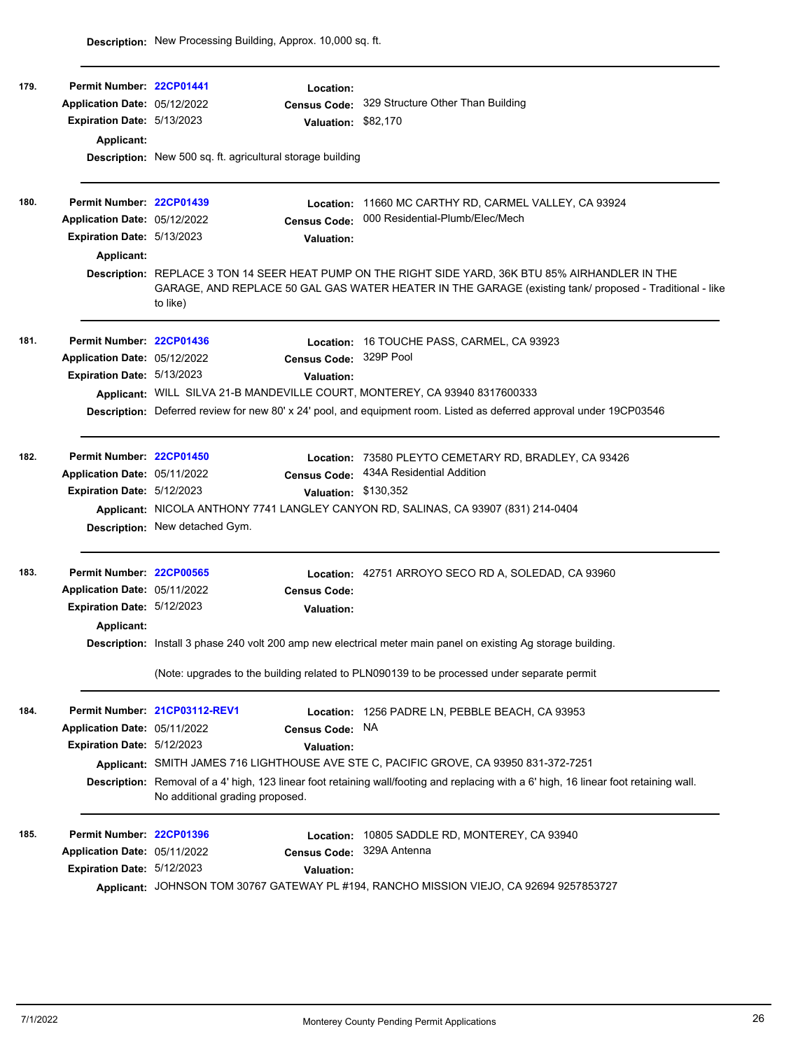| 179. | Permit Number: 22CP01441     |                                                                                                                | Location:                                                         |                                                                                                                                                                                                               |
|------|------------------------------|----------------------------------------------------------------------------------------------------------------|-------------------------------------------------------------------|---------------------------------------------------------------------------------------------------------------------------------------------------------------------------------------------------------------|
|      | Application Date: 05/12/2022 |                                                                                                                | <b>Census Code:</b>                                               | 329 Structure Other Than Building                                                                                                                                                                             |
|      | Expiration Date: 5/13/2023   |                                                                                                                | <b>Valuation:</b>                                                 | \$82,170                                                                                                                                                                                                      |
|      | <b>Applicant:</b>            |                                                                                                                |                                                                   |                                                                                                                                                                                                               |
|      |                              |                                                                                                                | <b>Description:</b> New 500 sq. ft. agricultural storage building |                                                                                                                                                                                                               |
| 180. | Permit Number: 22CP01439     |                                                                                                                |                                                                   | Location: 11660 MC CARTHY RD, CARMEL VALLEY, CA 93924                                                                                                                                                         |
|      | Application Date: 05/12/2022 |                                                                                                                | <b>Census Code:</b>                                               | 000 Residential-Plumb/Elec/Mech                                                                                                                                                                               |
|      | Expiration Date: 5/13/2023   |                                                                                                                | Valuation:                                                        |                                                                                                                                                                                                               |
|      | Applicant:                   |                                                                                                                |                                                                   |                                                                                                                                                                                                               |
|      |                              | to like)                                                                                                       |                                                                   | Description: REPLACE 3 TON 14 SEER HEAT PUMP ON THE RIGHT SIDE YARD, 36K BTU 85% AIRHANDLER IN THE<br>GARAGE, AND REPLACE 50 GAL GAS WATER HEATER IN THE GARAGE (existing tank/ proposed - Traditional - like |
| 181. | Permit Number: 22CP01436     |                                                                                                                | Location:                                                         | 16 TOUCHE PASS, CARMEL, CA 93923                                                                                                                                                                              |
|      | Application Date: 05/12/2022 |                                                                                                                | <b>Census Code:</b>                                               | 329P Pool                                                                                                                                                                                                     |
|      | Expiration Date: 5/13/2023   |                                                                                                                | <b>Valuation:</b>                                                 |                                                                                                                                                                                                               |
|      |                              |                                                                                                                |                                                                   | Applicant: WILL SILVA 21-B MANDEVILLE COURT, MONTEREY, CA 93940 8317600333                                                                                                                                    |
|      |                              |                                                                                                                |                                                                   | Description: Deferred review for new 80' x 24' pool, and equipment room. Listed as deferred approval under 19CP03546                                                                                          |
| 182. | Permit Number: 22CP01450     |                                                                                                                |                                                                   | Location: 73580 PLEYTO CEMETARY RD, BRADLEY, CA 93426                                                                                                                                                         |
|      | Application Date: 05/11/2022 |                                                                                                                | <b>Census Code:</b>                                               | 434A Residential Addition                                                                                                                                                                                     |
|      | Expiration Date: 5/12/2023   |                                                                                                                | Valuation: \$130,352                                              |                                                                                                                                                                                                               |
|      |                              |                                                                                                                |                                                                   | Applicant: NICOLA ANTHONY 7741 LANGLEY CANYON RD, SALINAS, CA 93907 (831) 214-0404                                                                                                                            |
|      |                              | Description: New detached Gym.                                                                                 |                                                                   |                                                                                                                                                                                                               |
| 183. | Permit Number: 22CP00565     |                                                                                                                |                                                                   | Location: 42751 ARROYO SECO RD A, SOLEDAD, CA 93960                                                                                                                                                           |
|      | Application Date: 05/11/2022 |                                                                                                                | <b>Census Code:</b>                                               |                                                                                                                                                                                                               |
|      | Expiration Date: 5/12/2023   |                                                                                                                | <b>Valuation:</b>                                                 |                                                                                                                                                                                                               |
|      | Applicant:                   |                                                                                                                |                                                                   |                                                                                                                                                                                                               |
|      |                              | Description: Install 3 phase 240 volt 200 amp new electrical meter main panel on existing Ag storage building. |                                                                   |                                                                                                                                                                                                               |
|      |                              |                                                                                                                |                                                                   | (Note: upgrades to the building related to PLN090139 to be processed under separate permit                                                                                                                    |
| 184. |                              | Permit Number 21CP03112-REV1                                                                                   |                                                                   | Location: 1256 PADRE LN, PEBBLE BEACH, CA 93953                                                                                                                                                               |
|      | Application Date: 05/11/2022 |                                                                                                                | <b>Census Code:</b>                                               | <b>NA</b>                                                                                                                                                                                                     |
|      | Expiration Date: 5/12/2023   |                                                                                                                | Valuation:                                                        |                                                                                                                                                                                                               |
|      |                              |                                                                                                                |                                                                   | Applicant: SMITH JAMES 716 LIGHTHOUSE AVE STE C, PACIFIC GROVE, CA 93950 831-372-7251                                                                                                                         |
|      |                              | No additional grading proposed.                                                                                |                                                                   | Description: Removal of a 4' high, 123 linear foot retaining wall/footing and replacing with a 6' high, 16 linear foot retaining wall.                                                                        |
| 185. | Permit Number: 22CP01396     |                                                                                                                |                                                                   | Location: 10805 SADDLE RD, MONTEREY, CA 93940                                                                                                                                                                 |
|      | Application Date: 05/11/2022 |                                                                                                                | <b>Census Code:</b>                                               | 329A Antenna                                                                                                                                                                                                  |
|      | Expiration Date: 5/12/2023   |                                                                                                                | Valuation:                                                        |                                                                                                                                                                                                               |
|      |                              |                                                                                                                |                                                                   | Applicant: JOHNSON TOM 30767 GATEWAY PL #194, RANCHO MISSION VIEJO, CA 92694 9257853727                                                                                                                       |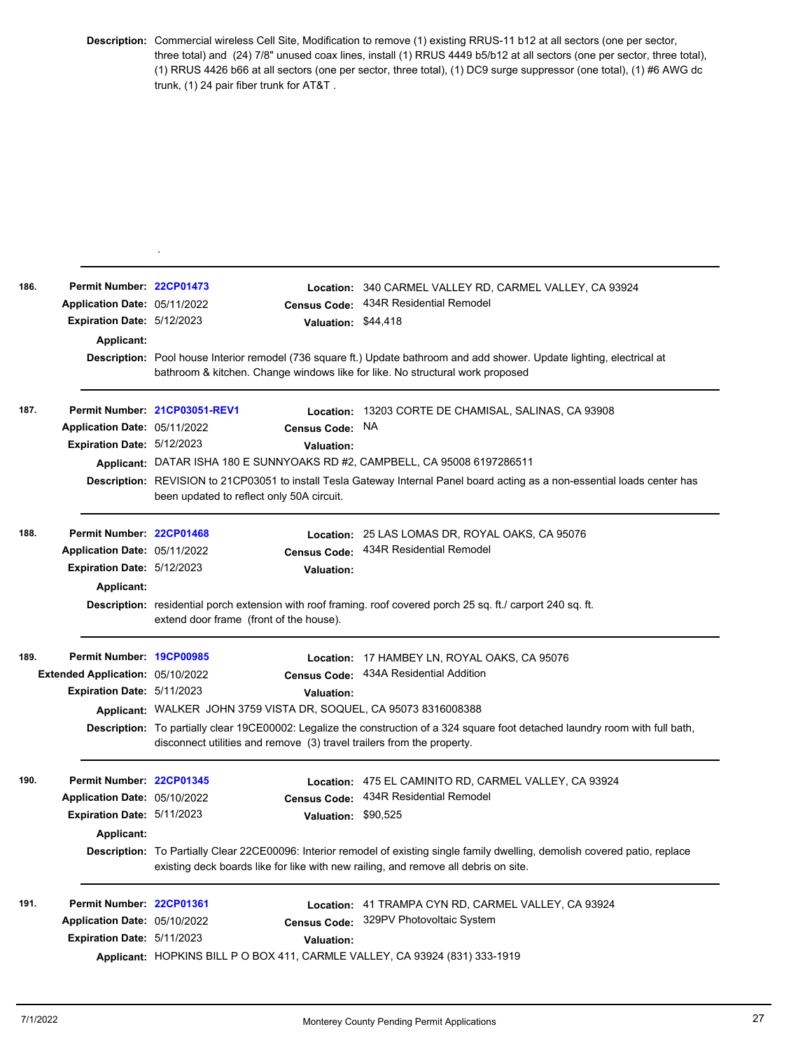**Description:** Commercial wireless Cell Site, Modification to remove (1) existing RRUS-11 b12 at all sectors (one per sector, three total) and (24) 7/8" unused coax lines, install (1) RRUS 4449 b5/b12 at all sectors (one per sector, three total), (1) RRUS 4426 b66 at all sectors (one per sector, three total), (1) DC9 surge suppressor (one total), (1) #6 AWG dc trunk, (1) 24 pair fiber trunk for AT&T .

| 186. | Permit Number: 22CP01473<br>Application Date: 05/11/2022 |                                           | <b>Census Code:</b> | Location: 340 CARMEL VALLEY RD, CARMEL VALLEY, CA 93924<br>434R Residential Remodel                                                                                                                                    |
|------|----------------------------------------------------------|-------------------------------------------|---------------------|------------------------------------------------------------------------------------------------------------------------------------------------------------------------------------------------------------------------|
|      | <b>Expiration Date: 5/12/2023</b>                        |                                           | Valuation: \$44,418 |                                                                                                                                                                                                                        |
|      | <b>Applicant:</b>                                        |                                           |                     |                                                                                                                                                                                                                        |
|      |                                                          |                                           |                     | Description: Pool house Interior remodel (736 square ft.) Update bathroom and add shower. Update lighting, electrical at                                                                                               |
|      |                                                          |                                           |                     | bathroom & kitchen. Change windows like for like. No structural work proposed                                                                                                                                          |
| 187. |                                                          | Permit Number 21CP03051-REV1              |                     | Location: 13203 CORTE DE CHAMISAL, SALINAS, CA 93908                                                                                                                                                                   |
|      | Application Date: 05/11/2022                             |                                           | <b>Census Code:</b> | <b>NA</b>                                                                                                                                                                                                              |
|      | <b>Expiration Date: 5/12/2023</b>                        |                                           | <b>Valuation:</b>   |                                                                                                                                                                                                                        |
|      |                                                          |                                           |                     | Applicant: DATAR ISHA 180 E SUNNYOAKS RD #2, CAMPBELL, CA 95008 6197286511                                                                                                                                             |
|      |                                                          | been updated to reflect only 50A circuit. |                     | Description: REVISION to 21CP03051 to install Tesla Gateway Internal Panel board acting as a non-essential loads center has                                                                                            |
| 188. | Permit Number: 22CP01468                                 |                                           |                     | Location: 25 LAS LOMAS DR, ROYAL OAKS, CA 95076                                                                                                                                                                        |
|      | Application Date: 05/11/2022                             |                                           | Census Code:        | 434R Residential Remodel                                                                                                                                                                                               |
|      | Expiration Date: 5/12/2023                               |                                           | <b>Valuation:</b>   |                                                                                                                                                                                                                        |
|      | Applicant:                                               |                                           |                     |                                                                                                                                                                                                                        |
|      |                                                          | extend door frame (front of the house).   |                     | Description: residential porch extension with roof framing. roof covered porch 25 sq. ft./ carport 240 sq. ft.                                                                                                         |
| 189. | Permit Number: 19CP00985                                 |                                           |                     | Location: 17 HAMBEY LN, ROYAL OAKS, CA 95076                                                                                                                                                                           |
|      | Extended Application: 05/10/2022                         |                                           | <b>Census Code:</b> | 434A Residential Addition                                                                                                                                                                                              |
|      | Expiration Date: 5/11/2023                               |                                           | <b>Valuation:</b>   |                                                                                                                                                                                                                        |
|      |                                                          |                                           |                     | Applicant: WALKER JOHN 3759 VISTA DR, SOQUEL, CA 95073 8316008388                                                                                                                                                      |
|      |                                                          |                                           |                     | Description: To partially clear 19CE00002: Legalize the construction of a 324 square foot detached laundry room with full bath,<br>disconnect utilities and remove (3) travel trailers from the property.              |
| 190. | Permit Number: 22CP01345                                 |                                           |                     | Location: 475 EL CAMINITO RD, CARMEL VALLEY, CA 93924                                                                                                                                                                  |
|      | Application Date: 05/10/2022                             |                                           | <b>Census Code:</b> | 434R Residential Remodel                                                                                                                                                                                               |
|      | <b>Expiration Date: 5/11/2023</b>                        |                                           | Valuation: \$90,525 |                                                                                                                                                                                                                        |
|      | Applicant:                                               |                                           |                     |                                                                                                                                                                                                                        |
|      |                                                          |                                           |                     | Description: To Partially Clear 22CE00096: Interior remodel of existing single family dwelling, demolish covered patio, replace<br>existing deck boards like for like with new railing, and remove all debris on site. |
| 191. | Permit Number: 22CP01361                                 |                                           |                     | Location: 41 TRAMPA CYN RD, CARMEL VALLEY, CA 93924                                                                                                                                                                    |
|      | Application Date: 05/10/2022                             |                                           | <b>Census Code:</b> | 329PV Photovoltaic System                                                                                                                                                                                              |
|      | Expiration Date: 5/11/2023                               |                                           | <b>Valuation:</b>   |                                                                                                                                                                                                                        |
|      |                                                          |                                           |                     | Applicant: HOPKINS BILL P O BOX 411, CARMLE VALLEY, CA 93924 (831) 333-1919                                                                                                                                            |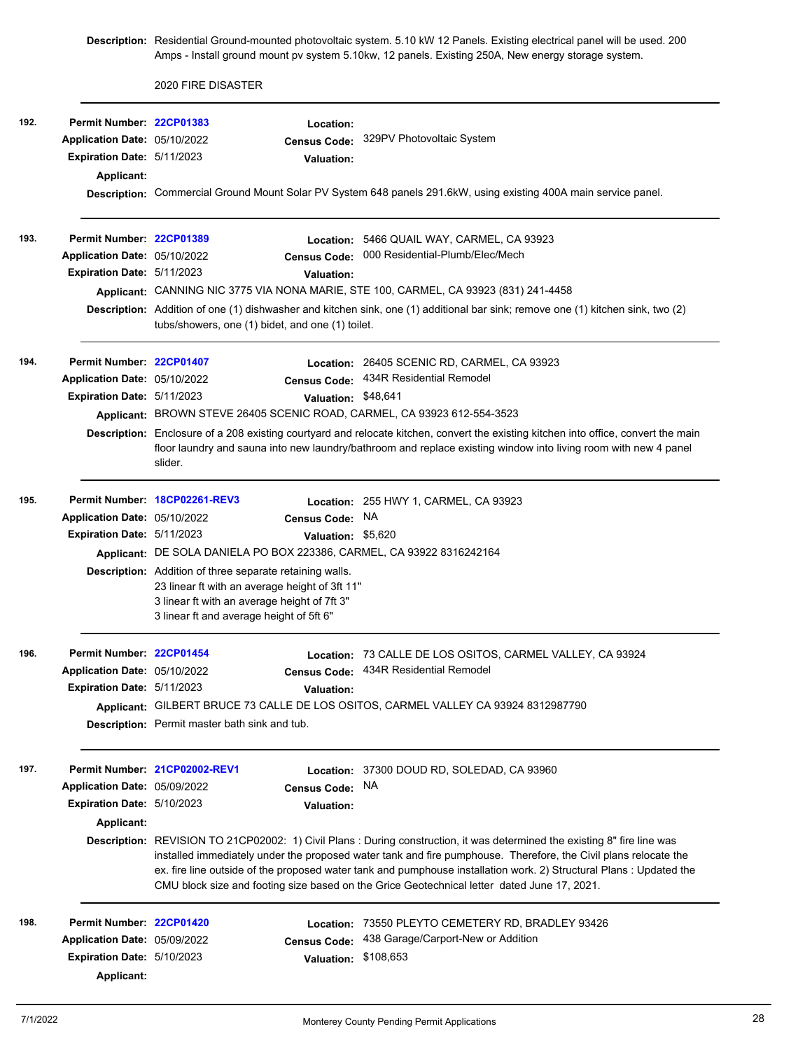**Description:** Residential Ground-mounted photovoltaic system. 5.10 kW 12 Panels. Existing electrical panel will be used. 200 Amps - Install ground mount pv system 5.10kw, 12 panels. Existing 250A, New energy storage system.

2020 FIRE DISASTER

| 192. | Permit Number: 22CP01383          |                                                                                                | Location:            |                                                                                                                                                                                                                                                        |
|------|-----------------------------------|------------------------------------------------------------------------------------------------|----------------------|--------------------------------------------------------------------------------------------------------------------------------------------------------------------------------------------------------------------------------------------------------|
|      | Application Date: 05/10/2022      |                                                                                                |                      | Census Code: 329PV Photovoltaic System                                                                                                                                                                                                                 |
|      | <b>Expiration Date: 5/11/2023</b> |                                                                                                | Valuation:           |                                                                                                                                                                                                                                                        |
|      | Applicant:                        |                                                                                                |                      |                                                                                                                                                                                                                                                        |
|      |                                   |                                                                                                |                      | Description: Commercial Ground Mount Solar PV System 648 panels 291.6kW, using existing 400A main service panel.                                                                                                                                       |
| 193. | Permit Number: 22CP01389          |                                                                                                |                      | Location: 5466 QUAIL WAY, CARMEL, CA 93923                                                                                                                                                                                                             |
|      | Application Date: 05/10/2022      |                                                                                                | <b>Census Code:</b>  | 000 Residential-Plumb/Elec/Mech                                                                                                                                                                                                                        |
|      | Expiration Date: 5/11/2023        |                                                                                                | <b>Valuation:</b>    |                                                                                                                                                                                                                                                        |
|      |                                   |                                                                                                |                      | Applicant: CANNING NIC 3775 VIA NONA MARIE, STE 100, CARMEL, CA 93923 (831) 241-4458                                                                                                                                                                   |
|      |                                   | tubs/showers, one (1) bidet, and one (1) toilet.                                               |                      | Description: Addition of one (1) dishwasher and kitchen sink, one (1) additional bar sink; remove one (1) kitchen sink, two (2)                                                                                                                        |
| 194. | Permit Number: 22CP01407          |                                                                                                |                      | Location: 26405 SCENIC RD, CARMEL, CA 93923                                                                                                                                                                                                            |
|      | Application Date: 05/10/2022      |                                                                                                |                      | Census Code: 434R Residential Remodel                                                                                                                                                                                                                  |
|      | Expiration Date: 5/11/2023        |                                                                                                | Valuation: \$48,641  |                                                                                                                                                                                                                                                        |
|      |                                   |                                                                                                |                      | Applicant: BROWN STEVE 26405 SCENIC ROAD, CARMEL, CA 93923 612-554-3523                                                                                                                                                                                |
|      |                                   | slider.                                                                                        |                      | Description: Enclosure of a 208 existing courtyard and relocate kitchen, convert the existing kitchen into office, convert the main<br>floor laundry and sauna into new laundry/bathroom and replace existing window into living room with new 4 panel |
| 195. |                                   | Permit Number 18CP02261-REV3                                                                   |                      | Location: 255 HWY 1, CARMEL, CA 93923                                                                                                                                                                                                                  |
|      | Application Date: 05/10/2022      |                                                                                                | Census Code: NA      |                                                                                                                                                                                                                                                        |
|      | Expiration Date: 5/11/2023        |                                                                                                | Valuation: \$5,620   |                                                                                                                                                                                                                                                        |
|      |                                   |                                                                                                |                      | Applicant: DE SOLA DANIELA PO BOX 223386, CARMEL, CA 93922 8316242164                                                                                                                                                                                  |
|      |                                   | <b>Description:</b> Addition of three separate retaining walls.                                |                      |                                                                                                                                                                                                                                                        |
|      |                                   | 23 linear ft with an average height of 3ft 11"<br>3 linear ft with an average height of 7ft 3" |                      |                                                                                                                                                                                                                                                        |
|      |                                   | 3 linear ft and average height of 5ft 6"                                                       |                      |                                                                                                                                                                                                                                                        |
| 196. | Permit Number: 22CP01454          |                                                                                                |                      | Location: 73 CALLE DE LOS OSITOS, CARMEL VALLEY, CA 93924                                                                                                                                                                                              |
|      | Application Date: 05/10/2022      |                                                                                                | <b>Census Code:</b>  | 434R Residential Remodel                                                                                                                                                                                                                               |
|      | <b>Expiration Date: 5/11/2023</b> |                                                                                                | Valuation:           |                                                                                                                                                                                                                                                        |
|      |                                   |                                                                                                |                      | Applicant: GILBERT BRUCE 73 CALLE DE LOS OSITOS, CARMEL VALLEY CA 93924 8312987790                                                                                                                                                                     |
|      |                                   | Description: Permit master bath sink and tub.                                                  |                      |                                                                                                                                                                                                                                                        |
| 197. |                                   | Permit Number 21CP02002-REV1                                                                   |                      | Location: 37300 DOUD RD, SOLEDAD, CA 93960                                                                                                                                                                                                             |
|      | Application Date: 05/09/2022      |                                                                                                | <b>Census Code:</b>  | NA.                                                                                                                                                                                                                                                    |
|      | Expiration Date: 5/10/2023        |                                                                                                | <b>Valuation:</b>    |                                                                                                                                                                                                                                                        |
|      | <b>Applicant:</b>                 |                                                                                                |                      |                                                                                                                                                                                                                                                        |
|      |                                   |                                                                                                |                      | Description: REVISION TO 21CP02002: 1) Civil Plans : During construction, it was determined the existing 8" fire line was                                                                                                                              |
|      |                                   |                                                                                                |                      | installed immediately under the proposed water tank and fire pumphouse. Therefore, the Civil plans relocate the                                                                                                                                        |
|      |                                   |                                                                                                |                      | ex. fire line outside of the proposed water tank and pumphouse installation work. 2) Structural Plans : Updated the<br>CMU block size and footing size based on the Grice Geotechnical letter dated June 17, 2021.                                     |
| 198. | Permit Number: 22CP01420          |                                                                                                |                      | Location: 73550 PLEYTO CEMETERY RD, BRADLEY 93426                                                                                                                                                                                                      |
|      | Application Date: 05/09/2022      |                                                                                                | <b>Census Code:</b>  | 438 Garage/Carport-New or Addition                                                                                                                                                                                                                     |
|      | Expiration Date: 5/10/2023        |                                                                                                | Valuation: \$108,653 |                                                                                                                                                                                                                                                        |
|      | <b>Applicant:</b>                 |                                                                                                |                      |                                                                                                                                                                                                                                                        |
|      |                                   |                                                                                                |                      |                                                                                                                                                                                                                                                        |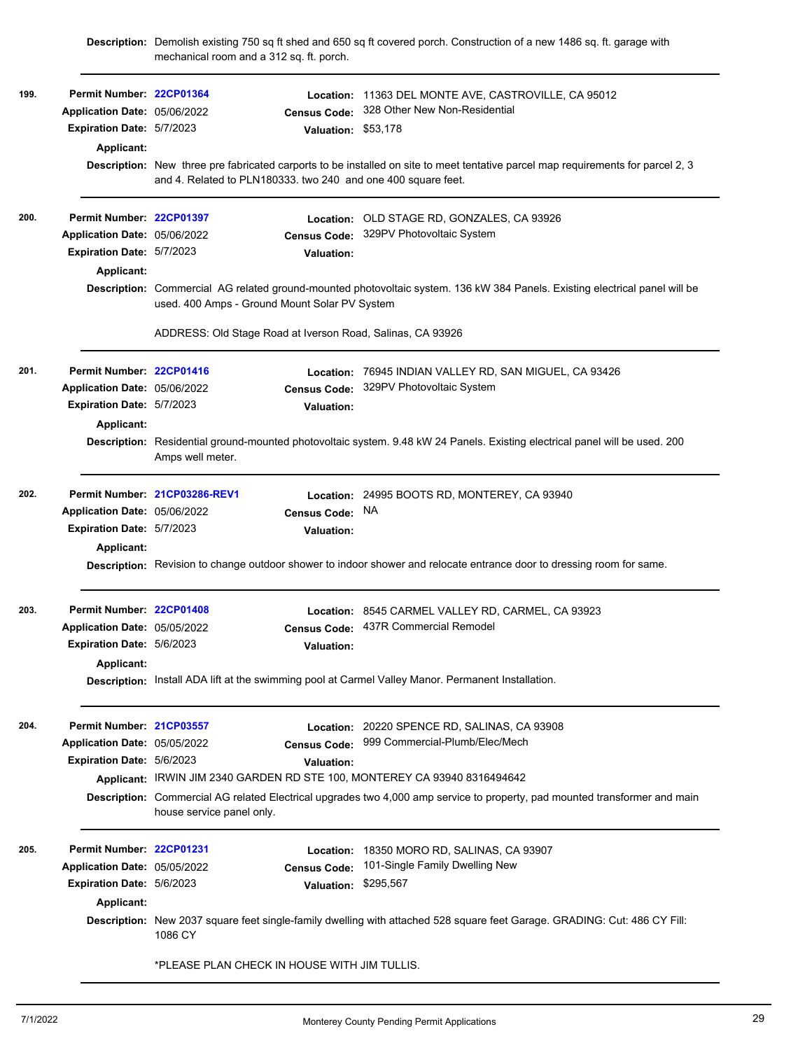mechanical room and a 312 sq. ft. porch. \$53,178 **Valuation: Permit Number: [22CP01364](https://aca.accela.com/monterey/Cap/CapDetail.aspx?Module=Building&TabName=Building&capID1=22BLD&capID2=00000&capID3=01885&agencyCode=MONTEREY) Expiration Date:** 5/7/2023 **Census Code: Application Date:** 328 Other New Non-Residential **199. Location:** 11363 DEL MONTE AVE, CASTROVILLE, CA 95012 Application Date: 05/06/2022 **Applicant: Description:** New three pre fabricated carports to be installed on site to meet tentative parcel map requirements for parcel 2, 3 and 4. Related to PLN180333. two 240 and one 400 square feet. **Permit Number: [22CP01397](https://aca.accela.com/monterey/Cap/CapDetail.aspx?Module=Building&TabName=Building&capID1=22BLD&capID2=00000&capID3=01937&agencyCode=MONTEREY) Expiration Date:** 5/7/2023 **Census Code: Application Date:** 329PV Photovoltaic System **Valuation: 200. Location:** OLD STAGE RD, GONZALES, CA 93926 Application Date: 05/06/2022 **Applicant: Description:** Commercial AG related ground-mounted photovoltaic system. 136 kW 384 Panels. Existing electrical panel will be used. 400 Amps - Ground Mount Solar PV System ADDRESS: Old Stage Road at Iverson Road, Salinas, CA 93926 **Permit Number: [22CP01416](https://aca.accela.com/monterey/Cap/CapDetail.aspx?Module=Building&TabName=Building&capID1=22BLD&capID2=00000&capID3=01967&agencyCode=MONTEREY) Expiration Date:** 5/7/2023 **Census Code: Application Date:** 329PV Photovoltaic System **Valuation: 201. Location:** 76945 INDIAN VALLEY RD, SAN MIGUEL, CA 93426 Application Date: 05/06/2022 **Applicant: Description:** Residential ground-mounted photovoltaic system. 9.48 kW 24 Panels. Existing electrical panel will be used. 200 Amps well meter. **Permit Number: [21CP03286-REV1](https://aca.accela.com/monterey/Cap/CapDetail.aspx?Module=Building&TabName=Building&capID1=22BLD&capID2=00000&capID3=01975&agencyCode=MONTEREY) Expiration Date:** 5/7/2023 **Census Code: Valuation: 202. Location:** 24995 BOOTS RD, MONTEREY, CA 93940 Application Date: 05/06/2022 Census Code: NA **Applicant: Description:** Revision to change outdoor shower to indoor shower and relocate entrance door to dressing room for same. **Permit Number: [22CP01408](https://aca.accela.com/monterey/Cap/CapDetail.aspx?Module=Building&TabName=Building&capID1=22BLD&capID2=00000&capID3=01954&agencyCode=MONTEREY) Expiration Date:** 5/6/2023 **Census Code: Application Date:** 437R Commercial Remodel **Valuation: 203. Location:** 8545 CARMEL VALLEY RD, CARMEL, CA 93923 Application Date: 05/05/2022 **Applicant: Description:** Install ADA lift at the swimming pool at Carmel Valley Manor. Permanent Installation. **Permit Number: [21CP03557](https://aca.accela.com/monterey/Cap/CapDetail.aspx?Module=Building&TabName=Building&capID1=21BLD&capID2=00000&capID3=05241&agencyCode=MONTEREY) Expiration Date:** 5/6/2023 **Census Code: Application Date:** 999 Commercial-Plumb/Elec/Mech **Valuation: 204. Location:** 20220 SPENCE RD, SALINAS, CA 93908 Application Date: 05/05/2022 **Applicant:** IRWIN JIM 2340 GARDEN RD STE 100, MONTEREY CA 93940 8316494642 **Description:** Commercial AG related Electrical upgrades two 4,000 amp service to property, pad mounted transformer and main house service panel only. \$295,567 **Valuation: Permit Number: [22CP01231](https://aca.accela.com/monterey/Cap/CapDetail.aspx?Module=Building&TabName=Building&capID1=22BLD&capID2=00000&capID3=01723&agencyCode=MONTEREY) Expiration Date:** 5/6/2023 Application Date: 05/05/2022 **Census Code:** 101-Single Family Dwelling New **205. Location:** 18350 MORO RD, SALINAS, CA 93907 Application Date: 05/05/2022 **Applicant: Description:** New 2037 square feet single-family dwelling with attached 528 square feet Garage. GRADING: Cut: 486 CY Fill: 1086 CY \*PLEASE PLAN CHECK IN HOUSE WITH JIM TULLIS.

**Description:** Demolish existing 750 sq ft shed and 650 sq ft covered porch. Construction of a new 1486 sq. ft. garage with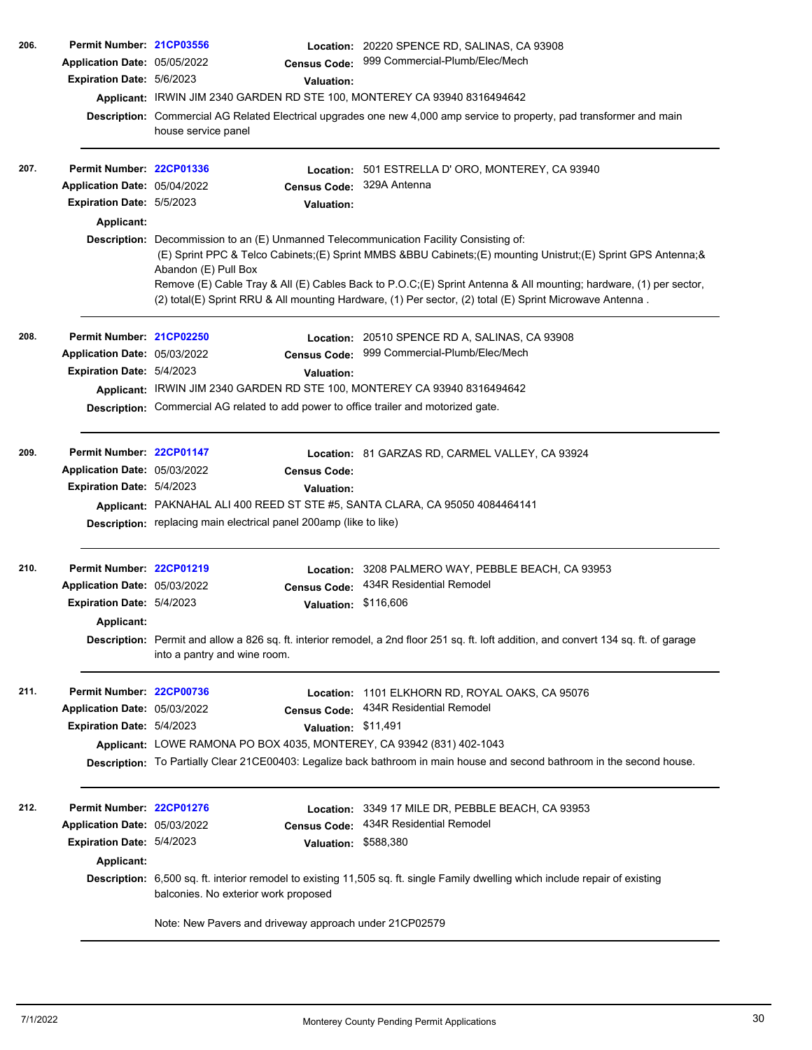| 206. | Permit Number: 21CP03556     |                                                                                                              | Location: 20220 SPENCE RD, SALINAS, CA 93908                                                                                           |  |  |  |  |
|------|------------------------------|--------------------------------------------------------------------------------------------------------------|----------------------------------------------------------------------------------------------------------------------------------------|--|--|--|--|
|      | Application Date: 05/05/2022 | <b>Census Code:</b>                                                                                          | 999 Commercial-Plumb/Elec/Mech                                                                                                         |  |  |  |  |
|      | Expiration Date: 5/6/2023    | Valuation:                                                                                                   |                                                                                                                                        |  |  |  |  |
|      |                              | Applicant: IRWIN JIM 2340 GARDEN RD STE 100, MONTEREY CA 93940 8316494642                                    |                                                                                                                                        |  |  |  |  |
|      |                              |                                                                                                              | Description: Commercial AG Related Electrical upgrades one new 4,000 amp service to property, pad transformer and main                 |  |  |  |  |
|      |                              | house service panel                                                                                          |                                                                                                                                        |  |  |  |  |
|      |                              |                                                                                                              |                                                                                                                                        |  |  |  |  |
| 207. | Permit Number: 22CP01336     | Location:                                                                                                    | 501 ESTRELLA D'ORO, MONTEREY, CA 93940                                                                                                 |  |  |  |  |
|      | Application Date: 05/04/2022 | <b>Census Code:</b>                                                                                          | 329A Antenna                                                                                                                           |  |  |  |  |
|      | Expiration Date: 5/5/2023    | Valuation:                                                                                                   |                                                                                                                                        |  |  |  |  |
|      | Applicant:                   |                                                                                                              |                                                                                                                                        |  |  |  |  |
|      |                              | Description: Decommission to an (E) Unmanned Telecommunication Facility Consisting of:                       |                                                                                                                                        |  |  |  |  |
|      |                              | (E) Sprint PPC & Telco Cabinets;(E) Sprint MMBS &BBU Cabinets;(E) mounting Unistrut;(E) Sprint GPS Antenna;& |                                                                                                                                        |  |  |  |  |
|      |                              | Abandon (E) Pull Box                                                                                         |                                                                                                                                        |  |  |  |  |
|      |                              |                                                                                                              | Remove (E) Cable Tray & All (E) Cables Back to P.O.C;(E) Sprint Antenna & All mounting; hardware, (1) per sector,                      |  |  |  |  |
|      |                              |                                                                                                              | (2) total(E) Sprint RRU & All mounting Hardware, (1) Per sector, (2) total (E) Sprint Microwave Antenna.                               |  |  |  |  |
| 208. | Permit Number: 21CP02250     |                                                                                                              |                                                                                                                                        |  |  |  |  |
|      |                              |                                                                                                              | Location: 20510 SPENCE RD A, SALINAS, CA 93908<br>999 Commercial-Plumb/Elec/Mech                                                       |  |  |  |  |
|      | Application Date: 05/03/2022 | <b>Census Code:</b>                                                                                          |                                                                                                                                        |  |  |  |  |
|      | Expiration Date: 5/4/2023    | Valuation:                                                                                                   |                                                                                                                                        |  |  |  |  |
|      |                              | Applicant: IRWIN JIM 2340 GARDEN RD STE 100, MONTEREY CA 93940 8316494642                                    |                                                                                                                                        |  |  |  |  |
|      |                              | Description: Commercial AG related to add power to office trailer and motorized gate.                        |                                                                                                                                        |  |  |  |  |
| 209. | Permit Number: 22CP01147     |                                                                                                              |                                                                                                                                        |  |  |  |  |
|      | Application Date: 05/03/2022 |                                                                                                              | Location: 81 GARZAS RD, CARMEL VALLEY, CA 93924                                                                                        |  |  |  |  |
|      | Expiration Date: 5/4/2023    | <b>Census Code:</b>                                                                                          |                                                                                                                                        |  |  |  |  |
|      |                              | <b>Valuation:</b>                                                                                            |                                                                                                                                        |  |  |  |  |
|      |                              | Applicant: PAKNAHAL ALI 400 REED ST STE #5, SANTA CLARA, CA 95050 4084464141                                 |                                                                                                                                        |  |  |  |  |
|      |                              | Description: replacing main electrical panel 200amp (like to like)                                           |                                                                                                                                        |  |  |  |  |
| 210. | Permit Number: 22CP01219     |                                                                                                              | Location: 3208 PALMERO WAY, PEBBLE BEACH, CA 93953                                                                                     |  |  |  |  |
|      | Application Date: 05/03/2022 | <b>Census Code:</b>                                                                                          | 434R Residential Remodel                                                                                                               |  |  |  |  |
|      | Expiration Date: 5/4/2023    | <b>Valuation:</b>                                                                                            | \$116,606                                                                                                                              |  |  |  |  |
|      | Applicant:                   |                                                                                                              |                                                                                                                                        |  |  |  |  |
|      |                              |                                                                                                              | Description: Permit and allow a 826 sq. ft. interior remodel, a 2nd floor 251 sq. ft. loft addition, and convert 134 sq. ft. of garage |  |  |  |  |
|      |                              | into a pantry and wine room.                                                                                 |                                                                                                                                        |  |  |  |  |
|      |                              |                                                                                                              |                                                                                                                                        |  |  |  |  |
| 211. | Permit Number: 22CP00736     |                                                                                                              | Location: 1101 ELKHORN RD, ROYAL OAKS, CA 95076                                                                                        |  |  |  |  |
|      | Application Date: 05/03/2022 | <b>Census Code:</b>                                                                                          | 434R Residential Remodel                                                                                                               |  |  |  |  |
|      | Expiration Date: 5/4/2023    | Valuation: \$11,491                                                                                          |                                                                                                                                        |  |  |  |  |
|      |                              | Applicant: LOWE RAMONA PO BOX 4035, MONTEREY, CA 93942 (831) 402-1043                                        |                                                                                                                                        |  |  |  |  |
|      |                              |                                                                                                              | Description: To Partially Clear 21CE00403: Legalize back bathroom in main house and second bathroom in the second house.               |  |  |  |  |
|      |                              |                                                                                                              |                                                                                                                                        |  |  |  |  |
| 212. | Permit Number: 22CP01276     |                                                                                                              | Location: 3349 17 MILE DR, PEBBLE BEACH, CA 93953                                                                                      |  |  |  |  |
|      | Application Date: 05/03/2022 | <b>Census Code:</b>                                                                                          | 434R Residential Remodel                                                                                                               |  |  |  |  |
|      | Expiration Date: 5/4/2023    | <b>Valuation:</b>                                                                                            | \$588,380                                                                                                                              |  |  |  |  |
|      | Applicant:                   |                                                                                                              |                                                                                                                                        |  |  |  |  |
|      |                              |                                                                                                              | <b>Description:</b> 6,500 sq. ft. interior remodel to existing 11,505 sq. ft. single Family dwelling which include repair of existing  |  |  |  |  |
|      |                              | balconies. No exterior work proposed                                                                         |                                                                                                                                        |  |  |  |  |
|      |                              | Note: New Pavers and driveway approach under 21CP02579                                                       |                                                                                                                                        |  |  |  |  |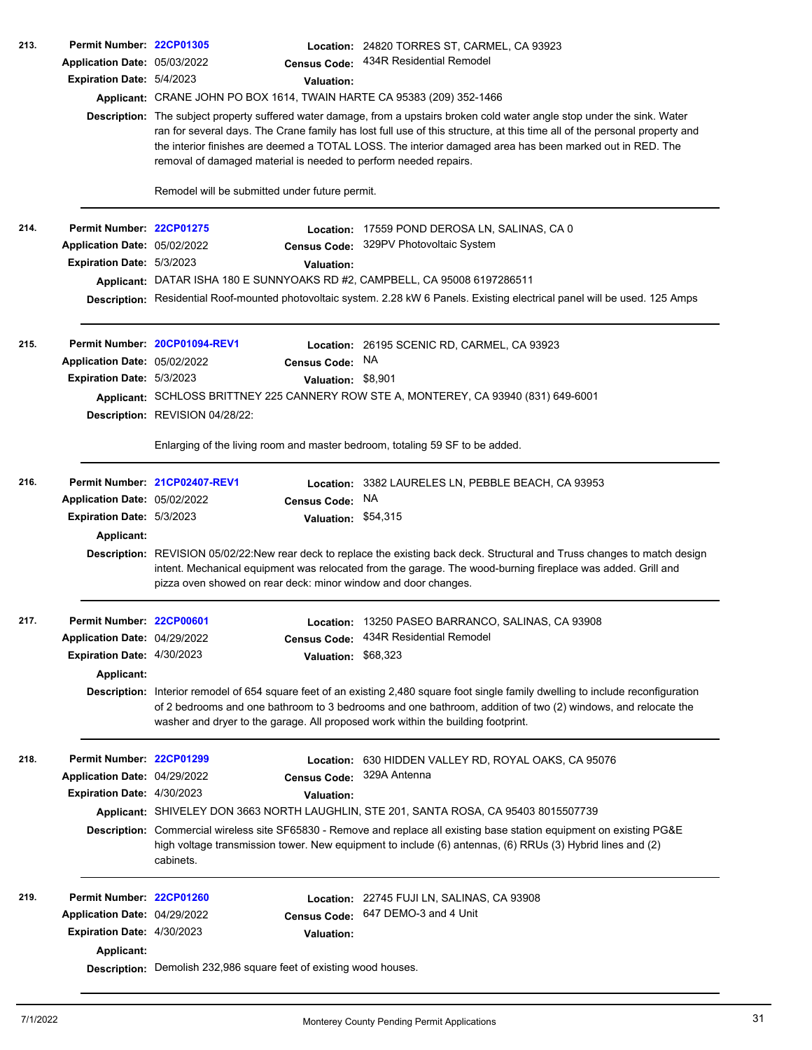| 213. | Permit Number: 22CP01305                 |                                                                              |                     | Location: 24820 TORRES ST, CARMEL, CA 93923                                                                                                                                                                                                                                                                                                                          |  |  |
|------|------------------------------------------|------------------------------------------------------------------------------|---------------------|----------------------------------------------------------------------------------------------------------------------------------------------------------------------------------------------------------------------------------------------------------------------------------------------------------------------------------------------------------------------|--|--|
|      | Application Date: 05/03/2022             |                                                                              |                     | Census Code: 434R Residential Remodel                                                                                                                                                                                                                                                                                                                                |  |  |
|      | <b>Expiration Date: 5/4/2023</b>         |                                                                              | Valuation:          |                                                                                                                                                                                                                                                                                                                                                                      |  |  |
|      |                                          | Applicant: CRANE JOHN PO BOX 1614, TWAIN HARTE CA 95383 (209) 352-1466       |                     |                                                                                                                                                                                                                                                                                                                                                                      |  |  |
|      |                                          | removal of damaged material is needed to perform needed repairs.             |                     | Description: The subject property suffered water damage, from a upstairs broken cold water angle stop under the sink. Water<br>ran for several days. The Crane family has lost full use of this structure, at this time all of the personal property and<br>the interior finishes are deemed a TOTAL LOSS. The interior damaged area has been marked out in RED. The |  |  |
|      |                                          | Remodel will be submitted under future permit.                               |                     |                                                                                                                                                                                                                                                                                                                                                                      |  |  |
| 214. | Permit Number: 22CP01275                 |                                                                              |                     | Location: 17559 POND DEROSA LN, SALINAS, CA 0                                                                                                                                                                                                                                                                                                                        |  |  |
|      | Application Date: 05/02/2022             |                                                                              |                     | Census Code: 329PV Photovoltaic System                                                                                                                                                                                                                                                                                                                               |  |  |
|      | Expiration Date: 5/3/2023                |                                                                              | <b>Valuation:</b>   |                                                                                                                                                                                                                                                                                                                                                                      |  |  |
|      |                                          |                                                                              |                     | Applicant: DATAR ISHA 180 E SUNNYOAKS RD #2, CAMPBELL, CA 95008 6197286511                                                                                                                                                                                                                                                                                           |  |  |
|      |                                          |                                                                              |                     | Description: Residential Roof-mounted photovoltaic system. 2.28 kW 6 Panels. Existing electrical panel will be used. 125 Amps                                                                                                                                                                                                                                        |  |  |
| 215. |                                          | Permit Number 20CP01094-REV1                                                 |                     | Location: 26195 SCENIC RD, CARMEL, CA 93923                                                                                                                                                                                                                                                                                                                          |  |  |
|      | Application Date: 05/02/2022             |                                                                              | Census Code:        | NA                                                                                                                                                                                                                                                                                                                                                                   |  |  |
|      | Expiration Date: 5/3/2023                |                                                                              | Valuation: \$8,901  |                                                                                                                                                                                                                                                                                                                                                                      |  |  |
|      |                                          |                                                                              |                     | Applicant: SCHLOSS BRITTNEY 225 CANNERY ROW STE A, MONTEREY, CA 93940 (831) 649-6001                                                                                                                                                                                                                                                                                 |  |  |
|      |                                          | Description: REVISION 04/28/22:                                              |                     |                                                                                                                                                                                                                                                                                                                                                                      |  |  |
|      |                                          | Enlarging of the living room and master bedroom, totaling 59 SF to be added. |                     |                                                                                                                                                                                                                                                                                                                                                                      |  |  |
| 216. |                                          | Permit Number 21CP02407-REV1                                                 |                     | Location: 3382 LAURELES LN, PEBBLE BEACH, CA 93953                                                                                                                                                                                                                                                                                                                   |  |  |
|      | Application Date: 05/02/2022             |                                                                              | <b>Census Code:</b> | NA.                                                                                                                                                                                                                                                                                                                                                                  |  |  |
|      | Expiration Date: 5/3/2023                |                                                                              | Valuation: \$54,315 |                                                                                                                                                                                                                                                                                                                                                                      |  |  |
|      | Applicant:                               |                                                                              |                     |                                                                                                                                                                                                                                                                                                                                                                      |  |  |
|      |                                          | pizza oven showed on rear deck: minor window and door changes.               |                     | Description: REVISION 05/02/22:New rear deck to replace the existing back deck. Structural and Truss changes to match design<br>intent. Mechanical equipment was relocated from the garage. The wood-burning fireplace was added. Grill and                                                                                                                          |  |  |
| 217. | Permit Number: 22CP00601                 |                                                                              |                     | Location: 13250 PASEO BARRANCO, SALINAS, CA 93908                                                                                                                                                                                                                                                                                                                    |  |  |
|      | Application Date: 04/29/2022             |                                                                              | <b>Census Code:</b> | 434R Residential Remodel                                                                                                                                                                                                                                                                                                                                             |  |  |
|      | Expiration Date: 4/30/2023               |                                                                              | <b>Valuation:</b>   | \$68,323                                                                                                                                                                                                                                                                                                                                                             |  |  |
|      | <b>Applicant:</b>                        |                                                                              |                     |                                                                                                                                                                                                                                                                                                                                                                      |  |  |
|      |                                          |                                                                              |                     | Description: Interior remodel of 654 square feet of an existing 2,480 square foot single family dwelling to include reconfiguration<br>of 2 bedrooms and one bathroom to 3 bedrooms and one bathroom, addition of two (2) windows, and relocate the<br>washer and dryer to the garage. All proposed work within the building footprint.                              |  |  |
| 218. | Permit Number: 22CP01299                 |                                                                              |                     | Location: 630 HIDDEN VALLEY RD, ROYAL OAKS, CA 95076                                                                                                                                                                                                                                                                                                                 |  |  |
|      | Application Date: 04/29/2022             |                                                                              | <b>Census Code:</b> | 329A Antenna                                                                                                                                                                                                                                                                                                                                                         |  |  |
|      | <b>Expiration Date: 4/30/2023</b>        |                                                                              | <b>Valuation:</b>   |                                                                                                                                                                                                                                                                                                                                                                      |  |  |
|      |                                          |                                                                              |                     | Applicant: SHIVELEY DON 3663 NORTH LAUGHLIN, STE 201, SANTA ROSA, CA 95403 8015507739                                                                                                                                                                                                                                                                                |  |  |
|      |                                          | cabinets.                                                                    |                     | Description: Commercial wireless site SF65830 - Remove and replace all existing base station equipment on existing PG&E<br>high voltage transmission tower. New equipment to include (6) antennas, (6) RRUs (3) Hybrid lines and (2)                                                                                                                                 |  |  |
| 219. | Permit Number: 22CP01260                 |                                                                              |                     | Location: 22745 FUJI LN, SALINAS, CA 93908                                                                                                                                                                                                                                                                                                                           |  |  |
|      | Application Date: 04/29/2022             |                                                                              | <b>Census Code:</b> | 647 DEMO-3 and 4 Unit                                                                                                                                                                                                                                                                                                                                                |  |  |
|      | Expiration Date: 4/30/2023<br>Applicant: |                                                                              | <b>Valuation:</b>   |                                                                                                                                                                                                                                                                                                                                                                      |  |  |
|      |                                          | Description: Demolish 232,986 square feet of existing wood houses.           |                     |                                                                                                                                                                                                                                                                                                                                                                      |  |  |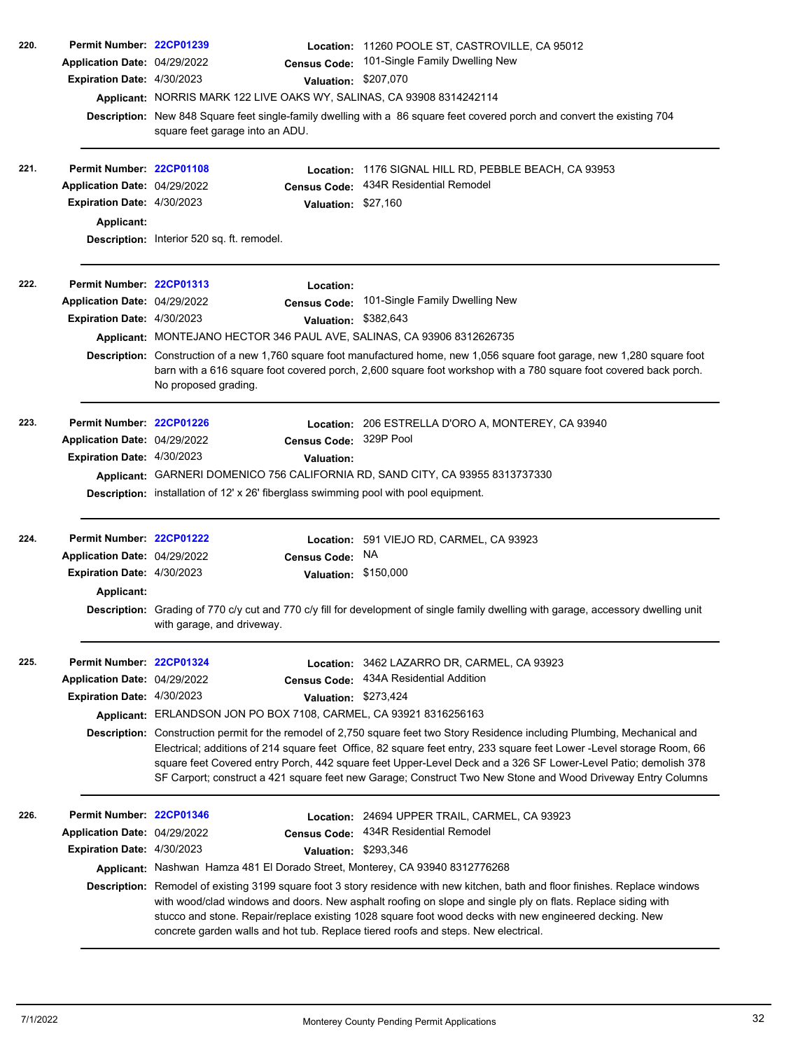| 220. | Permit Number: 22CP01239<br>Application Date: 04/29/2022<br>Expiration Date: 4/30/2023                      | <b>Census Code:</b><br>Applicant: NORRIS MARK 122 LIVE OAKS WY, SALINAS, CA 93908 8314242114<br>square feet garage into an ADU. | <b>Valuation:</b>              | Location: 11260 POOLE ST, CASTROVILLE, CA 95012<br>101-Single Family Dwelling New<br>\$207,070<br>Description: New 848 Square feet single-family dwelling with a 86 square feet covered porch and convert the existing 704                                                                                                                                                                                                                                                                                                                                                                |
|------|-------------------------------------------------------------------------------------------------------------|---------------------------------------------------------------------------------------------------------------------------------|--------------------------------|-------------------------------------------------------------------------------------------------------------------------------------------------------------------------------------------------------------------------------------------------------------------------------------------------------------------------------------------------------------------------------------------------------------------------------------------------------------------------------------------------------------------------------------------------------------------------------------------|
| 221. | Permit Number: 22CP01108<br>Application Date: 04/29/2022<br>Expiration Date: 4/30/2023<br><b>Applicant:</b> | <b>Census Code:</b>                                                                                                             | Location:                      | 1176 SIGNAL HILL RD, PEBBLE BEACH, CA 93953<br>434R Residential Remodel<br>Valuation: \$27,160                                                                                                                                                                                                                                                                                                                                                                                                                                                                                            |
|      |                                                                                                             | Description: Interior 520 sq. ft. remodel.                                                                                      |                                |                                                                                                                                                                                                                                                                                                                                                                                                                                                                                                                                                                                           |
| 222. | Permit Number: 22CP01313<br>Application Date: 04/29/2022<br>Expiration Date: 4/30/2023                      | <b>Census Code:</b>                                                                                                             | Location:                      | 101-Single Family Dwelling New<br>Valuation: \$382,643                                                                                                                                                                                                                                                                                                                                                                                                                                                                                                                                    |
|      |                                                                                                             | Applicant: MONTEJANO HECTOR 346 PAUL AVE, SALINAS, CA 93906 8312626735<br>No proposed grading.                                  |                                | Description: Construction of a new 1,760 square foot manufactured home, new 1,056 square foot garage, new 1,280 square foot<br>barn with a 616 square foot covered porch, 2,600 square foot workshop with a 780 square foot covered back porch.                                                                                                                                                                                                                                                                                                                                           |
| 223. | Permit Number: 22CP01226<br>Application Date: 04/29/2022<br>Expiration Date: 4/30/2023                      | <b>Census Code:</b><br>Description: installation of 12' x 26' fiberglass swimming pool with pool equipment.                     | Location:<br><b>Valuation:</b> | 206 ESTRELLA D'ORO A, MONTEREY, CA 93940<br>329P Pool<br>Applicant: GARNERI DOMENICO 756 CALIFORNIA RD, SAND CITY, CA 93955 8313737330                                                                                                                                                                                                                                                                                                                                                                                                                                                    |
| 224. | Permit Number: 22CP01222<br>Application Date: 04/29/2022<br><b>Expiration Date: 4/30/2023</b><br>Applicant: | <b>Census Code:</b><br>with garage, and driveway.                                                                               | <b>Valuation:</b>              | Location: 591 VIEJO RD, CARMEL, CA 93923<br>NA<br>\$150,000<br>Description: Grading of 770 c/y cut and 770 c/y fill for development of single family dwelling with garage, accessory dwelling unit                                                                                                                                                                                                                                                                                                                                                                                        |
| 225. | Permit Number: 22CP01324<br>Application Date: 04/29/2022<br><b>Expiration Date: 4/30/2023</b>               | <b>Census Code:</b><br>Applicant: ERLANDSON JON PO BOX 7108, CARMEL, CA 93921 8316256163                                        |                                | Location: 3462 LAZARRO DR, CARMEL, CA 93923<br>434A Residential Addition<br>Valuation: \$273,424<br>Description: Construction permit for the remodel of 2,750 square feet two Story Residence including Plumbing, Mechanical and<br>Electrical; additions of 214 square feet Office, 82 square feet entry, 233 square feet Lower -Level storage Room, 66<br>square feet Covered entry Porch, 442 square feet Upper-Level Deck and a 326 SF Lower-Level Patio; demolish 378<br>SF Carport; construct a 421 square feet new Garage; Construct Two New Stone and Wood Driveway Entry Columns |
| 226. | Permit Number: 22CP01346<br>Application Date: 04/29/2022<br>Expiration Date: 4/30/2023                      | <b>Census Code:</b><br>Applicant: Nashwan Hamza 481 El Dorado Street, Monterey, CA 93940 8312776268                             |                                | Location: 24694 UPPER TRAIL, CARMEL, CA 93923<br>434R Residential Remodel<br>Valuation: \$293,346<br>Description: Remodel of existing 3199 square foot 3 story residence with new kitchen, bath and floor finishes. Replace windows<br>with wood/clad windows and doors. New asphalt roofing on slope and single ply on flats. Replace siding with<br>stucco and stone. Repair/replace existing 1028 square foot wood decks with new engineered decking. New<br>concrete garden walls and hot tub. Replace tiered roofs and steps. New electrical.                                        |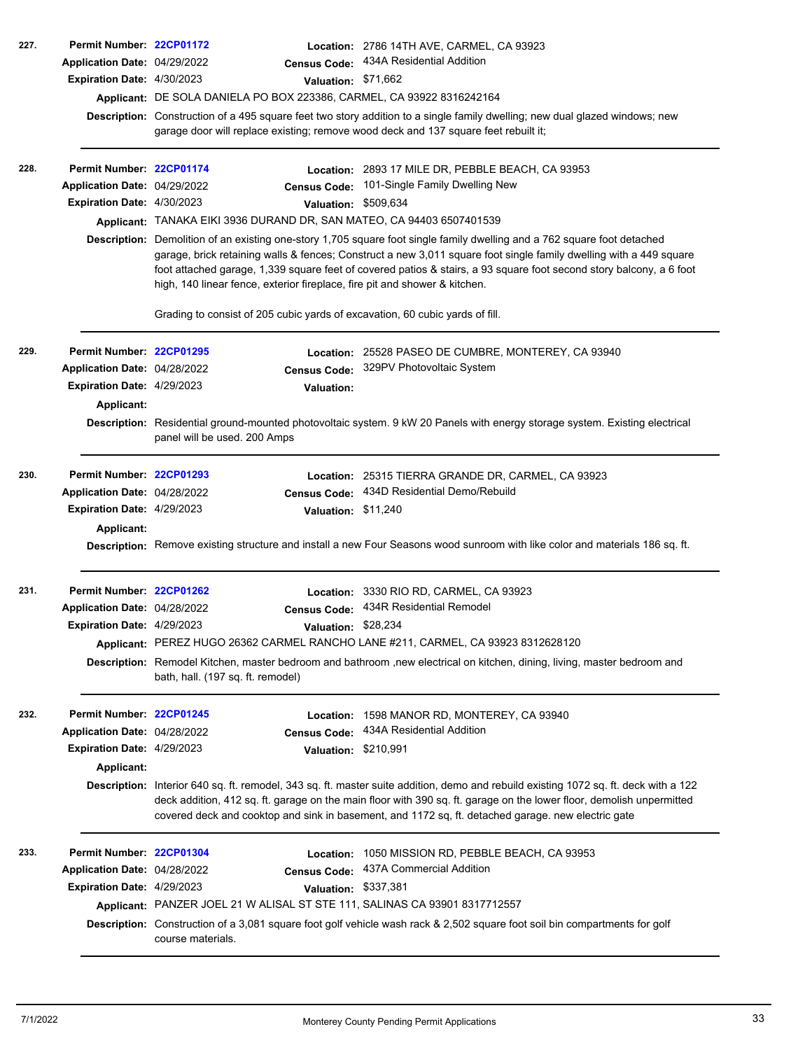| 227.<br>Permit Number: 22CP01172  |                                                                                                                                                                                                                                                                                                                                                                    |                      | Location: 2786 14TH AVE, CARMEL, CA 93923                                                                                                                                                                                                                                                                                                                             |  |  |
|-----------------------------------|--------------------------------------------------------------------------------------------------------------------------------------------------------------------------------------------------------------------------------------------------------------------------------------------------------------------------------------------------------------------|----------------------|-----------------------------------------------------------------------------------------------------------------------------------------------------------------------------------------------------------------------------------------------------------------------------------------------------------------------------------------------------------------------|--|--|
| Application Date: 04/29/2022      |                                                                                                                                                                                                                                                                                                                                                                    |                      | Census Code: 434A Residential Addition                                                                                                                                                                                                                                                                                                                                |  |  |
| Expiration Date: 4/30/2023        |                                                                                                                                                                                                                                                                                                                                                                    | Valuation: \$71,662  |                                                                                                                                                                                                                                                                                                                                                                       |  |  |
|                                   | Applicant: DE SOLA DANIELA PO BOX 223386, CARMEL, CA 93922 8316242164                                                                                                                                                                                                                                                                                              |                      |                                                                                                                                                                                                                                                                                                                                                                       |  |  |
|                                   |                                                                                                                                                                                                                                                                                                                                                                    |                      | Description: Construction of a 495 square feet two story addition to a single family dwelling; new dual glazed windows; new<br>garage door will replace existing; remove wood deck and 137 square feet rebuilt it;                                                                                                                                                    |  |  |
| 228.<br>Permit Number: 22CP01174  |                                                                                                                                                                                                                                                                                                                                                                    |                      | Location: 2893 17 MILE DR, PEBBLE BEACH, CA 93953                                                                                                                                                                                                                                                                                                                     |  |  |
| Application Date: 04/29/2022      |                                                                                                                                                                                                                                                                                                                                                                    | <b>Census Code:</b>  | 101-Single Family Dwelling New                                                                                                                                                                                                                                                                                                                                        |  |  |
| Expiration Date: 4/30/2023        |                                                                                                                                                                                                                                                                                                                                                                    | Valuation: \$509,634 |                                                                                                                                                                                                                                                                                                                                                                       |  |  |
|                                   | Applicant: TANAKA EIKI 3936 DURAND DR, SAN MATEO, CA 94403 6507401539                                                                                                                                                                                                                                                                                              |                      |                                                                                                                                                                                                                                                                                                                                                                       |  |  |
|                                   | high, 140 linear fence, exterior fireplace, fire pit and shower & kitchen.                                                                                                                                                                                                                                                                                         |                      | Description: Demolition of an existing one-story 1,705 square foot single family dwelling and a 762 square foot detached<br>garage, brick retaining walls & fences; Construct a new 3,011 square foot single family dwelling with a 449 square<br>foot attached garage, 1,339 square feet of covered patios & stairs, a 93 square foot second story balcony, a 6 foot |  |  |
|                                   | Grading to consist of 205 cubic yards of excavation, 60 cubic yards of fill.                                                                                                                                                                                                                                                                                       |                      |                                                                                                                                                                                                                                                                                                                                                                       |  |  |
| 229.<br>Permit Number: 22CP01295  |                                                                                                                                                                                                                                                                                                                                                                    |                      | Location: 25528 PASEO DE CUMBRE, MONTEREY, CA 93940                                                                                                                                                                                                                                                                                                                   |  |  |
| Application Date: 04/28/2022      |                                                                                                                                                                                                                                                                                                                                                                    |                      | Census Code: 329PV Photovoltaic System                                                                                                                                                                                                                                                                                                                                |  |  |
| Expiration Date: 4/29/2023        |                                                                                                                                                                                                                                                                                                                                                                    | Valuation:           |                                                                                                                                                                                                                                                                                                                                                                       |  |  |
| Applicant:                        |                                                                                                                                                                                                                                                                                                                                                                    |                      |                                                                                                                                                                                                                                                                                                                                                                       |  |  |
|                                   | panel will be used. 200 Amps                                                                                                                                                                                                                                                                                                                                       |                      | Description: Residential ground-mounted photovoltaic system. 9 kW 20 Panels with energy storage system. Existing electrical                                                                                                                                                                                                                                           |  |  |
| 230.<br>Permit Number: 22CP01293  |                                                                                                                                                                                                                                                                                                                                                                    |                      | Location: 25315 TIERRA GRANDE DR, CARMEL, CA 93923                                                                                                                                                                                                                                                                                                                    |  |  |
| Application Date: 04/28/2022      |                                                                                                                                                                                                                                                                                                                                                                    | <b>Census Code:</b>  | 434D Residential Demo/Rebuild                                                                                                                                                                                                                                                                                                                                         |  |  |
| <b>Expiration Date: 4/29/2023</b> |                                                                                                                                                                                                                                                                                                                                                                    | Valuation: \$11,240  |                                                                                                                                                                                                                                                                                                                                                                       |  |  |
| <b>Applicant:</b>                 |                                                                                                                                                                                                                                                                                                                                                                    |                      |                                                                                                                                                                                                                                                                                                                                                                       |  |  |
|                                   |                                                                                                                                                                                                                                                                                                                                                                    |                      | Description: Remove existing structure and install a new Four Seasons wood sunroom with like color and materials 186 sq. ft.                                                                                                                                                                                                                                          |  |  |
| 231.<br>Permit Number: 22CP01262  |                                                                                                                                                                                                                                                                                                                                                                    |                      | Location: 3330 RIO RD, CARMEL, CA 93923                                                                                                                                                                                                                                                                                                                               |  |  |
| Application Date: 04/28/2022      |                                                                                                                                                                                                                                                                                                                                                                    |                      | Census Code: 434R Residential Remodel                                                                                                                                                                                                                                                                                                                                 |  |  |
| Expiration Date: 4/29/2023        |                                                                                                                                                                                                                                                                                                                                                                    | Valuation: \$28,234  |                                                                                                                                                                                                                                                                                                                                                                       |  |  |
|                                   |                                                                                                                                                                                                                                                                                                                                                                    |                      | Applicant: PEREZ HUGO 26362 CARMEL RANCHO LANE #211, CARMEL, CA 93923 8312628120                                                                                                                                                                                                                                                                                      |  |  |
|                                   | bath, hall. (197 sq. ft. remodel)                                                                                                                                                                                                                                                                                                                                  |                      | Description: Remodel Kitchen, master bedroom and bathroom ,new electrical on kitchen, dining, living, master bedroom and                                                                                                                                                                                                                                              |  |  |
| 232.<br>Permit Number: 22CP01245  |                                                                                                                                                                                                                                                                                                                                                                    | Location:            | 1598 MANOR RD, MONTEREY, CA 93940                                                                                                                                                                                                                                                                                                                                     |  |  |
| Application Date: 04/28/2022      |                                                                                                                                                                                                                                                                                                                                                                    | <b>Census Code:</b>  | 434A Residential Addition                                                                                                                                                                                                                                                                                                                                             |  |  |
| Expiration Date: 4/29/2023        |                                                                                                                                                                                                                                                                                                                                                                    | Valuation: \$210,991 |                                                                                                                                                                                                                                                                                                                                                                       |  |  |
| <b>Applicant:</b>                 |                                                                                                                                                                                                                                                                                                                                                                    |                      |                                                                                                                                                                                                                                                                                                                                                                       |  |  |
|                                   | Description: Interior 640 sq. ft. remodel, 343 sq. ft. master suite addition, demo and rebuild existing 1072 sq. ft. deck with a 122<br>deck addition, 412 sq. ft. garage on the main floor with 390 sq. ft. garage on the lower floor, demolish unpermitted<br>covered deck and cooktop and sink in basement, and 1172 sq, ft. detached garage. new electric gate |                      |                                                                                                                                                                                                                                                                                                                                                                       |  |  |
| 233.<br>Permit Number: 22CP01304  |                                                                                                                                                                                                                                                                                                                                                                    |                      | Location: 1050 MISSION RD, PEBBLE BEACH, CA 93953                                                                                                                                                                                                                                                                                                                     |  |  |
| Application Date: 04/28/2022      |                                                                                                                                                                                                                                                                                                                                                                    | <b>Census Code:</b>  | 437A Commercial Addition                                                                                                                                                                                                                                                                                                                                              |  |  |
| Expiration Date: 4/29/2023        |                                                                                                                                                                                                                                                                                                                                                                    | Valuation: \$337,381 |                                                                                                                                                                                                                                                                                                                                                                       |  |  |
|                                   | Applicant: PANZER JOEL 21 W ALISAL ST STE 111, SALINAS CA 93901 8317712557                                                                                                                                                                                                                                                                                         |                      |                                                                                                                                                                                                                                                                                                                                                                       |  |  |
|                                   | course materials.                                                                                                                                                                                                                                                                                                                                                  |                      | Description: Construction of a 3,081 square foot golf vehicle wash rack & 2,502 square foot soil bin compartments for golf                                                                                                                                                                                                                                            |  |  |
|                                   |                                                                                                                                                                                                                                                                                                                                                                    |                      |                                                                                                                                                                                                                                                                                                                                                                       |  |  |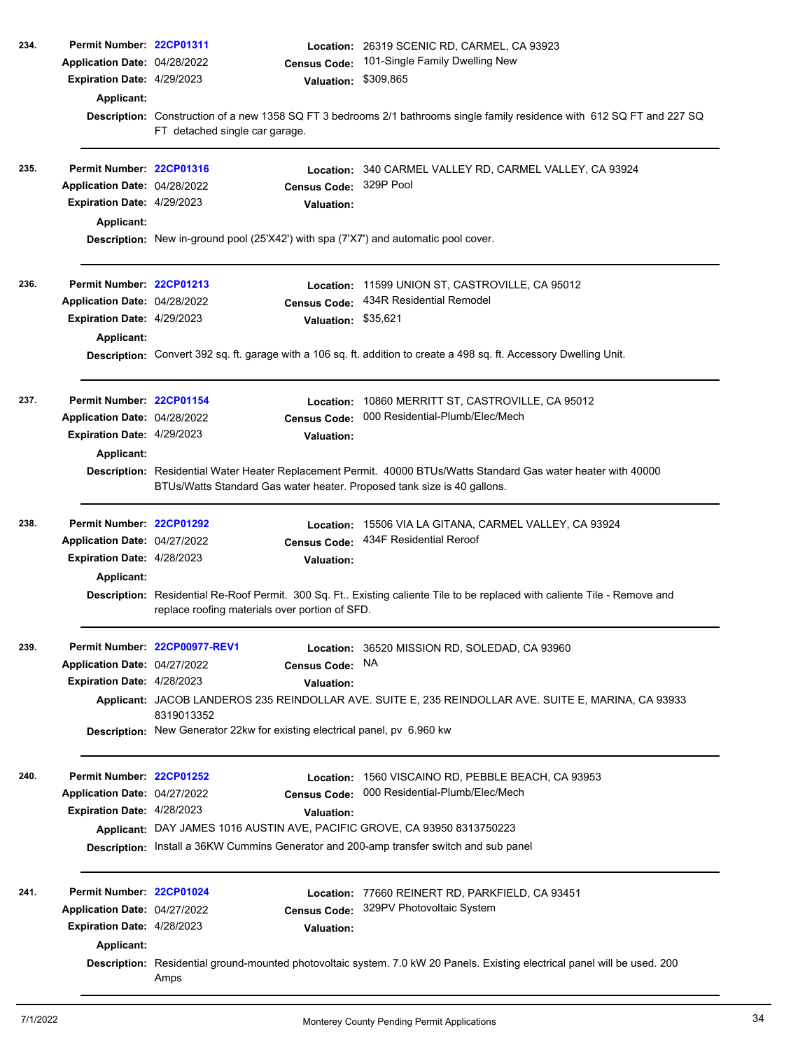| 234. | Permit Number: 22CP01311                                 |                                                                                                                                                                                            | Location: 26319 SCENIC RD, CARMEL, CA 93923                                                                                |  |  |  |  |
|------|----------------------------------------------------------|--------------------------------------------------------------------------------------------------------------------------------------------------------------------------------------------|----------------------------------------------------------------------------------------------------------------------------|--|--|--|--|
|      | Application Date: 04/28/2022                             | <b>Census Code:</b>                                                                                                                                                                        | 101-Single Family Dwelling New                                                                                             |  |  |  |  |
|      | <b>Expiration Date: 4/29/2023</b>                        | <b>Valuation:</b>                                                                                                                                                                          | \$309,865                                                                                                                  |  |  |  |  |
|      | Applicant:                                               |                                                                                                                                                                                            |                                                                                                                            |  |  |  |  |
|      |                                                          |                                                                                                                                                                                            | Description: Construction of a new 1358 SQ FT 3 bedrooms 2/1 bathrooms single family residence with 612 SQ FT and 227 SQ   |  |  |  |  |
|      |                                                          | FT detached single car garage.                                                                                                                                                             |                                                                                                                            |  |  |  |  |
|      |                                                          |                                                                                                                                                                                            |                                                                                                                            |  |  |  |  |
| 235. | Permit Number: 22CP01316                                 |                                                                                                                                                                                            | Location: 340 CARMEL VALLEY RD, CARMEL VALLEY, CA 93924                                                                    |  |  |  |  |
|      | Application Date: 04/28/2022                             | <b>Census Code:</b>                                                                                                                                                                        | 329P Pool                                                                                                                  |  |  |  |  |
|      | Expiration Date: 4/29/2023                               | <b>Valuation:</b>                                                                                                                                                                          |                                                                                                                            |  |  |  |  |
|      | Applicant:                                               |                                                                                                                                                                                            |                                                                                                                            |  |  |  |  |
|      |                                                          | Description: New in-ground pool (25'X42') with spa (7'X7') and automatic pool cover.                                                                                                       |                                                                                                                            |  |  |  |  |
|      |                                                          |                                                                                                                                                                                            |                                                                                                                            |  |  |  |  |
| 236. | Permit Number: 22CP01213                                 |                                                                                                                                                                                            | Location: 11599 UNION ST, CASTROVILLE, CA 95012                                                                            |  |  |  |  |
|      | Application Date: 04/28/2022                             | <b>Census Code:</b>                                                                                                                                                                        | 434R Residential Remodel                                                                                                   |  |  |  |  |
|      | Expiration Date: 4/29/2023                               | Valuation: \$35,621                                                                                                                                                                        |                                                                                                                            |  |  |  |  |
|      | Applicant:                                               |                                                                                                                                                                                            |                                                                                                                            |  |  |  |  |
|      |                                                          |                                                                                                                                                                                            | Description: Convert 392 sq. ft. garage with a 106 sq. ft. addition to create a 498 sq. ft. Accessory Dwelling Unit.       |  |  |  |  |
|      |                                                          |                                                                                                                                                                                            |                                                                                                                            |  |  |  |  |
| 237. | Permit Number: 22CP01154                                 |                                                                                                                                                                                            |                                                                                                                            |  |  |  |  |
|      | Application Date: 04/28/2022                             | Location:                                                                                                                                                                                  | 10860 MERRITT ST, CASTROVILLE, CA 95012<br>000 Residential-Plumb/Elec/Mech                                                 |  |  |  |  |
|      | Expiration Date: 4/29/2023                               | <b>Census Code:</b>                                                                                                                                                                        |                                                                                                                            |  |  |  |  |
|      |                                                          | <b>Valuation:</b>                                                                                                                                                                          |                                                                                                                            |  |  |  |  |
|      | Applicant:                                               |                                                                                                                                                                                            |                                                                                                                            |  |  |  |  |
|      |                                                          | Description: Residential Water Heater Replacement Permit. 40000 BTUs/Watts Standard Gas water heater with 40000<br>BTUs/Watts Standard Gas water heater. Proposed tank size is 40 gallons. |                                                                                                                            |  |  |  |  |
|      |                                                          |                                                                                                                                                                                            |                                                                                                                            |  |  |  |  |
| 238. | Permit Number: 22CP01292                                 |                                                                                                                                                                                            | Location: 15506 VIA LA GITANA, CARMEL VALLEY, CA 93924                                                                     |  |  |  |  |
|      | Application Date: 04/27/2022                             | <b>Census Code:</b>                                                                                                                                                                        | 434F Residential Reroof                                                                                                    |  |  |  |  |
|      | Expiration Date: 4/28/2023                               | <b>Valuation:</b>                                                                                                                                                                          |                                                                                                                            |  |  |  |  |
|      | Applicant:                                               |                                                                                                                                                                                            |                                                                                                                            |  |  |  |  |
|      |                                                          |                                                                                                                                                                                            | Description: Residential Re-Roof Permit. 300 Sq. Ft Existing caliente Tile to be replaced with caliente Tile - Remove and  |  |  |  |  |
|      |                                                          | replace roofing materials over portion of SFD.                                                                                                                                             |                                                                                                                            |  |  |  |  |
|      |                                                          |                                                                                                                                                                                            |                                                                                                                            |  |  |  |  |
| 239. |                                                          | Permit Number 22CP00977-REV1                                                                                                                                                               | Location: 36520 MISSION RD, SOLEDAD, CA 93960                                                                              |  |  |  |  |
|      | Application Date: 04/27/2022                             | <b>Census Code:</b>                                                                                                                                                                        | <b>NA</b>                                                                                                                  |  |  |  |  |
|      | Expiration Date: 4/28/2023                               | <b>Valuation:</b>                                                                                                                                                                          |                                                                                                                            |  |  |  |  |
|      |                                                          |                                                                                                                                                                                            | Applicant: JACOB LANDEROS 235 REINDOLLAR AVE. SUITE E, 235 REINDOLLAR AVE. SUITE E, MARINA, CA 93933                       |  |  |  |  |
|      |                                                          | 8319013352<br>Description: New Generator 22kw for existing electrical panel, pv 6.960 kw                                                                                                   |                                                                                                                            |  |  |  |  |
|      |                                                          |                                                                                                                                                                                            |                                                                                                                            |  |  |  |  |
| 240. |                                                          |                                                                                                                                                                                            |                                                                                                                            |  |  |  |  |
|      | Permit Number: 22CP01252<br>Application Date: 04/27/2022 | Location:<br><b>Census Code:</b>                                                                                                                                                           | 1560 VISCAINO RD, PEBBLE BEACH, CA 93953<br>000 Residential-Plumb/Elec/Mech                                                |  |  |  |  |
|      | Expiration Date: 4/28/2023                               |                                                                                                                                                                                            |                                                                                                                            |  |  |  |  |
|      |                                                          | <b>Valuation:</b><br>Applicant: DAY JAMES 1016 AUSTIN AVE, PACIFIC GROVE, CA 93950 8313750223                                                                                              |                                                                                                                            |  |  |  |  |
|      |                                                          | <b>Description:</b> Install a 36KW Cummins Generator and 200-amp transfer switch and sub panel                                                                                             |                                                                                                                            |  |  |  |  |
|      |                                                          |                                                                                                                                                                                            |                                                                                                                            |  |  |  |  |
|      |                                                          |                                                                                                                                                                                            |                                                                                                                            |  |  |  |  |
| 241. | Permit Number: 22CP01024                                 |                                                                                                                                                                                            | Location: 77660 REINERT RD, PARKFIELD, CA 93451                                                                            |  |  |  |  |
|      | Application Date: 04/27/2022                             | <b>Census Code:</b>                                                                                                                                                                        | 329PV Photovoltaic System                                                                                                  |  |  |  |  |
|      | Expiration Date: 4/28/2023                               | <b>Valuation:</b>                                                                                                                                                                          |                                                                                                                            |  |  |  |  |
|      | Applicant:                                               |                                                                                                                                                                                            |                                                                                                                            |  |  |  |  |
|      |                                                          |                                                                                                                                                                                            | Description: Residential ground-mounted photovoltaic system. 7.0 kW 20 Panels. Existing electrical panel will be used. 200 |  |  |  |  |
|      |                                                          | Amps                                                                                                                                                                                       |                                                                                                                            |  |  |  |  |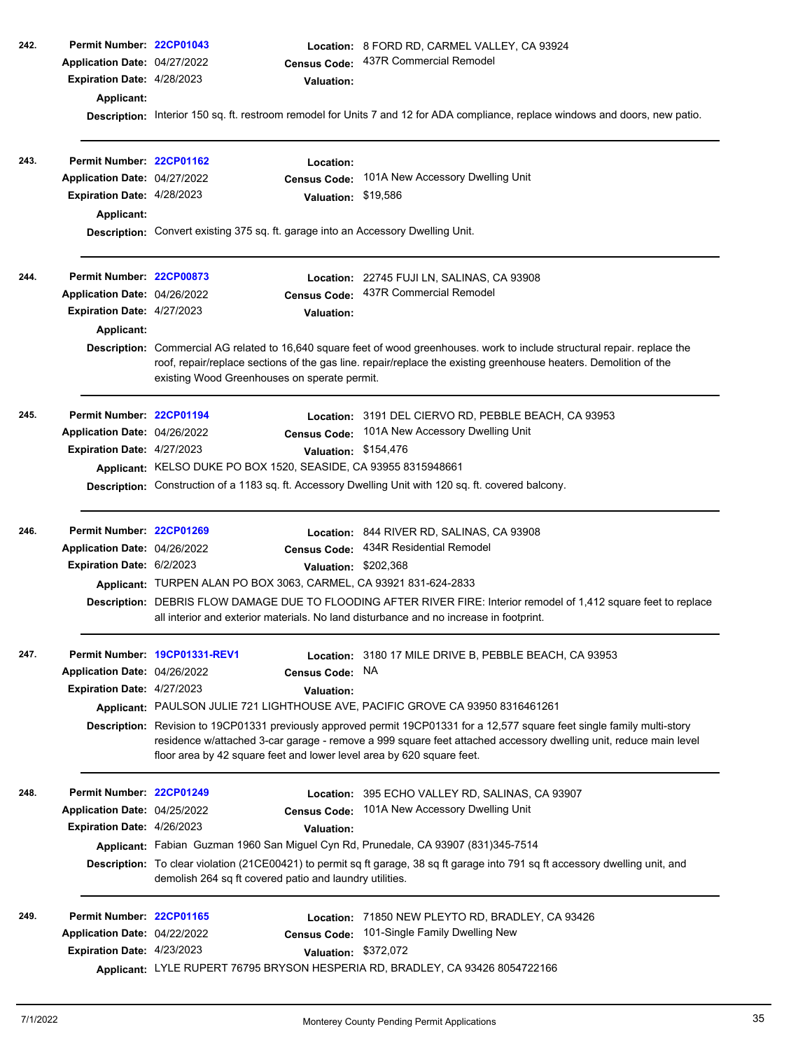| 242. | Permit Number: 22CP01043<br>Application Date: 04/27/2022<br>Expiration Date: 4/28/2023<br>Applicant:               | <b>Census Code:</b><br><b>Valuation:</b>                                                                                                                                                               | Location: 8 FORD RD, CARMEL VALLEY, CA 93924<br>437R Commercial Remodel                                                                                                                                                                                                                                                                                                                          |
|------|--------------------------------------------------------------------------------------------------------------------|--------------------------------------------------------------------------------------------------------------------------------------------------------------------------------------------------------|--------------------------------------------------------------------------------------------------------------------------------------------------------------------------------------------------------------------------------------------------------------------------------------------------------------------------------------------------------------------------------------------------|
|      |                                                                                                                    |                                                                                                                                                                                                        | Description: Interior 150 sq. ft. restroom remodel for Units 7 and 12 for ADA compliance, replace windows and doors, new patio.                                                                                                                                                                                                                                                                  |
| 243. | Permit Number: 22CP01162<br>Application Date: 04/27/2022<br>Expiration Date: 4/28/2023<br>Applicant:               | Location:<br><b>Census Code:</b><br>Valuation: \$19,586<br>Description: Convert existing 375 sq. ft. garage into an Accessory Dwelling Unit.                                                           | 101A New Accessory Dwelling Unit                                                                                                                                                                                                                                                                                                                                                                 |
| 244. | Permit Number: 22CP00873<br>Application Date: 04/26/2022<br><b>Expiration Date: 4/27/2023</b><br><b>Applicant:</b> | <b>Census Code:</b><br><b>Valuation:</b><br>existing Wood Greenhouses on sperate permit.                                                                                                               | Location: 22745 FUJI LN, SALINAS, CA 93908<br>437R Commercial Remodel<br>Description: Commercial AG related to 16,640 square feet of wood greenhouses, work to include structural repair, replace the<br>roof, repair/replace sections of the gas line. repair/replace the existing greenhouse heaters. Demolition of the                                                                        |
| 245. | Permit Number: 22CP01194<br>Application Date: 04/26/2022<br>Expiration Date: 4/27/2023                             | <b>Census Code:</b><br>Applicant: KELSO DUKE PO BOX 1520, SEASIDE, CA 93955 8315948661                                                                                                                 | Location: 3191 DEL CIERVO RD, PEBBLE BEACH, CA 93953<br>101A New Accessory Dwelling Unit<br>Valuation: \$154,476<br>Description: Construction of a 1183 sq. ft. Accessory Dwelling Unit with 120 sq. ft. covered balcony.                                                                                                                                                                        |
| 246. | Permit Number: 22CP01269<br>Application Date: 04/26/2022<br>Expiration Date: 6/2/2023                              | <b>Census Code:</b><br>Applicant: TURPEN ALAN PO BOX 3063, CARMEL, CA 93921 831-624-2833<br>all interior and exterior materials. No land disturbance and no increase in footprint.                     | Location: 844 RIVER RD, SALINAS, CA 93908<br>434R Residential Remodel<br>Valuation: \$202,368<br>Description: DEBRIS FLOW DAMAGE DUE TO FLOODING AFTER RIVER FIRE: Interior remodel of 1,412 square feet to replace                                                                                                                                                                              |
| 247. | Application Date: 04/26/2022<br><b>Expiration Date: 4/27/2023</b>                                                  | Permit Number 19CP01331-REV1<br><b>Census Code:</b><br><b>Valuation:</b><br>floor area by 42 square feet and lower level area by 620 square feet.                                                      | Location: 3180 17 MILE DRIVE B, PEBBLE BEACH, CA 93953<br>NA<br>Applicant: PAULSON JULIE 721 LIGHTHOUSE AVE, PACIFIC GROVE CA 93950 8316461261<br>Description: Revision to 19CP01331 previously approved permit 19CP01331 for a 12,577 square feet single family multi-story<br>residence w/attached 3-car garage - remove a 999 square feet attached accessory dwelling unit, reduce main level |
| 248. | Permit Number: 22CP01249<br>Application Date: 04/25/2022<br>Expiration Date: 4/26/2023                             | Location:<br><b>Census Code:</b><br><b>Valuation:</b><br>Applicant: Fabian Guzman 1960 San Miguel Cyn Rd, Prunedale, CA 93907 (831)345-7514<br>demolish 264 sq ft covered patio and laundry utilities. | 395 ECHO VALLEY RD, SALINAS, CA 93907<br>101A New Accessory Dwelling Unit<br>Description: To clear violation (21CE00421) to permit sq ft garage, 38 sq ft garage into 791 sq ft accessory dwelling unit, and                                                                                                                                                                                     |
| 249. | Permit Number: 22CP01165<br>Application Date: 04/22/2022<br>Expiration Date: 4/23/2023                             | <b>Census Code:</b>                                                                                                                                                                                    | Location: 71850 NEW PLEYTO RD, BRADLEY, CA 93426<br>101-Single Family Dwelling New<br>Valuation: \$372,072<br>Applicant: LYLE RUPERT 76795 BRYSON HESPERIA RD, BRADLEY, CA 93426 8054722166                                                                                                                                                                                                      |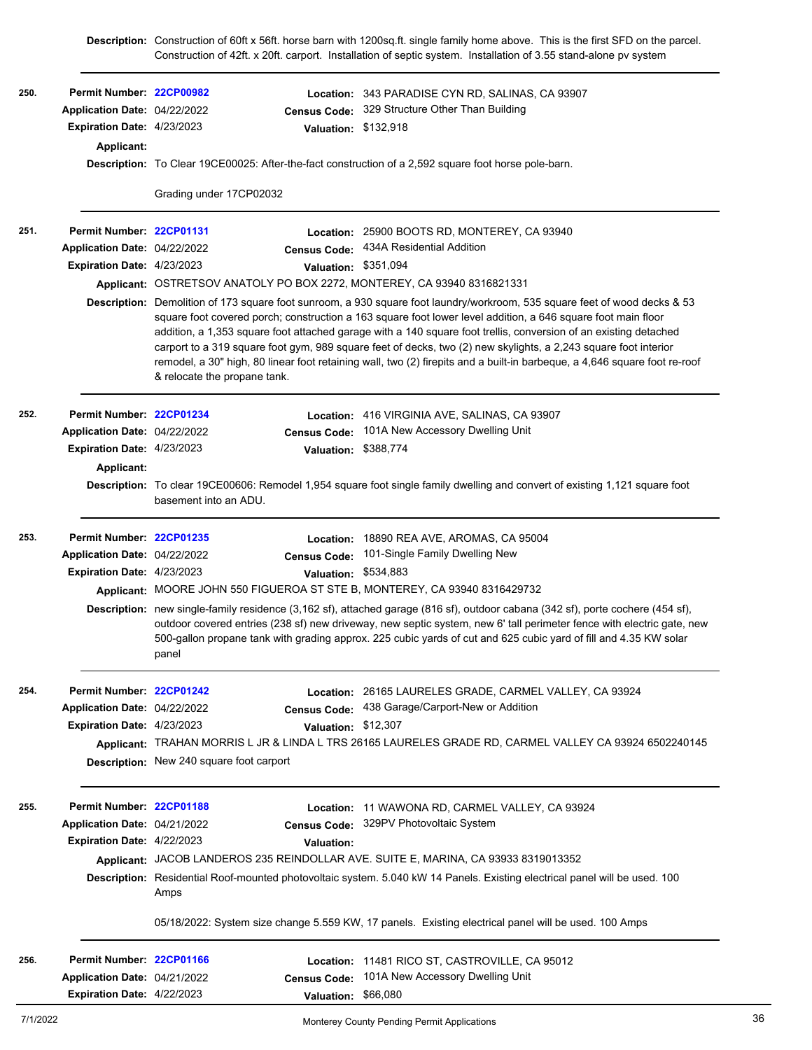Construction of 42ft. x 20ft. carport. Installation of septic system. Installation of 3.55 stand-alone pv system \$132,918 **Valuation: Permit Number: [22CP00982](https://aca.accela.com/monterey/Cap/CapDetail.aspx?Module=Building&TabName=Building&capID1=22BLD&capID2=00000&capID3=01383&agencyCode=MONTEREY) Expiration Date:** 4/23/2023 **Census Code: Application Date:** 329 Structure Other Than Building **250. Location:** 343 PARADISE CYN RD, SALINAS, CA 93907 Application Date: 04/22/2022 **Applicant: Description:** To Clear 19CE00025: After-the-fact construction of a 2,592 square foot horse pole-barn. Grading under 17CP02032 \$351,094 **Valuation: Permit Number: [22CP01131](https://aca.accela.com/monterey/Cap/CapDetail.aspx?Module=Building&TabName=Building&capID1=22BLD&capID2=00000&capID3=01585&agencyCode=MONTEREY) Expiration Date:** 4/23/2023 Application Date: 04/22/2022 **Census Code:** 434A Residential Addition **251. Location:** 25900 BOOTS RD, MONTEREY, CA 93940 Application Date: 04/22/2022 **Applicant:** OSTRETSOV ANATOLY PO BOX 2272, MONTEREY, CA 93940 8316821331 **Description:** Demolition of 173 square foot sunroom, a 930 square foot laundry/workroom, 535 square feet of wood decks & 53 square foot covered porch; construction a 163 square foot lower level addition, a 646 square foot main floor addition, a 1,353 square foot attached garage with a 140 square foot trellis, conversion of an existing detached carport to a 319 square foot gym, 989 square feet of decks, two (2) new skylights, a 2,243 square foot interior remodel, a 30" high, 80 linear foot retaining wall, two (2) firepits and a built-in barbeque, a 4,646 square foot re-roof & relocate the propane tank. \$388,774 **Valuation: Permit Number: [22CP01234](https://aca.accela.com/monterey/Cap/CapDetail.aspx?Module=Building&TabName=Building&capID1=22BLD&capID2=00000&capID3=01726&agencyCode=MONTEREY) Expiration Date:** 4/23/2023 Application Date: 04/22/2022 **Census Code:** 101A New Accessory Dwelling Unit **252. Location:** 416 VIRGINIA AVE, SALINAS, CA 93907 Application Date: 04/22/2022 **Applicant: Description:** To clear 19CE00606: Remodel 1,954 square foot single family dwelling and convert of existing 1,121 square foot basement into an ADU. \$534,883 **Valuation: Permit Number: [22CP01235](https://aca.accela.com/monterey/Cap/CapDetail.aspx?Module=Building&TabName=Building&capID1=22BLD&capID2=00000&capID3=01727&agencyCode=MONTEREY) Expiration Date:** 4/23/2023 Application Date: 04/22/2022 **Census Code:** 101-Single Family Dwelling New **253. Location:** 18890 REA AVE, AROMAS, CA 95004 Application Date: 04/22/2022 **Applicant:** MOORE JOHN 550 FIGUEROA ST STE B, MONTEREY, CA 93940 8316429732 **Description:** new single-family residence (3,162 sf), attached garage (816 sf), outdoor cabana (342 sf), porte cochere (454 sf), outdoor covered entries (238 sf) new driveway, new septic system, new 6' tall perimeter fence with electric gate, new 500-gallon propane tank with grading approx. 225 cubic yards of cut and 625 cubic yard of fill and 4.35 KW solar panel \$12,307 **Valuation: Permit Number: [22CP01242](https://aca.accela.com/monterey/Cap/CapDetail.aspx?Module=Building&TabName=Building&capID1=22BLD&capID2=00000&capID3=01735&agencyCode=MONTEREY) Expiration Date:** 4/23/2023 **Census Code: Application Date:** 438 Garage/Carport-New or Addition **254. Location:** 26165 LAURELES GRADE, CARMEL VALLEY, CA 93924 Application Date: 04/22/2022 **Applicant:** TRAHAN MORRIS L JR & LINDA L TRS 26165 LAURELES GRADE RD, CARMEL VALLEY CA 93924 6502240145 **Description:** New 240 square foot carport **Permit Number: [22CP01188](https://aca.accela.com/monterey/Cap/CapDetail.aspx?Module=Building&TabName=Building&capID1=22BLD&capID2=00000&capID3=01660&agencyCode=MONTEREY) Expiration Date:** 4/22/2023 **Census Code: Application Date:** 329PV Photovoltaic System **Valuation: 255. Location:** 11 WAWONA RD, CARMEL VALLEY, CA 93924 Application Date: 04/21/2022 **Applicant:** JACOB LANDEROS 235 REINDOLLAR AVE. SUITE E, MARINA, CA 93933 8319013352 **Description:** Residential Roof-mounted photovoltaic system. 5.040 kW 14 Panels. Existing electrical panel will be used. 100 Amps 05/18/2022: System size change 5.559 KW, 17 panels. Existing electrical panel will be used. 100 Amps \$66,080 **Valuation: Permit Number: [22CP01166](https://aca.accela.com/monterey/Cap/CapDetail.aspx?Module=Building&TabName=Building&capID1=22BLD&capID2=00000&capID3=01633&agencyCode=MONTEREY) Expiration Date:** 4/22/2023 Application Date: 04/21/2022 **Census Code:** 101A New Accessory Dwelling Unit **256. Location:** 11481 RICO ST, CASTROVILLE, CA 95012 Application Date: 04/21/2022

**Description:** Construction of 60ft x 56ft. horse barn with 1200sq.ft. single family home above. This is the first SFD on the parcel.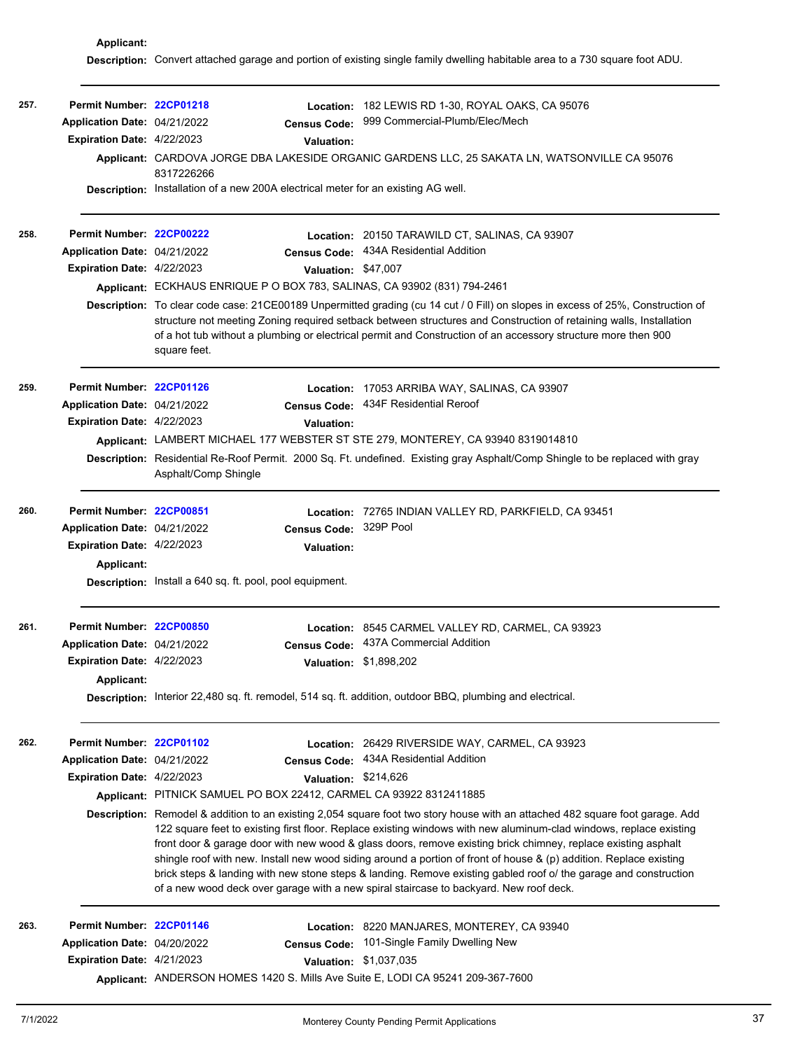**Applicant: Description:** Convert attached garage and portion of existing single family dwelling habitable area to a 730 square foot ADU.

| 257. | Permit Number: 22CP01218<br>Application Date: 04/21/2022<br>Expiration Date: 4/22/2023                      | <b>Census Code:</b><br><b>Valuation:</b><br>8317226266<br><b>Description:</b> Installation of a new 200A electrical meter for an existing AG well. | Location: 182 LEWIS RD 1-30, ROYAL OAKS, CA 95076<br>999 Commercial-Plumb/Elec/Mech<br>Applicant: CARDOVA JORGE DBA LAKESIDE ORGANIC GARDENS LLC, 25 SAKATA LN, WATSONVILLE CA 95076                                                                                                                                                                                                                                                                                                                                                                                                                                                                                                                                                                                                                  |
|------|-------------------------------------------------------------------------------------------------------------|----------------------------------------------------------------------------------------------------------------------------------------------------|-------------------------------------------------------------------------------------------------------------------------------------------------------------------------------------------------------------------------------------------------------------------------------------------------------------------------------------------------------------------------------------------------------------------------------------------------------------------------------------------------------------------------------------------------------------------------------------------------------------------------------------------------------------------------------------------------------------------------------------------------------------------------------------------------------|
| 258. | Permit Number: 22CP00222<br>Application Date: 04/21/2022<br>Expiration Date: 4/22/2023                      | Valuation: \$47,007<br>Applicant: ECKHAUS ENRIQUE P O BOX 783, SALINAS, CA 93902 (831) 794-2461<br>square feet.                                    | Location: 20150 TARAWILD CT, SALINAS, CA 93907<br>Census Code: 434A Residential Addition<br>Description: To clear code case: 21CE00189 Unpermitted grading (cu 14 cut / 0 Fill) on slopes in excess of 25%, Construction of<br>structure not meeting Zoning required setback between structures and Construction of retaining walls, Installation<br>of a hot tub without a plumbing or electrical permit and Construction of an accessory structure more then 900                                                                                                                                                                                                                                                                                                                                    |
| 259. | Permit Number: 22CP01126<br>Application Date: 04/21/2022<br>Expiration Date: 4/22/2023                      | <b>Valuation:</b><br>Asphalt/Comp Shingle                                                                                                          | Location: 17053 ARRIBA WAY, SALINAS, CA 93907<br>Census Code: 434F Residential Reroof<br>Applicant: LAMBERT MICHAEL 177 WEBSTER ST STE 279, MONTEREY, CA 93940 8319014810<br>Description: Residential Re-Roof Permit. 2000 Sq. Ft. undefined. Existing gray Asphalt/Comp Shingle to be replaced with gray                                                                                                                                                                                                                                                                                                                                                                                                                                                                                             |
| 260. | Permit Number: 22CP00851<br>Application Date: 04/21/2022<br>Expiration Date: 4/22/2023<br><b>Applicant:</b> | Census Code: 329P Pool<br><b>Valuation:</b><br>Description: Install a 640 sq. ft. pool, pool equipment.                                            | Location: 72765 INDIAN VALLEY RD, PARKFIELD, CA 93451                                                                                                                                                                                                                                                                                                                                                                                                                                                                                                                                                                                                                                                                                                                                                 |
| 261. | Permit Number: 22CP00850<br>Application Date: 04/21/2022<br>Expiration Date: 4/22/2023<br><b>Applicant:</b> |                                                                                                                                                    | Location: 8545 CARMEL VALLEY RD, CARMEL, CA 93923<br>Census Code: 437A Commercial Addition<br>Valuation: \$1,898,202<br>Description: Interior 22,480 sq. ft. remodel, 514 sq. ft. addition, outdoor BBQ, plumbing and electrical.                                                                                                                                                                                                                                                                                                                                                                                                                                                                                                                                                                     |
| 262. | Permit Number: 22CP01102<br>Application Date: 04/21/2022<br>Expiration Date: 4/22/2023                      | Valuation: \$214,626<br>Applicant: PITNICK SAMUEL PO BOX 22412, CARMEL CA 93922 8312411885                                                         | Location: 26429 RIVERSIDE WAY, CARMEL, CA 93923<br>Census Code: 434A Residential Addition<br>Description: Remodel & addition to an existing 2,054 square foot two story house with an attached 482 square foot garage. Add<br>122 square feet to existing first floor. Replace existing windows with new aluminum-clad windows, replace existing<br>front door & garage door with new wood & glass doors, remove existing brick chimney, replace existing asphalt<br>shingle roof with new. Install new wood siding around a portion of front of house & (p) addition. Replace existing<br>brick steps & landing with new stone steps & landing. Remove existing gabled roof o/ the garage and construction<br>of a new wood deck over garage with a new spiral staircase to backyard. New roof deck. |
| 263. | Permit Number: 22CP01146<br>Application Date: 04/20/2022<br>Expiration Date: 4/21/2023                      | <b>Census Code:</b><br>Applicant: ANDERSON HOMES 1420 S. Mills Ave Suite E, LODI CA 95241 209-367-7600                                             | Location: 8220 MANJARES, MONTEREY, CA 93940<br>101-Single Family Dwelling New<br>Valuation: \$1,037,035                                                                                                                                                                                                                                                                                                                                                                                                                                                                                                                                                                                                                                                                                               |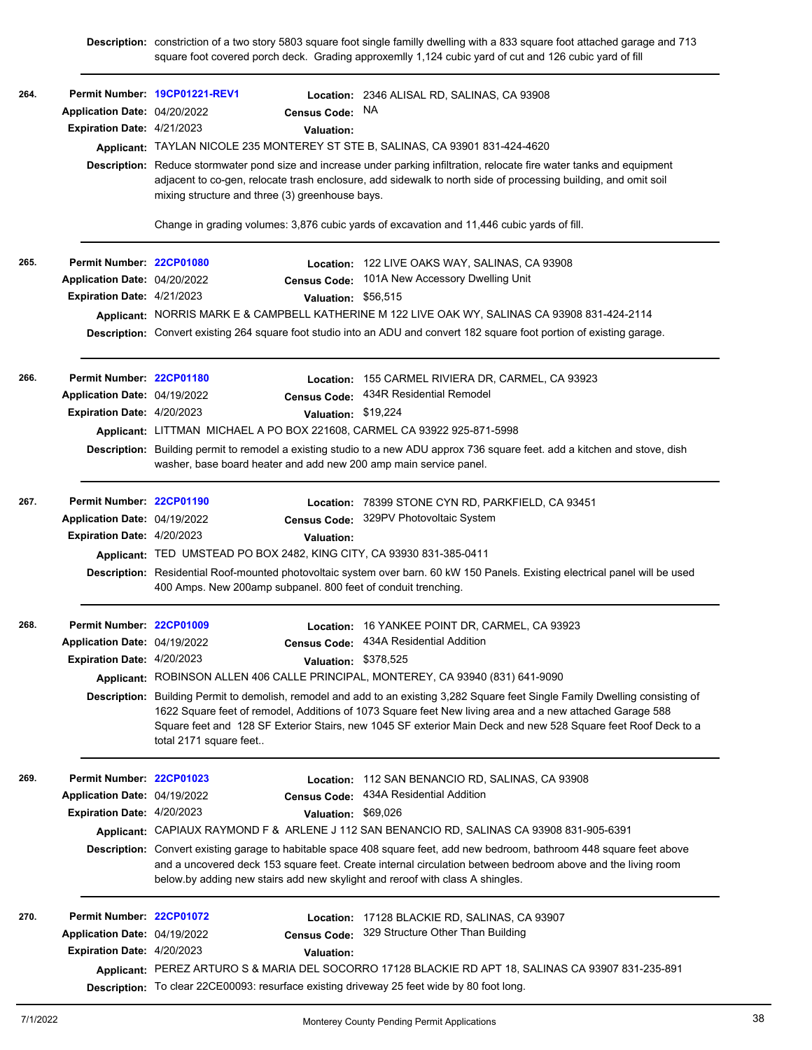**Description:** constriction of a two story 5803 square foot single familly dwelling with a 833 square foot attached garage and 713 square foot covered porch deck. Grading approxemlly 1,124 cubic yard of cut and 126 cubic yard of fill

| 264. | Application Date: 04/20/2022<br>Expiration Date: 4/21/2023 | Permit Number 19CP01221-REV1<br>Census Code: NA<br><b>Valuation:</b><br>Applicant: TAYLAN NICOLE 235 MONTEREY ST STE B, SALINAS, CA 93901 831-424-4620<br>mixing structure and three (3) greenhouse bays. | Location: 2346 ALISAL RD, SALINAS, CA 93908<br>Description: Reduce stormwater pond size and increase under parking infiltration, relocate fire water tanks and equipment<br>adjacent to co-gen, relocate trash enclosure, add sidewalk to north side of processing building, and omit soil<br>Change in grading volumes: 3,876 cubic yards of excavation and 11,446 cubic yards of fill. |
|------|------------------------------------------------------------|-----------------------------------------------------------------------------------------------------------------------------------------------------------------------------------------------------------|------------------------------------------------------------------------------------------------------------------------------------------------------------------------------------------------------------------------------------------------------------------------------------------------------------------------------------------------------------------------------------------|
| 265. | Permit Number: 22CP01080                                   |                                                                                                                                                                                                           |                                                                                                                                                                                                                                                                                                                                                                                          |
|      | Application Date: 04/20/2022                               |                                                                                                                                                                                                           | <b>Location: 122 LIVE OAKS WAY, SALINAS, CA 93908</b><br>Census Code: 101A New Accessory Dwelling Unit                                                                                                                                                                                                                                                                                   |
|      | Expiration Date: 4/21/2023                                 | Valuation: \$56,515                                                                                                                                                                                       |                                                                                                                                                                                                                                                                                                                                                                                          |
|      |                                                            |                                                                                                                                                                                                           | Applicant: NORRIS MARK E & CAMPBELL KATHERINE M 122 LIVE OAK WY, SALINAS CA 93908 831-424-2114                                                                                                                                                                                                                                                                                           |
|      |                                                            |                                                                                                                                                                                                           | Description: Convert existing 264 square foot studio into an ADU and convert 182 square foot portion of existing garage.                                                                                                                                                                                                                                                                 |
| 266. | Permit Number: 22CP01180                                   |                                                                                                                                                                                                           | Location: 155 CARMEL RIVIERA DR, CARMEL, CA 93923                                                                                                                                                                                                                                                                                                                                        |
|      | Application Date: 04/19/2022                               |                                                                                                                                                                                                           | Census Code: 434R Residential Remodel                                                                                                                                                                                                                                                                                                                                                    |
|      | Expiration Date: 4/20/2023                                 | Valuation: \$19,224                                                                                                                                                                                       |                                                                                                                                                                                                                                                                                                                                                                                          |
|      |                                                            | Applicant: LITTMAN MICHAEL A PO BOX 221608, CARMEL CA 93922 925-871-5998                                                                                                                                  |                                                                                                                                                                                                                                                                                                                                                                                          |
|      |                                                            | washer, base board heater and add new 200 amp main service panel.                                                                                                                                         | Description: Building permit to remodel a existing studio to a new ADU approx 736 square feet. add a kitchen and stove, dish                                                                                                                                                                                                                                                             |
| 267. | Permit Number: 22CP01190                                   |                                                                                                                                                                                                           | Location: 78399 STONE CYN RD, PARKFIELD, CA 93451                                                                                                                                                                                                                                                                                                                                        |
|      | Application Date: 04/19/2022                               |                                                                                                                                                                                                           | Census Code: 329PV Photovoltaic System                                                                                                                                                                                                                                                                                                                                                   |
|      | <b>Expiration Date: 4/20/2023</b>                          | <b>Valuation:</b>                                                                                                                                                                                         |                                                                                                                                                                                                                                                                                                                                                                                          |
|      |                                                            | Applicant: TED UMSTEAD PO BOX 2482, KING CITY, CA 93930 831-385-0411                                                                                                                                      |                                                                                                                                                                                                                                                                                                                                                                                          |
|      |                                                            | 400 Amps. New 200amp subpanel. 800 feet of conduit trenching.                                                                                                                                             | Description: Residential Roof-mounted photovoltaic system over barn. 60 kW 150 Panels. Existing electrical panel will be used                                                                                                                                                                                                                                                            |
| 268. | Permit Number: 22CP01009                                   |                                                                                                                                                                                                           | Location: 16 YANKEE POINT DR, CARMEL, CA 93923                                                                                                                                                                                                                                                                                                                                           |
|      | Application Date: 04/19/2022                               |                                                                                                                                                                                                           | Census Code: 434A Residential Addition                                                                                                                                                                                                                                                                                                                                                   |
|      | <b>Expiration Date: 4/20/2023</b>                          | Valuation: \$378,525                                                                                                                                                                                      |                                                                                                                                                                                                                                                                                                                                                                                          |
|      |                                                            |                                                                                                                                                                                                           | Applicant: ROBINSON ALLEN 406 CALLE PRINCIPAL, MONTEREY, CA 93940 (831) 641-9090                                                                                                                                                                                                                                                                                                         |
|      |                                                            | total 2171 square feet                                                                                                                                                                                    | Description: Building Permit to demolish, remodel and add to an existing 3,282 Square feet Single Family Dwelling consisting of<br>1622 Square feet of remodel, Additions of 1073 Square feet New living area and a new attached Garage 588<br>Square feet and 128 SF Exterior Stairs, new 1045 SF exterior Main Deck and new 528 Square feet Roof Deck to a                             |
| 269. | Permit Number: 22CP01023                                   |                                                                                                                                                                                                           | Location: 112 SAN BENANCIO RD, SALINAS, CA 93908                                                                                                                                                                                                                                                                                                                                         |
|      | Application Date: 04/19/2022                               | <b>Census Code:</b>                                                                                                                                                                                       | 434A Residential Addition                                                                                                                                                                                                                                                                                                                                                                |
|      | Expiration Date: 4/20/2023                                 | Valuation: \$69,026                                                                                                                                                                                       |                                                                                                                                                                                                                                                                                                                                                                                          |
|      |                                                            |                                                                                                                                                                                                           | Applicant: CAPIAUX RAYMOND F & ARLENE J 112 SAN BENANCIO RD, SALINAS CA 93908 831-905-6391                                                                                                                                                                                                                                                                                               |
|      |                                                            | below by adding new stairs add new skylight and reroof with class A shingles.                                                                                                                             | Description: Convert existing garage to habitable space 408 square feet, add new bedroom, bathroom 448 square feet above<br>and a uncovered deck 153 square feet. Create internal circulation between bedroom above and the living room                                                                                                                                                  |
| 270. | Permit Number: 22CP01072                                   |                                                                                                                                                                                                           | Location: 17128 BLACKIE RD, SALINAS, CA 93907                                                                                                                                                                                                                                                                                                                                            |
|      | Application Date: 04/19/2022                               |                                                                                                                                                                                                           | Census Code: 329 Structure Other Than Building                                                                                                                                                                                                                                                                                                                                           |
|      | Expiration Date: 4/20/2023                                 | <b>Valuation:</b>                                                                                                                                                                                         |                                                                                                                                                                                                                                                                                                                                                                                          |
|      |                                                            |                                                                                                                                                                                                           | Applicant: PEREZ ARTURO S & MARIA DEL SOCORRO 17128 BLACKIE RD APT 18, SALINAS CA 93907 831-235-891                                                                                                                                                                                                                                                                                      |
|      |                                                            | Description: To clear 22CE00093: resurface existing driveway 25 feet wide by 80 foot long.                                                                                                                |                                                                                                                                                                                                                                                                                                                                                                                          |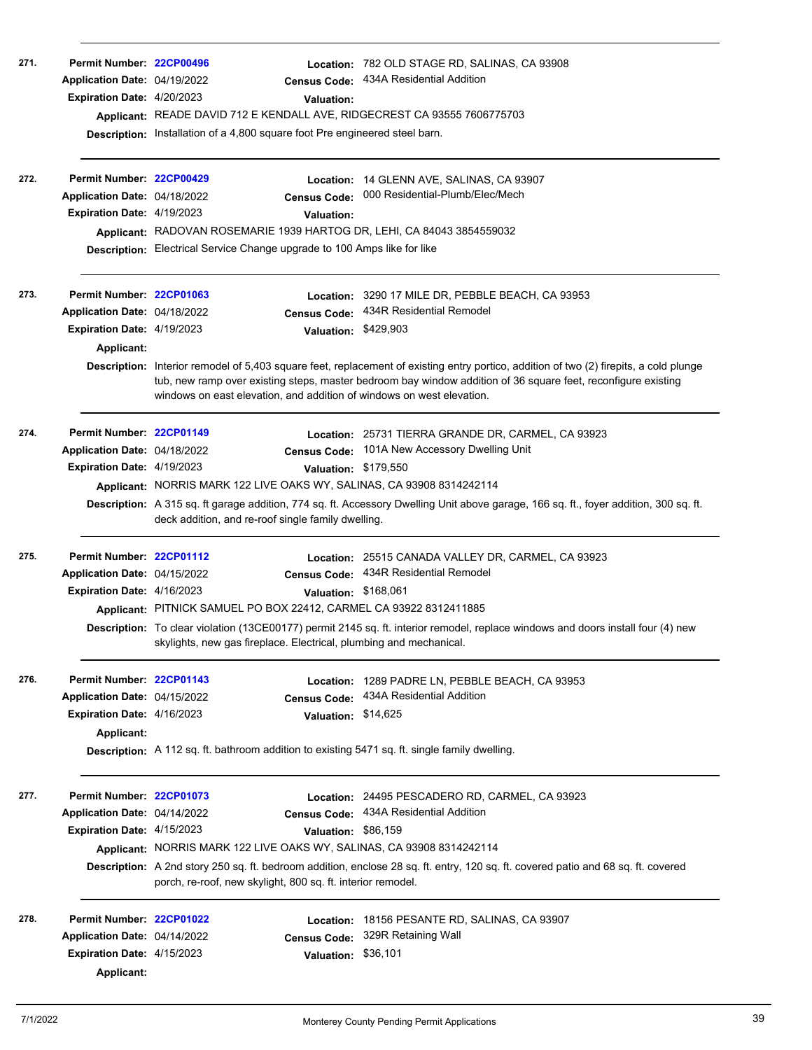| 271. | Permit Number: 22CP00496<br>Application Date: 04/19/2022<br>Expiration Date: 4/20/2023                             | <b>Census Code:</b><br>Valuation:<br>Applicant: READE DAVID 712 E KENDALL AVE, RIDGECREST CA 93555 7606775703<br>Description: Installation of a 4,800 square foot Pre engineered steel barn.   | Location: 782 OLD STAGE RD, SALINAS, CA 93908<br>434A Residential Addition                                                                                                                                                                                                                                                     |
|------|--------------------------------------------------------------------------------------------------------------------|------------------------------------------------------------------------------------------------------------------------------------------------------------------------------------------------|--------------------------------------------------------------------------------------------------------------------------------------------------------------------------------------------------------------------------------------------------------------------------------------------------------------------------------|
| 272. | Permit Number: 22CP00429<br>Application Date: 04/18/2022<br><b>Expiration Date: 4/19/2023</b>                      | <b>Census Code:</b><br><b>Valuation:</b><br>Applicant: RADOVAN ROSEMARIE 1939 HARTOG DR, LEHI, CA 84043 3854559032<br>Description: Electrical Service Change upgrade to 100 Amps like for like | Location: 14 GLENN AVE, SALINAS, CA 93907<br>000 Residential-Plumb/Elec/Mech                                                                                                                                                                                                                                                   |
| 273. | Permit Number: 22CP01063<br>Application Date: 04/18/2022<br><b>Expiration Date: 4/19/2023</b><br><b>Applicant:</b> | Location:<br><b>Census Code:</b><br>Valuation: \$429,903<br>windows on east elevation, and addition of windows on west elevation.                                                              | 3290 17 MILE DR, PEBBLE BEACH, CA 93953<br>434R Residential Remodel<br>Description: Interior remodel of 5,403 square feet, replacement of existing entry portico, addition of two (2) firepits, a cold plunge<br>tub, new ramp over existing steps, master bedroom bay window addition of 36 square feet, reconfigure existing |
| 274. | Permit Number: 22CP01149<br>Application Date: 04/18/2022<br>Expiration Date: 4/19/2023                             | Valuation: \$179,550<br>Applicant: NORRIS MARK 122 LIVE OAKS WY, SALINAS, CA 93908 8314242114<br>deck addition, and re-roof single family dwelling.                                            | Location: 25731 TIERRA GRANDE DR, CARMEL, CA 93923<br>Census Code: 101A New Accessory Dwelling Unit<br>Description: A 315 sq. ft garage addition, 774 sq. ft. Accessory Dwelling Unit above garage, 166 sq. ft., foyer addition, 300 sq. ft.                                                                                   |
| 275. | Permit Number: 22CP01112<br>Application Date: 04/15/2022<br>Expiration Date: 4/16/2023                             | Valuation: \$168,061<br>Applicant: PITNICK SAMUEL PO BOX 22412, CARMEL CA 93922 8312411885<br>skylights, new gas fireplace. Electrical, plumbing and mechanical.                               | Location: 25515 CANADA VALLEY DR, CARMEL, CA 93923<br>Census Code: 434R Residential Remodel<br>Description: To clear violation (13CE00177) permit 2145 sq. ft. interior remodel, replace windows and doors install four (4) new                                                                                                |
| 276. | Permit Number: 22CP01143<br>Application Date: 04/15/2022<br>Expiration Date: 4/16/2023<br><b>Applicant:</b>        | Location:<br><b>Census Code:</b><br><b>Valuation:</b><br>Description: A 112 sq. ft. bathroom addition to existing 5471 sq. ft. single family dwelling.                                         | 1289 PADRE LN, PEBBLE BEACH, CA 93953<br>434A Residential Addition<br>\$14,625                                                                                                                                                                                                                                                 |
| 277. | Permit Number: 22CP01073<br>Application Date: 04/14/2022<br><b>Expiration Date: 4/15/2023</b>                      | <b>Census Code:</b><br>Valuation: \$86,159<br>Applicant: NORRIS MARK 122 LIVE OAKS WY, SALINAS, CA 93908 8314242114<br>porch, re-roof, new skylight, 800 sq. ft. interior remodel.             | Location: 24495 PESCADERO RD, CARMEL, CA 93923<br>434A Residential Addition<br>Description: A 2nd story 250 sq. ft. bedroom addition, enclose 28 sq. ft. entry, 120 sq. ft. covered patio and 68 sq. ft. covered                                                                                                               |
| 278. | Permit Number: 22CP01022<br>Application Date: 04/14/2022<br><b>Expiration Date: 4/15/2023</b><br>Applicant:        | Location:<br><b>Census Code:</b><br>Valuation: \$36,101                                                                                                                                        | 18156 PESANTE RD, SALINAS, CA 93907<br>329R Retaining Wall                                                                                                                                                                                                                                                                     |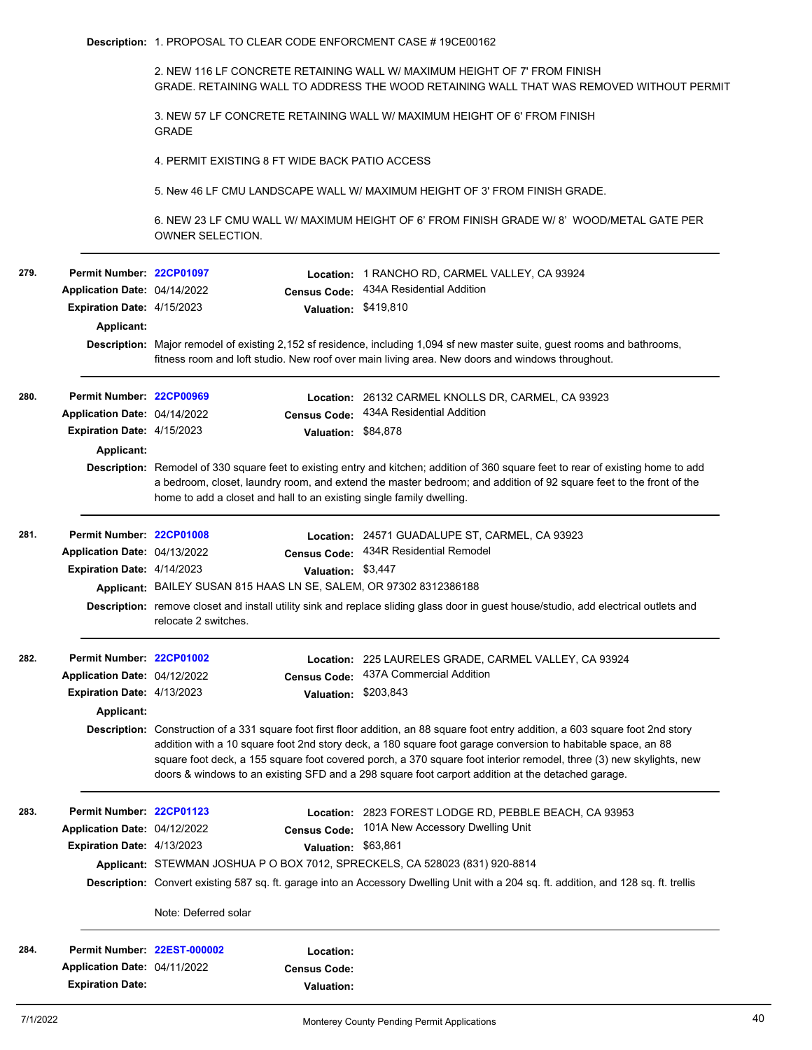2. NEW 116 LF CONCRETE RETAINING WALL W/ MAXIMUM HEIGHT OF 7' FROM FINISH GRADE. RETAINING WALL TO ADDRESS THE WOOD RETAINING WALL THAT WAS REMOVED WITHOUT PERMIT

3. NEW 57 LF CONCRETE RETAINING WALL W/ MAXIMUM HEIGHT OF 6' FROM FINISH GRADE

4. PERMIT EXISTING 8 FT WIDE BACK PATIO ACCESS

5. New 46 LF CMU LANDSCAPE WALL W/ MAXIMUM HEIGHT OF 3' FROM FINISH GRADE.

6. NEW 23 LF CMU WALL W/ MAXIMUM HEIGHT OF 6' FROM FINISH GRADE W/ 8' WOOD/METAL GATE PER OWNER SELECTION.

| 279. | Permit Number: 22CP01097          |                                                                                                                            |                      | Location: 1 RANCHO RD, CARMEL VALLEY, CA 93924                                                                                                                                                                                                                                                                                                                                                                                                                                 |  |  |  |
|------|-----------------------------------|----------------------------------------------------------------------------------------------------------------------------|----------------------|--------------------------------------------------------------------------------------------------------------------------------------------------------------------------------------------------------------------------------------------------------------------------------------------------------------------------------------------------------------------------------------------------------------------------------------------------------------------------------|--|--|--|
|      | Application Date: 04/14/2022      |                                                                                                                            | <b>Census Code:</b>  | 434A Residential Addition                                                                                                                                                                                                                                                                                                                                                                                                                                                      |  |  |  |
|      | Expiration Date: 4/15/2023        |                                                                                                                            | <b>Valuation:</b>    | \$419,810                                                                                                                                                                                                                                                                                                                                                                                                                                                                      |  |  |  |
|      | Applicant:                        |                                                                                                                            |                      |                                                                                                                                                                                                                                                                                                                                                                                                                                                                                |  |  |  |
|      |                                   | Description: Major remodel of existing 2,152 sf residence, including 1,094 sf new master suite, guest rooms and bathrooms, |                      |                                                                                                                                                                                                                                                                                                                                                                                                                                                                                |  |  |  |
|      |                                   |                                                                                                                            |                      | fitness room and loft studio. New roof over main living area. New doors and windows throughout.                                                                                                                                                                                                                                                                                                                                                                                |  |  |  |
| 280. | Permit Number: 22CP00969          |                                                                                                                            |                      | Location: 26132 CARMEL KNOLLS DR, CARMEL, CA 93923                                                                                                                                                                                                                                                                                                                                                                                                                             |  |  |  |
|      | Application Date: 04/14/2022      |                                                                                                                            | <b>Census Code:</b>  | 434A Residential Addition                                                                                                                                                                                                                                                                                                                                                                                                                                                      |  |  |  |
|      | <b>Expiration Date: 4/15/2023</b> |                                                                                                                            | Valuation: \$84,878  |                                                                                                                                                                                                                                                                                                                                                                                                                                                                                |  |  |  |
|      | <b>Applicant:</b>                 |                                                                                                                            |                      |                                                                                                                                                                                                                                                                                                                                                                                                                                                                                |  |  |  |
|      |                                   |                                                                                                                            |                      | Description: Remodel of 330 square feet to existing entry and kitchen; addition of 360 square feet to rear of existing home to add<br>a bedroom, closet, laundry room, and extend the master bedroom; and addition of 92 square feet to the front of the<br>home to add a closet and hall to an existing single family dwelling.                                                                                                                                               |  |  |  |
| 281. | Permit Number: 22CP01008          |                                                                                                                            |                      | Location: 24571 GUADALUPE ST, CARMEL, CA 93923                                                                                                                                                                                                                                                                                                                                                                                                                                 |  |  |  |
|      | Application Date: 04/13/2022      |                                                                                                                            | <b>Census Code:</b>  | 434R Residential Remodel                                                                                                                                                                                                                                                                                                                                                                                                                                                       |  |  |  |
|      | Expiration Date: 4/14/2023        |                                                                                                                            | Valuation: \$3,447   |                                                                                                                                                                                                                                                                                                                                                                                                                                                                                |  |  |  |
|      |                                   |                                                                                                                            |                      | Applicant: BAILEY SUSAN 815 HAAS LN SE, SALEM, OR 97302 8312386188                                                                                                                                                                                                                                                                                                                                                                                                             |  |  |  |
|      |                                   | relocate 2 switches.                                                                                                       |                      | Description: remove closet and install utility sink and replace sliding glass door in guest house/studio, add electrical outlets and                                                                                                                                                                                                                                                                                                                                           |  |  |  |
| 282. | Permit Number: 22CP01002          |                                                                                                                            |                      | Location: 225 LAURELES GRADE, CARMEL VALLEY, CA 93924                                                                                                                                                                                                                                                                                                                                                                                                                          |  |  |  |
|      | Application Date: 04/12/2022      |                                                                                                                            | <b>Census Code:</b>  | 437A Commercial Addition                                                                                                                                                                                                                                                                                                                                                                                                                                                       |  |  |  |
|      | Expiration Date: 4/13/2023        |                                                                                                                            | Valuation: \$203,843 |                                                                                                                                                                                                                                                                                                                                                                                                                                                                                |  |  |  |
|      | <b>Applicant:</b>                 |                                                                                                                            |                      |                                                                                                                                                                                                                                                                                                                                                                                                                                                                                |  |  |  |
|      |                                   |                                                                                                                            |                      | Description: Construction of a 331 square foot first floor addition, an 88 square foot entry addition, a 603 square foot 2nd story<br>addition with a 10 square foot 2nd story deck, a 180 square foot garage conversion to habitable space, an 88<br>square foot deck, a 155 square foot covered porch, a 370 square foot interior remodel, three (3) new skylights, new<br>doors & windows to an existing SFD and a 298 square foot carport addition at the detached garage. |  |  |  |
| 283. | Permit Number: 22CP01123          |                                                                                                                            |                      | Location: 2823 FOREST LODGE RD, PEBBLE BEACH, CA 93953                                                                                                                                                                                                                                                                                                                                                                                                                         |  |  |  |
|      | Application Date: 04/12/2022      |                                                                                                                            | <b>Census Code:</b>  | 101A New Accessory Dwelling Unit                                                                                                                                                                                                                                                                                                                                                                                                                                               |  |  |  |
|      | <b>Expiration Date: 4/13/2023</b> |                                                                                                                            | Valuation: \$63,861  |                                                                                                                                                                                                                                                                                                                                                                                                                                                                                |  |  |  |
|      |                                   |                                                                                                                            |                      | Applicant: STEWMAN JOSHUA P O BOX 7012, SPRECKELS, CA 528023 (831) 920-8814                                                                                                                                                                                                                                                                                                                                                                                                    |  |  |  |
|      |                                   |                                                                                                                            |                      | Description: Convert existing 587 sq. ft. garage into an Accessory Dwelling Unit with a 204 sq. ft. addition, and 128 sq. ft. trellis                                                                                                                                                                                                                                                                                                                                          |  |  |  |
|      |                                   | Note: Deferred solar                                                                                                       |                      |                                                                                                                                                                                                                                                                                                                                                                                                                                                                                |  |  |  |
|      |                                   |                                                                                                                            |                      |                                                                                                                                                                                                                                                                                                                                                                                                                                                                                |  |  |  |
|      | Permit Number: 22EST-000002       |                                                                                                                            | Location:            |                                                                                                                                                                                                                                                                                                                                                                                                                                                                                |  |  |  |
| 284. | Application Date: 04/11/2022      |                                                                                                                            | <b>Census Code:</b>  |                                                                                                                                                                                                                                                                                                                                                                                                                                                                                |  |  |  |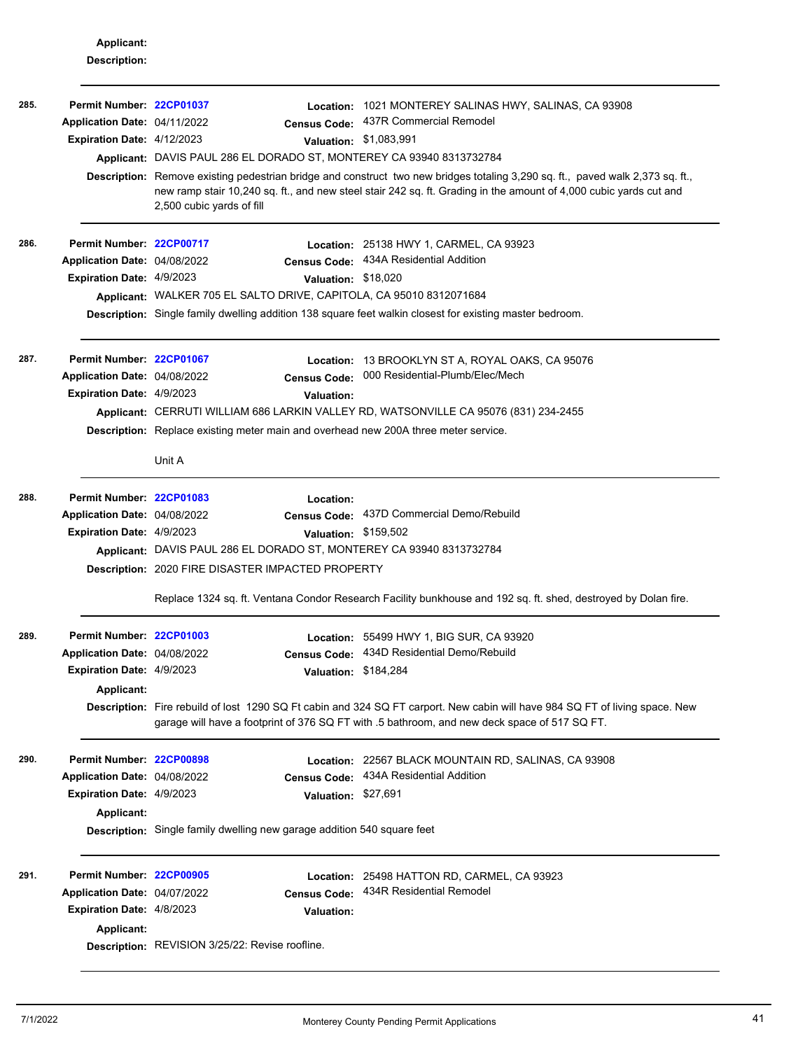**Applicant: Description:**

| 285. | Permit Number: 22CP01037<br>Application Date: 04/11/2022<br><b>Expiration Date: 4/12/2023</b>       | Location:<br><b>Census Code:</b><br>Applicant: DAVIS PAUL 286 EL DORADO ST, MONTEREY CA 93940 8313732784<br>2,500 cubic yards of fill                                 | 1021 MONTEREY SALINAS HWY, SALINAS, CA 93908<br>437R Commercial Remodel<br>Valuation: \$1,083,991<br>Description: Remove existing pedestrian bridge and construct two new bridges totaling 3,290 sq. ft., paved walk 2,373 sq. ft.,<br>new ramp stair 10,240 sq. ft., and new steel stair 242 sq. ft. Grading in the amount of 4,000 cubic yards cut and |
|------|-----------------------------------------------------------------------------------------------------|-----------------------------------------------------------------------------------------------------------------------------------------------------------------------|----------------------------------------------------------------------------------------------------------------------------------------------------------------------------------------------------------------------------------------------------------------------------------------------------------------------------------------------------------|
| 286. | Permit Number: 22CP00717<br>Application Date: 04/08/2022<br>Expiration Date: 4/9/2023               | <b>Census Code:</b><br>Valuation: \$18,020<br>Applicant: WALKER 705 EL SALTO DRIVE, CAPITOLA, CA 95010 8312071684                                                     | <b>Location: 25138 HWY 1, CARMEL, CA 93923</b><br>434A Residential Addition<br>Description: Single family dwelling addition 138 square feet walkin closest for existing master bedroom.                                                                                                                                                                  |
| 287. | Permit Number: 22CP01067<br>Application Date: 04/08/2022<br><b>Expiration Date: 4/9/2023</b>        | <b>Census Code:</b><br><b>Valuation:</b><br><b>Description:</b> Replace existing meter main and overhead new 200A three meter service.<br>Unit A                      | Location: 13 BROOKLYN ST A, ROYAL OAKS, CA 95076<br>000 Residential-Plumb/Elec/Mech<br>Applicant: CERRUTI WILLIAM 686 LARKIN VALLEY RD, WATSONVILLE CA 95076 (831) 234-2455                                                                                                                                                                              |
| 288. | Permit Number: 22CP01083<br>Application Date: 04/08/2022<br><b>Expiration Date: 4/9/2023</b>        | Location:<br>Valuation: \$159,502<br>Applicant: DAVIS PAUL 286 EL DORADO ST, MONTEREY CA 93940 8313732784<br><b>Description: 2020 FIRE DISASTER IMPACTED PROPERTY</b> | Census Code: 437D Commercial Demo/Rebuild<br>Replace 1324 sq. ft. Ventana Condor Research Facility bunkhouse and 192 sq. ft. shed, destroyed by Dolan fire.                                                                                                                                                                                              |
| 289. | Permit Number: 22CP01003<br>Application Date: 04/08/2022<br>Expiration Date: 4/9/2023<br>Applicant: | <b>Census Code:</b><br>Valuation: \$184,284                                                                                                                           | Location: 55499 HWY 1, BIG SUR, CA 93920<br>434D Residential Demo/Rebuild<br>Description: Fire rebuild of lost 1290 SQ Ft cabin and 324 SQ FT carport. New cabin will have 984 SQ FT of living space. New<br>garage will have a footprint of 376 SQ FT with .5 bathroom, and new deck space of 517 SQ FT.                                                |
| 290. | Permit Number: 22CP00898<br>Application Date: 04/08/2022<br>Expiration Date: 4/9/2023<br>Applicant: | <b>Census Code:</b><br>Valuation: \$27,691<br><b>Description:</b> Single family dwelling new garage addition 540 square feet                                          | Location: 22567 BLACK MOUNTAIN RD, SALINAS, CA 93908<br>434A Residential Addition                                                                                                                                                                                                                                                                        |
| 291. | Permit Number: 22CP00905<br>Application Date: 04/07/2022<br>Expiration Date: 4/8/2023<br>Applicant: | <b>Census Code:</b><br><b>Valuation:</b><br>Description: REVISION 3/25/22: Revise roofline.                                                                           | Location: 25498 HATTON RD, CARMEL, CA 93923<br>434R Residential Remodel                                                                                                                                                                                                                                                                                  |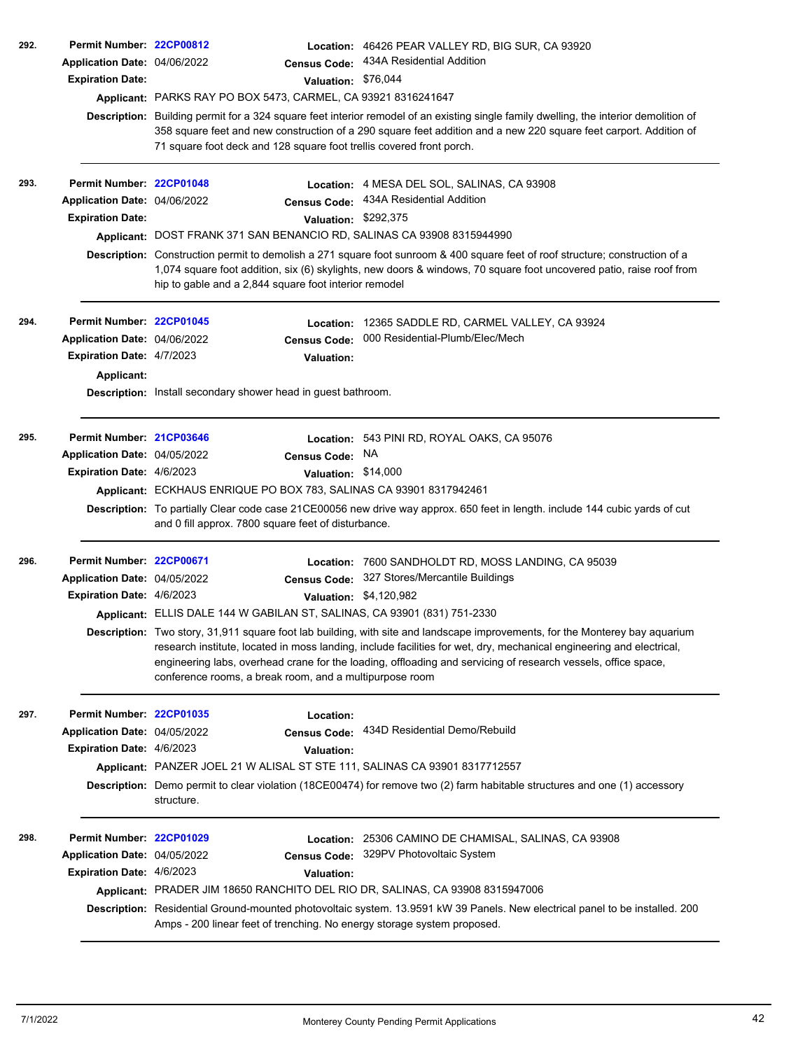| 292. | Permit Number: 22CP00812<br>Application Date: 04/06/2022<br><b>Expiration Date:</b>                 | <b>Census Code:</b><br>Valuation: \$76,044<br>Applicant: PARKS RAY PO BOX 5473, CARMEL, CA 93921 8316241647<br>71 square foot deck and 128 square foot trellis covered front porch.                  | <b>Location: 46426 PEAR VALLEY RD, BIG SUR, CA 93920</b><br>434A Residential Addition<br>Description: Building permit for a 324 square feet interior remodel of an existing single family dwelling, the interior demolition of<br>358 square feet and new construction of a 290 square feet addition and a new 220 square feet carport. Addition of                                                                                                                             |
|------|-----------------------------------------------------------------------------------------------------|------------------------------------------------------------------------------------------------------------------------------------------------------------------------------------------------------|---------------------------------------------------------------------------------------------------------------------------------------------------------------------------------------------------------------------------------------------------------------------------------------------------------------------------------------------------------------------------------------------------------------------------------------------------------------------------------|
| 293. | Permit Number: 22CP01048<br>Application Date: 04/06/2022<br><b>Expiration Date:</b>                 | <b>Census Code:</b><br>Valuation: \$292,375<br>Applicant: DOST FRANK 371 SAN BENANCIO RD, SALINAS CA 93908 8315944990<br>hip to gable and a 2,844 square foot interior remodel                       | Location: 4 MESA DEL SOL, SALINAS, CA 93908<br>434A Residential Addition<br>Description: Construction permit to demolish a 271 square foot sunroom & 400 square feet of roof structure; construction of a<br>1,074 square foot addition, six (6) skylights, new doors & windows, 70 square foot uncovered patio, raise roof from                                                                                                                                                |
| 294. | Permit Number: 22CP01045<br>Application Date: 04/06/2022<br>Expiration Date: 4/7/2023<br>Applicant: | Location:<br><b>Census Code:</b><br><b>Valuation:</b><br><b>Description:</b> Install secondary shower head in guest bathroom.                                                                        | 12365 SADDLE RD, CARMEL VALLEY, CA 93924<br>000 Residential-Plumb/Elec/Mech                                                                                                                                                                                                                                                                                                                                                                                                     |
| 295. | Permit Number: 21CP03646<br>Application Date: 04/05/2022<br>Expiration Date: 4/6/2023               | <b>Census Code:</b><br>Valuation: \$14,000<br>Applicant: ECKHAUS ENRIQUE PO BOX 783, SALINAS CA 93901 8317942461<br>and 0 fill approx. 7800 square feet of disturbance.                              | Location: 543 PINI RD, ROYAL OAKS, CA 95076<br>NA.<br>Description: To partially Clear code case 21CE00056 new drive way approx. 650 feet in length. include 144 cubic yards of cut                                                                                                                                                                                                                                                                                              |
| 296. | Permit Number: 22CP00671<br>Application Date: 04/05/2022<br><b>Expiration Date: 4/6/2023</b>        | Location:<br><b>Census Code:</b><br>Applicant: ELLIS DALE 144 W GABILAN ST, SALINAS, CA 93901 (831) 751-2330<br>conference rooms, a break room, and a multipurpose room                              | 7600 SANDHOLDT RD, MOSS LANDING, CA 95039<br>327 Stores/Mercantile Buildings<br>Valuation: \$4,120,982<br>Description: Two story, 31,911 square foot lab building, with site and landscape improvements, for the Monterey bay aquarium<br>research institute, located in moss landing, include facilities for wet, dry, mechanical engineering and electrical,<br>engineering labs, overhead crane for the loading, offloading and servicing of research vessels, office space, |
| 297. | Permit Number: 22CP01035<br>Application Date: 04/05/2022<br><b>Expiration Date: 4/6/2023</b>        | Location:<br><b>Census Code:</b><br><b>Valuation:</b><br>Applicant: PANZER JOEL 21 W ALISAL ST STE 111, SALINAS CA 93901 8317712557<br>structure.                                                    | 434D Residential Demo/Rebuild<br>Description: Demo permit to clear violation (18CE00474) for remove two (2) farm habitable structures and one (1) accessory                                                                                                                                                                                                                                                                                                                     |
| 298. | Permit Number: 22CP01029<br>Application Date: 04/05/2022<br><b>Expiration Date: 4/6/2023</b>        | <b>Census Code:</b><br><b>Valuation:</b><br>Applicant: PRADER JIM 18650 RANCHITO DEL RIO DR, SALINAS, CA 93908 8315947006<br>Amps - 200 linear feet of trenching. No energy storage system proposed. | Location: 25306 CAMINO DE CHAMISAL, SALINAS, CA 93908<br>329PV Photovoltaic System<br>Description: Residential Ground-mounted photovoltaic system. 13.9591 kW 39 Panels. New electrical panel to be installed. 200                                                                                                                                                                                                                                                              |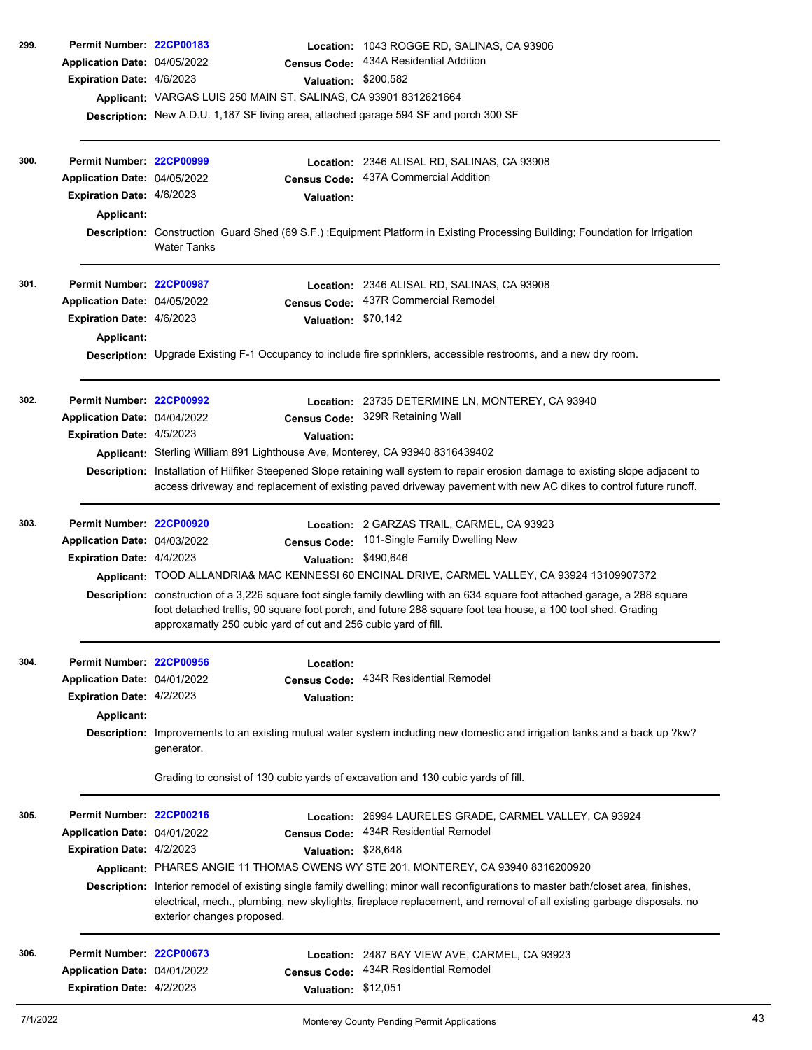| 299. | Permit Number: 22CP00183         |                                                                                                                                                           | Location: 1043 ROGGE RD, SALINAS, CA 93906                                                                                                                                                                                                                  |
|------|----------------------------------|-----------------------------------------------------------------------------------------------------------------------------------------------------------|-------------------------------------------------------------------------------------------------------------------------------------------------------------------------------------------------------------------------------------------------------------|
|      | Application Date: 04/05/2022     | <b>Census Code:</b>                                                                                                                                       | 434A Residential Addition                                                                                                                                                                                                                                   |
|      | Expiration Date: 4/6/2023        | Valuation: \$200,582                                                                                                                                      |                                                                                                                                                                                                                                                             |
|      |                                  | Applicant: VARGAS LUIS 250 MAIN ST, SALINAS, CA 93901 8312621664<br>Description: New A.D.U. 1,187 SF living area, attached garage 594 SF and porch 300 SF |                                                                                                                                                                                                                                                             |
|      |                                  |                                                                                                                                                           |                                                                                                                                                                                                                                                             |
| 300. | Permit Number: 22CP00999         |                                                                                                                                                           | Location: 2346 ALISAL RD, SALINAS, CA 93908                                                                                                                                                                                                                 |
|      | Application Date: 04/05/2022     | <b>Census Code:</b>                                                                                                                                       | 437A Commercial Addition                                                                                                                                                                                                                                    |
|      | <b>Expiration Date: 4/6/2023</b> | <b>Valuation:</b>                                                                                                                                         |                                                                                                                                                                                                                                                             |
|      | Applicant:                       |                                                                                                                                                           |                                                                                                                                                                                                                                                             |
|      |                                  | <b>Water Tanks</b>                                                                                                                                        | Description: Construction Guard Shed (69 S.F.); Equipment Platform in Existing Processing Building; Foundation for Irrigation                                                                                                                               |
| 301. | Permit Number: 22CP00987         |                                                                                                                                                           | Location: 2346 ALISAL RD, SALINAS, CA 93908                                                                                                                                                                                                                 |
|      | Application Date: 04/05/2022     | <b>Census Code:</b>                                                                                                                                       | 437R Commercial Remodel                                                                                                                                                                                                                                     |
|      | <b>Expiration Date: 4/6/2023</b> | Valuation: \$70,142                                                                                                                                       |                                                                                                                                                                                                                                                             |
|      | Applicant:                       |                                                                                                                                                           |                                                                                                                                                                                                                                                             |
|      |                                  |                                                                                                                                                           | Description: Upgrade Existing F-1 Occupancy to include fire sprinklers, accessible restrooms, and a new dry room.                                                                                                                                           |
| 302. | Permit Number: 22CP00992         |                                                                                                                                                           | Location: 23735 DETERMINE LN, MONTEREY, CA 93940                                                                                                                                                                                                            |
|      | Application Date: 04/04/2022     |                                                                                                                                                           | Census Code: 329R Retaining Wall                                                                                                                                                                                                                            |
|      | Expiration Date: 4/5/2023        | <b>Valuation:</b>                                                                                                                                         |                                                                                                                                                                                                                                                             |
|      |                                  | Applicant: Sterling William 891 Lighthouse Ave, Monterey, CA 93940 8316439402                                                                             |                                                                                                                                                                                                                                                             |
|      |                                  |                                                                                                                                                           | Description: Installation of Hilfiker Steepened Slope retaining wall system to repair erosion damage to existing slope adjacent to<br>access driveway and replacement of existing paved driveway pavement with new AC dikes to control future runoff.       |
| 303. | Permit Number: 22CP00920         |                                                                                                                                                           | Location: 2 GARZAS TRAIL, CARMEL, CA 93923                                                                                                                                                                                                                  |
|      | Application Date: 04/03/2022     | <b>Census Code:</b>                                                                                                                                       | 101-Single Family Dwelling New                                                                                                                                                                                                                              |
|      | Expiration Date: 4/4/2023        | Valuation: \$490,646                                                                                                                                      |                                                                                                                                                                                                                                                             |
|      |                                  |                                                                                                                                                           | Applicant: TOOD ALLANDRIA& MAC KENNESSI 60 ENCINAL DRIVE, CARMEL VALLEY, CA 93924 13109907372                                                                                                                                                               |
|      |                                  | approxamatly 250 cubic yard of cut and 256 cubic yard of fill.                                                                                            | Description: construction of a 3,226 square foot single family dewlling with an 634 square foot attached garage, a 288 square<br>foot detached trellis, 90 square foot porch, and future 288 square foot tea house, a 100 tool shed. Grading                |
| 304. | Permit Number: 22CP00956         | Location:                                                                                                                                                 |                                                                                                                                                                                                                                                             |
|      | Application Date: 04/01/2022     | <b>Census Code:</b>                                                                                                                                       | 434R Residential Remodel                                                                                                                                                                                                                                    |
|      | <b>Expiration Date: 4/2/2023</b> | <b>Valuation:</b>                                                                                                                                         |                                                                                                                                                                                                                                                             |
|      | Applicant:                       |                                                                                                                                                           |                                                                                                                                                                                                                                                             |
|      |                                  | generator.                                                                                                                                                | Description: Improvements to an existing mutual water system including new domestic and irrigation tanks and a back up ?kw?                                                                                                                                 |
|      |                                  | Grading to consist of 130 cubic yards of excavation and 130 cubic yards of fill.                                                                          |                                                                                                                                                                                                                                                             |
| 305. | Permit Number: 22CP00216         |                                                                                                                                                           | Location: 26994 LAURELES GRADE, CARMEL VALLEY, CA 93924                                                                                                                                                                                                     |
|      | Application Date: 04/01/2022     | <b>Census Code:</b>                                                                                                                                       | 434R Residential Remodel                                                                                                                                                                                                                                    |
|      | <b>Expiration Date: 4/2/2023</b> | Valuation: \$28,648                                                                                                                                       |                                                                                                                                                                                                                                                             |
|      |                                  |                                                                                                                                                           | Applicant: PHARES ANGIE 11 THOMAS OWENS WY STE 201, MONTEREY, CA 93940 8316200920                                                                                                                                                                           |
|      |                                  | exterior changes proposed.                                                                                                                                | Description: Interior remodel of existing single family dwelling; minor wall reconfigurations to master bath/closet area, finishes,<br>electrical, mech., plumbing, new skylights, fireplace replacement, and removal of all existing garbage disposals. no |
| 306. | Permit Number: 22CP00673         |                                                                                                                                                           | Location: 2487 BAY VIEW AVE, CARMEL, CA 93923                                                                                                                                                                                                               |
|      | Application Date: 04/01/2022     | <b>Census Code:</b>                                                                                                                                       | 434R Residential Remodel                                                                                                                                                                                                                                    |
|      | Expiration Date: 4/2/2023        | Valuation: \$12,051                                                                                                                                       |                                                                                                                                                                                                                                                             |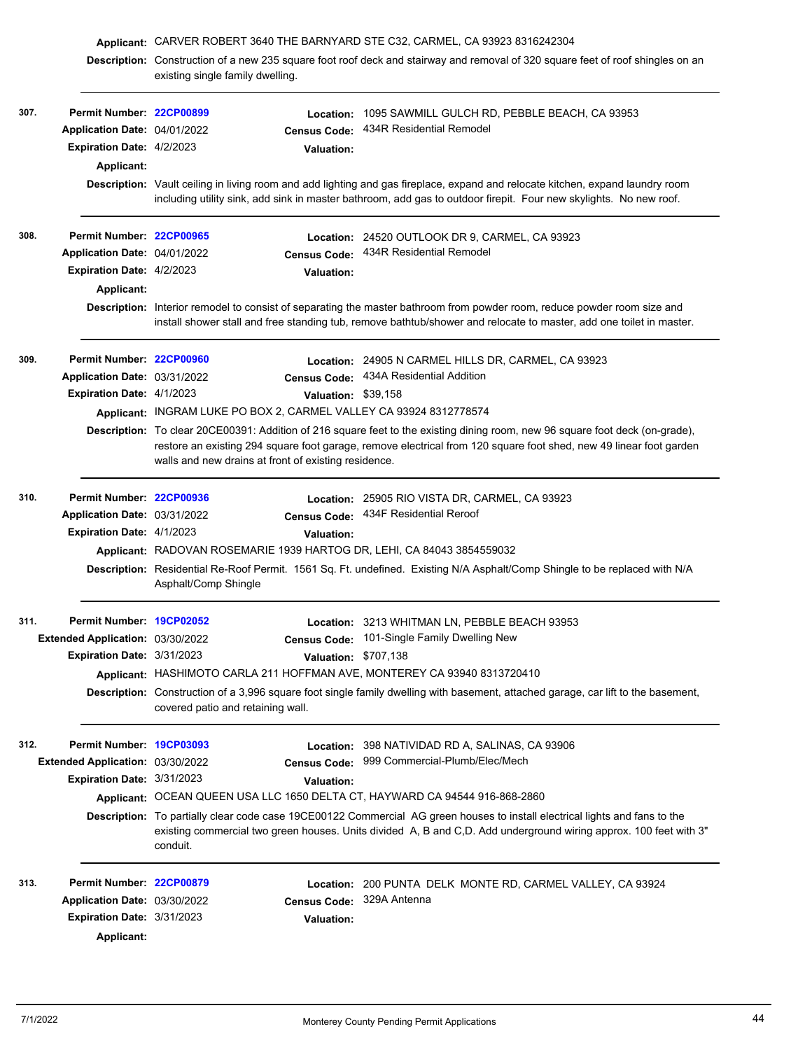|      |                                   | Applicant: CARVER ROBERT 3640 THE BARNYARD STE C32, CARMEL, CA 93923 8316242304 |                           |                                                                                                                                                                                                                                                     |
|------|-----------------------------------|---------------------------------------------------------------------------------|---------------------------|-----------------------------------------------------------------------------------------------------------------------------------------------------------------------------------------------------------------------------------------------------|
|      |                                   |                                                                                 |                           | Description: Construction of a new 235 square foot roof deck and stairway and removal of 320 square feet of roof shingles on an                                                                                                                     |
|      |                                   | existing single family dwelling.                                                |                           |                                                                                                                                                                                                                                                     |
|      |                                   |                                                                                 |                           |                                                                                                                                                                                                                                                     |
| 307. | Permit Number: 22CP00899          |                                                                                 |                           | Location: 1095 SAWMILL GULCH RD, PEBBLE BEACH, CA 93953<br>434R Residential Remodel                                                                                                                                                                 |
|      | Application Date: 04/01/2022      |                                                                                 | <b>Census Code:</b>       |                                                                                                                                                                                                                                                     |
|      | <b>Expiration Date: 4/2/2023</b>  |                                                                                 | <b>Valuation:</b>         |                                                                                                                                                                                                                                                     |
|      | Applicant:                        |                                                                                 |                           |                                                                                                                                                                                                                                                     |
|      |                                   |                                                                                 |                           | Description: Vault ceiling in living room and add lighting and gas fireplace, expand and relocate kitchen, expand laundry room<br>including utility sink, add sink in master bathroom, add gas to outdoor firepit. Four new skylights. No new roof. |
|      |                                   |                                                                                 |                           |                                                                                                                                                                                                                                                     |
| 308. | Permit Number: 22CP00965          |                                                                                 |                           | Location: 24520 OUTLOOK DR 9, CARMEL, CA 93923                                                                                                                                                                                                      |
|      | Application Date: 04/01/2022      |                                                                                 | <b>Census Code:</b>       | 434R Residential Remodel                                                                                                                                                                                                                            |
|      | Expiration Date: 4/2/2023         |                                                                                 | <b>Valuation:</b>         |                                                                                                                                                                                                                                                     |
|      | <b>Applicant:</b>                 |                                                                                 |                           |                                                                                                                                                                                                                                                     |
|      |                                   |                                                                                 |                           | Description: Interior remodel to consist of separating the master bathroom from powder room, reduce powder room size and                                                                                                                            |
|      |                                   |                                                                                 |                           | install shower stall and free standing tub, remove bathtub/shower and relocate to master, add one toilet in master.                                                                                                                                 |
|      |                                   |                                                                                 |                           |                                                                                                                                                                                                                                                     |
| 309. | Permit Number: 22CP00960          |                                                                                 |                           | Location: 24905 N CARMEL HILLS DR, CARMEL, CA 93923                                                                                                                                                                                                 |
|      | Application Date: 03/31/2022      |                                                                                 |                           | Census Code: 434A Residential Addition                                                                                                                                                                                                              |
|      | Expiration Date: 4/1/2023         |                                                                                 | Valuation: \$39,158       |                                                                                                                                                                                                                                                     |
|      |                                   |                                                                                 |                           | Applicant: INGRAM LUKE PO BOX 2, CARMEL VALLEY CA 93924 8312778574                                                                                                                                                                                  |
|      |                                   |                                                                                 |                           | Description: To clear 20CE00391: Addition of 216 square feet to the existing dining room, new 96 square foot deck (on-grade),                                                                                                                       |
|      |                                   |                                                                                 |                           | restore an existing 294 square foot garage, remove electrical from 120 square foot shed, new 49 linear foot garden                                                                                                                                  |
|      |                                   | walls and new drains at front of existing residence.                            |                           |                                                                                                                                                                                                                                                     |
| 310. | Permit Number: 22CP00936          |                                                                                 |                           |                                                                                                                                                                                                                                                     |
|      | Application Date: 03/31/2022      |                                                                                 |                           | Location: 25905 RIO VISTA DR, CARMEL, CA 93923<br>Census Code: 434F Residential Reroof                                                                                                                                                              |
|      | Expiration Date: 4/1/2023         |                                                                                 | Valuation:                |                                                                                                                                                                                                                                                     |
|      |                                   |                                                                                 |                           | Applicant: RADOVAN ROSEMARIE 1939 HARTOG DR, LEHI, CA 84043 3854559032                                                                                                                                                                              |
|      |                                   |                                                                                 |                           | Description: Residential Re-Roof Permit. 1561 Sq. Ft. undefined. Existing N/A Asphalt/Comp Shingle to be replaced with N/A                                                                                                                          |
|      |                                   | Asphalt/Comp Shingle                                                            |                           |                                                                                                                                                                                                                                                     |
|      |                                   |                                                                                 |                           |                                                                                                                                                                                                                                                     |
| 311. | Permit Number: 19CP02052          |                                                                                 |                           | Location: 3213 WHITMAN LN, PEBBLE BEACH 93953                                                                                                                                                                                                       |
|      | Extended Application: 03/30/2022  |                                                                                 |                           | Census Code: 101-Single Family Dwelling New                                                                                                                                                                                                         |
|      | <b>Expiration Date: 3/31/2023</b> |                                                                                 | Valuation: \$707,138      |                                                                                                                                                                                                                                                     |
|      |                                   |                                                                                 |                           | Applicant: HASHIMOTO CARLA 211 HOFFMAN AVE, MONTEREY CA 93940 8313720410                                                                                                                                                                            |
|      |                                   |                                                                                 |                           | Description: Construction of a 3,996 square foot single family dwelling with basement, attached garage, car lift to the basement,                                                                                                                   |
|      |                                   | covered patio and retaining wall.                                               |                           |                                                                                                                                                                                                                                                     |
|      |                                   |                                                                                 |                           |                                                                                                                                                                                                                                                     |
| 312. | Permit Number: 19CP03093          |                                                                                 |                           | Location: 398 NATIVIDAD RD A, SALINAS, CA 93906                                                                                                                                                                                                     |
|      | Extended Application: 03/30/2022  |                                                                                 | <b>Census Code:</b>       | 999 Commercial-Plumb/Elec/Mech                                                                                                                                                                                                                      |
|      | <b>Expiration Date: 3/31/2023</b> |                                                                                 | <b>Valuation:</b>         |                                                                                                                                                                                                                                                     |
|      |                                   |                                                                                 |                           | Applicant: OCEAN QUEEN USA LLC 1650 DELTA CT, HAYWARD CA 94544 916-868-2860                                                                                                                                                                         |
|      |                                   |                                                                                 |                           | Description: To partially clear code case 19CE00122 Commercial AG green houses to install electrical lights and fans to the                                                                                                                         |
|      |                                   | conduit.                                                                        |                           | existing commercial two green houses. Units divided A, B and C,D. Add underground wiring approx. 100 feet with 3"                                                                                                                                   |
|      |                                   |                                                                                 |                           |                                                                                                                                                                                                                                                     |
| 313. | Permit Number: 22CP00879          |                                                                                 |                           | Location: 200 PUNTA DELK MONTE RD, CARMEL VALLEY, CA 93924                                                                                                                                                                                          |
|      | Application Date: 03/30/2022      |                                                                                 | Census Code: 329A Antenna |                                                                                                                                                                                                                                                     |
|      | <b>Expiration Date: 3/31/2023</b> |                                                                                 | <b>Valuation:</b>         |                                                                                                                                                                                                                                                     |
|      | Applicant:                        |                                                                                 |                           |                                                                                                                                                                                                                                                     |
|      |                                   |                                                                                 |                           |                                                                                                                                                                                                                                                     |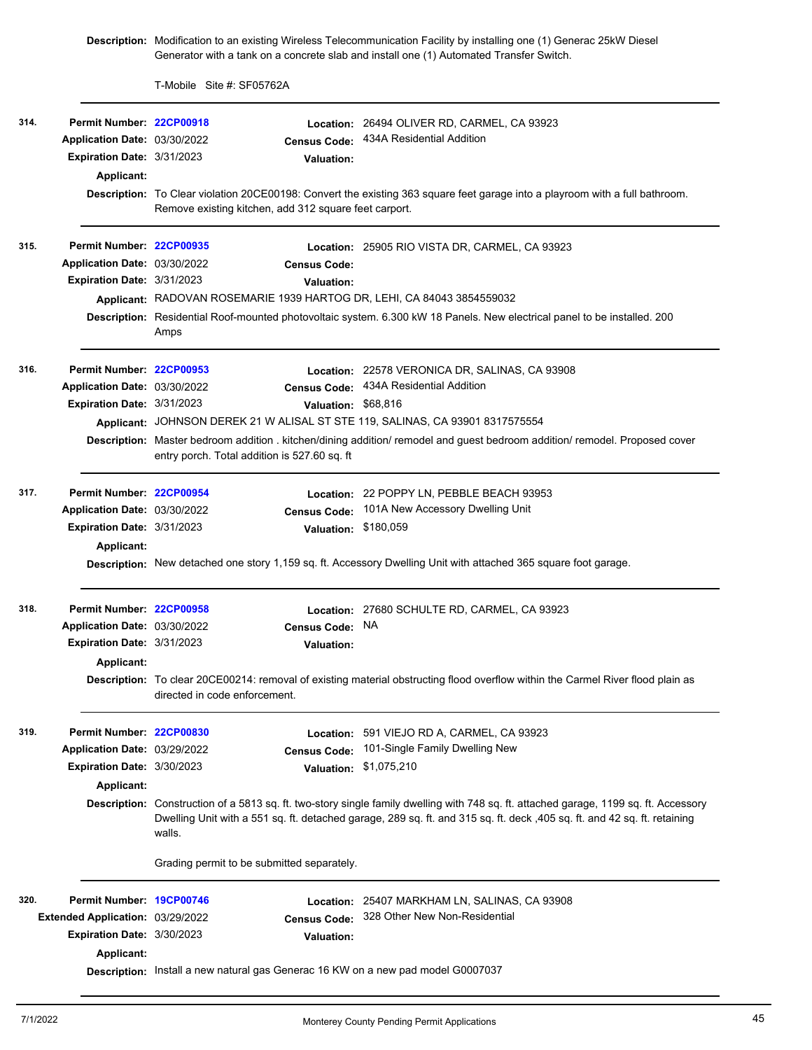**Description:** Modification to an existing Wireless Telecommunication Facility by installing one (1) Generac 25kW Diesel Generator with a tank on a concrete slab and install one (1) Automated Transfer Switch.

T-Mobile Site #: SF05762A

| 314. | Permit Number: 22CP00918<br>Application Date: 03/30/2022<br>Expiration Date: 3/31/2023<br>Applicant:                   | <b>Census Code:</b><br><b>Valuation:</b><br>Remove existing kitchen, add 312 square feet carport.                                                                           | Location: 26494 OLIVER RD, CARMEL, CA 93923<br>434A Residential Addition<br>Description: To Clear violation 20CE00198: Convert the existing 363 square feet garage into a playroom with a full bathroom.                                                                                                                                                                                 |
|------|------------------------------------------------------------------------------------------------------------------------|-----------------------------------------------------------------------------------------------------------------------------------------------------------------------------|------------------------------------------------------------------------------------------------------------------------------------------------------------------------------------------------------------------------------------------------------------------------------------------------------------------------------------------------------------------------------------------|
| 315. | Permit Number: 22CP00935<br>Application Date: 03/30/2022<br><b>Expiration Date: 3/31/2023</b>                          | <b>Census Code:</b><br><b>Valuation:</b><br>Applicant: RADOVAN ROSEMARIE 1939 HARTOG DR, LEHI, CA 84043 3854559032<br>Amps                                                  | Location: 25905 RIO VISTA DR, CARMEL, CA 93923<br>Description: Residential Roof-mounted photovoltaic system. 6.300 kW 18 Panels. New electrical panel to be installed. 200                                                                                                                                                                                                               |
| 316. | Permit Number: 22CP00953<br>Application Date: 03/30/2022<br>Expiration Date: 3/31/2023                                 | <b>Census Code:</b><br>Valuation: \$68,816<br>Applicant: JOHNSON DEREK 21 W ALISAL ST STE 119, SALINAS, CA 93901 8317575554<br>entry porch. Total addition is 527.60 sq. ft | Location: 22578 VERONICA DR, SALINAS, CA 93908<br>434A Residential Addition<br>Description: Master bedroom addition . kitchen/dining addition/ remodel and guest bedroom addition/ remodel. Proposed cover                                                                                                                                                                               |
| 317. | Permit Number: 22CP00954<br>Application Date: 03/30/2022<br>Expiration Date: 3/31/2023<br>Applicant:                   | Valuation: \$180,059                                                                                                                                                        | Location: 22 POPPY LN, PEBBLE BEACH 93953<br>Census Code: 101A New Accessory Dwelling Unit<br>Description: New detached one story 1,159 sq. ft. Accessory Dwelling Unit with attached 365 square foot garage.                                                                                                                                                                            |
| 318. | Permit Number: 22CP00958<br>Application Date: 03/30/2022<br>Expiration Date: 3/31/2023<br><b>Applicant:</b>            | Census Code: NA<br><b>Valuation:</b><br>directed in code enforcement.                                                                                                       | Location: 27680 SCHULTE RD, CARMEL, CA 93923<br>Description: To clear 20CE00214: removal of existing material obstructing flood overflow within the Carmel River flood plain as                                                                                                                                                                                                          |
| 319. | Permit Number: 22CP00830<br>Application Date: 03/29/2022<br>Expiration Date: 3/30/2023<br>Applicant:                   | walls.<br>Grading permit to be submitted separately.                                                                                                                        | Location: 591 VIEJO RD A, CARMEL, CA 93923<br>Census Code: 101-Single Family Dwelling New<br>Valuation: \$1,075,210<br>Description: Construction of a 5813 sq. ft. two-story single family dwelling with 748 sq. ft. attached garage, 1199 sq. ft. Accessory<br>Dwelling Unit with a 551 sq. ft. detached garage, 289 sq. ft. and 315 sq. ft. deck, 405 sq. ft. and 42 sq. ft. retaining |
| 320. | Permit Number: 19CP00746<br>Extended Application: 03/29/2022<br><b>Expiration Date: 3/30/2023</b><br><b>Applicant:</b> | <b>Valuation:</b><br>Description: Install a new natural gas Generac 16 KW on a new pad model G0007037                                                                       | Location: 25407 MARKHAM LN, SALINAS, CA 93908<br>Census Code: 328 Other New Non-Residential                                                                                                                                                                                                                                                                                              |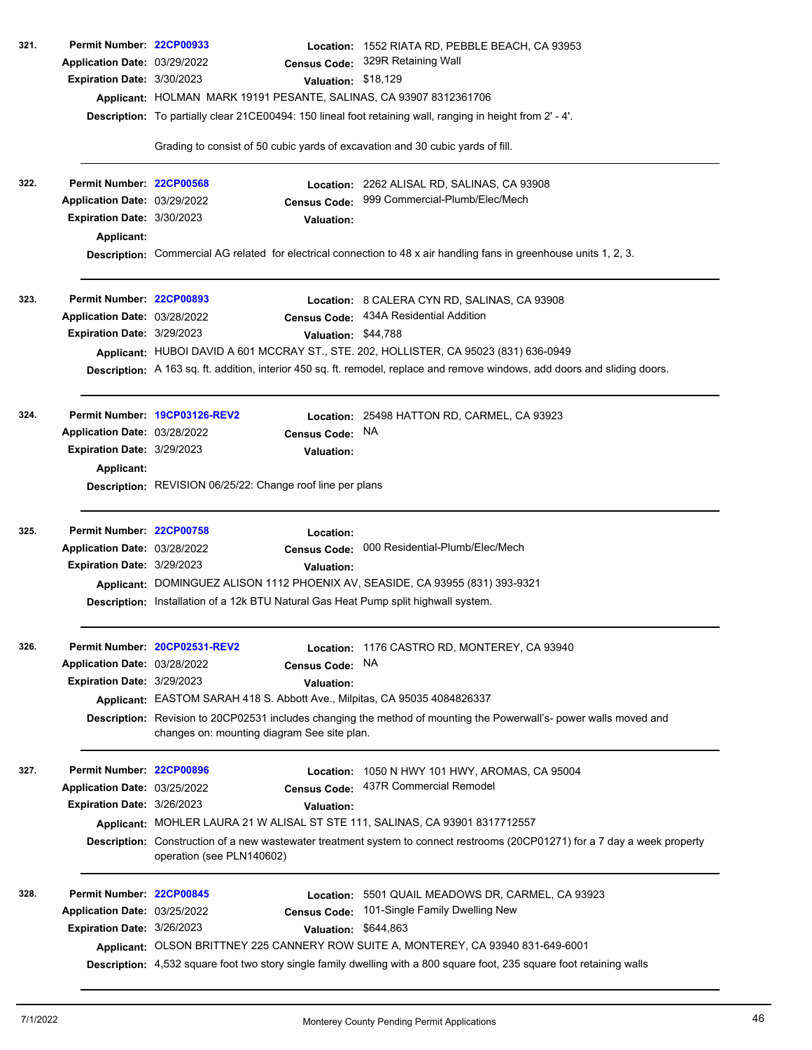| 321. | Permit Number: 22CP00933<br>Application Date: 03/29/2022 | <b>Census Code:</b>                                                                                                                                                  | Location: 1552 RIATA RD, PEBBLE BEACH, CA 93953<br>329R Retaining Wall                                                      |
|------|----------------------------------------------------------|----------------------------------------------------------------------------------------------------------------------------------------------------------------------|-----------------------------------------------------------------------------------------------------------------------------|
|      | Expiration Date: 3/30/2023                               | Valuation: \$18,129                                                                                                                                                  |                                                                                                                             |
|      |                                                          | Applicant: HOLMAN MARK 19191 PESANTE, SALINAS, CA 93907 8312361706                                                                                                   |                                                                                                                             |
|      |                                                          |                                                                                                                                                                      | Description: To partially clear 21CE00494: 150 lineal foot retaining wall, ranging in height from 2' - 4'.                  |
|      |                                                          | Grading to consist of 50 cubic yards of excavation and 30 cubic yards of fill.                                                                                       |                                                                                                                             |
| 322. | Permit Number: 22CP00568                                 |                                                                                                                                                                      | Location: 2262 ALISAL RD, SALINAS, CA 93908                                                                                 |
|      | Application Date: 03/29/2022                             | <b>Census Code:</b>                                                                                                                                                  | 999 Commercial-Plumb/Elec/Mech                                                                                              |
|      | Expiration Date: 3/30/2023                               | <b>Valuation:</b>                                                                                                                                                    |                                                                                                                             |
|      | Applicant:                                               |                                                                                                                                                                      | Description: Commercial AG related for electrical connection to 48 x air handling fans in greenhouse units 1, 2, 3.         |
|      |                                                          |                                                                                                                                                                      |                                                                                                                             |
| 323. | Permit Number: 22CP00893                                 |                                                                                                                                                                      | Location: 8 CALERA CYN RD, SALINAS, CA 93908                                                                                |
|      | Application Date: 03/28/2022                             | <b>Census Code:</b>                                                                                                                                                  | 434A Residential Addition                                                                                                   |
|      | Expiration Date: 3/29/2023                               | Valuation: \$44,788                                                                                                                                                  | Applicant: HUBOI DAVID A 601 MCCRAY ST., STE. 202, HOLLISTER, CA 95023 (831) 636-0949                                       |
|      |                                                          |                                                                                                                                                                      | Description: A 163 sq. ft. addition, interior 450 sq. ft. remodel, replace and remove windows, add doors and sliding doors. |
|      |                                                          |                                                                                                                                                                      |                                                                                                                             |
| 324. |                                                          | Permit Number 19CP03126-REV2                                                                                                                                         | Location: 25498 HATTON RD, CARMEL, CA 93923                                                                                 |
|      | Application Date: 03/28/2022                             | <b>Census Code:</b>                                                                                                                                                  | <b>NA</b>                                                                                                                   |
|      | Expiration Date: 3/29/2023                               | <b>Valuation:</b>                                                                                                                                                    |                                                                                                                             |
|      | <b>Applicant:</b>                                        | Description: REVISION 06/25/22: Change roof line per plans                                                                                                           |                                                                                                                             |
|      |                                                          |                                                                                                                                                                      |                                                                                                                             |
| 325. | Permit Number: 22CP00758                                 | Location:                                                                                                                                                            |                                                                                                                             |
|      | Application Date: 03/28/2022                             | <b>Census Code:</b>                                                                                                                                                  | 000 Residential-Plumb/Elec/Mech                                                                                             |
|      | Expiration Date: 3/29/2023                               | <b>Valuation:</b>                                                                                                                                                    |                                                                                                                             |
|      |                                                          | Applicant: DOMINGUEZ ALISON 1112 PHOENIX AV, SEASIDE, CA 93955 (831) 393-9321<br>Description: Installation of a 12k BTU Natural Gas Heat Pump split highwall system. |                                                                                                                             |
|      |                                                          |                                                                                                                                                                      |                                                                                                                             |
| 326. |                                                          | Permit Number: 20CP02531-REV2                                                                                                                                        | Location: 1176 CASTRO RD, MONTEREY, CA 93940                                                                                |
|      | Application Date: 03/28/2022                             | <b>Census Code:</b>                                                                                                                                                  | <b>NA</b>                                                                                                                   |
|      | Expiration Date: 3/29/2023                               | <b>Valuation:</b>                                                                                                                                                    |                                                                                                                             |
|      |                                                          | Applicant: EASTOM SARAH 418 S. Abbott Ave., Milpitas, CA 95035 4084826337                                                                                            |                                                                                                                             |
|      |                                                          | changes on: mounting diagram See site plan.                                                                                                                          | Description: Revision to 20CP02531 includes changing the method of mounting the Powerwall's- power walls moved and          |
| 327. | Permit Number: 22CP00896                                 |                                                                                                                                                                      | Location: 1050 N HWY 101 HWY, AROMAS, CA 95004                                                                              |
|      | Application Date: 03/25/2022                             | <b>Census Code:</b>                                                                                                                                                  | 437R Commercial Remodel                                                                                                     |
|      | Expiration Date: 3/26/2023                               | <b>Valuation:</b>                                                                                                                                                    |                                                                                                                             |
|      |                                                          | Applicant: MOHLER LAURA 21 W ALISAL ST STE 111, SALINAS, CA 93901 8317712557                                                                                         |                                                                                                                             |
|      |                                                          | operation (see PLN140602)                                                                                                                                            | Description: Construction of a new wastewater treatment system to connect restrooms (20CP01271) for a 7 day a week property |
| 328. | Permit Number: 22CP00845                                 | <b>Location:</b>                                                                                                                                                     | 5501 QUAIL MEADOWS DR, CARMEL, CA 93923                                                                                     |
|      | Application Date: 03/25/2022                             | <b>Census Code:</b>                                                                                                                                                  | 101-Single Family Dwelling New                                                                                              |
|      | Expiration Date: 3/26/2023                               | <b>Valuation:</b>                                                                                                                                                    | \$644,863                                                                                                                   |
|      |                                                          |                                                                                                                                                                      | Applicant: OLSON BRITTNEY 225 CANNERY ROW SUITE A, MONTEREY, CA 93940 831-649-6001                                          |
|      |                                                          |                                                                                                                                                                      | Description: 4,532 square foot two story single family dwelling with a 800 square foot, 235 square foot retaining walls     |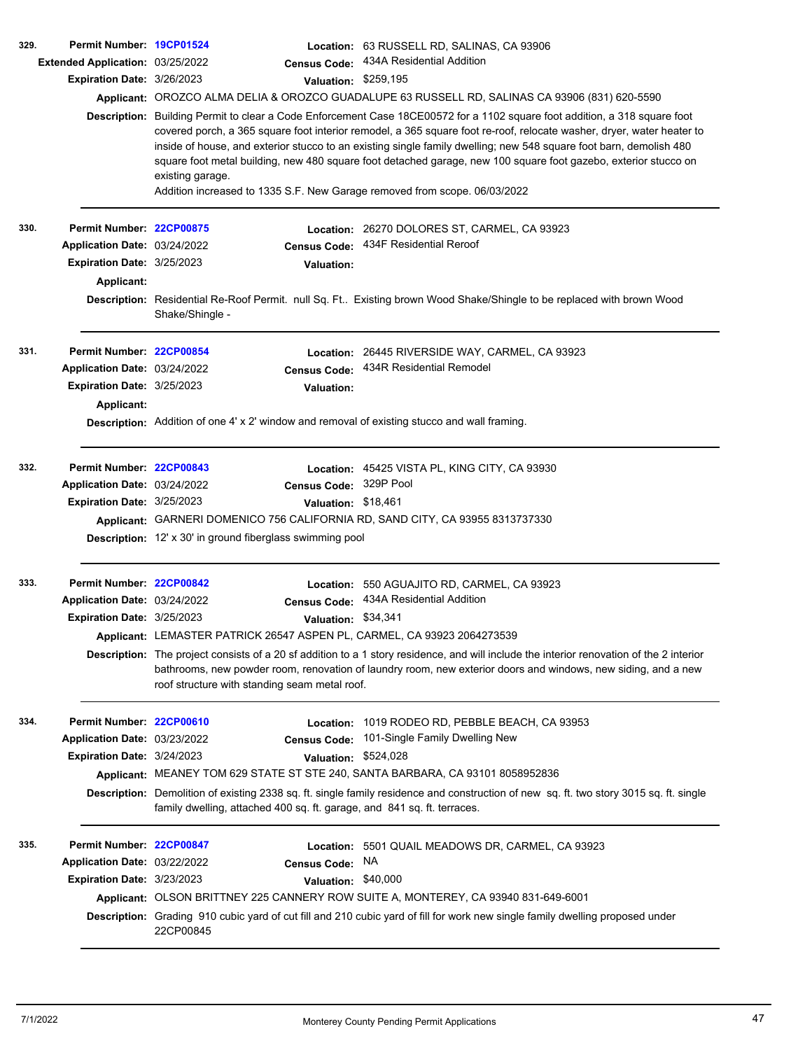| 329. | Permit Number: 19CP01524          |                                                                         |                      | Location: 63 RUSSELL RD, SALINAS, CA 93906                                                                                                                                                                                                                                                                                                                                                                                                                                                                                                                                |
|------|-----------------------------------|-------------------------------------------------------------------------|----------------------|---------------------------------------------------------------------------------------------------------------------------------------------------------------------------------------------------------------------------------------------------------------------------------------------------------------------------------------------------------------------------------------------------------------------------------------------------------------------------------------------------------------------------------------------------------------------------|
|      | Extended Application: 03/25/2022  |                                                                         | <b>Census Code:</b>  | 434A Residential Addition                                                                                                                                                                                                                                                                                                                                                                                                                                                                                                                                                 |
|      | Expiration Date: 3/26/2023        |                                                                         | Valuation: \$259,195 |                                                                                                                                                                                                                                                                                                                                                                                                                                                                                                                                                                           |
|      |                                   |                                                                         |                      | Applicant: OROZCO ALMA DELIA & OROZCO GUADALUPE 63 RUSSELL RD, SALINAS CA 93906 (831) 620-5590                                                                                                                                                                                                                                                                                                                                                                                                                                                                            |
|      |                                   | existing garage.                                                        |                      | Description: Building Permit to clear a Code Enforcement Case 18CE00572 for a 1102 square foot addition, a 318 square foot<br>covered porch, a 365 square foot interior remodel, a 365 square foot re-roof, relocate washer, dryer, water heater to<br>inside of house, and exterior stucco to an existing single family dwelling; new 548 square foot barn, demolish 480<br>square foot metal building, new 480 square foot detached garage, new 100 square foot gazebo, exterior stucco on<br>Addition increased to 1335 S.F. New Garage removed from scope. 06/03/2022 |
|      |                                   |                                                                         |                      |                                                                                                                                                                                                                                                                                                                                                                                                                                                                                                                                                                           |
| 330. | Permit Number: 22CP00875          |                                                                         |                      | Location: 26270 DOLORES ST, CARMEL, CA 93923<br>434F Residential Reroof                                                                                                                                                                                                                                                                                                                                                                                                                                                                                                   |
|      | Application Date: 03/24/2022      |                                                                         | <b>Census Code:</b>  |                                                                                                                                                                                                                                                                                                                                                                                                                                                                                                                                                                           |
|      | <b>Expiration Date: 3/25/2023</b> |                                                                         | <b>Valuation:</b>    |                                                                                                                                                                                                                                                                                                                                                                                                                                                                                                                                                                           |
|      | <b>Applicant:</b>                 |                                                                         |                      |                                                                                                                                                                                                                                                                                                                                                                                                                                                                                                                                                                           |
|      |                                   | Shake/Shingle -                                                         |                      | Description: Residential Re-Roof Permit. null Sq. Ft Existing brown Wood Shake/Shingle to be replaced with brown Wood                                                                                                                                                                                                                                                                                                                                                                                                                                                     |
| 331. | Permit Number: 22CP00854          |                                                                         |                      | Location: 26445 RIVERSIDE WAY, CARMEL, CA 93923                                                                                                                                                                                                                                                                                                                                                                                                                                                                                                                           |
|      | Application Date: 03/24/2022      |                                                                         | <b>Census Code:</b>  | 434R Residential Remodel                                                                                                                                                                                                                                                                                                                                                                                                                                                                                                                                                  |
|      | Expiration Date: 3/25/2023        |                                                                         | <b>Valuation:</b>    |                                                                                                                                                                                                                                                                                                                                                                                                                                                                                                                                                                           |
|      | Applicant:                        |                                                                         |                      |                                                                                                                                                                                                                                                                                                                                                                                                                                                                                                                                                                           |
|      |                                   |                                                                         |                      | <b>Description:</b> Addition of one 4' x 2' window and removal of existing stucco and wall framing.                                                                                                                                                                                                                                                                                                                                                                                                                                                                       |
| 332. | Permit Number: 22CP00843          |                                                                         |                      | Location: 45425 VISTA PL, KING CITY, CA 93930                                                                                                                                                                                                                                                                                                                                                                                                                                                                                                                             |
|      | Application Date: 03/24/2022      |                                                                         | <b>Census Code:</b>  | 329P Pool                                                                                                                                                                                                                                                                                                                                                                                                                                                                                                                                                                 |
|      | Expiration Date: 3/25/2023        |                                                                         | Valuation: \$18,461  |                                                                                                                                                                                                                                                                                                                                                                                                                                                                                                                                                                           |
|      |                                   |                                                                         |                      | Applicant: GARNERI DOMENICO 756 CALIFORNIA RD, SAND CITY, CA 93955 8313737330                                                                                                                                                                                                                                                                                                                                                                                                                                                                                             |
|      |                                   | <b>Description:</b> 12' x 30' in ground fiberglass swimming pool        |                      |                                                                                                                                                                                                                                                                                                                                                                                                                                                                                                                                                                           |
| 333. | Permit Number: 22CP00842          |                                                                         |                      | Location: 550 AGUAJITO RD, CARMEL, CA 93923                                                                                                                                                                                                                                                                                                                                                                                                                                                                                                                               |
|      | Application Date: 03/24/2022      |                                                                         |                      | Census Code: 434A Residential Addition                                                                                                                                                                                                                                                                                                                                                                                                                                                                                                                                    |
|      | Expiration Date: 3/25/2023        |                                                                         | Valuation: \$34,341  |                                                                                                                                                                                                                                                                                                                                                                                                                                                                                                                                                                           |
|      |                                   | Applicant: LEMASTER PATRICK 26547 ASPEN PL, CARMEL, CA 93923 2064273539 |                      |                                                                                                                                                                                                                                                                                                                                                                                                                                                                                                                                                                           |
|      |                                   | roof structure with standing seam metal roof.                           |                      | <b>Description:</b> The project consists of a 20 sf addition to a 1 story residence, and will include the interior renovation of the 2 interior<br>bathrooms, new powder room, renovation of laundry room, new exterior doors and windows, new siding, and a new                                                                                                                                                                                                                                                                                                          |
| 334. | Permit Number: 22CP00610          |                                                                         | Location:            | 1019 RODEO RD, PEBBLE BEACH, CA 93953                                                                                                                                                                                                                                                                                                                                                                                                                                                                                                                                     |
|      | Application Date: 03/23/2022      |                                                                         | <b>Census Code:</b>  | 101-Single Family Dwelling New                                                                                                                                                                                                                                                                                                                                                                                                                                                                                                                                            |
|      | Expiration Date: 3/24/2023        |                                                                         | <b>Valuation:</b>    | \$524,028                                                                                                                                                                                                                                                                                                                                                                                                                                                                                                                                                                 |
|      |                                   |                                                                         |                      | Applicant: MEANEY TOM 629 STATE ST STE 240, SANTA BARBARA, CA 93101 8058952836                                                                                                                                                                                                                                                                                                                                                                                                                                                                                            |
|      |                                   | family dwelling, attached 400 sq. ft. garage, and 841 sq. ft. terraces. |                      | Description: Demolition of existing 2338 sq. ft. single family residence and construction of new sq. ft. two story 3015 sq. ft. single                                                                                                                                                                                                                                                                                                                                                                                                                                    |
| 335. | Permit Number: 22CP00847          |                                                                         |                      | Location: 5501 QUAIL MEADOWS DR, CARMEL, CA 93923                                                                                                                                                                                                                                                                                                                                                                                                                                                                                                                         |
|      | Application Date: 03/22/2022      |                                                                         | <b>Census Code:</b>  | NA.                                                                                                                                                                                                                                                                                                                                                                                                                                                                                                                                                                       |
|      | Expiration Date: 3/23/2023        |                                                                         | Valuation: \$40,000  |                                                                                                                                                                                                                                                                                                                                                                                                                                                                                                                                                                           |
|      |                                   |                                                                         |                      | Applicant: OLSON BRITTNEY 225 CANNERY ROW SUITE A, MONTEREY, CA 93940 831-649-6001                                                                                                                                                                                                                                                                                                                                                                                                                                                                                        |
|      |                                   | 22CP00845                                                               |                      | Description: Grading 910 cubic yard of cut fill and 210 cubic yard of fill for work new single family dwelling proposed under                                                                                                                                                                                                                                                                                                                                                                                                                                             |
|      |                                   |                                                                         |                      |                                                                                                                                                                                                                                                                                                                                                                                                                                                                                                                                                                           |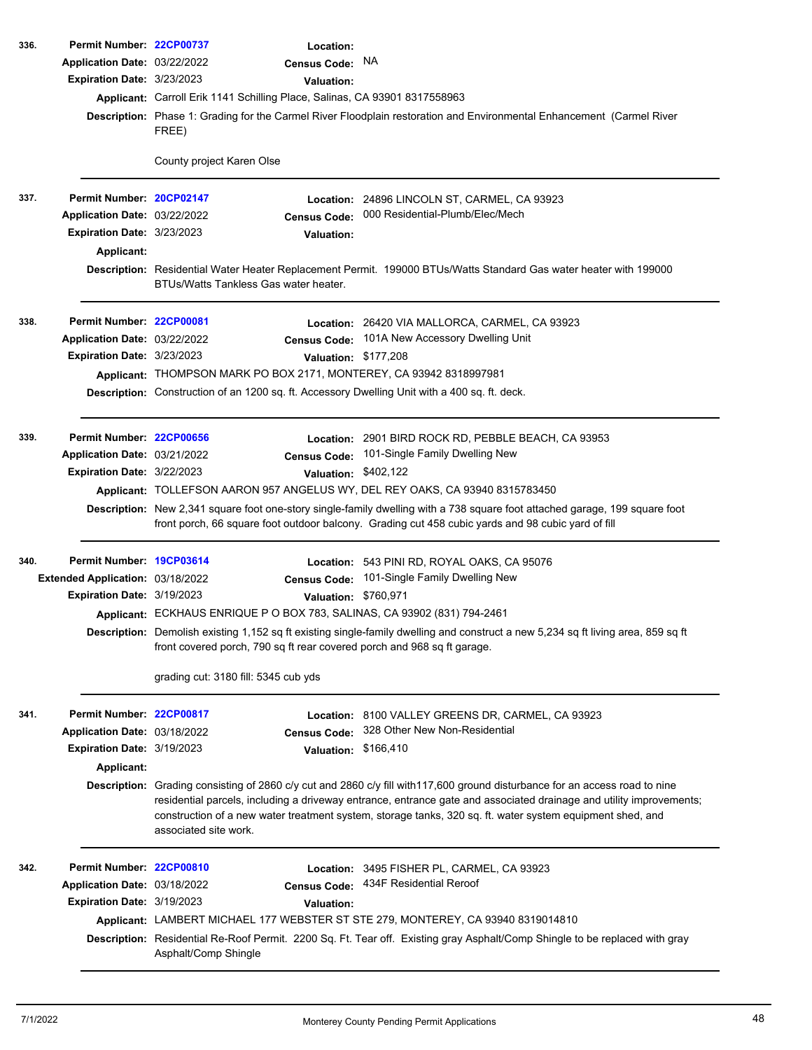| 336. | Permit Number: 22CP00737          |                                                                            | Location:            |                                                                                                                                                                                                                                                                                                                                                                 |
|------|-----------------------------------|----------------------------------------------------------------------------|----------------------|-----------------------------------------------------------------------------------------------------------------------------------------------------------------------------------------------------------------------------------------------------------------------------------------------------------------------------------------------------------------|
|      | Application Date: 03/22/2022      |                                                                            | Census Code: NA      |                                                                                                                                                                                                                                                                                                                                                                 |
|      | Expiration Date: 3/23/2023        |                                                                            | <b>Valuation:</b>    |                                                                                                                                                                                                                                                                                                                                                                 |
|      |                                   | Applicant: Carroll Erik 1141 Schilling Place, Salinas, CA 93901 8317558963 |                      |                                                                                                                                                                                                                                                                                                                                                                 |
|      |                                   | FREE)                                                                      |                      | Description: Phase 1: Grading for the Carmel River Floodplain restoration and Environmental Enhancement (Carmel River                                                                                                                                                                                                                                           |
|      |                                   | County project Karen Olse                                                  |                      |                                                                                                                                                                                                                                                                                                                                                                 |
| 337. | Permit Number: 20CP02147          |                                                                            |                      | Location: 24896 LINCOLN ST, CARMEL, CA 93923                                                                                                                                                                                                                                                                                                                    |
|      | Application Date: 03/22/2022      |                                                                            | Census Code:         | 000 Residential-Plumb/Elec/Mech                                                                                                                                                                                                                                                                                                                                 |
|      | Expiration Date: 3/23/2023        |                                                                            | <b>Valuation:</b>    |                                                                                                                                                                                                                                                                                                                                                                 |
|      | Applicant:                        |                                                                            |                      |                                                                                                                                                                                                                                                                                                                                                                 |
|      |                                   | BTUs/Watts Tankless Gas water heater.                                      |                      | Description: Residential Water Heater Replacement Permit. 199000 BTUs/Watts Standard Gas water heater with 199000                                                                                                                                                                                                                                               |
| 338. | Permit Number: 22CP00081          |                                                                            |                      | Location: 26420 VIA MALLORCA, CARMEL, CA 93923                                                                                                                                                                                                                                                                                                                  |
|      | Application Date: 03/22/2022      |                                                                            | <b>Census Code:</b>  | 101A New Accessory Dwelling Unit                                                                                                                                                                                                                                                                                                                                |
|      | Expiration Date: 3/23/2023        |                                                                            | Valuation: \$177,208 |                                                                                                                                                                                                                                                                                                                                                                 |
|      |                                   |                                                                            |                      | Applicant: THOMPSON MARK PO BOX 2171, MONTEREY, CA 93942 8318997981                                                                                                                                                                                                                                                                                             |
|      |                                   |                                                                            |                      | Description: Construction of an 1200 sq. ft. Accessory Dwelling Unit with a 400 sq. ft. deck.                                                                                                                                                                                                                                                                   |
| 339. | Permit Number: 22CP00656          |                                                                            |                      | Location: 2901 BIRD ROCK RD, PEBBLE BEACH, CA 93953                                                                                                                                                                                                                                                                                                             |
|      | Application Date: 03/21/2022      |                                                                            | <b>Census Code:</b>  | 101-Single Family Dwelling New                                                                                                                                                                                                                                                                                                                                  |
|      | Expiration Date: 3/22/2023        |                                                                            | Valuation: \$402,122 |                                                                                                                                                                                                                                                                                                                                                                 |
|      |                                   |                                                                            |                      | Applicant: TOLLEFSON AARON 957 ANGELUS WY, DEL REY OAKS, CA 93940 8315783450                                                                                                                                                                                                                                                                                    |
|      |                                   |                                                                            |                      | Description: New 2,341 square foot one-story single-family dwelling with a 738 square foot attached garage, 199 square foot<br>front porch, 66 square foot outdoor balcony. Grading cut 458 cubic yards and 98 cubic yard of fill                                                                                                                               |
| 340. | Permit Number: 19CP03614          |                                                                            |                      | Location: 543 PINI RD, ROYAL OAKS, CA 95076                                                                                                                                                                                                                                                                                                                     |
|      | Extended Application: 03/18/2022  |                                                                            | <b>Census Code:</b>  | 101-Single Family Dwelling New                                                                                                                                                                                                                                                                                                                                  |
|      | <b>Expiration Date: 3/19/2023</b> |                                                                            | Valuation: \$760,971 |                                                                                                                                                                                                                                                                                                                                                                 |
|      |                                   |                                                                            |                      | Applicant: ECKHAUS ENRIQUE P O BOX 783, SALINAS, CA 93902 (831) 794-2461                                                                                                                                                                                                                                                                                        |
|      |                                   |                                                                            |                      | Description: Demolish existing 1,152 sq ft existing single-family dwelling and construct a new 5,234 sq ft living area, 859 sq ft<br>front covered porch, 790 sq ft rear covered porch and 968 sq ft garage.                                                                                                                                                    |
|      |                                   | grading cut: 3180 fill: 5345 cub yds                                       |                      |                                                                                                                                                                                                                                                                                                                                                                 |
| 341. | Permit Number: 22CP00817          |                                                                            |                      | Location: 8100 VALLEY GREENS DR, CARMEL, CA 93923                                                                                                                                                                                                                                                                                                               |
|      | Application Date: 03/18/2022      |                                                                            | <b>Census Code:</b>  | 328 Other New Non-Residential                                                                                                                                                                                                                                                                                                                                   |
|      | Expiration Date: 3/19/2023        |                                                                            | Valuation: \$166,410 |                                                                                                                                                                                                                                                                                                                                                                 |
|      | Applicant:                        |                                                                            |                      |                                                                                                                                                                                                                                                                                                                                                                 |
|      |                                   | associated site work.                                                      |                      | Description: Grading consisting of 2860 c/y cut and 2860 c/y fill with117,600 ground disturbance for an access road to nine<br>residential parcels, including a driveway entrance, entrance gate and associated drainage and utility improvements;<br>construction of a new water treatment system, storage tanks, 320 sq. ft. water system equipment shed, and |
| 342. | Permit Number: 22CP00810          |                                                                            |                      | Location: 3495 FISHER PL, CARMEL, CA 93923                                                                                                                                                                                                                                                                                                                      |
|      | Application Date: 03/18/2022      |                                                                            | <b>Census Code:</b>  | 434F Residential Reroof                                                                                                                                                                                                                                                                                                                                         |
|      | Expiration Date: 3/19/2023        |                                                                            | <b>Valuation:</b>    |                                                                                                                                                                                                                                                                                                                                                                 |
|      |                                   |                                                                            |                      | Applicant: LAMBERT MICHAEL 177 WEBSTER ST STE 279, MONTEREY, CA 93940 8319014810                                                                                                                                                                                                                                                                                |
|      |                                   | Asphalt/Comp Shingle                                                       |                      | Description: Residential Re-Roof Permit. 2200 Sq. Ft. Tear off. Existing gray Asphalt/Comp Shingle to be replaced with gray                                                                                                                                                                                                                                     |
|      |                                   |                                                                            |                      |                                                                                                                                                                                                                                                                                                                                                                 |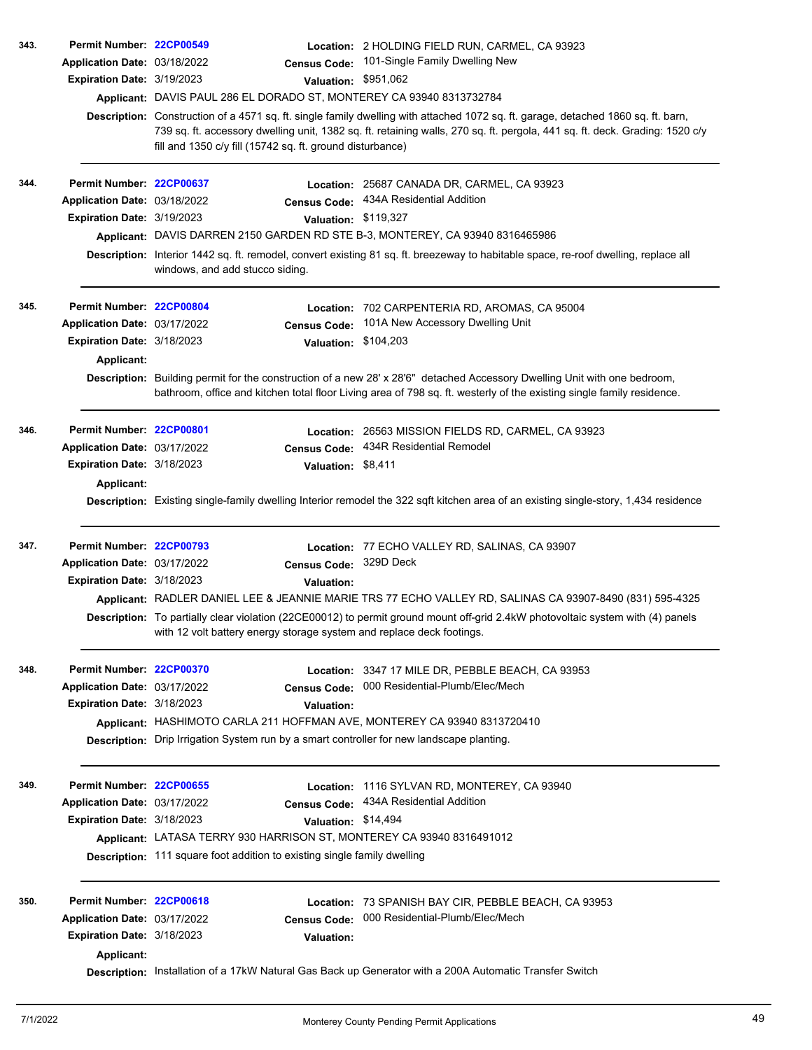| 343. | Permit Number: 22CP00549          |                                                                                                                                                                                                                                                    | Location: 2 HOLDING FIELD RUN, CARMEL, CA 93923                                                                                                                                                                                                                  |  |  |  |  |
|------|-----------------------------------|----------------------------------------------------------------------------------------------------------------------------------------------------------------------------------------------------------------------------------------------------|------------------------------------------------------------------------------------------------------------------------------------------------------------------------------------------------------------------------------------------------------------------|--|--|--|--|
|      | Application Date: 03/18/2022      | <b>Census Code:</b>                                                                                                                                                                                                                                | 101-Single Family Dwelling New                                                                                                                                                                                                                                   |  |  |  |  |
|      | Expiration Date: 3/19/2023        | <b>Valuation:</b>                                                                                                                                                                                                                                  | \$951,062                                                                                                                                                                                                                                                        |  |  |  |  |
|      |                                   | Applicant: DAVIS PAUL 286 EL DORADO ST, MONTEREY CA 93940 8313732784                                                                                                                                                                               |                                                                                                                                                                                                                                                                  |  |  |  |  |
|      |                                   | fill and 1350 c/y fill (15742 sq. ft. ground disturbance)                                                                                                                                                                                          | Description: Construction of a 4571 sq. ft. single family dwelling with attached 1072 sq. ft. garage, detached 1860 sq. ft. barn,<br>739 sq. ft. accessory dwelling unit, 1382 sq. ft. retaining walls, 270 sq. ft. pergola, 441 sq. ft. deck. Grading: 1520 c/y |  |  |  |  |
| 344. | Permit Number: 22CP00637          |                                                                                                                                                                                                                                                    | Location: 25687 CANADA DR, CARMEL, CA 93923                                                                                                                                                                                                                      |  |  |  |  |
|      | Application Date: 03/18/2022      |                                                                                                                                                                                                                                                    | Census Code: 434A Residential Addition                                                                                                                                                                                                                           |  |  |  |  |
|      | Expiration Date: 3/19/2023        |                                                                                                                                                                                                                                                    | Valuation: \$119,327                                                                                                                                                                                                                                             |  |  |  |  |
|      |                                   | Applicant: DAVIS DARREN 2150 GARDEN RD STE B-3, MONTEREY, CA 93940 8316465986                                                                                                                                                                      |                                                                                                                                                                                                                                                                  |  |  |  |  |
|      |                                   | Description: Interior 1442 sq. ft. remodel, convert existing 81 sq. ft. breezeway to habitable space, re-roof dwelling, replace all<br>windows, and add stucco siding.                                                                             |                                                                                                                                                                                                                                                                  |  |  |  |  |
| 345. | Permit Number: 22CP00804          |                                                                                                                                                                                                                                                    | Location: 702 CARPENTERIA RD, AROMAS, CA 95004                                                                                                                                                                                                                   |  |  |  |  |
|      | Application Date: 03/17/2022      | <b>Census Code:</b>                                                                                                                                                                                                                                | 101A New Accessory Dwelling Unit                                                                                                                                                                                                                                 |  |  |  |  |
|      | Expiration Date: 3/18/2023        |                                                                                                                                                                                                                                                    | Valuation: \$104,203                                                                                                                                                                                                                                             |  |  |  |  |
|      | Applicant:                        |                                                                                                                                                                                                                                                    |                                                                                                                                                                                                                                                                  |  |  |  |  |
|      |                                   | Description: Building permit for the construction of a new 28' x 28'6" detached Accessory Dwelling Unit with one bedroom,<br>bathroom, office and kitchen total floor Living area of 798 sq. ft. westerly of the existing single family residence. |                                                                                                                                                                                                                                                                  |  |  |  |  |
| 346. | Permit Number: 22CP00801          |                                                                                                                                                                                                                                                    | Location: 26563 MISSION FIELDS RD, CARMEL, CA 93923                                                                                                                                                                                                              |  |  |  |  |
|      | Application Date: 03/17/2022      |                                                                                                                                                                                                                                                    | Census Code: 434R Residential Remodel                                                                                                                                                                                                                            |  |  |  |  |
|      | <b>Expiration Date: 3/18/2023</b> | Valuation: \$8,411                                                                                                                                                                                                                                 |                                                                                                                                                                                                                                                                  |  |  |  |  |
|      | Applicant:                        |                                                                                                                                                                                                                                                    |                                                                                                                                                                                                                                                                  |  |  |  |  |
|      |                                   | Description: Existing single-family dwelling Interior remodel the 322 sqft kitchen area of an existing single-story, 1,434 residence                                                                                                               |                                                                                                                                                                                                                                                                  |  |  |  |  |
| 347. | Permit Number: 22CP00793          |                                                                                                                                                                                                                                                    | Location: 77 ECHO VALLEY RD, SALINAS, CA 93907                                                                                                                                                                                                                   |  |  |  |  |
|      | Application Date: 03/17/2022      | Census Code: 329D Deck                                                                                                                                                                                                                             |                                                                                                                                                                                                                                                                  |  |  |  |  |
|      | Expiration Date: 3/18/2023        | Valuation:                                                                                                                                                                                                                                         |                                                                                                                                                                                                                                                                  |  |  |  |  |
|      |                                   |                                                                                                                                                                                                                                                    | Applicant: RADLER DANIEL LEE & JEANNIE MARIE TRS 77 ECHO VALLEY RD, SALINAS CA 93907-8490 (831) 595-4325                                                                                                                                                         |  |  |  |  |
|      |                                   | Description: To partially clear violation (22CE00012) to permit ground mount off-grid 2.4kW photovoltaic system with (4) panels<br>with 12 volt battery energy storage system and replace deck footings.                                           |                                                                                                                                                                                                                                                                  |  |  |  |  |
| 348. | Permit Number: 22CP00370          | Location:                                                                                                                                                                                                                                          | 3347 17 MILE DR, PEBBLE BEACH, CA 93953                                                                                                                                                                                                                          |  |  |  |  |
|      | Application Date: 03/17/2022      | Census Code:                                                                                                                                                                                                                                       | 000 Residential-Plumb/Elec/Mech                                                                                                                                                                                                                                  |  |  |  |  |
|      | Expiration Date: 3/18/2023        | <b>Valuation:</b>                                                                                                                                                                                                                                  |                                                                                                                                                                                                                                                                  |  |  |  |  |
|      |                                   | Applicant: HASHIMOTO CARLA 211 HOFFMAN AVE, MONTEREY CA 93940 8313720410                                                                                                                                                                           |                                                                                                                                                                                                                                                                  |  |  |  |  |
|      |                                   | Description: Drip Irrigation System run by a smart controller for new landscape planting.                                                                                                                                                          |                                                                                                                                                                                                                                                                  |  |  |  |  |
| 349. | Permit Number: 22CP00655          |                                                                                                                                                                                                                                                    | Location: 1116 SYLVAN RD, MONTEREY, CA 93940                                                                                                                                                                                                                     |  |  |  |  |
|      | Application Date: 03/17/2022      | <b>Census Code:</b>                                                                                                                                                                                                                                | 434A Residential Addition                                                                                                                                                                                                                                        |  |  |  |  |
|      | Expiration Date: 3/18/2023        | Valuation: \$14,494                                                                                                                                                                                                                                |                                                                                                                                                                                                                                                                  |  |  |  |  |
|      |                                   | Applicant: LATASA TERRY 930 HARRISON ST, MONTEREY CA 93940 8316491012                                                                                                                                                                              |                                                                                                                                                                                                                                                                  |  |  |  |  |
|      |                                   | Description: 111 square foot addition to existing single family dwelling                                                                                                                                                                           |                                                                                                                                                                                                                                                                  |  |  |  |  |
| 350. | Permit Number: 22CP00618          |                                                                                                                                                                                                                                                    | Location: 73 SPANISH BAY CIR, PEBBLE BEACH, CA 93953                                                                                                                                                                                                             |  |  |  |  |
|      | Application Date: 03/17/2022      | <b>Census Code:</b>                                                                                                                                                                                                                                | 000 Residential-Plumb/Elec/Mech                                                                                                                                                                                                                                  |  |  |  |  |
|      | Expiration Date: 3/18/2023        | <b>Valuation:</b>                                                                                                                                                                                                                                  |                                                                                                                                                                                                                                                                  |  |  |  |  |
|      | Applicant:                        |                                                                                                                                                                                                                                                    |                                                                                                                                                                                                                                                                  |  |  |  |  |
|      |                                   |                                                                                                                                                                                                                                                    | Description: Installation of a 17kW Natural Gas Back up Generator with a 200A Automatic Transfer Switch                                                                                                                                                          |  |  |  |  |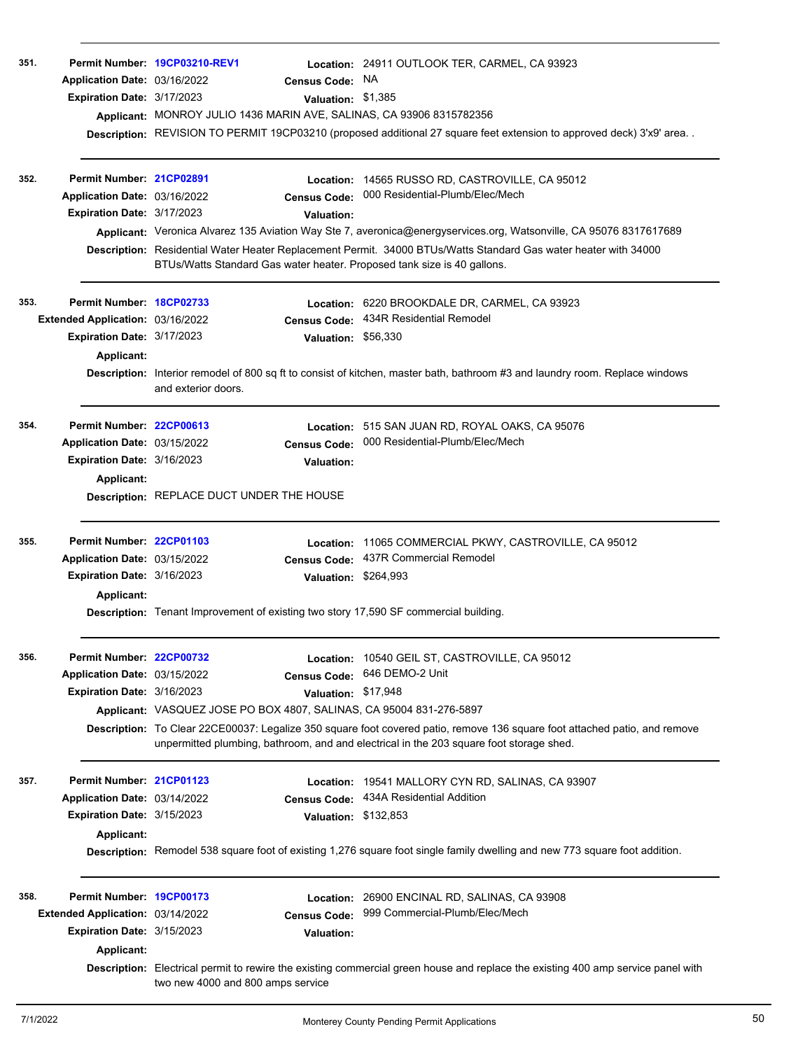| 351. | Application Date: 03/16/2022<br>Expiration Date: 3/17/2023                                                  | Permit Number 19CP03210-REV1                                        | Census Code: NA<br>Valuation: \$1,385                    | Location: 24911 OUTLOOK TER, CARMEL, CA 93923<br>Applicant: MONROY JULIO 1436 MARIN AVE, SALINAS, CA 93906 8315782356<br>Description: REVISION TO PERMIT 19CP03210 (proposed additional 27 square feet extension to approved deck) 3'x9' area                                                                                                                                                |
|------|-------------------------------------------------------------------------------------------------------------|---------------------------------------------------------------------|----------------------------------------------------------|----------------------------------------------------------------------------------------------------------------------------------------------------------------------------------------------------------------------------------------------------------------------------------------------------------------------------------------------------------------------------------------------|
| 352. | Permit Number: 21CP02891<br>Application Date: 03/16/2022<br>Expiration Date: 3/17/2023                      |                                                                     | Location:<br><b>Census Code:</b><br><b>Valuation:</b>    | 14565 RUSSO RD, CASTROVILLE, CA 95012<br>000 Residential-Plumb/Elec/Mech<br>Applicant: Veronica Alvarez 135 Aviation Way Ste 7, averonica@energyservices.org, Watsonville, CA 95076 8317617689<br>Description: Residential Water Heater Replacement Permit. 34000 BTUs/Watts Standard Gas water heater with 34000<br>BTUs/Watts Standard Gas water heater. Proposed tank size is 40 gallons. |
| 353. | Permit Number: 18CP02733<br>Extended Application: 03/16/2022<br>Expiration Date: 3/17/2023<br>Applicant:    | and exterior doors.                                                 | <b>Census Code:</b><br>Valuation: \$56,330               | Location: 6220 BROOKDALE DR, CARMEL, CA 93923<br>434R Residential Remodel<br>Description: Interior remodel of 800 sq ft to consist of kitchen, master bath, bathroom #3 and laundry room. Replace windows                                                                                                                                                                                    |
| 354. | Permit Number: 22CP00613<br>Application Date: 03/15/2022<br>Expiration Date: 3/16/2023<br>Applicant:        | <b>Description: REPLACE DUCT UNDER THE HOUSE</b>                    | <b>Census Code:</b><br><b>Valuation:</b>                 | Location: 515 SAN JUAN RD, ROYAL OAKS, CA 95076<br>000 Residential-Plumb/Elec/Mech                                                                                                                                                                                                                                                                                                           |
| 355. | Permit Number: 22CP01103<br>Application Date: 03/15/2022<br>Expiration Date: 3/16/2023<br><b>Applicant:</b> |                                                                     | Location:<br><b>Census Code:</b><br>Valuation: \$264,993 | 11065 COMMERCIAL PKWY, CASTROVILLE, CA 95012<br>437R Commercial Remodel<br>Description: Tenant Improvement of existing two story 17,590 SF commercial building.                                                                                                                                                                                                                              |
| 356. | Permit Number: 22CP00732<br>Application Date: 03/15/2022<br>Expiration Date: 3/16/2023                      | Applicant: VASQUEZ JOSE PO BOX 4807, SALINAS, CA 95004 831-276-5897 | <b>Census Code:</b><br>Valuation: \$17,948               | Location: 10540 GEIL ST, CASTROVILLE, CA 95012<br>646 DEMO-2 Unit<br>Description: To Clear 22CE00037: Legalize 350 square foot covered patio, remove 136 square foot attached patio, and remove<br>unpermitted plumbing, bathroom, and and electrical in the 203 square foot storage shed.                                                                                                   |
| 357. | Permit Number: 21CP01123<br>Application Date: 03/14/2022<br>Expiration Date: 3/15/2023<br><b>Applicant:</b> |                                                                     | Location:<br><b>Census Code:</b><br>Valuation: \$132,853 | 19541 MALLORY CYN RD, SALINAS, CA 93907<br>434A Residential Addition<br>Description: Remodel 538 square foot of existing 1,276 square foot single family dwelling and new 773 square foot addition.                                                                                                                                                                                          |
| 358. | Permit Number: 19CP00173<br>Extended Application: 03/14/2022<br>Expiration Date: 3/15/2023<br>Applicant:    | two new 4000 and 800 amps service                                   | <b>Census Code:</b><br><b>Valuation:</b>                 | Location: 26900 ENCINAL RD, SALINAS, CA 93908<br>999 Commercial-Plumb/Elec/Mech<br>Description: Electrical permit to rewire the existing commercial green house and replace the existing 400 amp service panel with                                                                                                                                                                          |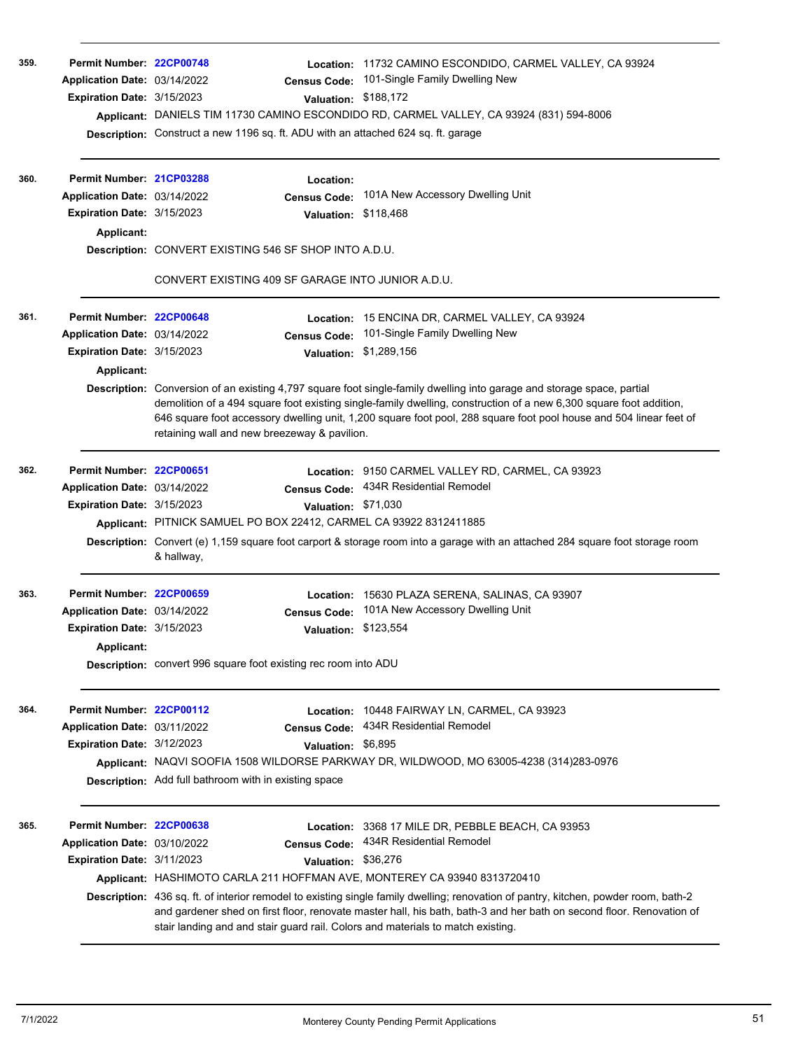| 359. | Permit Number: 22CP00748<br>Application Date: 03/14/2022<br>Expiration Date: 3/15/2023                             | <b>Census Code:</b><br>Valuation: \$188,172<br>Description: Construct a new 1196 sq. ft. ADU with an attached 624 sq. ft. garage                                                                                       | Location: 11732 CAMINO ESCONDIDO, CARMEL VALLEY, CA 93924<br>101-Single Family Dwelling New<br>Applicant: DANIELS TIM 11730 CAMINO ESCONDIDO RD, CARMEL VALLEY, CA 93924 (831) 594-8006                                                                                                                                                                                                                                                                                           |
|------|--------------------------------------------------------------------------------------------------------------------|------------------------------------------------------------------------------------------------------------------------------------------------------------------------------------------------------------------------|-----------------------------------------------------------------------------------------------------------------------------------------------------------------------------------------------------------------------------------------------------------------------------------------------------------------------------------------------------------------------------------------------------------------------------------------------------------------------------------|
| 360. | Permit Number: 21CP03288<br>Application Date: 03/14/2022<br>Expiration Date: 3/15/2023<br>Applicant:               | Location:<br><b>Census Code:</b><br>Valuation: \$118,468<br><b>Description: CONVERT EXISTING 546 SF SHOP INTO A.D.U.</b>                                                                                               | 101A New Accessory Dwelling Unit                                                                                                                                                                                                                                                                                                                                                                                                                                                  |
|      |                                                                                                                    | CONVERT EXISTING 409 SF GARAGE INTO JUNIOR A.D.U.                                                                                                                                                                      |                                                                                                                                                                                                                                                                                                                                                                                                                                                                                   |
| 361. | Permit Number: 22CP00648<br>Application Date: 03/14/2022<br><b>Expiration Date: 3/15/2023</b><br><b>Applicant:</b> | <b>Census Code:</b><br>retaining wall and new breezeway & pavilion.                                                                                                                                                    | Location: 15 ENCINA DR, CARMEL VALLEY, CA 93924<br>101-Single Family Dwelling New<br>Valuation: \$1,289,156<br>Description: Conversion of an existing 4,797 square foot single-family dwelling into garage and storage space, partial<br>demolition of a 494 square foot existing single-family dwelling, construction of a new 6,300 square foot addition,<br>646 square foot accessory dwelling unit, 1,200 square foot pool, 288 square foot pool house and 504 linear feet of |
| 362. | Permit Number: 22CP00651<br>Application Date: 03/14/2022<br>Expiration Date: 3/15/2023                             | <b>Census Code:</b><br>Valuation: \$71,030<br>Applicant: PITNICK SAMUEL PO BOX 22412, CARMEL CA 93922 8312411885<br>& hallway,                                                                                         | Location: 9150 CARMEL VALLEY RD, CARMEL, CA 93923<br>434R Residential Remodel<br>Description: Convert (e) 1,159 square foot carport & storage room into a garage with an attached 284 square foot storage room                                                                                                                                                                                                                                                                    |
| 363. | Permit Number: 22CP00659<br>Application Date: 03/14/2022<br><b>Expiration Date: 3/15/2023</b><br><b>Applicant:</b> | Location:<br><b>Census Code:</b><br>Valuation: \$123,554<br><b>Description:</b> convert 996 square foot existing rec room into ADU                                                                                     | 15630 PLAZA SERENA, SALINAS, CA 93907<br>101A New Accessory Dwelling Unit                                                                                                                                                                                                                                                                                                                                                                                                         |
| 364. | Permit Number: 22CP00112<br>Application Date: 03/11/2022<br>Expiration Date: 3/12/2023                             | Location:<br>Census Code:<br>Valuation: \$6,895<br>Description: Add full bathroom with in existing space                                                                                                               | 10448 FAIRWAY LN, CARMEL, CA 93923<br>434R Residential Remodel<br>Applicant: NAQVI SOOFIA 1508 WILDORSE PARKWAY DR, WILDWOOD, MO 63005-4238 (314)283-0976                                                                                                                                                                                                                                                                                                                         |
| 365. | Permit Number: 22CP00638<br>Application Date: 03/10/2022<br>Expiration Date: 3/11/2023                             | Location:<br><b>Census Code:</b><br>Valuation: \$36,276<br>Applicant: HASHIMOTO CARLA 211 HOFFMAN AVE, MONTEREY CA 93940 8313720410<br>stair landing and and stair guard rail. Colors and materials to match existing. | 3368 17 MILE DR, PEBBLE BEACH, CA 93953<br>434R Residential Remodel<br>Description: 436 sq. ft. of interior remodel to existing single family dwelling; renovation of pantry, kitchen, powder room, bath-2<br>and gardener shed on first floor, renovate master hall, his bath, bath-3 and her bath on second floor. Renovation of                                                                                                                                                |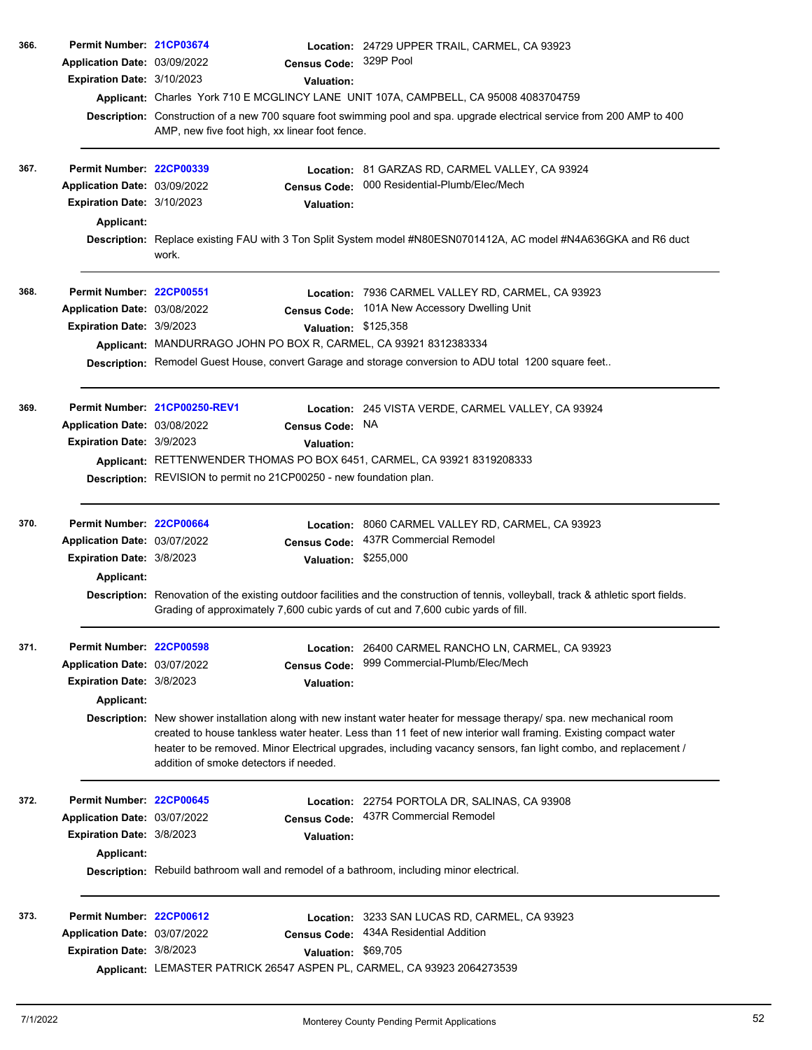| 366. | Permit Number: 21CP03674     |                                                                                                                                                                                                                                                                                                                                                                                                      |                      | Location: 24729 UPPER TRAIL, CARMEL, CA 93923                                                                                                                                                                             |  |  |
|------|------------------------------|------------------------------------------------------------------------------------------------------------------------------------------------------------------------------------------------------------------------------------------------------------------------------------------------------------------------------------------------------------------------------------------------------|----------------------|---------------------------------------------------------------------------------------------------------------------------------------------------------------------------------------------------------------------------|--|--|
|      | Application Date: 03/09/2022 |                                                                                                                                                                                                                                                                                                                                                                                                      | <b>Census Code:</b>  | 329P Pool                                                                                                                                                                                                                 |  |  |
|      | Expiration Date: 3/10/2023   |                                                                                                                                                                                                                                                                                                                                                                                                      | <b>Valuation:</b>    |                                                                                                                                                                                                                           |  |  |
|      |                              |                                                                                                                                                                                                                                                                                                                                                                                                      |                      | Applicant: Charles York 710 E MCGLINCY LANE UNIT 107A, CAMPBELL, CA 95008 4083704759                                                                                                                                      |  |  |
|      |                              | AMP, new five foot high, xx linear foot fence.                                                                                                                                                                                                                                                                                                                                                       |                      | Description: Construction of a new 700 square foot swimming pool and spa. upgrade electrical service from 200 AMP to 400                                                                                                  |  |  |
| 367. | Permit Number: 22CP00339     |                                                                                                                                                                                                                                                                                                                                                                                                      |                      | <b>Location: 81 GARZAS RD, CARMEL VALLEY, CA 93924</b>                                                                                                                                                                    |  |  |
|      | Application Date: 03/09/2022 |                                                                                                                                                                                                                                                                                                                                                                                                      | <b>Census Code:</b>  | 000 Residential-Plumb/Elec/Mech                                                                                                                                                                                           |  |  |
|      | Expiration Date: 3/10/2023   |                                                                                                                                                                                                                                                                                                                                                                                                      | <b>Valuation:</b>    |                                                                                                                                                                                                                           |  |  |
|      | <b>Applicant:</b>            |                                                                                                                                                                                                                                                                                                                                                                                                      |                      |                                                                                                                                                                                                                           |  |  |
|      |                              | work.                                                                                                                                                                                                                                                                                                                                                                                                |                      | Description: Replace existing FAU with 3 Ton Split System model #N80ESN0701412A, AC model #N4A636GKA and R6 duct                                                                                                          |  |  |
| 368. | Permit Number: 22CP00551     |                                                                                                                                                                                                                                                                                                                                                                                                      |                      | Location: 7936 CARMEL VALLEY RD, CARMEL, CA 93923                                                                                                                                                                         |  |  |
|      | Application Date: 03/08/2022 |                                                                                                                                                                                                                                                                                                                                                                                                      |                      | Census Code: 101A New Accessory Dwelling Unit                                                                                                                                                                             |  |  |
|      | Expiration Date: 3/9/2023    |                                                                                                                                                                                                                                                                                                                                                                                                      | Valuation: \$125,358 |                                                                                                                                                                                                                           |  |  |
|      |                              |                                                                                                                                                                                                                                                                                                                                                                                                      |                      | Applicant: MANDURRAGO JOHN PO BOX R, CARMEL, CA 93921 8312383334                                                                                                                                                          |  |  |
|      |                              |                                                                                                                                                                                                                                                                                                                                                                                                      |                      | Description: Remodel Guest House, convert Garage and storage conversion to ADU total 1200 square feet                                                                                                                     |  |  |
| 369. |                              | Permit Number 21CP00250-REV1                                                                                                                                                                                                                                                                                                                                                                         |                      | Location: 245 VISTA VERDE, CARMEL VALLEY, CA 93924                                                                                                                                                                        |  |  |
|      | Application Date: 03/08/2022 |                                                                                                                                                                                                                                                                                                                                                                                                      | <b>Census Code:</b>  | NA.                                                                                                                                                                                                                       |  |  |
|      | Expiration Date: 3/9/2023    |                                                                                                                                                                                                                                                                                                                                                                                                      | <b>Valuation:</b>    |                                                                                                                                                                                                                           |  |  |
|      |                              | Applicant: RETTENWENDER THOMAS PO BOX 6451, CARMEL, CA 93921 8319208333                                                                                                                                                                                                                                                                                                                              |                      |                                                                                                                                                                                                                           |  |  |
|      |                              | Description: REVISION to permit no 21CP00250 - new foundation plan.                                                                                                                                                                                                                                                                                                                                  |                      |                                                                                                                                                                                                                           |  |  |
| 370. | Permit Number: 22CP00664     |                                                                                                                                                                                                                                                                                                                                                                                                      |                      | Location: 8060 CARMEL VALLEY RD, CARMEL, CA 93923                                                                                                                                                                         |  |  |
|      | Application Date: 03/07/2022 |                                                                                                                                                                                                                                                                                                                                                                                                      | <b>Census Code:</b>  | 437R Commercial Remodel                                                                                                                                                                                                   |  |  |
|      | Expiration Date: 3/8/2023    |                                                                                                                                                                                                                                                                                                                                                                                                      | Valuation: \$255,000 |                                                                                                                                                                                                                           |  |  |
|      | Applicant:                   |                                                                                                                                                                                                                                                                                                                                                                                                      |                      |                                                                                                                                                                                                                           |  |  |
|      |                              |                                                                                                                                                                                                                                                                                                                                                                                                      |                      | Description: Renovation of the existing outdoor facilities and the construction of tennis, volleyball, track & athletic sport fields.<br>Grading of approximately 7,600 cubic yards of cut and 7,600 cubic yards of fill. |  |  |
| 371. | Permit Number: 22CP00598     |                                                                                                                                                                                                                                                                                                                                                                                                      |                      | Location: 26400 CARMEL RANCHO LN, CARMEL, CA 93923                                                                                                                                                                        |  |  |
|      | Application Date: 03/07/2022 |                                                                                                                                                                                                                                                                                                                                                                                                      | <b>Census Code:</b>  | 999 Commercial-Plumb/Elec/Mech                                                                                                                                                                                            |  |  |
|      | Expiration Date: 3/8/2023    |                                                                                                                                                                                                                                                                                                                                                                                                      | Valuation:           |                                                                                                                                                                                                                           |  |  |
|      | <b>Applicant:</b>            |                                                                                                                                                                                                                                                                                                                                                                                                      |                      |                                                                                                                                                                                                                           |  |  |
|      |                              | Description: New shower installation along with new instant water heater for message therapy/ spa. new mechanical room<br>created to house tankless water heater. Less than 11 feet of new interior wall framing. Existing compact water<br>heater to be removed. Minor Electrical upgrades, including vacancy sensors, fan light combo, and replacement /<br>addition of smoke detectors if needed. |                      |                                                                                                                                                                                                                           |  |  |
| 372. | Permit Number: 22CP00645     |                                                                                                                                                                                                                                                                                                                                                                                                      |                      | Location: 22754 PORTOLA DR, SALINAS, CA 93908                                                                                                                                                                             |  |  |
|      | Application Date: 03/07/2022 |                                                                                                                                                                                                                                                                                                                                                                                                      |                      | Census Code: 437R Commercial Remodel                                                                                                                                                                                      |  |  |
|      | Expiration Date: 3/8/2023    |                                                                                                                                                                                                                                                                                                                                                                                                      | <b>Valuation:</b>    |                                                                                                                                                                                                                           |  |  |
|      | <b>Applicant:</b>            |                                                                                                                                                                                                                                                                                                                                                                                                      |                      | Description: Rebuild bathroom wall and remodel of a bathroom, including minor electrical.                                                                                                                                 |  |  |
| 373. | Permit Number: 22CP00612     |                                                                                                                                                                                                                                                                                                                                                                                                      |                      | Location: 3233 SAN LUCAS RD, CARMEL, CA 93923                                                                                                                                                                             |  |  |
|      | Application Date: 03/07/2022 |                                                                                                                                                                                                                                                                                                                                                                                                      | <b>Census Code:</b>  | 434A Residential Addition                                                                                                                                                                                                 |  |  |
|      | Expiration Date: 3/8/2023    |                                                                                                                                                                                                                                                                                                                                                                                                      | Valuation: \$69,705  |                                                                                                                                                                                                                           |  |  |
|      |                              |                                                                                                                                                                                                                                                                                                                                                                                                      |                      | Applicant: LEMASTER PATRICK 26547 ASPEN PL, CARMEL, CA 93923 2064273539                                                                                                                                                   |  |  |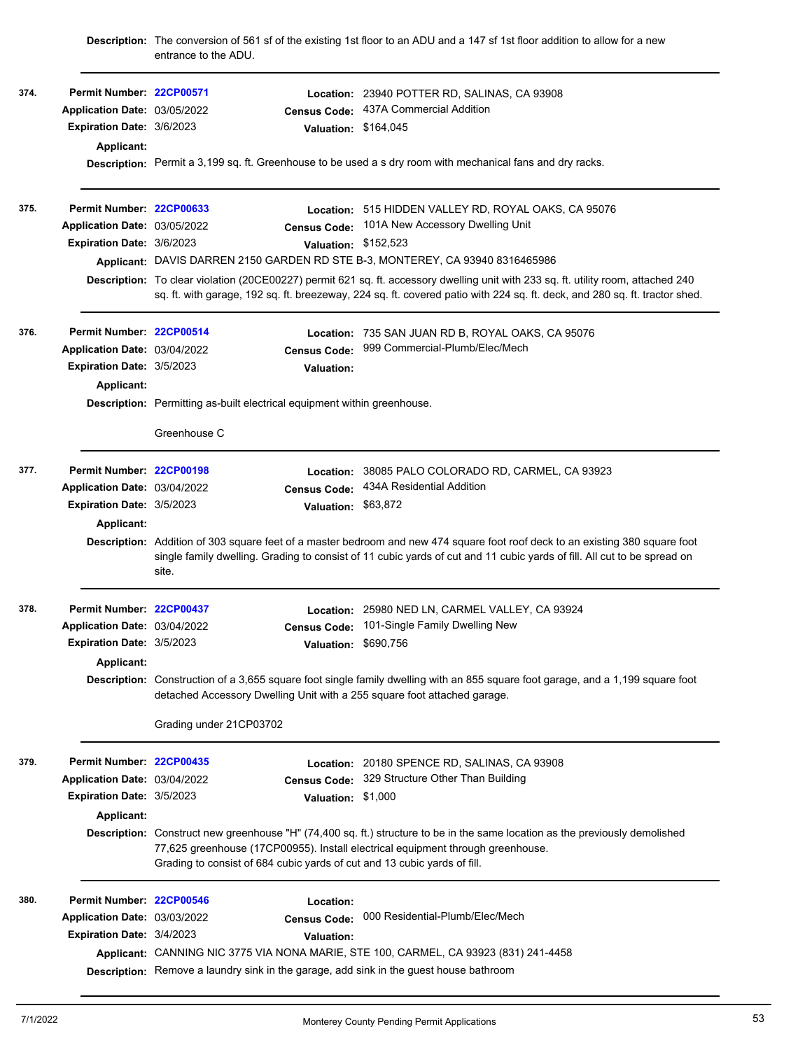|      |                                  | entrance to the ADU.                                                                                                                                                                                                                                             |                      | Description: The conversion of 561 sf of the existing 1st floor to an ADU and a 147 sf 1st floor addition to allow for a new                                                                                                                             |  |  |  |
|------|----------------------------------|------------------------------------------------------------------------------------------------------------------------------------------------------------------------------------------------------------------------------------------------------------------|----------------------|----------------------------------------------------------------------------------------------------------------------------------------------------------------------------------------------------------------------------------------------------------|--|--|--|
| 374. | Permit Number: 22CP00571         |                                                                                                                                                                                                                                                                  |                      | Location: 23940 POTTER RD, SALINAS, CA 93908                                                                                                                                                                                                             |  |  |  |
|      | Application Date: 03/05/2022     |                                                                                                                                                                                                                                                                  | <b>Census Code:</b>  | 437A Commercial Addition                                                                                                                                                                                                                                 |  |  |  |
|      | <b>Expiration Date: 3/6/2023</b> |                                                                                                                                                                                                                                                                  | Valuation: \$164,045 |                                                                                                                                                                                                                                                          |  |  |  |
|      | Applicant:                       |                                                                                                                                                                                                                                                                  |                      |                                                                                                                                                                                                                                                          |  |  |  |
|      |                                  |                                                                                                                                                                                                                                                                  |                      | Description: Permit a 3,199 sq. ft. Greenhouse to be used a s dry room with mechanical fans and dry racks.                                                                                                                                               |  |  |  |
| 375. | Permit Number: 22CP00633         |                                                                                                                                                                                                                                                                  |                      | Location: 515 HIDDEN VALLEY RD, ROYAL OAKS, CA 95076                                                                                                                                                                                                     |  |  |  |
|      | Application Date: 03/05/2022     |                                                                                                                                                                                                                                                                  | <b>Census Code:</b>  | 101A New Accessory Dwelling Unit                                                                                                                                                                                                                         |  |  |  |
|      | Expiration Date: 3/6/2023        |                                                                                                                                                                                                                                                                  | Valuation: \$152,523 |                                                                                                                                                                                                                                                          |  |  |  |
|      |                                  |                                                                                                                                                                                                                                                                  |                      | Applicant: DAVIS DARREN 2150 GARDEN RD STE B-3, MONTEREY, CA 93940 8316465986                                                                                                                                                                            |  |  |  |
|      |                                  | Description: To clear violation (20CE00227) permit 621 sq. ft. accessory dwelling unit with 233 sq. ft. utility room, attached 240<br>sq. ft. with garage, 192 sq. ft. breezeway, 224 sq. ft. covered patio with 224 sq. ft. deck, and 280 sq. ft. tractor shed. |                      |                                                                                                                                                                                                                                                          |  |  |  |
| 376. | Permit Number: 22CP00514         |                                                                                                                                                                                                                                                                  |                      | Location: 735 SAN JUAN RD B, ROYAL OAKS, CA 95076                                                                                                                                                                                                        |  |  |  |
|      | Application Date: 03/04/2022     |                                                                                                                                                                                                                                                                  | <b>Census Code:</b>  | 999 Commercial-Plumb/Elec/Mech                                                                                                                                                                                                                           |  |  |  |
|      | Expiration Date: 3/5/2023        |                                                                                                                                                                                                                                                                  | Valuation:           |                                                                                                                                                                                                                                                          |  |  |  |
|      | <b>Applicant:</b>                |                                                                                                                                                                                                                                                                  |                      |                                                                                                                                                                                                                                                          |  |  |  |
|      |                                  | Description: Permitting as-built electrical equipment within greenhouse.                                                                                                                                                                                         |                      |                                                                                                                                                                                                                                                          |  |  |  |
|      |                                  | Greenhouse C                                                                                                                                                                                                                                                     |                      |                                                                                                                                                                                                                                                          |  |  |  |
| 377. | Permit Number: 22CP00198         |                                                                                                                                                                                                                                                                  | Location:            | 38085 PALO COLORADO RD, CARMEL, CA 93923                                                                                                                                                                                                                 |  |  |  |
|      | Application Date: 03/04/2022     |                                                                                                                                                                                                                                                                  | <b>Census Code:</b>  | 434A Residential Addition                                                                                                                                                                                                                                |  |  |  |
|      | Expiration Date: 3/5/2023        |                                                                                                                                                                                                                                                                  | Valuation: \$63,872  |                                                                                                                                                                                                                                                          |  |  |  |
|      | Applicant:                       |                                                                                                                                                                                                                                                                  |                      |                                                                                                                                                                                                                                                          |  |  |  |
|      |                                  | site.                                                                                                                                                                                                                                                            |                      | Description: Addition of 303 square feet of a master bedroom and new 474 square foot roof deck to an existing 380 square foot<br>single family dwelling. Grading to consist of 11 cubic yards of cut and 11 cubic yards of fill. All cut to be spread on |  |  |  |
| 378. | Permit Number: 22CP00437         |                                                                                                                                                                                                                                                                  |                      | Location: 25980 NED LN, CARMEL VALLEY, CA 93924                                                                                                                                                                                                          |  |  |  |
|      | Application Date: 03/04/2022     |                                                                                                                                                                                                                                                                  |                      | Census Code: 101-Single Family Dwelling New                                                                                                                                                                                                              |  |  |  |
|      | Expiration Date: 3/5/2023        |                                                                                                                                                                                                                                                                  | Valuation: \$690,756 |                                                                                                                                                                                                                                                          |  |  |  |
|      | <b>Applicant:</b>                |                                                                                                                                                                                                                                                                  |                      |                                                                                                                                                                                                                                                          |  |  |  |
|      |                                  | Description: Construction of a 3,655 square foot single family dwelling with an 855 square foot garage, and a 1,199 square foot<br>detached Accessory Dwelling Unit with a 255 square foot attached garage.                                                      |                      |                                                                                                                                                                                                                                                          |  |  |  |
|      |                                  | Grading under 21CP03702                                                                                                                                                                                                                                          |                      |                                                                                                                                                                                                                                                          |  |  |  |
| 379. | Permit Number: 22CP00435         |                                                                                                                                                                                                                                                                  | Location:            | 20180 SPENCE RD, SALINAS, CA 93908                                                                                                                                                                                                                       |  |  |  |
|      | Application Date: 03/04/2022     |                                                                                                                                                                                                                                                                  | <b>Census Code:</b>  | 329 Structure Other Than Building                                                                                                                                                                                                                        |  |  |  |
|      | Expiration Date: 3/5/2023        |                                                                                                                                                                                                                                                                  | Valuation: \$1,000   |                                                                                                                                                                                                                                                          |  |  |  |
|      | <b>Applicant:</b>                |                                                                                                                                                                                                                                                                  |                      |                                                                                                                                                                                                                                                          |  |  |  |
|      |                                  |                                                                                                                                                                                                                                                                  |                      | Description: Construct new greenhouse "H" (74,400 sq. ft.) structure to be in the same location as the previously demolished                                                                                                                             |  |  |  |
|      |                                  |                                                                                                                                                                                                                                                                  |                      | 77,625 greenhouse (17CP00955). Install electrical equipment through greenhouse.<br>Grading to consist of 684 cubic yards of cut and 13 cubic yards of fill.                                                                                              |  |  |  |
| 380. | Permit Number: 22CP00546         |                                                                                                                                                                                                                                                                  | Location:            |                                                                                                                                                                                                                                                          |  |  |  |
|      | Application Date: 03/03/2022     |                                                                                                                                                                                                                                                                  | <b>Census Code:</b>  | 000 Residential-Plumb/Elec/Mech                                                                                                                                                                                                                          |  |  |  |
|      | <b>Expiration Date: 3/4/2023</b> |                                                                                                                                                                                                                                                                  | <b>Valuation:</b>    |                                                                                                                                                                                                                                                          |  |  |  |
|      |                                  |                                                                                                                                                                                                                                                                  |                      | Applicant: CANNING NIC 3775 VIA NONA MARIE, STE 100, CARMEL, CA 93923 (831) 241-4458                                                                                                                                                                     |  |  |  |
|      |                                  |                                                                                                                                                                                                                                                                  |                      | Description: Remove a laundry sink in the garage, add sink in the guest house bathroom                                                                                                                                                                   |  |  |  |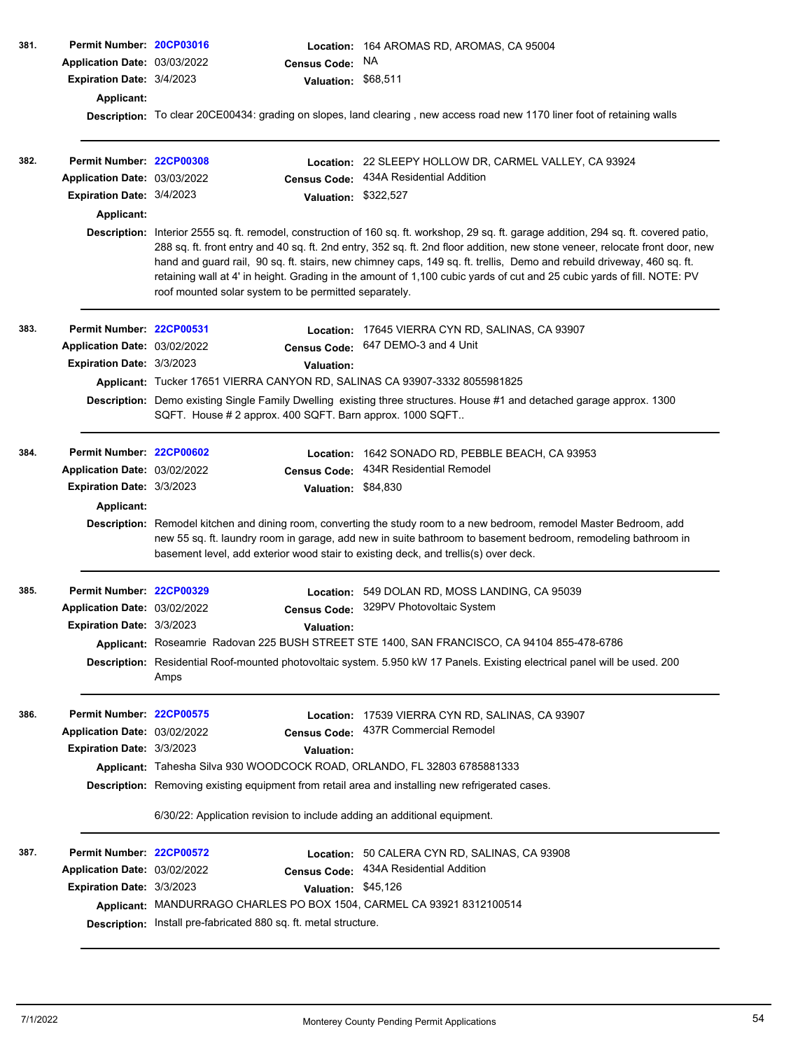| 381. | Permit Number: 20CP03016     |                                                                                                                                                                                                                                                                                                          |                      | Location: 164 AROMAS RD, AROMAS, CA 95004                                                                                                                                                                                                                                                                                    |  |  |  |  |
|------|------------------------------|----------------------------------------------------------------------------------------------------------------------------------------------------------------------------------------------------------------------------------------------------------------------------------------------------------|----------------------|------------------------------------------------------------------------------------------------------------------------------------------------------------------------------------------------------------------------------------------------------------------------------------------------------------------------------|--|--|--|--|
|      | Application Date: 03/03/2022 |                                                                                                                                                                                                                                                                                                          | <b>Census Code:</b>  | NA.                                                                                                                                                                                                                                                                                                                          |  |  |  |  |
|      | Expiration Date: 3/4/2023    |                                                                                                                                                                                                                                                                                                          | Valuation: \$68,511  |                                                                                                                                                                                                                                                                                                                              |  |  |  |  |
|      | Applicant:                   |                                                                                                                                                                                                                                                                                                          |                      |                                                                                                                                                                                                                                                                                                                              |  |  |  |  |
|      |                              |                                                                                                                                                                                                                                                                                                          |                      | Description: To clear 20CE00434: grading on slopes, land clearing, new access road new 1170 liner foot of retaining walls                                                                                                                                                                                                    |  |  |  |  |
| 382. | Permit Number: 22CP00308     |                                                                                                                                                                                                                                                                                                          |                      | Location: 22 SLEEPY HOLLOW DR, CARMEL VALLEY, CA 93924                                                                                                                                                                                                                                                                       |  |  |  |  |
|      | Application Date: 03/03/2022 |                                                                                                                                                                                                                                                                                                          | <b>Census Code:</b>  | 434A Residential Addition                                                                                                                                                                                                                                                                                                    |  |  |  |  |
|      | Expiration Date: 3/4/2023    |                                                                                                                                                                                                                                                                                                          | Valuation: \$322,527 |                                                                                                                                                                                                                                                                                                                              |  |  |  |  |
|      | <b>Applicant:</b>            |                                                                                                                                                                                                                                                                                                          |                      |                                                                                                                                                                                                                                                                                                                              |  |  |  |  |
|      |                              | Description: Interior 2555 sq. ft. remodel, construction of 160 sq. ft. workshop, 29 sq. ft. garage addition, 294 sq. ft. covered patio,<br>288 sq. ft. front entry and 40 sq. ft. 2nd entry, 352 sq. ft. 2nd floor addition, new stone veneer, relocate front door, new                                 |                      |                                                                                                                                                                                                                                                                                                                              |  |  |  |  |
|      |                              | hand and guard rail, 90 sq. ft. stairs, new chimney caps, 149 sq. ft. trellis, Demo and rebuild driveway, 460 sq. ft.<br>retaining wall at 4' in height. Grading in the amount of 1,100 cubic yards of cut and 25 cubic yards of fill. NOTE: PV<br>roof mounted solar system to be permitted separately. |                      |                                                                                                                                                                                                                                                                                                                              |  |  |  |  |
| 383. | Permit Number: 22CP00531     |                                                                                                                                                                                                                                                                                                          |                      | Location: 17645 VIERRA CYN RD, SALINAS, CA 93907                                                                                                                                                                                                                                                                             |  |  |  |  |
|      | Application Date: 03/02/2022 |                                                                                                                                                                                                                                                                                                          | <b>Census Code:</b>  | 647 DEMO-3 and 4 Unit                                                                                                                                                                                                                                                                                                        |  |  |  |  |
|      | Expiration Date: 3/3/2023    |                                                                                                                                                                                                                                                                                                          | <b>Valuation:</b>    |                                                                                                                                                                                                                                                                                                                              |  |  |  |  |
|      |                              | Applicant: Tucker 17651 VIERRA CANYON RD, SALINAS CA 93907-3332 8055981825                                                                                                                                                                                                                               |                      |                                                                                                                                                                                                                                                                                                                              |  |  |  |  |
|      |                              | Description: Demo existing Single Family Dwelling existing three structures. House #1 and detached garage approx. 1300<br>SQFT. House # 2 approx. 400 SQFT. Barn approx. 1000 SQFT                                                                                                                       |                      |                                                                                                                                                                                                                                                                                                                              |  |  |  |  |
| 384. | Permit Number: 22CP00602     |                                                                                                                                                                                                                                                                                                          | Location:            | 1642 SONADO RD, PEBBLE BEACH, CA 93953                                                                                                                                                                                                                                                                                       |  |  |  |  |
|      | Application Date: 03/02/2022 |                                                                                                                                                                                                                                                                                                          | <b>Census Code:</b>  | 434R Residential Remodel                                                                                                                                                                                                                                                                                                     |  |  |  |  |
|      | Expiration Date: 3/3/2023    |                                                                                                                                                                                                                                                                                                          | Valuation: \$84,830  |                                                                                                                                                                                                                                                                                                                              |  |  |  |  |
|      | Applicant:                   |                                                                                                                                                                                                                                                                                                          |                      |                                                                                                                                                                                                                                                                                                                              |  |  |  |  |
|      |                              |                                                                                                                                                                                                                                                                                                          |                      | Description: Remodel kitchen and dining room, converting the study room to a new bedroom, remodel Master Bedroom, add<br>new 55 sq. ft. laundry room in garage, add new in suite bathroom to basement bedroom, remodeling bathroom in<br>basement level, add exterior wood stair to existing deck, and trellis(s) over deck. |  |  |  |  |
| 385. | Permit Number: 22CP00329     |                                                                                                                                                                                                                                                                                                          |                      | Location: 549 DOLAN RD, MOSS LANDING, CA 95039                                                                                                                                                                                                                                                                               |  |  |  |  |
|      | Application Date: 03/02/2022 |                                                                                                                                                                                                                                                                                                          |                      | Census Code: 329PV Photovoltaic System                                                                                                                                                                                                                                                                                       |  |  |  |  |
|      | Expiration Date: 3/3/2023    |                                                                                                                                                                                                                                                                                                          | Valuation:           |                                                                                                                                                                                                                                                                                                                              |  |  |  |  |
|      |                              |                                                                                                                                                                                                                                                                                                          |                      | Applicant: Roseamrie Radovan 225 BUSH STREET STE 1400, SAN FRANCISCO, CA 94104 855-478-6786                                                                                                                                                                                                                                  |  |  |  |  |
|      |                              | Description: Residential Roof-mounted photovoltaic system. 5.950 kW 17 Panels. Existing electrical panel will be used. 200<br>Amps                                                                                                                                                                       |                      |                                                                                                                                                                                                                                                                                                                              |  |  |  |  |
| 386. | Permit Number: 22CP00575     |                                                                                                                                                                                                                                                                                                          |                      | Location: 17539 VIERRA CYN RD, SALINAS, CA 93907                                                                                                                                                                                                                                                                             |  |  |  |  |
|      | Application Date: 03/02/2022 |                                                                                                                                                                                                                                                                                                          | <b>Census Code:</b>  | 437R Commercial Remodel                                                                                                                                                                                                                                                                                                      |  |  |  |  |
|      | Expiration Date: 3/3/2023    |                                                                                                                                                                                                                                                                                                          | <b>Valuation:</b>    |                                                                                                                                                                                                                                                                                                                              |  |  |  |  |
|      |                              |                                                                                                                                                                                                                                                                                                          |                      | Applicant: Tahesha Silva 930 WOODCOCK ROAD, ORLANDO, FL 32803 6785881333                                                                                                                                                                                                                                                     |  |  |  |  |
|      |                              |                                                                                                                                                                                                                                                                                                          |                      | Description: Removing existing equipment from retail area and installing new refrigerated cases.                                                                                                                                                                                                                             |  |  |  |  |
|      |                              | 6/30/22: Application revision to include adding an additional equipment.                                                                                                                                                                                                                                 |                      |                                                                                                                                                                                                                                                                                                                              |  |  |  |  |
| 387. | Permit Number: 22CP00572     |                                                                                                                                                                                                                                                                                                          | Location:            | 50 CALERA CYN RD, SALINAS, CA 93908                                                                                                                                                                                                                                                                                          |  |  |  |  |
|      | Application Date: 03/02/2022 |                                                                                                                                                                                                                                                                                                          | <b>Census Code:</b>  | 434A Residential Addition                                                                                                                                                                                                                                                                                                    |  |  |  |  |
|      | Expiration Date: 3/3/2023    |                                                                                                                                                                                                                                                                                                          | Valuation: \$45,126  |                                                                                                                                                                                                                                                                                                                              |  |  |  |  |
|      |                              |                                                                                                                                                                                                                                                                                                          |                      | Applicant: MANDURRAGO CHARLES PO BOX 1504, CARMEL CA 93921 8312100514                                                                                                                                                                                                                                                        |  |  |  |  |
|      |                              | Description: Install pre-fabricated 880 sq. ft. metal structure.                                                                                                                                                                                                                                         |                      |                                                                                                                                                                                                                                                                                                                              |  |  |  |  |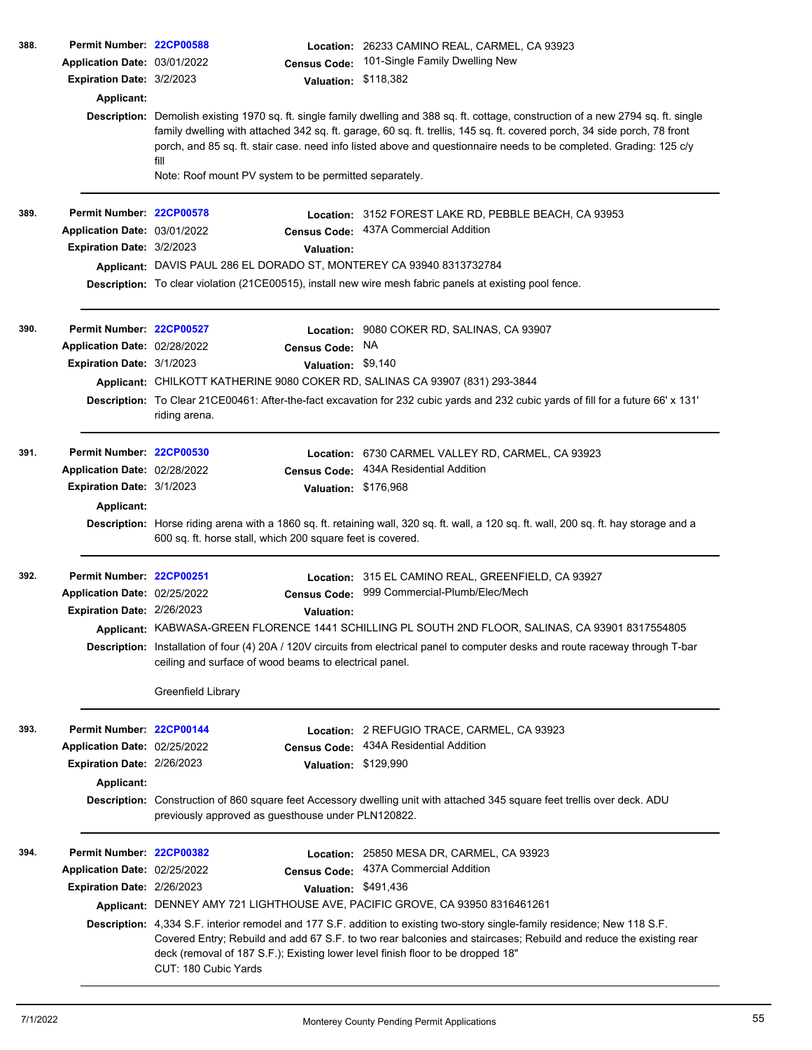| 388. | Permit Number: 22CP00588                                  |                                                                                                         | Location: 26233 CAMINO REAL, CARMEL, CA 93923                                                                                                                                                                                                                                                                                                                                           |
|------|-----------------------------------------------------------|---------------------------------------------------------------------------------------------------------|-----------------------------------------------------------------------------------------------------------------------------------------------------------------------------------------------------------------------------------------------------------------------------------------------------------------------------------------------------------------------------------------|
|      | Application Date: 03/01/2022                              | <b>Census Code:</b>                                                                                     | 101-Single Family Dwelling New                                                                                                                                                                                                                                                                                                                                                          |
|      | <b>Expiration Date: 3/2/2023</b>                          | <b>Valuation:</b>                                                                                       | \$118,382                                                                                                                                                                                                                                                                                                                                                                               |
|      | Applicant:                                                |                                                                                                         |                                                                                                                                                                                                                                                                                                                                                                                         |
|      |                                                           | fill                                                                                                    | Description: Demolish existing 1970 sq. ft. single family dwelling and 388 sq. ft. cottage, construction of a new 2794 sq. ft. single<br>family dwelling with attached 342 sq. ft. garage, 60 sq. ft. trellis, 145 sq. ft. covered porch, 34 side porch, 78 front<br>porch, and 85 sq. ft. stair case. need info listed above and questionnaire needs to be completed. Grading: 125 c/y |
|      |                                                           | Note: Roof mount PV system to be permitted separately.                                                  |                                                                                                                                                                                                                                                                                                                                                                                         |
| 389. | Permit Number: 22CP00578                                  |                                                                                                         | Location: 3152 FOREST LAKE RD, PEBBLE BEACH, CA 93953                                                                                                                                                                                                                                                                                                                                   |
|      | Application Date: 03/01/2022                              | <b>Census Code:</b>                                                                                     | 437A Commercial Addition                                                                                                                                                                                                                                                                                                                                                                |
|      | Expiration Date: 3/2/2023                                 | <b>Valuation:</b>                                                                                       |                                                                                                                                                                                                                                                                                                                                                                                         |
|      |                                                           | Applicant: DAVIS PAUL 286 EL DORADO ST, MONTEREY CA 93940 8313732784                                    |                                                                                                                                                                                                                                                                                                                                                                                         |
|      |                                                           |                                                                                                         | Description: To clear violation (21CE00515), install new wire mesh fabric panels at existing pool fence.                                                                                                                                                                                                                                                                                |
|      |                                                           |                                                                                                         |                                                                                                                                                                                                                                                                                                                                                                                         |
| 390. | Permit Number: 22CP00527                                  |                                                                                                         | Location: 9080 COKER RD, SALINAS, CA 93907<br>NA.                                                                                                                                                                                                                                                                                                                                       |
|      | Application Date: 02/28/2022<br>Expiration Date: 3/1/2023 | <b>Census Code:</b><br>Valuation: \$9,140                                                               |                                                                                                                                                                                                                                                                                                                                                                                         |
|      |                                                           | Applicant: CHILKOTT KATHERINE 9080 COKER RD, SALINAS CA 93907 (831) 293-3844                            |                                                                                                                                                                                                                                                                                                                                                                                         |
|      |                                                           |                                                                                                         | Description: To Clear 21CE00461: After-the-fact excavation for 232 cubic yards and 232 cubic yards of fill for a future 66' x 131'                                                                                                                                                                                                                                                      |
|      |                                                           | riding arena.                                                                                           |                                                                                                                                                                                                                                                                                                                                                                                         |
| 391. | Permit Number: 22CP00530                                  | Location:                                                                                               | 6730 CARMEL VALLEY RD, CARMEL, CA 93923                                                                                                                                                                                                                                                                                                                                                 |
|      | Application Date: 02/28/2022                              | <b>Census Code:</b>                                                                                     | 434A Residential Addition                                                                                                                                                                                                                                                                                                                                                               |
|      | Expiration Date: 3/1/2023                                 | Valuation: \$176,968                                                                                    |                                                                                                                                                                                                                                                                                                                                                                                         |
|      | Applicant:                                                |                                                                                                         |                                                                                                                                                                                                                                                                                                                                                                                         |
|      |                                                           | 600 sq. ft. horse stall, which 200 square feet is covered.                                              | Description: Horse riding arena with a 1860 sq. ft. retaining wall, 320 sq. ft. wall, a 120 sq. ft. wall, 200 sq. ft. hay storage and a                                                                                                                                                                                                                                                 |
| 392. | Permit Number: 22CP00251                                  |                                                                                                         | Location: 315 EL CAMINO REAL, GREENFIELD, CA 93927                                                                                                                                                                                                                                                                                                                                      |
|      | Application Date: 02/25/2022                              | <b>Census Code:</b>                                                                                     | 999 Commercial-Plumb/Elec/Mech                                                                                                                                                                                                                                                                                                                                                          |
|      | <b>Expiration Date: 2/26/2023</b>                         | Valuation:                                                                                              |                                                                                                                                                                                                                                                                                                                                                                                         |
|      |                                                           |                                                                                                         | Applicant: KABWASA-GREEN FLORENCE 1441 SCHILLING PL SOUTH 2ND FLOOR, SALINAS, CA 93901 8317554805                                                                                                                                                                                                                                                                                       |
|      |                                                           | ceiling and surface of wood beams to electrical panel.                                                  | Description: Installation of four (4) 20A / 120V circuits from electrical panel to computer desks and route raceway through T-bar                                                                                                                                                                                                                                                       |
|      |                                                           | Greenfield Library                                                                                      |                                                                                                                                                                                                                                                                                                                                                                                         |
| 393. | Permit Number: 22CP00144                                  |                                                                                                         | Location: 2 REFUGIO TRACE, CARMEL, CA 93923                                                                                                                                                                                                                                                                                                                                             |
|      | Application Date: 02/25/2022                              | <b>Census Code:</b>                                                                                     | 434A Residential Addition                                                                                                                                                                                                                                                                                                                                                               |
|      | Expiration Date: 2/26/2023                                | Valuation: \$129,990                                                                                    |                                                                                                                                                                                                                                                                                                                                                                                         |
|      | Applicant:                                                |                                                                                                         |                                                                                                                                                                                                                                                                                                                                                                                         |
|      |                                                           | previously approved as guesthouse under PLN120822.                                                      | Description: Construction of 860 square feet Accessory dwelling unit with attached 345 square feet trellis over deck. ADU                                                                                                                                                                                                                                                               |
| 394. | Permit Number: 22CP00382                                  |                                                                                                         | Location: 25850 MESA DR, CARMEL, CA 93923                                                                                                                                                                                                                                                                                                                                               |
|      | Application Date: 02/25/2022                              |                                                                                                         | Census Code: 437A Commercial Addition                                                                                                                                                                                                                                                                                                                                                   |
|      | Expiration Date: 2/26/2023                                | Valuation: \$491,436                                                                                    |                                                                                                                                                                                                                                                                                                                                                                                         |
|      |                                                           | Applicant: DENNEY AMY 721 LIGHTHOUSE AVE, PACIFIC GROVE, CA 93950 8316461261                            |                                                                                                                                                                                                                                                                                                                                                                                         |
|      |                                                           | deck (removal of 187 S.F.); Existing lower level finish floor to be dropped 18"<br>CUT: 180 Cubic Yards | Description: 4,334 S.F. interior remodel and 177 S.F. addition to existing two-story single-family residence; New 118 S.F.<br>Covered Entry; Rebuild and add 67 S.F. to two rear balconies and staircases; Rebuild and reduce the existing rear                                                                                                                                         |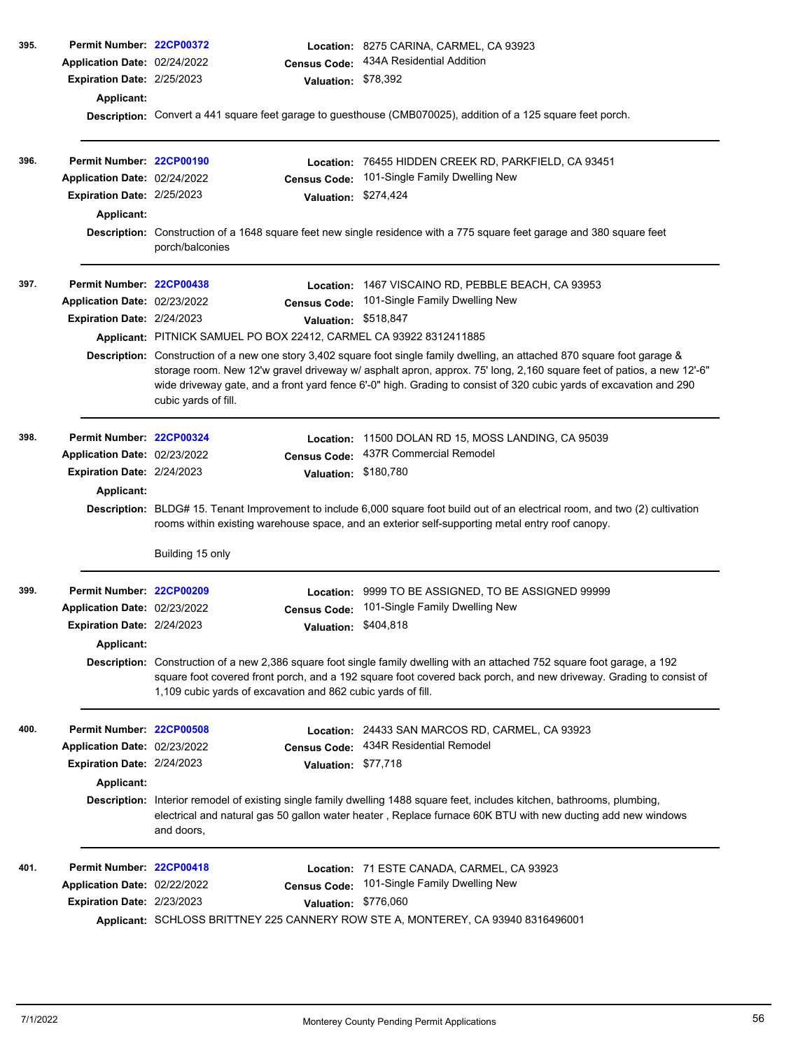| 395. | Permit Number: 22CP00372<br>Application Date: 02/24/2022<br>Expiration Date: 2/25/2023<br><b>Applicant:</b> | <b>Census Code:</b><br>Valuation: \$78,392                                                                                                | Location: 8275 CARINA, CARMEL, CA 93923<br>434A Residential Addition<br>Description: Convert a 441 square feet garage to guesthouse (CMB070025), addition of a 125 square feet porch.                                                                                                                                                                                                                                                                             |
|------|-------------------------------------------------------------------------------------------------------------|-------------------------------------------------------------------------------------------------------------------------------------------|-------------------------------------------------------------------------------------------------------------------------------------------------------------------------------------------------------------------------------------------------------------------------------------------------------------------------------------------------------------------------------------------------------------------------------------------------------------------|
| 396. | Permit Number: 22CP00190<br>Application Date: 02/24/2022<br>Expiration Date: 2/25/2023<br>Applicant:        | Location:<br><b>Census Code:</b><br>Valuation: \$274,424<br>porch/balconies                                                               | 76455 HIDDEN CREEK RD, PARKFIELD, CA 93451<br>101-Single Family Dwelling New<br>Description: Construction of a 1648 square feet new single residence with a 775 square feet garage and 380 square feet                                                                                                                                                                                                                                                            |
| 397. | Permit Number: 22CP00438<br>Application Date: 02/23/2022<br>Expiration Date: 2/24/2023                      | <b>Census Code:</b><br>Valuation: \$518,847<br>Applicant: PITNICK SAMUEL PO BOX 22412, CARMEL CA 93922 8312411885<br>cubic yards of fill. | Location: 1467 VISCAINO RD, PEBBLE BEACH, CA 93953<br>101-Single Family Dwelling New<br>Description: Construction of a new one story 3,402 square foot single family dwelling, an attached 870 square foot garage &<br>storage room. New 12'w gravel driveway w/ asphalt apron, approx. 75' long, 2,160 square feet of patios, a new 12'-6"<br>wide driveway gate, and a front yard fence 6'-0" high. Grading to consist of 320 cubic yards of excavation and 290 |
| 398. | Permit Number: 22CP00324<br>Application Date: 02/23/2022<br>Expiration Date: 2/24/2023<br>Applicant:        | Location:<br><b>Census Code:</b><br><b>Valuation:</b><br>Building 15 only                                                                 | 11500 DOLAN RD 15, MOSS LANDING, CA 95039<br>437R Commercial Remodel<br>\$180,780<br>Description: BLDG# 15. Tenant Improvement to include 6,000 square foot build out of an electrical room, and two (2) cultivation<br>rooms within existing warehouse space, and an exterior self-supporting metal entry roof canopy.                                                                                                                                           |
| 399. | Permit Number: 22CP00209<br>Application Date: 02/23/2022<br>Expiration Date: 2/24/2023<br><b>Applicant:</b> | Location:<br><b>Census Code:</b><br>Valuation: \$404,818<br>1,109 cubic yards of excavation and 862 cubic yards of fill.                  | 9999 TO BE ASSIGNED, TO BE ASSIGNED 99999<br>101-Single Family Dwelling New<br>Description: Construction of a new 2,386 square foot single family dwelling with an attached 752 square foot garage, a 192<br>square foot covered front porch, and a 192 square foot covered back porch, and new driveway. Grading to consist of                                                                                                                                   |
| 400. | Permit Number: 22CP00508<br>Application Date: 02/23/2022<br>Expiration Date: 2/24/2023<br>Applicant:        | <b>Census Code:</b><br>Valuation: \$77,718<br>and doors,                                                                                  | Location: 24433 SAN MARCOS RD, CARMEL, CA 93923<br>434R Residential Remodel<br>Description: Interior remodel of existing single family dwelling 1488 square feet, includes kitchen, bathrooms, plumbing,<br>electrical and natural gas 50 gallon water heater, Replace furnace 60K BTU with new ducting add new windows                                                                                                                                           |
| 401. | Permit Number: 22CP00418<br>Application Date: 02/22/2022<br>Expiration Date: 2/23/2023                      | <b>Census Code:</b><br>Valuation: \$776,060                                                                                               | Location: 71 ESTE CANADA, CARMEL, CA 93923<br>101-Single Family Dwelling New<br>Applicant: SCHLOSS BRITTNEY 225 CANNERY ROW STE A, MONTEREY, CA 93940 8316496001                                                                                                                                                                                                                                                                                                  |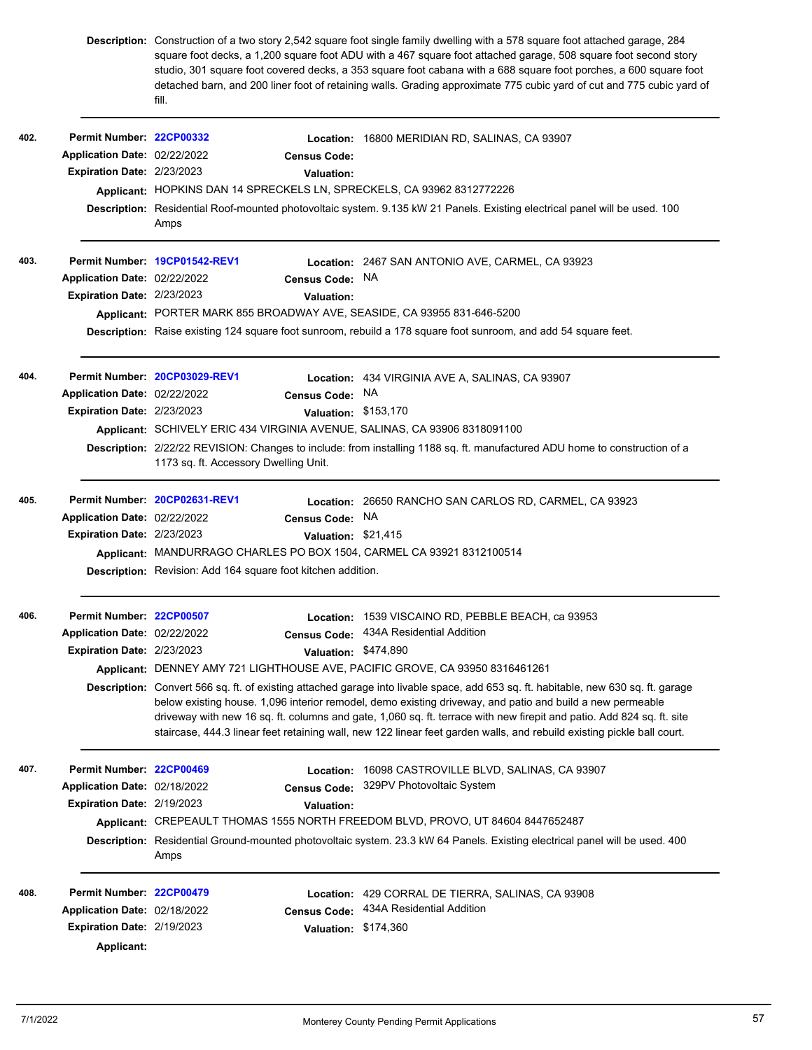|      |                              | fill.                                                                      | Description: Construction of a two story 2,542 square foot single family dwelling with a 578 square foot attached garage, 284<br>square foot decks, a 1,200 square foot ADU with a 467 square foot attached garage, 508 square foot second story<br>studio, 301 square foot covered decks, a 353 square foot cabana with a 688 square foot porches, a 600 square foot<br>detached barn, and 200 liner foot of retaining walls. Grading approximate 775 cubic yard of cut and 775 cubic yard of     |  |  |  |
|------|------------------------------|----------------------------------------------------------------------------|----------------------------------------------------------------------------------------------------------------------------------------------------------------------------------------------------------------------------------------------------------------------------------------------------------------------------------------------------------------------------------------------------------------------------------------------------------------------------------------------------|--|--|--|
| 402. | Permit Number: 22CP00332     |                                                                            | Location: 16800 MERIDIAN RD, SALINAS, CA 93907                                                                                                                                                                                                                                                                                                                                                                                                                                                     |  |  |  |
|      | Application Date: 02/22/2022 | <b>Census Code:</b>                                                        |                                                                                                                                                                                                                                                                                                                                                                                                                                                                                                    |  |  |  |
|      | Expiration Date: 2/23/2023   | Valuation:                                                                 |                                                                                                                                                                                                                                                                                                                                                                                                                                                                                                    |  |  |  |
|      |                              | Applicant: HOPKINS DAN 14 SPRECKELS LN, SPRECKELS, CA 93962 8312772226     |                                                                                                                                                                                                                                                                                                                                                                                                                                                                                                    |  |  |  |
|      |                              | Amps                                                                       | Description: Residential Roof-mounted photovoltaic system. 9.135 kW 21 Panels. Existing electrical panel will be used. 100                                                                                                                                                                                                                                                                                                                                                                         |  |  |  |
| 403. |                              | Permit Number. 19CP01542-REV1                                              | Location: 2467 SAN ANTONIO AVE, CARMEL, CA 93923                                                                                                                                                                                                                                                                                                                                                                                                                                                   |  |  |  |
|      | Application Date: 02/22/2022 | <b>Census Code:</b>                                                        | NA.                                                                                                                                                                                                                                                                                                                                                                                                                                                                                                |  |  |  |
|      | Expiration Date: 2/23/2023   | Valuation:                                                                 |                                                                                                                                                                                                                                                                                                                                                                                                                                                                                                    |  |  |  |
|      |                              | Applicant: PORTER MARK 855 BROADWAY AVE, SEASIDE, CA 93955 831-646-5200    |                                                                                                                                                                                                                                                                                                                                                                                                                                                                                                    |  |  |  |
|      |                              |                                                                            | Description: Raise existing 124 square foot sunroom, rebuild a 178 square foot sunroom, and add 54 square feet.                                                                                                                                                                                                                                                                                                                                                                                    |  |  |  |
| 404. |                              | Permit Number 20CP03029-REV1                                               | <b>Location: 434 VIRGINIA AVE A, SALINAS, CA 93907</b>                                                                                                                                                                                                                                                                                                                                                                                                                                             |  |  |  |
|      | Application Date: 02/22/2022 | <b>Census Code:</b>                                                        | NA.                                                                                                                                                                                                                                                                                                                                                                                                                                                                                                |  |  |  |
|      | Expiration Date: 2/23/2023   |                                                                            | Valuation: \$153,170                                                                                                                                                                                                                                                                                                                                                                                                                                                                               |  |  |  |
|      |                              | Applicant: SCHIVELY ERIC 434 VIRGINIA AVENUE, SALINAS, CA 93906 8318091100 |                                                                                                                                                                                                                                                                                                                                                                                                                                                                                                    |  |  |  |
|      |                              | 1173 sq. ft. Accessory Dwelling Unit.                                      | Description: 2/22/22 REVISION: Changes to include: from installing 1188 sq. ft. manufactured ADU home to construction of a                                                                                                                                                                                                                                                                                                                                                                         |  |  |  |
| 405. | Application Date: 02/22/2022 | Permit Number: 20CP02631-REV1<br><b>Census Code:</b>                       | Location: 26650 RANCHO SAN CARLOS RD, CARMEL, CA 93923<br>NA                                                                                                                                                                                                                                                                                                                                                                                                                                       |  |  |  |
|      | Expiration Date: 2/23/2023   |                                                                            | Valuation: \$21,415                                                                                                                                                                                                                                                                                                                                                                                                                                                                                |  |  |  |
|      |                              | Applicant: MANDURRAGO CHARLES PO BOX 1504, CARMEL CA 93921 8312100514      |                                                                                                                                                                                                                                                                                                                                                                                                                                                                                                    |  |  |  |
|      |                              | <b>Description:</b> Revision: Add 164 square foot kitchen addition.        |                                                                                                                                                                                                                                                                                                                                                                                                                                                                                                    |  |  |  |
| 406. | Permit Number: 22CP00507     |                                                                            | Location: 1539 VISCAINO RD, PEBBLE BEACH, ca 93953                                                                                                                                                                                                                                                                                                                                                                                                                                                 |  |  |  |
|      | Application Date: 02/22/2022 |                                                                            | Census Code: 434A Residential Addition                                                                                                                                                                                                                                                                                                                                                                                                                                                             |  |  |  |
|      | Expiration Date: 2/23/2023   |                                                                            | Valuation: \$474,890                                                                                                                                                                                                                                                                                                                                                                                                                                                                               |  |  |  |
|      |                              |                                                                            | Applicant: DENNEY AMY 721 LIGHTHOUSE AVE, PACIFIC GROVE, CA 93950 8316461261                                                                                                                                                                                                                                                                                                                                                                                                                       |  |  |  |
|      |                              |                                                                            | Description: Convert 566 sq. ft. of existing attached garage into livable space, add 653 sq. ft. habitable, new 630 sq. ft. garage<br>below existing house. 1,096 interior remodel, demo existing driveway, and patio and build a new permeable<br>driveway with new 16 sq. ft. columns and gate, 1,060 sq. ft. terrace with new firepit and patio. Add 824 sq. ft. site<br>staircase, 444.3 linear feet retaining wall, new 122 linear feet garden walls, and rebuild existing pickle ball court. |  |  |  |
| 407. | Permit Number: 22CP00469     |                                                                            | Location: 16098 CASTROVILLE BLVD, SALINAS, CA 93907                                                                                                                                                                                                                                                                                                                                                                                                                                                |  |  |  |
|      | Application Date: 02/18/2022 | <b>Census Code:</b>                                                        | 329PV Photovoltaic System                                                                                                                                                                                                                                                                                                                                                                                                                                                                          |  |  |  |
|      | Expiration Date: 2/19/2023   | <b>Valuation:</b>                                                          |                                                                                                                                                                                                                                                                                                                                                                                                                                                                                                    |  |  |  |
|      |                              |                                                                            | Applicant: CREPEAULT THOMAS 1555 NORTH FREEDOM BLVD, PROVO, UT 84604 8447652487                                                                                                                                                                                                                                                                                                                                                                                                                    |  |  |  |
|      |                              | Amps                                                                       | Description: Residential Ground-mounted photovoltaic system. 23.3 kW 64 Panels. Existing electrical panel will be used. 400                                                                                                                                                                                                                                                                                                                                                                        |  |  |  |
| 408. | Permit Number: 22CP00479     | Location:                                                                  | 429 CORRAL DE TIERRA, SALINAS, CA 93908                                                                                                                                                                                                                                                                                                                                                                                                                                                            |  |  |  |
|      | Application Date: 02/18/2022 | <b>Census Code:</b>                                                        | 434A Residential Addition                                                                                                                                                                                                                                                                                                                                                                                                                                                                          |  |  |  |
|      | Expiration Date: 2/19/2023   |                                                                            | Valuation: \$174,360                                                                                                                                                                                                                                                                                                                                                                                                                                                                               |  |  |  |
|      | <b>Applicant:</b>            |                                                                            |                                                                                                                                                                                                                                                                                                                                                                                                                                                                                                    |  |  |  |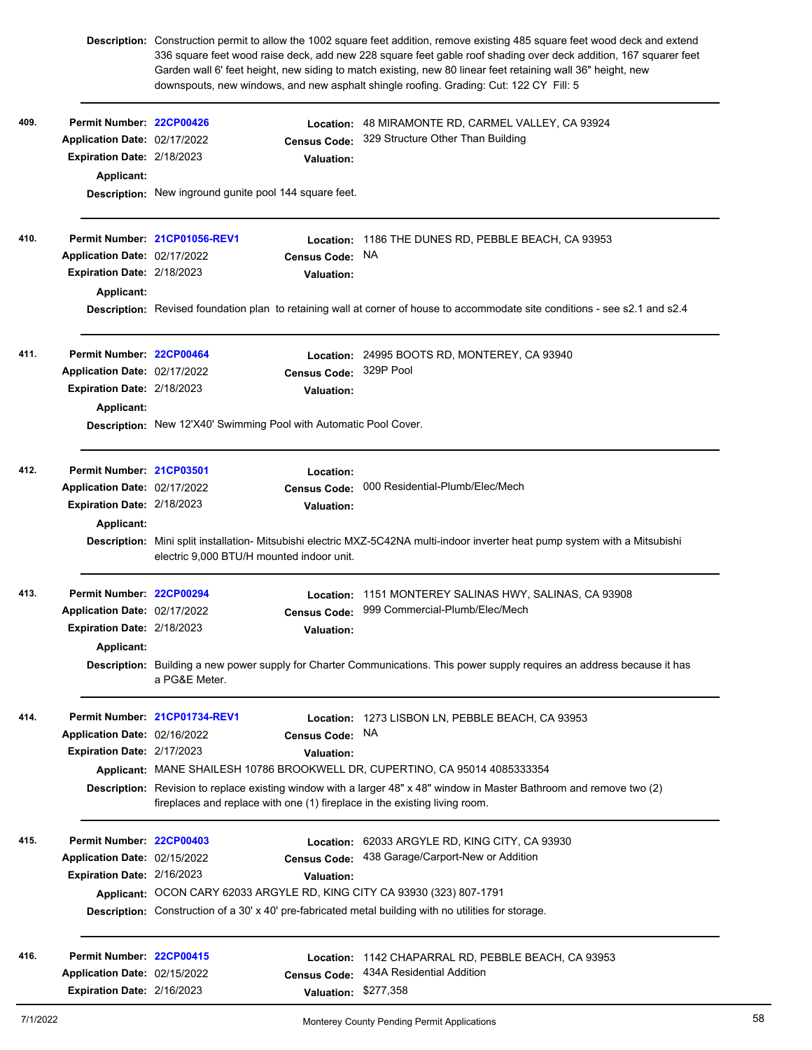|      |                                   | Description: Construction permit to allow the 1002 square feet addition, remove existing 485 square feet wood deck and extend<br>336 square feet wood raise deck, add new 228 square feet gable roof shading over deck addition, 167 squarer feet<br>Garden wall 6' feet height, new siding to match existing, new 80 linear feet retaining wall 36" height, new<br>downspouts, new windows, and new asphalt shingle roofing. Grading: Cut: 122 CY Fill: 5 |                      |                                                                                                                               |  |  |  |
|------|-----------------------------------|------------------------------------------------------------------------------------------------------------------------------------------------------------------------------------------------------------------------------------------------------------------------------------------------------------------------------------------------------------------------------------------------------------------------------------------------------------|----------------------|-------------------------------------------------------------------------------------------------------------------------------|--|--|--|
| 409. | Permit Number: 22CP00426          |                                                                                                                                                                                                                                                                                                                                                                                                                                                            | Location:            | 48 MIRAMONTE RD, CARMEL VALLEY, CA 93924                                                                                      |  |  |  |
|      | Application Date: 02/17/2022      |                                                                                                                                                                                                                                                                                                                                                                                                                                                            | <b>Census Code:</b>  | 329 Structure Other Than Building                                                                                             |  |  |  |
|      | Expiration Date: 2/18/2023        |                                                                                                                                                                                                                                                                                                                                                                                                                                                            | <b>Valuation:</b>    |                                                                                                                               |  |  |  |
|      | <b>Applicant:</b>                 |                                                                                                                                                                                                                                                                                                                                                                                                                                                            |                      |                                                                                                                               |  |  |  |
|      |                                   | Description: New inground gunite pool 144 square feet.                                                                                                                                                                                                                                                                                                                                                                                                     |                      |                                                                                                                               |  |  |  |
| 410. |                                   | Permit Number 21CP01056-REV1                                                                                                                                                                                                                                                                                                                                                                                                                               |                      | Location: 1186 THE DUNES RD, PEBBLE BEACH, CA 93953                                                                           |  |  |  |
|      | Application Date: 02/17/2022      |                                                                                                                                                                                                                                                                                                                                                                                                                                                            | <b>Census Code:</b>  | <b>NA</b>                                                                                                                     |  |  |  |
|      | Expiration Date: 2/18/2023        |                                                                                                                                                                                                                                                                                                                                                                                                                                                            | <b>Valuation:</b>    |                                                                                                                               |  |  |  |
|      | <b>Applicant:</b>                 |                                                                                                                                                                                                                                                                                                                                                                                                                                                            |                      |                                                                                                                               |  |  |  |
|      |                                   |                                                                                                                                                                                                                                                                                                                                                                                                                                                            |                      | Description: Revised foundation plan to retaining wall at corner of house to accommodate site conditions - see s2.1 and s2.4  |  |  |  |
| 411. | Permit Number: 22CP00464          |                                                                                                                                                                                                                                                                                                                                                                                                                                                            |                      | Location: 24995 BOOTS RD, MONTEREY, CA 93940                                                                                  |  |  |  |
|      | Application Date: 02/17/2022      |                                                                                                                                                                                                                                                                                                                                                                                                                                                            | <b>Census Code:</b>  | 329P Pool                                                                                                                     |  |  |  |
|      | <b>Expiration Date: 2/18/2023</b> |                                                                                                                                                                                                                                                                                                                                                                                                                                                            | <b>Valuation:</b>    |                                                                                                                               |  |  |  |
|      | Applicant:                        |                                                                                                                                                                                                                                                                                                                                                                                                                                                            |                      |                                                                                                                               |  |  |  |
|      |                                   | Description: New 12'X40' Swimming Pool with Automatic Pool Cover.                                                                                                                                                                                                                                                                                                                                                                                          |                      |                                                                                                                               |  |  |  |
| 412. | Permit Number: 21CP03501          |                                                                                                                                                                                                                                                                                                                                                                                                                                                            | Location:            |                                                                                                                               |  |  |  |
|      | Application Date: 02/17/2022      |                                                                                                                                                                                                                                                                                                                                                                                                                                                            | <b>Census Code:</b>  | 000 Residential-Plumb/Elec/Mech                                                                                               |  |  |  |
|      | Expiration Date: 2/18/2023        |                                                                                                                                                                                                                                                                                                                                                                                                                                                            | <b>Valuation:</b>    |                                                                                                                               |  |  |  |
|      | <b>Applicant:</b>                 |                                                                                                                                                                                                                                                                                                                                                                                                                                                            |                      |                                                                                                                               |  |  |  |
|      |                                   | electric 9.000 BTU/H mounted indoor unit.                                                                                                                                                                                                                                                                                                                                                                                                                  |                      | Description: Mini split installation- Mitsubishi electric MXZ-5C42NA multi-indoor inverter heat pump system with a Mitsubishi |  |  |  |
| 413. | Permit Number: 22CP00294          |                                                                                                                                                                                                                                                                                                                                                                                                                                                            | Location:            | 1151 MONTEREY SALINAS HWY, SALINAS, CA 93908                                                                                  |  |  |  |
|      | Application Date: 02/17/2022      |                                                                                                                                                                                                                                                                                                                                                                                                                                                            |                      | Census Code: 999 Commercial-Plumb/Elec/Mech                                                                                   |  |  |  |
|      | Expiration Date: 2/18/2023        |                                                                                                                                                                                                                                                                                                                                                                                                                                                            | <b>Valuation:</b>    |                                                                                                                               |  |  |  |
|      | Applicant:                        |                                                                                                                                                                                                                                                                                                                                                                                                                                                            |                      |                                                                                                                               |  |  |  |
|      |                                   | Description: Building a new power supply for Charter Communications. This power supply requires an address because it has<br>a PG&E Meter.                                                                                                                                                                                                                                                                                                                 |                      |                                                                                                                               |  |  |  |
| 414. |                                   | Permit Number 21CP01734-REV1                                                                                                                                                                                                                                                                                                                                                                                                                               | Location:            | 1273 LISBON LN, PEBBLE BEACH, CA 93953                                                                                        |  |  |  |
|      | Application Date: 02/16/2022      |                                                                                                                                                                                                                                                                                                                                                                                                                                                            | Census Code: NA      |                                                                                                                               |  |  |  |
|      | Expiration Date: 2/17/2023        |                                                                                                                                                                                                                                                                                                                                                                                                                                                            | Valuation:           |                                                                                                                               |  |  |  |
|      |                                   |                                                                                                                                                                                                                                                                                                                                                                                                                                                            |                      | Applicant: MANE SHAILESH 10786 BROOKWELL DR, CUPERTINO, CA 95014 4085333354                                                   |  |  |  |
|      |                                   | Description: Revision to replace existing window with a larger 48" x 48" window in Master Bathroom and remove two (2)<br>fireplaces and replace with one (1) fireplace in the existing living room.                                                                                                                                                                                                                                                        |                      |                                                                                                                               |  |  |  |
| 415. | Permit Number: 22CP00403          |                                                                                                                                                                                                                                                                                                                                                                                                                                                            | Location:            | 62033 ARGYLE RD, KING CITY, CA 93930                                                                                          |  |  |  |
|      | Application Date: 02/15/2022      |                                                                                                                                                                                                                                                                                                                                                                                                                                                            | <b>Census Code:</b>  | 438 Garage/Carport-New or Addition                                                                                            |  |  |  |
|      | Expiration Date: 2/16/2023        |                                                                                                                                                                                                                                                                                                                                                                                                                                                            | <b>Valuation:</b>    |                                                                                                                               |  |  |  |
|      |                                   |                                                                                                                                                                                                                                                                                                                                                                                                                                                            |                      | Applicant: OCON CARY 62033 ARGYLE RD, KING CITY CA 93930 (323) 807-1791                                                       |  |  |  |
|      |                                   |                                                                                                                                                                                                                                                                                                                                                                                                                                                            |                      | Description: Construction of a 30' x 40' pre-fabricated metal building with no utilities for storage.                         |  |  |  |
| 416. | Permit Number: 22CP00415          |                                                                                                                                                                                                                                                                                                                                                                                                                                                            | Location:            | 1142 CHAPARRAL RD, PEBBLE BEACH, CA 93953                                                                                     |  |  |  |
|      | Application Date: 02/15/2022      |                                                                                                                                                                                                                                                                                                                                                                                                                                                            | <b>Census Code:</b>  | 434A Residential Addition                                                                                                     |  |  |  |
|      | Expiration Date: 2/16/2023        |                                                                                                                                                                                                                                                                                                                                                                                                                                                            | Valuation: \$277,358 |                                                                                                                               |  |  |  |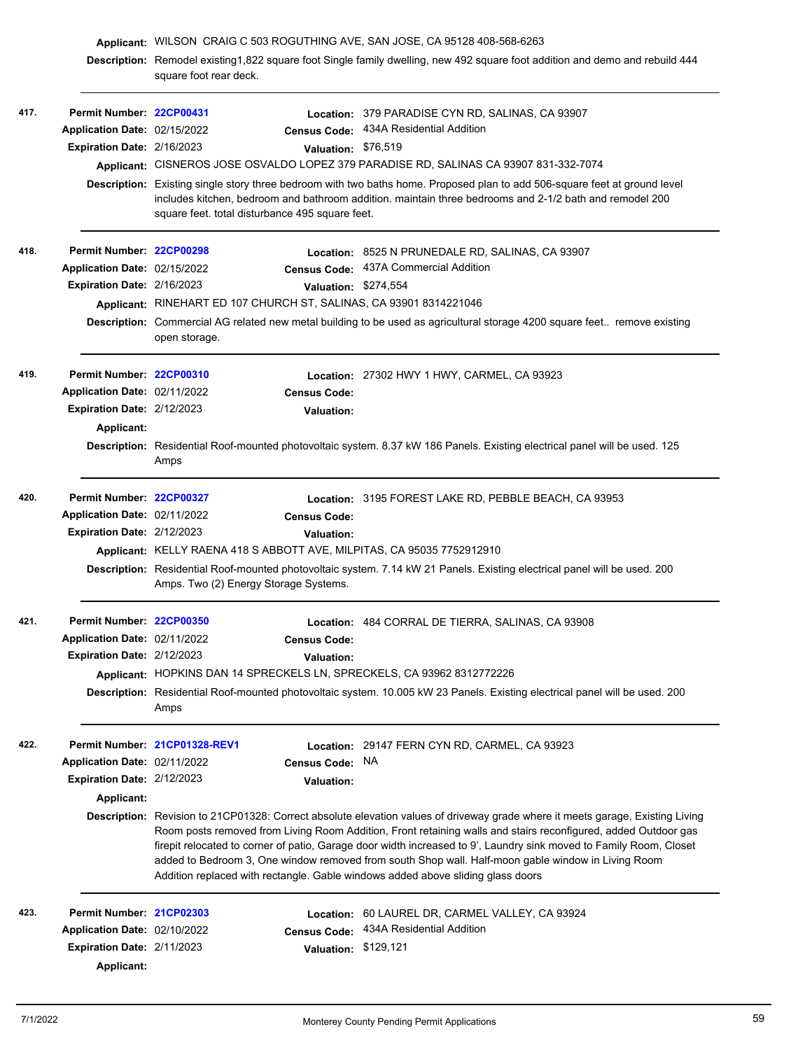|      |                                   | Applicant: WILSON CRAIG C 503 ROGUTHING AVE, SAN JOSE, CA 95128 408-568-6263                                                                           |                      |                                                                                                                                                                                                                                                                                                                                                                                                                               |  |  |  |
|------|-----------------------------------|--------------------------------------------------------------------------------------------------------------------------------------------------------|----------------------|-------------------------------------------------------------------------------------------------------------------------------------------------------------------------------------------------------------------------------------------------------------------------------------------------------------------------------------------------------------------------------------------------------------------------------|--|--|--|
|      |                                   | Description: Remodel existing1,822 square foot Single family dwelling, new 492 square foot addition and demo and rebuild 444<br>square foot rear deck. |                      |                                                                                                                                                                                                                                                                                                                                                                                                                               |  |  |  |
| 417. | Permit Number: 22CP00431          |                                                                                                                                                        |                      | Location: 379 PARADISE CYN RD, SALINAS, CA 93907                                                                                                                                                                                                                                                                                                                                                                              |  |  |  |
|      | Application Date: 02/15/2022      |                                                                                                                                                        |                      | Census Code: 434A Residential Addition                                                                                                                                                                                                                                                                                                                                                                                        |  |  |  |
|      | Expiration Date: 2/16/2023        |                                                                                                                                                        | Valuation: \$76,519  |                                                                                                                                                                                                                                                                                                                                                                                                                               |  |  |  |
|      |                                   |                                                                                                                                                        |                      | Applicant: CISNEROS JOSE OSVALDO LOPEZ 379 PARADISE RD, SALINAS CA 93907 831-332-7074                                                                                                                                                                                                                                                                                                                                         |  |  |  |
|      |                                   | square feet. total disturbance 495 square feet.                                                                                                        |                      | Description: Existing single story three bedroom with two baths home. Proposed plan to add 506-square feet at ground level<br>includes kitchen, bedroom and bathroom addition. maintain three bedrooms and 2-1/2 bath and remodel 200                                                                                                                                                                                         |  |  |  |
| 418. | Permit Number: 22CP00298          |                                                                                                                                                        |                      | Location: 8525 N PRUNEDALE RD, SALINAS, CA 93907                                                                                                                                                                                                                                                                                                                                                                              |  |  |  |
|      | Application Date: 02/15/2022      |                                                                                                                                                        |                      | Census Code: 437A Commercial Addition                                                                                                                                                                                                                                                                                                                                                                                         |  |  |  |
|      | <b>Expiration Date: 2/16/2023</b> |                                                                                                                                                        | Valuation: \$274,554 |                                                                                                                                                                                                                                                                                                                                                                                                                               |  |  |  |
|      |                                   |                                                                                                                                                        |                      | Applicant: RINEHART ED 107 CHURCH ST, SALINAS, CA 93901 8314221046                                                                                                                                                                                                                                                                                                                                                            |  |  |  |
|      |                                   | Description: Commercial AG related new metal building to be used as agricultural storage 4200 square feet remove existing<br>open storage.             |                      |                                                                                                                                                                                                                                                                                                                                                                                                                               |  |  |  |
| 419. | Permit Number: 22CP00310          |                                                                                                                                                        |                      | Location: 27302 HWY 1 HWY, CARMEL, CA 93923                                                                                                                                                                                                                                                                                                                                                                                   |  |  |  |
|      | Application Date: 02/11/2022      |                                                                                                                                                        | <b>Census Code:</b>  |                                                                                                                                                                                                                                                                                                                                                                                                                               |  |  |  |
|      | Expiration Date: 2/12/2023        |                                                                                                                                                        | <b>Valuation:</b>    |                                                                                                                                                                                                                                                                                                                                                                                                                               |  |  |  |
|      | <b>Applicant:</b>                 |                                                                                                                                                        |                      |                                                                                                                                                                                                                                                                                                                                                                                                                               |  |  |  |
|      |                                   | Amps                                                                                                                                                   |                      | Description: Residential Roof-mounted photovoltaic system. 8.37 kW 186 Panels. Existing electrical panel will be used. 125                                                                                                                                                                                                                                                                                                    |  |  |  |
| 420. | Permit Number: 22CP00327          |                                                                                                                                                        |                      | Location: 3195 FOREST LAKE RD, PEBBLE BEACH, CA 93953                                                                                                                                                                                                                                                                                                                                                                         |  |  |  |
|      | Application Date: 02/11/2022      |                                                                                                                                                        | <b>Census Code:</b>  |                                                                                                                                                                                                                                                                                                                                                                                                                               |  |  |  |
|      | Expiration Date: 2/12/2023        |                                                                                                                                                        | <b>Valuation:</b>    |                                                                                                                                                                                                                                                                                                                                                                                                                               |  |  |  |
|      |                                   |                                                                                                                                                        |                      | Applicant: KELLY RAENA 418 S ABBOTT AVE, MILPITAS, CA 95035 7752912910                                                                                                                                                                                                                                                                                                                                                        |  |  |  |
|      |                                   | Amps. Two (2) Energy Storage Systems.                                                                                                                  |                      | Description: Residential Roof-mounted photovoltaic system. 7.14 kW 21 Panels. Existing electrical panel will be used. 200                                                                                                                                                                                                                                                                                                     |  |  |  |
| 421. | Permit Number: 22CP00350          |                                                                                                                                                        |                      | Location: 484 CORRAL DE TIERRA, SALINAS, CA 93908                                                                                                                                                                                                                                                                                                                                                                             |  |  |  |
|      | Application Date: 02/11/2022      |                                                                                                                                                        | <b>Census Code:</b>  |                                                                                                                                                                                                                                                                                                                                                                                                                               |  |  |  |
|      | Expiration Date: 2/12/2023        |                                                                                                                                                        | <b>Valuation:</b>    |                                                                                                                                                                                                                                                                                                                                                                                                                               |  |  |  |
|      |                                   |                                                                                                                                                        |                      | Applicant: HOPKINS DAN 14 SPRECKELS LN, SPRECKELS, CA 93962 8312772226                                                                                                                                                                                                                                                                                                                                                        |  |  |  |
|      |                                   | Amps                                                                                                                                                   |                      | Description: Residential Roof-mounted photovoltaic system. 10.005 kW 23 Panels. Existing electrical panel will be used. 200                                                                                                                                                                                                                                                                                                   |  |  |  |
| 422. |                                   | Permit Number 21CP01328-REV1                                                                                                                           |                      | Location: 29147 FERN CYN RD, CARMEL, CA 93923                                                                                                                                                                                                                                                                                                                                                                                 |  |  |  |
|      | Application Date: 02/11/2022      |                                                                                                                                                        | <b>Census Code:</b>  | <b>NA</b>                                                                                                                                                                                                                                                                                                                                                                                                                     |  |  |  |
|      | Expiration Date: 2/12/2023        |                                                                                                                                                        | <b>Valuation:</b>    |                                                                                                                                                                                                                                                                                                                                                                                                                               |  |  |  |
|      | Applicant:                        |                                                                                                                                                        |                      |                                                                                                                                                                                                                                                                                                                                                                                                                               |  |  |  |
|      |                                   |                                                                                                                                                        |                      | Description: Revision to 21CP01328: Correct absolute elevation values of driveway grade where it meets garage, Existing Living                                                                                                                                                                                                                                                                                                |  |  |  |
|      |                                   |                                                                                                                                                        |                      | Room posts removed from Living Room Addition, Front retaining walls and stairs reconfigured, added Outdoor gas<br>firepit relocated to corner of patio, Garage door width increased to 9', Laundry sink moved to Family Room, Closet<br>added to Bedroom 3, One window removed from south Shop wall. Half-moon gable window in Living Room<br>Addition replaced with rectangle. Gable windows added above sliding glass doors |  |  |  |
| 423. | Permit Number: 21CP02303          |                                                                                                                                                        |                      | Location: 60 LAUREL DR, CARMEL VALLEY, CA 93924                                                                                                                                                                                                                                                                                                                                                                               |  |  |  |
|      | Application Date: 02/10/2022      |                                                                                                                                                        | <b>Census Code:</b>  | 434A Residential Addition                                                                                                                                                                                                                                                                                                                                                                                                     |  |  |  |
|      | Expiration Date: 2/11/2023        |                                                                                                                                                        | Valuation: \$129,121 |                                                                                                                                                                                                                                                                                                                                                                                                                               |  |  |  |
|      | <b>Applicant:</b>                 |                                                                                                                                                        |                      |                                                                                                                                                                                                                                                                                                                                                                                                                               |  |  |  |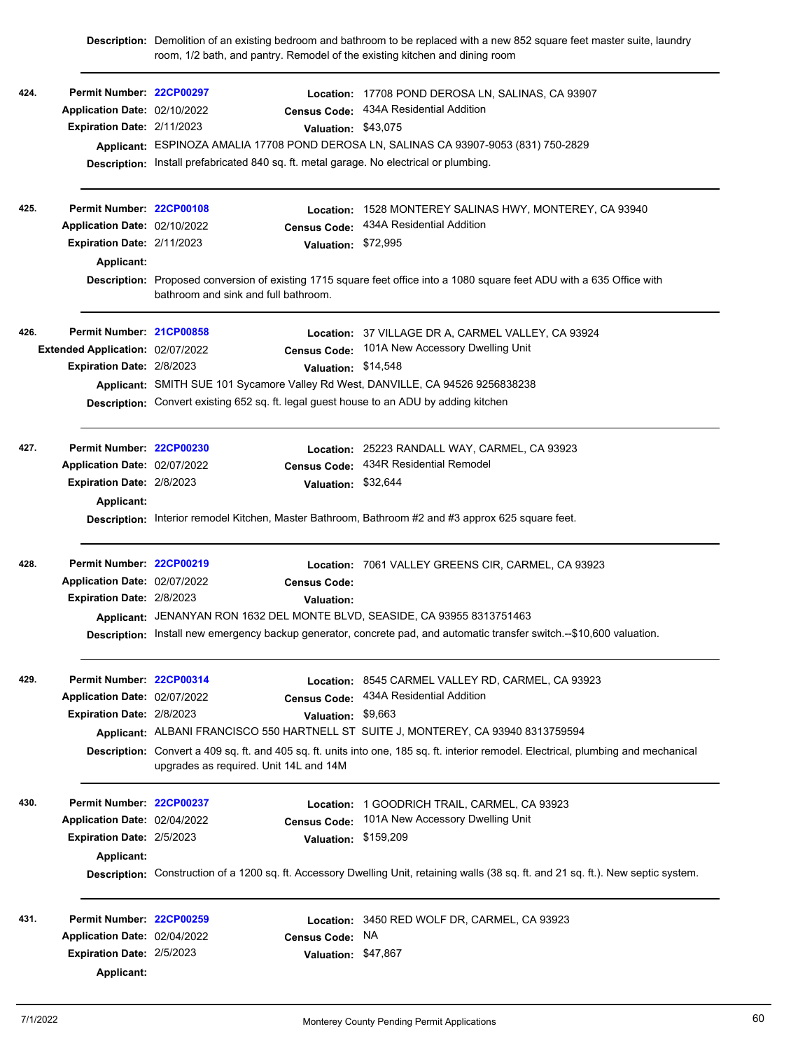|      |                                  |                                                                                                                                                                 |                      | Description: Demolition of an existing bedroom and bathroom to be replaced with a new 852 square feet master suite, laundry<br>room, 1/2 bath, and pantry. Remodel of the existing kitchen and dining room |  |  |  |
|------|----------------------------------|-----------------------------------------------------------------------------------------------------------------------------------------------------------------|----------------------|------------------------------------------------------------------------------------------------------------------------------------------------------------------------------------------------------------|--|--|--|
| 424. | Permit Number: 22CP00297         |                                                                                                                                                                 |                      | Location: 17708 POND DEROSA LN, SALINAS, CA 93907                                                                                                                                                          |  |  |  |
|      | Application Date: 02/10/2022     |                                                                                                                                                                 | <b>Census Code:</b>  | 434A Residential Addition                                                                                                                                                                                  |  |  |  |
|      | Expiration Date: 2/11/2023       |                                                                                                                                                                 | Valuation: \$43,075  |                                                                                                                                                                                                            |  |  |  |
|      |                                  |                                                                                                                                                                 |                      | Applicant: ESPINOZA AMALIA 17708 POND DEROSA LN, SALINAS CA 93907-9053 (831) 750-2829                                                                                                                      |  |  |  |
|      |                                  |                                                                                                                                                                 |                      | Description: Install prefabricated 840 sq. ft. metal garage. No electrical or plumbing.                                                                                                                    |  |  |  |
| 425. | Permit Number: 22CP00108         |                                                                                                                                                                 | Location:            | 1528 MONTEREY SALINAS HWY, MONTEREY, CA 93940                                                                                                                                                              |  |  |  |
|      | Application Date: 02/10/2022     |                                                                                                                                                                 | <b>Census Code:</b>  | 434A Residential Addition                                                                                                                                                                                  |  |  |  |
|      | Expiration Date: 2/11/2023       |                                                                                                                                                                 | Valuation: \$72,995  |                                                                                                                                                                                                            |  |  |  |
|      | Applicant:                       |                                                                                                                                                                 |                      |                                                                                                                                                                                                            |  |  |  |
|      |                                  | Description: Proposed conversion of existing 1715 square feet office into a 1080 square feet ADU with a 635 Office with<br>bathroom and sink and full bathroom. |                      |                                                                                                                                                                                                            |  |  |  |
| 426. | Permit Number: 21CP00858         |                                                                                                                                                                 |                      | Location: 37 VILLAGE DR A, CARMEL VALLEY, CA 93924                                                                                                                                                         |  |  |  |
|      | Extended Application: 02/07/2022 |                                                                                                                                                                 |                      | Census Code: 101A New Accessory Dwelling Unit                                                                                                                                                              |  |  |  |
|      | Expiration Date: 2/8/2023        |                                                                                                                                                                 | Valuation: \$14,548  |                                                                                                                                                                                                            |  |  |  |
|      |                                  | Applicant: SMITH SUE 101 Sycamore Valley Rd West, DANVILLE, CA 94526 9256838238                                                                                 |                      |                                                                                                                                                                                                            |  |  |  |
|      |                                  | Description: Convert existing 652 sq. ft. legal guest house to an ADU by adding kitchen                                                                         |                      |                                                                                                                                                                                                            |  |  |  |
| 427. | Permit Number: 22CP00230         |                                                                                                                                                                 |                      | Location: 25223 RANDALL WAY, CARMEL, CA 93923                                                                                                                                                              |  |  |  |
|      | Application Date: 02/07/2022     |                                                                                                                                                                 | <b>Census Code:</b>  | 434R Residential Remodel                                                                                                                                                                                   |  |  |  |
|      | Expiration Date: 2/8/2023        |                                                                                                                                                                 | Valuation: \$32,644  |                                                                                                                                                                                                            |  |  |  |
|      | Applicant:                       |                                                                                                                                                                 |                      |                                                                                                                                                                                                            |  |  |  |
|      |                                  |                                                                                                                                                                 |                      | Description: Interior remodel Kitchen, Master Bathroom, Bathroom #2 and #3 approx 625 square feet.                                                                                                         |  |  |  |
| 428. | Permit Number: 22CP00219         |                                                                                                                                                                 |                      | Location: 7061 VALLEY GREENS CIR, CARMEL, CA 93923                                                                                                                                                         |  |  |  |
|      | Application Date: 02/07/2022     |                                                                                                                                                                 | <b>Census Code:</b>  |                                                                                                                                                                                                            |  |  |  |
|      | Expiration Date: 2/8/2023        |                                                                                                                                                                 | <b>Valuation:</b>    |                                                                                                                                                                                                            |  |  |  |
|      |                                  |                                                                                                                                                                 |                      | Applicant: JENANYAN RON 1632 DEL MONTE BLVD, SEASIDE, CA 93955 8313751463                                                                                                                                  |  |  |  |
|      |                                  |                                                                                                                                                                 |                      | Description: Install new emergency backup generator, concrete pad, and automatic transfer switch.--\$10,600 valuation.                                                                                     |  |  |  |
| 429. | Permit Number: 22CP00314         |                                                                                                                                                                 |                      | Location: 8545 CARMEL VALLEY RD, CARMEL, CA 93923                                                                                                                                                          |  |  |  |
|      | Application Date: 02/07/2022     |                                                                                                                                                                 | <b>Census Code:</b>  | 434A Residential Addition                                                                                                                                                                                  |  |  |  |
|      | Expiration Date: 2/8/2023        |                                                                                                                                                                 | Valuation: \$9,663   |                                                                                                                                                                                                            |  |  |  |
|      |                                  |                                                                                                                                                                 |                      | Applicant: ALBANI FRANCISCO 550 HARTNELL ST SUITE J, MONTEREY, CA 93940 8313759594                                                                                                                         |  |  |  |
|      |                                  | upgrades as required. Unit 14L and 14M                                                                                                                          |                      | Description: Convert a 409 sq. ft. and 405 sq. ft. units into one, 185 sq. ft. interior remodel. Electrical, plumbing and mechanical                                                                       |  |  |  |
| 430. | Permit Number: 22CP00237         |                                                                                                                                                                 |                      | Location: 1 GOODRICH TRAIL, CARMEL, CA 93923                                                                                                                                                               |  |  |  |
|      | Application Date: 02/04/2022     |                                                                                                                                                                 | <b>Census Code:</b>  | 101A New Accessory Dwelling Unit                                                                                                                                                                           |  |  |  |
|      | Expiration Date: 2/5/2023        |                                                                                                                                                                 | Valuation: \$159,209 |                                                                                                                                                                                                            |  |  |  |
|      | Applicant:                       |                                                                                                                                                                 |                      |                                                                                                                                                                                                            |  |  |  |
|      |                                  |                                                                                                                                                                 |                      | Description: Construction of a 1200 sq. ft. Accessory Dwelling Unit, retaining walls (38 sq. ft. and 21 sq. ft.). New septic system.                                                                       |  |  |  |
| 431. | Permit Number: 22CP00259         |                                                                                                                                                                 |                      | Location: 3450 RED WOLF DR, CARMEL, CA 93923                                                                                                                                                               |  |  |  |
|      | Application Date: 02/04/2022     |                                                                                                                                                                 | <b>Census Code:</b>  | NA.                                                                                                                                                                                                        |  |  |  |
|      | <b>Expiration Date: 2/5/2023</b> |                                                                                                                                                                 | Valuation: \$47,867  |                                                                                                                                                                                                            |  |  |  |
|      | Applicant:                       |                                                                                                                                                                 |                      |                                                                                                                                                                                                            |  |  |  |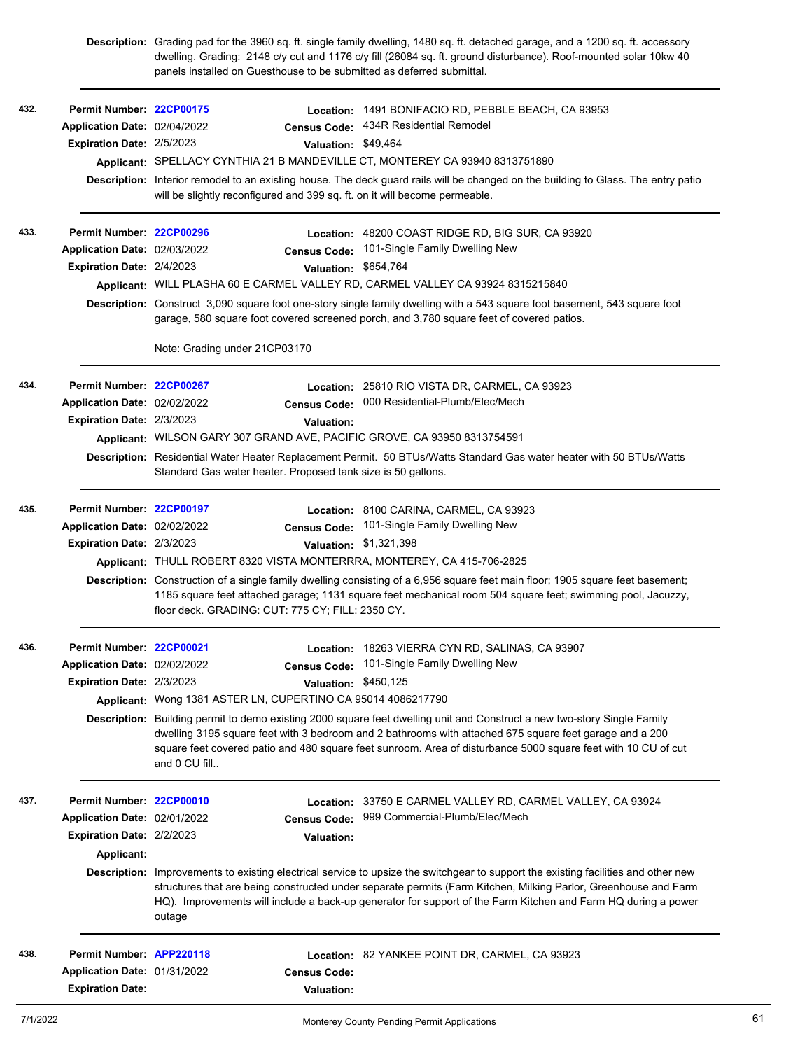|      |                              | Description: Grading pad for the 3960 sq. ft. single family dwelling, 1480 sq. ft. detached garage, and a 1200 sq. ft. accessory<br>dwelling. Grading: 2148 c/y cut and 1176 c/y fill (26084 sq. ft. ground disturbance). Roof-mounted solar 10kw 40<br>panels installed on Guesthouse to be submitted as deferred submittal. |                   |                                                                                                                                                                                                                                                                                                                                                                        |  |  |  |
|------|------------------------------|-------------------------------------------------------------------------------------------------------------------------------------------------------------------------------------------------------------------------------------------------------------------------------------------------------------------------------|-------------------|------------------------------------------------------------------------------------------------------------------------------------------------------------------------------------------------------------------------------------------------------------------------------------------------------------------------------------------------------------------------|--|--|--|
| 432. | Permit Number: 22CP00175     |                                                                                                                                                                                                                                                                                                                               |                   | Location: 1491 BONIFACIO RD, PEBBLE BEACH, CA 93953                                                                                                                                                                                                                                                                                                                    |  |  |  |
|      | Application Date: 02/04/2022 | <b>Census Code:</b>                                                                                                                                                                                                                                                                                                           |                   | 434R Residential Remodel                                                                                                                                                                                                                                                                                                                                               |  |  |  |
|      | Expiration Date: 2/5/2023    |                                                                                                                                                                                                                                                                                                                               |                   | Valuation: \$49,464                                                                                                                                                                                                                                                                                                                                                    |  |  |  |
|      |                              |                                                                                                                                                                                                                                                                                                                               |                   | Applicant: SPELLACY CYNTHIA 21 B MANDEVILLE CT, MONTEREY CA 93940 8313751890                                                                                                                                                                                                                                                                                           |  |  |  |
|      |                              | will be slightly reconfigured and 399 sq. ft. on it will become permeable.                                                                                                                                                                                                                                                    |                   | Description: Interior remodel to an existing house. The deck guard rails will be changed on the building to Glass. The entry patio                                                                                                                                                                                                                                     |  |  |  |
| 433. | Permit Number: 22CP00296     |                                                                                                                                                                                                                                                                                                                               |                   | Location: 48200 COAST RIDGE RD, BIG SUR, CA 93920                                                                                                                                                                                                                                                                                                                      |  |  |  |
|      | Application Date: 02/03/2022 | <b>Census Code:</b>                                                                                                                                                                                                                                                                                                           |                   | 101-Single Family Dwelling New                                                                                                                                                                                                                                                                                                                                         |  |  |  |
|      | Expiration Date: 2/4/2023    |                                                                                                                                                                                                                                                                                                                               | <b>Valuation:</b> | \$654,764                                                                                                                                                                                                                                                                                                                                                              |  |  |  |
|      |                              |                                                                                                                                                                                                                                                                                                                               |                   | Applicant: WILL PLASHA 60 E CARMEL VALLEY RD, CARMEL VALLEY CA 93924 8315215840                                                                                                                                                                                                                                                                                        |  |  |  |
|      |                              | Description: Construct 3,090 square foot one-story single family dwelling with a 543 square foot basement, 543 square foot<br>garage, 580 square foot covered screened porch, and 3,780 square feet of covered patios.                                                                                                        |                   |                                                                                                                                                                                                                                                                                                                                                                        |  |  |  |
|      |                              | Note: Grading under 21CP03170                                                                                                                                                                                                                                                                                                 |                   |                                                                                                                                                                                                                                                                                                                                                                        |  |  |  |
| 434. | Permit Number: 22CP00267     |                                                                                                                                                                                                                                                                                                                               |                   | Location: 25810 RIO VISTA DR, CARMEL, CA 93923                                                                                                                                                                                                                                                                                                                         |  |  |  |
|      | Application Date: 02/02/2022 | <b>Census Code:</b>                                                                                                                                                                                                                                                                                                           |                   | 000 Residential-Plumb/Elec/Mech                                                                                                                                                                                                                                                                                                                                        |  |  |  |
|      | Expiration Date: 2/3/2023    |                                                                                                                                                                                                                                                                                                                               | Valuation:        |                                                                                                                                                                                                                                                                                                                                                                        |  |  |  |
|      |                              | Applicant: WILSON GARY 307 GRAND AVE, PACIFIC GROVE, CA 93950 8313754591                                                                                                                                                                                                                                                      |                   |                                                                                                                                                                                                                                                                                                                                                                        |  |  |  |
|      |                              | Standard Gas water heater. Proposed tank size is 50 gallons.                                                                                                                                                                                                                                                                  |                   | Description: Residential Water Heater Replacement Permit. 50 BTUs/Watts Standard Gas water heater with 50 BTUs/Watts                                                                                                                                                                                                                                                   |  |  |  |
| 435. | Permit Number: 22CP00197     |                                                                                                                                                                                                                                                                                                                               |                   | Location: 8100 CARINA, CARMEL, CA 93923                                                                                                                                                                                                                                                                                                                                |  |  |  |
|      | Application Date: 02/02/2022 | <b>Census Code:</b>                                                                                                                                                                                                                                                                                                           |                   | 101-Single Family Dwelling New                                                                                                                                                                                                                                                                                                                                         |  |  |  |
|      | Expiration Date: 2/3/2023    |                                                                                                                                                                                                                                                                                                                               | <b>Valuation:</b> | \$1,321,398                                                                                                                                                                                                                                                                                                                                                            |  |  |  |
|      |                              | Applicant: THULL ROBERT 8320 VISTA MONTERRRA, MONTEREY, CA 415-706-2825                                                                                                                                                                                                                                                       |                   |                                                                                                                                                                                                                                                                                                                                                                        |  |  |  |
|      |                              | Description: Construction of a single family dwelling consisting of a 6,956 square feet main floor; 1905 square feet basement;<br>1185 square feet attached garage; 1131 square feet mechanical room 504 square feet; swimming pool, Jacuzzy,<br>floor deck. GRADING: CUT: 775 CY; FILL: 2350 CY.                             |                   |                                                                                                                                                                                                                                                                                                                                                                        |  |  |  |
| 436. | Permit Number: 22CP00021     |                                                                                                                                                                                                                                                                                                                               |                   | Location: 18263 VIERRA CYN RD, SALINAS, CA 93907                                                                                                                                                                                                                                                                                                                       |  |  |  |
|      | Application Date: 02/02/2022 | <b>Census Code:</b>                                                                                                                                                                                                                                                                                                           |                   | 101-Single Family Dwelling New                                                                                                                                                                                                                                                                                                                                         |  |  |  |
|      | Expiration Date: 2/3/2023    |                                                                                                                                                                                                                                                                                                                               |                   | Valuation: \$450,125                                                                                                                                                                                                                                                                                                                                                   |  |  |  |
|      |                              | Applicant: Wong 1381 ASTER LN, CUPERTINO CA 95014 4086217790                                                                                                                                                                                                                                                                  |                   |                                                                                                                                                                                                                                                                                                                                                                        |  |  |  |
|      |                              | and 0 CU fill                                                                                                                                                                                                                                                                                                                 |                   | Description: Building permit to demo existing 2000 square feet dwelling unit and Construct a new two-story Single Family<br>dwelling 3195 square feet with 3 bedroom and 2 bathrooms with attached 675 square feet garage and a 200<br>square feet covered patio and 480 square feet sunroom. Area of disturbance 5000 square feet with 10 CU of cut                   |  |  |  |
| 437. | Permit Number: 22CP00010     |                                                                                                                                                                                                                                                                                                                               | Location:         | 33750 E CARMEL VALLEY RD, CARMEL VALLEY, CA 93924                                                                                                                                                                                                                                                                                                                      |  |  |  |
|      | Application Date: 02/01/2022 | <b>Census Code:</b>                                                                                                                                                                                                                                                                                                           |                   | 999 Commercial-Plumb/Elec/Mech                                                                                                                                                                                                                                                                                                                                         |  |  |  |
|      | Expiration Date: 2/2/2023    |                                                                                                                                                                                                                                                                                                                               | <b>Valuation:</b> |                                                                                                                                                                                                                                                                                                                                                                        |  |  |  |
|      | <b>Applicant:</b>            |                                                                                                                                                                                                                                                                                                                               |                   |                                                                                                                                                                                                                                                                                                                                                                        |  |  |  |
|      |                              | outage                                                                                                                                                                                                                                                                                                                        |                   | Description: Improvements to existing electrical service to upsize the switchgear to support the existing facilities and other new<br>structures that are being constructed under separate permits (Farm Kitchen, Milking Parlor, Greenhouse and Farm<br>HQ). Improvements will include a back-up generator for support of the Farm Kitchen and Farm HQ during a power |  |  |  |
| 438. | Permit Number: APP220118     |                                                                                                                                                                                                                                                                                                                               |                   | Location: 82 YANKEE POINT DR, CARMEL, CA 93923                                                                                                                                                                                                                                                                                                                         |  |  |  |
|      | Application Date: 01/31/2022 | <b>Census Code:</b>                                                                                                                                                                                                                                                                                                           |                   |                                                                                                                                                                                                                                                                                                                                                                        |  |  |  |
|      | <b>Expiration Date:</b>      |                                                                                                                                                                                                                                                                                                                               | <b>Valuation:</b> |                                                                                                                                                                                                                                                                                                                                                                        |  |  |  |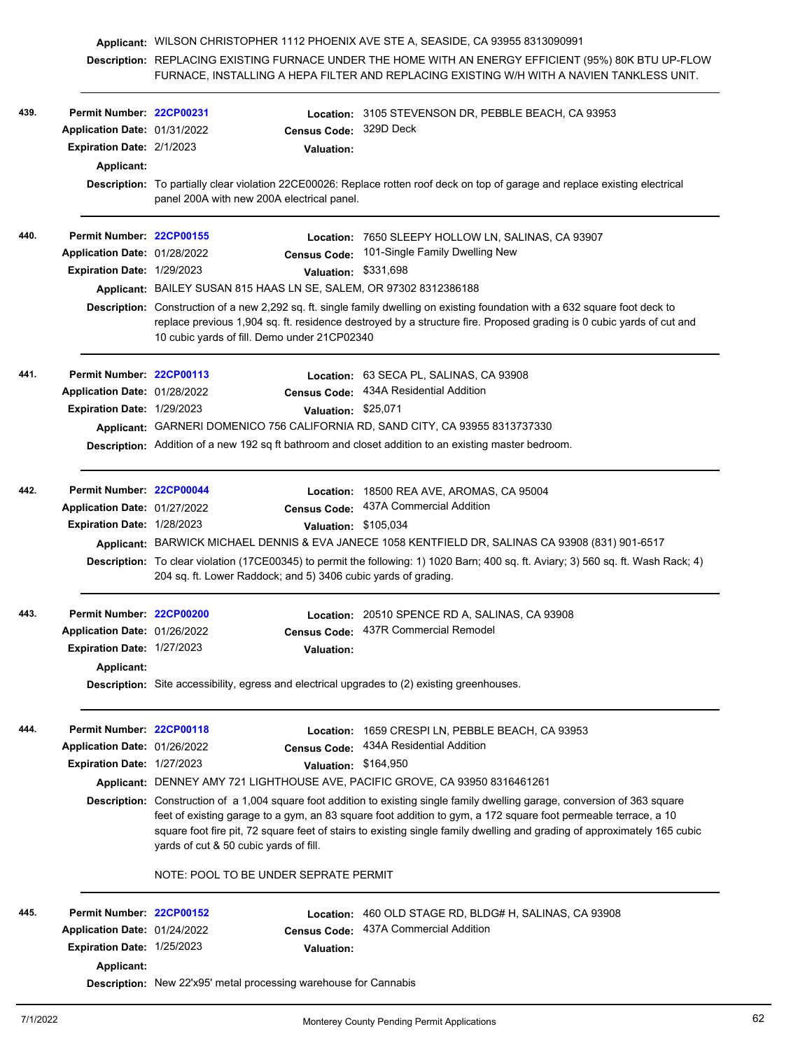|      |                                                                    | Applicant: WILSON CHRISTOPHER 1112 PHOENIX AVE STE A, SEASIDE, CA 93955 8313090991                                                                                                                    |                        |                                                                                                                                                                                                                                                                                                                                                                             |
|------|--------------------------------------------------------------------|-------------------------------------------------------------------------------------------------------------------------------------------------------------------------------------------------------|------------------------|-----------------------------------------------------------------------------------------------------------------------------------------------------------------------------------------------------------------------------------------------------------------------------------------------------------------------------------------------------------------------------|
|      |                                                                    |                                                                                                                                                                                                       |                        | Description: REPLACING EXISTING FURNACE UNDER THE HOME WITH AN ENERGY EFFICIENT (95%) 80K BTU UP-FLOW<br>FURNACE, INSTALLING A HEPA FILTER AND REPLACING EXISTING W/H WITH A NAVIEN TANKLESS UNIT.                                                                                                                                                                          |
| 439. | Permit Number: 22CP00231                                           |                                                                                                                                                                                                       |                        | Location: 3105 STEVENSON DR, PEBBLE BEACH, CA 93953                                                                                                                                                                                                                                                                                                                         |
|      | Application Date: 01/31/2022                                       |                                                                                                                                                                                                       | Census Code: 329D Deck |                                                                                                                                                                                                                                                                                                                                                                             |
|      | Expiration Date: 2/1/2023                                          |                                                                                                                                                                                                       | <b>Valuation:</b>      |                                                                                                                                                                                                                                                                                                                                                                             |
|      | Applicant:                                                         |                                                                                                                                                                                                       |                        |                                                                                                                                                                                                                                                                                                                                                                             |
|      |                                                                    | panel 200A with new 200A electrical panel.                                                                                                                                                            |                        | Description: To partially clear violation 22CE00026: Replace rotten roof deck on top of garage and replace existing electrical                                                                                                                                                                                                                                              |
| 440. | Permit Number: 22CP00155                                           |                                                                                                                                                                                                       |                        | Location: 7650 SLEEPY HOLLOW LN, SALINAS, CA 93907                                                                                                                                                                                                                                                                                                                          |
|      | Application Date: 01/28/2022                                       |                                                                                                                                                                                                       | <b>Census Code:</b>    | 101-Single Family Dwelling New                                                                                                                                                                                                                                                                                                                                              |
|      | Expiration Date: 1/29/2023                                         |                                                                                                                                                                                                       | Valuation: \$331,698   |                                                                                                                                                                                                                                                                                                                                                                             |
|      | Applicant: BAILEY SUSAN 815 HAAS LN SE, SALEM, OR 97302 8312386188 |                                                                                                                                                                                                       |                        |                                                                                                                                                                                                                                                                                                                                                                             |
|      |                                                                    | 10 cubic yards of fill. Demo under 21CP02340                                                                                                                                                          |                        | Description: Construction of a new 2,292 sq. ft. single family dwelling on existing foundation with a 632 square foot deck to<br>replace previous 1,904 sq. ft. residence destroyed by a structure fire. Proposed grading is 0 cubic yards of cut and                                                                                                                       |
| 441. | Permit Number: 22CP00113                                           |                                                                                                                                                                                                       |                        | Location: 63 SECA PL, SALINAS, CA 93908                                                                                                                                                                                                                                                                                                                                     |
|      | Application Date: 01/28/2022                                       |                                                                                                                                                                                                       |                        | Census Code: 434A Residential Addition                                                                                                                                                                                                                                                                                                                                      |
|      | Expiration Date: 1/29/2023                                         |                                                                                                                                                                                                       | Valuation: \$25,071    |                                                                                                                                                                                                                                                                                                                                                                             |
|      |                                                                    |                                                                                                                                                                                                       |                        | Applicant: GARNERI DOMENICO 756 CALIFORNIA RD, SAND CITY, CA 93955 8313737330                                                                                                                                                                                                                                                                                               |
|      |                                                                    |                                                                                                                                                                                                       |                        | Description: Addition of a new 192 sq ft bathroom and closet addition to an existing master bedroom.                                                                                                                                                                                                                                                                        |
|      |                                                                    |                                                                                                                                                                                                       |                        |                                                                                                                                                                                                                                                                                                                                                                             |
| 442. | Permit Number: 22CP00044                                           |                                                                                                                                                                                                       |                        | Location: 18500 REA AVE, AROMAS, CA 95004                                                                                                                                                                                                                                                                                                                                   |
|      | Application Date: 01/27/2022                                       |                                                                                                                                                                                                       |                        | Census Code: 437A Commercial Addition                                                                                                                                                                                                                                                                                                                                       |
|      | Expiration Date: 1/28/2023                                         |                                                                                                                                                                                                       | Valuation: \$105,034   |                                                                                                                                                                                                                                                                                                                                                                             |
|      |                                                                    |                                                                                                                                                                                                       |                        | Applicant: BARWICK MICHAEL DENNIS & EVA JANECE 1058 KENTFIELD DR, SALINAS CA 93908 (831) 901-6517                                                                                                                                                                                                                                                                           |
|      |                                                                    | Description: To clear violation (17CE00345) to permit the following: 1) 1020 Barn; 400 sq. ft. Aviary; 3) 560 sq. ft. Wash Rack; 4)<br>204 sq. ft. Lower Raddock; and 5) 3406 cubic yards of grading. |                        |                                                                                                                                                                                                                                                                                                                                                                             |
| 443. | Permit Number: 22CP00200                                           |                                                                                                                                                                                                       |                        | Location: 20510 SPENCE RD A, SALINAS, CA 93908                                                                                                                                                                                                                                                                                                                              |
|      | Application Date: 01/26/2022                                       |                                                                                                                                                                                                       |                        | Census Code: 437R Commercial Remodel                                                                                                                                                                                                                                                                                                                                        |
|      | <b>Expiration Date: 1/27/2023</b>                                  |                                                                                                                                                                                                       | <b>Valuation:</b>      |                                                                                                                                                                                                                                                                                                                                                                             |
|      | <b>Applicant:</b>                                                  |                                                                                                                                                                                                       |                        |                                                                                                                                                                                                                                                                                                                                                                             |
|      |                                                                    |                                                                                                                                                                                                       |                        | <b>Description:</b> Site accessibility, egress and electrical upgrades to (2) existing greenhouses.                                                                                                                                                                                                                                                                         |
| 444. | Permit Number: 22CP00118                                           |                                                                                                                                                                                                       |                        | Location: 1659 CRESPI LN, PEBBLE BEACH, CA 93953                                                                                                                                                                                                                                                                                                                            |
|      | Application Date: 01/26/2022                                       |                                                                                                                                                                                                       |                        | Census Code: 434A Residential Addition                                                                                                                                                                                                                                                                                                                                      |
|      | Expiration Date: 1/27/2023                                         |                                                                                                                                                                                                       | Valuation: \$164,950   |                                                                                                                                                                                                                                                                                                                                                                             |
|      |                                                                    |                                                                                                                                                                                                       |                        | Applicant: DENNEY AMY 721 LIGHTHOUSE AVE, PACIFIC GROVE, CA 93950 8316461261                                                                                                                                                                                                                                                                                                |
|      |                                                                    | yards of cut & 50 cubic yards of fill.                                                                                                                                                                |                        | Description: Construction of a 1,004 square foot addition to existing single family dwelling garage, conversion of 363 square<br>feet of existing garage to a gym, an 83 square foot addition to gym, a 172 square foot permeable terrace, a 10<br>square foot fire pit, 72 square feet of stairs to existing single family dwelling and grading of approximately 165 cubic |
|      |                                                                    | NOTE: POOL TO BE UNDER SEPRATE PERMIT                                                                                                                                                                 |                        |                                                                                                                                                                                                                                                                                                                                                                             |
| 445. | Permit Number: 22CP00152                                           |                                                                                                                                                                                                       |                        | Location: 460 OLD STAGE RD, BLDG# H, SALINAS, CA 93908                                                                                                                                                                                                                                                                                                                      |
|      | Application Date: 01/24/2022                                       |                                                                                                                                                                                                       | <b>Census Code:</b>    | 437A Commercial Addition                                                                                                                                                                                                                                                                                                                                                    |
|      | <b>Expiration Date: 1/25/2023</b>                                  |                                                                                                                                                                                                       | <b>Valuation:</b>      |                                                                                                                                                                                                                                                                                                                                                                             |
|      | <b>Applicant:</b>                                                  |                                                                                                                                                                                                       |                        |                                                                                                                                                                                                                                                                                                                                                                             |
|      |                                                                    | <b>Description:</b> New 22'x95' metal processing warehouse for Cannabis                                                                                                                               |                        |                                                                                                                                                                                                                                                                                                                                                                             |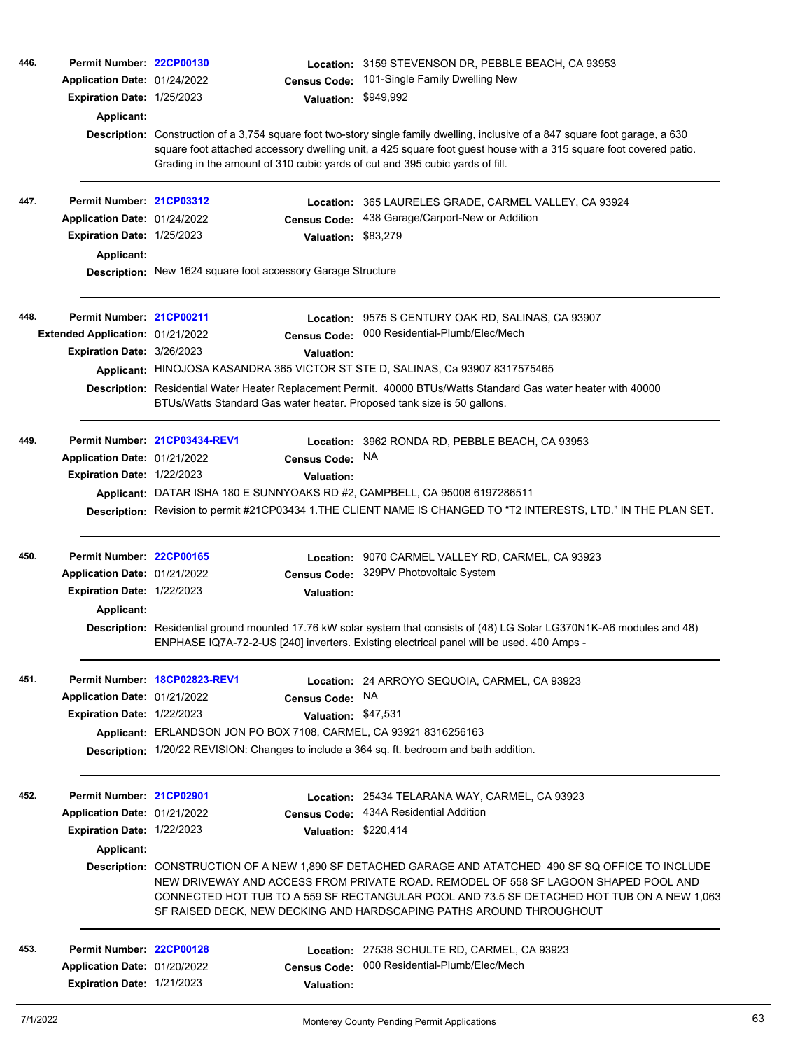| 446. | Permit Number: 22CP00130<br>Application Date: 01/24/2022<br><b>Expiration Date: 1/25/2023</b><br>Applicant: |                                                                                                                                                                                                                                                                                                                                                                  | <b>Census Code:</b><br><b>Valuation:</b> | Location: 3159 STEVENSON DR, PEBBLE BEACH, CA 93953<br>101-Single Family Dwelling New<br>\$949,992<br>Description: Construction of a 3,754 square foot two-story single family dwelling, inclusive of a 847 square foot garage, a 630<br>square foot attached accessory dwelling unit, a 425 square foot guest house with a 315 square foot covered patio.<br>Grading in the amount of 310 cubic yards of cut and 395 cubic yards of fill. |  |
|------|-------------------------------------------------------------------------------------------------------------|------------------------------------------------------------------------------------------------------------------------------------------------------------------------------------------------------------------------------------------------------------------------------------------------------------------------------------------------------------------|------------------------------------------|--------------------------------------------------------------------------------------------------------------------------------------------------------------------------------------------------------------------------------------------------------------------------------------------------------------------------------------------------------------------------------------------------------------------------------------------|--|
| 447. | Permit Number: 21CP03312                                                                                    |                                                                                                                                                                                                                                                                                                                                                                  |                                          | Location: 365 LAURELES GRADE, CARMEL VALLEY, CA 93924                                                                                                                                                                                                                                                                                                                                                                                      |  |
|      | Application Date: 01/24/2022                                                                                |                                                                                                                                                                                                                                                                                                                                                                  | <b>Census Code:</b>                      | 438 Garage/Carport-New or Addition                                                                                                                                                                                                                                                                                                                                                                                                         |  |
|      | Expiration Date: 1/25/2023                                                                                  |                                                                                                                                                                                                                                                                                                                                                                  | Valuation: \$83,279                      |                                                                                                                                                                                                                                                                                                                                                                                                                                            |  |
|      | Applicant:                                                                                                  |                                                                                                                                                                                                                                                                                                                                                                  |                                          |                                                                                                                                                                                                                                                                                                                                                                                                                                            |  |
|      |                                                                                                             | Description: New 1624 square foot accessory Garage Structure                                                                                                                                                                                                                                                                                                     |                                          |                                                                                                                                                                                                                                                                                                                                                                                                                                            |  |
| 448. | Permit Number: 21CP00211                                                                                    |                                                                                                                                                                                                                                                                                                                                                                  |                                          | <b>Location: 9575 S CENTURY OAK RD, SALINAS, CA 93907</b>                                                                                                                                                                                                                                                                                                                                                                                  |  |
|      | Extended Application: 01/21/2022                                                                            |                                                                                                                                                                                                                                                                                                                                                                  | <b>Census Code:</b>                      | 000 Residential-Plumb/Elec/Mech                                                                                                                                                                                                                                                                                                                                                                                                            |  |
|      | Expiration Date: 3/26/2023                                                                                  |                                                                                                                                                                                                                                                                                                                                                                  | Valuation:                               |                                                                                                                                                                                                                                                                                                                                                                                                                                            |  |
|      |                                                                                                             |                                                                                                                                                                                                                                                                                                                                                                  |                                          | Applicant: HINOJOSA KASANDRA 365 VICTOR ST STE D, SALINAS, Ca 93907 8317575465                                                                                                                                                                                                                                                                                                                                                             |  |
|      |                                                                                                             |                                                                                                                                                                                                                                                                                                                                                                  |                                          | Description: Residential Water Heater Replacement Permit. 40000 BTUs/Watts Standard Gas water heater with 40000<br>BTUs/Watts Standard Gas water heater. Proposed tank size is 50 gallons.                                                                                                                                                                                                                                                 |  |
| 449. |                                                                                                             | Permit Number. 21CP03434-REV1                                                                                                                                                                                                                                                                                                                                    |                                          | Location: 3962 RONDA RD, PEBBLE BEACH, CA 93953                                                                                                                                                                                                                                                                                                                                                                                            |  |
|      | Application Date: 01/21/2022                                                                                |                                                                                                                                                                                                                                                                                                                                                                  | Census Code: NA                          |                                                                                                                                                                                                                                                                                                                                                                                                                                            |  |
|      | Expiration Date: 1/22/2023                                                                                  |                                                                                                                                                                                                                                                                                                                                                                  | <b>Valuation:</b>                        |                                                                                                                                                                                                                                                                                                                                                                                                                                            |  |
|      |                                                                                                             |                                                                                                                                                                                                                                                                                                                                                                  |                                          | Applicant: DATAR ISHA 180 E SUNNYOAKS RD #2, CAMPBELL, CA 95008 6197286511                                                                                                                                                                                                                                                                                                                                                                 |  |
|      |                                                                                                             |                                                                                                                                                                                                                                                                                                                                                                  |                                          | Description: Revision to permit #21CP03434 1. THE CLIENT NAME IS CHANGED TO "T2 INTERESTS, LTD." IN THE PLAN SET.                                                                                                                                                                                                                                                                                                                          |  |
| 450. | Permit Number: 22CP00165                                                                                    |                                                                                                                                                                                                                                                                                                                                                                  |                                          | Location: 9070 CARMEL VALLEY RD, CARMEL, CA 93923                                                                                                                                                                                                                                                                                                                                                                                          |  |
|      | Application Date: 01/21/2022                                                                                |                                                                                                                                                                                                                                                                                                                                                                  | <b>Census Code:</b>                      | 329PV Photovoltaic System                                                                                                                                                                                                                                                                                                                                                                                                                  |  |
|      | Expiration Date: 1/22/2023                                                                                  |                                                                                                                                                                                                                                                                                                                                                                  | Valuation:                               |                                                                                                                                                                                                                                                                                                                                                                                                                                            |  |
|      | Applicant:                                                                                                  |                                                                                                                                                                                                                                                                                                                                                                  |                                          |                                                                                                                                                                                                                                                                                                                                                                                                                                            |  |
|      |                                                                                                             |                                                                                                                                                                                                                                                                                                                                                                  |                                          | Description: Residential ground mounted 17.76 kW solar system that consists of (48) LG Solar LG370N1K-A6 modules and 48)<br>ENPHASE IQ7A-72-2-US [240] inverters. Existing electrical panel will be used. 400 Amps -                                                                                                                                                                                                                       |  |
| 451. |                                                                                                             | Permit Number 18CP02823-REV1                                                                                                                                                                                                                                                                                                                                     |                                          | Location: 24 ARROYO SEQUOIA, CARMEL, CA 93923                                                                                                                                                                                                                                                                                                                                                                                              |  |
|      | Application Date: 01/21/2022                                                                                |                                                                                                                                                                                                                                                                                                                                                                  | Census Code: NA                          |                                                                                                                                                                                                                                                                                                                                                                                                                                            |  |
|      | <b>Expiration Date: 1/22/2023</b>                                                                           |                                                                                                                                                                                                                                                                                                                                                                  | Valuation: \$47,531                      |                                                                                                                                                                                                                                                                                                                                                                                                                                            |  |
|      |                                                                                                             | Applicant: ERLANDSON JON PO BOX 7108, CARMEL, CA 93921 8316256163                                                                                                                                                                                                                                                                                                |                                          | Description: 1/20/22 REVISION: Changes to include a 364 sq. ft. bedroom and bath addition.                                                                                                                                                                                                                                                                                                                                                 |  |
| 452. | Permit Number: 21CP02901                                                                                    |                                                                                                                                                                                                                                                                                                                                                                  |                                          | Location: 25434 TELARANA WAY, CARMEL, CA 93923                                                                                                                                                                                                                                                                                                                                                                                             |  |
|      | Application Date: 01/21/2022                                                                                |                                                                                                                                                                                                                                                                                                                                                                  | <b>Census Code:</b>                      | 434A Residential Addition                                                                                                                                                                                                                                                                                                                                                                                                                  |  |
|      | Expiration Date: 1/22/2023                                                                                  |                                                                                                                                                                                                                                                                                                                                                                  | Valuation: \$220,414                     |                                                                                                                                                                                                                                                                                                                                                                                                                                            |  |
|      | Applicant:                                                                                                  |                                                                                                                                                                                                                                                                                                                                                                  |                                          |                                                                                                                                                                                                                                                                                                                                                                                                                                            |  |
|      |                                                                                                             | Description: CONSTRUCTION OF A NEW 1,890 SF DETACHED GARAGE AND ATATCHED 490 SF SQ OFFICE TO INCLUDE<br>NEW DRIVEWAY AND ACCESS FROM PRIVATE ROAD. REMODEL OF 558 SF LAGOON SHAPED POOL AND<br>CONNECTED HOT TUB TO A 559 SF RECTANGULAR POOL AND 73.5 SF DETACHED HOT TUB ON A NEW 1,063<br>SF RAISED DECK, NEW DECKING AND HARDSCAPING PATHS AROUND THROUGHOUT |                                          |                                                                                                                                                                                                                                                                                                                                                                                                                                            |  |
| 453. | Permit Number: 22CP00128                                                                                    |                                                                                                                                                                                                                                                                                                                                                                  |                                          | Location: 27538 SCHULTE RD, CARMEL, CA 93923                                                                                                                                                                                                                                                                                                                                                                                               |  |
|      | Application Date: 01/20/2022                                                                                |                                                                                                                                                                                                                                                                                                                                                                  | <b>Census Code:</b>                      | 000 Residential-Plumb/Elec/Mech                                                                                                                                                                                                                                                                                                                                                                                                            |  |
|      | Expiration Date: 1/21/2023                                                                                  |                                                                                                                                                                                                                                                                                                                                                                  | Valuation:                               |                                                                                                                                                                                                                                                                                                                                                                                                                                            |  |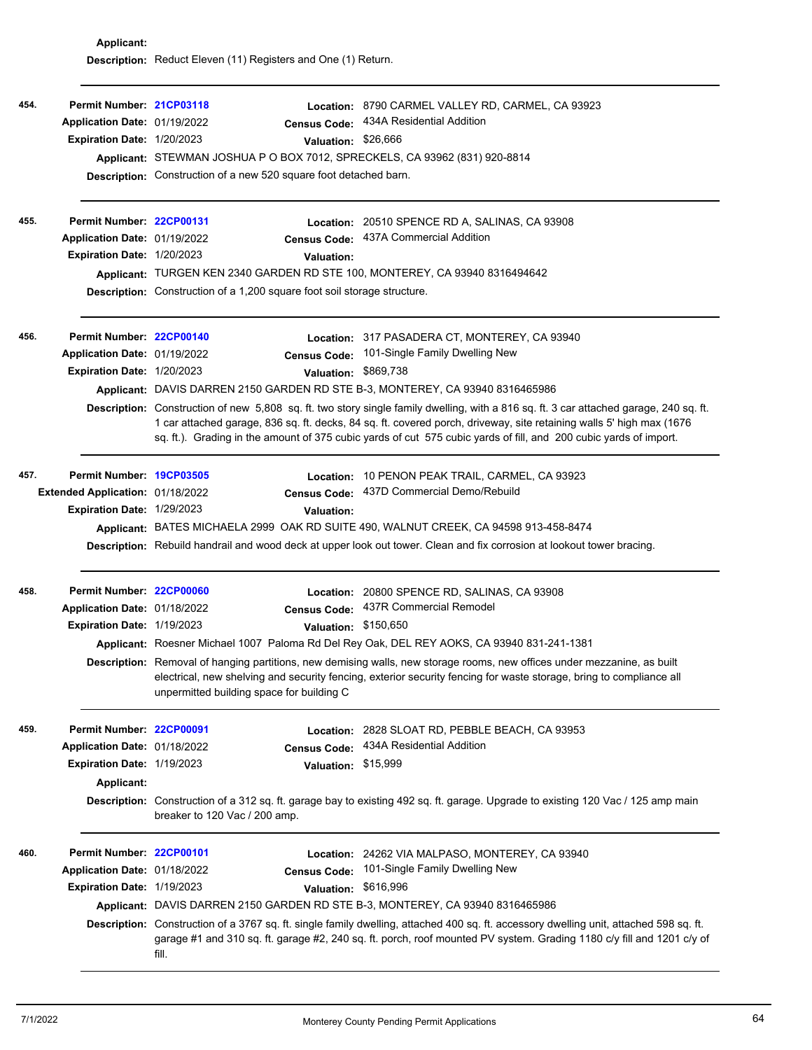|      |                                                          | Description: Reduct Eleven (11) Registers and One (1) Return.                                                                                                                                                                                                                                                                                                                       |                     |                                                                                                                                                                                                                                                                 |  |  |  |
|------|----------------------------------------------------------|-------------------------------------------------------------------------------------------------------------------------------------------------------------------------------------------------------------------------------------------------------------------------------------------------------------------------------------------------------------------------------------|---------------------|-----------------------------------------------------------------------------------------------------------------------------------------------------------------------------------------------------------------------------------------------------------------|--|--|--|
| 454. | Permit Number: 21CP03118<br>Application Date: 01/19/2022 |                                                                                                                                                                                                                                                                                                                                                                                     | <b>Census Code:</b> | Location: 8790 CARMEL VALLEY RD, CARMEL, CA 93923<br>434A Residential Addition                                                                                                                                                                                  |  |  |  |
|      | Expiration Date: 1/20/2023                               |                                                                                                                                                                                                                                                                                                                                                                                     | Valuation: \$26,666 |                                                                                                                                                                                                                                                                 |  |  |  |
|      |                                                          |                                                                                                                                                                                                                                                                                                                                                                                     |                     | Applicant: STEWMAN JOSHUA P O BOX 7012, SPRECKELS, CA 93962 (831) 920-8814                                                                                                                                                                                      |  |  |  |
|      |                                                          | <b>Description:</b> Construction of a new 520 square foot detached barn.                                                                                                                                                                                                                                                                                                            |                     |                                                                                                                                                                                                                                                                 |  |  |  |
|      |                                                          |                                                                                                                                                                                                                                                                                                                                                                                     |                     |                                                                                                                                                                                                                                                                 |  |  |  |
| 455. | Permit Number: 22CP00131                                 |                                                                                                                                                                                                                                                                                                                                                                                     |                     | Location: 20510 SPENCE RD A, SALINAS, CA 93908                                                                                                                                                                                                                  |  |  |  |
|      | Application Date: 01/19/2022                             |                                                                                                                                                                                                                                                                                                                                                                                     |                     | Census Code: 437A Commercial Addition                                                                                                                                                                                                                           |  |  |  |
|      | <b>Expiration Date: 1/20/2023</b>                        |                                                                                                                                                                                                                                                                                                                                                                                     | <b>Valuation:</b>   |                                                                                                                                                                                                                                                                 |  |  |  |
|      |                                                          |                                                                                                                                                                                                                                                                                                                                                                                     |                     | Applicant: TURGEN KEN 2340 GARDEN RD STE 100, MONTEREY, CA 93940 8316494642                                                                                                                                                                                     |  |  |  |
|      |                                                          | Description: Construction of a 1,200 square foot soil storage structure.                                                                                                                                                                                                                                                                                                            |                     |                                                                                                                                                                                                                                                                 |  |  |  |
| 456. | Permit Number: 22CP00140                                 |                                                                                                                                                                                                                                                                                                                                                                                     |                     | Location: 317 PASADERA CT, MONTEREY, CA 93940                                                                                                                                                                                                                   |  |  |  |
|      | Application Date: 01/19/2022                             |                                                                                                                                                                                                                                                                                                                                                                                     |                     | Census Code: 101-Single Family Dwelling New                                                                                                                                                                                                                     |  |  |  |
|      | Expiration Date: 1/20/2023                               |                                                                                                                                                                                                                                                                                                                                                                                     |                     | Valuation: \$869,738                                                                                                                                                                                                                                            |  |  |  |
|      |                                                          |                                                                                                                                                                                                                                                                                                                                                                                     |                     | Applicant: DAVIS DARREN 2150 GARDEN RD STE B-3, MONTEREY, CA 93940 8316465986                                                                                                                                                                                   |  |  |  |
|      |                                                          | Description: Construction of new 5,808 sq. ft. two story single family dwelling, with a 816 sq. ft. 3 car attached garage, 240 sq. ft.<br>1 car attached garage, 836 sq. ft. decks, 84 sq. ft. covered porch, driveway, site retaining walls 5' high max (1676<br>sq. ft.). Grading in the amount of 375 cubic yards of cut 575 cubic yards of fill, and 200 cubic yards of import. |                     |                                                                                                                                                                                                                                                                 |  |  |  |
| 457. | Permit Number: 19CP03505                                 |                                                                                                                                                                                                                                                                                                                                                                                     |                     | Location: 10 PENON PEAK TRAIL, CARMEL, CA 93923                                                                                                                                                                                                                 |  |  |  |
|      | Extended Application: 01/18/2022                         |                                                                                                                                                                                                                                                                                                                                                                                     |                     | Census Code: 437D Commercial Demo/Rebuild                                                                                                                                                                                                                       |  |  |  |
|      | Expiration Date: 1/29/2023                               |                                                                                                                                                                                                                                                                                                                                                                                     | <b>Valuation:</b>   |                                                                                                                                                                                                                                                                 |  |  |  |
|      |                                                          |                                                                                                                                                                                                                                                                                                                                                                                     |                     | Applicant: BATES MICHAELA 2999 OAK RD SUITE 490, WALNUT CREEK, CA 94598 913-458-8474                                                                                                                                                                            |  |  |  |
|      |                                                          |                                                                                                                                                                                                                                                                                                                                                                                     |                     | Description: Rebuild handrail and wood deck at upper look out tower. Clean and fix corrosion at lookout tower bracing.                                                                                                                                          |  |  |  |
| 458. | Permit Number: 22CP00060                                 |                                                                                                                                                                                                                                                                                                                                                                                     |                     | Location: 20800 SPENCE RD, SALINAS, CA 93908                                                                                                                                                                                                                    |  |  |  |
|      | Application Date: 01/18/2022                             |                                                                                                                                                                                                                                                                                                                                                                                     |                     | Census Code: 437R Commercial Remodel                                                                                                                                                                                                                            |  |  |  |
|      | Expiration Date: 1/19/2023                               |                                                                                                                                                                                                                                                                                                                                                                                     |                     | Valuation: \$150,650                                                                                                                                                                                                                                            |  |  |  |
|      |                                                          |                                                                                                                                                                                                                                                                                                                                                                                     |                     | Applicant: Roesner Michael 1007 Paloma Rd Del Rey Oak, DEL REY AOKS, CA 93940 831-241-1381                                                                                                                                                                      |  |  |  |
|      |                                                          | unpermitted building space for building C                                                                                                                                                                                                                                                                                                                                           |                     | Description: Removal of hanging partitions, new demising walls, new storage rooms, new offices under mezzanine, as built<br>electrical, new shelving and security fencing, exterior security fencing for waste storage, bring to compliance all                 |  |  |  |
| 459. | Permit Number: 22CP00091                                 |                                                                                                                                                                                                                                                                                                                                                                                     |                     | Location: 2828 SLOAT RD, PEBBLE BEACH, CA 93953                                                                                                                                                                                                                 |  |  |  |
|      | Application Date: 01/18/2022                             |                                                                                                                                                                                                                                                                                                                                                                                     | <b>Census Code:</b> | 434A Residential Addition                                                                                                                                                                                                                                       |  |  |  |
|      | Expiration Date: 1/19/2023                               |                                                                                                                                                                                                                                                                                                                                                                                     | Valuation: \$15,999 |                                                                                                                                                                                                                                                                 |  |  |  |
|      | Applicant:                                               |                                                                                                                                                                                                                                                                                                                                                                                     |                     |                                                                                                                                                                                                                                                                 |  |  |  |
|      |                                                          | breaker to 120 Vac / 200 amp.                                                                                                                                                                                                                                                                                                                                                       |                     | Description: Construction of a 312 sq. ft. garage bay to existing 492 sq. ft. garage. Upgrade to existing 120 Vac / 125 amp main                                                                                                                                |  |  |  |
| 460. | Permit Number: 22CP00101                                 |                                                                                                                                                                                                                                                                                                                                                                                     |                     | Location: 24262 VIA MALPASO, MONTEREY, CA 93940                                                                                                                                                                                                                 |  |  |  |
|      | Application Date: 01/18/2022                             |                                                                                                                                                                                                                                                                                                                                                                                     | <b>Census Code:</b> | 101-Single Family Dwelling New                                                                                                                                                                                                                                  |  |  |  |
|      | Expiration Date: 1/19/2023                               |                                                                                                                                                                                                                                                                                                                                                                                     |                     | Valuation: \$616,996                                                                                                                                                                                                                                            |  |  |  |
|      |                                                          |                                                                                                                                                                                                                                                                                                                                                                                     |                     | Applicant: DAVIS DARREN 2150 GARDEN RD STE B-3, MONTEREY, CA 93940 8316465986                                                                                                                                                                                   |  |  |  |
|      |                                                          | fill.                                                                                                                                                                                                                                                                                                                                                                               |                     | Description: Construction of a 3767 sq. ft. single family dwelling, attached 400 sq. ft. accessory dwelling unit, attached 598 sq. ft.<br>garage #1 and 310 sq. ft. garage #2, 240 sq. ft. porch, roof mounted PV system. Grading 1180 c/y fill and 1201 c/y of |  |  |  |

**Applicant:**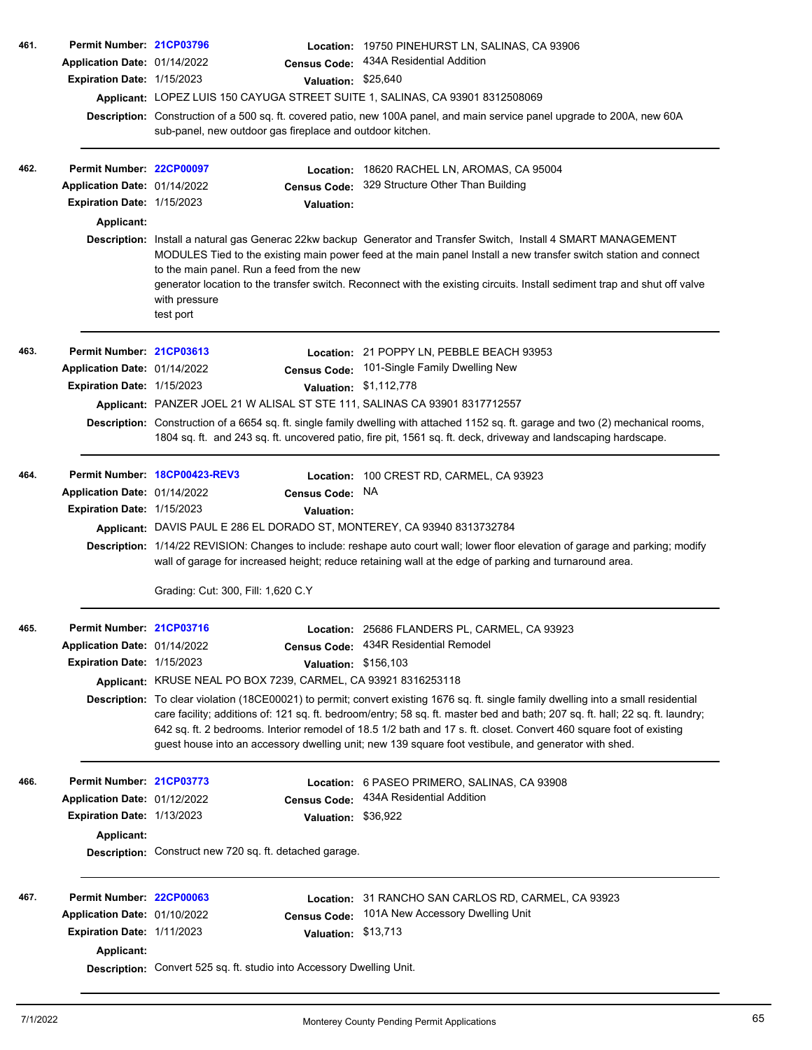| 461. | Permit Number: 21CP03796                        |                                                                                                                                                                                                                                                                                                                                                                                                                                                                                                      |                                                                                                                           | Location: 19750 PINEHURST LN, SALINAS, CA 93906                                                                                                                                                                                                                                                                                                                   |  |  |  |  |  |
|------|-------------------------------------------------|------------------------------------------------------------------------------------------------------------------------------------------------------------------------------------------------------------------------------------------------------------------------------------------------------------------------------------------------------------------------------------------------------------------------------------------------------------------------------------------------------|---------------------------------------------------------------------------------------------------------------------------|-------------------------------------------------------------------------------------------------------------------------------------------------------------------------------------------------------------------------------------------------------------------------------------------------------------------------------------------------------------------|--|--|--|--|--|
|      | Application Date: 01/14/2022                    |                                                                                                                                                                                                                                                                                                                                                                                                                                                                                                      | <b>Census Code:</b>                                                                                                       | 434A Residential Addition                                                                                                                                                                                                                                                                                                                                         |  |  |  |  |  |
|      | Expiration Date: 1/15/2023                      |                                                                                                                                                                                                                                                                                                                                                                                                                                                                                                      | Valuation: \$25,640                                                                                                       |                                                                                                                                                                                                                                                                                                                                                                   |  |  |  |  |  |
|      |                                                 |                                                                                                                                                                                                                                                                                                                                                                                                                                                                                                      |                                                                                                                           | Applicant: LOPEZ LUIS 150 CAYUGA STREET SUITE 1, SALINAS, CA 93901 8312508069                                                                                                                                                                                                                                                                                     |  |  |  |  |  |
|      |                                                 |                                                                                                                                                                                                                                                                                                                                                                                                                                                                                                      | Description: Construction of a 500 sq. ft. covered patio, new 100A panel, and main service panel upgrade to 200A, new 60A |                                                                                                                                                                                                                                                                                                                                                                   |  |  |  |  |  |
|      |                                                 | sub-panel, new outdoor gas fireplace and outdoor kitchen.                                                                                                                                                                                                                                                                                                                                                                                                                                            |                                                                                                                           |                                                                                                                                                                                                                                                                                                                                                                   |  |  |  |  |  |
| 462. | Permit Number: 22CP00097                        |                                                                                                                                                                                                                                                                                                                                                                                                                                                                                                      | Location:                                                                                                                 | 18620 RACHEL LN, AROMAS, CA 95004                                                                                                                                                                                                                                                                                                                                 |  |  |  |  |  |
|      | Application Date: 01/14/2022                    |                                                                                                                                                                                                                                                                                                                                                                                                                                                                                                      | <b>Census Code:</b>                                                                                                       | 329 Structure Other Than Building                                                                                                                                                                                                                                                                                                                                 |  |  |  |  |  |
|      | <b>Expiration Date: 1/15/2023</b>               |                                                                                                                                                                                                                                                                                                                                                                                                                                                                                                      | <b>Valuation:</b>                                                                                                         |                                                                                                                                                                                                                                                                                                                                                                   |  |  |  |  |  |
|      | <b>Applicant:</b>                               |                                                                                                                                                                                                                                                                                                                                                                                                                                                                                                      |                                                                                                                           |                                                                                                                                                                                                                                                                                                                                                                   |  |  |  |  |  |
|      |                                                 | to the main panel. Run a feed from the new<br>with pressure<br>test port                                                                                                                                                                                                                                                                                                                                                                                                                             |                                                                                                                           | Description: Install a natural gas Generac 22kw backup Generator and Transfer Switch, Install 4 SMART MANAGEMENT<br>MODULES Tied to the existing main power feed at the main panel Install a new transfer switch station and connect<br>generator location to the transfer switch. Reconnect with the existing circuits. Install sediment trap and shut off valve |  |  |  |  |  |
| 463. | Permit Number: 21CP03613                        |                                                                                                                                                                                                                                                                                                                                                                                                                                                                                                      |                                                                                                                           | Location: 21 POPPY LN, PEBBLE BEACH 93953                                                                                                                                                                                                                                                                                                                         |  |  |  |  |  |
|      | Application Date: 01/14/2022                    |                                                                                                                                                                                                                                                                                                                                                                                                                                                                                                      | <b>Census Code:</b>                                                                                                       | 101-Single Family Dwelling New                                                                                                                                                                                                                                                                                                                                    |  |  |  |  |  |
|      | Expiration Date: 1/15/2023                      |                                                                                                                                                                                                                                                                                                                                                                                                                                                                                                      |                                                                                                                           | Valuation: \$1,112,778                                                                                                                                                                                                                                                                                                                                            |  |  |  |  |  |
|      |                                                 |                                                                                                                                                                                                                                                                                                                                                                                                                                                                                                      |                                                                                                                           | Applicant: PANZER JOEL 21 W ALISAL ST STE 111, SALINAS CA 93901 8317712557                                                                                                                                                                                                                                                                                        |  |  |  |  |  |
|      |                                                 |                                                                                                                                                                                                                                                                                                                                                                                                                                                                                                      |                                                                                                                           | Description: Construction of a 6654 sq. ft. single family dwelling with attached 1152 sq. ft. garage and two (2) mechanical rooms,<br>1804 sq. ft. and 243 sq. ft. uncovered patio, fire pit, 1561 sq. ft. deck, driveway and landscaping hardscape.                                                                                                              |  |  |  |  |  |
| 464. |                                                 | Permit Number 18CP00423-REV3                                                                                                                                                                                                                                                                                                                                                                                                                                                                         |                                                                                                                           | Location: 100 CREST RD, CARMEL, CA 93923                                                                                                                                                                                                                                                                                                                          |  |  |  |  |  |
|      | Application Date: 01/14/2022                    |                                                                                                                                                                                                                                                                                                                                                                                                                                                                                                      | <b>Census Code:</b>                                                                                                       | <b>NA</b>                                                                                                                                                                                                                                                                                                                                                         |  |  |  |  |  |
|      | Expiration Date: 1/15/2023                      |                                                                                                                                                                                                                                                                                                                                                                                                                                                                                                      | <b>Valuation:</b>                                                                                                         |                                                                                                                                                                                                                                                                                                                                                                   |  |  |  |  |  |
|      |                                                 |                                                                                                                                                                                                                                                                                                                                                                                                                                                                                                      |                                                                                                                           | Applicant: DAVIS PAUL E 286 EL DORADO ST, MONTEREY, CA 93940 8313732784                                                                                                                                                                                                                                                                                           |  |  |  |  |  |
|      |                                                 | Grading: Cut: 300, Fill: 1,620 C.Y                                                                                                                                                                                                                                                                                                                                                                                                                                                                   |                                                                                                                           | Description: 1/14/22 REVISION: Changes to include: reshape auto court wall; lower floor elevation of garage and parking; modify<br>wall of garage for increased height; reduce retaining wall at the edge of parking and turnaround area.                                                                                                                         |  |  |  |  |  |
|      |                                                 |                                                                                                                                                                                                                                                                                                                                                                                                                                                                                                      |                                                                                                                           |                                                                                                                                                                                                                                                                                                                                                                   |  |  |  |  |  |
| 465. | Permit Number: 21CP03716                        |                                                                                                                                                                                                                                                                                                                                                                                                                                                                                                      |                                                                                                                           | Location: 25686 FLANDERS PL, CARMEL, CA 93923<br>Census Code: 434R Residential Remodel                                                                                                                                                                                                                                                                            |  |  |  |  |  |
|      | Application Date: 01/14/2022                    |                                                                                                                                                                                                                                                                                                                                                                                                                                                                                                      |                                                                                                                           |                                                                                                                                                                                                                                                                                                                                                                   |  |  |  |  |  |
|      | Expiration Date: 1/15/2023                      | Applicant: KRUSE NEAL PO BOX 7239, CARMEL, CA 93921 8316253118                                                                                                                                                                                                                                                                                                                                                                                                                                       | Valuation: \$156,103                                                                                                      |                                                                                                                                                                                                                                                                                                                                                                   |  |  |  |  |  |
|      |                                                 |                                                                                                                                                                                                                                                                                                                                                                                                                                                                                                      |                                                                                                                           |                                                                                                                                                                                                                                                                                                                                                                   |  |  |  |  |  |
|      |                                                 | Description: To clear violation (18CE00021) to permit; convert existing 1676 sq. ft. single family dwelling into a small residential<br>care facility; additions of: 121 sq. ft. bedroom/entry; 58 sq. ft. master bed and bath; 207 sq. ft. hall; 22 sq. ft. laundry;<br>642 sq. ft. 2 bedrooms. Interior remodel of 18.5 1/2 bath and 17 s. ft. closet. Convert 460 square foot of existing<br>guest house into an accessory dwelling unit; new 139 square foot vestibule, and generator with shed. |                                                                                                                           |                                                                                                                                                                                                                                                                                                                                                                   |  |  |  |  |  |
| 466. | Permit Number: 21CP03773                        |                                                                                                                                                                                                                                                                                                                                                                                                                                                                                                      |                                                                                                                           | Location: 6 PASEO PRIMERO, SALINAS, CA 93908                                                                                                                                                                                                                                                                                                                      |  |  |  |  |  |
|      | Application Date: 01/12/2022                    |                                                                                                                                                                                                                                                                                                                                                                                                                                                                                                      |                                                                                                                           | Census Code: 434A Residential Addition                                                                                                                                                                                                                                                                                                                            |  |  |  |  |  |
|      | Expiration Date: 1/13/2023                      |                                                                                                                                                                                                                                                                                                                                                                                                                                                                                                      | Valuation: \$36,922                                                                                                       |                                                                                                                                                                                                                                                                                                                                                                   |  |  |  |  |  |
|      | <b>Applicant:</b>                               |                                                                                                                                                                                                                                                                                                                                                                                                                                                                                                      |                                                                                                                           |                                                                                                                                                                                                                                                                                                                                                                   |  |  |  |  |  |
|      |                                                 | Description: Construct new 720 sq. ft. detached garage.                                                                                                                                                                                                                                                                                                                                                                                                                                              |                                                                                                                           |                                                                                                                                                                                                                                                                                                                                                                   |  |  |  |  |  |
| 467. | Permit Number: 22CP00063                        |                                                                                                                                                                                                                                                                                                                                                                                                                                                                                                      |                                                                                                                           | Location: 31 RANCHO SAN CARLOS RD, CARMEL, CA 93923                                                                                                                                                                                                                                                                                                               |  |  |  |  |  |
|      | Application Date: 01/10/2022                    |                                                                                                                                                                                                                                                                                                                                                                                                                                                                                                      | <b>Census Code:</b>                                                                                                       | 101A New Accessory Dwelling Unit                                                                                                                                                                                                                                                                                                                                  |  |  |  |  |  |
|      | Expiration Date: 1/11/2023<br><b>Applicant:</b> |                                                                                                                                                                                                                                                                                                                                                                                                                                                                                                      | Valuation: \$13,713                                                                                                       |                                                                                                                                                                                                                                                                                                                                                                   |  |  |  |  |  |
|      |                                                 | Description: Convert 525 sq. ft. studio into Accessory Dwelling Unit.                                                                                                                                                                                                                                                                                                                                                                                                                                |                                                                                                                           |                                                                                                                                                                                                                                                                                                                                                                   |  |  |  |  |  |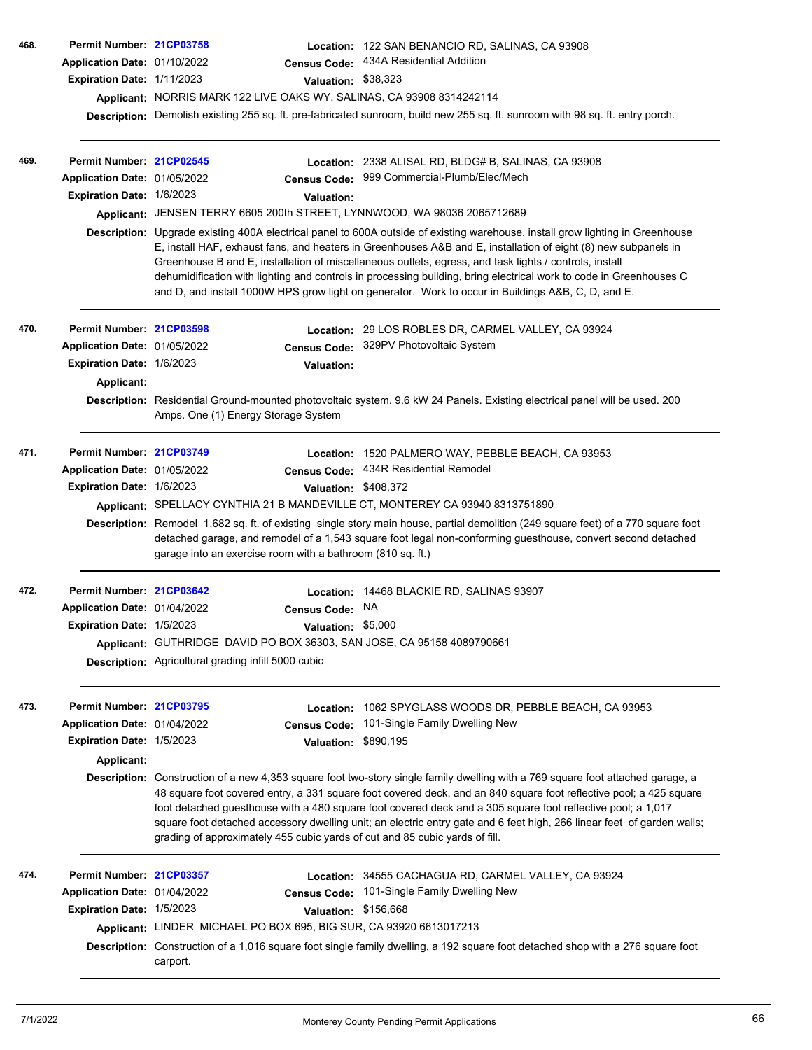| 468. | Permit Number: 21CP03758<br>Application Date: 01/10/2022<br>Expiration Date: 1/11/2023 | <b>Census Code:</b><br>Applicant: NORRIS MARK 122 LIVE OAKS WY, SALINAS, CA 93908 8314242114                                                                      |                                | Location: 122 SAN BENANCIO RD, SALINAS, CA 93908<br>434A Residential Addition<br>Valuation: \$38,323<br>Description: Demolish existing 255 sq. ft. pre-fabricated sunroom, build new 255 sq. ft. sunroom with 98 sq. ft. entry porch.                                                                                                                                                                                                                                                                                                                                                  |  |  |
|------|----------------------------------------------------------------------------------------|-------------------------------------------------------------------------------------------------------------------------------------------------------------------|--------------------------------|----------------------------------------------------------------------------------------------------------------------------------------------------------------------------------------------------------------------------------------------------------------------------------------------------------------------------------------------------------------------------------------------------------------------------------------------------------------------------------------------------------------------------------------------------------------------------------------|--|--|
| 469. | Permit Number: 21CP02545<br>Application Date: 01/05/2022<br>Expiration Date: 1/6/2023  | <b>Census Code:</b><br>Applicant: JENSEN TERRY 6605 200th STREET, LYNNWOOD, WA 98036 2065712689                                                                   | <b>Valuation:</b>              | Location: 2338 ALISAL RD, BLDG# B, SALINAS, CA 93908<br>999 Commercial-Plumb/Elec/Mech                                                                                                                                                                                                                                                                                                                                                                                                                                                                                                 |  |  |
|      |                                                                                        |                                                                                                                                                                   |                                | Description: Upgrade existing 400A electrical panel to 600A outside of existing warehouse, install grow lighting in Greenhouse<br>E, install HAF, exhaust fans, and heaters in Greenhouses A&B and E, installation of eight (8) new subpanels in<br>Greenhouse B and E, installation of miscellaneous outlets, egress, and task lights / controls, install<br>dehumidification with lighting and controls in processing building, bring electrical work to code in Greenhouses C<br>and D, and install 1000W HPS grow light on generator. Work to occur in Buildings A&B, C, D, and E. |  |  |
| 470. | Permit Number: 21CP03598                                                               |                                                                                                                                                                   |                                | Location: 29 LOS ROBLES DR, CARMEL VALLEY, CA 93924                                                                                                                                                                                                                                                                                                                                                                                                                                                                                                                                    |  |  |
|      | Application Date: 01/05/2022                                                           | <b>Census Code:</b>                                                                                                                                               |                                | 329PV Photovoltaic System                                                                                                                                                                                                                                                                                                                                                                                                                                                                                                                                                              |  |  |
|      | Expiration Date: 1/6/2023                                                              |                                                                                                                                                                   | <b>Valuation:</b>              |                                                                                                                                                                                                                                                                                                                                                                                                                                                                                                                                                                                        |  |  |
|      | Applicant:                                                                             | Description: Residential Ground-mounted photovoltaic system. 9.6 kW 24 Panels. Existing electrical panel will be used. 200<br>Amps. One (1) Energy Storage System |                                |                                                                                                                                                                                                                                                                                                                                                                                                                                                                                                                                                                                        |  |  |
| 471. | Permit Number: 21CP03749                                                               |                                                                                                                                                                   | Location:                      | 1520 PALMERO WAY, PEBBLE BEACH, CA 93953                                                                                                                                                                                                                                                                                                                                                                                                                                                                                                                                               |  |  |
|      | Application Date: 01/05/2022                                                           | <b>Census Code:</b>                                                                                                                                               |                                | 434R Residential Remodel                                                                                                                                                                                                                                                                                                                                                                                                                                                                                                                                                               |  |  |
|      | Expiration Date: 1/6/2023                                                              |                                                                                                                                                                   | <b>Valuation:</b>              | \$408,372                                                                                                                                                                                                                                                                                                                                                                                                                                                                                                                                                                              |  |  |
|      |                                                                                        |                                                                                                                                                                   |                                | Applicant: SPELLACY CYNTHIA 21 B MANDEVILLE CT, MONTEREY CA 93940 8313751890                                                                                                                                                                                                                                                                                                                                                                                                                                                                                                           |  |  |
|      |                                                                                        | garage into an exercise room with a bathroom (810 sq. ft.)                                                                                                        |                                | Description: Remodel 1,682 sq. ft. of existing single story main house, partial demolition (249 square feet) of a 770 square foot<br>detached garage, and remodel of a 1,543 square foot legal non-conforming guesthouse, convert second detached                                                                                                                                                                                                                                                                                                                                      |  |  |
| 472. | Permit Number: 21CP03642                                                               |                                                                                                                                                                   |                                | Location: 14468 BLACKIE RD, SALINAS 93907                                                                                                                                                                                                                                                                                                                                                                                                                                                                                                                                              |  |  |
|      | Application Date: 01/04/2022                                                           | <b>Census Code:</b>                                                                                                                                               |                                | NA                                                                                                                                                                                                                                                                                                                                                                                                                                                                                                                                                                                     |  |  |
|      | <b>Expiration Date: 1/5/2023</b>                                                       |                                                                                                                                                                   |                                | Valuation: \$5,000                                                                                                                                                                                                                                                                                                                                                                                                                                                                                                                                                                     |  |  |
|      |                                                                                        | Applicant: GUTHRIDGE DAVID PO BOX 36303, SAN JOSE, CA 95158 4089790661<br><b>Description:</b> Agricultural grading infill 5000 cubic                              |                                |                                                                                                                                                                                                                                                                                                                                                                                                                                                                                                                                                                                        |  |  |
| 473. | Permit Number: 21CP03795<br>Application Date: 01/04/2022<br>Expiration Date: 1/5/2023  | <b>Census Code:</b>                                                                                                                                               | Location:<br><b>Valuation:</b> | 1062 SPYGLASS WOODS DR, PEBBLE BEACH, CA 93953<br>101-Single Family Dwelling New<br>\$890,195                                                                                                                                                                                                                                                                                                                                                                                                                                                                                          |  |  |
|      | Applicant:                                                                             |                                                                                                                                                                   |                                |                                                                                                                                                                                                                                                                                                                                                                                                                                                                                                                                                                                        |  |  |
|      |                                                                                        | grading of approximately 455 cubic yards of cut and 85 cubic yards of fill.                                                                                       |                                | Description: Construction of a new 4,353 square foot two-story single family dwelling with a 769 square foot attached garage, a<br>48 square foot covered entry, a 331 square foot covered deck, and an 840 square foot reflective pool; a 425 square<br>foot detached guesthouse with a 480 square foot covered deck and a 305 square foot reflective pool; a 1,017<br>square foot detached accessory dwelling unit; an electric entry gate and 6 feet high, 266 linear feet of garden walls;                                                                                         |  |  |
| 474. | Permit Number: 21CP03357                                                               |                                                                                                                                                                   |                                | Location: 34555 CACHAGUA RD, CARMEL VALLEY, CA 93924                                                                                                                                                                                                                                                                                                                                                                                                                                                                                                                                   |  |  |
|      | Application Date: 01/04/2022                                                           | <b>Census Code:</b>                                                                                                                                               |                                | 101-Single Family Dwelling New                                                                                                                                                                                                                                                                                                                                                                                                                                                                                                                                                         |  |  |
|      | Expiration Date: 1/5/2023                                                              |                                                                                                                                                                   |                                | Valuation: \$156,668                                                                                                                                                                                                                                                                                                                                                                                                                                                                                                                                                                   |  |  |
|      |                                                                                        | Applicant: LINDER MICHAEL PO BOX 695, BIG SUR, CA 93920 6613017213<br>carport.                                                                                    |                                | Description: Construction of a 1,016 square foot single family dwelling, a 192 square foot detached shop with a 276 square foot                                                                                                                                                                                                                                                                                                                                                                                                                                                        |  |  |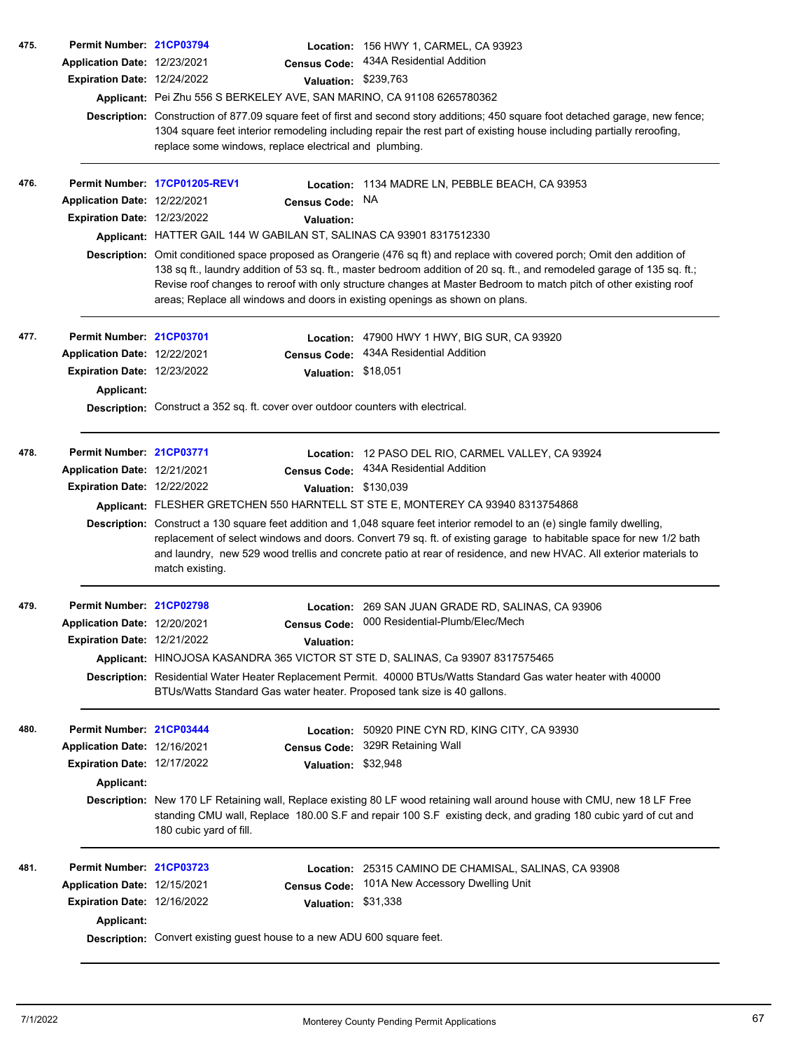| 475. | Permit Number: 21CP03794                         |                                                                                                                                                                                                                                                                                                                                                                                                                                                            |                      | Location: 156 HWY 1, CARMEL, CA 93923                                             |  |  |  |
|------|--------------------------------------------------|------------------------------------------------------------------------------------------------------------------------------------------------------------------------------------------------------------------------------------------------------------------------------------------------------------------------------------------------------------------------------------------------------------------------------------------------------------|----------------------|-----------------------------------------------------------------------------------|--|--|--|
|      | Application Date: 12/23/2021                     |                                                                                                                                                                                                                                                                                                                                                                                                                                                            | <b>Census Code:</b>  | 434A Residential Addition                                                         |  |  |  |
|      | <b>Expiration Date: 12/24/2022</b>               |                                                                                                                                                                                                                                                                                                                                                                                                                                                            | Valuation: \$239,763 |                                                                                   |  |  |  |
|      |                                                  |                                                                                                                                                                                                                                                                                                                                                                                                                                                            |                      | Applicant: Pei Zhu 556 S BERKELEY AVE, SAN MARINO, CA 91108 6265780362            |  |  |  |
|      |                                                  | Description: Construction of 877.09 square feet of first and second story additions; 450 square foot detached garage, new fence;<br>1304 square feet interior remodeling including repair the rest part of existing house including partially reroofing,<br>replace some windows, replace electrical and plumbing.                                                                                                                                         |                      |                                                                                   |  |  |  |
| 476. |                                                  | Permit Number: 17CP01205-REV1                                                                                                                                                                                                                                                                                                                                                                                                                              |                      | Location: 1134 MADRE LN, PEBBLE BEACH, CA 93953                                   |  |  |  |
|      | Application Date: 12/22/2021                     |                                                                                                                                                                                                                                                                                                                                                                                                                                                            | <b>Census Code:</b>  | NA.                                                                               |  |  |  |
|      | <b>Expiration Date: 12/23/2022</b>               |                                                                                                                                                                                                                                                                                                                                                                                                                                                            | <b>Valuation:</b>    |                                                                                   |  |  |  |
|      |                                                  |                                                                                                                                                                                                                                                                                                                                                                                                                                                            |                      | Applicant: HATTER GAIL 144 W GABILAN ST, SALINAS CA 93901 8317512330              |  |  |  |
|      |                                                  | Description: Omit conditioned space proposed as Orangerie (476 sq ft) and replace with covered porch; Omit den addition of<br>138 sq ft., laundry addition of 53 sq. ft., master bedroom addition of 20 sq. ft., and remodeled garage of 135 sq. ft.;<br>Revise roof changes to reroof with only structure changes at Master Bedroom to match pitch of other existing roof<br>areas; Replace all windows and doors in existing openings as shown on plans. |                      |                                                                                   |  |  |  |
| 477. | Permit Number: 21CP03701                         |                                                                                                                                                                                                                                                                                                                                                                                                                                                            |                      | Location: 47900 HWY 1 HWY, BIG SUR, CA 93920                                      |  |  |  |
|      | Application Date: 12/22/2021                     |                                                                                                                                                                                                                                                                                                                                                                                                                                                            | <b>Census Code:</b>  | 434A Residential Addition                                                         |  |  |  |
|      | Expiration Date: 12/23/2022                      |                                                                                                                                                                                                                                                                                                                                                                                                                                                            | Valuation: \$18,051  |                                                                                   |  |  |  |
|      | Applicant:                                       |                                                                                                                                                                                                                                                                                                                                                                                                                                                            |                      |                                                                                   |  |  |  |
|      |                                                  |                                                                                                                                                                                                                                                                                                                                                                                                                                                            |                      | Description: Construct a 352 sq. ft. cover over outdoor counters with electrical. |  |  |  |
| 478. | Permit Number: 21CP03771                         |                                                                                                                                                                                                                                                                                                                                                                                                                                                            |                      | Location: 12 PASO DEL RIO, CARMEL VALLEY, CA 93924                                |  |  |  |
|      | Application Date: 12/21/2021                     |                                                                                                                                                                                                                                                                                                                                                                                                                                                            | <b>Census Code:</b>  | 434A Residential Addition                                                         |  |  |  |
|      | <b>Expiration Date: 12/22/2022</b>               |                                                                                                                                                                                                                                                                                                                                                                                                                                                            | Valuation: \$130,039 |                                                                                   |  |  |  |
|      |                                                  | Applicant: FLESHER GRETCHEN 550 HARNTELL ST STE E, MONTEREY CA 93940 8313754868                                                                                                                                                                                                                                                                                                                                                                            |                      |                                                                                   |  |  |  |
|      |                                                  | Description: Construct a 130 square feet addition and 1,048 square feet interior remodel to an (e) single family dwelling,<br>replacement of select windows and doors. Convert 79 sq. ft. of existing garage to habitable space for new 1/2 bath<br>and laundry, new 529 wood trellis and concrete patio at rear of residence, and new HVAC. All exterior materials to<br>match existing.                                                                  |                      |                                                                                   |  |  |  |
| 479. | Permit Number: 21CP02798                         |                                                                                                                                                                                                                                                                                                                                                                                                                                                            |                      | Location: 269 SAN JUAN GRADE RD, SALINAS, CA 93906                                |  |  |  |
|      | Application Date: 12/20/2021                     |                                                                                                                                                                                                                                                                                                                                                                                                                                                            |                      | Census Code: 000 Residential-Plumb/Elec/Mech                                      |  |  |  |
|      | Expiration Date: 12/21/2022                      |                                                                                                                                                                                                                                                                                                                                                                                                                                                            | <b>Valuation:</b>    |                                                                                   |  |  |  |
|      |                                                  |                                                                                                                                                                                                                                                                                                                                                                                                                                                            |                      | Applicant: HINOJOSA KASANDRA 365 VICTOR ST STE D, SALINAS, Ca 93907 8317575465    |  |  |  |
|      |                                                  | Description: Residential Water Heater Replacement Permit. 40000 BTUs/Watts Standard Gas water heater with 40000<br>BTUs/Watts Standard Gas water heater. Proposed tank size is 40 gallons.                                                                                                                                                                                                                                                                 |                      |                                                                                   |  |  |  |
| 480. | Permit Number: 21CP03444                         |                                                                                                                                                                                                                                                                                                                                                                                                                                                            |                      | Location: 50920 PINE CYN RD, KING CITY, CA 93930                                  |  |  |  |
|      | Application Date: 12/16/2021                     |                                                                                                                                                                                                                                                                                                                                                                                                                                                            | <b>Census Code:</b>  | 329R Retaining Wall                                                               |  |  |  |
|      | <b>Expiration Date: 12/17/2022</b>               |                                                                                                                                                                                                                                                                                                                                                                                                                                                            | Valuation: \$32,948  |                                                                                   |  |  |  |
|      | Applicant:                                       |                                                                                                                                                                                                                                                                                                                                                                                                                                                            |                      |                                                                                   |  |  |  |
|      |                                                  | Description: New 170 LF Retaining wall, Replace existing 80 LF wood retaining wall around house with CMU, new 18 LF Free<br>standing CMU wall, Replace 180.00 S.F and repair 100 S.F existing deck, and grading 180 cubic yard of cut and<br>180 cubic yard of fill.                                                                                                                                                                                       |                      |                                                                                   |  |  |  |
| 481. | Permit Number: 21CP03723                         |                                                                                                                                                                                                                                                                                                                                                                                                                                                            |                      | Location: 25315 CAMINO DE CHAMISAL, SALINAS, CA 93908                             |  |  |  |
|      | Application Date: 12/15/2021                     |                                                                                                                                                                                                                                                                                                                                                                                                                                                            | <b>Census Code:</b>  | 101A New Accessory Dwelling Unit                                                  |  |  |  |
|      | Expiration Date: 12/16/2022<br><b>Applicant:</b> |                                                                                                                                                                                                                                                                                                                                                                                                                                                            | Valuation: \$31,338  |                                                                                   |  |  |  |
|      |                                                  | Description: Convert existing guest house to a new ADU 600 square feet.                                                                                                                                                                                                                                                                                                                                                                                    |                      |                                                                                   |  |  |  |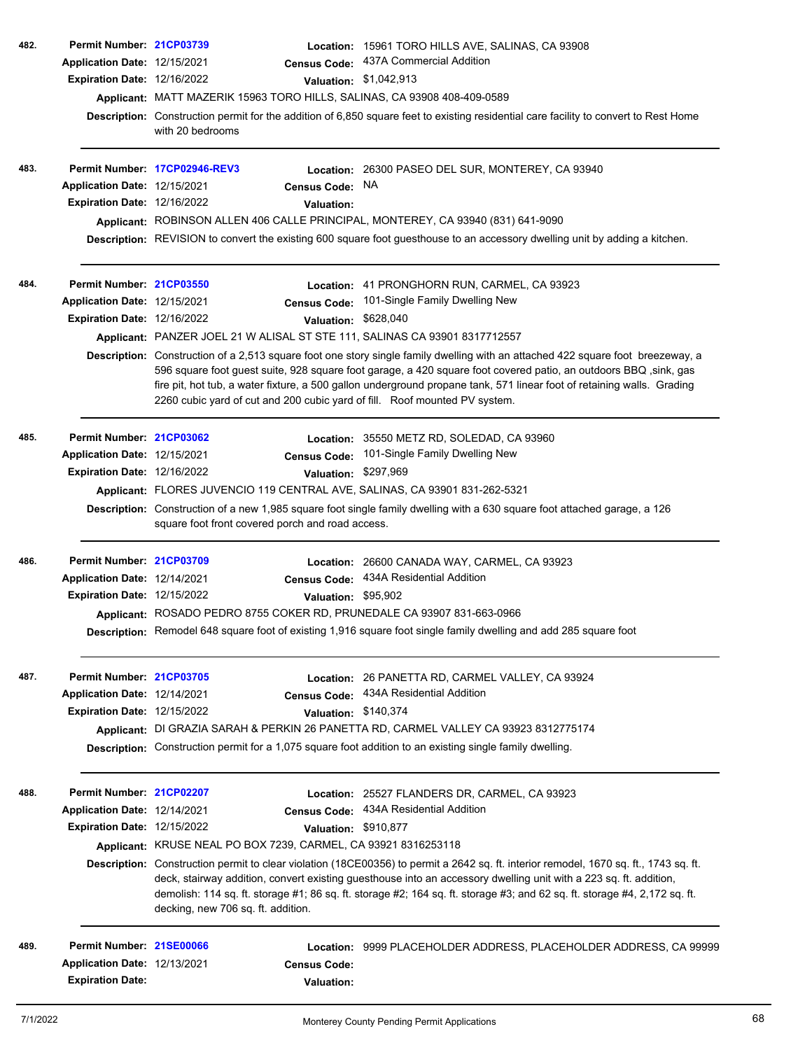| 482. | Permit Number: 21CP03739           |                                                                                                                                                                                                                                                                                                                                                                                                                                                             | Location: 15961 TORO HILLS AVE, SALINAS, CA 93908                                                                                    |  |  |  |
|------|------------------------------------|-------------------------------------------------------------------------------------------------------------------------------------------------------------------------------------------------------------------------------------------------------------------------------------------------------------------------------------------------------------------------------------------------------------------------------------------------------------|--------------------------------------------------------------------------------------------------------------------------------------|--|--|--|
|      | Application Date: 12/15/2021       |                                                                                                                                                                                                                                                                                                                                                                                                                                                             | Census Code: 437A Commercial Addition                                                                                                |  |  |  |
|      | Expiration Date: 12/16/2022        |                                                                                                                                                                                                                                                                                                                                                                                                                                                             | Valuation: \$1,042,913                                                                                                               |  |  |  |
|      |                                    | Applicant: MATT MAZERIK 15963 TORO HILLS, SALINAS, CA 93908 408-409-0589                                                                                                                                                                                                                                                                                                                                                                                    |                                                                                                                                      |  |  |  |
|      |                                    | with 20 bedrooms                                                                                                                                                                                                                                                                                                                                                                                                                                            | Description: Construction permit for the addition of 6,850 square feet to existing residential care facility to convert to Rest Home |  |  |  |
| 483. |                                    | Permit Number 17CP02946-REV3                                                                                                                                                                                                                                                                                                                                                                                                                                | Location: 26300 PASEO DEL SUR, MONTEREY, CA 93940                                                                                    |  |  |  |
|      | Application Date: 12/15/2021       | <b>Census Code:</b>                                                                                                                                                                                                                                                                                                                                                                                                                                         | NA.                                                                                                                                  |  |  |  |
|      | <b>Expiration Date: 12/16/2022</b> | <b>Valuation:</b>                                                                                                                                                                                                                                                                                                                                                                                                                                           |                                                                                                                                      |  |  |  |
|      |                                    |                                                                                                                                                                                                                                                                                                                                                                                                                                                             | Applicant: ROBINSON ALLEN 406 CALLE PRINCIPAL, MONTEREY, CA 93940 (831) 641-9090                                                     |  |  |  |
|      |                                    |                                                                                                                                                                                                                                                                                                                                                                                                                                                             | Description: REVISION to convert the existing 600 square foot guesthouse to an accessory dwelling unit by adding a kitchen.          |  |  |  |
| 484. | Permit Number: 21CP03550           |                                                                                                                                                                                                                                                                                                                                                                                                                                                             | Location: 41 PRONGHORN RUN, CARMEL, CA 93923                                                                                         |  |  |  |
|      | Application Date: 12/15/2021       | <b>Census Code:</b>                                                                                                                                                                                                                                                                                                                                                                                                                                         | 101-Single Family Dwelling New                                                                                                       |  |  |  |
|      | Expiration Date: 12/16/2022        |                                                                                                                                                                                                                                                                                                                                                                                                                                                             | Valuation: \$628,040                                                                                                                 |  |  |  |
|      |                                    | Applicant: PANZER JOEL 21 W ALISAL ST STE 111, SALINAS CA 93901 8317712557                                                                                                                                                                                                                                                                                                                                                                                  |                                                                                                                                      |  |  |  |
|      |                                    | Description: Construction of a 2,513 square foot one story single family dwelling with an attached 422 square foot breezeway, a<br>596 square foot guest suite, 928 square foot garage, a 420 square foot covered patio, an outdoors BBQ, sink, gas<br>fire pit, hot tub, a water fixture, a 500 gallon underground propane tank, 571 linear foot of retaining walls. Grading<br>2260 cubic yard of cut and 200 cubic yard of fill. Roof mounted PV system. |                                                                                                                                      |  |  |  |
| 485. | Permit Number: 21CP03062           |                                                                                                                                                                                                                                                                                                                                                                                                                                                             | Location: 35550 METZ RD, SOLEDAD, CA 93960                                                                                           |  |  |  |
|      | Application Date: 12/15/2021       |                                                                                                                                                                                                                                                                                                                                                                                                                                                             | Census Code: 101-Single Family Dwelling New                                                                                          |  |  |  |
|      | Expiration Date: 12/16/2022        |                                                                                                                                                                                                                                                                                                                                                                                                                                                             | Valuation: \$297,969                                                                                                                 |  |  |  |
|      |                                    | Applicant: FLORES JUVENCIO 119 CENTRAL AVE, SALINAS, CA 93901 831-262-5321                                                                                                                                                                                                                                                                                                                                                                                  |                                                                                                                                      |  |  |  |
|      |                                    | Description: Construction of a new 1,985 square foot single family dwelling with a 630 square foot attached garage, a 126<br>square foot front covered porch and road access.                                                                                                                                                                                                                                                                               |                                                                                                                                      |  |  |  |
| 486. | Permit Number: 21CP03709           |                                                                                                                                                                                                                                                                                                                                                                                                                                                             | Location: 26600 CANADA WAY, CARMEL, CA 93923                                                                                         |  |  |  |
|      | Application Date: 12/14/2021       |                                                                                                                                                                                                                                                                                                                                                                                                                                                             | Census Code: 434A Residential Addition                                                                                               |  |  |  |
|      | Expiration Date: 12/15/2022        |                                                                                                                                                                                                                                                                                                                                                                                                                                                             | Valuation: \$95,902                                                                                                                  |  |  |  |
|      |                                    | Applicant: ROSADO PEDRO 8755 COKER RD, PRUNEDALE CA 93907 831-663-0966                                                                                                                                                                                                                                                                                                                                                                                      |                                                                                                                                      |  |  |  |
|      |                                    |                                                                                                                                                                                                                                                                                                                                                                                                                                                             | Description: Remodel 648 square foot of existing 1,916 square foot single family dwelling and add 285 square foot                    |  |  |  |
| 487. | Permit Number: 21CP03705           |                                                                                                                                                                                                                                                                                                                                                                                                                                                             | Location: 26 PANETTA RD, CARMEL VALLEY, CA 93924                                                                                     |  |  |  |
|      | Application Date: 12/14/2021       | <b>Census Code:</b>                                                                                                                                                                                                                                                                                                                                                                                                                                         | 434A Residential Addition                                                                                                            |  |  |  |
|      | <b>Expiration Date: 12/15/2022</b> |                                                                                                                                                                                                                                                                                                                                                                                                                                                             | Valuation: \$140,374                                                                                                                 |  |  |  |
|      |                                    |                                                                                                                                                                                                                                                                                                                                                                                                                                                             | Applicant: DI GRAZIA SARAH & PERKIN 26 PANETTA RD, CARMEL VALLEY CA 93923 8312775174                                                 |  |  |  |
|      |                                    |                                                                                                                                                                                                                                                                                                                                                                                                                                                             | Description: Construction permit for a 1,075 square foot addition to an existing single family dwelling.                             |  |  |  |
| 488. | Permit Number: 21CP02207           |                                                                                                                                                                                                                                                                                                                                                                                                                                                             | Location: 25527 FLANDERS DR, CARMEL, CA 93923                                                                                        |  |  |  |
|      | Application Date: 12/14/2021       | <b>Census Code:</b>                                                                                                                                                                                                                                                                                                                                                                                                                                         | 434A Residential Addition                                                                                                            |  |  |  |
|      | Expiration Date: 12/15/2022        |                                                                                                                                                                                                                                                                                                                                                                                                                                                             | Valuation: \$910,877                                                                                                                 |  |  |  |
|      |                                    | Applicant: KRUSE NEAL PO BOX 7239, CARMEL, CA 93921 8316253118                                                                                                                                                                                                                                                                                                                                                                                              |                                                                                                                                      |  |  |  |
|      |                                    | Description: Construction permit to clear violation (18CE00356) to permit a 2642 sq. ft. interior remodel, 1670 sq. ft., 1743 sq. ft.<br>deck, stairway addition, convert existing guesthouse into an accessory dwelling unit with a 223 sq. ft. addition,<br>demolish: 114 sq. ft. storage #1; 86 sq. ft. storage #2; 164 sq. ft. storage #3; and 62 sq. ft. storage #4, 2,172 sq. ft.<br>decking, new 706 sq. ft. addition.                               |                                                                                                                                      |  |  |  |
| 489. | Permit Number: 21SE00066           |                                                                                                                                                                                                                                                                                                                                                                                                                                                             | Location: 9999 PLACEHOLDER ADDRESS, PLACEHOLDER ADDRESS, CA 99999                                                                    |  |  |  |
|      | Application Date: 12/13/2021       | <b>Census Code:</b>                                                                                                                                                                                                                                                                                                                                                                                                                                         |                                                                                                                                      |  |  |  |
|      | <b>Expiration Date:</b>            | Valuation:                                                                                                                                                                                                                                                                                                                                                                                                                                                  |                                                                                                                                      |  |  |  |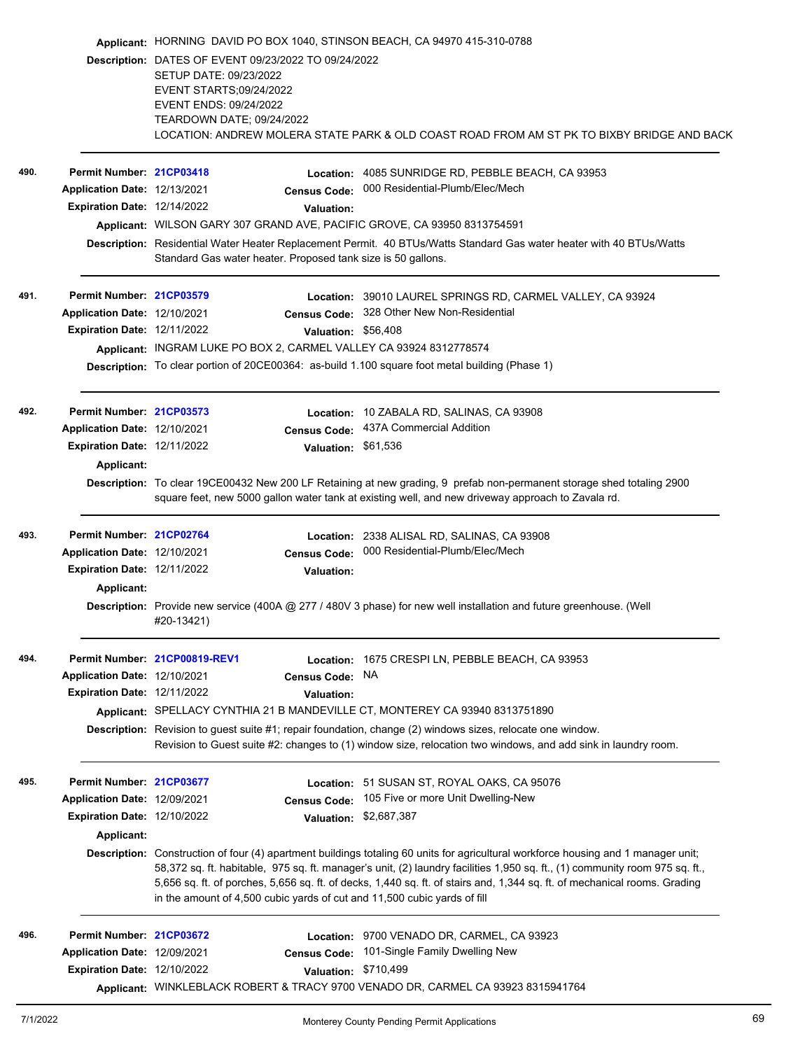|      |                                    | Applicant: HORNING DAVID PO BOX 1040, STINSON BEACH, CA 94970 415-310-0788<br>Description: DATES OF EVENT 09/23/2022 TO 09/24/2022<br>SETUP DATE: 09/23/2022<br>EVENT STARTS;09/24/2022<br>EVENT ENDS: 09/24/2022<br>TEARDOWN DATE; 09/24/2022<br>LOCATION: ANDREW MOLERA STATE PARK & OLD COAST ROAD FROM AM ST PK TO BIXBY BRIDGE AND BACK |                     |                                                                                                                                                                                                                                                                                                                                                                                                |  |  |  |  |
|------|------------------------------------|----------------------------------------------------------------------------------------------------------------------------------------------------------------------------------------------------------------------------------------------------------------------------------------------------------------------------------------------|---------------------|------------------------------------------------------------------------------------------------------------------------------------------------------------------------------------------------------------------------------------------------------------------------------------------------------------------------------------------------------------------------------------------------|--|--|--|--|
|      |                                    |                                                                                                                                                                                                                                                                                                                                              |                     |                                                                                                                                                                                                                                                                                                                                                                                                |  |  |  |  |
|      |                                    |                                                                                                                                                                                                                                                                                                                                              |                     |                                                                                                                                                                                                                                                                                                                                                                                                |  |  |  |  |
| 490. | Permit Number: 21CP03418           |                                                                                                                                                                                                                                                                                                                                              |                     | Location: 4085 SUNRIDGE RD, PEBBLE BEACH, CA 93953                                                                                                                                                                                                                                                                                                                                             |  |  |  |  |
|      | Application Date: 12/13/2021       |                                                                                                                                                                                                                                                                                                                                              | <b>Census Code:</b> | 000 Residential-Plumb/Elec/Mech                                                                                                                                                                                                                                                                                                                                                                |  |  |  |  |
|      | Expiration Date: 12/14/2022        |                                                                                                                                                                                                                                                                                                                                              | <b>Valuation:</b>   |                                                                                                                                                                                                                                                                                                                                                                                                |  |  |  |  |
|      |                                    | Applicant: WILSON GARY 307 GRAND AVE, PACIFIC GROVE, CA 93950 8313754591                                                                                                                                                                                                                                                                     |                     |                                                                                                                                                                                                                                                                                                                                                                                                |  |  |  |  |
|      |                                    | Description: Residential Water Heater Replacement Permit. 40 BTUs/Watts Standard Gas water heater with 40 BTUs/Watts<br>Standard Gas water heater. Proposed tank size is 50 gallons.                                                                                                                                                         |                     |                                                                                                                                                                                                                                                                                                                                                                                                |  |  |  |  |
| 491. | Permit Number: 21CP03579           |                                                                                                                                                                                                                                                                                                                                              |                     | Location: 39010 LAUREL SPRINGS RD, CARMEL VALLEY, CA 93924                                                                                                                                                                                                                                                                                                                                     |  |  |  |  |
|      | Application Date: 12/10/2021       |                                                                                                                                                                                                                                                                                                                                              |                     | Census Code: 328 Other New Non-Residential                                                                                                                                                                                                                                                                                                                                                     |  |  |  |  |
|      | Expiration Date: 12/11/2022        |                                                                                                                                                                                                                                                                                                                                              | Valuation: \$56,408 |                                                                                                                                                                                                                                                                                                                                                                                                |  |  |  |  |
|      |                                    | Applicant: INGRAM LUKE PO BOX 2, CARMEL VALLEY CA 93924 8312778574                                                                                                                                                                                                                                                                           |                     |                                                                                                                                                                                                                                                                                                                                                                                                |  |  |  |  |
|      |                                    |                                                                                                                                                                                                                                                                                                                                              |                     | Description: To clear portion of 20CE00364: as-build 1.100 square foot metal building (Phase 1)                                                                                                                                                                                                                                                                                                |  |  |  |  |
| 492. | Permit Number: 21CP03573           |                                                                                                                                                                                                                                                                                                                                              |                     | Location: 10 ZABALA RD, SALINAS, CA 93908                                                                                                                                                                                                                                                                                                                                                      |  |  |  |  |
|      | Application Date: 12/10/2021       |                                                                                                                                                                                                                                                                                                                                              |                     | Census Code: 437A Commercial Addition                                                                                                                                                                                                                                                                                                                                                          |  |  |  |  |
|      | Expiration Date: 12/11/2022        |                                                                                                                                                                                                                                                                                                                                              | Valuation: \$61,536 |                                                                                                                                                                                                                                                                                                                                                                                                |  |  |  |  |
|      | Applicant:                         |                                                                                                                                                                                                                                                                                                                                              |                     |                                                                                                                                                                                                                                                                                                                                                                                                |  |  |  |  |
|      |                                    |                                                                                                                                                                                                                                                                                                                                              |                     | Description: To clear 19CE00432 New 200 LF Retaining at new grading, 9 prefab non-permanent storage shed totaling 2900<br>square feet, new 5000 gallon water tank at existing well, and new driveway approach to Zavala rd.                                                                                                                                                                    |  |  |  |  |
| 493. | Permit Number: 21CP02764           |                                                                                                                                                                                                                                                                                                                                              |                     | Location: 2338 ALISAL RD, SALINAS, CA 93908                                                                                                                                                                                                                                                                                                                                                    |  |  |  |  |
|      | Application Date: 12/10/2021       |                                                                                                                                                                                                                                                                                                                                              | <b>Census Code:</b> | 000 Residential-Plumb/Elec/Mech                                                                                                                                                                                                                                                                                                                                                                |  |  |  |  |
|      | Expiration Date: 12/11/2022        |                                                                                                                                                                                                                                                                                                                                              | <b>Valuation:</b>   |                                                                                                                                                                                                                                                                                                                                                                                                |  |  |  |  |
|      | Applicant:                         |                                                                                                                                                                                                                                                                                                                                              |                     |                                                                                                                                                                                                                                                                                                                                                                                                |  |  |  |  |
|      |                                    | #20-13421)                                                                                                                                                                                                                                                                                                                                   |                     | Description: Provide new service (400A @ 277 / 480V 3 phase) for new well installation and future greenhouse. (Well                                                                                                                                                                                                                                                                            |  |  |  |  |
| 494. |                                    | Permit Number. 21CP00819-REV1                                                                                                                                                                                                                                                                                                                |                     | Location: 1675 CRESPI LN, PEBBLE BEACH, CA 93953                                                                                                                                                                                                                                                                                                                                               |  |  |  |  |
|      | Application Date: 12/10/2021       |                                                                                                                                                                                                                                                                                                                                              | Census Code: NA     |                                                                                                                                                                                                                                                                                                                                                                                                |  |  |  |  |
|      | <b>Expiration Date: 12/11/2022</b> |                                                                                                                                                                                                                                                                                                                                              | <b>Valuation:</b>   |                                                                                                                                                                                                                                                                                                                                                                                                |  |  |  |  |
|      |                                    |                                                                                                                                                                                                                                                                                                                                              |                     | Applicant: SPELLACY CYNTHIA 21 B MANDEVILLE CT, MONTEREY CA 93940 8313751890                                                                                                                                                                                                                                                                                                                   |  |  |  |  |
|      |                                    | Description: Revision to guest suite #1; repair foundation, change (2) windows sizes, relocate one window.<br>Revision to Guest suite #2: changes to (1) window size, relocation two windows, and add sink in laundry room.                                                                                                                  |                     |                                                                                                                                                                                                                                                                                                                                                                                                |  |  |  |  |
| 495. | Permit Number: 21CP03677           |                                                                                                                                                                                                                                                                                                                                              |                     | Location: 51 SUSAN ST, ROYAL OAKS, CA 95076                                                                                                                                                                                                                                                                                                                                                    |  |  |  |  |
|      | Application Date: 12/09/2021       |                                                                                                                                                                                                                                                                                                                                              | <b>Census Code:</b> | 105 Five or more Unit Dwelling-New                                                                                                                                                                                                                                                                                                                                                             |  |  |  |  |
|      | <b>Expiration Date: 12/10/2022</b> |                                                                                                                                                                                                                                                                                                                                              |                     | Valuation: \$2,687,387                                                                                                                                                                                                                                                                                                                                                                         |  |  |  |  |
|      | <b>Applicant:</b>                  |                                                                                                                                                                                                                                                                                                                                              |                     |                                                                                                                                                                                                                                                                                                                                                                                                |  |  |  |  |
|      |                                    | in the amount of 4,500 cubic yards of cut and 11,500 cubic yards of fill                                                                                                                                                                                                                                                                     |                     | Description: Construction of four (4) apartment buildings totaling 60 units for agricultural workforce housing and 1 manager unit;<br>58,372 sq. ft. habitable, 975 sq. ft. manager's unit, (2) laundry facilities 1,950 sq. ft., (1) community room 975 sq. ft.,<br>5,656 sq. ft. of porches, 5,656 sq. ft. of decks, 1,440 sq. ft. of stairs and, 1,344 sq. ft. of mechanical rooms. Grading |  |  |  |  |
| 496. | Permit Number: 21CP03672           |                                                                                                                                                                                                                                                                                                                                              |                     | Location: 9700 VENADO DR, CARMEL, CA 93923                                                                                                                                                                                                                                                                                                                                                     |  |  |  |  |
|      | Application Date: 12/09/2021       |                                                                                                                                                                                                                                                                                                                                              | <b>Census Code:</b> | 101-Single Family Dwelling New                                                                                                                                                                                                                                                                                                                                                                 |  |  |  |  |
|      | Expiration Date: 12/10/2022        |                                                                                                                                                                                                                                                                                                                                              |                     | Valuation: \$710,499                                                                                                                                                                                                                                                                                                                                                                           |  |  |  |  |
|      |                                    |                                                                                                                                                                                                                                                                                                                                              |                     | Applicant: WINKLEBLACK ROBERT & TRACY 9700 VENADO DR, CARMEL CA 93923 8315941764                                                                                                                                                                                                                                                                                                               |  |  |  |  |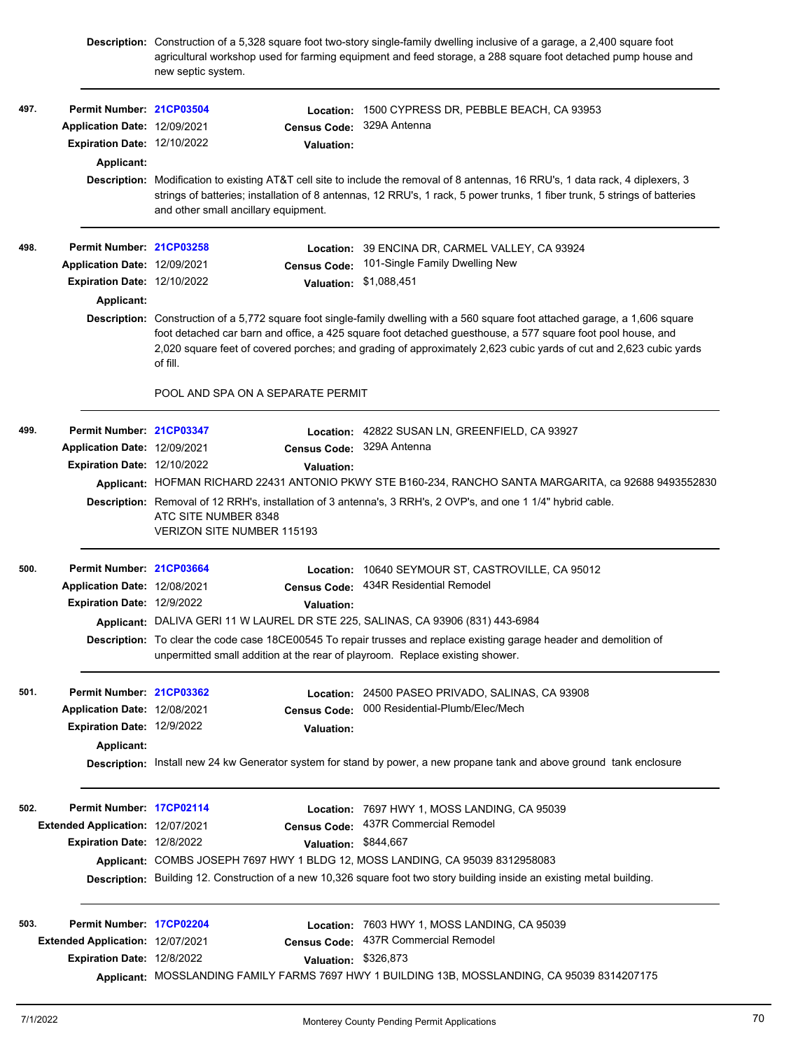|      |                                  | Description: Construction of a 5,328 square foot two-story single-family dwelling inclusive of a garage, a 2,400 square foot<br>agricultural workshop used for farming equipment and feed storage, a 288 square foot detached pump house and<br>new septic system.                                                                                                             |                                   |                                                                                                                        |  |  |  |
|------|----------------------------------|--------------------------------------------------------------------------------------------------------------------------------------------------------------------------------------------------------------------------------------------------------------------------------------------------------------------------------------------------------------------------------|-----------------------------------|------------------------------------------------------------------------------------------------------------------------|--|--|--|
| 497. | Permit Number: 21CP03504         |                                                                                                                                                                                                                                                                                                                                                                                |                                   | Location: 1500 CYPRESS DR, PEBBLE BEACH, CA 93953                                                                      |  |  |  |
|      | Application Date: 12/09/2021     |                                                                                                                                                                                                                                                                                                                                                                                | <b>Census Code:</b>               | 329A Antenna                                                                                                           |  |  |  |
|      | Expiration Date: 12/10/2022      |                                                                                                                                                                                                                                                                                                                                                                                | Valuation:                        |                                                                                                                        |  |  |  |
|      | Applicant:                       |                                                                                                                                                                                                                                                                                                                                                                                |                                   |                                                                                                                        |  |  |  |
|      |                                  | Description: Modification to existing AT&T cell site to include the removal of 8 antennas, 16 RRU's, 1 data rack, 4 diplexers, 3<br>strings of batteries; installation of 8 antennas, 12 RRU's, 1 rack, 5 power trunks, 1 fiber trunk, 5 strings of batteries<br>and other small ancillary equipment.                                                                          |                                   |                                                                                                                        |  |  |  |
| 498. | Permit Number: 21CP03258         |                                                                                                                                                                                                                                                                                                                                                                                |                                   | Location: 39 ENCINA DR, CARMEL VALLEY, CA 93924                                                                        |  |  |  |
|      | Application Date: 12/09/2021     |                                                                                                                                                                                                                                                                                                                                                                                | <b>Census Code:</b>               | 101-Single Family Dwelling New                                                                                         |  |  |  |
|      | Expiration Date: 12/10/2022      |                                                                                                                                                                                                                                                                                                                                                                                |                                   | Valuation: \$1,088,451                                                                                                 |  |  |  |
|      | Applicant:                       |                                                                                                                                                                                                                                                                                                                                                                                |                                   |                                                                                                                        |  |  |  |
|      |                                  | Description: Construction of a 5,772 square foot single-family dwelling with a 560 square foot attached garage, a 1,606 square<br>foot detached car barn and office, a 425 square foot detached guesthouse, a 577 square foot pool house, and<br>2,020 square feet of covered porches; and grading of approximately 2,623 cubic yards of cut and 2,623 cubic yards<br>of fill. |                                   |                                                                                                                        |  |  |  |
|      |                                  |                                                                                                                                                                                                                                                                                                                                                                                | POOL AND SPA ON A SEPARATE PERMIT |                                                                                                                        |  |  |  |
| 499. | Permit Number: 21CP03347         |                                                                                                                                                                                                                                                                                                                                                                                |                                   | Location: 42822 SUSAN LN, GREENFIELD, CA 93927                                                                         |  |  |  |
|      | Application Date: 12/09/2021     |                                                                                                                                                                                                                                                                                                                                                                                |                                   | Census Code: 329A Antenna                                                                                              |  |  |  |
|      | Expiration Date: 12/10/2022      |                                                                                                                                                                                                                                                                                                                                                                                | Valuation:                        |                                                                                                                        |  |  |  |
|      |                                  | Applicant: HOFMAN RICHARD 22431 ANTONIO PKWY STE B160-234, RANCHO SANTA MARGARITA, ca 92688 9493552830                                                                                                                                                                                                                                                                         |                                   |                                                                                                                        |  |  |  |
|      |                                  | Description: Removal of 12 RRH's, installation of 3 antenna's, 3 RRH's, 2 OVP's, and one 1 1/4" hybrid cable.<br>ATC SITE NUMBER 8348<br><b>VERIZON SITE NUMBER 115193</b>                                                                                                                                                                                                     |                                   |                                                                                                                        |  |  |  |
| 500. | Permit Number: 21CP03664         |                                                                                                                                                                                                                                                                                                                                                                                |                                   | Location: 10640 SEYMOUR ST, CASTROVILLE, CA 95012                                                                      |  |  |  |
|      | Application Date: 12/08/2021     |                                                                                                                                                                                                                                                                                                                                                                                |                                   | Census Code: 434R Residential Remodel                                                                                  |  |  |  |
|      | Expiration Date: 12/9/2022       |                                                                                                                                                                                                                                                                                                                                                                                | Valuation:                        |                                                                                                                        |  |  |  |
|      |                                  |                                                                                                                                                                                                                                                                                                                                                                                |                                   | Applicant: DALIVA GERI 11 W LAUREL DR STE 225, SALINAS, CA 93906 (831) 443-6984                                        |  |  |  |
|      |                                  | Description: To clear the code case 18CE00545 To repair trusses and replace existing garage header and demolition of<br>unpermitted small addition at the rear of playroom. Replace existing shower.                                                                                                                                                                           |                                   |                                                                                                                        |  |  |  |
| 501. | Permit Number: 21CP03362         |                                                                                                                                                                                                                                                                                                                                                                                |                                   | Location: 24500 PASEO PRIVADO, SALINAS, CA 93908                                                                       |  |  |  |
|      | Application Date: 12/08/2021     |                                                                                                                                                                                                                                                                                                                                                                                | <b>Census Code:</b>               | 000 Residential-Plumb/Elec/Mech                                                                                        |  |  |  |
|      | Expiration Date: 12/9/2022       |                                                                                                                                                                                                                                                                                                                                                                                | <b>Valuation:</b>                 |                                                                                                                        |  |  |  |
|      | Applicant:                       |                                                                                                                                                                                                                                                                                                                                                                                |                                   |                                                                                                                        |  |  |  |
|      |                                  |                                                                                                                                                                                                                                                                                                                                                                                |                                   | Description: Install new 24 kw Generator system for stand by power, a new propane tank and above ground tank enclosure |  |  |  |
| 502. | Permit Number: 17CP02114         |                                                                                                                                                                                                                                                                                                                                                                                |                                   | Location: 7697 HWY 1, MOSS LANDING, CA 95039                                                                           |  |  |  |
|      | Extended Application: 12/07/2021 |                                                                                                                                                                                                                                                                                                                                                                                |                                   | Census Code: 437R Commercial Remodel                                                                                   |  |  |  |
|      | Expiration Date: 12/8/2022       |                                                                                                                                                                                                                                                                                                                                                                                | Valuation: \$844,667              |                                                                                                                        |  |  |  |
|      |                                  |                                                                                                                                                                                                                                                                                                                                                                                |                                   | Applicant: COMBS JOSEPH 7697 HWY 1 BLDG 12, MOSS LANDING, CA 95039 8312958083                                          |  |  |  |
|      |                                  | Description: Building 12. Construction of a new 10,326 square foot two story building inside an existing metal building.                                                                                                                                                                                                                                                       |                                   |                                                                                                                        |  |  |  |
| 503. | Permit Number: 17CP02204         |                                                                                                                                                                                                                                                                                                                                                                                |                                   | Location: 7603 HWY 1, MOSS LANDING, CA 95039                                                                           |  |  |  |
|      | Extended Application: 12/07/2021 |                                                                                                                                                                                                                                                                                                                                                                                | <b>Census Code:</b>               | 437R Commercial Remodel                                                                                                |  |  |  |
|      | Expiration Date: 12/8/2022       |                                                                                                                                                                                                                                                                                                                                                                                | Valuation: \$326,873              |                                                                                                                        |  |  |  |
|      |                                  |                                                                                                                                                                                                                                                                                                                                                                                |                                   | Applicant: MOSSLANDING FAMILY FARMS 7697 HWY 1 BUILDING 13B, MOSSLANDING, CA 95039 8314207175                          |  |  |  |
|      |                                  |                                                                                                                                                                                                                                                                                                                                                                                |                                   |                                                                                                                        |  |  |  |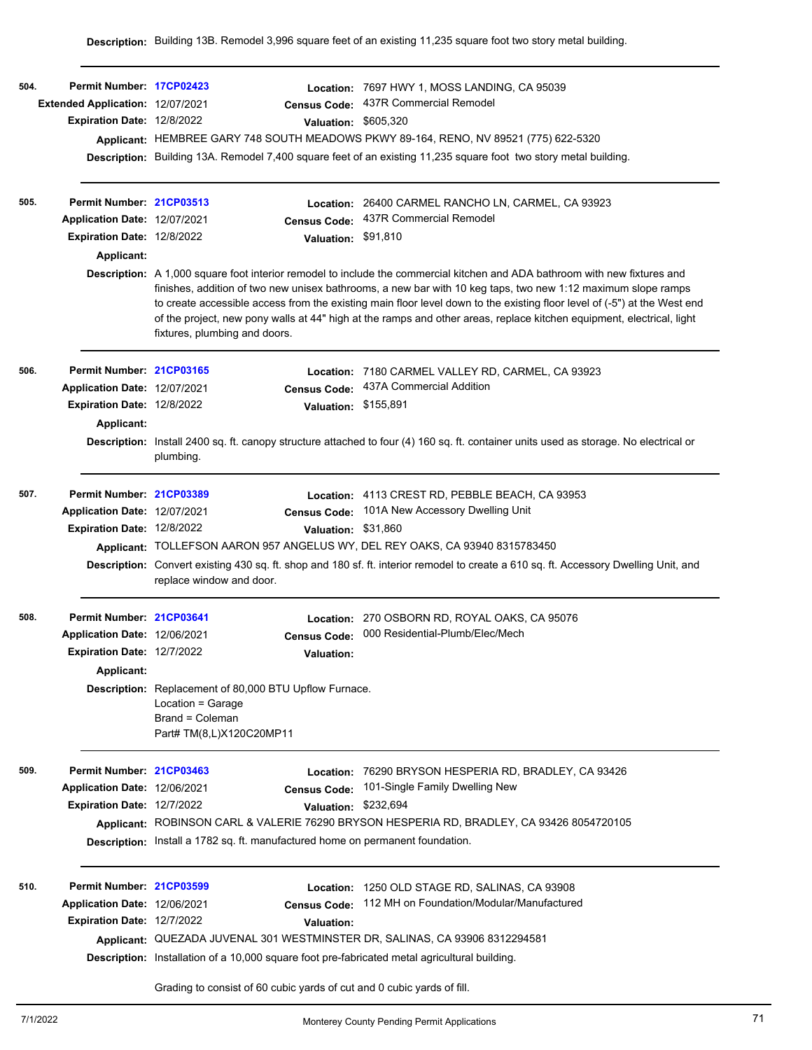| 504. | Permit Number: 17CP02423         |                                                                                                                                                                                                                                                                                                                                                                                                                                                                                                                                  |                      | Location: 7697 HWY 1, MOSS LANDING, CA 95039                                                                            |  |  |  |
|------|----------------------------------|----------------------------------------------------------------------------------------------------------------------------------------------------------------------------------------------------------------------------------------------------------------------------------------------------------------------------------------------------------------------------------------------------------------------------------------------------------------------------------------------------------------------------------|----------------------|-------------------------------------------------------------------------------------------------------------------------|--|--|--|
|      | Extended Application: 12/07/2021 |                                                                                                                                                                                                                                                                                                                                                                                                                                                                                                                                  | <b>Census Code:</b>  | 437R Commercial Remodel                                                                                                 |  |  |  |
|      | Expiration Date: 12/8/2022       |                                                                                                                                                                                                                                                                                                                                                                                                                                                                                                                                  | <b>Valuation:</b>    | \$605.320                                                                                                               |  |  |  |
|      |                                  |                                                                                                                                                                                                                                                                                                                                                                                                                                                                                                                                  |                      | Applicant: HEMBREE GARY 748 SOUTH MEADOWS PKWY 89-164, RENO, NV 89521 (775) 622-5320                                    |  |  |  |
|      |                                  |                                                                                                                                                                                                                                                                                                                                                                                                                                                                                                                                  |                      | <b>Description:</b> Building 13A. Remodel 7,400 square feet of an existing 11,235 square foot two story metal building. |  |  |  |
| 505. | Permit Number: 21CP03513         |                                                                                                                                                                                                                                                                                                                                                                                                                                                                                                                                  |                      | Location: 26400 CARMEL RANCHO LN, CARMEL, CA 93923                                                                      |  |  |  |
|      | Application Date: 12/07/2021     |                                                                                                                                                                                                                                                                                                                                                                                                                                                                                                                                  | <b>Census Code:</b>  | 437R Commercial Remodel                                                                                                 |  |  |  |
|      | Expiration Date: 12/8/2022       |                                                                                                                                                                                                                                                                                                                                                                                                                                                                                                                                  | Valuation: \$91,810  |                                                                                                                         |  |  |  |
|      | Applicant:                       |                                                                                                                                                                                                                                                                                                                                                                                                                                                                                                                                  |                      |                                                                                                                         |  |  |  |
|      |                                  | Description: A 1,000 square foot interior remodel to include the commercial kitchen and ADA bathroom with new fixtures and<br>finishes, addition of two new unisex bathrooms, a new bar with 10 keg taps, two new 1:12 maximum slope ramps<br>to create accessible access from the existing main floor level down to the existing floor level of (-5") at the West end<br>of the project, new pony walls at 44" high at the ramps and other areas, replace kitchen equipment, electrical, light<br>fixtures, plumbing and doors. |                      |                                                                                                                         |  |  |  |
| 506. | Permit Number: 21CP03165         |                                                                                                                                                                                                                                                                                                                                                                                                                                                                                                                                  | Location:            | 7180 CARMEL VALLEY RD, CARMEL, CA 93923                                                                                 |  |  |  |
|      | Application Date: 12/07/2021     |                                                                                                                                                                                                                                                                                                                                                                                                                                                                                                                                  | <b>Census Code:</b>  | 437A Commercial Addition                                                                                                |  |  |  |
|      | Expiration Date: 12/8/2022       |                                                                                                                                                                                                                                                                                                                                                                                                                                                                                                                                  | Valuation: \$155,891 |                                                                                                                         |  |  |  |
|      | Applicant:                       |                                                                                                                                                                                                                                                                                                                                                                                                                                                                                                                                  |                      |                                                                                                                         |  |  |  |
|      |                                  | Description: Install 2400 sq. ft. canopy structure attached to four (4) 160 sq. ft. container units used as storage. No electrical or<br>plumbing.                                                                                                                                                                                                                                                                                                                                                                               |                      |                                                                                                                         |  |  |  |
| 507. | Permit Number: 21CP03389         |                                                                                                                                                                                                                                                                                                                                                                                                                                                                                                                                  |                      | Location: 4113 CREST RD, PEBBLE BEACH, CA 93953                                                                         |  |  |  |
|      | Application Date: 12/07/2021     |                                                                                                                                                                                                                                                                                                                                                                                                                                                                                                                                  | <b>Census Code:</b>  | 101A New Accessory Dwelling Unit                                                                                        |  |  |  |
|      | Expiration Date: 12/8/2022       |                                                                                                                                                                                                                                                                                                                                                                                                                                                                                                                                  | Valuation: \$31,860  |                                                                                                                         |  |  |  |
|      |                                  | Applicant: TOLLEFSON AARON 957 ANGELUS WY, DEL REY OAKS, CA 93940 8315783450                                                                                                                                                                                                                                                                                                                                                                                                                                                     |                      |                                                                                                                         |  |  |  |
|      |                                  | Description: Convert existing 430 sq. ft. shop and 180 sf. ft. interior remodel to create a 610 sq. ft. Accessory Dwelling Unit, and<br>replace window and door.                                                                                                                                                                                                                                                                                                                                                                 |                      |                                                                                                                         |  |  |  |
| 508. | Permit Number: 21CP03641         |                                                                                                                                                                                                                                                                                                                                                                                                                                                                                                                                  | Location:            | 270 OSBORN RD, ROYAL OAKS, CA 95076                                                                                     |  |  |  |
|      | Application Date: 12/06/2021     |                                                                                                                                                                                                                                                                                                                                                                                                                                                                                                                                  | <b>Census Code:</b>  | 000 Residential-Plumb/Elec/Mech                                                                                         |  |  |  |
|      | Expiration Date: 12/7/2022       |                                                                                                                                                                                                                                                                                                                                                                                                                                                                                                                                  | <b>Valuation:</b>    |                                                                                                                         |  |  |  |
|      | Applicant:                       |                                                                                                                                                                                                                                                                                                                                                                                                                                                                                                                                  |                      |                                                                                                                         |  |  |  |
|      |                                  | Description: Replacement of 80,000 BTU Upflow Furnace.<br>Location = Garage<br>Brand = Coleman<br>Part# TM(8,L)X120C20MP11                                                                                                                                                                                                                                                                                                                                                                                                       |                      |                                                                                                                         |  |  |  |
| 509. | Permit Number: 21CP03463         |                                                                                                                                                                                                                                                                                                                                                                                                                                                                                                                                  | Location:            | 76290 BRYSON HESPERIA RD, BRADLEY, CA 93426                                                                             |  |  |  |
|      | Application Date: 12/06/2021     |                                                                                                                                                                                                                                                                                                                                                                                                                                                                                                                                  | <b>Census Code:</b>  | 101-Single Family Dwelling New                                                                                          |  |  |  |
|      | Expiration Date: 12/7/2022       |                                                                                                                                                                                                                                                                                                                                                                                                                                                                                                                                  | <b>Valuation:</b>    | \$232.694                                                                                                               |  |  |  |
|      |                                  |                                                                                                                                                                                                                                                                                                                                                                                                                                                                                                                                  |                      | Applicant: ROBINSON CARL & VALERIE 76290 BRYSON HESPERIA RD, BRADLEY, CA 93426 8054720105                               |  |  |  |
|      |                                  |                                                                                                                                                                                                                                                                                                                                                                                                                                                                                                                                  |                      | <b>Description:</b> Install a 1782 sq. ft. manufactured home on permanent foundation.                                   |  |  |  |
| 510. | Permit Number: 21CP03599         |                                                                                                                                                                                                                                                                                                                                                                                                                                                                                                                                  | Location:            | 1250 OLD STAGE RD, SALINAS, CA 93908                                                                                    |  |  |  |
|      | Application Date: 12/06/2021     |                                                                                                                                                                                                                                                                                                                                                                                                                                                                                                                                  | <b>Census Code:</b>  | 112 MH on Foundation/Modular/Manufactured                                                                               |  |  |  |
|      | Expiration Date: 12/7/2022       |                                                                                                                                                                                                                                                                                                                                                                                                                                                                                                                                  | Valuation:           |                                                                                                                         |  |  |  |
|      |                                  | Applicant: QUEZADA JUVENAL 301 WESTMINSTER DR, SALINAS, CA 93906 8312294581                                                                                                                                                                                                                                                                                                                                                                                                                                                      |                      |                                                                                                                         |  |  |  |
|      |                                  |                                                                                                                                                                                                                                                                                                                                                                                                                                                                                                                                  |                      | <b>Description:</b> Installation of a 10,000 square foot pre-fabricated metal agricultural building.                    |  |  |  |
|      |                                  |                                                                                                                                                                                                                                                                                                                                                                                                                                                                                                                                  |                      | Grading to consist of 60 cubic yards of cut and 0 cubic yards of fill.                                                  |  |  |  |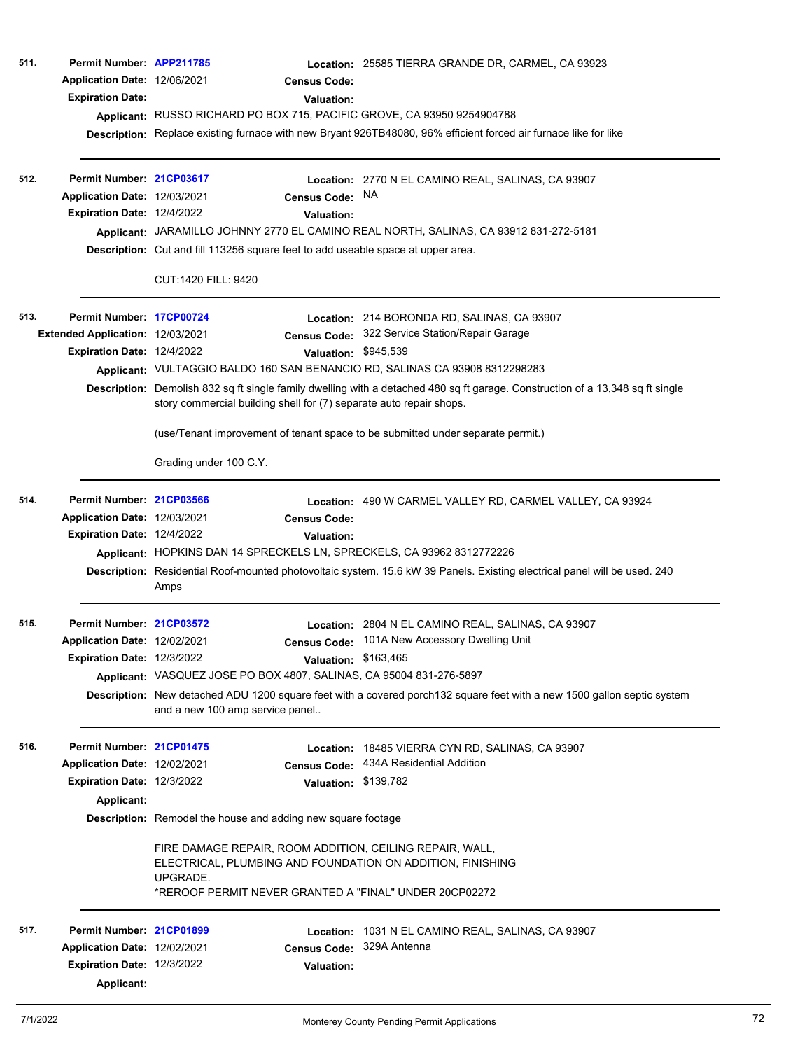| 511. | Permit Number: APP211785<br>Application Date: 12/06/2021<br><b>Expiration Date:</b>                  | <b>Census Code:</b><br><b>Valuation:</b><br>Applicant: RUSSO RICHARD PO BOX 715, PACIFIC GROVE, CA 93950 9254904788                                                                                                                                                                                                             | Location: 25585 TIERRA GRANDE DR, CARMEL, CA 93923<br>Description: Replace existing furnace with new Bryant 926TB48080, 96% efficient forced air furnace like for like                                                                 |
|------|------------------------------------------------------------------------------------------------------|---------------------------------------------------------------------------------------------------------------------------------------------------------------------------------------------------------------------------------------------------------------------------------------------------------------------------------|----------------------------------------------------------------------------------------------------------------------------------------------------------------------------------------------------------------------------------------|
| 512. | Permit Number: 21CP03617<br>Application Date: 12/03/2021<br>Expiration Date: 12/4/2022               | <b>Census Code:</b><br><b>Valuation:</b><br>Description: Cut and fill 113256 square feet to add useable space at upper area.<br>CUT:1420 FILL: 9420                                                                                                                                                                             | <b>Location: 2770 N EL CAMINO REAL, SALINAS, CA 93907</b><br>NA.<br>Applicant: JARAMILLO JOHNNY 2770 EL CAMINO REAL NORTH, SALINAS, CA 93912 831-272-5181                                                                              |
| 513. | Permit Number: 17CP00724<br>Extended Application: 12/03/2021<br>Expiration Date: 12/4/2022           | Valuation: \$945,539<br>Applicant: VULTAGGIO BALDO 160 SAN BENANCIO RD, SALINAS CA 93908 8312298283<br>story commercial building shell for (7) separate auto repair shops.<br>(use/Tenant improvement of tenant space to be submitted under separate permit.)<br>Grading under 100 C.Y.                                         | Location: 214 BORONDA RD, SALINAS, CA 93907<br>Census Code: 322 Service Station/Repair Garage<br>Description: Demolish 832 sq ft single family dwelling with a detached 480 sq ft garage. Construction of a 13,348 sq ft single        |
| 514. | Permit Number: 21CP03566<br>Application Date: 12/03/2021<br>Expiration Date: 12/4/2022               | <b>Census Code:</b><br><b>Valuation:</b><br>Applicant: HOPKINS DAN 14 SPRECKELS LN, SPRECKELS, CA 93962 8312772226<br>Amps                                                                                                                                                                                                      | Location: 490 W CARMEL VALLEY RD, CARMEL VALLEY, CA 93924<br>Description: Residential Roof-mounted photovoltaic system. 15.6 kW 39 Panels. Existing electrical panel will be used. 240                                                 |
| 515. | Permit Number: 21CP03572<br>Application Date: 12/02/2021<br>Expiration Date: 12/3/2022               | Valuation: \$163,465<br>Applicant: VASQUEZ JOSE PO BOX 4807, SALINAS, CA 95004 831-276-5897<br>and a new 100 amp service panel                                                                                                                                                                                                  | <b>Location: 2804 N EL CAMINO REAL, SALINAS, CA 93907</b><br>Census Code: 101A New Accessory Dwelling Unit<br>Description: New detached ADU 1200 square feet with a covered porch 132 square feet with a new 1500 gallon septic system |
| 516. | Permit Number: 21CP01475<br>Application Date: 12/02/2021<br>Expiration Date: 12/3/2022<br>Applicant: | Location:<br><b>Census Code:</b><br>Valuation: \$139,782<br><b>Description:</b> Remodel the house and adding new square footage<br>FIRE DAMAGE REPAIR, ROOM ADDITION, CEILING REPAIR, WALL,<br>ELECTRICAL, PLUMBING AND FOUNDATION ON ADDITION, FINISHING<br>UPGRADE.<br>*REROOF PERMIT NEVER GRANTED A "FINAL" UNDER 20CP02272 | 18485 VIERRA CYN RD, SALINAS, CA 93907<br>434A Residential Addition                                                                                                                                                                    |
| 517. | Permit Number: 21CP01899<br>Application Date: 12/02/2021<br>Expiration Date: 12/3/2022<br>Applicant: | <b>Census Code:</b><br><b>Valuation:</b>                                                                                                                                                                                                                                                                                        | <b>Location: 1031 N EL CAMINO REAL, SALINAS, CA 93907</b><br>329A Antenna                                                                                                                                                              |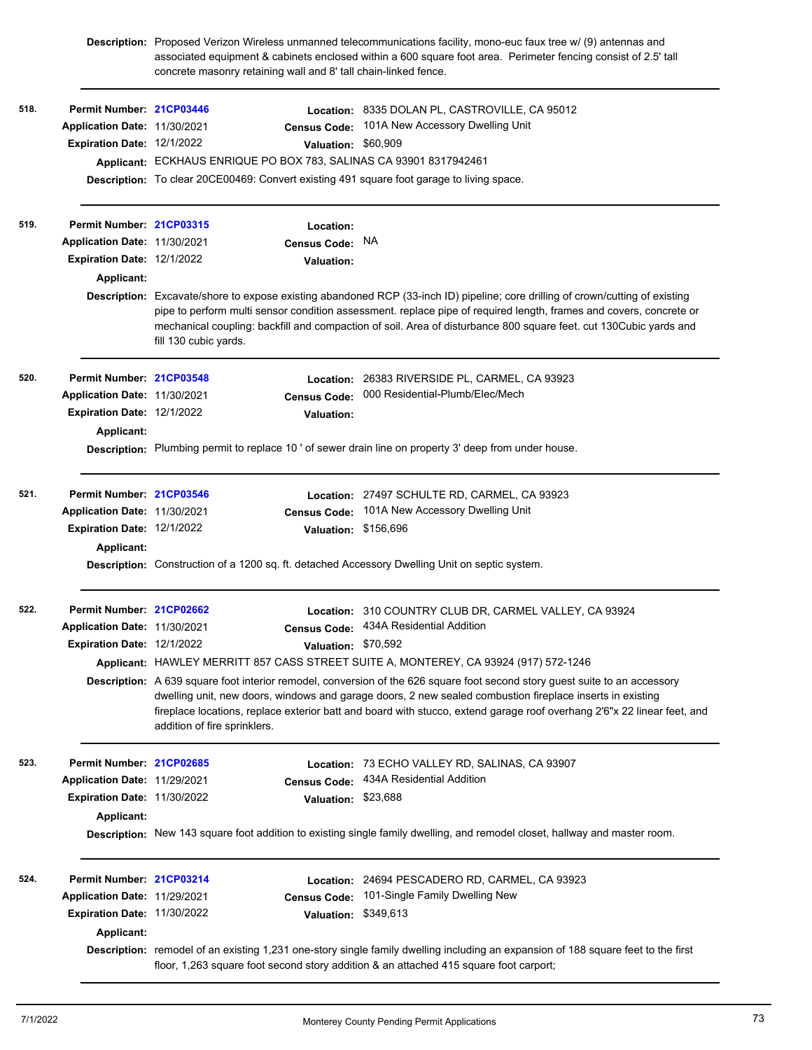|      |                              | Description: Proposed Verizon Wireless unmanned telecommunications facility, mono-euc faux tree w/ (9) antennas and<br>associated equipment & cabinets enclosed within a 600 square foot area. Perimeter fencing consist of 2.5' tall<br>concrete masonry retaining wall and 8' tall chain-linked fence. |                      |                                                                                                                                                                                                                                                                                                                                                                     |  |  |
|------|------------------------------|----------------------------------------------------------------------------------------------------------------------------------------------------------------------------------------------------------------------------------------------------------------------------------------------------------|----------------------|---------------------------------------------------------------------------------------------------------------------------------------------------------------------------------------------------------------------------------------------------------------------------------------------------------------------------------------------------------------------|--|--|
| 518. | Permit Number: 21CP03446     |                                                                                                                                                                                                                                                                                                          |                      | Location: 8335 DOLAN PL, CASTROVILLE, CA 95012                                                                                                                                                                                                                                                                                                                      |  |  |
|      | Application Date: 11/30/2021 |                                                                                                                                                                                                                                                                                                          | <b>Census Code:</b>  | 101A New Accessory Dwelling Unit                                                                                                                                                                                                                                                                                                                                    |  |  |
|      | Expiration Date: 12/1/2022   |                                                                                                                                                                                                                                                                                                          | Valuation: \$60,909  |                                                                                                                                                                                                                                                                                                                                                                     |  |  |
|      |                              |                                                                                                                                                                                                                                                                                                          |                      | Applicant: ECKHAUS ENRIQUE PO BOX 783, SALINAS CA 93901 8317942461                                                                                                                                                                                                                                                                                                  |  |  |
|      |                              |                                                                                                                                                                                                                                                                                                          |                      | Description: To clear 20CE00469: Convert existing 491 square foot garage to living space.                                                                                                                                                                                                                                                                           |  |  |
| 519. | Permit Number: 21CP03315     |                                                                                                                                                                                                                                                                                                          | Location:            |                                                                                                                                                                                                                                                                                                                                                                     |  |  |
|      | Application Date: 11/30/2021 |                                                                                                                                                                                                                                                                                                          | Census Code: NA      |                                                                                                                                                                                                                                                                                                                                                                     |  |  |
|      | Expiration Date: 12/1/2022   |                                                                                                                                                                                                                                                                                                          | Valuation:           |                                                                                                                                                                                                                                                                                                                                                                     |  |  |
|      | Applicant:                   |                                                                                                                                                                                                                                                                                                          |                      |                                                                                                                                                                                                                                                                                                                                                                     |  |  |
|      |                              |                                                                                                                                                                                                                                                                                                          |                      | Description: Excavate/shore to expose existing abandoned RCP (33-inch ID) pipeline; core drilling of crown/cutting of existing                                                                                                                                                                                                                                      |  |  |
|      |                              | pipe to perform multi sensor condition assessment. replace pipe of required length, frames and covers, concrete or<br>mechanical coupling: backfill and compaction of soil. Area of disturbance 800 square feet. cut 130Cubic yards and<br>fill 130 cubic yards.                                         |                      |                                                                                                                                                                                                                                                                                                                                                                     |  |  |
| 520. | Permit Number: 21CP03548     |                                                                                                                                                                                                                                                                                                          |                      | Location: 26383 RIVERSIDE PL, CARMEL, CA 93923                                                                                                                                                                                                                                                                                                                      |  |  |
|      | Application Date: 11/30/2021 |                                                                                                                                                                                                                                                                                                          | <b>Census Code:</b>  | 000 Residential-Plumb/Elec/Mech                                                                                                                                                                                                                                                                                                                                     |  |  |
|      | Expiration Date: 12/1/2022   |                                                                                                                                                                                                                                                                                                          | Valuation:           |                                                                                                                                                                                                                                                                                                                                                                     |  |  |
|      | Applicant:                   |                                                                                                                                                                                                                                                                                                          |                      |                                                                                                                                                                                                                                                                                                                                                                     |  |  |
|      |                              |                                                                                                                                                                                                                                                                                                          |                      | Description: Plumbing permit to replace 10' of sewer drain line on property 3' deep from under house.                                                                                                                                                                                                                                                               |  |  |
| 521. | Permit Number: 21CP03546     |                                                                                                                                                                                                                                                                                                          |                      | Location: 27497 SCHULTE RD, CARMEL, CA 93923                                                                                                                                                                                                                                                                                                                        |  |  |
|      | Application Date: 11/30/2021 |                                                                                                                                                                                                                                                                                                          | <b>Census Code:</b>  | 101A New Accessory Dwelling Unit                                                                                                                                                                                                                                                                                                                                    |  |  |
|      | Expiration Date: 12/1/2022   |                                                                                                                                                                                                                                                                                                          | Valuation: \$156,696 |                                                                                                                                                                                                                                                                                                                                                                     |  |  |
|      | Applicant:                   |                                                                                                                                                                                                                                                                                                          |                      |                                                                                                                                                                                                                                                                                                                                                                     |  |  |
|      |                              |                                                                                                                                                                                                                                                                                                          |                      | Description: Construction of a 1200 sq. ft. detached Accessory Dwelling Unit on septic system.                                                                                                                                                                                                                                                                      |  |  |
| 522. | Permit Number: 21CP02662     |                                                                                                                                                                                                                                                                                                          |                      | Location: 310 COUNTRY CLUB DR, CARMEL VALLEY, CA 93924                                                                                                                                                                                                                                                                                                              |  |  |
|      | Application Date: 11/30/2021 |                                                                                                                                                                                                                                                                                                          |                      | Census Code: 434A Residential Addition                                                                                                                                                                                                                                                                                                                              |  |  |
|      | Expiration Date: 12/1/2022   |                                                                                                                                                                                                                                                                                                          | Valuation: \$70,592  |                                                                                                                                                                                                                                                                                                                                                                     |  |  |
|      |                              |                                                                                                                                                                                                                                                                                                          |                      | Applicant: HAWLEY MERRITT 857 CASS STREET SUITE A, MONTEREY, CA 93924 (917) 572-1246                                                                                                                                                                                                                                                                                |  |  |
|      |                              | addition of fire sprinklers.                                                                                                                                                                                                                                                                             |                      | Description: A 639 square foot interior remodel, conversion of the 626 square foot second story quest suite to an accessory<br>dwelling unit, new doors, windows and garage doors, 2 new sealed combustion fireplace inserts in existing<br>fireplace locations, replace exterior batt and board with stucco, extend garage roof overhang 2'6"x 22 linear feet, and |  |  |
| 523. | Permit Number: 21CP02685     |                                                                                                                                                                                                                                                                                                          |                      | Location: 73 ECHO VALLEY RD, SALINAS, CA 93907                                                                                                                                                                                                                                                                                                                      |  |  |
|      | Application Date: 11/29/2021 |                                                                                                                                                                                                                                                                                                          | <b>Census Code:</b>  | 434A Residential Addition                                                                                                                                                                                                                                                                                                                                           |  |  |
|      | Expiration Date: 11/30/2022  |                                                                                                                                                                                                                                                                                                          | Valuation: \$23,688  |                                                                                                                                                                                                                                                                                                                                                                     |  |  |
|      | Applicant:                   |                                                                                                                                                                                                                                                                                                          |                      |                                                                                                                                                                                                                                                                                                                                                                     |  |  |
|      |                              |                                                                                                                                                                                                                                                                                                          |                      | Description: New 143 square foot addition to existing single family dwelling, and remodel closet, hallway and master room.                                                                                                                                                                                                                                          |  |  |
| 524. | Permit Number: 21CP03214     |                                                                                                                                                                                                                                                                                                          |                      | Location: 24694 PESCADERO RD, CARMEL, CA 93923                                                                                                                                                                                                                                                                                                                      |  |  |
|      | Application Date: 11/29/2021 |                                                                                                                                                                                                                                                                                                          | <b>Census Code:</b>  | 101-Single Family Dwelling New                                                                                                                                                                                                                                                                                                                                      |  |  |
|      | Expiration Date: 11/30/2022  |                                                                                                                                                                                                                                                                                                          | Valuation: \$349,613 |                                                                                                                                                                                                                                                                                                                                                                     |  |  |
|      | Applicant:                   |                                                                                                                                                                                                                                                                                                          |                      |                                                                                                                                                                                                                                                                                                                                                                     |  |  |
|      |                              |                                                                                                                                                                                                                                                                                                          |                      | Description: remodel of an existing 1,231 one-story single family dwelling including an expansion of 188 square feet to the first<br>floor, 1,263 square foot second story addition & an attached 415 square foot carport;                                                                                                                                          |  |  |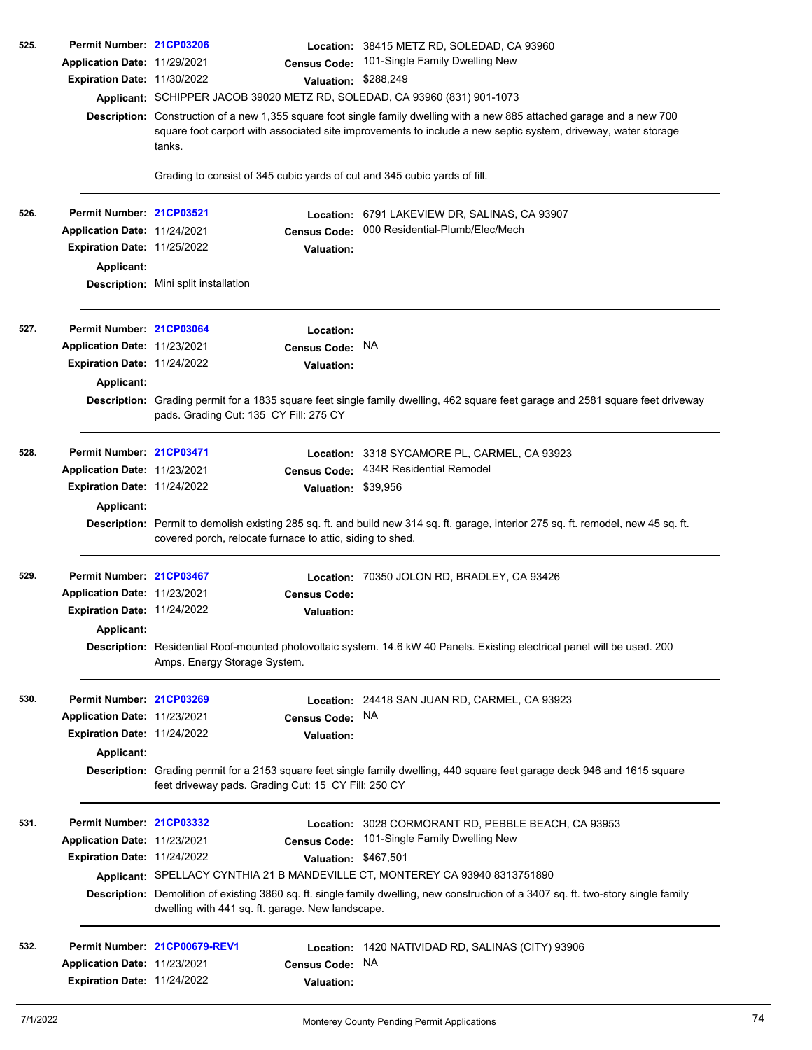| 525. | Permit Number: 21CP03206           |                                                                                                                                                                                                                                                     |                      | Location: 38415 METZ RD, SOLEDAD, CA 93960                                                                                          |  |  |  |
|------|------------------------------------|-----------------------------------------------------------------------------------------------------------------------------------------------------------------------------------------------------------------------------------------------------|----------------------|-------------------------------------------------------------------------------------------------------------------------------------|--|--|--|
|      | Application Date: 11/29/2021       |                                                                                                                                                                                                                                                     | <b>Census Code:</b>  | 101-Single Family Dwelling New                                                                                                      |  |  |  |
|      | Expiration Date: 11/30/2022        |                                                                                                                                                                                                                                                     | Valuation: \$288,249 |                                                                                                                                     |  |  |  |
|      |                                    |                                                                                                                                                                                                                                                     |                      | Applicant: SCHIPPER JACOB 39020 METZ RD, SOLEDAD, CA 93960 (831) 901-1073                                                           |  |  |  |
|      |                                    | Description: Construction of a new 1,355 square foot single family dwelling with a new 885 attached garage and a new 700<br>square foot carport with associated site improvements to include a new septic system, driveway, water storage<br>tanks. |                      |                                                                                                                                     |  |  |  |
|      |                                    | Grading to consist of 345 cubic yards of cut and 345 cubic yards of fill.                                                                                                                                                                           |                      |                                                                                                                                     |  |  |  |
| 526. | Permit Number: 21CP03521           |                                                                                                                                                                                                                                                     |                      | Location: 6791 LAKEVIEW DR, SALINAS, CA 93907                                                                                       |  |  |  |
|      | Application Date: 11/24/2021       |                                                                                                                                                                                                                                                     | <b>Census Code:</b>  | 000 Residential-Plumb/Elec/Mech                                                                                                     |  |  |  |
|      | <b>Expiration Date: 11/25/2022</b> |                                                                                                                                                                                                                                                     | <b>Valuation:</b>    |                                                                                                                                     |  |  |  |
|      | Applicant:                         |                                                                                                                                                                                                                                                     |                      |                                                                                                                                     |  |  |  |
|      |                                    | Description: Mini split installation                                                                                                                                                                                                                |                      |                                                                                                                                     |  |  |  |
| 527. | Permit Number: 21CP03064           |                                                                                                                                                                                                                                                     | Location:            |                                                                                                                                     |  |  |  |
|      | Application Date: 11/23/2021       |                                                                                                                                                                                                                                                     | <b>Census Code:</b>  | <b>NA</b>                                                                                                                           |  |  |  |
|      | Expiration Date: 11/24/2022        |                                                                                                                                                                                                                                                     | <b>Valuation:</b>    |                                                                                                                                     |  |  |  |
|      | Applicant:                         |                                                                                                                                                                                                                                                     |                      |                                                                                                                                     |  |  |  |
|      |                                    | pads. Grading Cut: 135 CY Fill: 275 CY                                                                                                                                                                                                              |                      | Description: Grading permit for a 1835 square feet single family dwelling, 462 square feet garage and 2581 square feet driveway     |  |  |  |
| 528. | Permit Number 21CP03471            |                                                                                                                                                                                                                                                     | Location:            | 3318 SYCAMORE PL, CARMEL, CA 93923                                                                                                  |  |  |  |
|      | Application Date: 11/23/2021       |                                                                                                                                                                                                                                                     | <b>Census Code:</b>  | 434R Residential Remodel                                                                                                            |  |  |  |
|      | Expiration Date: 11/24/2022        |                                                                                                                                                                                                                                                     | Valuation: \$39,956  |                                                                                                                                     |  |  |  |
|      | Applicant:                         |                                                                                                                                                                                                                                                     |                      |                                                                                                                                     |  |  |  |
|      |                                    | covered porch, relocate furnace to attic, siding to shed.                                                                                                                                                                                           |                      | Description: Permit to demolish existing 285 sq. ft. and build new 314 sq. ft. garage, interior 275 sq. ft. remodel, new 45 sq. ft. |  |  |  |
| 529. | Permit Number: 21CP03467           |                                                                                                                                                                                                                                                     |                      | Location: 70350 JOLON RD, BRADLEY, CA 93426                                                                                         |  |  |  |
|      | Application Date: 11/23/2021       |                                                                                                                                                                                                                                                     | <b>Census Code:</b>  |                                                                                                                                     |  |  |  |
|      | <b>Expiration Date: 11/24/2022</b> |                                                                                                                                                                                                                                                     | Valuation:           |                                                                                                                                     |  |  |  |
|      | Applicant:                         |                                                                                                                                                                                                                                                     |                      |                                                                                                                                     |  |  |  |
|      |                                    | Amps. Energy Storage System.                                                                                                                                                                                                                        |                      | Description: Residential Roof-mounted photovoltaic system. 14.6 kW 40 Panels. Existing electrical panel will be used. 200           |  |  |  |
| 530. | Permit Number: 21CP03269           |                                                                                                                                                                                                                                                     |                      | Location: 24418 SAN JUAN RD, CARMEL, CA 93923                                                                                       |  |  |  |
|      | Application Date: 11/23/2021       |                                                                                                                                                                                                                                                     | <b>Census Code:</b>  | <b>NA</b>                                                                                                                           |  |  |  |
|      | Expiration Date: 11/24/2022        |                                                                                                                                                                                                                                                     | <b>Valuation:</b>    |                                                                                                                                     |  |  |  |
|      | Applicant:                         |                                                                                                                                                                                                                                                     |                      |                                                                                                                                     |  |  |  |
|      |                                    | feet driveway pads. Grading Cut: 15 CY Fill: 250 CY                                                                                                                                                                                                 |                      | Description: Grading permit for a 2153 square feet single family dwelling, 440 square feet garage deck 946 and 1615 square          |  |  |  |
| 531. | Permit Number: 21CP03332           |                                                                                                                                                                                                                                                     |                      | Location: 3028 CORMORANT RD, PEBBLE BEACH, CA 93953                                                                                 |  |  |  |
|      | Application Date: 11/23/2021       |                                                                                                                                                                                                                                                     | <b>Census Code:</b>  | 101-Single Family Dwelling New                                                                                                      |  |  |  |
|      | Expiration Date: 11/24/2022        |                                                                                                                                                                                                                                                     | Valuation: \$467,501 |                                                                                                                                     |  |  |  |
|      |                                    |                                                                                                                                                                                                                                                     |                      | Applicant: SPELLACY CYNTHIA 21 B MANDEVILLE CT, MONTEREY CA 93940 8313751890                                                        |  |  |  |
|      |                                    | dwelling with 441 sq. ft. garage. New landscape.                                                                                                                                                                                                    |                      | Description: Demolition of existing 3860 sq. ft. single family dwelling, new construction of a 3407 sq. ft. two-story single family |  |  |  |
| 532. |                                    | Permit Number 21CP00679-REV1                                                                                                                                                                                                                        |                      | Location: 1420 NATIVIDAD RD, SALINAS (CITY) 93906                                                                                   |  |  |  |
|      | Application Date: 11/23/2021       |                                                                                                                                                                                                                                                     | <b>Census Code:</b>  | <b>NA</b>                                                                                                                           |  |  |  |
|      | Expiration Date: 11/24/2022        |                                                                                                                                                                                                                                                     | <b>Valuation:</b>    |                                                                                                                                     |  |  |  |
|      |                                    |                                                                                                                                                                                                                                                     |                      |                                                                                                                                     |  |  |  |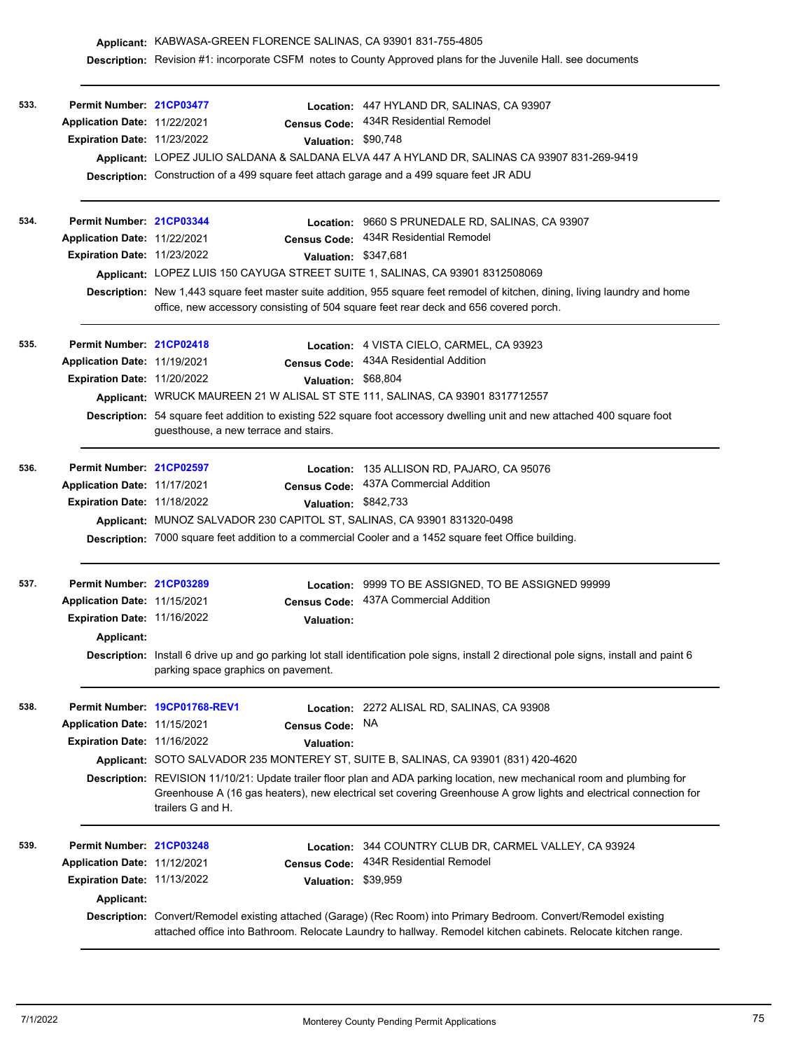|      |                                    |                                                                                                                                                                                  |                                                                                                                                                                                                                       | Description: Revision #1: incorporate CSFM notes to County Approved plans for the Juvenile Hall. see documents                                                                                                                                |  |  |  |
|------|------------------------------------|----------------------------------------------------------------------------------------------------------------------------------------------------------------------------------|-----------------------------------------------------------------------------------------------------------------------------------------------------------------------------------------------------------------------|-----------------------------------------------------------------------------------------------------------------------------------------------------------------------------------------------------------------------------------------------|--|--|--|
| 533. | Permit Number: 21CP03477           |                                                                                                                                                                                  |                                                                                                                                                                                                                       | Location: 447 HYLAND DR, SALINAS, CA 93907                                                                                                                                                                                                    |  |  |  |
|      | Application Date: 11/22/2021       |                                                                                                                                                                                  | Census Code:                                                                                                                                                                                                          | 434R Residential Remodel                                                                                                                                                                                                                      |  |  |  |
|      | Expiration Date: 11/23/2022        |                                                                                                                                                                                  | Valuation: \$90,748                                                                                                                                                                                                   |                                                                                                                                                                                                                                               |  |  |  |
|      |                                    |                                                                                                                                                                                  |                                                                                                                                                                                                                       | Applicant: LOPEZ JULIO SALDANA & SALDANA ELVA 447 A HYLAND DR, SALINAS CA 93907 831-269-9419                                                                                                                                                  |  |  |  |
|      |                                    |                                                                                                                                                                                  |                                                                                                                                                                                                                       | Description: Construction of a 499 square feet attach garage and a 499 square feet JR ADU                                                                                                                                                     |  |  |  |
|      |                                    |                                                                                                                                                                                  |                                                                                                                                                                                                                       |                                                                                                                                                                                                                                               |  |  |  |
| 534. | Permit Number: 21CP03344           |                                                                                                                                                                                  |                                                                                                                                                                                                                       | Location: 9660 S PRUNEDALE RD, SALINAS, CA 93907                                                                                                                                                                                              |  |  |  |
|      | Application Date: 11/22/2021       |                                                                                                                                                                                  | <b>Census Code:</b>                                                                                                                                                                                                   | 434R Residential Remodel                                                                                                                                                                                                                      |  |  |  |
|      | <b>Expiration Date: 11/23/2022</b> |                                                                                                                                                                                  | Valuation: \$347,681                                                                                                                                                                                                  |                                                                                                                                                                                                                                               |  |  |  |
|      |                                    |                                                                                                                                                                                  |                                                                                                                                                                                                                       | Applicant: LOPEZ LUIS 150 CAYUGA STREET SUITE 1, SALINAS, CA 93901 8312508069                                                                                                                                                                 |  |  |  |
|      |                                    |                                                                                                                                                                                  | Description: New 1,443 square feet master suite addition, 955 square feet remodel of kitchen, dining, living laundry and home<br>office, new accessory consisting of 504 square feet rear deck and 656 covered porch. |                                                                                                                                                                                                                                               |  |  |  |
| 535. | Permit Number: 21CP02418           |                                                                                                                                                                                  |                                                                                                                                                                                                                       | Location: 4 VISTA CIELO, CARMEL, CA 93923                                                                                                                                                                                                     |  |  |  |
|      | Application Date: 11/19/2021       |                                                                                                                                                                                  | <b>Census Code:</b>                                                                                                                                                                                                   | 434A Residential Addition                                                                                                                                                                                                                     |  |  |  |
|      | Expiration Date: 11/20/2022        |                                                                                                                                                                                  | Valuation: \$68,804                                                                                                                                                                                                   |                                                                                                                                                                                                                                               |  |  |  |
|      |                                    | Applicant: WRUCK MAUREEN 21 W ALISAL ST STE 111, SALINAS, CA 93901 8317712557                                                                                                    |                                                                                                                                                                                                                       |                                                                                                                                                                                                                                               |  |  |  |
|      |                                    | Description: 54 square feet addition to existing 522 square foot accessory dwelling unit and new attached 400 square foot<br>guesthouse, a new terrace and stairs.               |                                                                                                                                                                                                                       |                                                                                                                                                                                                                                               |  |  |  |
| 536. | Permit Number: 21CP02597           |                                                                                                                                                                                  |                                                                                                                                                                                                                       | Location: 135 ALLISON RD, PAJARO, CA 95076                                                                                                                                                                                                    |  |  |  |
|      | Application Date: 11/17/2021       |                                                                                                                                                                                  |                                                                                                                                                                                                                       | Census Code: 437A Commercial Addition                                                                                                                                                                                                         |  |  |  |
|      | Expiration Date: 11/18/2022        |                                                                                                                                                                                  | Valuation: \$842,733                                                                                                                                                                                                  |                                                                                                                                                                                                                                               |  |  |  |
|      |                                    |                                                                                                                                                                                  |                                                                                                                                                                                                                       | Applicant: MUNOZ SALVADOR 230 CAPITOL ST, SALINAS, CA 93901 831320-0498                                                                                                                                                                       |  |  |  |
|      |                                    | Description: 7000 square feet addition to a commercial Cooler and a 1452 square feet Office building.                                                                            |                                                                                                                                                                                                                       |                                                                                                                                                                                                                                               |  |  |  |
| 537. | Permit Number: 21CP03289           |                                                                                                                                                                                  | <b>Location:</b>                                                                                                                                                                                                      | 9999 TO BE ASSIGNED, TO BE ASSIGNED 99999                                                                                                                                                                                                     |  |  |  |
|      | Application Date: 11/15/2021       |                                                                                                                                                                                  | <b>Census Code:</b>                                                                                                                                                                                                   | 437A Commercial Addition                                                                                                                                                                                                                      |  |  |  |
|      | Expiration Date: 11/16/2022        |                                                                                                                                                                                  | <b>Valuation:</b>                                                                                                                                                                                                     |                                                                                                                                                                                                                                               |  |  |  |
|      | Applicant:                         |                                                                                                                                                                                  |                                                                                                                                                                                                                       |                                                                                                                                                                                                                                               |  |  |  |
|      |                                    | Description: Install 6 drive up and go parking lot stall identification pole signs, install 2 directional pole signs, install and paint 6<br>parking space graphics on pavement. |                                                                                                                                                                                                                       |                                                                                                                                                                                                                                               |  |  |  |
| 538. |                                    | Permit Number 19CP01768-REV1                                                                                                                                                     |                                                                                                                                                                                                                       | Location: 2272 ALISAL RD, SALINAS, CA 93908                                                                                                                                                                                                   |  |  |  |
|      | Application Date: 11/15/2021       |                                                                                                                                                                                  | <b>Census Code:</b>                                                                                                                                                                                                   | NA.                                                                                                                                                                                                                                           |  |  |  |
|      | Expiration Date: 11/16/2022        |                                                                                                                                                                                  | <b>Valuation:</b>                                                                                                                                                                                                     |                                                                                                                                                                                                                                               |  |  |  |
|      |                                    |                                                                                                                                                                                  |                                                                                                                                                                                                                       | Applicant: SOTO SALVADOR 235 MONTEREY ST, SUITE B, SALINAS, CA 93901 (831) 420-4620                                                                                                                                                           |  |  |  |
|      |                                    | trailers G and H.                                                                                                                                                                |                                                                                                                                                                                                                       | Description: REVISION 11/10/21: Update trailer floor plan and ADA parking location, new mechanical room and plumbing for<br>Greenhouse A (16 gas heaters), new electrical set covering Greenhouse A grow lights and electrical connection for |  |  |  |
| 539. | Permit Number: 21CP03248           |                                                                                                                                                                                  | Location:                                                                                                                                                                                                             | 344 COUNTRY CLUB DR, CARMEL VALLEY, CA 93924                                                                                                                                                                                                  |  |  |  |
|      | Application Date: 11/12/2021       |                                                                                                                                                                                  | <b>Census Code:</b>                                                                                                                                                                                                   | 434R Residential Remodel                                                                                                                                                                                                                      |  |  |  |
|      | Expiration Date: 11/13/2022        |                                                                                                                                                                                  | Valuation: \$39,959                                                                                                                                                                                                   |                                                                                                                                                                                                                                               |  |  |  |
|      | Applicant:                         |                                                                                                                                                                                  |                                                                                                                                                                                                                       |                                                                                                                                                                                                                                               |  |  |  |
|      |                                    |                                                                                                                                                                                  |                                                                                                                                                                                                                       | Description: Convert/Remodel existing attached (Garage) (Rec Room) into Primary Bedroom. Convert/Remodel existing<br>attached office into Bathroom. Relocate Laundry to hallway. Remodel kitchen cabinets. Relocate kitchen range.            |  |  |  |

**Applicant:** KABWASA-GREEN FLORENCE SALINAS, CA 93901 831-755-4805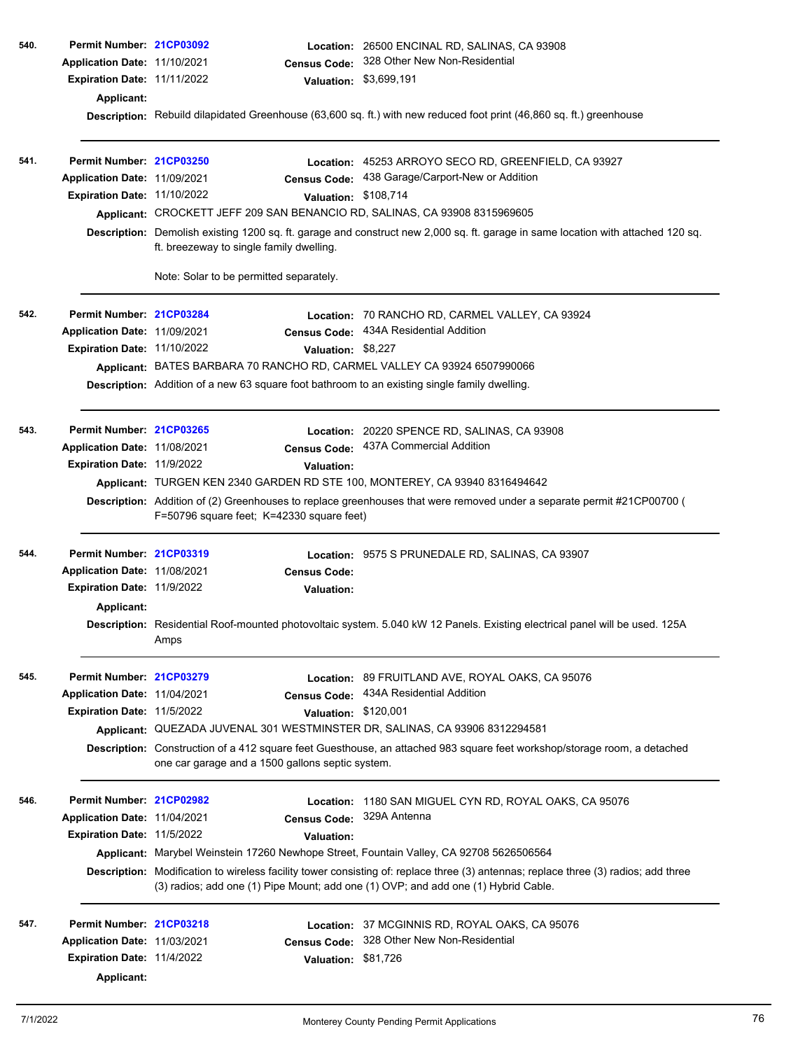| 540. | Permit Number: 21CP03092          |                                                                                                                                                                              | Location: 26500 ENCINAL RD, SALINAS, CA 93908                                                                                       |  |  |  |  |
|------|-----------------------------------|------------------------------------------------------------------------------------------------------------------------------------------------------------------------------|-------------------------------------------------------------------------------------------------------------------------------------|--|--|--|--|
|      | Application Date: 11/10/2021      | <b>Census Code:</b>                                                                                                                                                          | 328 Other New Non-Residential                                                                                                       |  |  |  |  |
|      | Expiration Date: 11/11/2022       | <b>Valuation:</b>                                                                                                                                                            | \$3,699,191                                                                                                                         |  |  |  |  |
|      | Applicant:                        |                                                                                                                                                                              |                                                                                                                                     |  |  |  |  |
|      |                                   |                                                                                                                                                                              | Description: Rebuild dilapidated Greenhouse (63,600 sq. ft.) with new reduced foot print (46,860 sq. ft.) greenhouse                |  |  |  |  |
| 541. | Permit Number: 21CP03250          |                                                                                                                                                                              | Location: 45253 ARROYO SECO RD, GREENFIELD, CA 93927                                                                                |  |  |  |  |
|      | Application Date: 11/09/2021      | Census Code:                                                                                                                                                                 | 438 Garage/Carport-New or Addition                                                                                                  |  |  |  |  |
|      | Expiration Date: 11/10/2022       |                                                                                                                                                                              | Valuation: \$108,714                                                                                                                |  |  |  |  |
|      |                                   | Applicant: CROCKETT JEFF 209 SAN BENANCIO RD, SALINAS, CA 93908 8315969605                                                                                                   |                                                                                                                                     |  |  |  |  |
|      |                                   | Description: Demolish existing 1200 sq. ft. garage and construct new 2,000 sq. ft. garage in same location with attached 120 sq.<br>ft. breezeway to single family dwelling. |                                                                                                                                     |  |  |  |  |
|      |                                   | Note: Solar to be permitted separately.                                                                                                                                      |                                                                                                                                     |  |  |  |  |
| 542. | Permit Number: 21CP03284          |                                                                                                                                                                              | Location: 70 RANCHO RD, CARMEL VALLEY, CA 93924                                                                                     |  |  |  |  |
|      | Application Date: 11/09/2021      |                                                                                                                                                                              | Census Code: 434A Residential Addition                                                                                              |  |  |  |  |
|      | Expiration Date: 11/10/2022       | Valuation: \$8,227                                                                                                                                                           |                                                                                                                                     |  |  |  |  |
|      |                                   | Applicant: BATES BARBARA 70 RANCHO RD, CARMEL VALLEY CA 93924 6507990066                                                                                                     |                                                                                                                                     |  |  |  |  |
|      |                                   | Description: Addition of a new 63 square foot bathroom to an existing single family dwelling.                                                                                |                                                                                                                                     |  |  |  |  |
| 543. | Permit Number: 21CP03265          |                                                                                                                                                                              | Location: 20220 SPENCE RD, SALINAS, CA 93908                                                                                        |  |  |  |  |
|      | Application Date: 11/08/2021      | <b>Census Code:</b>                                                                                                                                                          | 437A Commercial Addition                                                                                                            |  |  |  |  |
|      | Expiration Date: 11/9/2022        | Valuation:                                                                                                                                                                   |                                                                                                                                     |  |  |  |  |
|      |                                   | Applicant: TURGEN KEN 2340 GARDEN RD STE 100, MONTEREY, CA 93940 8316494642                                                                                                  |                                                                                                                                     |  |  |  |  |
|      |                                   | F=50796 square feet; K=42330 square feet)                                                                                                                                    | Description: Addition of (2) Greenhouses to replace greenhouses that were removed under a separate permit #21CP00700 (              |  |  |  |  |
| 544. | Permit Number: 21CP03319          |                                                                                                                                                                              | Location: 9575 S PRUNEDALE RD, SALINAS, CA 93907                                                                                    |  |  |  |  |
|      | Application Date: 11/08/2021      | <b>Census Code:</b>                                                                                                                                                          |                                                                                                                                     |  |  |  |  |
|      | Expiration Date: 11/9/2022        | <b>Valuation:</b>                                                                                                                                                            |                                                                                                                                     |  |  |  |  |
|      | Applicant:                        |                                                                                                                                                                              |                                                                                                                                     |  |  |  |  |
|      |                                   | Amps                                                                                                                                                                         | Description: Residential Roof-mounted photovoltaic system. 5.040 kW 12 Panels. Existing electrical panel will be used. 125A         |  |  |  |  |
| 545. | Permit Number: 21CP03279          |                                                                                                                                                                              | Location: 89 FRUITLAND AVE, ROYAL OAKS, CA 95076                                                                                    |  |  |  |  |
|      | Application Date: 11/04/2021      | <b>Census Code:</b>                                                                                                                                                          | 434A Residential Addition                                                                                                           |  |  |  |  |
|      | Expiration Date: 11/5/2022        |                                                                                                                                                                              | Valuation: \$120,001                                                                                                                |  |  |  |  |
|      |                                   | Applicant: QUEZADA JUVENAL 301 WESTMINSTER DR, SALINAS, CA 93906 8312294581                                                                                                  |                                                                                                                                     |  |  |  |  |
|      |                                   | one car garage and a 1500 gallons septic system.                                                                                                                             | Description: Construction of a 412 square feet Guesthouse, an attached 983 square feet workshop/storage room, a detached            |  |  |  |  |
| 546. | Permit Number: 21CP02982          | Location:                                                                                                                                                                    | 1180 SAN MIGUEL CYN RD, ROYAL OAKS, CA 95076                                                                                        |  |  |  |  |
|      | Application Date: 11/04/2021      | <b>Census Code:</b>                                                                                                                                                          | 329A Antenna                                                                                                                        |  |  |  |  |
|      | <b>Expiration Date: 11/5/2022</b> | Valuation:                                                                                                                                                                   |                                                                                                                                     |  |  |  |  |
|      |                                   | Applicant: Marybel Weinstein 17260 Newhope Street, Fountain Valley, CA 92708 5626506564                                                                                      |                                                                                                                                     |  |  |  |  |
|      |                                   | (3) radios; add one (1) Pipe Mount; add one (1) OVP; and add one (1) Hybrid Cable.                                                                                           | Description: Modification to wireless facility tower consisting of: replace three (3) antennas; replace three (3) radios; add three |  |  |  |  |
| 547. | Permit Number: 21CP03218          | Location:                                                                                                                                                                    | 37 MCGINNIS RD, ROYAL OAKS, CA 95076                                                                                                |  |  |  |  |
|      | Application Date: 11/03/2021      | <b>Census Code:</b>                                                                                                                                                          | 328 Other New Non-Residential                                                                                                       |  |  |  |  |
|      | Expiration Date: 11/4/2022        | <b>Valuation:</b>                                                                                                                                                            | \$81,726                                                                                                                            |  |  |  |  |
|      | <b>Applicant:</b>                 |                                                                                                                                                                              |                                                                                                                                     |  |  |  |  |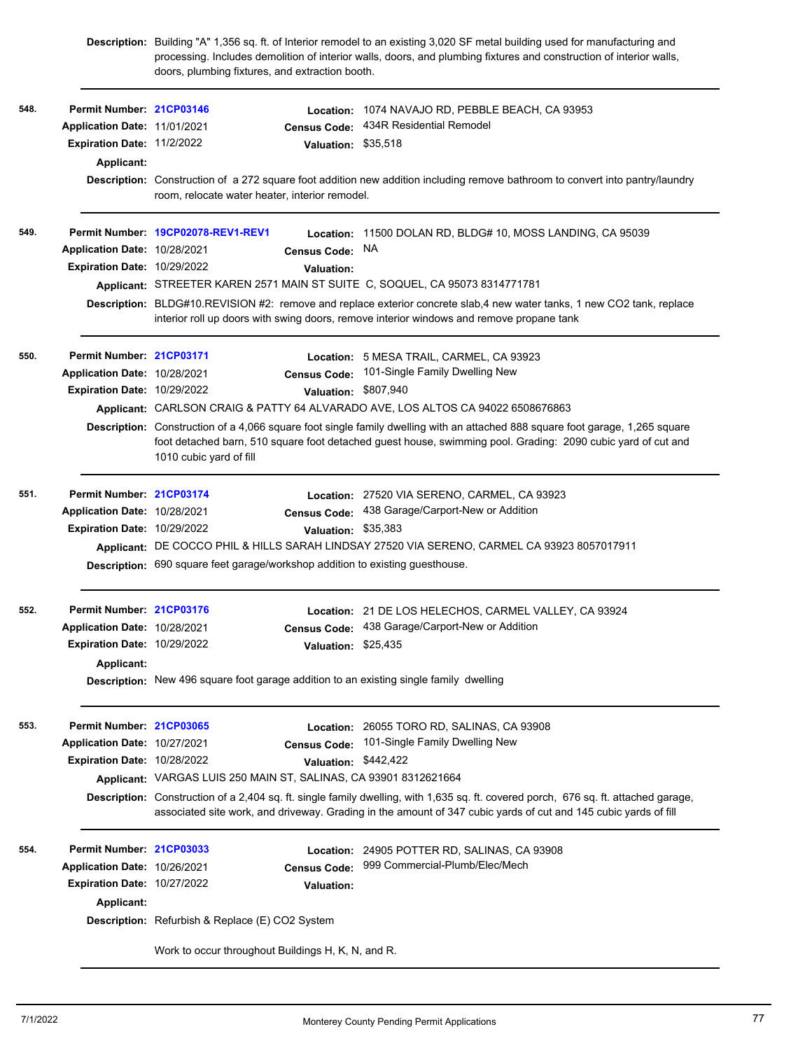|      |                                           | doors, plumbing fixtures, and extraction booth.                               |                      | Description: Building "A" 1,356 sq. ft. of Interior remodel to an existing 3,020 SF metal building used for manufacturing and<br>processing. Includes demolition of interior walls, doors, and plumbing fixtures and construction of interior walls,   |
|------|-------------------------------------------|-------------------------------------------------------------------------------|----------------------|--------------------------------------------------------------------------------------------------------------------------------------------------------------------------------------------------------------------------------------------------------|
| 548. | Permit Number: 21CP03146                  |                                                                               | <b>Location:</b>     | 1074 NAVAJO RD, PEBBLE BEACH, CA 93953                                                                                                                                                                                                                 |
|      | Application Date: 11/01/2021              |                                                                               | <b>Census Code:</b>  | 434R Residential Remodel                                                                                                                                                                                                                               |
|      | Expiration Date: 11/2/2022                |                                                                               | <b>Valuation:</b>    | \$35,518                                                                                                                                                                                                                                               |
|      | Applicant:                                |                                                                               |                      |                                                                                                                                                                                                                                                        |
|      |                                           | room, relocate water heater, interior remodel.                                |                      | Description: Construction of a 272 square foot addition new addition including remove bathroom to convert into pantry/laundry                                                                                                                          |
|      |                                           | Permit Number: 19CP02078-REV1-REV1                                            |                      | Location: 11500 DOLAN RD, BLDG# 10, MOSS LANDING, CA 95039                                                                                                                                                                                             |
|      | Application Date: 10/28/2021              |                                                                               | <b>Census Code:</b>  | NA                                                                                                                                                                                                                                                     |
|      | <b>Expiration Date: 10/29/2022</b>        |                                                                               | <b>Valuation:</b>    |                                                                                                                                                                                                                                                        |
|      |                                           |                                                                               |                      | Applicant: STREETER KAREN 2571 MAIN ST SUITE C, SOQUEL, CA 95073 8314771781                                                                                                                                                                            |
|      |                                           |                                                                               |                      | Description: BLDG#10.REVISION #2: remove and replace exterior concrete slab,4 new water tanks, 1 new CO2 tank, replace<br>interior roll up doors with swing doors, remove interior windows and remove propane tank                                     |
|      | Permit Number: 21CP03171                  |                                                                               |                      | Location: 5 MESA TRAIL, CARMEL, CA 93923                                                                                                                                                                                                               |
|      | Application Date: 10/28/2021              |                                                                               | <b>Census Code:</b>  | 101-Single Family Dwelling New                                                                                                                                                                                                                         |
|      | Expiration Date: 10/29/2022               |                                                                               | Valuation: \$807,940 |                                                                                                                                                                                                                                                        |
|      |                                           |                                                                               |                      | Applicant: CARLSON CRAIG & PATTY 64 ALVARADO AVE, LOS ALTOS CA 94022 6508676863                                                                                                                                                                        |
|      |                                           | 1010 cubic yard of fill                                                       |                      | Description: Construction of a 4,066 square foot single family dwelling with an attached 888 square foot garage, 1,265 square<br>foot detached barn, 510 square foot detached guest house, swimming pool. Grading: 2090 cubic yard of cut and          |
| 551. | Permit Number: 21CP03174                  |                                                                               |                      | Location: 27520 VIA SERENO, CARMEL, CA 93923                                                                                                                                                                                                           |
|      | Application Date: 10/28/2021              |                                                                               | <b>Census Code:</b>  | 438 Garage/Carport-New or Addition                                                                                                                                                                                                                     |
|      | Expiration Date: 10/29/2022               |                                                                               | Valuation: \$35,383  |                                                                                                                                                                                                                                                        |
|      |                                           |                                                                               |                      | Applicant: DE COCCO PHIL & HILLS SARAH LINDSAY 27520 VIA SERENO, CARMEL CA 93923 8057017911                                                                                                                                                            |
|      |                                           | Description: 690 square feet garage/workshop addition to existing guesthouse. |                      |                                                                                                                                                                                                                                                        |
| 552. | Permit Number: 21CP03176                  |                                                                               |                      | Location: 21 DE LOS HELECHOS, CARMEL VALLEY, CA 93924                                                                                                                                                                                                  |
|      | Application Date: 10/28/2021              |                                                                               |                      | Census Code: 438 Garage/Carport-New or Addition                                                                                                                                                                                                        |
|      | Expiration Date: 10/29/2022               |                                                                               | Valuation: \$25,435  |                                                                                                                                                                                                                                                        |
|      | Applicant:                                |                                                                               |                      |                                                                                                                                                                                                                                                        |
|      |                                           |                                                                               |                      | Description: New 496 square foot garage addition to an existing single family dwelling                                                                                                                                                                 |
| 553. | Permit Number: 21CP03065                  |                                                                               |                      | Location: 26055 TORO RD, SALINAS, CA 93908                                                                                                                                                                                                             |
|      | Application Date: 10/27/2021              |                                                                               | <b>Census Code:</b>  | 101-Single Family Dwelling New                                                                                                                                                                                                                         |
|      | Expiration Date: 10/28/2022               |                                                                               | Valuation: \$442,422 |                                                                                                                                                                                                                                                        |
|      |                                           | Applicant: VARGAS LUIS 250 MAIN ST, SALINAS, CA 93901 8312621664              |                      |                                                                                                                                                                                                                                                        |
|      |                                           |                                                                               |                      | Description: Construction of a 2,404 sq. ft. single family dwelling, with 1,635 sq. ft. covered porch, 676 sq. ft. attached garage,<br>associated site work, and driveway. Grading in the amount of 347 cubic yards of cut and 145 cubic yards of fill |
| 554. | Permit Number: 21CP03033                  |                                                                               |                      | Location: 24905 POTTER RD, SALINAS, CA 93908                                                                                                                                                                                                           |
|      | Application Date: 10/26/2021              |                                                                               | <b>Census Code:</b>  | 999 Commercial-Plumb/Elec/Mech                                                                                                                                                                                                                         |
|      | Expiration Date: 10/27/2022<br>Applicant: |                                                                               | Valuation:           |                                                                                                                                                                                                                                                        |
|      |                                           | Description: Refurbish & Replace (E) CO2 System                               |                      |                                                                                                                                                                                                                                                        |
|      |                                           | Work to occur throughout Buildings H, K, N, and R.                            |                      |                                                                                                                                                                                                                                                        |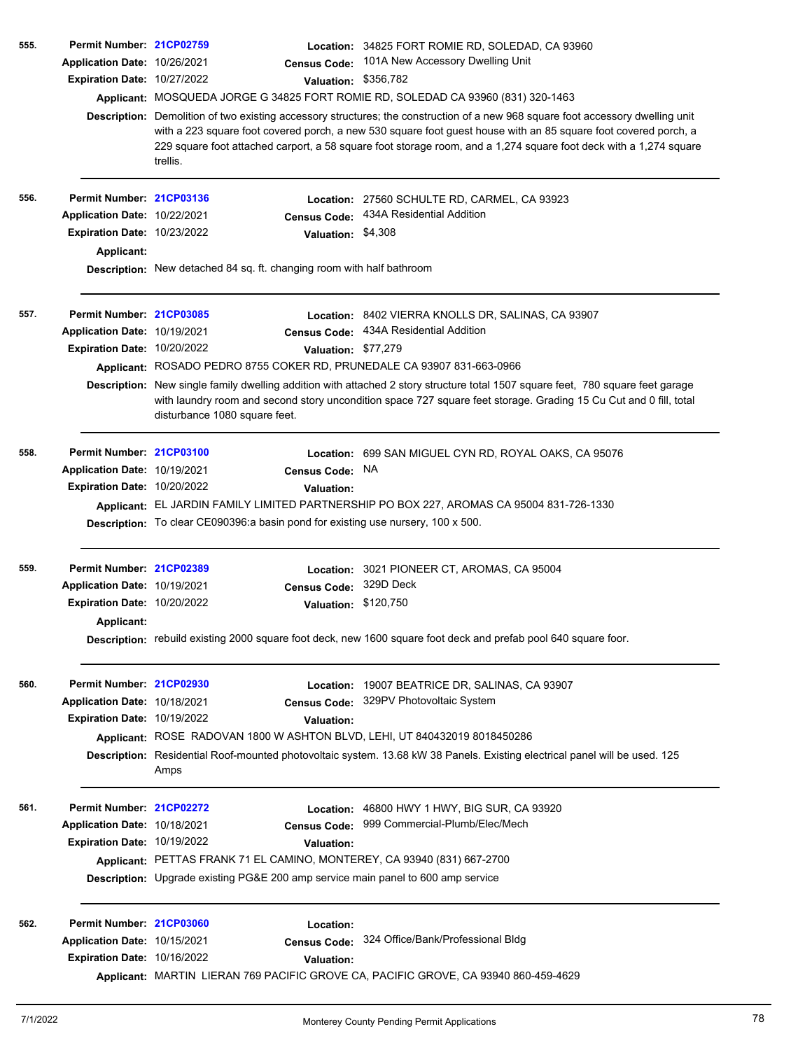| 555. | Permit Number: 21CP02759            |                                                                                                                                                                                                                                                                                                                                                                                     | Location: 34825 FORT ROMIE RD, SOLEDAD, CA 93960                                                                                                                                                                                                     |  |  |  |
|------|-------------------------------------|-------------------------------------------------------------------------------------------------------------------------------------------------------------------------------------------------------------------------------------------------------------------------------------------------------------------------------------------------------------------------------------|------------------------------------------------------------------------------------------------------------------------------------------------------------------------------------------------------------------------------------------------------|--|--|--|
|      | Application Date: 10/26/2021        | <b>Census Code:</b>                                                                                                                                                                                                                                                                                                                                                                 | 101A New Accessory Dwelling Unit                                                                                                                                                                                                                     |  |  |  |
|      | Expiration Date: 10/27/2022         |                                                                                                                                                                                                                                                                                                                                                                                     | Valuation: \$356,782                                                                                                                                                                                                                                 |  |  |  |
|      |                                     |                                                                                                                                                                                                                                                                                                                                                                                     | Applicant: MOSQUEDA JORGE G 34825 FORT ROMIE RD, SOLEDAD CA 93960 (831) 320-1463                                                                                                                                                                     |  |  |  |
|      |                                     | Description: Demolition of two existing accessory structures; the construction of a new 968 square foot accessory dwelling unit<br>with a 223 square foot covered porch, a new 530 square foot guest house with an 85 square foot covered porch, a<br>229 square foot attached carport, a 58 square foot storage room, and a 1,274 square foot deck with a 1,274 square<br>trellis. |                                                                                                                                                                                                                                                      |  |  |  |
| 556. | Permit Number: 21CP03136            |                                                                                                                                                                                                                                                                                                                                                                                     | Location: 27560 SCHULTE RD, CARMEL, CA 93923                                                                                                                                                                                                         |  |  |  |
|      | Application Date: 10/22/2021        | <b>Census Code:</b>                                                                                                                                                                                                                                                                                                                                                                 | 434A Residential Addition                                                                                                                                                                                                                            |  |  |  |
|      | <b>Expiration Date: 10/23/2022</b>  | Valuation: \$4,308                                                                                                                                                                                                                                                                                                                                                                  |                                                                                                                                                                                                                                                      |  |  |  |
|      | <b>Applicant:</b>                   |                                                                                                                                                                                                                                                                                                                                                                                     |                                                                                                                                                                                                                                                      |  |  |  |
|      |                                     | Description: New detached 84 sq. ft. changing room with half bathroom                                                                                                                                                                                                                                                                                                               |                                                                                                                                                                                                                                                      |  |  |  |
| 557. | Permit Number: 21CP03085            |                                                                                                                                                                                                                                                                                                                                                                                     | Location: 8402 VIERRA KNOLLS DR, SALINAS, CA 93907                                                                                                                                                                                                   |  |  |  |
|      | Application Date: 10/19/2021        | <b>Census Code:</b>                                                                                                                                                                                                                                                                                                                                                                 | 434A Residential Addition                                                                                                                                                                                                                            |  |  |  |
|      | <b>Expiration Date: 10/20/2022</b>  |                                                                                                                                                                                                                                                                                                                                                                                     | Valuation: \$77,279                                                                                                                                                                                                                                  |  |  |  |
|      |                                     | Applicant: ROSADO PEDRO 8755 COKER RD, PRUNEDALE CA 93907 831-663-0966                                                                                                                                                                                                                                                                                                              |                                                                                                                                                                                                                                                      |  |  |  |
|      |                                     | disturbance 1080 square feet.                                                                                                                                                                                                                                                                                                                                                       | Description: New single family dwelling addition with attached 2 story structure total 1507 square feet, 780 square feet garage<br>with laundry room and second story uncondition space 727 square feet storage. Grading 15 Cu Cut and 0 fill, total |  |  |  |
| 558. | Permit Number: 21CP03100            |                                                                                                                                                                                                                                                                                                                                                                                     | Location: 699 SAN MIGUEL CYN RD, ROYAL OAKS, CA 95076                                                                                                                                                                                                |  |  |  |
|      | <b>Application Date: 10/19/2021</b> | <b>Census Code:</b>                                                                                                                                                                                                                                                                                                                                                                 | NA                                                                                                                                                                                                                                                   |  |  |  |
|      | Expiration Date: 10/20/2022         | <b>Valuation:</b>                                                                                                                                                                                                                                                                                                                                                                   |                                                                                                                                                                                                                                                      |  |  |  |
|      |                                     |                                                                                                                                                                                                                                                                                                                                                                                     | Applicant: EL JARDIN FAMILY LIMITED PARTNERSHIP PO BOX 227, AROMAS CA 95004 831-726-1330                                                                                                                                                             |  |  |  |
|      |                                     | Description: To clear CE090396:a basin pond for existing use nursery, 100 x 500.                                                                                                                                                                                                                                                                                                    |                                                                                                                                                                                                                                                      |  |  |  |
| 559. | Permit Number: 21CP02389            |                                                                                                                                                                                                                                                                                                                                                                                     | Location: 3021 PIONEER CT, AROMAS, CA 95004                                                                                                                                                                                                          |  |  |  |
|      | Application Date: 10/19/2021        | <b>Census Code:</b>                                                                                                                                                                                                                                                                                                                                                                 | 329D Deck                                                                                                                                                                                                                                            |  |  |  |
|      | Expiration Date: 10/20/2022         |                                                                                                                                                                                                                                                                                                                                                                                     | Valuation: \$120,750                                                                                                                                                                                                                                 |  |  |  |
|      | Applicant:                          |                                                                                                                                                                                                                                                                                                                                                                                     |                                                                                                                                                                                                                                                      |  |  |  |
|      |                                     |                                                                                                                                                                                                                                                                                                                                                                                     | Description: rebuild existing 2000 square foot deck, new 1600 square foot deck and prefab pool 640 square foor.                                                                                                                                      |  |  |  |
| 560. | Permit Number: 21CP02930            | Location:                                                                                                                                                                                                                                                                                                                                                                           | 19007 BEATRICE DR, SALINAS, CA 93907                                                                                                                                                                                                                 |  |  |  |
|      | Application Date: 10/18/2021        |                                                                                                                                                                                                                                                                                                                                                                                     | Census Code: 329PV Photovoltaic System                                                                                                                                                                                                               |  |  |  |
|      | Expiration Date: 10/19/2022         | Valuation:                                                                                                                                                                                                                                                                                                                                                                          |                                                                                                                                                                                                                                                      |  |  |  |
|      |                                     | Applicant: ROSE RADOVAN 1800 W ASHTON BLVD, LEHI, UT 840432019 8018450286                                                                                                                                                                                                                                                                                                           |                                                                                                                                                                                                                                                      |  |  |  |
|      |                                     | Amps                                                                                                                                                                                                                                                                                                                                                                                | Description: Residential Roof-mounted photovoltaic system. 13.68 kW 38 Panels. Existing electrical panel will be used. 125                                                                                                                           |  |  |  |
| 561. | Permit Number: 21CP02272            |                                                                                                                                                                                                                                                                                                                                                                                     | Location: 46800 HWY 1 HWY, BIG SUR, CA 93920                                                                                                                                                                                                         |  |  |  |
|      | Application Date: 10/18/2021        | <b>Census Code:</b>                                                                                                                                                                                                                                                                                                                                                                 | 999 Commercial-Plumb/Elec/Mech                                                                                                                                                                                                                       |  |  |  |
|      | Expiration Date: 10/19/2022         | <b>Valuation:</b>                                                                                                                                                                                                                                                                                                                                                                   |                                                                                                                                                                                                                                                      |  |  |  |
|      |                                     | Applicant: PETTAS FRANK 71 EL CAMINO, MONTEREY, CA 93940 (831) 667-2700                                                                                                                                                                                                                                                                                                             |                                                                                                                                                                                                                                                      |  |  |  |
|      |                                     | <b>Description:</b> Upgrade existing PG&E 200 amp service main panel to 600 amp service                                                                                                                                                                                                                                                                                             |                                                                                                                                                                                                                                                      |  |  |  |
| 562. | Permit Number: 21CP03060            | Location:                                                                                                                                                                                                                                                                                                                                                                           |                                                                                                                                                                                                                                                      |  |  |  |
|      | Application Date: 10/15/2021        | <b>Census Code:</b>                                                                                                                                                                                                                                                                                                                                                                 | 324 Office/Bank/Professional Bldg                                                                                                                                                                                                                    |  |  |  |
|      | Expiration Date: 10/16/2022         | <b>Valuation:</b>                                                                                                                                                                                                                                                                                                                                                                   |                                                                                                                                                                                                                                                      |  |  |  |
|      |                                     |                                                                                                                                                                                                                                                                                                                                                                                     | Applicant: MARTIN LIERAN 769 PACIFIC GROVE CA, PACIFIC GROVE, CA 93940 860-459-4629                                                                                                                                                                  |  |  |  |
|      |                                     |                                                                                                                                                                                                                                                                                                                                                                                     |                                                                                                                                                                                                                                                      |  |  |  |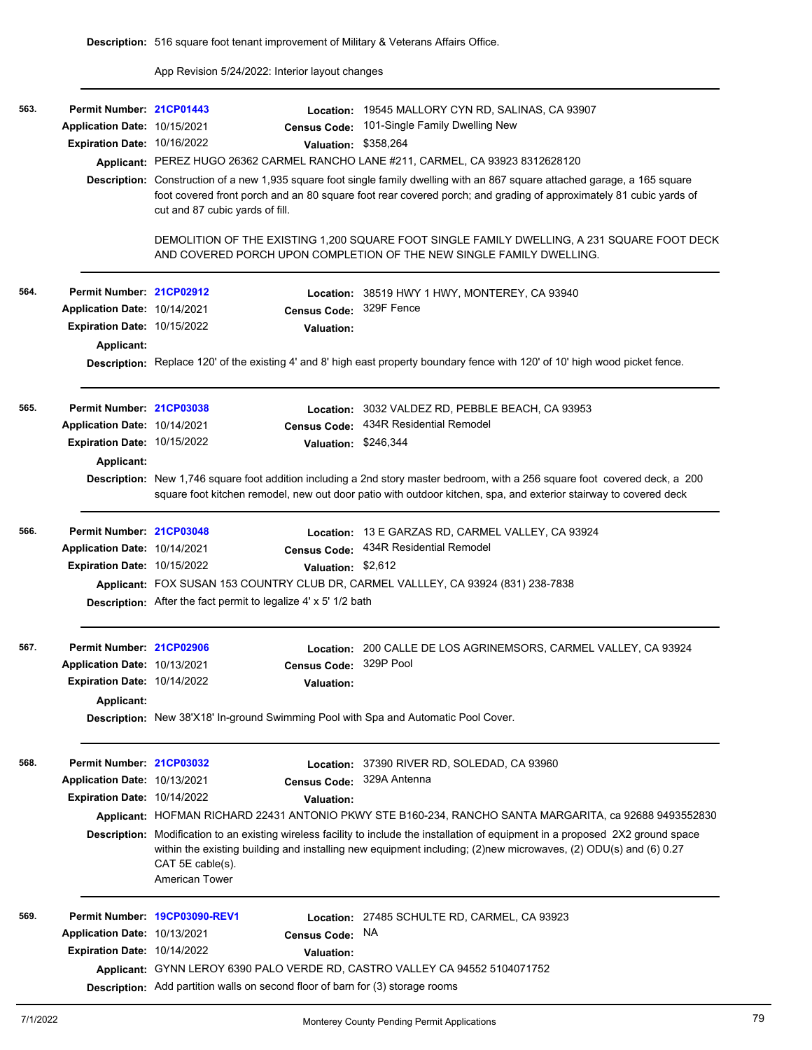App Revision 5/24/2022: Interior layout changes

| 563. | Permit Number: 21CP01443            |                                                                                       | Location: 19545 MALLORY CYN RD, SALINAS, CA 93907                                                                                                                                                                                                     |  |  |  |  |
|------|-------------------------------------|---------------------------------------------------------------------------------------|-------------------------------------------------------------------------------------------------------------------------------------------------------------------------------------------------------------------------------------------------------|--|--|--|--|
|      | Application Date: 10/15/2021        | <b>Census Code:</b>                                                                   | 101-Single Family Dwelling New                                                                                                                                                                                                                        |  |  |  |  |
|      | Expiration Date: 10/16/2022         | <b>Valuation:</b>                                                                     | \$358,264                                                                                                                                                                                                                                             |  |  |  |  |
|      |                                     |                                                                                       | Applicant: PEREZ HUGO 26362 CARMEL RANCHO LANE #211, CARMEL, CA 93923 8312628120                                                                                                                                                                      |  |  |  |  |
|      |                                     | cut and 87 cubic yards of fill.                                                       | Description: Construction of a new 1,935 square foot single family dwelling with an 867 square attached garage, a 165 square<br>foot covered front porch and an 80 square foot rear covered porch; and grading of approximately 81 cubic yards of     |  |  |  |  |
|      |                                     |                                                                                       | DEMOLITION OF THE EXISTING 1,200 SQUARE FOOT SINGLE FAMILY DWELLING, A 231 SQUARE FOOT DECK<br>AND COVERED PORCH UPON COMPLETION OF THE NEW SINGLE FAMILY DWELLING.                                                                                   |  |  |  |  |
| 564. | Permit Number: 21CP02912            |                                                                                       | Location: 38519 HWY 1 HWY, MONTEREY, CA 93940                                                                                                                                                                                                         |  |  |  |  |
|      | Application Date: 10/14/2021        | <b>Census Code:</b>                                                                   | 329F Fence                                                                                                                                                                                                                                            |  |  |  |  |
|      | <b>Expiration Date: 10/15/2022</b>  | <b>Valuation:</b>                                                                     |                                                                                                                                                                                                                                                       |  |  |  |  |
|      | <b>Applicant:</b>                   |                                                                                       |                                                                                                                                                                                                                                                       |  |  |  |  |
|      |                                     |                                                                                       | Description: Replace 120' of the existing 4' and 8' high east property boundary fence with 120' of 10' high wood picket fence.                                                                                                                        |  |  |  |  |
| 565. | Permit Number: 21CP03038            |                                                                                       | Location: 3032 VALDEZ RD, PEBBLE BEACH, CA 93953                                                                                                                                                                                                      |  |  |  |  |
|      | Application Date: 10/14/2021        | <b>Census Code:</b>                                                                   | 434R Residential Remodel                                                                                                                                                                                                                              |  |  |  |  |
|      | Expiration Date: 10/15/2022         |                                                                                       | Valuation: \$246,344                                                                                                                                                                                                                                  |  |  |  |  |
|      | Applicant:                          |                                                                                       |                                                                                                                                                                                                                                                       |  |  |  |  |
|      |                                     |                                                                                       | Description: New 1,746 square foot addition including a 2nd story master bedroom, with a 256 square foot covered deck, a 200<br>square foot kitchen remodel, new out door patio with outdoor kitchen, spa, and exterior stairway to covered deck      |  |  |  |  |
| 566. | Permit Number: 21CP03048            |                                                                                       | Location: 13 E GARZAS RD, CARMEL VALLEY, CA 93924                                                                                                                                                                                                     |  |  |  |  |
|      | Application Date: 10/14/2021        | <b>Census Code:</b>                                                                   | 434R Residential Remodel                                                                                                                                                                                                                              |  |  |  |  |
|      | Expiration Date: 10/15/2022         |                                                                                       | Valuation: \$2,612                                                                                                                                                                                                                                    |  |  |  |  |
|      |                                     |                                                                                       | Applicant: FOX SUSAN 153 COUNTRY CLUB DR, CARMEL VALLLEY, CA 93924 (831) 238-7838                                                                                                                                                                     |  |  |  |  |
|      |                                     | Description: After the fact permit to legalize 4' x 5' 1/2 bath                       |                                                                                                                                                                                                                                                       |  |  |  |  |
| 567. | Permit Number: 21CP02906            |                                                                                       | Location: 200 CALLE DE LOS AGRINEMSORS, CARMEL VALLEY, CA 93924                                                                                                                                                                                       |  |  |  |  |
|      | <b>Application Date: 10/13/2021</b> | <b>Census Code:</b>                                                                   | 329P Pool                                                                                                                                                                                                                                             |  |  |  |  |
|      | Expiration Date: 10/14/2022         | <b>Valuation:</b>                                                                     |                                                                                                                                                                                                                                                       |  |  |  |  |
|      | Applicant:                          |                                                                                       |                                                                                                                                                                                                                                                       |  |  |  |  |
|      |                                     | Description: New 38'X18' In-ground Swimming Pool with Spa and Automatic Pool Cover.   |                                                                                                                                                                                                                                                       |  |  |  |  |
| 568. | Permit Number: 21CP03032            |                                                                                       | Location: 37390 RIVER RD, SOLEDAD, CA 93960                                                                                                                                                                                                           |  |  |  |  |
|      | Application Date: 10/13/2021        | <b>Census Code:</b>                                                                   | 329A Antenna                                                                                                                                                                                                                                          |  |  |  |  |
|      | Expiration Date: 10/14/2022         | <b>Valuation:</b>                                                                     |                                                                                                                                                                                                                                                       |  |  |  |  |
|      |                                     |                                                                                       | Applicant: HOFMAN RICHARD 22431 ANTONIO PKWY STE B160-234, RANCHO SANTA MARGARITA, ca 92688 9493552830                                                                                                                                                |  |  |  |  |
|      |                                     | CAT 5E cable(s).<br>American Tower                                                    | Description: Modification to an existing wireless facility to include the installation of equipment in a proposed 2X2 ground space<br>within the existing building and installing new equipment including; (2)new microwaves, (2) ODU(s) and (6) 0.27 |  |  |  |  |
| 569. |                                     | Permit Number 19CP03090-REV1                                                          | Location: 27485 SCHULTE RD, CARMEL, CA 93923                                                                                                                                                                                                          |  |  |  |  |
|      | Application Date: 10/13/2021        | <b>Census Code:</b>                                                                   | NA.                                                                                                                                                                                                                                                   |  |  |  |  |
|      | Expiration Date: 10/14/2022         | <b>Valuation:</b>                                                                     |                                                                                                                                                                                                                                                       |  |  |  |  |
|      |                                     |                                                                                       | Applicant: GYNN LEROY 6390 PALO VERDE RD, CASTRO VALLEY CA 94552 5104071752                                                                                                                                                                           |  |  |  |  |
|      |                                     | <b>Description:</b> Add partition walls on second floor of barn for (3) storage rooms |                                                                                                                                                                                                                                                       |  |  |  |  |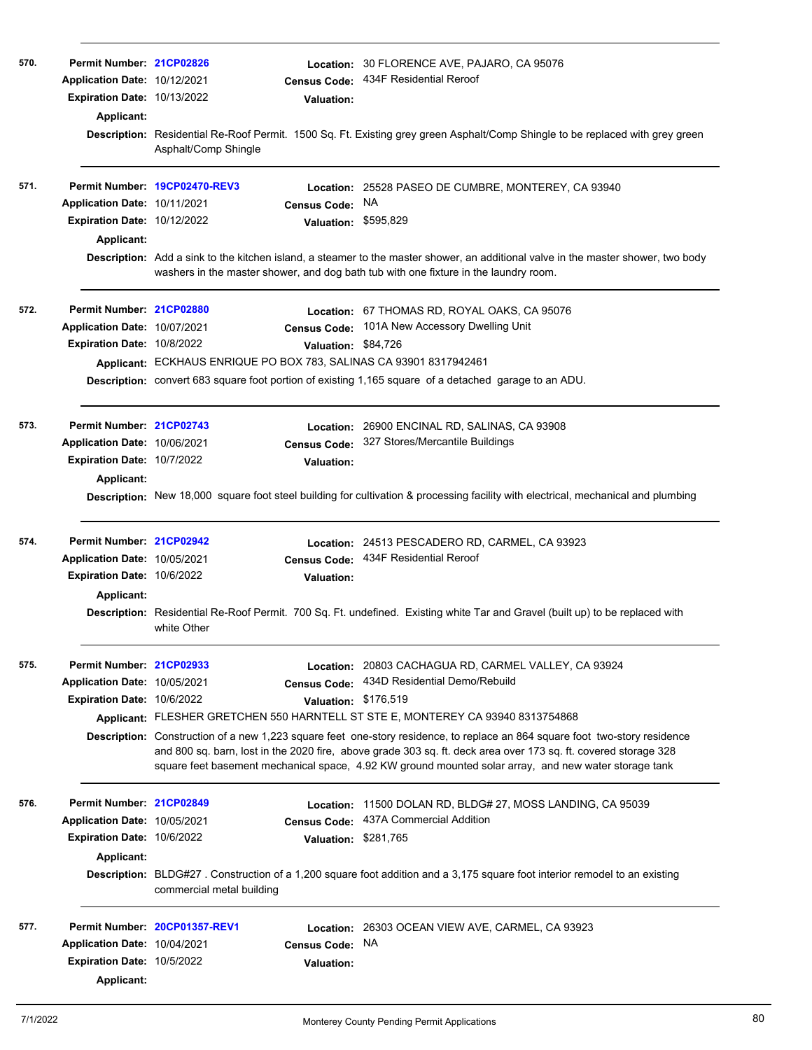| 570. | Permit Number: 21CP02826<br>Application Date: 10/12/2021<br><b>Expiration Date: 10/13/2022</b><br>Applicant: | <b>Census Code:</b><br><b>Valuation:</b><br>Asphalt/Comp Shingle                                                                            | Location: 30 FLORENCE AVE, PAJARO, CA 95076<br>434F Residential Reroof<br>Description: Residential Re-Roof Permit. 1500 Sq. Ft. Existing grey green Asphalt/Comp Shingle to be replaced with grey green                                                                                                                                                                                                                                                                                                                             |
|------|--------------------------------------------------------------------------------------------------------------|---------------------------------------------------------------------------------------------------------------------------------------------|-------------------------------------------------------------------------------------------------------------------------------------------------------------------------------------------------------------------------------------------------------------------------------------------------------------------------------------------------------------------------------------------------------------------------------------------------------------------------------------------------------------------------------------|
| 571. | Application Date: 10/11/2021<br>Expiration Date: 10/12/2022<br>Applicant:                                    | Permit Number 19CP02470-REV3<br><b>Census Code:</b><br>washers in the master shower, and dog bath tub with one fixture in the laundry room. | Location: 25528 PASEO DE CUMBRE, MONTEREY, CA 93940<br>NA<br>Valuation: \$595,829<br>Description: Add a sink to the kitchen island, a steamer to the master shower, an additional valve in the master shower, two body                                                                                                                                                                                                                                                                                                              |
| 572. | Permit Number: 21CP02880<br>Application Date: 10/07/2021<br>Expiration Date: 10/8/2022                       | <b>Census Code:</b><br>Valuation: \$84,726<br>Applicant: ECKHAUS ENRIQUE PO BOX 783, SALINAS CA 93901 8317942461                            | Location: 67 THOMAS RD, ROYAL OAKS, CA 95076<br>101A New Accessory Dwelling Unit<br>Description: convert 683 square foot portion of existing 1,165 square of a detached garage to an ADU.                                                                                                                                                                                                                                                                                                                                           |
| 573. | Permit Number: 21CP02743<br>Application Date: 10/06/2021<br>Expiration Date: 10/7/2022<br>Applicant:         | <b>Census Code:</b><br><b>Valuation:</b>                                                                                                    | Location: 26900 ENCINAL RD, SALINAS, CA 93908<br>327 Stores/Mercantile Buildings<br>Description: New 18,000 square foot steel building for cultivation & processing facility with electrical, mechanical and plumbing                                                                                                                                                                                                                                                                                                               |
| 574. | Permit Number: 21CP02942<br>Application Date: 10/05/2021<br>Expiration Date: 10/6/2022<br>Applicant:         | <b>Valuation:</b><br>white Other                                                                                                            | Location: 24513 PESCADERO RD, CARMEL, CA 93923<br>Census Code: 434F Residential Reroof<br>Description: Residential Re-Roof Permit. 700 Sq. Ft. undefined. Existing white Tar and Gravel (built up) to be replaced with                                                                                                                                                                                                                                                                                                              |
| 575. | Permit Number: 21CP02933<br>Application Date: 10/05/2021<br><b>Expiration Date: 10/6/2022</b>                | Census Code:<br>Valuation: \$176,519                                                                                                        | Location: 20803 CACHAGUA RD, CARMEL VALLEY, CA 93924<br>434D Residential Demo/Rebuild<br>Applicant: FLESHER GRETCHEN 550 HARNTELL ST STE E, MONTEREY CA 93940 8313754868<br>Description: Construction of a new 1,223 square feet one-story residence, to replace an 864 square foot two-story residence<br>and 800 sq. barn, lost in the 2020 fire, above grade 303 sq. ft. deck area over 173 sq. ft. covered storage 328<br>square feet basement mechanical space, 4.92 KW ground mounted solar array, and new water storage tank |
| 576. | Permit Number: 21CP02849<br>Application Date: 10/05/2021<br><b>Expiration Date: 10/6/2022</b><br>Applicant:  | Location:<br><b>Census Code:</b><br>commercial metal building                                                                               | 11500 DOLAN RD, BLDG# 27, MOSS LANDING, CA 95039<br>437A Commercial Addition<br>Valuation: \$281,765<br>Description: BLDG#27. Construction of a 1,200 square foot addition and a 3,175 square foot interior remodel to an existing                                                                                                                                                                                                                                                                                                  |
| 577. | Application Date: 10/04/2021<br>Expiration Date: 10/5/2022<br>Applicant:                                     | Permit Number. 20CP01357-REV1<br><b>Census Code:</b><br><b>Valuation:</b>                                                                   | Location: 26303 OCEAN VIEW AVE, CARMEL, CA 93923<br>NA.                                                                                                                                                                                                                                                                                                                                                                                                                                                                             |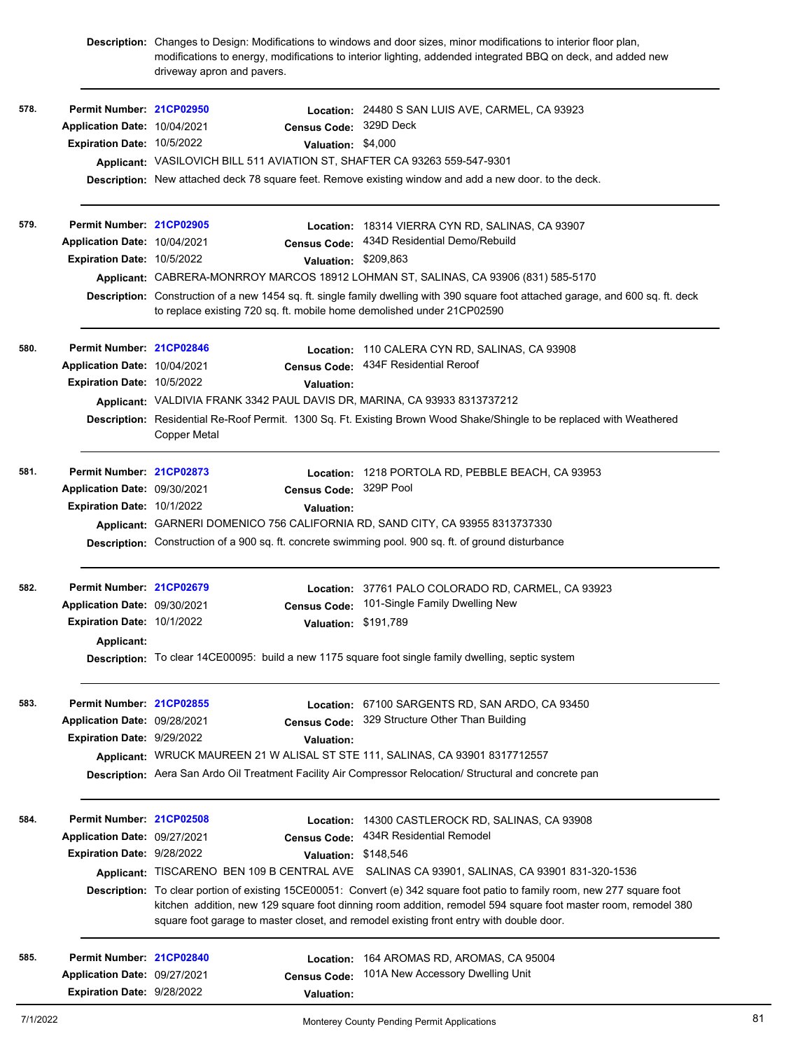|      |                                   | driveway apron and pavers.                                                | Description: Changes to Design: Modifications to windows and door sizes, minor modifications to interior floor plan,<br>modifications to energy, modifications to interior lighting, addended integrated BBQ on deck, and added new                                                                                                    |
|------|-----------------------------------|---------------------------------------------------------------------------|----------------------------------------------------------------------------------------------------------------------------------------------------------------------------------------------------------------------------------------------------------------------------------------------------------------------------------------|
| 578. | Permit Number: 21CP02950          |                                                                           | Location: 24480 S SAN LUIS AVE, CARMEL, CA 93923                                                                                                                                                                                                                                                                                       |
|      | Application Date: 10/04/2021      | <b>Census Code:</b>                                                       | 329D Deck                                                                                                                                                                                                                                                                                                                              |
|      | Expiration Date: 10/5/2022        |                                                                           | Valuation: \$4,000                                                                                                                                                                                                                                                                                                                     |
|      |                                   | Applicant: VASILOVICH BILL 511 AVIATION ST, SHAFTER CA 93263 559-547-9301 |                                                                                                                                                                                                                                                                                                                                        |
|      |                                   |                                                                           | Description: New attached deck 78 square feet. Remove existing window and add a new door. to the deck.                                                                                                                                                                                                                                 |
| 579. | Permit Number: 21CP02905          |                                                                           | Location: 18314 VIERRA CYN RD, SALINAS, CA 93907                                                                                                                                                                                                                                                                                       |
|      | Application Date: 10/04/2021      |                                                                           | Census Code: 434D Residential Demo/Rebuild                                                                                                                                                                                                                                                                                             |
|      | Expiration Date: 10/5/2022        |                                                                           | Valuation: \$209,863                                                                                                                                                                                                                                                                                                                   |
|      |                                   |                                                                           | Applicant: CABRERA-MONRROY MARCOS 18912 LOHMAN ST, SALINAS, CA 93906 (831) 585-5170                                                                                                                                                                                                                                                    |
|      |                                   | to replace existing 720 sq. ft. mobile home demolished under 21CP02590    | Description: Construction of a new 1454 sq. ft. single family dwelling with 390 square foot attached garage, and 600 sq. ft. deck                                                                                                                                                                                                      |
| 580. | Permit Number: 21CP02846          |                                                                           | Location: 110 CALERA CYN RD, SALINAS, CA 93908                                                                                                                                                                                                                                                                                         |
|      | Application Date: 10/04/2021      | <b>Census Code:</b>                                                       | 434F Residential Reroof                                                                                                                                                                                                                                                                                                                |
|      | Expiration Date: 10/5/2022        | <b>Valuation:</b>                                                         |                                                                                                                                                                                                                                                                                                                                        |
|      |                                   | Applicant: VALDIVIA FRANK 3342 PAUL DAVIS DR, MARINA, CA 93933 8313737212 |                                                                                                                                                                                                                                                                                                                                        |
|      |                                   | <b>Copper Metal</b>                                                       | Description: Residential Re-Roof Permit. 1300 Sq. Ft. Existing Brown Wood Shake/Shingle to be replaced with Weathered                                                                                                                                                                                                                  |
| 581. | Permit Number: 21CP02873          | Location:                                                                 | 1218 PORTOLA RD, PEBBLE BEACH, CA 93953                                                                                                                                                                                                                                                                                                |
|      | Application Date: 09/30/2021      | <b>Census Code:</b>                                                       | 329P Pool                                                                                                                                                                                                                                                                                                                              |
|      | <b>Expiration Date: 10/1/2022</b> | <b>Valuation:</b>                                                         |                                                                                                                                                                                                                                                                                                                                        |
|      |                                   |                                                                           | Applicant: GARNERI DOMENICO 756 CALIFORNIA RD, SAND CITY, CA 93955 8313737330                                                                                                                                                                                                                                                          |
|      |                                   |                                                                           | Description: Construction of a 900 sq. ft. concrete swimming pool. 900 sq. ft. of ground disturbance                                                                                                                                                                                                                                   |
| 582. | Permit Number: 21CP02679          |                                                                           | Location: 37761 PALO COLORADO RD, CARMEL, CA 93923                                                                                                                                                                                                                                                                                     |
|      | Application Date: 09/30/2021      | <b>Census Code:</b>                                                       | 101-Single Family Dwelling New                                                                                                                                                                                                                                                                                                         |
|      | <b>Expiration Date: 10/1/2022</b> |                                                                           | Valuation: \$191,789                                                                                                                                                                                                                                                                                                                   |
|      | Applicant:                        |                                                                           | Description: To clear 14CE00095: build a new 1175 square foot single family dwelling, septic system                                                                                                                                                                                                                                    |
| 583. | Permit Number: 21CP02855          |                                                                           | Location: 67100 SARGENTS RD, SAN ARDO, CA 93450                                                                                                                                                                                                                                                                                        |
|      | Application Date: 09/28/2021      | <b>Census Code:</b>                                                       | 329 Structure Other Than Building                                                                                                                                                                                                                                                                                                      |
|      | Expiration Date: 9/29/2022        | Valuation:                                                                |                                                                                                                                                                                                                                                                                                                                        |
|      |                                   |                                                                           | Applicant: WRUCK MAUREEN 21 W ALISAL ST STE 111, SALINAS, CA 93901 8317712557                                                                                                                                                                                                                                                          |
|      |                                   |                                                                           | Description: Aera San Ardo Oil Treatment Facility Air Compressor Relocation/ Structural and concrete pan                                                                                                                                                                                                                               |
| 584. | Permit Number: 21CP02508          |                                                                           | Location: 14300 CASTLEROCK RD, SALINAS, CA 93908                                                                                                                                                                                                                                                                                       |
|      | Application Date: 09/27/2021      | <b>Census Code:</b>                                                       | 434R Residential Remodel                                                                                                                                                                                                                                                                                                               |
|      | Expiration Date: 9/28/2022        |                                                                           | Valuation: \$148,546                                                                                                                                                                                                                                                                                                                   |
|      |                                   |                                                                           | Applicant: TISCARENO BEN 109 B CENTRAL AVE SALINAS CA 93901, SALINAS, CA 93901 831-320-1536                                                                                                                                                                                                                                            |
|      |                                   |                                                                           | Description: To clear portion of existing 15CE00051: Convert (e) 342 square foot patio to family room, new 277 square foot<br>kitchen addition, new 129 square foot dinning room addition, remodel 594 square foot master room, remodel 380<br>square foot garage to master closet, and remodel existing front entry with double door. |
| 585. | Permit Number: 21CP02840          | Location:                                                                 | 164 AROMAS RD, AROMAS, CA 95004                                                                                                                                                                                                                                                                                                        |
|      | Application Date: 09/27/2021      | <b>Census Code:</b>                                                       | 101A New Accessory Dwelling Unit                                                                                                                                                                                                                                                                                                       |
|      | Expiration Date: 9/28/2022        | Valuation:                                                                |                                                                                                                                                                                                                                                                                                                                        |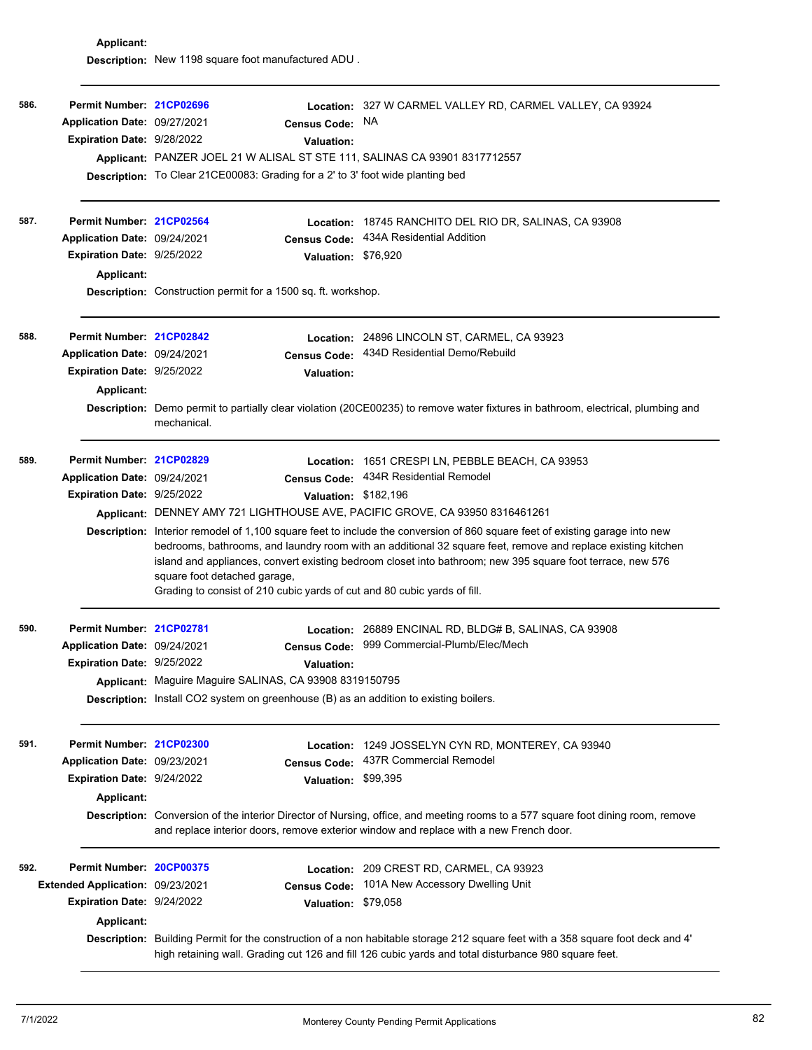**Applicant: Description:** New 1198 square foot manufactured ADU .

| 586. | Permit Number: 21CP02696<br>Application Date: 09/27/2021<br>Expiration Date: 9/28/2022                          | <b>Description:</b> To Clear 21CE00083: Grading for a 2' to 3' foot wide planting bed | <b>Census Code:</b><br><b>Valuation:</b>              | Location: 327 W CARMEL VALLEY RD, CARMEL VALLEY, CA 93924<br>NA.<br>Applicant: PANZER JOEL 21 W ALISAL ST STE 111, SALINAS CA 93901 8317712557                                                                                                                                                                                                                                                                                                                                                                                                                                                        |
|------|-----------------------------------------------------------------------------------------------------------------|---------------------------------------------------------------------------------------|-------------------------------------------------------|-------------------------------------------------------------------------------------------------------------------------------------------------------------------------------------------------------------------------------------------------------------------------------------------------------------------------------------------------------------------------------------------------------------------------------------------------------------------------------------------------------------------------------------------------------------------------------------------------------|
| 587. | Permit Number: 21CP02564<br>Application Date: 09/24/2021<br>Expiration Date: 9/25/2022<br><b>Applicant:</b>     | <b>Description:</b> Construction permit for a 1500 sq. ft. workshop.                  | <b>Census Code:</b><br>Valuation: \$76,920            | Location: 18745 RANCHITO DEL RIO DR, SALINAS, CA 93908<br>434A Residential Addition                                                                                                                                                                                                                                                                                                                                                                                                                                                                                                                   |
| 588. | Permit Number: 21CP02842<br>Application Date: 09/24/2021<br>Expiration Date: 9/25/2022<br>Applicant:            | mechanical.                                                                           | <b>Census Code:</b><br><b>Valuation:</b>              | Location: 24896 LINCOLN ST, CARMEL, CA 93923<br>434D Residential Demo/Rebuild<br>Description: Demo permit to partially clear violation (20CE00235) to remove water fixtures in bathroom, electrical, plumbing and                                                                                                                                                                                                                                                                                                                                                                                     |
| 589. | Permit Number: 21CP02829<br>Application Date: 09/24/2021<br>Expiration Date: 9/25/2022                          | square foot detached garage,                                                          | <b>Census Code:</b><br>Valuation: \$182,196           | Location: 1651 CRESPI LN, PEBBLE BEACH, CA 93953<br>434R Residential Remodel<br>Applicant: DENNEY AMY 721 LIGHTHOUSE AVE, PACIFIC GROVE, CA 93950 8316461261<br>Description: Interior remodel of 1,100 square feet to include the conversion of 860 square feet of existing garage into new<br>bedrooms, bathrooms, and laundry room with an additional 32 square feet, remove and replace existing kitchen<br>island and appliances, convert existing bedroom closet into bathroom; new 395 square foot terrace, new 576<br>Grading to consist of 210 cubic yards of cut and 80 cubic yards of fill. |
| 590. | Permit Number: 21CP02781<br>Application Date: 09/24/2021<br>Expiration Date: 9/25/2022                          | Applicant: Maguire Maguire SALINAS, CA 93908 8319150795                               | Location:<br><b>Census Code:</b><br><b>Valuation:</b> | 26889 ENCINAL RD, BLDG# B, SALINAS, CA 93908<br>999 Commercial-Plumb/Elec/Mech<br><b>Description:</b> Install CO2 system on greenhouse (B) as an addition to existing boilers.                                                                                                                                                                                                                                                                                                                                                                                                                        |
| 591. | Permit Number: 21CP02300<br>Application Date: 09/23/2021<br>Expiration Date: 9/24/2022<br>Applicant:            |                                                                                       | Location:<br><b>Census Code:</b><br><b>Valuation:</b> | 1249 JOSSELYN CYN RD, MONTEREY, CA 93940<br>437R Commercial Remodel<br>\$99,395<br>Description: Conversion of the interior Director of Nursing, office, and meeting rooms to a 577 square foot dining room, remove<br>and replace interior doors, remove exterior window and replace with a new French door.                                                                                                                                                                                                                                                                                          |
| 592. | Permit Number: 20CP00375<br>Extended Application: 09/23/2021<br>Expiration Date: 9/24/2022<br><b>Applicant:</b> |                                                                                       | <b>Census Code:</b><br>Valuation: \$79,058            | Location: 209 CREST RD, CARMEL, CA 93923<br>101A New Accessory Dwelling Unit<br>Description: Building Permit for the construction of a non habitable storage 212 square feet with a 358 square foot deck and 4'<br>high retaining wall. Grading cut 126 and fill 126 cubic yards and total disturbance 980 square feet.                                                                                                                                                                                                                                                                               |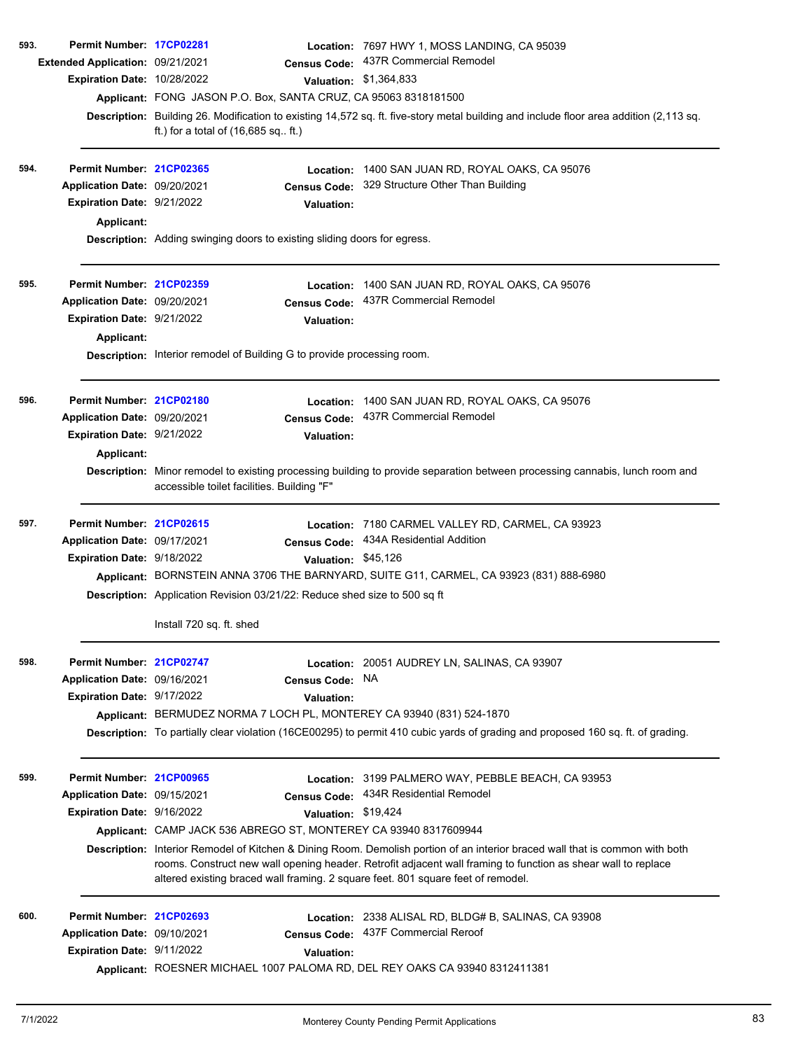| 593. | Permit Number: 17CP02281                |                                                                           |                     | Location: 7697 HWY 1, MOSS LANDING, CA 95039                                                                                                                                                      |
|------|-----------------------------------------|---------------------------------------------------------------------------|---------------------|---------------------------------------------------------------------------------------------------------------------------------------------------------------------------------------------------|
|      | <b>Extended Application: 09/21/2021</b> |                                                                           | <b>Census Code:</b> | 437R Commercial Remodel                                                                                                                                                                           |
|      | Expiration Date: 10/28/2022             |                                                                           |                     | Valuation: \$1,364,833                                                                                                                                                                            |
|      |                                         | Applicant: FONG JASON P.O. Box, SANTA CRUZ, CA 95063 8318181500           |                     |                                                                                                                                                                                                   |
|      |                                         | ft.) for a total of $(16,685$ sq ft.)                                     |                     | Description: Building 26. Modification to existing 14,572 sq. ft. five-story metal building and include floor area addition (2,113 sq.                                                            |
| 594. | Permit Number: 21CP02365                |                                                                           | Location:           | 1400 SAN JUAN RD, ROYAL OAKS, CA 95076                                                                                                                                                            |
|      | Application Date: 09/20/2021            |                                                                           | <b>Census Code:</b> | 329 Structure Other Than Building                                                                                                                                                                 |
|      | Expiration Date: 9/21/2022              |                                                                           | <b>Valuation:</b>   |                                                                                                                                                                                                   |
|      | <b>Applicant:</b>                       |                                                                           |                     |                                                                                                                                                                                                   |
|      |                                         | Description: Adding swinging doors to existing sliding doors for egress.  |                     |                                                                                                                                                                                                   |
|      |                                         |                                                                           |                     |                                                                                                                                                                                                   |
| 595. | Permit Number: 21CP02359                |                                                                           |                     | <b>Location: 1400 SAN JUAN RD, ROYAL OAKS, CA 95076</b>                                                                                                                                           |
|      | Application Date: 09/20/2021            |                                                                           | <b>Census Code:</b> | 437R Commercial Remodel                                                                                                                                                                           |
|      | Expiration Date: 9/21/2022              |                                                                           | <b>Valuation:</b>   |                                                                                                                                                                                                   |
|      | <b>Applicant:</b>                       |                                                                           |                     |                                                                                                                                                                                                   |
|      |                                         | Description: Interior remodel of Building G to provide processing room.   |                     |                                                                                                                                                                                                   |
| 596. | Permit Number: 21CP02180                |                                                                           |                     | Location: 1400 SAN JUAN RD, ROYAL OAKS, CA 95076                                                                                                                                                  |
|      | Application Date: 09/20/2021            |                                                                           | <b>Census Code:</b> | 437R Commercial Remodel                                                                                                                                                                           |
|      | <b>Expiration Date: 9/21/2022</b>       |                                                                           | <b>Valuation:</b>   |                                                                                                                                                                                                   |
|      | Applicant:                              |                                                                           |                     |                                                                                                                                                                                                   |
|      |                                         | accessible toilet facilities. Building "F"                                |                     | Description: Minor remodel to existing processing building to provide separation between processing cannabis, lunch room and                                                                      |
|      |                                         |                                                                           |                     |                                                                                                                                                                                                   |
| 597. | Permit Number: 21CP02615                |                                                                           |                     | Location: 7180 CARMEL VALLEY RD, CARMEL, CA 93923                                                                                                                                                 |
|      | Application Date: 09/17/2021            |                                                                           | <b>Census Code:</b> | 434A Residential Addition                                                                                                                                                                         |
|      | Expiration Date: 9/18/2022              |                                                                           | Valuation: \$45,126 |                                                                                                                                                                                                   |
|      |                                         |                                                                           |                     | Applicant: BORNSTEIN ANNA 3706 THE BARNYARD, SUITE G11, CARMEL, CA 93923 (831) 888-6980                                                                                                           |
|      |                                         | Description: Application Revision 03/21/22: Reduce shed size to 500 sq ft |                     |                                                                                                                                                                                                   |
|      |                                         | Install 720 sq. ft. shed                                                  |                     |                                                                                                                                                                                                   |
| 598. | Permit Number: 21CP02747                |                                                                           |                     | Location: 20051 AUDREY LN, SALINAS, CA 93907                                                                                                                                                      |
|      | Application Date: 09/16/2021            |                                                                           | <b>Census Code:</b> | NA                                                                                                                                                                                                |
|      | Expiration Date: 9/17/2022              |                                                                           | <b>Valuation:</b>   |                                                                                                                                                                                                   |
|      |                                         |                                                                           |                     | Applicant: BERMUDEZ NORMA 7 LOCH PL, MONTEREY CA 93940 (831) 524-1870                                                                                                                             |
|      |                                         |                                                                           |                     | Description: To partially clear violation (16CE00295) to permit 410 cubic yards of grading and proposed 160 sq. ft. of grading.                                                                   |
| 599. | Permit Number: 21CP00965                |                                                                           |                     | Location: 3199 PALMERO WAY, PEBBLE BEACH, CA 93953                                                                                                                                                |
|      | Application Date: 09/15/2021            |                                                                           | <b>Census Code:</b> | 434R Residential Remodel                                                                                                                                                                          |
|      | Expiration Date: 9/16/2022              |                                                                           | Valuation: \$19,424 |                                                                                                                                                                                                   |
|      |                                         |                                                                           |                     | Applicant: CAMP JACK 536 ABREGO ST, MONTEREY CA 93940 8317609944                                                                                                                                  |
|      |                                         |                                                                           |                     | Description: Interior Remodel of Kitchen & Dining Room. Demolish portion of an interior braced wall that is common with both                                                                      |
|      |                                         |                                                                           |                     | rooms. Construct new wall opening header. Retrofit adjacent wall framing to function as shear wall to replace<br>altered existing braced wall framing. 2 square feet. 801 square feet of remodel. |
| 600. | Permit Number: 21CP02693                |                                                                           |                     | Location: 2338 ALISAL RD, BLDG# B, SALINAS, CA 93908                                                                                                                                              |
|      | Application Date: 09/10/2021            |                                                                           | <b>Census Code:</b> | 437F Commercial Reroof                                                                                                                                                                            |
|      | Expiration Date: 9/11/2022              |                                                                           | <b>Valuation:</b>   |                                                                                                                                                                                                   |
|      |                                         |                                                                           |                     | Applicant: ROESNER MICHAEL 1007 PALOMA RD, DEL REY OAKS CA 93940 8312411381                                                                                                                       |
|      |                                         |                                                                           |                     |                                                                                                                                                                                                   |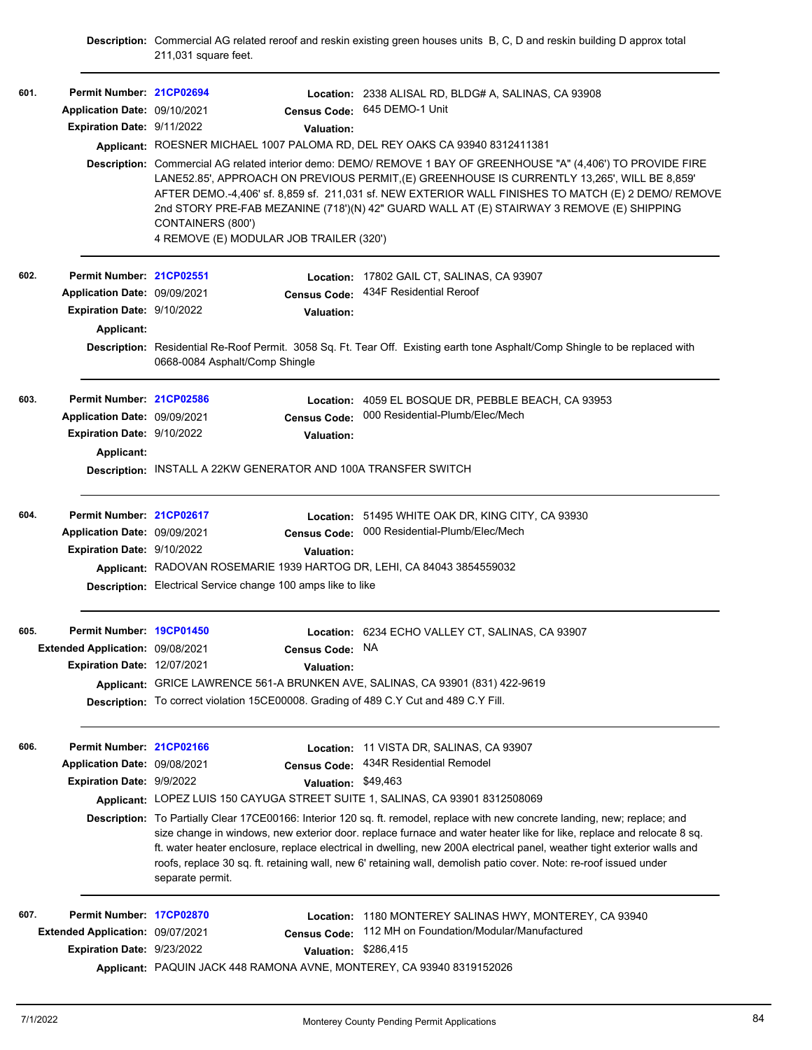**Description:** Commercial AG related reroof and reskin existing green houses units B, C, D and reskin building D approx total 211,031 square feet.

| 601. | Permit Number: 21CP02694<br>Application Date: 09/10/2021<br>Expiration Date: 9/11/2022 | <b>Valuation:</b><br>Applicant: ROESNER MICHAEL 1007 PALOMA RD, DEL REY OAKS CA 93940 8312411381<br>CONTAINERS (800')<br>4 REMOVE (E) MODULAR JOB TRAILER (320') | Location: 2338 ALISAL RD, BLDG# A, SALINAS, CA 93908<br>Census Code: 645 DEMO-1 Unit<br>Description: Commercial AG related interior demo: DEMO/ REMOVE 1 BAY OF GREENHOUSE "A" (4,406') TO PROVIDE FIRE<br>LANE52.85', APPROACH ON PREVIOUS PERMIT, (E) GREENHOUSE IS CURRENTLY 13,265', WILL BE 8,859'<br>AFTER DEMO.-4,406' sf. 8,859 sf. 211,031 sf. NEW EXTERIOR WALL FINISHES TO MATCH (E) 2 DEMO/ REMOVE<br>2nd STORY PRE-FAB MEZANINE (718')(N) 42" GUARD WALL AT (E) STAIRWAY 3 REMOVE (E) SHIPPING |
|------|----------------------------------------------------------------------------------------|------------------------------------------------------------------------------------------------------------------------------------------------------------------|-------------------------------------------------------------------------------------------------------------------------------------------------------------------------------------------------------------------------------------------------------------------------------------------------------------------------------------------------------------------------------------------------------------------------------------------------------------------------------------------------------------|
| 602. | Permit Number: 21CP02551                                                               | <b>Location:</b>                                                                                                                                                 | 17802 GAIL CT, SALINAS, CA 93907                                                                                                                                                                                                                                                                                                                                                                                                                                                                            |
|      | Application Date: 09/09/2021                                                           | <b>Census Code:</b>                                                                                                                                              | 434F Residential Reroof                                                                                                                                                                                                                                                                                                                                                                                                                                                                                     |
|      | Expiration Date: 9/10/2022                                                             | <b>Valuation:</b>                                                                                                                                                |                                                                                                                                                                                                                                                                                                                                                                                                                                                                                                             |
|      | Applicant:                                                                             |                                                                                                                                                                  |                                                                                                                                                                                                                                                                                                                                                                                                                                                                                                             |
|      |                                                                                        | 0668-0084 Asphalt/Comp Shingle                                                                                                                                   | Description: Residential Re-Roof Permit. 3058 Sq. Ft. Tear Off. Existing earth tone Asphalt/Comp Shingle to be replaced with                                                                                                                                                                                                                                                                                                                                                                                |
| 603. | Permit Number: 21CP02586                                                               |                                                                                                                                                                  | Location: 4059 EL BOSQUE DR, PEBBLE BEACH, CA 93953                                                                                                                                                                                                                                                                                                                                                                                                                                                         |
|      | Application Date: 09/09/2021                                                           | <b>Census Code:</b>                                                                                                                                              | 000 Residential-Plumb/Elec/Mech                                                                                                                                                                                                                                                                                                                                                                                                                                                                             |
|      | Expiration Date: 9/10/2022                                                             | <b>Valuation:</b>                                                                                                                                                |                                                                                                                                                                                                                                                                                                                                                                                                                                                                                                             |
|      | Applicant:                                                                             |                                                                                                                                                                  |                                                                                                                                                                                                                                                                                                                                                                                                                                                                                                             |
|      |                                                                                        | Description: INSTALL A 22KW GENERATOR AND 100A TRANSFER SWITCH                                                                                                   |                                                                                                                                                                                                                                                                                                                                                                                                                                                                                                             |
| 604. | Permit Number: 21CP02617                                                               |                                                                                                                                                                  | Location: 51495 WHITE OAK DR, KING CITY, CA 93930                                                                                                                                                                                                                                                                                                                                                                                                                                                           |
|      | Application Date: 09/09/2021                                                           | <b>Census Code:</b>                                                                                                                                              | 000 Residential-Plumb/Elec/Mech                                                                                                                                                                                                                                                                                                                                                                                                                                                                             |
|      | <b>Expiration Date: 9/10/2022</b>                                                      | <b>Valuation:</b>                                                                                                                                                |                                                                                                                                                                                                                                                                                                                                                                                                                                                                                                             |
|      |                                                                                        | Applicant: RADOVAN ROSEMARIE 1939 HARTOG DR, LEHI, CA 84043 3854559032                                                                                           |                                                                                                                                                                                                                                                                                                                                                                                                                                                                                                             |
|      |                                                                                        | Description: Electrical Service change 100 amps like to like                                                                                                     |                                                                                                                                                                                                                                                                                                                                                                                                                                                                                                             |
| 605. | Permit Number: 19CP01450                                                               |                                                                                                                                                                  | Location: 6234 ECHO VALLEY CT, SALINAS, CA 93907                                                                                                                                                                                                                                                                                                                                                                                                                                                            |
|      | Extended Application: 09/08/2021<br>Expiration Date: 12/07/2021                        | Census Code:                                                                                                                                                     | <b>NA</b>                                                                                                                                                                                                                                                                                                                                                                                                                                                                                                   |
|      |                                                                                        | <b>Valuation:</b><br>Applicant: GRICE LAWRENCE 561-A BRUNKEN AVE, SALINAS, CA 93901 (831) 422-9619                                                               |                                                                                                                                                                                                                                                                                                                                                                                                                                                                                                             |
|      |                                                                                        | Description: To correct violation 15CE00008. Grading of 489 C.Y Cut and 489 C.Y Fill.                                                                            |                                                                                                                                                                                                                                                                                                                                                                                                                                                                                                             |
|      |                                                                                        |                                                                                                                                                                  |                                                                                                                                                                                                                                                                                                                                                                                                                                                                                                             |
| 606. | Permit Number: 21CP02166                                                               |                                                                                                                                                                  | Location: 11 VISTA DR, SALINAS, CA 93907                                                                                                                                                                                                                                                                                                                                                                                                                                                                    |
|      | Application Date: 09/08/2021                                                           | <b>Census Code:</b>                                                                                                                                              | 434R Residential Remodel                                                                                                                                                                                                                                                                                                                                                                                                                                                                                    |
|      | <b>Expiration Date: 9/9/2022</b>                                                       | <b>Valuation:</b>                                                                                                                                                | \$49.463                                                                                                                                                                                                                                                                                                                                                                                                                                                                                                    |
|      |                                                                                        | Applicant: LOPEZ LUIS 150 CAYUGA STREET SUITE 1, SALINAS, CA 93901 8312508069                                                                                    |                                                                                                                                                                                                                                                                                                                                                                                                                                                                                                             |
|      |                                                                                        | separate permit.                                                                                                                                                 | Description: To Partially Clear 17CE00166: Interior 120 sq. ft. remodel, replace with new concrete landing, new; replace; and<br>size change in windows, new exterior door, replace furnace and water heater like for like, replace and relocate 8 sq.<br>ft. water heater enclosure, replace electrical in dwelling, new 200A electrical panel, weather tight exterior walls and<br>roofs, replace 30 sq. ft. retaining wall, new 6' retaining wall, demolish patio cover. Note: re-roof issued under      |
| 607. | Permit Number: 17CP02870                                                               | Location:                                                                                                                                                        | 1180 MONTEREY SALINAS HWY, MONTEREY, CA 93940                                                                                                                                                                                                                                                                                                                                                                                                                                                               |
|      | Extended Application: 09/07/2021                                                       | <b>Census Code:</b>                                                                                                                                              | 112 MH on Foundation/Modular/Manufactured                                                                                                                                                                                                                                                                                                                                                                                                                                                                   |
|      | Expiration Date: 9/23/2022                                                             | <b>Valuation:</b>                                                                                                                                                | \$286,415                                                                                                                                                                                                                                                                                                                                                                                                                                                                                                   |
|      |                                                                                        | Applicant: PAQUIN JACK 448 RAMONA AVNE, MONTEREY, CA 93940 8319152026                                                                                            |                                                                                                                                                                                                                                                                                                                                                                                                                                                                                                             |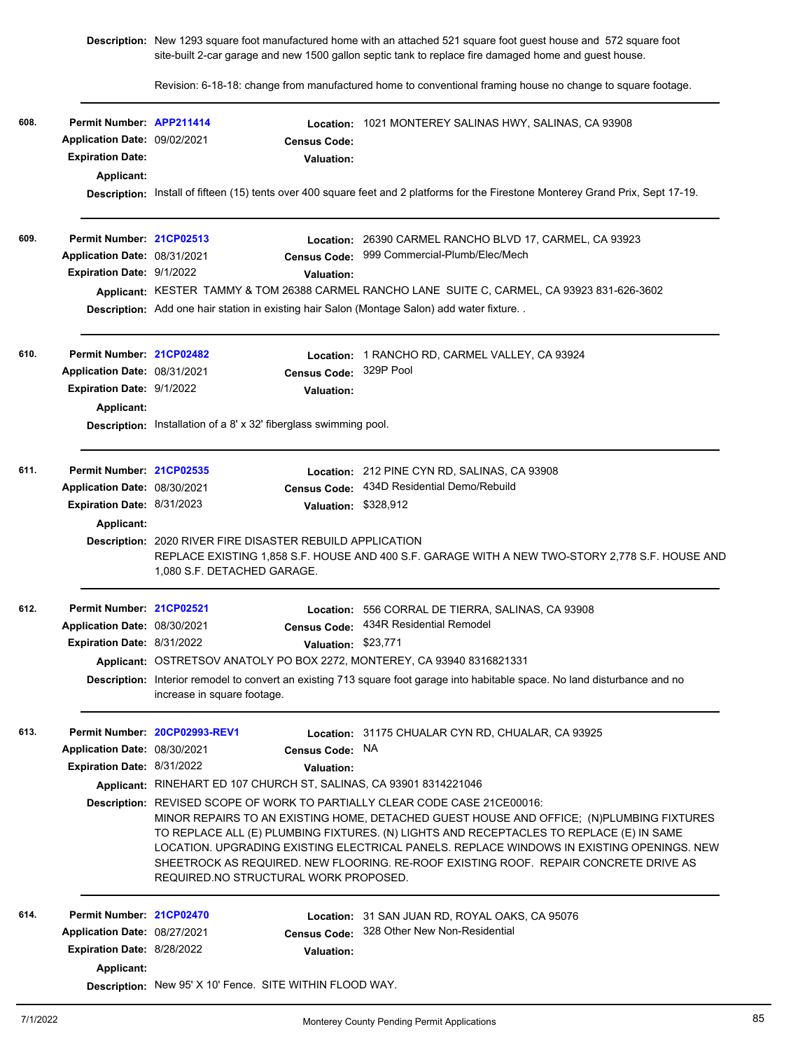**Description:** New 1293 square foot manufactured home with an attached 521 square foot guest house and 572 square foot site-built 2-car garage and new 1500 gallon septic tank to replace fire damaged home and guest house.

Revision: 6-18-18: change from manufactured home to conventional framing house no change to square footage.

| 608. | Permit Number: APP211414<br>Application Date: 09/02/2021<br><b>Expiration Date:</b><br>Applicant: | <b>Census Code:</b><br><b>Valuation:</b>                                                      | Location: 1021 MONTEREY SALINAS HWY, SALINAS, CA 93908                                                                                                                                                                                                                                                                                                                                                                                                        |  |  |  |  |
|------|---------------------------------------------------------------------------------------------------|-----------------------------------------------------------------------------------------------|---------------------------------------------------------------------------------------------------------------------------------------------------------------------------------------------------------------------------------------------------------------------------------------------------------------------------------------------------------------------------------------------------------------------------------------------------------------|--|--|--|--|
|      |                                                                                                   |                                                                                               | Description: Install of fifteen (15) tents over 400 square feet and 2 platforms for the Firestone Monterey Grand Prix, Sept 17-19.                                                                                                                                                                                                                                                                                                                            |  |  |  |  |
| 609. | Permit Number: 21CP02513                                                                          |                                                                                               | Location: 26390 CARMEL RANCHO BLVD 17, CARMEL, CA 93923                                                                                                                                                                                                                                                                                                                                                                                                       |  |  |  |  |
|      | Application Date: 08/31/2021                                                                      | <b>Census Code:</b>                                                                           | 999 Commercial-Plumb/Elec/Mech                                                                                                                                                                                                                                                                                                                                                                                                                                |  |  |  |  |
|      | Expiration Date: 9/1/2022                                                                         | <b>Valuation:</b>                                                                             |                                                                                                                                                                                                                                                                                                                                                                                                                                                               |  |  |  |  |
|      |                                                                                                   |                                                                                               | Applicant: KESTER TAMMY & TOM 26388 CARMEL RANCHO LANE SUITE C, CARMEL, CA 93923 831-626-3602                                                                                                                                                                                                                                                                                                                                                                 |  |  |  |  |
|      |                                                                                                   | Description: Add one hair station in existing hair Salon (Montage Salon) add water fixture. . |                                                                                                                                                                                                                                                                                                                                                                                                                                                               |  |  |  |  |
| 610. | Permit Number: 21CP02482                                                                          |                                                                                               | Location: 1 RANCHO RD, CARMEL VALLEY, CA 93924                                                                                                                                                                                                                                                                                                                                                                                                                |  |  |  |  |
|      | Application Date: 08/31/2021                                                                      |                                                                                               | Census Code: 329P Pool                                                                                                                                                                                                                                                                                                                                                                                                                                        |  |  |  |  |
|      | Expiration Date: 9/1/2022                                                                         | Valuation:                                                                                    |                                                                                                                                                                                                                                                                                                                                                                                                                                                               |  |  |  |  |
|      | Applicant:                                                                                        |                                                                                               |                                                                                                                                                                                                                                                                                                                                                                                                                                                               |  |  |  |  |
|      |                                                                                                   |                                                                                               | Description: Installation of a 8' x 32' fiberglass swimming pool.                                                                                                                                                                                                                                                                                                                                                                                             |  |  |  |  |
| 611. | Permit Number: 21CP02535                                                                          |                                                                                               | Location: 212 PINE CYN RD, SALINAS, CA 93908                                                                                                                                                                                                                                                                                                                                                                                                                  |  |  |  |  |
|      | Application Date: 08/30/2021                                                                      |                                                                                               | Census Code: 434D Residential Demo/Rebuild                                                                                                                                                                                                                                                                                                                                                                                                                    |  |  |  |  |
|      | Expiration Date: 8/31/2023                                                                        |                                                                                               | Valuation: \$328,912                                                                                                                                                                                                                                                                                                                                                                                                                                          |  |  |  |  |
|      | Applicant:                                                                                        |                                                                                               |                                                                                                                                                                                                                                                                                                                                                                                                                                                               |  |  |  |  |
|      |                                                                                                   | Description: 2020 RIVER FIRE DISASTER REBUILD APPLICATION<br>1,080 S.F. DETACHED GARAGE.      | REPLACE EXISTING 1,858 S.F. HOUSE AND 400 S.F. GARAGE WITH A NEW TWO-STORY 2,778 S.F. HOUSE AND                                                                                                                                                                                                                                                                                                                                                               |  |  |  |  |
| 612. | Permit Number: 21CP02521                                                                          |                                                                                               | Location: 556 CORRAL DE TIERRA, SALINAS, CA 93908                                                                                                                                                                                                                                                                                                                                                                                                             |  |  |  |  |
|      | Application Date: 08/30/2021                                                                      | <b>Census Code:</b>                                                                           | 434R Residential Remodel                                                                                                                                                                                                                                                                                                                                                                                                                                      |  |  |  |  |
|      | Expiration Date: 8/31/2022                                                                        |                                                                                               | Valuation: \$23,771                                                                                                                                                                                                                                                                                                                                                                                                                                           |  |  |  |  |
|      |                                                                                                   | Applicant: OSTRETSOV ANATOLY PO BOX 2272, MONTEREY, CA 93940 8316821331                       |                                                                                                                                                                                                                                                                                                                                                                                                                                                               |  |  |  |  |
|      |                                                                                                   | increase in square footage.                                                                   | Description: Interior remodel to convert an existing 713 square foot garage into habitable space. No land disturbance and no                                                                                                                                                                                                                                                                                                                                  |  |  |  |  |
| 613. |                                                                                                   | Permit Number 20CP02993-REV1                                                                  | Location: 31175 CHUALAR CYN RD, CHUALAR, CA 93925                                                                                                                                                                                                                                                                                                                                                                                                             |  |  |  |  |
|      | Application Date: 08/30/2021                                                                      | Census Code: NA                                                                               |                                                                                                                                                                                                                                                                                                                                                                                                                                                               |  |  |  |  |
|      | Expiration Date: 8/31/2022                                                                        | Valuation:                                                                                    |                                                                                                                                                                                                                                                                                                                                                                                                                                                               |  |  |  |  |
|      |                                                                                                   | Applicant: RINEHART ED 107 CHURCH ST, SALINAS, CA 93901 8314221046                            |                                                                                                                                                                                                                                                                                                                                                                                                                                                               |  |  |  |  |
|      |                                                                                                   | REQUIRED NO STRUCTURAL WORK PROPOSED.                                                         | <b>Description:</b> REVISED SCOPE OF WORK TO PARTIALLY CLEAR CODE CASE 21CE00016:<br>MINOR REPAIRS TO AN EXISTING HOME, DETACHED GUEST HOUSE AND OFFICE; (N)PLUMBING FIXTURES<br>TO REPLACE ALL (E) PLUMBING FIXTURES. (N) LIGHTS AND RECEPTACLES TO REPLACE (E) IN SAME<br>LOCATION. UPGRADING EXISTING ELECTRICAL PANELS. REPLACE WINDOWS IN EXISTING OPENINGS. NEW<br>SHEETROCK AS REQUIRED. NEW FLOORING. RE-ROOF EXISTING ROOF. REPAIR CONCRETE DRIVE AS |  |  |  |  |
| 614. | Permit Number: 21CP02470                                                                          |                                                                                               | <b>Location: 31 SAN JUAN RD, ROYAL OAKS, CA 95076</b>                                                                                                                                                                                                                                                                                                                                                                                                         |  |  |  |  |
|      | Application Date: 08/27/2021                                                                      |                                                                                               | Census Code: 328 Other New Non-Residential                                                                                                                                                                                                                                                                                                                                                                                                                    |  |  |  |  |
|      | Expiration Date: 8/28/2022                                                                        | Valuation:                                                                                    |                                                                                                                                                                                                                                                                                                                                                                                                                                                               |  |  |  |  |
|      | Applicant:                                                                                        |                                                                                               |                                                                                                                                                                                                                                                                                                                                                                                                                                                               |  |  |  |  |
|      |                                                                                                   | Description: New 95' X 10' Fence. SITE WITHIN FLOOD WAY.                                      |                                                                                                                                                                                                                                                                                                                                                                                                                                                               |  |  |  |  |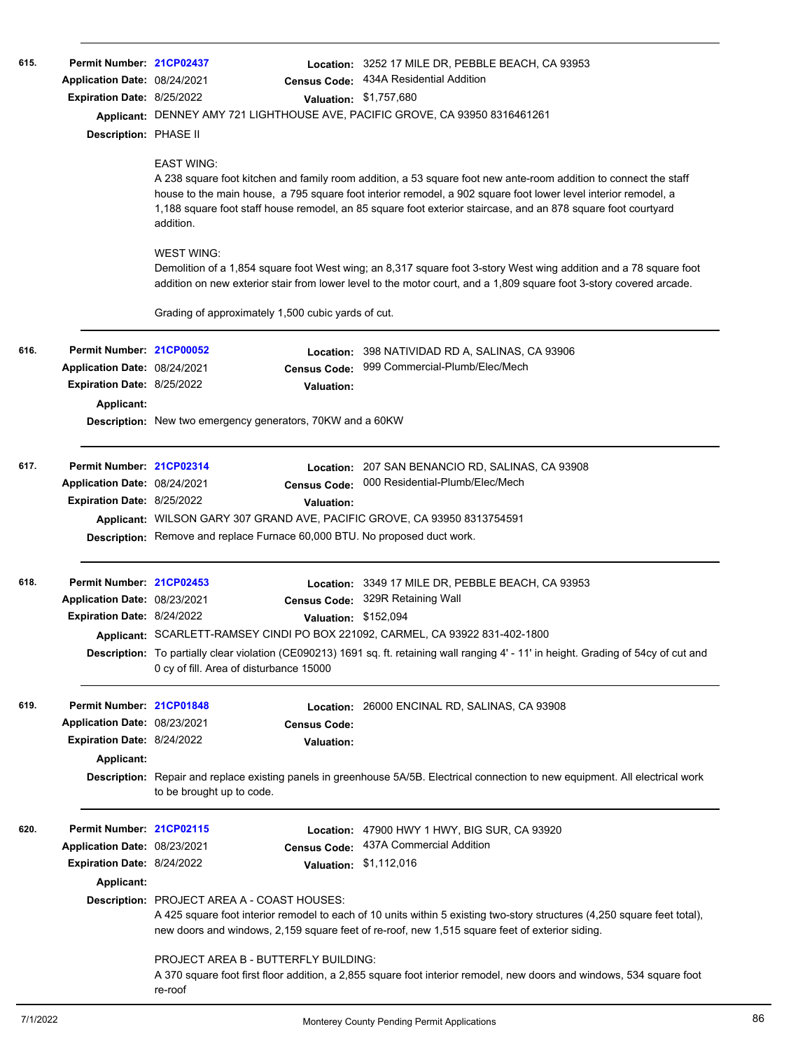| 615. | Permit Number: 21CP02437<br>Application Date: 08/24/2021<br>Expiration Date: 8/25/2022<br>Description: PHASE II | <b>Census Code:</b><br><b>EAST WING:</b><br>addition.<br><b>WEST WING:</b>                                                                                           | Location: 3252 17 MILE DR, PEBBLE BEACH, CA 93953<br>434A Residential Addition<br>Valuation: \$1,757,680<br>Applicant: DENNEY AMY 721 LIGHTHOUSE AVE, PACIFIC GROVE, CA 93950 8316461261<br>A 238 square foot kitchen and family room addition, a 53 square foot new ante-room addition to connect the staff<br>house to the main house, a 795 square foot interior remodel, a 902 square foot lower level interior remodel, a<br>1,188 square foot staff house remodel, an 85 square foot exterior staircase, and an 878 square foot courtyard<br>Demolition of a 1,854 square foot West wing; an 8,317 square foot 3-story West wing addition and a 78 square foot<br>addition on new exterior stair from lower level to the motor court, and a 1,809 square foot 3-story covered arcade. |
|------|-----------------------------------------------------------------------------------------------------------------|----------------------------------------------------------------------------------------------------------------------------------------------------------------------|---------------------------------------------------------------------------------------------------------------------------------------------------------------------------------------------------------------------------------------------------------------------------------------------------------------------------------------------------------------------------------------------------------------------------------------------------------------------------------------------------------------------------------------------------------------------------------------------------------------------------------------------------------------------------------------------------------------------------------------------------------------------------------------------|
|      |                                                                                                                 | Grading of approximately 1,500 cubic yards of cut.                                                                                                                   |                                                                                                                                                                                                                                                                                                                                                                                                                                                                                                                                                                                                                                                                                                                                                                                             |
| 616. | Permit Number: 21CP00052<br>Application Date: 08/24/2021<br>Expiration Date: 8/25/2022<br>Applicant:            | <b>Census Code:</b><br>Valuation:<br>Description: New two emergency generators, 70KW and a 60KW                                                                      | Location: 398 NATIVIDAD RD A, SALINAS, CA 93906<br>999 Commercial-Plumb/Elec/Mech                                                                                                                                                                                                                                                                                                                                                                                                                                                                                                                                                                                                                                                                                                           |
| 617. | Permit Number: 21CP02314<br>Application Date: 08/24/2021<br><b>Expiration Date: 8/25/2022</b>                   | Valuation:<br>Applicant: WILSON GARY 307 GRAND AVE, PACIFIC GROVE, CA 93950 8313754591<br>Description: Remove and replace Furnace 60,000 BTU. No proposed duct work. | Location: 207 SAN BENANCIO RD, SALINAS, CA 93908<br>Census Code: 000 Residential-Plumb/Elec/Mech                                                                                                                                                                                                                                                                                                                                                                                                                                                                                                                                                                                                                                                                                            |
| 618. | Permit Number: 21CP02453<br>Application Date: 08/23/2021<br><b>Expiration Date: 8/24/2022</b>                   | 0 cy of fill. Area of disturbance 15000                                                                                                                              | Location: 3349 17 MILE DR, PEBBLE BEACH, CA 93953<br>Census Code: 329R Retaining Wall<br>Valuation: \$152,094<br>Applicant: SCARLETT-RAMSEY CINDI PO BOX 221092, CARMEL, CA 93922 831-402-1800<br>Description: To partially clear violation (CE090213) 1691 sq. ft. retaining wall ranging 4' - 11' in height. Grading of 54cy of cut and                                                                                                                                                                                                                                                                                                                                                                                                                                                   |
| 619. | Permit Number: 21CP01848<br>Application Date: 08/23/2021<br>Expiration Date: 8/24/2022<br>Applicant:            | <b>Census Code:</b><br>Valuation:<br>to be brought up to code.                                                                                                       | Location: 26000 ENCINAL RD, SALINAS, CA 93908<br>Description: Repair and replace existing panels in greenhouse 5A/5B. Electrical connection to new equipment. All electrical work                                                                                                                                                                                                                                                                                                                                                                                                                                                                                                                                                                                                           |
| 620. | Permit Number: 21CP02115<br>Application Date: 08/23/2021<br>Expiration Date: 8/24/2022<br>Applicant:            | Location:<br><b>Census Code:</b><br>Description: PROJECT AREA A - COAST HOUSES:<br>PROJECT AREA B - BUTTERFLY BUILDING:<br>re-roof                                   | 47900 HWY 1 HWY, BIG SUR, CA 93920<br>437A Commercial Addition<br>Valuation: \$1,112,016<br>A 425 square foot interior remodel to each of 10 units within 5 existing two-story structures (4,250 square feet total),<br>new doors and windows, 2,159 square feet of re-roof, new 1,515 square feet of exterior siding.<br>A 370 square foot first floor addition, a 2,855 square foot interior remodel, new doors and windows, 534 square foot                                                                                                                                                                                                                                                                                                                                              |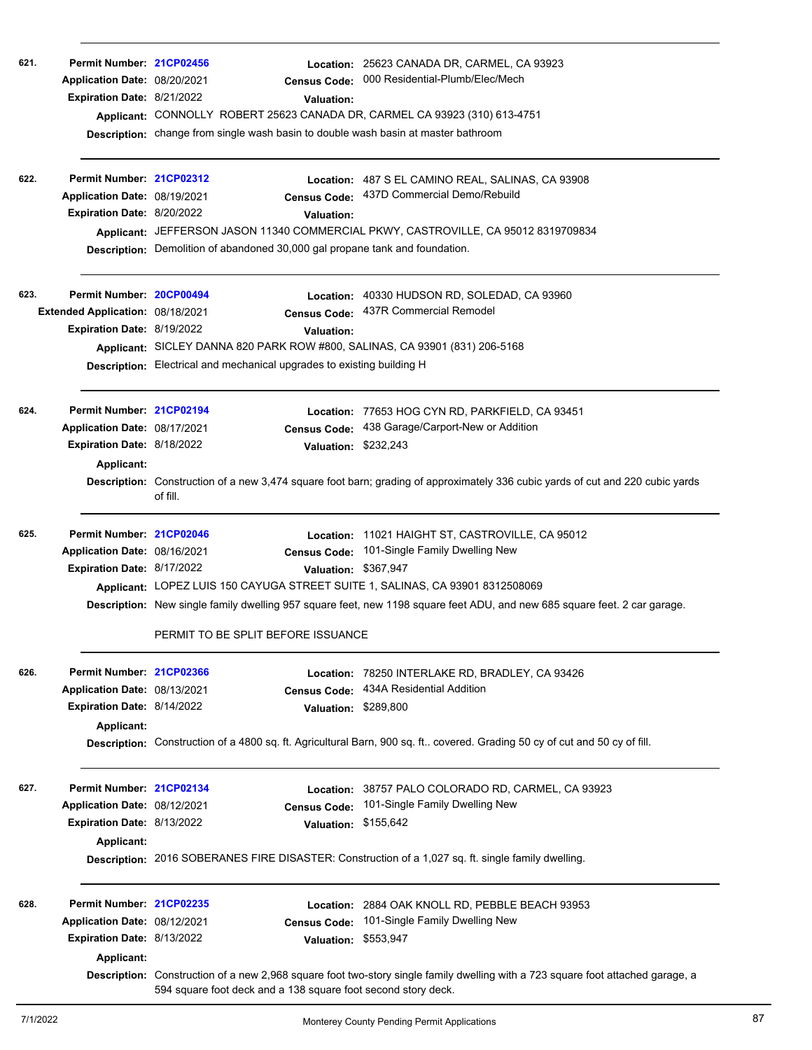| 621.<br>622. | Permit Number: 21CP02456<br>Application Date: 08/20/2021<br>Expiration Date: 8/21/2022<br>Permit Number: 21CP02312<br>Application Date: 08/19/2021<br>Expiration Date: 8/20/2022 | <b>Census Code:</b><br>Valuation:<br>Applicant: CONNOLLY ROBERT 25623 CANADA DR, CARMEL CA 93923 (310) 613-4751<br>Description: change from single wash basin to double wash basin at master bathroom<br>Valuation:<br>Description: Demolition of abandoned 30,000 gal propane tank and foundation. | Location: 25623 CANADA DR, CARMEL, CA 93923<br>000 Residential-Plumb/Elec/Mech<br>Location: 487 S EL CAMINO REAL, SALINAS, CA 93908<br>Census Code: 437D Commercial Demo/Rebuild<br>Applicant: JEFFERSON JASON 11340 COMMERCIAL PKWY, CASTROVILLE, CA 95012 8319709834 |
|--------------|----------------------------------------------------------------------------------------------------------------------------------------------------------------------------------|-----------------------------------------------------------------------------------------------------------------------------------------------------------------------------------------------------------------------------------------------------------------------------------------------------|------------------------------------------------------------------------------------------------------------------------------------------------------------------------------------------------------------------------------------------------------------------------|
|              |                                                                                                                                                                                  |                                                                                                                                                                                                                                                                                                     |                                                                                                                                                                                                                                                                        |
| 623.         | Permit Number: 20CP00494<br>Extended Application: 08/18/2021<br>Expiration Date: 8/19/2022                                                                                       | <b>Census Code:</b><br><b>Valuation:</b><br>Applicant: SICLEY DANNA 820 PARK ROW #800, SALINAS, CA 93901 (831) 206-5168<br>Description: Electrical and mechanical upgrades to existing building H                                                                                                   | Location: 40330 HUDSON RD, SOLEDAD, CA 93960<br>437R Commercial Remodel                                                                                                                                                                                                |
| 624.         | Permit Number: 21CP02194<br>Application Date: 08/17/2021<br>Expiration Date: 8/18/2022<br><b>Applicant:</b>                                                                      | <b>Census Code:</b><br>Valuation: \$232,243<br>of fill.                                                                                                                                                                                                                                             | Location: 77653 HOG CYN RD, PARKFIELD, CA 93451<br>438 Garage/Carport-New or Addition<br>Description: Construction of a new 3,474 square foot barn; grading of approximately 336 cubic yards of cut and 220 cubic yards                                                |
| 625.         | Permit Number: 21CP02046<br>Application Date: 08/16/2021<br>Expiration Date: 8/17/2022                                                                                           | <b>Census Code:</b><br>Valuation: \$367,947<br>Applicant: LOPEZ LUIS 150 CAYUGA STREET SUITE 1, SALINAS, CA 93901 8312508069<br>PERMIT TO BE SPLIT BEFORE ISSUANCE                                                                                                                                  | Location: 11021 HAIGHT ST, CASTROVILLE, CA 95012<br>101-Single Family Dwelling New<br>Description: New single family dwelling 957 square feet, new 1198 square feet ADU, and new 685 square feet. 2 car garage.                                                        |
| 626.         | Permit Number: 21CP02366<br>Application Date: 08/13/2021<br>Expiration Date: 8/14/2022<br><b>Applicant:</b>                                                                      | <b>Census Code:</b><br>Valuation:                                                                                                                                                                                                                                                                   | Location: 78250 INTERLAKE RD, BRADLEY, CA 93426<br>434A Residential Addition<br>\$289,800<br>Description: Construction of a 4800 sq. ft. Agricultural Barn, 900 sq. ft covered. Grading 50 cy of cut and 50 cy of fill.                                                |
| 627.         | Permit Number: 21CP02134<br>Application Date: 08/12/2021<br>Expiration Date: 8/13/2022<br><b>Applicant:</b>                                                                      | <b>Census Code:</b><br><b>Valuation:</b>                                                                                                                                                                                                                                                            | Location: 38757 PALO COLORADO RD, CARMEL, CA 93923<br>101-Single Family Dwelling New<br>\$155,642<br>Description: 2016 SOBERANES FIRE DISASTER: Construction of a 1,027 sq. ft. single family dwelling.                                                                |
| 628.         | Permit Number: 21CP02235<br>Application Date: 08/12/2021<br>Expiration Date: 8/13/2022<br>Applicant:                                                                             | <b>Census Code:</b><br>Valuation: \$553,947<br>594 square foot deck and a 138 square foot second story deck.                                                                                                                                                                                        | Location: 2884 OAK KNOLL RD, PEBBLE BEACH 93953<br>101-Single Family Dwelling New<br>Description: Construction of a new 2,968 square foot two-story single family dwelling with a 723 square foot attached garage, a                                                   |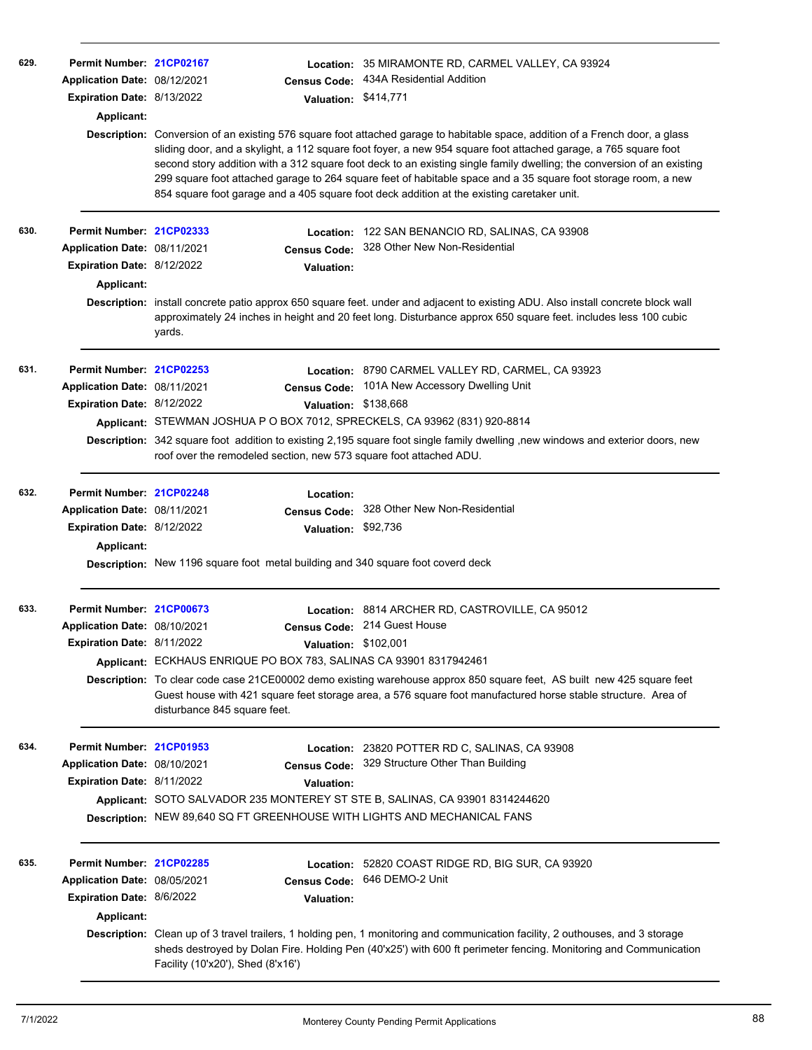| 629. | Permit Number: 21CP02167<br>Application Date: 08/12/2021<br>Expiration Date: 8/13/2022<br><b>Applicant:</b>       | <b>Census Code:</b><br>Valuation: \$414,771                                                                                                                                                          | Location: 35 MIRAMONTE RD, CARMEL VALLEY, CA 93924<br>434A Residential Addition<br>Description: Conversion of an existing 576 square foot attached garage to habitable space, addition of a French door, a glass<br>sliding door, and a skylight, a 112 square foot foyer, a new 954 square foot attached garage, a 765 square foot<br>second story addition with a 312 square foot deck to an existing single family dwelling; the conversion of an existing<br>299 square foot attached garage to 264 square feet of habitable space and a 35 square foot storage room, a new<br>854 square foot garage and a 405 square foot deck addition at the existing caretaker unit. |
|------|-------------------------------------------------------------------------------------------------------------------|------------------------------------------------------------------------------------------------------------------------------------------------------------------------------------------------------|-------------------------------------------------------------------------------------------------------------------------------------------------------------------------------------------------------------------------------------------------------------------------------------------------------------------------------------------------------------------------------------------------------------------------------------------------------------------------------------------------------------------------------------------------------------------------------------------------------------------------------------------------------------------------------|
| 630. | Permit Number: 21CP02333<br>Application Date: 08/11/2021<br><b>Expiration Date: 8/12/2022</b><br>Applicant:       | <b>Census Code:</b><br><b>Valuation:</b><br>yards.                                                                                                                                                   | Location: 122 SAN BENANCIO RD, SALINAS, CA 93908<br>328 Other New Non-Residential<br>Description: install concrete patio approx 650 square feet. under and adjacent to existing ADU. Also install concrete block wall<br>approximately 24 inches in height and 20 feet long. Disturbance approx 650 square feet. includes less 100 cubic                                                                                                                                                                                                                                                                                                                                      |
| 631. | Permit Number: 21CP02253<br>Application Date: 08/11/2021<br>Expiration Date: 8/12/2022                            | <b>Census Code:</b><br>Valuation: \$138,668<br>Applicant: STEWMAN JOSHUA P O BOX 7012, SPRECKELS, CA 93962 (831) 920-8814<br>roof over the remodeled section, new 573 square foot attached ADU.      | Location: 8790 CARMEL VALLEY RD, CARMEL, CA 93923<br>101A New Accessory Dwelling Unit<br>Description: 342 square foot addition to existing 2,195 square foot single family dwelling ,new windows and exterior doors, new                                                                                                                                                                                                                                                                                                                                                                                                                                                      |
| 632. | Permit Number: 21CP02248<br>Application Date: 08/11/2021<br>Expiration Date: 8/12/2022<br><b>Applicant:</b>       | Location:<br><b>Census Code:</b><br>Valuation: \$92,736<br>Description: New 1196 square foot metal building and 340 square foot coverd deck                                                          | 328 Other New Non-Residential                                                                                                                                                                                                                                                                                                                                                                                                                                                                                                                                                                                                                                                 |
| 633. | Permit Number: 21CP00673<br>Application Date: 08/10/2021<br>Expiration Date: 8/11/2022                            | Valuation: \$102,001<br>Applicant: ECKHAUS ENRIQUE PO BOX 783, SALINAS CA 93901 8317942461<br>disturbance 845 square feet.                                                                           | Location: 8814 ARCHER RD, CASTROVILLE, CA 95012<br>Census Code: 214 Guest House<br>Description: To clear code case 21CE00002 demo existing warehouse approx 850 square feet, AS built new 425 square feet<br>Guest house with 421 square feet storage area, a 576 square foot manufactured horse stable structure. Area of                                                                                                                                                                                                                                                                                                                                                    |
| 634. | Permit Number: 21CP01953<br>Application Date: 08/10/2021<br>Expiration Date: 8/11/2022                            | <b>Census Code:</b><br><b>Valuation:</b><br>Applicant: SOTO SALVADOR 235 MONTEREY ST STE B, SALINAS, CA 93901 8314244620<br>Description: NEW 89,640 SQ FT GREENHOUSE WITH LIGHTS AND MECHANICAL FANS | Location: 23820 POTTER RD C, SALINAS, CA 93908<br>329 Structure Other Than Building                                                                                                                                                                                                                                                                                                                                                                                                                                                                                                                                                                                           |
| 635. | Permit Number: 21CP02285<br>Application Date: 08/05/2021<br><b>Expiration Date: 8/6/2022</b><br><b>Applicant:</b> | <b>Valuation:</b><br>Facility (10'x20'), Shed (8'x16')                                                                                                                                               | Location: 52820 COAST RIDGE RD, BIG SUR, CA 93920<br>Census Code: 646 DEMO-2 Unit<br>Description: Clean up of 3 travel trailers, 1 holding pen, 1 monitoring and communication facility, 2 outhouses, and 3 storage<br>sheds destroyed by Dolan Fire. Holding Pen (40'x25') with 600 ft perimeter fencing. Monitoring and Communication                                                                                                                                                                                                                                                                                                                                       |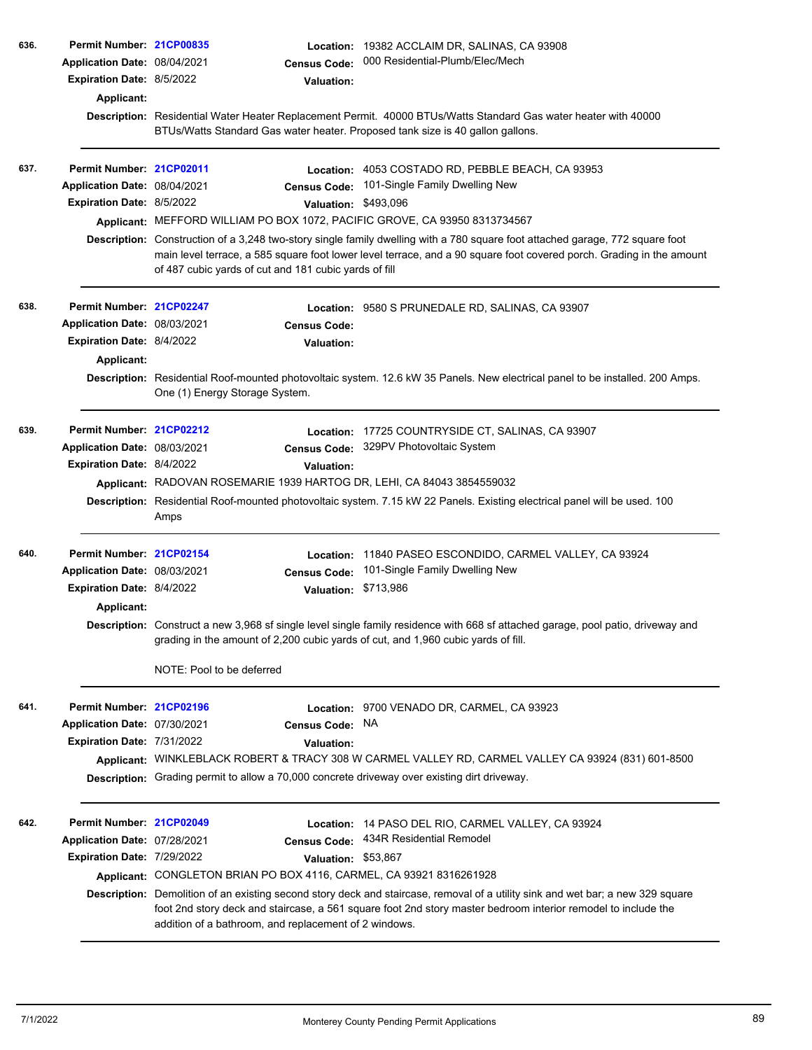|      | Application Date: 08/04/2021<br><b>Expiration Date: 8/5/2022</b><br>Applicant: | Permit Number: 21CP00835<br><b>Census Code:</b><br>Valuation:                                | Location: 19382 ACCLAIM DR, SALINAS, CA 93908<br>000 Residential-Plumb/Elec/Mech                                                                                                                                                                      |
|------|--------------------------------------------------------------------------------|----------------------------------------------------------------------------------------------|-------------------------------------------------------------------------------------------------------------------------------------------------------------------------------------------------------------------------------------------------------|
|      |                                                                                | BTUs/Watts Standard Gas water heater. Proposed tank size is 40 gallon gallons.               | Description: Residential Water Heater Replacement Permit. 40000 BTUs/Watts Standard Gas water heater with 40000                                                                                                                                       |
| 637. | Permit Number: 21CP02011                                                       |                                                                                              | Location: 4053 COSTADO RD, PEBBLE BEACH, CA 93953                                                                                                                                                                                                     |
|      | Application Date: 08/04/2021                                                   | <b>Census Code:</b>                                                                          | 101-Single Family Dwelling New                                                                                                                                                                                                                        |
|      | <b>Expiration Date: 8/5/2022</b>                                               |                                                                                              | Valuation: \$493,096                                                                                                                                                                                                                                  |
|      |                                                                                | Applicant: MEFFORD WILLIAM PO BOX 1072, PACIFIC GROVE, CA 93950 8313734567                   |                                                                                                                                                                                                                                                       |
|      |                                                                                | of 487 cubic yards of cut and 181 cubic yards of fill                                        | Description: Construction of a 3,248 two-story single family dwelling with a 780 square foot attached garage, 772 square foot<br>main level terrace, a 585 square foot lower level terrace, and a 90 square foot covered porch. Grading in the amount |
| 638. | Permit Number: 21CP02247                                                       |                                                                                              | Location: 9580 S PRUNEDALE RD, SALINAS, CA 93907                                                                                                                                                                                                      |
|      | Application Date: 08/03/2021                                                   | <b>Census Code:</b>                                                                          |                                                                                                                                                                                                                                                       |
|      | Expiration Date: 8/4/2022                                                      | Valuation:                                                                                   |                                                                                                                                                                                                                                                       |
|      | Applicant:                                                                     |                                                                                              |                                                                                                                                                                                                                                                       |
|      |                                                                                | One (1) Energy Storage System.                                                               | Description: Residential Roof-mounted photovoltaic system. 12.6 kW 35 Panels. New electrical panel to be installed. 200 Amps.                                                                                                                         |
| 639. | Permit Number: 21CP02212                                                       |                                                                                              | Location: 17725 COUNTRYSIDE CT, SALINAS, CA 93907                                                                                                                                                                                                     |
|      | Application Date: 08/03/2021                                                   | <b>Census Code:</b>                                                                          | 329PV Photovoltaic System                                                                                                                                                                                                                             |
|      | <b>Expiration Date: 8/4/2022</b>                                               | <b>Valuation:</b>                                                                            |                                                                                                                                                                                                                                                       |
|      |                                                                                | Applicant: RADOVAN ROSEMARIE 1939 HARTOG DR, LEHI, CA 84043 3854559032                       |                                                                                                                                                                                                                                                       |
|      |                                                                                | Amps                                                                                         | Description: Residential Roof-mounted photovoltaic system. 7.15 kW 22 Panels. Existing electrical panel will be used. 100                                                                                                                             |
| 640. | Permit Number: 21CP02154                                                       |                                                                                              | Location: 11840 PASEO ESCONDIDO, CARMEL VALLEY, CA 93924                                                                                                                                                                                              |
|      | Application Date: 08/03/2021                                                   | <b>Census Code:</b>                                                                          | 101-Single Family Dwelling New                                                                                                                                                                                                                        |
|      | <b>Expiration Date: 8/4/2022</b>                                               | <b>Valuation:</b>                                                                            | \$713,986                                                                                                                                                                                                                                             |
|      | Applicant:                                                                     |                                                                                              |                                                                                                                                                                                                                                                       |
|      |                                                                                | grading in the amount of 2,200 cubic yards of cut, and 1,960 cubic yards of fill.            | Description: Construct a new 3,968 sf single level single family residence with 668 sf attached garage, pool patio, driveway and                                                                                                                      |
|      |                                                                                | NOTE: Pool to be deferred                                                                    |                                                                                                                                                                                                                                                       |
| 641. | Permit Number: 21CP02196                                                       |                                                                                              | Location: 9700 VENADO DR, CARMEL, CA 93923                                                                                                                                                                                                            |
|      | Application Date: 07/30/2021                                                   | <b>Census Code:</b>                                                                          | NA.                                                                                                                                                                                                                                                   |
|      | Expiration Date: 7/31/2022                                                     | <b>Valuation:</b>                                                                            |                                                                                                                                                                                                                                                       |
|      |                                                                                |                                                                                              | Applicant: WINKLEBLACK ROBERT & TRACY 308 W CARMEL VALLEY RD, CARMEL VALLEY CA 93924 (831) 601-8500                                                                                                                                                   |
|      |                                                                                | Description: Grading permit to allow a 70,000 concrete driveway over existing dirt driveway. |                                                                                                                                                                                                                                                       |
| 642. | Permit Number: 21CP02049                                                       |                                                                                              | Location: 14 PASO DEL RIO, CARMEL VALLEY, CA 93924                                                                                                                                                                                                    |
|      | Application Date: 07/28/2021                                                   | <b>Census Code:</b>                                                                          | 434R Residential Remodel                                                                                                                                                                                                                              |
|      | Expiration Date: 7/29/2022                                                     | Valuation: \$53,867                                                                          |                                                                                                                                                                                                                                                       |
|      |                                                                                | Applicant: CONGLETON BRIAN PO BOX 4116, CARMEL, CA 93921 8316261928                          |                                                                                                                                                                                                                                                       |
|      |                                                                                | addition of a bathroom, and replacement of 2 windows.                                        | Description: Demolition of an existing second story deck and staircase, removal of a utility sink and wet bar; a new 329 square<br>foot 2nd story deck and staircase, a 561 square foot 2nd story master bedroom interior remodel to include the      |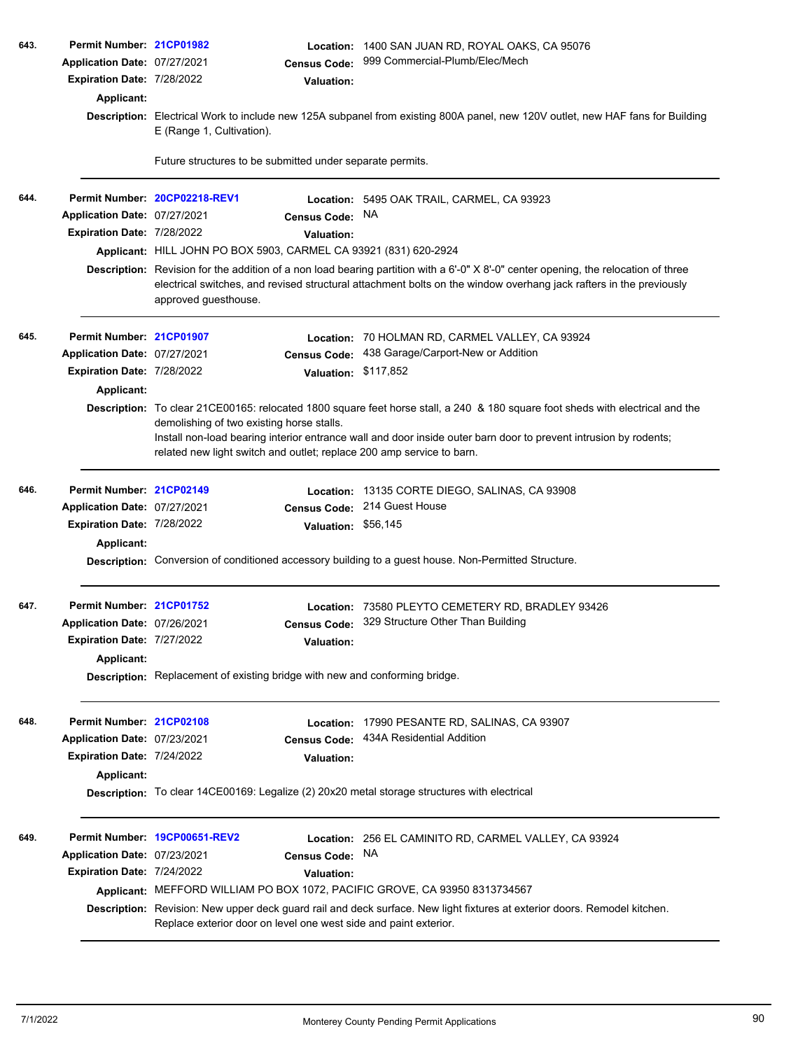| 643. | Permit Number: 21CP01982     |                                                                                                                                                               |                      | Location: 1400 SAN JUAN RD, ROYAL OAKS, CA 95076                                                                                                                                                                                                          |  |  |
|------|------------------------------|---------------------------------------------------------------------------------------------------------------------------------------------------------------|----------------------|-----------------------------------------------------------------------------------------------------------------------------------------------------------------------------------------------------------------------------------------------------------|--|--|
|      | Application Date: 07/27/2021 |                                                                                                                                                               | <b>Census Code:</b>  | 999 Commercial-Plumb/Elec/Mech                                                                                                                                                                                                                            |  |  |
|      | Expiration Date: 7/28/2022   |                                                                                                                                                               | <b>Valuation:</b>    |                                                                                                                                                                                                                                                           |  |  |
|      | Applicant:                   |                                                                                                                                                               |                      |                                                                                                                                                                                                                                                           |  |  |
|      |                              | Description: Electrical Work to include new 125A subpanel from existing 800A panel, new 120V outlet, new HAF fans for Building<br>E (Range 1, Cultivation).   |                      |                                                                                                                                                                                                                                                           |  |  |
|      |                              | Future structures to be submitted under separate permits.                                                                                                     |                      |                                                                                                                                                                                                                                                           |  |  |
| 644. |                              | Permit Number: 20CP02218-REV1                                                                                                                                 |                      | Location: 5495 OAK TRAIL, CARMEL, CA 93923                                                                                                                                                                                                                |  |  |
|      | Application Date: 07/27/2021 |                                                                                                                                                               | <b>Census Code:</b>  | <b>NA</b>                                                                                                                                                                                                                                                 |  |  |
|      | Expiration Date: 7/28/2022   |                                                                                                                                                               | <b>Valuation:</b>    |                                                                                                                                                                                                                                                           |  |  |
|      |                              | Applicant: HILL JOHN PO BOX 5903, CARMEL CA 93921 (831) 620-2924                                                                                              |                      |                                                                                                                                                                                                                                                           |  |  |
|      |                              | approved guesthouse.                                                                                                                                          |                      | Description: Revision for the addition of a non load bearing partition with a 6'-0" X 8'-0" center opening, the relocation of three<br>electrical switches, and revised structural attachment bolts on the window overhang jack rafters in the previously |  |  |
| 645. | Permit Number: 21CP01907     |                                                                                                                                                               |                      | Location: 70 HOLMAN RD, CARMEL VALLEY, CA 93924                                                                                                                                                                                                           |  |  |
|      | Application Date: 07/27/2021 |                                                                                                                                                               | <b>Census Code:</b>  | 438 Garage/Carport-New or Addition                                                                                                                                                                                                                        |  |  |
|      | Expiration Date: 7/28/2022   |                                                                                                                                                               | Valuation: \$117,852 |                                                                                                                                                                                                                                                           |  |  |
|      | Applicant:                   |                                                                                                                                                               |                      |                                                                                                                                                                                                                                                           |  |  |
|      |                              | Description: To clear 21CE00165: relocated 1800 square feet horse stall, a 240 & 180 square foot sheds with electrical and the                                |                      |                                                                                                                                                                                                                                                           |  |  |
|      |                              | demolishing of two existing horse stalls.<br>Install non-load bearing interior entrance wall and door inside outer barn door to prevent intrusion by rodents; |                      |                                                                                                                                                                                                                                                           |  |  |
|      |                              |                                                                                                                                                               |                      | related new light switch and outlet; replace 200 amp service to barn.                                                                                                                                                                                     |  |  |
| 646. | Permit Number: 21CP02149     |                                                                                                                                                               | Location:            | 13135 CORTE DIEGO, SALINAS, CA 93908                                                                                                                                                                                                                      |  |  |
|      | Application Date: 07/27/2021 |                                                                                                                                                               | <b>Census Code:</b>  | 214 Guest House                                                                                                                                                                                                                                           |  |  |
|      | Expiration Date: 7/28/2022   |                                                                                                                                                               | Valuation: \$56,145  |                                                                                                                                                                                                                                                           |  |  |
|      | Applicant:                   |                                                                                                                                                               |                      |                                                                                                                                                                                                                                                           |  |  |
|      |                              |                                                                                                                                                               |                      | Description: Conversion of conditioned accessory building to a guest house. Non-Permitted Structure.                                                                                                                                                      |  |  |
| 647. | Permit Number: 21CP01752     |                                                                                                                                                               | Location:            | 73580 PLEYTO CEMETERY RD, BRADLEY 93426                                                                                                                                                                                                                   |  |  |
|      | Application Date: 07/26/2021 |                                                                                                                                                               | <b>Census Code:</b>  | 329 Structure Other Than Building                                                                                                                                                                                                                         |  |  |
|      | Expiration Date: 7/27/2022   |                                                                                                                                                               | <b>Valuation:</b>    |                                                                                                                                                                                                                                                           |  |  |
|      | Applicant:                   |                                                                                                                                                               |                      |                                                                                                                                                                                                                                                           |  |  |
|      |                              | <b>Description:</b> Replacement of existing bridge with new and conforming bridge.                                                                            |                      |                                                                                                                                                                                                                                                           |  |  |
| 648. | Permit Number: 21CP02108     |                                                                                                                                                               | Location:            | 17990 PESANTE RD, SALINAS, CA 93907                                                                                                                                                                                                                       |  |  |
|      | Application Date: 07/23/2021 |                                                                                                                                                               | <b>Census Code:</b>  | 434A Residential Addition                                                                                                                                                                                                                                 |  |  |
|      | Expiration Date: 7/24/2022   |                                                                                                                                                               | <b>Valuation:</b>    |                                                                                                                                                                                                                                                           |  |  |
|      | Applicant:                   |                                                                                                                                                               |                      |                                                                                                                                                                                                                                                           |  |  |
|      |                              |                                                                                                                                                               |                      | Description: To clear 14CE00169: Legalize (2) 20x20 metal storage structures with electrical                                                                                                                                                              |  |  |
| 649. |                              | Permit Number 19CP00651-REV2                                                                                                                                  |                      | <b>Location: 256 EL CAMINITO RD, CARMEL VALLEY, CA 93924</b>                                                                                                                                                                                              |  |  |
|      | Application Date: 07/23/2021 |                                                                                                                                                               | <b>Census Code:</b>  | NA.                                                                                                                                                                                                                                                       |  |  |
|      | Expiration Date: 7/24/2022   |                                                                                                                                                               | <b>Valuation:</b>    |                                                                                                                                                                                                                                                           |  |  |
|      |                              |                                                                                                                                                               |                      | Applicant: MEFFORD WILLIAM PO BOX 1072, PACIFIC GROVE, CA 93950 8313734567                                                                                                                                                                                |  |  |
|      |                              | Replace exterior door on level one west side and paint exterior.                                                                                              |                      | Description: Revision: New upper deck guard rail and deck surface. New light fixtures at exterior doors. Remodel kitchen.                                                                                                                                 |  |  |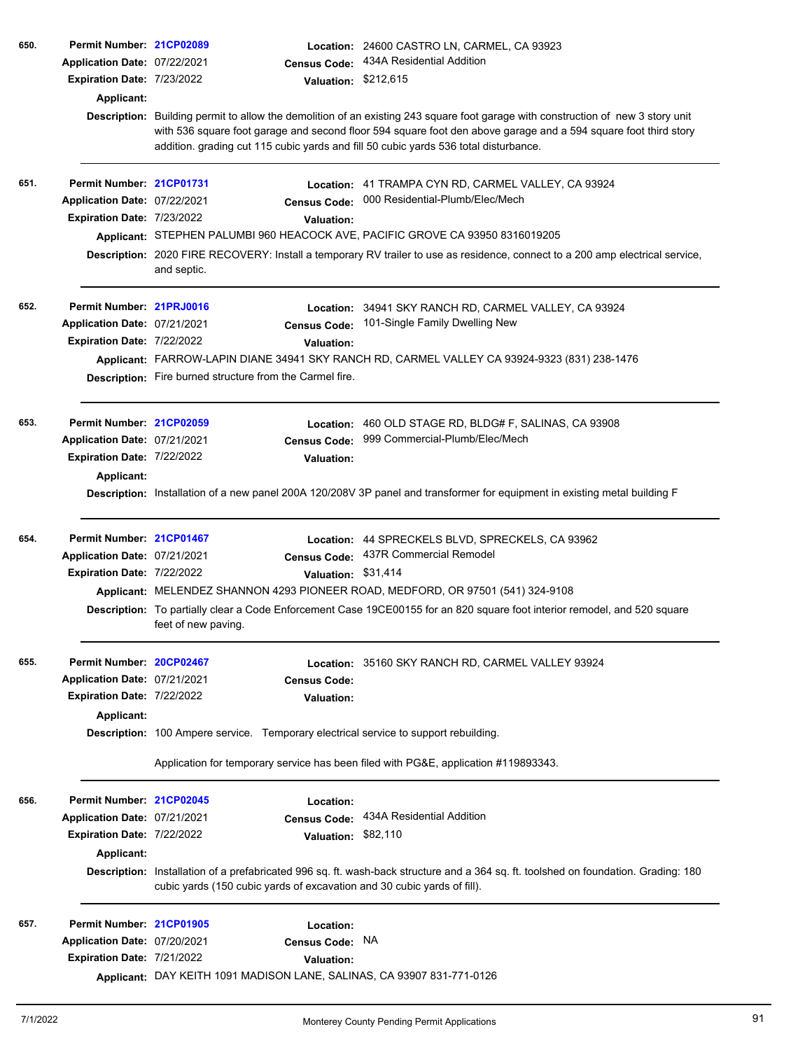| 650. | Permit Number: 21CP02089     |                                                          |                      | Location: 24600 CASTRO LN, CARMEL, CA 93923                                                                                                                                                                                                                                                                                                 |
|------|------------------------------|----------------------------------------------------------|----------------------|---------------------------------------------------------------------------------------------------------------------------------------------------------------------------------------------------------------------------------------------------------------------------------------------------------------------------------------------|
|      | Application Date: 07/22/2021 |                                                          | <b>Census Code:</b>  | 434A Residential Addition                                                                                                                                                                                                                                                                                                                   |
|      | Expiration Date: 7/23/2022   |                                                          | Valuation: \$212,615 |                                                                                                                                                                                                                                                                                                                                             |
|      | Applicant:                   |                                                          |                      |                                                                                                                                                                                                                                                                                                                                             |
|      |                              |                                                          |                      | Description: Building permit to allow the demolition of an existing 243 square foot garage with construction of new 3 story unit<br>with 536 square foot garage and second floor 594 square foot den above garage and a 594 square foot third story<br>addition. grading cut 115 cubic yards and fill 50 cubic yards 536 total disturbance. |
| 651. | Permit Number: 21CP01731     |                                                          |                      | Location: 41 TRAMPA CYN RD, CARMEL VALLEY, CA 93924                                                                                                                                                                                                                                                                                         |
|      | Application Date: 07/22/2021 |                                                          | <b>Census Code:</b>  | 000 Residential-Plumb/Elec/Mech                                                                                                                                                                                                                                                                                                             |
|      | Expiration Date: 7/23/2022   |                                                          | <b>Valuation:</b>    |                                                                                                                                                                                                                                                                                                                                             |
|      |                              |                                                          |                      | Applicant: STEPHEN PALUMBI 960 HEACOCK AVE, PACIFIC GROVE CA 93950 8316019205                                                                                                                                                                                                                                                               |
|      |                              | and septic.                                              |                      | Description: 2020 FIRE RECOVERY: Install a temporary RV trailer to use as residence, connect to a 200 amp electrical service,                                                                                                                                                                                                               |
| 652. | Permit Number: 21PRJ0016     |                                                          |                      | Location: 34941 SKY RANCH RD, CARMEL VALLEY, CA 93924                                                                                                                                                                                                                                                                                       |
|      | Application Date: 07/21/2021 |                                                          | <b>Census Code:</b>  | 101-Single Family Dwelling New                                                                                                                                                                                                                                                                                                              |
|      | Expiration Date: 7/22/2022   |                                                          | <b>Valuation:</b>    |                                                                                                                                                                                                                                                                                                                                             |
|      |                              |                                                          |                      | Applicant: FARROW-LAPIN DIANE 34941 SKY RANCH RD, CARMEL VALLEY CA 93924-9323 (831) 238-1476                                                                                                                                                                                                                                                |
|      |                              | Description: Fire burned structure from the Carmel fire. |                      |                                                                                                                                                                                                                                                                                                                                             |
| 653. | Permit Number: 21CP02059     |                                                          | Location:            | 460 OLD STAGE RD, BLDG# F, SALINAS, CA 93908                                                                                                                                                                                                                                                                                                |
|      | Application Date: 07/21/2021 |                                                          | <b>Census Code:</b>  | 999 Commercial-Plumb/Elec/Mech                                                                                                                                                                                                                                                                                                              |
|      | Expiration Date: 7/22/2022   |                                                          | <b>Valuation:</b>    |                                                                                                                                                                                                                                                                                                                                             |
|      | Applicant:                   |                                                          |                      |                                                                                                                                                                                                                                                                                                                                             |
|      |                              |                                                          |                      | Description: Installation of a new panel 200A 120/208V 3P panel and transformer for equipment in existing metal building F                                                                                                                                                                                                                  |
| 654. | Permit Number: 21CP01467     |                                                          |                      | Location: 44 SPRECKELS BLVD, SPRECKELS, CA 93962                                                                                                                                                                                                                                                                                            |
|      | Application Date: 07/21/2021 |                                                          | <b>Census Code:</b>  | 437R Commercial Remodel                                                                                                                                                                                                                                                                                                                     |
|      | Expiration Date: 7/22/2022   |                                                          | Valuation: \$31,414  |                                                                                                                                                                                                                                                                                                                                             |
|      |                              |                                                          |                      | Applicant: MELENDEZ SHANNON 4293 PIONEER ROAD, MEDFORD, OR 97501 (541) 324-9108                                                                                                                                                                                                                                                             |
|      |                              | feet of new paving.                                      |                      | Description: To partially clear a Code Enforcement Case 19CE00155 for an 820 square foot interior remodel, and 520 square                                                                                                                                                                                                                   |
| 655. | Permit Number: 20CP02467     |                                                          |                      | Location: 35160 SKY RANCH RD, CARMEL VALLEY 93924                                                                                                                                                                                                                                                                                           |
|      | Application Date: 07/21/2021 |                                                          | <b>Census Code:</b>  |                                                                                                                                                                                                                                                                                                                                             |
|      | Expiration Date: 7/22/2022   |                                                          | <b>Valuation:</b>    |                                                                                                                                                                                                                                                                                                                                             |
|      | Applicant:                   |                                                          |                      |                                                                                                                                                                                                                                                                                                                                             |
|      |                              |                                                          |                      | Description: 100 Ampere service. Temporary electrical service to support rebuilding.                                                                                                                                                                                                                                                        |
|      |                              |                                                          |                      | Application for temporary service has been filed with PG&E, application #119893343.                                                                                                                                                                                                                                                         |
| 656. | Permit Number: 21CP02045     |                                                          | Location:            |                                                                                                                                                                                                                                                                                                                                             |
|      | Application Date: 07/21/2021 |                                                          | <b>Census Code:</b>  | 434A Residential Addition                                                                                                                                                                                                                                                                                                                   |
|      | Expiration Date: 7/22/2022   |                                                          | Valuation: \$82,110  |                                                                                                                                                                                                                                                                                                                                             |
|      | Applicant:                   |                                                          |                      |                                                                                                                                                                                                                                                                                                                                             |
|      |                              |                                                          |                      | Description: Installation of a prefabricated 996 sq. ft. wash-back structure and a 364 sq. ft. toolshed on foundation. Grading: 180<br>cubic yards (150 cubic yards of excavation and 30 cubic yards of fill).                                                                                                                              |
| 657. | Permit Number: 21CP01905     |                                                          | Location:            |                                                                                                                                                                                                                                                                                                                                             |
|      | Application Date: 07/20/2021 |                                                          | <b>Census Code:</b>  | NA                                                                                                                                                                                                                                                                                                                                          |
|      | Expiration Date: 7/21/2022   |                                                          | <b>Valuation:</b>    |                                                                                                                                                                                                                                                                                                                                             |
|      |                              |                                                          |                      | Applicant: DAY KEITH 1091 MADISON LANE, SALINAS, CA 93907 831-771-0126                                                                                                                                                                                                                                                                      |
|      |                              |                                                          |                      |                                                                                                                                                                                                                                                                                                                                             |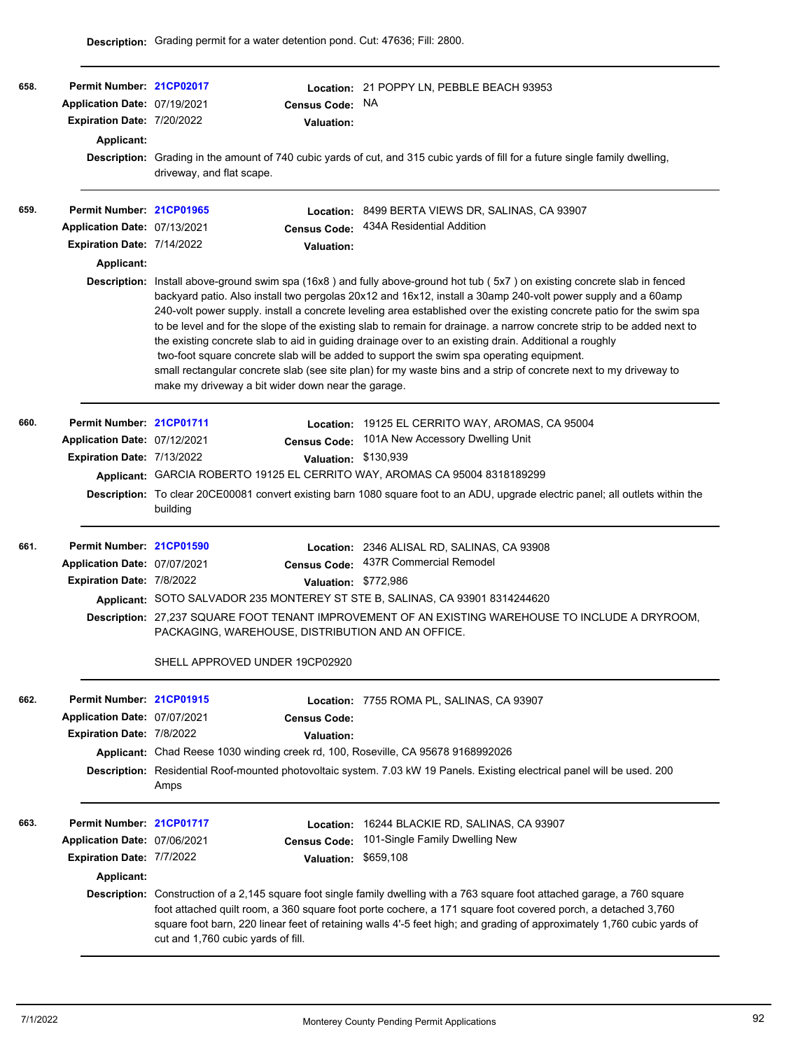| 658. | Permit Number: 21CP02017                                   |                                                                                                                                                                                                                                                                                                                                                                                                              |                                                    | Location: 21 POPPY LN, PEBBLE BEACH 93953                                                                                                                                                                                                                                                                                                                                                                                                                                                                                                                                                                                                                                                                                                                                                                              |  |  |
|------|------------------------------------------------------------|--------------------------------------------------------------------------------------------------------------------------------------------------------------------------------------------------------------------------------------------------------------------------------------------------------------------------------------------------------------------------------------------------------------|----------------------------------------------------|------------------------------------------------------------------------------------------------------------------------------------------------------------------------------------------------------------------------------------------------------------------------------------------------------------------------------------------------------------------------------------------------------------------------------------------------------------------------------------------------------------------------------------------------------------------------------------------------------------------------------------------------------------------------------------------------------------------------------------------------------------------------------------------------------------------------|--|--|
|      | Application Date: 07/19/2021<br>Expiration Date: 7/20/2022 |                                                                                                                                                                                                                                                                                                                                                                                                              | <b>Census Code:</b>                                | <b>NA</b>                                                                                                                                                                                                                                                                                                                                                                                                                                                                                                                                                                                                                                                                                                                                                                                                              |  |  |
|      |                                                            |                                                                                                                                                                                                                                                                                                                                                                                                              | Valuation:                                         |                                                                                                                                                                                                                                                                                                                                                                                                                                                                                                                                                                                                                                                                                                                                                                                                                        |  |  |
|      | <b>Applicant:</b>                                          |                                                                                                                                                                                                                                                                                                                                                                                                              |                                                    |                                                                                                                                                                                                                                                                                                                                                                                                                                                                                                                                                                                                                                                                                                                                                                                                                        |  |  |
|      |                                                            | driveway, and flat scape.                                                                                                                                                                                                                                                                                                                                                                                    |                                                    | Description: Grading in the amount of 740 cubic yards of cut, and 315 cubic yards of fill for a future single family dwelling,                                                                                                                                                                                                                                                                                                                                                                                                                                                                                                                                                                                                                                                                                         |  |  |
| 659. | Permit Number: 21CP01965                                   |                                                                                                                                                                                                                                                                                                                                                                                                              |                                                    | Location: 8499 BERTA VIEWS DR, SALINAS, CA 93907                                                                                                                                                                                                                                                                                                                                                                                                                                                                                                                                                                                                                                                                                                                                                                       |  |  |
|      | Application Date: 07/13/2021                               |                                                                                                                                                                                                                                                                                                                                                                                                              | <b>Census Code:</b>                                | 434A Residential Addition                                                                                                                                                                                                                                                                                                                                                                                                                                                                                                                                                                                                                                                                                                                                                                                              |  |  |
|      | Expiration Date: 7/14/2022                                 |                                                                                                                                                                                                                                                                                                                                                                                                              | Valuation:                                         |                                                                                                                                                                                                                                                                                                                                                                                                                                                                                                                                                                                                                                                                                                                                                                                                                        |  |  |
|      | Applicant:                                                 |                                                                                                                                                                                                                                                                                                                                                                                                              |                                                    |                                                                                                                                                                                                                                                                                                                                                                                                                                                                                                                                                                                                                                                                                                                                                                                                                        |  |  |
|      |                                                            |                                                                                                                                                                                                                                                                                                                                                                                                              | make my driveway a bit wider down near the garage. | Description: Install above-ground swim spa (16x8) and fully above-ground hot tub (5x7) on existing concrete slab in fenced<br>backyard patio. Also install two pergolas 20x12 and 16x12, install a 30amp 240-volt power supply and a 60amp<br>240-volt power supply. install a concrete leveling area established over the existing concrete patio for the swim spa<br>to be level and for the slope of the existing slab to remain for drainage. a narrow concrete strip to be added next to<br>the existing concrete slab to aid in guiding drainage over to an existing drain. Additional a roughly<br>two-foot square concrete slab will be added to support the swim spa operating equipment.<br>small rectangular concrete slab (see site plan) for my waste bins and a strip of concrete next to my driveway to |  |  |
| 660. | Permit Number: 21CP01711                                   |                                                                                                                                                                                                                                                                                                                                                                                                              |                                                    | Location: 19125 EL CERRITO WAY, AROMAS, CA 95004                                                                                                                                                                                                                                                                                                                                                                                                                                                                                                                                                                                                                                                                                                                                                                       |  |  |
|      | Application Date: 07/12/2021                               |                                                                                                                                                                                                                                                                                                                                                                                                              |                                                    | Census Code: 101A New Accessory Dwelling Unit                                                                                                                                                                                                                                                                                                                                                                                                                                                                                                                                                                                                                                                                                                                                                                          |  |  |
|      | <b>Expiration Date: 7/13/2022</b>                          |                                                                                                                                                                                                                                                                                                                                                                                                              | Valuation: \$130,939                               |                                                                                                                                                                                                                                                                                                                                                                                                                                                                                                                                                                                                                                                                                                                                                                                                                        |  |  |
|      |                                                            |                                                                                                                                                                                                                                                                                                                                                                                                              |                                                    | Applicant: GARCIA ROBERTO 19125 EL CERRITO WAY, AROMAS CA 95004 8318189299                                                                                                                                                                                                                                                                                                                                                                                                                                                                                                                                                                                                                                                                                                                                             |  |  |
|      |                                                            | building                                                                                                                                                                                                                                                                                                                                                                                                     |                                                    | Description: To clear 20CE00081 convert existing barn 1080 square foot to an ADU, upgrade electric panel; all outlets within the                                                                                                                                                                                                                                                                                                                                                                                                                                                                                                                                                                                                                                                                                       |  |  |
| 661. | Permit Number: 21CP01590                                   |                                                                                                                                                                                                                                                                                                                                                                                                              |                                                    | Location: 2346 ALISAL RD, SALINAS, CA 93908                                                                                                                                                                                                                                                                                                                                                                                                                                                                                                                                                                                                                                                                                                                                                                            |  |  |
|      | Application Date: 07/07/2021                               |                                                                                                                                                                                                                                                                                                                                                                                                              | <b>Census Code:</b>                                | 437R Commercial Remodel                                                                                                                                                                                                                                                                                                                                                                                                                                                                                                                                                                                                                                                                                                                                                                                                |  |  |
|      | Expiration Date: 7/8/2022                                  |                                                                                                                                                                                                                                                                                                                                                                                                              | Valuation: \$772,986                               |                                                                                                                                                                                                                                                                                                                                                                                                                                                                                                                                                                                                                                                                                                                                                                                                                        |  |  |
|      |                                                            |                                                                                                                                                                                                                                                                                                                                                                                                              |                                                    | Applicant: SOTO SALVADOR 235 MONTEREY ST STE B, SALINAS, CA 93901 8314244620                                                                                                                                                                                                                                                                                                                                                                                                                                                                                                                                                                                                                                                                                                                                           |  |  |
|      |                                                            | Description: 27,237 SQUARE FOOT TENANT IMPROVEMENT OF AN EXISTING WAREHOUSE TO INCLUDE A DRYROOM,<br>PACKAGING, WAREHOUSE, DISTRIBUTION AND AN OFFICE.                                                                                                                                                                                                                                                       |                                                    |                                                                                                                                                                                                                                                                                                                                                                                                                                                                                                                                                                                                                                                                                                                                                                                                                        |  |  |
|      |                                                            |                                                                                                                                                                                                                                                                                                                                                                                                              | SHELL APPROVED UNDER 19CP02920                     |                                                                                                                                                                                                                                                                                                                                                                                                                                                                                                                                                                                                                                                                                                                                                                                                                        |  |  |
| 662. | Permit Number: 21CP01915                                   |                                                                                                                                                                                                                                                                                                                                                                                                              |                                                    | Location: 7755 ROMA PL, SALINAS, CA 93907                                                                                                                                                                                                                                                                                                                                                                                                                                                                                                                                                                                                                                                                                                                                                                              |  |  |
|      | Application Date: 07/07/2021                               |                                                                                                                                                                                                                                                                                                                                                                                                              | <b>Census Code:</b>                                |                                                                                                                                                                                                                                                                                                                                                                                                                                                                                                                                                                                                                                                                                                                                                                                                                        |  |  |
|      | Expiration Date: 7/8/2022                                  |                                                                                                                                                                                                                                                                                                                                                                                                              | Valuation:                                         |                                                                                                                                                                                                                                                                                                                                                                                                                                                                                                                                                                                                                                                                                                                                                                                                                        |  |  |
|      |                                                            |                                                                                                                                                                                                                                                                                                                                                                                                              |                                                    | Applicant: Chad Reese 1030 winding creek rd, 100, Roseville, CA 95678 9168992026                                                                                                                                                                                                                                                                                                                                                                                                                                                                                                                                                                                                                                                                                                                                       |  |  |
|      |                                                            | Amps                                                                                                                                                                                                                                                                                                                                                                                                         |                                                    | Description: Residential Roof-mounted photovoltaic system. 7.03 kW 19 Panels. Existing electrical panel will be used. 200                                                                                                                                                                                                                                                                                                                                                                                                                                                                                                                                                                                                                                                                                              |  |  |
| 663. | Permit Number: 21CP01717                                   |                                                                                                                                                                                                                                                                                                                                                                                                              | Location:                                          | 16244 BLACKIE RD, SALINAS, CA 93907                                                                                                                                                                                                                                                                                                                                                                                                                                                                                                                                                                                                                                                                                                                                                                                    |  |  |
|      | Application Date: 07/06/2021                               |                                                                                                                                                                                                                                                                                                                                                                                                              | <b>Census Code:</b>                                | 101-Single Family Dwelling New                                                                                                                                                                                                                                                                                                                                                                                                                                                                                                                                                                                                                                                                                                                                                                                         |  |  |
|      | Expiration Date: 7/7/2022                                  |                                                                                                                                                                                                                                                                                                                                                                                                              | <b>Valuation:</b>                                  | \$659,108                                                                                                                                                                                                                                                                                                                                                                                                                                                                                                                                                                                                                                                                                                                                                                                                              |  |  |
|      | Applicant:                                                 |                                                                                                                                                                                                                                                                                                                                                                                                              |                                                    |                                                                                                                                                                                                                                                                                                                                                                                                                                                                                                                                                                                                                                                                                                                                                                                                                        |  |  |
|      |                                                            | Description: Construction of a 2,145 square foot single family dwelling with a 763 square foot attached garage, a 760 square<br>foot attached quilt room, a 360 square foot porte cochere, a 171 square foot covered porch, a detached 3,760<br>square foot barn, 220 linear feet of retaining walls 4'-5 feet high; and grading of approximately 1,760 cubic yards of<br>cut and 1,760 cubic yards of fill. |                                                    |                                                                                                                                                                                                                                                                                                                                                                                                                                                                                                                                                                                                                                                                                                                                                                                                                        |  |  |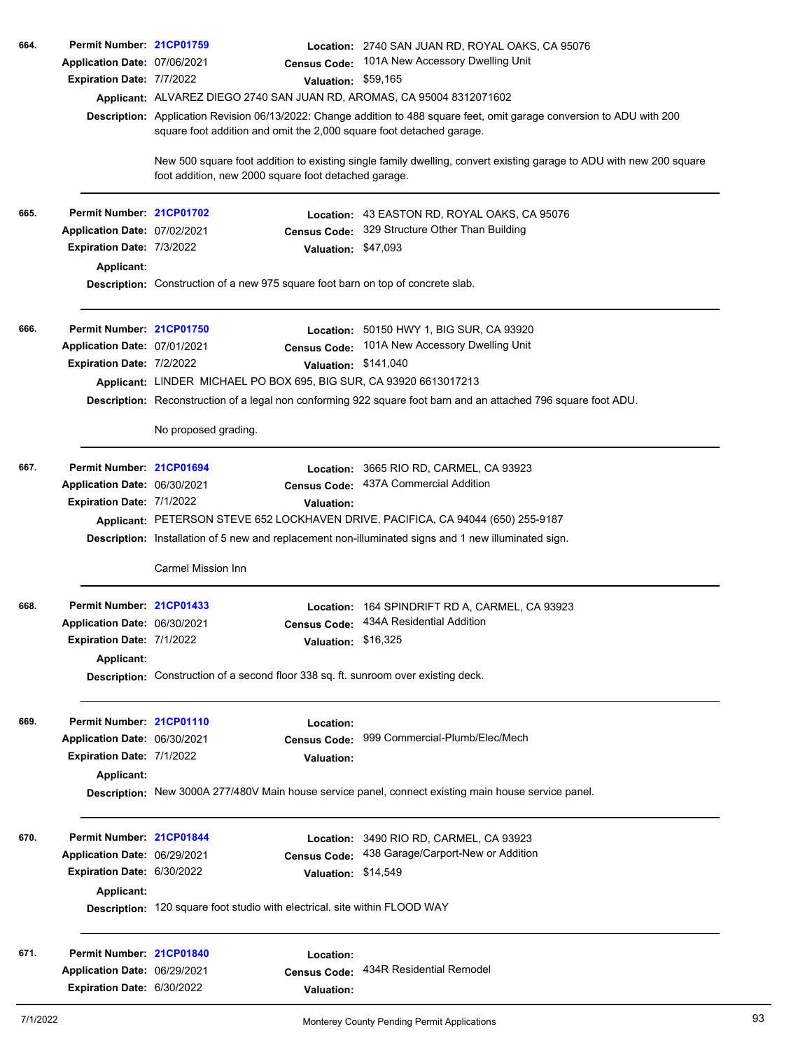| 664. | Permit Number: 21CP01759     |                                                                            |                      | Location: 2740 SAN JUAN RD, ROYAL OAKS, CA 95076                                                                                                                                                 |
|------|------------------------------|----------------------------------------------------------------------------|----------------------|--------------------------------------------------------------------------------------------------------------------------------------------------------------------------------------------------|
|      | Application Date: 07/06/2021 |                                                                            |                      | Census Code: 101A New Accessory Dwelling Unit                                                                                                                                                    |
|      | Expiration Date: 7/7/2022    |                                                                            | Valuation: \$59,165  |                                                                                                                                                                                                  |
|      |                              |                                                                            |                      | Applicant: ALVAREZ DIEGO 2740 SAN JUAN RD, AROMAS, CA 95004 8312071602                                                                                                                           |
|      |                              |                                                                            |                      | Description: Application Revision 06/13/2022: Change addition to 488 square feet, omit garage conversion to ADU with 200<br>square foot addition and omit the 2,000 square foot detached garage. |
|      |                              | foot addition, new 2000 square foot detached garage.                       |                      | New 500 square foot addition to existing single family dwelling, convert existing garage to ADU with new 200 square                                                                              |
| 665. | Permit Number: 21CP01702     |                                                                            |                      | Location: 43 EASTON RD, ROYAL OAKS, CA 95076                                                                                                                                                     |
|      | Application Date: 07/02/2021 |                                                                            |                      | Census Code: 329 Structure Other Than Building                                                                                                                                                   |
|      | Expiration Date: 7/3/2022    |                                                                            | Valuation: \$47,093  |                                                                                                                                                                                                  |
|      | Applicant:                   |                                                                            |                      |                                                                                                                                                                                                  |
|      |                              |                                                                            |                      | Description: Construction of a new 975 square foot barn on top of concrete slab.                                                                                                                 |
| 666. | Permit Number: 21CP01750     |                                                                            |                      | <b>Location:</b> 50150 HWY 1, BIG SUR, CA 93920                                                                                                                                                  |
|      | Application Date: 07/01/2021 |                                                                            |                      | Census Code: 101A New Accessory Dwelling Unit                                                                                                                                                    |
|      | Expiration Date: 7/2/2022    |                                                                            | Valuation: \$141,040 |                                                                                                                                                                                                  |
|      |                              |                                                                            |                      | Applicant: LINDER MICHAEL PO BOX 695, BIG SUR, CA 93920 6613017213                                                                                                                               |
|      |                              |                                                                            |                      | Description: Reconstruction of a legal non conforming 922 square foot barn and an attached 796 square foot ADU.                                                                                  |
|      |                              | No proposed grading.                                                       |                      |                                                                                                                                                                                                  |
| 667. | Permit Number: 21CP01694     |                                                                            |                      | Location: 3665 RIO RD, CARMEL, CA 93923                                                                                                                                                          |
|      | Application Date: 06/30/2021 |                                                                            | <b>Census Code:</b>  | 437A Commercial Addition                                                                                                                                                                         |
|      | Expiration Date: 7/1/2022    |                                                                            | <b>Valuation:</b>    |                                                                                                                                                                                                  |
|      |                              |                                                                            |                      | Applicant: PETERSON STEVE 652 LOCKHAVEN DRIVE, PACIFICA, CA 94044 (650) 255-9187                                                                                                                 |
|      |                              |                                                                            |                      | Description: Installation of 5 new and replacement non-illuminated signs and 1 new illuminated sign.                                                                                             |
|      |                              | Carmel Mission Inn                                                         |                      |                                                                                                                                                                                                  |
| 668. | Permit Number: 21CP01433     |                                                                            |                      | Location: 164 SPINDRIFT RD A, CARMEL, CA 93923                                                                                                                                                   |
|      | Application Date: 06/30/2021 |                                                                            |                      | Census Code: 434A Residential Addition                                                                                                                                                           |
|      | Expiration Date: 7/1/2022    |                                                                            | Valuation: \$16,325  |                                                                                                                                                                                                  |
|      | <b>Applicant:</b>            |                                                                            |                      |                                                                                                                                                                                                  |
|      |                              |                                                                            |                      | Description: Construction of a second floor 338 sq. ft. sunroom over existing deck.                                                                                                              |
| 669. | Permit Number: 21CP01110     |                                                                            | Location:            |                                                                                                                                                                                                  |
|      | Application Date: 06/30/2021 |                                                                            | <b>Census Code:</b>  | 999 Commercial-Plumb/Elec/Mech                                                                                                                                                                   |
|      | Expiration Date: 7/1/2022    |                                                                            | <b>Valuation:</b>    |                                                                                                                                                                                                  |
|      | Applicant:                   |                                                                            |                      |                                                                                                                                                                                                  |
|      |                              |                                                                            |                      | Description: New 3000A 277/480V Main house service panel, connect existing main house service panel.                                                                                             |
| 670. | Permit Number: 21CP01844     |                                                                            |                      | Location: 3490 RIO RD, CARMEL, CA 93923                                                                                                                                                          |
|      | Application Date: 06/29/2021 |                                                                            |                      | Census Code: 438 Garage/Carport-New or Addition                                                                                                                                                  |
|      | Expiration Date: 6/30/2022   |                                                                            | Valuation: \$14,549  |                                                                                                                                                                                                  |
|      | Applicant:                   |                                                                            |                      |                                                                                                                                                                                                  |
|      |                              | Description: 120 square foot studio with electrical. site within FLOOD WAY |                      |                                                                                                                                                                                                  |
|      |                              |                                                                            |                      |                                                                                                                                                                                                  |
| 671. | Permit Number: 21CP01840     |                                                                            | Location:            |                                                                                                                                                                                                  |
|      | Application Date: 06/29/2021 |                                                                            | <b>Census Code:</b>  | 434R Residential Remodel                                                                                                                                                                         |
|      | Expiration Date: 6/30/2022   |                                                                            | <b>Valuation:</b>    |                                                                                                                                                                                                  |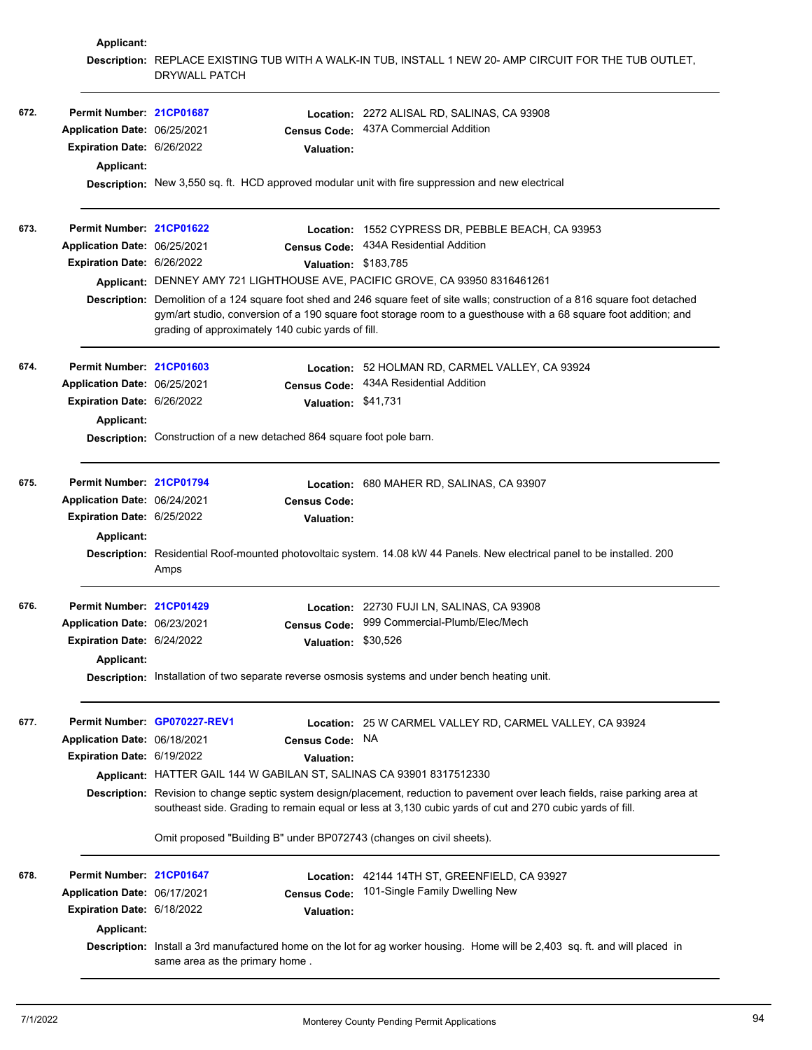|      | <b>Applicant:</b>            |                                                                                                                                                                                                                                            |                                                                                                                                                                                                                                                     |  |  |  |  |
|------|------------------------------|--------------------------------------------------------------------------------------------------------------------------------------------------------------------------------------------------------------------------------------------|-----------------------------------------------------------------------------------------------------------------------------------------------------------------------------------------------------------------------------------------------------|--|--|--|--|
|      |                              | DRYWALL PATCH                                                                                                                                                                                                                              | Description: REPLACE EXISTING TUB WITH A WALK-IN TUB, INSTALL 1 NEW 20- AMP CIRCUIT FOR THE TUB OUTLET,                                                                                                                                             |  |  |  |  |
| 672. | Permit Number: 21CP01687     |                                                                                                                                                                                                                                            | Location: 2272 ALISAL RD, SALINAS, CA 93908                                                                                                                                                                                                         |  |  |  |  |
|      | Application Date: 06/25/2021 | <b>Census Code:</b>                                                                                                                                                                                                                        | 437A Commercial Addition                                                                                                                                                                                                                            |  |  |  |  |
|      | Expiration Date: 6/26/2022   | <b>Valuation:</b>                                                                                                                                                                                                                          |                                                                                                                                                                                                                                                     |  |  |  |  |
|      | <b>Applicant:</b>            |                                                                                                                                                                                                                                            |                                                                                                                                                                                                                                                     |  |  |  |  |
|      |                              | Description: New 3,550 sq. ft. HCD approved modular unit with fire suppression and new electrical                                                                                                                                          |                                                                                                                                                                                                                                                     |  |  |  |  |
| 673. | Permit Number: 21CP01622     |                                                                                                                                                                                                                                            | Location: 1552 CYPRESS DR, PEBBLE BEACH, CA 93953                                                                                                                                                                                                   |  |  |  |  |
|      | Application Date: 06/25/2021 | <b>Census Code:</b>                                                                                                                                                                                                                        | 434A Residential Addition                                                                                                                                                                                                                           |  |  |  |  |
|      | Expiration Date: 6/26/2022   |                                                                                                                                                                                                                                            | Valuation: \$183,785                                                                                                                                                                                                                                |  |  |  |  |
|      |                              | Applicant: DENNEY AMY 721 LIGHTHOUSE AVE, PACIFIC GROVE, CA 93950 8316461261                                                                                                                                                               |                                                                                                                                                                                                                                                     |  |  |  |  |
|      |                              | grading of approximately 140 cubic yards of fill.                                                                                                                                                                                          | Description: Demolition of a 124 square foot shed and 246 square feet of site walls; construction of a 816 square foot detached<br>gym/art studio, conversion of a 190 square foot storage room to a guesthouse with a 68 square foot addition; and |  |  |  |  |
| 674. | Permit Number: 21CP01603     |                                                                                                                                                                                                                                            | Location: 52 HOLMAN RD, CARMEL VALLEY, CA 93924                                                                                                                                                                                                     |  |  |  |  |
|      | Application Date: 06/25/2021 | Census Code:                                                                                                                                                                                                                               | 434A Residential Addition                                                                                                                                                                                                                           |  |  |  |  |
|      | Expiration Date: 6/26/2022   | Valuation: \$41,731                                                                                                                                                                                                                        |                                                                                                                                                                                                                                                     |  |  |  |  |
|      | <b>Applicant:</b>            |                                                                                                                                                                                                                                            |                                                                                                                                                                                                                                                     |  |  |  |  |
|      |                              | Description: Construction of a new detached 864 square foot pole barn.                                                                                                                                                                     |                                                                                                                                                                                                                                                     |  |  |  |  |
| 675. | Permit Number: 21CP01794     |                                                                                                                                                                                                                                            | Location: 680 MAHER RD, SALINAS, CA 93907                                                                                                                                                                                                           |  |  |  |  |
|      | Application Date: 06/24/2021 | <b>Census Code:</b>                                                                                                                                                                                                                        |                                                                                                                                                                                                                                                     |  |  |  |  |
|      | Expiration Date: 6/25/2022   | <b>Valuation:</b>                                                                                                                                                                                                                          |                                                                                                                                                                                                                                                     |  |  |  |  |
|      | Applicant:                   |                                                                                                                                                                                                                                            |                                                                                                                                                                                                                                                     |  |  |  |  |
|      |                              | Amps                                                                                                                                                                                                                                       | Description: Residential Roof-mounted photovoltaic system. 14.08 kW 44 Panels. New electrical panel to be installed. 200                                                                                                                            |  |  |  |  |
| 676. | Permit Number: 21CP01429     |                                                                                                                                                                                                                                            | Location: 22730 FUJI LN, SALINAS, CA 93908                                                                                                                                                                                                          |  |  |  |  |
|      | Application Date: 06/23/2021 |                                                                                                                                                                                                                                            | Census Code: 999 Commercial-Plumb/Elec/Mech                                                                                                                                                                                                         |  |  |  |  |
|      | Expiration Date: 6/24/2022   |                                                                                                                                                                                                                                            | Valuation: \$30,526                                                                                                                                                                                                                                 |  |  |  |  |
|      | <b>Applicant:</b>            |                                                                                                                                                                                                                                            |                                                                                                                                                                                                                                                     |  |  |  |  |
|      |                              | Description: Installation of two separate reverse osmosis systems and under bench heating unit.                                                                                                                                            |                                                                                                                                                                                                                                                     |  |  |  |  |
| 677. |                              | Permit Number GP070227-REV1                                                                                                                                                                                                                | Location: 25 W CARMEL VALLEY RD, CARMEL VALLEY, CA 93924                                                                                                                                                                                            |  |  |  |  |
|      | Application Date: 06/18/2021 | <b>Census Code:</b>                                                                                                                                                                                                                        | NA.                                                                                                                                                                                                                                                 |  |  |  |  |
|      | Expiration Date: 6/19/2022   | <b>Valuation:</b>                                                                                                                                                                                                                          |                                                                                                                                                                                                                                                     |  |  |  |  |
|      |                              | Applicant: HATTER GAIL 144 W GABILAN ST, SALINAS CA 93901 8317512330                                                                                                                                                                       |                                                                                                                                                                                                                                                     |  |  |  |  |
|      |                              | Description: Revision to change septic system design/placement, reduction to pavement over leach fields, raise parking area at<br>southeast side. Grading to remain equal or less at 3,130 cubic yards of cut and 270 cubic yards of fill. |                                                                                                                                                                                                                                                     |  |  |  |  |
|      |                              | Omit proposed "Building B" under BP072743 (changes on civil sheets).                                                                                                                                                                       |                                                                                                                                                                                                                                                     |  |  |  |  |
| 678. | Permit Number: 21CP01647     |                                                                                                                                                                                                                                            | Location: 42144 14TH ST, GREENFIELD, CA 93927                                                                                                                                                                                                       |  |  |  |  |
|      | Application Date: 06/17/2021 | <b>Census Code:</b>                                                                                                                                                                                                                        | 101-Single Family Dwelling New                                                                                                                                                                                                                      |  |  |  |  |
|      | Expiration Date: 6/18/2022   | <b>Valuation:</b>                                                                                                                                                                                                                          |                                                                                                                                                                                                                                                     |  |  |  |  |
|      | <b>Applicant:</b>            |                                                                                                                                                                                                                                            |                                                                                                                                                                                                                                                     |  |  |  |  |
|      |                              | same area as the primary home.                                                                                                                                                                                                             | Description: Install a 3rd manufactured home on the lot for ag worker housing. Home will be 2,403 sq. ft. and will placed in                                                                                                                        |  |  |  |  |
|      |                              |                                                                                                                                                                                                                                            |                                                                                                                                                                                                                                                     |  |  |  |  |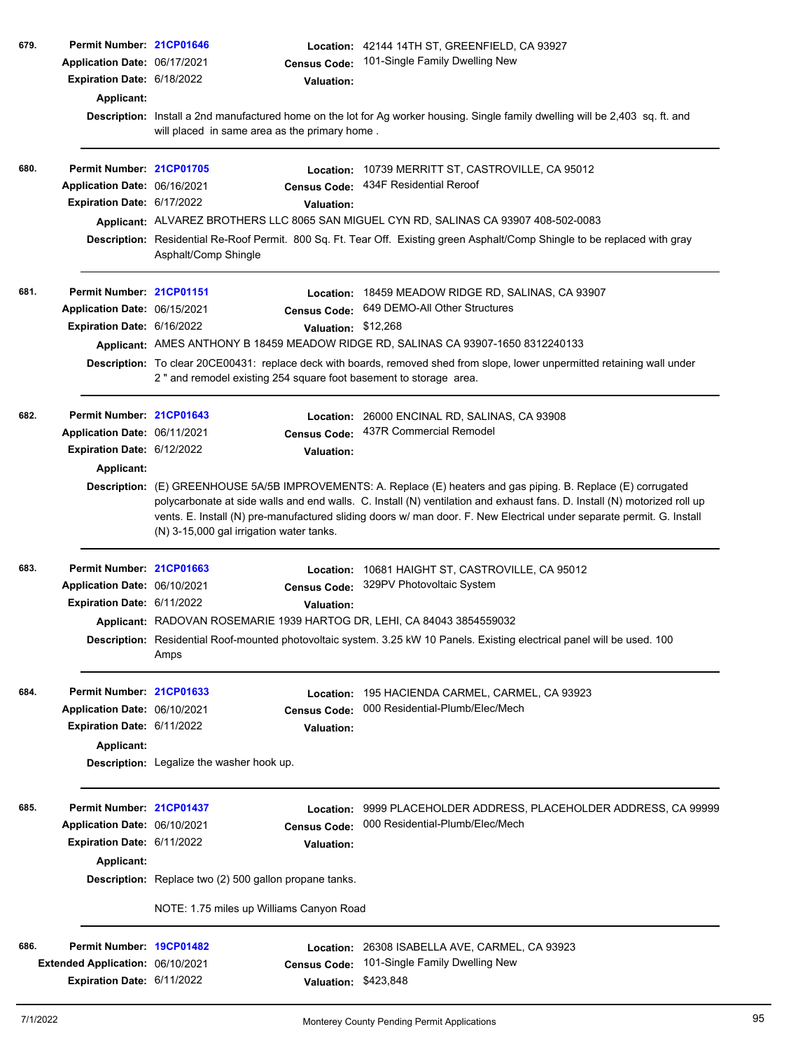| 679. | Permit Number: 21CP01646<br>Application Date: 06/17/2021<br>Expiration Date: 6/18/2022<br><b>Applicant:</b> |                                                        | <b>Census Code:</b><br><b>Valuation:</b>              | Location: 42144 14TH ST, GREENFIELD, CA 93927<br>101-Single Family Dwelling New<br>Description: Install a 2nd manufactured home on the lot for Ag worker housing. Single family dwelling will be 2,403 sq. ft. and                                                                                                                                                    |
|------|-------------------------------------------------------------------------------------------------------------|--------------------------------------------------------|-------------------------------------------------------|-----------------------------------------------------------------------------------------------------------------------------------------------------------------------------------------------------------------------------------------------------------------------------------------------------------------------------------------------------------------------|
|      |                                                                                                             | will placed in same area as the primary home.          |                                                       |                                                                                                                                                                                                                                                                                                                                                                       |
| 680. | Permit Number: 21CP01705<br>Application Date: 06/16/2021<br>Expiration Date: 6/17/2022                      | Asphalt/Comp Shingle                                   | Location:<br><b>Census Code:</b><br><b>Valuation:</b> | 10739 MERRITT ST, CASTROVILLE, CA 95012<br>434F Residential Reroof<br>Applicant: ALVAREZ BROTHERS LLC 8065 SAN MIGUEL CYN RD, SALINAS CA 93907 408-502-0083<br>Description: Residential Re-Roof Permit. 800 Sq. Ft. Tear Off. Existing green Asphalt/Comp Shingle to be replaced with gray                                                                            |
| 681. | Permit Number: 21CP01151                                                                                    |                                                        |                                                       | Location: 18459 MEADOW RIDGE RD, SALINAS, CA 93907                                                                                                                                                                                                                                                                                                                    |
|      | Application Date: 06/15/2021                                                                                |                                                        | <b>Census Code:</b>                                   | 649 DEMO-All Other Structures                                                                                                                                                                                                                                                                                                                                         |
|      | Expiration Date: 6/16/2022                                                                                  |                                                        | Valuation: \$12,268                                   |                                                                                                                                                                                                                                                                                                                                                                       |
|      |                                                                                                             |                                                        |                                                       | Applicant: AMES ANTHONY B 18459 MEADOW RIDGE RD, SALINAS CA 93907-1650 8312240133                                                                                                                                                                                                                                                                                     |
|      |                                                                                                             |                                                        |                                                       | Description: To clear 20CE00431: replace deck with boards, removed shed from slope, lower unpermitted retaining wall under<br>2" and remodel existing 254 square foot basement to storage area.                                                                                                                                                                       |
| 682. | Permit Number: 21CP01643<br>Application Date: 06/11/2021                                                    |                                                        | <b>Census Code:</b>                                   | Location: 26000 ENCINAL RD, SALINAS, CA 93908<br>437R Commercial Remodel                                                                                                                                                                                                                                                                                              |
|      | Expiration Date: 6/12/2022                                                                                  |                                                        | <b>Valuation:</b>                                     |                                                                                                                                                                                                                                                                                                                                                                       |
|      | <b>Applicant:</b>                                                                                           |                                                        |                                                       |                                                                                                                                                                                                                                                                                                                                                                       |
|      |                                                                                                             | (N) 3-15,000 gal irrigation water tanks.               |                                                       | Description: (E) GREENHOUSE 5A/5B IMPROVEMENTS: A. Replace (E) heaters and gas piping. B. Replace (E) corrugated<br>polycarbonate at side walls and end walls. C. Install (N) ventilation and exhaust fans. D. Install (N) motorized roll up<br>vents. E. Install (N) pre-manufactured sliding doors w/ man door. F. New Electrical under separate permit. G. Install |
| 683. | Permit Number: 21CP01663                                                                                    |                                                        |                                                       | Location: 10681 HAIGHT ST, CASTROVILLE, CA 95012                                                                                                                                                                                                                                                                                                                      |
|      | Application Date: 06/10/2021                                                                                |                                                        | <b>Census Code:</b>                                   | 329PV Photovoltaic System                                                                                                                                                                                                                                                                                                                                             |
|      | Expiration Date: 6/11/2022                                                                                  |                                                        | Valuation:                                            |                                                                                                                                                                                                                                                                                                                                                                       |
|      |                                                                                                             | Amps                                                   |                                                       | Applicant: RADOVAN ROSEMARIE 1939 HARTOG DR, LEHI, CA 84043 3854559032<br>Description: Residential Roof-mounted photovoltaic system. 3.25 kW 10 Panels. Existing electrical panel will be used. 100                                                                                                                                                                   |
| 684. | Permit Number: 21CP01633<br>Application Date: 06/10/2021<br>Expiration Date: 6/11/2022                      |                                                        | <b>Census Code:</b><br><b>Valuation:</b>              | Location: 195 HACIENDA CARMEL, CARMEL, CA 93923<br>000 Residential-Plumb/Elec/Mech                                                                                                                                                                                                                                                                                    |
|      | Applicant:                                                                                                  | Description: Legalize the washer hook up.              |                                                       |                                                                                                                                                                                                                                                                                                                                                                       |
| 685. | Permit Number: 21CP01437                                                                                    |                                                        | Location:                                             | 9999 PLACEHOLDER ADDRESS, PLACEHOLDER ADDRESS, CA 99999<br>000 Residential-Plumb/Elec/Mech                                                                                                                                                                                                                                                                            |
|      | Application Date: 06/10/2021<br>Expiration Date: 6/11/2022                                                  |                                                        | <b>Census Code:</b><br><b>Valuation:</b>              |                                                                                                                                                                                                                                                                                                                                                                       |
|      | Applicant:                                                                                                  |                                                        |                                                       |                                                                                                                                                                                                                                                                                                                                                                       |
|      |                                                                                                             | Description: Replace two (2) 500 gallon propane tanks. |                                                       |                                                                                                                                                                                                                                                                                                                                                                       |
|      |                                                                                                             | NOTE: 1.75 miles up Williams Canyon Road               |                                                       |                                                                                                                                                                                                                                                                                                                                                                       |
| 686. | Permit Number: 19CP01482                                                                                    |                                                        |                                                       | Location: 26308 ISABELLA AVE, CARMEL, CA 93923                                                                                                                                                                                                                                                                                                                        |
|      | Extended Application: 06/10/2021                                                                            |                                                        | <b>Census Code:</b>                                   | 101-Single Family Dwelling New                                                                                                                                                                                                                                                                                                                                        |
|      | Expiration Date: 6/11/2022                                                                                  |                                                        | <b>Valuation:</b>                                     | \$423,848                                                                                                                                                                                                                                                                                                                                                             |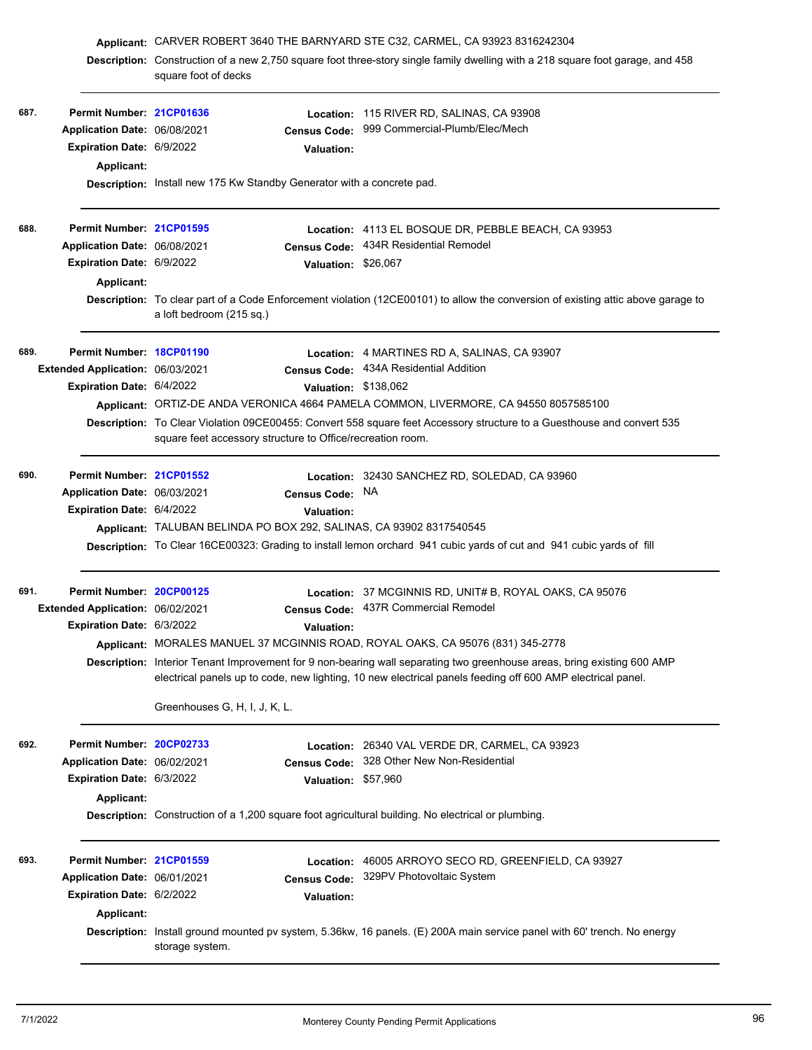|      |                                  | Applicant: CARVER ROBERT 3640 THE BARNYARD STE C32, CARMEL, CA 93923 8316242304                           |                                                                                                                                                                                                                                       |  |
|------|----------------------------------|-----------------------------------------------------------------------------------------------------------|---------------------------------------------------------------------------------------------------------------------------------------------------------------------------------------------------------------------------------------|--|
|      |                                  | square foot of decks                                                                                      | Description: Construction of a new 2,750 square foot three-story single family dwelling with a 218 square foot garage, and 458                                                                                                        |  |
| 687. | Permit Number: 21CP01636         |                                                                                                           | <b>Location: 115 RIVER RD, SALINAS, CA 93908</b>                                                                                                                                                                                      |  |
|      | Application Date: 06/08/2021     | Census Code:                                                                                              | 999 Commercial-Plumb/Elec/Mech                                                                                                                                                                                                        |  |
|      | Expiration Date: 6/9/2022        | <b>Valuation:</b>                                                                                         |                                                                                                                                                                                                                                       |  |
|      | Applicant:                       |                                                                                                           |                                                                                                                                                                                                                                       |  |
|      |                                  | Description: Install new 175 Kw Standby Generator with a concrete pad.                                    |                                                                                                                                                                                                                                       |  |
| 688. | Permit Number: 21CP01595         |                                                                                                           | Location: 4113 EL BOSQUE DR, PEBBLE BEACH, CA 93953                                                                                                                                                                                   |  |
|      | Application Date: 06/08/2021     | <b>Census Code:</b>                                                                                       | 434R Residential Remodel                                                                                                                                                                                                              |  |
|      | Expiration Date: 6/9/2022        | Valuation: \$26,067                                                                                       |                                                                                                                                                                                                                                       |  |
|      | <b>Applicant:</b>                |                                                                                                           |                                                                                                                                                                                                                                       |  |
|      |                                  | a loft bedroom (215 sq.)                                                                                  | Description: To clear part of a Code Enforcement violation (12CE00101) to allow the conversion of existing attic above garage to                                                                                                      |  |
| 689. | Permit Number: 18CP01190         |                                                                                                           | Location: 4 MARTINES RD A, SALINAS, CA 93907                                                                                                                                                                                          |  |
|      | Extended Application: 06/03/2021 | <b>Census Code:</b>                                                                                       | 434A Residential Addition                                                                                                                                                                                                             |  |
|      | Expiration Date: 6/4/2022        | Valuation: \$138,062                                                                                      |                                                                                                                                                                                                                                       |  |
|      |                                  |                                                                                                           | Applicant: ORTIZ-DE ANDA VERONICA 4664 PAMELA COMMON, LIVERMORE, CA 94550 8057585100                                                                                                                                                  |  |
|      |                                  | square feet accessory structure to Office/recreation room.                                                | Description: To Clear Violation 09CE00455: Convert 558 square feet Accessory structure to a Guesthouse and convert 535                                                                                                                |  |
| 690. | Permit Number: 21CP01552         |                                                                                                           | Location: 32430 SANCHEZ RD, SOLEDAD, CA 93960                                                                                                                                                                                         |  |
|      | Application Date: 06/03/2021     | <b>Census Code:</b>                                                                                       | NA.                                                                                                                                                                                                                                   |  |
|      | Expiration Date: 6/4/2022        | <b>Valuation:</b>                                                                                         |                                                                                                                                                                                                                                       |  |
|      |                                  | Applicant: TALUBAN BELINDA PO BOX 292, SALINAS, CA 93902 8317540545                                       |                                                                                                                                                                                                                                       |  |
|      |                                  |                                                                                                           | Description: To Clear 16CE00323: Grading to install lemon orchard 941 cubic yards of cut and 941 cubic yards of fill                                                                                                                  |  |
| 691. | Permit Number: 20CP00125         |                                                                                                           | Location: 37 MCGINNIS RD, UNIT# B, ROYAL OAKS, CA 95076                                                                                                                                                                               |  |
|      | Extended Application: 06/02/2021 |                                                                                                           | Census Code: 437R Commercial Remodel                                                                                                                                                                                                  |  |
|      | Expiration Date: 6/3/2022        | Valuation:                                                                                                |                                                                                                                                                                                                                                       |  |
|      |                                  |                                                                                                           | Applicant: MORALES MANUEL 37 MCGINNIS ROAD, ROYAL OAKS, CA 95076 (831) 345-2778                                                                                                                                                       |  |
|      |                                  |                                                                                                           | Description: Interior Tenant Improvement for 9 non-bearing wall separating two greenhouse areas, bring existing 600 AMP<br>electrical panels up to code, new lighting, 10 new electrical panels feeding off 600 AMP electrical panel. |  |
|      |                                  | Greenhouses G, H, I, J, K, L.                                                                             |                                                                                                                                                                                                                                       |  |
| 692. | Permit Number: 20CP02733         |                                                                                                           | Location: 26340 VAL VERDE DR, CARMEL, CA 93923                                                                                                                                                                                        |  |
|      | Application Date: 06/02/2021     | <b>Census Code:</b>                                                                                       | 328 Other New Non-Residential                                                                                                                                                                                                         |  |
|      | Expiration Date: 6/3/2022        | <b>Valuation:</b>                                                                                         | \$57,960                                                                                                                                                                                                                              |  |
|      | <b>Applicant:</b>                |                                                                                                           |                                                                                                                                                                                                                                       |  |
|      |                                  | <b>Description:</b> Construction of a 1,200 square foot agricultural building. No electrical or plumbing. |                                                                                                                                                                                                                                       |  |
| 693. | Permit Number: 21CP01559         | Location:                                                                                                 | 46005 ARROYO SECO RD, GREENFIELD, CA 93927                                                                                                                                                                                            |  |
|      | Application Date: 06/01/2021     | <b>Census Code:</b>                                                                                       | 329PV Photovoltaic System                                                                                                                                                                                                             |  |
|      | Expiration Date: 6/2/2022        | <b>Valuation:</b>                                                                                         |                                                                                                                                                                                                                                       |  |
|      | Applicant:                       |                                                                                                           |                                                                                                                                                                                                                                       |  |
|      |                                  | storage system.                                                                                           | Description: Install ground mounted pv system, 5.36kw, 16 panels. (E) 200A main service panel with 60' trench. No energy                                                                                                              |  |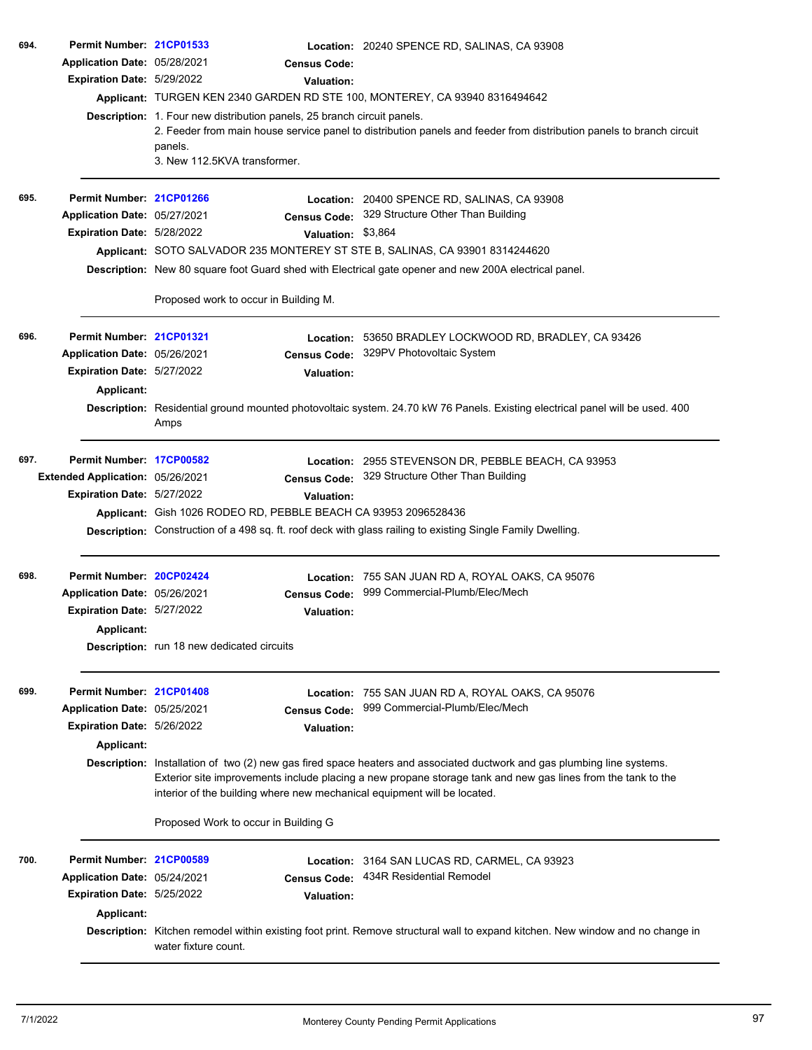|      | Application Date: 05/28/2021<br>Expiration Date: 5/29/2022 | Description: 1. Four new distribution panels, 25 branch circuit panels.                                                                                                                                                                                                                                             | <b>Census Code:</b><br>Valuation: | Applicant: TURGEN KEN 2340 GARDEN RD STE 100, MONTEREY, CA 93940 8316494642                                                    |  |
|------|------------------------------------------------------------|---------------------------------------------------------------------------------------------------------------------------------------------------------------------------------------------------------------------------------------------------------------------------------------------------------------------|-----------------------------------|--------------------------------------------------------------------------------------------------------------------------------|--|
|      |                                                            |                                                                                                                                                                                                                                                                                                                     |                                   |                                                                                                                                |  |
|      |                                                            |                                                                                                                                                                                                                                                                                                                     |                                   |                                                                                                                                |  |
|      |                                                            |                                                                                                                                                                                                                                                                                                                     |                                   |                                                                                                                                |  |
|      |                                                            | panels.<br>3. New 112.5KVA transformer.                                                                                                                                                                                                                                                                             |                                   | 2. Feeder from main house service panel to distribution panels and feeder from distribution panels to branch circuit           |  |
| 695. | Permit Number: 21CP01266                                   |                                                                                                                                                                                                                                                                                                                     |                                   | Location: 20400 SPENCE RD, SALINAS, CA 93908                                                                                   |  |
|      | Application Date: 05/27/2021                               |                                                                                                                                                                                                                                                                                                                     |                                   | Census Code: 329 Structure Other Than Building                                                                                 |  |
|      | Expiration Date: 5/28/2022                                 |                                                                                                                                                                                                                                                                                                                     | Valuation: \$3,864                |                                                                                                                                |  |
|      |                                                            |                                                                                                                                                                                                                                                                                                                     |                                   | Applicant: SOTO SALVADOR 235 MONTEREY ST STE B, SALINAS, CA 93901 8314244620                                                   |  |
|      |                                                            |                                                                                                                                                                                                                                                                                                                     |                                   | Description: New 80 square foot Guard shed with Electrical gate opener and new 200A electrical panel.                          |  |
|      |                                                            | Proposed work to occur in Building M.                                                                                                                                                                                                                                                                               |                                   |                                                                                                                                |  |
| 696. | Permit Number: 21CP01321                                   |                                                                                                                                                                                                                                                                                                                     |                                   | Location: 53650 BRADLEY LOCKWOOD RD, BRADLEY, CA 93426                                                                         |  |
|      | Application Date: 05/26/2021                               |                                                                                                                                                                                                                                                                                                                     | <b>Census Code:</b>               | 329PV Photovoltaic System                                                                                                      |  |
|      | <b>Expiration Date: 5/27/2022</b>                          |                                                                                                                                                                                                                                                                                                                     | <b>Valuation:</b>                 |                                                                                                                                |  |
|      | <b>Applicant:</b>                                          |                                                                                                                                                                                                                                                                                                                     |                                   |                                                                                                                                |  |
|      |                                                            | Amps                                                                                                                                                                                                                                                                                                                |                                   | Description: Residential ground mounted photovoltaic system. 24.70 kW 76 Panels. Existing electrical panel will be used. 400   |  |
| 697. | Permit Number: 17CP00582                                   |                                                                                                                                                                                                                                                                                                                     |                                   | Location: 2955 STEVENSON DR, PEBBLE BEACH, CA 93953                                                                            |  |
|      | Extended Application: 05/26/2021                           |                                                                                                                                                                                                                                                                                                                     | <b>Census Code:</b>               | 329 Structure Other Than Building                                                                                              |  |
|      | Expiration Date: 5/27/2022                                 |                                                                                                                                                                                                                                                                                                                     | <b>Valuation:</b>                 |                                                                                                                                |  |
|      |                                                            |                                                                                                                                                                                                                                                                                                                     |                                   | Applicant: Gish 1026 RODEO RD, PEBBLE BEACH CA 93953 2096528436                                                                |  |
|      |                                                            |                                                                                                                                                                                                                                                                                                                     |                                   | <b>Description:</b> Construction of a 498 sq. ft. roof deck with glass railing to existing Single Family Dwelling.             |  |
| 698. | Permit Number: 20CP02424                                   |                                                                                                                                                                                                                                                                                                                     |                                   | Location: 755 SAN JUAN RD A, ROYAL OAKS, CA 95076                                                                              |  |
|      | Application Date: 05/26/2021                               |                                                                                                                                                                                                                                                                                                                     | <b>Census Code:</b>               | 999 Commercial-Plumb/Elec/Mech                                                                                                 |  |
|      | <b>Expiration Date: 5/27/2022</b>                          |                                                                                                                                                                                                                                                                                                                     | Valuation:                        |                                                                                                                                |  |
|      | Applicant:                                                 |                                                                                                                                                                                                                                                                                                                     |                                   |                                                                                                                                |  |
|      |                                                            | <b>Description:</b> run 18 new dedicated circuits                                                                                                                                                                                                                                                                   |                                   |                                                                                                                                |  |
| 699. | Permit Number: 21CP01408                                   |                                                                                                                                                                                                                                                                                                                     |                                   | Location: 755 SAN JUAN RD A, ROYAL OAKS, CA 95076                                                                              |  |
|      | Application Date: 05/25/2021                               |                                                                                                                                                                                                                                                                                                                     | <b>Census Code:</b>               | 999 Commercial-Plumb/Elec/Mech                                                                                                 |  |
|      | Expiration Date: 5/26/2022                                 |                                                                                                                                                                                                                                                                                                                     | <b>Valuation:</b>                 |                                                                                                                                |  |
|      | <b>Applicant:</b>                                          |                                                                                                                                                                                                                                                                                                                     |                                   |                                                                                                                                |  |
|      |                                                            | Description: Installation of two (2) new gas fired space heaters and associated ductwork and gas plumbing line systems.<br>Exterior site improvements include placing a new propane storage tank and new gas lines from the tank to the<br>interior of the building where new mechanical equipment will be located. |                                   |                                                                                                                                |  |
|      |                                                            | Proposed Work to occur in Building G                                                                                                                                                                                                                                                                                |                                   |                                                                                                                                |  |
| 700. | Permit Number: 21CP00589                                   |                                                                                                                                                                                                                                                                                                                     |                                   | Location: 3164 SAN LUCAS RD, CARMEL, CA 93923                                                                                  |  |
|      | Application Date: 05/24/2021                               |                                                                                                                                                                                                                                                                                                                     | <b>Census Code:</b>               | 434R Residential Remodel                                                                                                       |  |
|      | Expiration Date: 5/25/2022                                 |                                                                                                                                                                                                                                                                                                                     | <b>Valuation:</b>                 |                                                                                                                                |  |
|      | Applicant:                                                 |                                                                                                                                                                                                                                                                                                                     |                                   |                                                                                                                                |  |
|      |                                                            | water fixture count.                                                                                                                                                                                                                                                                                                |                                   | Description: Kitchen remodel within existing foot print. Remove structural wall to expand kitchen. New window and no change in |  |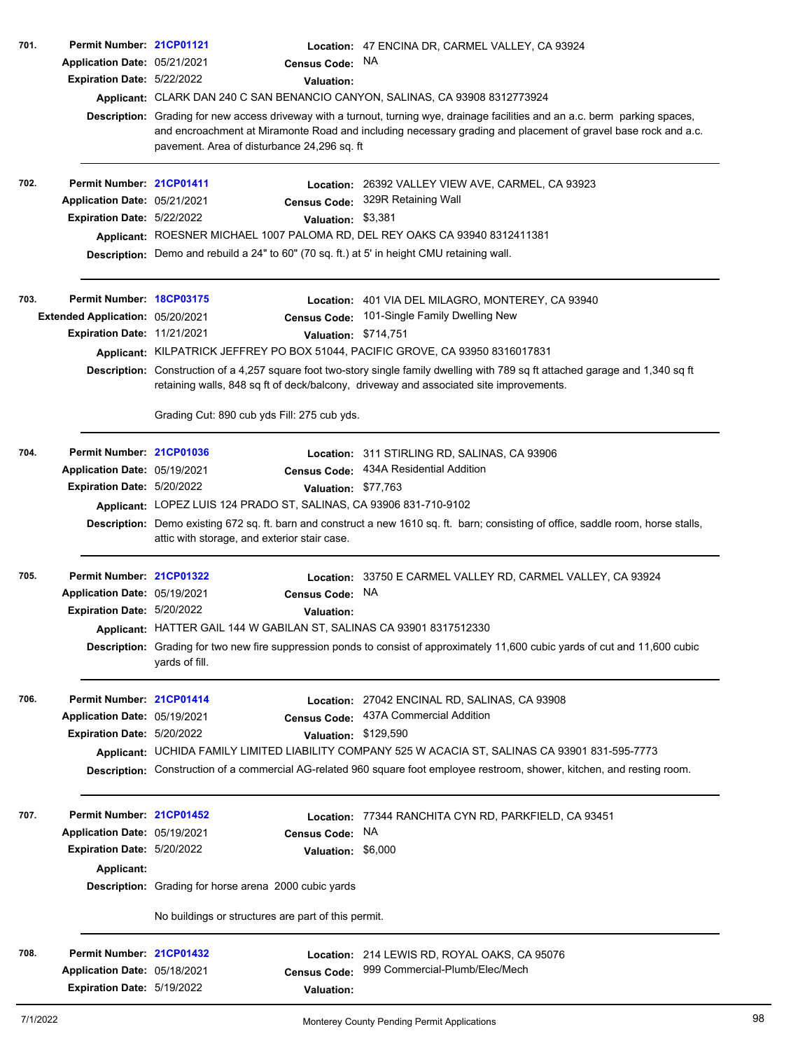| 701. | Permit Number: 21CP01121          |                                                                                             | Location: 47 ENCINA DR, CARMEL VALLEY, CA 93924                                                                                                                                                                            |
|------|-----------------------------------|---------------------------------------------------------------------------------------------|----------------------------------------------------------------------------------------------------------------------------------------------------------------------------------------------------------------------------|
|      | Application Date: 05/21/2021      | Census Code: NA                                                                             |                                                                                                                                                                                                                            |
|      | Expiration Date: 5/22/2022        | <b>Valuation:</b>                                                                           |                                                                                                                                                                                                                            |
|      |                                   |                                                                                             | Applicant: CLARK DAN 240 C SAN BENANCIO CANYON, SALINAS, CA 93908 8312773924                                                                                                                                               |
|      |                                   |                                                                                             | Description: Grading for new access driveway with a turnout, turning wye, drainage facilities and an a.c. berm parking spaces,                                                                                             |
|      |                                   | pavement. Area of disturbance 24,296 sq. ft                                                 | and encroachment at Miramonte Road and including necessary grading and placement of gravel base rock and a.c.                                                                                                              |
| 702. | Permit Number: 21CP01411          |                                                                                             | Location: 26392 VALLEY VIEW AVE, CARMEL, CA 93923                                                                                                                                                                          |
|      | Application Date: 05/21/2021      |                                                                                             | Census Code: 329R Retaining Wall                                                                                                                                                                                           |
|      | Expiration Date: 5/22/2022        |                                                                                             | Valuation: \$3,381                                                                                                                                                                                                         |
|      |                                   |                                                                                             | Applicant: ROESNER MICHAEL 1007 PALOMA RD, DEL REY OAKS CA 93940 8312411381                                                                                                                                                |
|      |                                   | Description: Demo and rebuild a 24" to 60" (70 sq. ft.) at 5' in height CMU retaining wall. |                                                                                                                                                                                                                            |
| 703. | Permit Number: 18CP03175          |                                                                                             | Location: 401 VIA DEL MILAGRO, MONTEREY, CA 93940                                                                                                                                                                          |
|      | Extended Application: 05/20/2021  | <b>Census Code:</b>                                                                         | 101-Single Family Dwelling New                                                                                                                                                                                             |
|      | Expiration Date: 11/21/2021       |                                                                                             | Valuation: \$714,751                                                                                                                                                                                                       |
|      |                                   |                                                                                             | Applicant: KILPATRICK JEFFREY PO BOX 51044, PACIFIC GROVE, CA 93950 8316017831                                                                                                                                             |
|      |                                   |                                                                                             | Description: Construction of a 4,257 square foot two-story single family dwelling with 789 sq ft attached garage and 1,340 sq ft<br>retaining walls, 848 sq ft of deck/balcony, driveway and associated site improvements. |
|      |                                   | Grading Cut: 890 cub yds Fill: 275 cub yds.                                                 |                                                                                                                                                                                                                            |
| 704. | Permit Number: 21CP01036          |                                                                                             | Location: 311 STIRLING RD, SALINAS, CA 93906                                                                                                                                                                               |
|      | Application Date: 05/19/2021      |                                                                                             | Census Code: 434A Residential Addition                                                                                                                                                                                     |
|      | Expiration Date: 5/20/2022        |                                                                                             | Valuation: \$77,763                                                                                                                                                                                                        |
|      |                                   | Applicant: LOPEZ LUIS 124 PRADO ST, SALINAS, CA 93906 831-710-9102                          |                                                                                                                                                                                                                            |
|      |                                   | attic with storage, and exterior stair case.                                                | Description: Demo existing 672 sq. ft. barn and construct a new 1610 sq. ft. barn; consisting of office, saddle room, horse stalls,                                                                                        |
| 705. | Permit Number: 21CP01322          |                                                                                             | Location: 33750 E CARMEL VALLEY RD, CARMEL VALLEY, CA 93924                                                                                                                                                                |
|      | Application Date: 05/19/2021      | <b>Census Code:</b>                                                                         | NA                                                                                                                                                                                                                         |
|      | <b>Expiration Date: 5/20/2022</b> | Valuation:                                                                                  |                                                                                                                                                                                                                            |
|      |                                   | Applicant: HATTER GAIL 144 W GABILAN ST, SALINAS CA 93901 8317512330                        |                                                                                                                                                                                                                            |
|      |                                   | yards of fill.                                                                              | Description: Grading for two new fire suppression ponds to consist of approximately 11,600 cubic yards of cut and 11,600 cubic                                                                                             |
| 706. | Permit Number: 21CP01414          |                                                                                             | Location: 27042 ENCINAL RD, SALINAS, CA 93908                                                                                                                                                                              |
|      | Application Date: 05/19/2021      | <b>Census Code:</b>                                                                         | 437A Commercial Addition                                                                                                                                                                                                   |
|      | Expiration Date: 5/20/2022        |                                                                                             | Valuation: \$129,590                                                                                                                                                                                                       |
|      |                                   |                                                                                             | Applicant: UCHIDA FAMILY LIMITED LIABILITY COMPANY 525 W ACACIA ST, SALINAS CA 93901 831-595-7773                                                                                                                          |
|      |                                   |                                                                                             | Description: Construction of a commercial AG-related 960 square foot employee restroom, shower, kitchen, and resting room.                                                                                                 |
| 707. | Permit Number: 21CP01452          |                                                                                             | Location: 77344 RANCHITA CYN RD, PARKFIELD, CA 93451                                                                                                                                                                       |
|      | Application Date: 05/19/2021      | <b>Census Code:</b>                                                                         | NA                                                                                                                                                                                                                         |
|      | Expiration Date: 5/20/2022        |                                                                                             | Valuation: \$6,000                                                                                                                                                                                                         |
|      | Applicant:                        |                                                                                             |                                                                                                                                                                                                                            |
|      |                                   | Description: Grading for horse arena 2000 cubic yards                                       |                                                                                                                                                                                                                            |
|      |                                   | No buildings or structures are part of this permit.                                         |                                                                                                                                                                                                                            |
| 708. | Permit Number: 21CP01432          |                                                                                             | Location: 214 LEWIS RD, ROYAL OAKS, CA 95076                                                                                                                                                                               |
|      | Application Date: 05/18/2021      | <b>Census Code:</b>                                                                         | 999 Commercial-Plumb/Elec/Mech                                                                                                                                                                                             |
|      | Expiration Date: 5/19/2022        | <b>Valuation:</b>                                                                           |                                                                                                                                                                                                                            |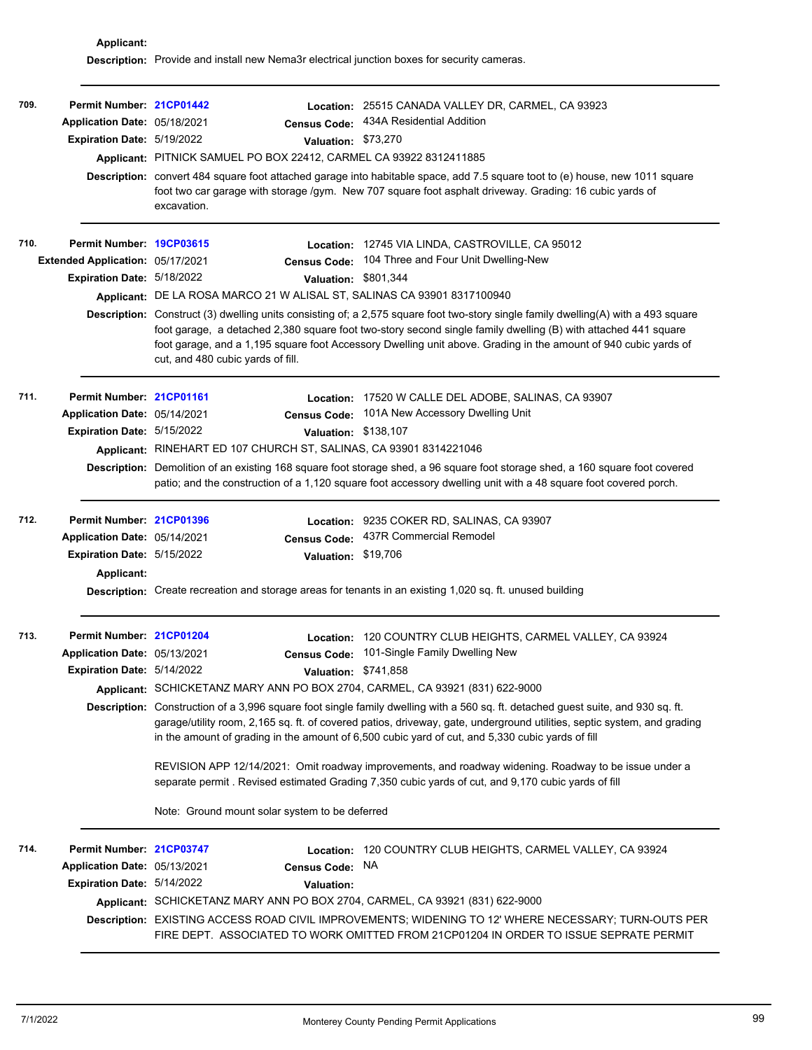**Applicant: Description:** Provide and install new Nema3r electrical junction boxes for security cameras.

| 709. | Permit Number: 21CP01442<br>Application Date: 05/18/2021<br>Expiration Date: 5/19/2022               | Location:<br><b>Census Code:</b><br>Valuation: \$73,270<br>Applicant: PITNICK SAMUEL PO BOX 22412, CARMEL CA 93922 8312411885<br>excavation.                                  | 25515 CANADA VALLEY DR, CARMEL, CA 93923<br>434A Residential Addition<br>Description: convert 484 square foot attached garage into habitable space, add 7.5 square toot to (e) house, new 1011 square<br>foot two car garage with storage /gym. New 707 square foot asphalt driveway. Grading: 16 cubic yards of                                                                                                                                                                                                                                                                                                                                                                 |
|------|------------------------------------------------------------------------------------------------------|-------------------------------------------------------------------------------------------------------------------------------------------------------------------------------|----------------------------------------------------------------------------------------------------------------------------------------------------------------------------------------------------------------------------------------------------------------------------------------------------------------------------------------------------------------------------------------------------------------------------------------------------------------------------------------------------------------------------------------------------------------------------------------------------------------------------------------------------------------------------------|
| 710. | Permit Number: 19CP03615<br>Extended Application: 05/17/2021<br>Expiration Date: 5/18/2022           | <b>Census Code:</b><br>Valuation: \$801,344<br>Applicant: DE LA ROSA MARCO 21 W ALISAL ST, SALINAS CA 93901 8317100940<br>cut, and 480 cubic yards of fill.                   | Location: 12745 VIA LINDA, CASTROVILLE, CA 95012<br>104 Three and Four Unit Dwelling-New<br>Description: Construct (3) dwelling units consisting of; a 2,575 square foot two-story single family dwelling(A) with a 493 square<br>foot garage, a detached 2,380 square foot two-story second single family dwelling (B) with attached 441 square<br>foot garage, and a 1,195 square foot Accessory Dwelling unit above. Grading in the amount of 940 cubic yards of                                                                                                                                                                                                              |
| 711. | Permit Number: 21CP01161<br>Application Date: 05/14/2021<br><b>Expiration Date: 5/15/2022</b>        | Valuation: \$138,107<br>Applicant: RINEHART ED 107 CHURCH ST, SALINAS, CA 93901 8314221046                                                                                    | Location: 17520 W CALLE DEL ADOBE, SALINAS, CA 93907<br>Census Code: 101A New Accessory Dwelling Unit<br>Description: Demolition of an existing 168 square foot storage shed, a 96 square foot storage shed, a 160 square foot covered<br>patio; and the construction of a 1,120 square foot accessory dwelling unit with a 48 square foot covered porch.                                                                                                                                                                                                                                                                                                                        |
| 712. | Permit Number: 21CP01396<br>Application Date: 05/14/2021<br>Expiration Date: 5/15/2022<br>Applicant: | <b>Census Code:</b><br>Valuation: \$19,706                                                                                                                                    | <b>Location: 9235 COKER RD, SALINAS, CA 93907</b><br>437R Commercial Remodel<br>Description: Create recreation and storage areas for tenants in an existing 1,020 sq. ft. unused building                                                                                                                                                                                                                                                                                                                                                                                                                                                                                        |
| 713. | Permit Number: 21CP01204<br>Application Date: 05/13/2021<br>Expiration Date: 5/14/2022               | <b>Census Code:</b><br>Valuation: \$741,858<br>Applicant: SCHICKETANZ MARY ANN PO BOX 2704, CARMEL, CA 93921 (831) 622-9000<br>Note: Ground mount solar system to be deferred | Location: 120 COUNTRY CLUB HEIGHTS, CARMEL VALLEY, CA 93924<br>101-Single Family Dwelling New<br>Description: Construction of a 3,996 square foot single family dwelling with a 560 sq. ft. detached guest suite, and 930 sq. ft.<br>garage/utility room, 2,165 sq. ft. of covered patios, driveway, gate, underground utilities, septic system, and grading<br>in the amount of grading in the amount of 6,500 cubic yard of cut, and 5,330 cubic yards of fill<br>REVISION APP 12/14/2021: Omit roadway improvements, and roadway widening. Roadway to be issue under a<br>separate permit . Revised estimated Grading 7,350 cubic yards of cut, and 9,170 cubic yards of fill |
| 714. | Permit Number: 21CP03747<br>Application Date: 05/13/2021<br>Expiration Date: 5/14/2022               | <b>Census Code:</b><br><b>Valuation:</b><br>Applicant: SCHICKETANZ MARY ANN PO BOX 2704, CARMEL, CA 93921 (831) 622-9000                                                      | Location: 120 COUNTRY CLUB HEIGHTS, CARMEL VALLEY, CA 93924<br>NA<br>Description: EXISTING ACCESS ROAD CIVIL IMPROVEMENTS; WIDENING TO 12' WHERE NECESSARY; TURN-OUTS PER<br>FIRE DEPT. ASSOCIATED TO WORK OMITTED FROM 21CP01204 IN ORDER TO ISSUE SEPRATE PERMIT                                                                                                                                                                                                                                                                                                                                                                                                               |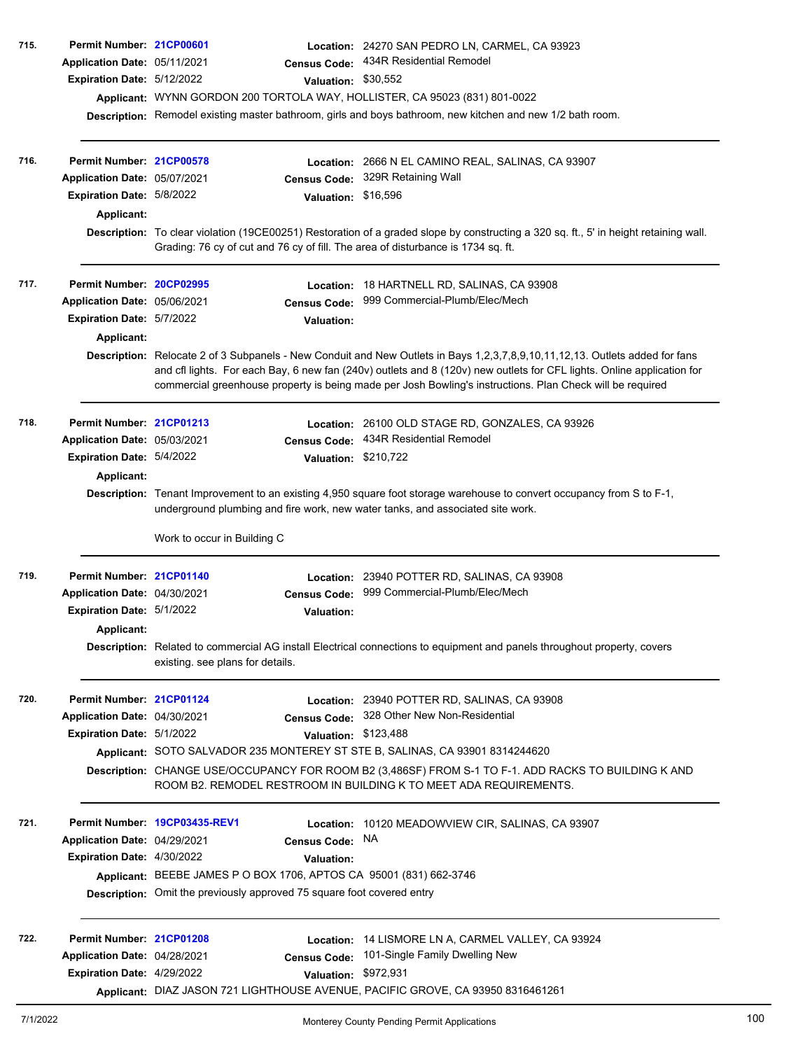| 715. | Permit Number: 21CP00601<br>Application Date: 05/11/2021<br>Expiration Date: 5/12/2022                     | <b>Census Code:</b><br>Valuation: \$30,552<br>Applicant: WYNN GORDON 200 TORTOLA WAY, HOLLISTER, CA 95023 (831) 801-0022                                                                                 | Location: 24270 SAN PEDRO LN, CARMEL, CA 93923<br>434R Residential Remodel<br>Description: Remodel existing master bathroom, girls and boys bathroom, new kitchen and new 1/2 bath room.                                                                                                                                                                            |  |  |
|------|------------------------------------------------------------------------------------------------------------|----------------------------------------------------------------------------------------------------------------------------------------------------------------------------------------------------------|---------------------------------------------------------------------------------------------------------------------------------------------------------------------------------------------------------------------------------------------------------------------------------------------------------------------------------------------------------------------|--|--|
| 716. | Permit Number: 21CP00578<br>Application Date: 05/07/2021<br>Expiration Date: 5/8/2022<br><b>Applicant:</b> | <b>Census Code:</b><br>Valuation: \$16,596                                                                                                                                                               | <b>Location: 2666 N EL CAMINO REAL, SALINAS, CA 93907</b><br>329R Retaining Wall<br>Description: To clear violation (19CE00251) Restoration of a graded slope by constructing a 320 sq. ft., 5' in height retaining wall.                                                                                                                                           |  |  |
| 717. | Permit Number: 20CP02995                                                                                   | Grading: 76 cy of cut and 76 cy of fill. The area of disturbance is 1734 sq. ft.                                                                                                                         | Location: 18 HARTNELL RD, SALINAS, CA 93908                                                                                                                                                                                                                                                                                                                         |  |  |
|      | Application Date: 05/06/2021<br>Expiration Date: 5/7/2022<br><b>Applicant:</b>                             | <b>Census Code:</b><br><b>Valuation:</b>                                                                                                                                                                 | 999 Commercial-Plumb/Elec/Mech                                                                                                                                                                                                                                                                                                                                      |  |  |
|      |                                                                                                            |                                                                                                                                                                                                          | Description: Relocate 2 of 3 Subpanels - New Conduit and New Outlets in Bays 1,2,3,7,8,9,10,11,12,13. Outlets added for fans<br>and cfl lights. For each Bay, 6 new fan (240v) outlets and 8 (120v) new outlets for CFL lights. Online application for<br>commercial greenhouse property is being made per Josh Bowling's instructions. Plan Check will be required |  |  |
| 718. | Permit Number: 21CP01213<br>Application Date: 05/03/2021                                                   | <b>Census Code:</b>                                                                                                                                                                                      | Location: 26100 OLD STAGE RD, GONZALES, CA 93926<br>434R Residential Remodel                                                                                                                                                                                                                                                                                        |  |  |
|      | Expiration Date: 5/4/2022                                                                                  | Valuation: \$210,722                                                                                                                                                                                     |                                                                                                                                                                                                                                                                                                                                                                     |  |  |
|      | <b>Applicant:</b>                                                                                          | Description: Tenant Improvement to an existing 4,950 square foot storage warehouse to convert occupancy from S to F-1,<br>underground plumbing and fire work, new water tanks, and associated site work. |                                                                                                                                                                                                                                                                                                                                                                     |  |  |
|      |                                                                                                            | Work to occur in Building C                                                                                                                                                                              |                                                                                                                                                                                                                                                                                                                                                                     |  |  |
| 719. | Permit Number: 21CP01140                                                                                   |                                                                                                                                                                                                          | Location: 23940 POTTER RD, SALINAS, CA 93908<br>999 Commercial-Plumb/Elec/Mech                                                                                                                                                                                                                                                                                      |  |  |
|      | Application Date: 04/30/2021<br>Expiration Date: 5/1/2022                                                  | <b>Census Code:</b><br>Valuation:                                                                                                                                                                        |                                                                                                                                                                                                                                                                                                                                                                     |  |  |
|      | Applicant:                                                                                                 |                                                                                                                                                                                                          |                                                                                                                                                                                                                                                                                                                                                                     |  |  |
|      |                                                                                                            | existing. see plans for details.                                                                                                                                                                         | Description: Related to commercial AG install Electrical connections to equipment and panels throughout property, covers                                                                                                                                                                                                                                            |  |  |
| 720. | Permit Number: 21CP01124                                                                                   |                                                                                                                                                                                                          | Location: 23940 POTTER RD, SALINAS, CA 93908                                                                                                                                                                                                                                                                                                                        |  |  |
|      | Application Date: 04/30/2021<br>Expiration Date: 5/1/2022                                                  | Valuation: \$123,488                                                                                                                                                                                     | Census Code: 328 Other New Non-Residential                                                                                                                                                                                                                                                                                                                          |  |  |
|      |                                                                                                            | Applicant: SOTO SALVADOR 235 MONTEREY ST STE B, SALINAS, CA 93901 8314244620                                                                                                                             |                                                                                                                                                                                                                                                                                                                                                                     |  |  |
|      |                                                                                                            |                                                                                                                                                                                                          | Description: CHANGE USE/OCCUPANCY FOR ROOM B2 (3,486SF) FROM S-1 TO F-1. ADD RACKS TO BUILDING K AND<br>ROOM B2. REMODEL RESTROOM IN BUILDING K TO MEET ADA REQUIREMENTS.                                                                                                                                                                                           |  |  |
| 721. |                                                                                                            | Permit Number 19CP03435-REV1                                                                                                                                                                             | Location: 10120 MEADOWVIEW CIR, SALINAS, CA 93907                                                                                                                                                                                                                                                                                                                   |  |  |
|      | Application Date: 04/29/2021                                                                               | <b>Census Code:</b>                                                                                                                                                                                      | NA.                                                                                                                                                                                                                                                                                                                                                                 |  |  |
|      | Expiration Date: 4/30/2022                                                                                 | <b>Valuation:</b>                                                                                                                                                                                        |                                                                                                                                                                                                                                                                                                                                                                     |  |  |
|      |                                                                                                            | Applicant: BEEBE JAMES P O BOX 1706, APTOS CA 95001 (831) 662-3746                                                                                                                                       |                                                                                                                                                                                                                                                                                                                                                                     |  |  |
|      |                                                                                                            | Description: Omit the previously approved 75 square foot covered entry                                                                                                                                   |                                                                                                                                                                                                                                                                                                                                                                     |  |  |
| 722. | Permit Number: 21CP01208                                                                                   | Location:                                                                                                                                                                                                | 14 LISMORE LN A, CARMEL VALLEY, CA 93924                                                                                                                                                                                                                                                                                                                            |  |  |
|      | Application Date: 04/28/2021                                                                               | <b>Census Code:</b>                                                                                                                                                                                      | 101-Single Family Dwelling New                                                                                                                                                                                                                                                                                                                                      |  |  |
|      | Expiration Date: 4/29/2022                                                                                 | Valuation:                                                                                                                                                                                               | \$972,931                                                                                                                                                                                                                                                                                                                                                           |  |  |
|      |                                                                                                            |                                                                                                                                                                                                          | Applicant: DIAZ JASON 721 LIGHTHOUSE AVENUE, PACIFIC GROVE, CA 93950 8316461261                                                                                                                                                                                                                                                                                     |  |  |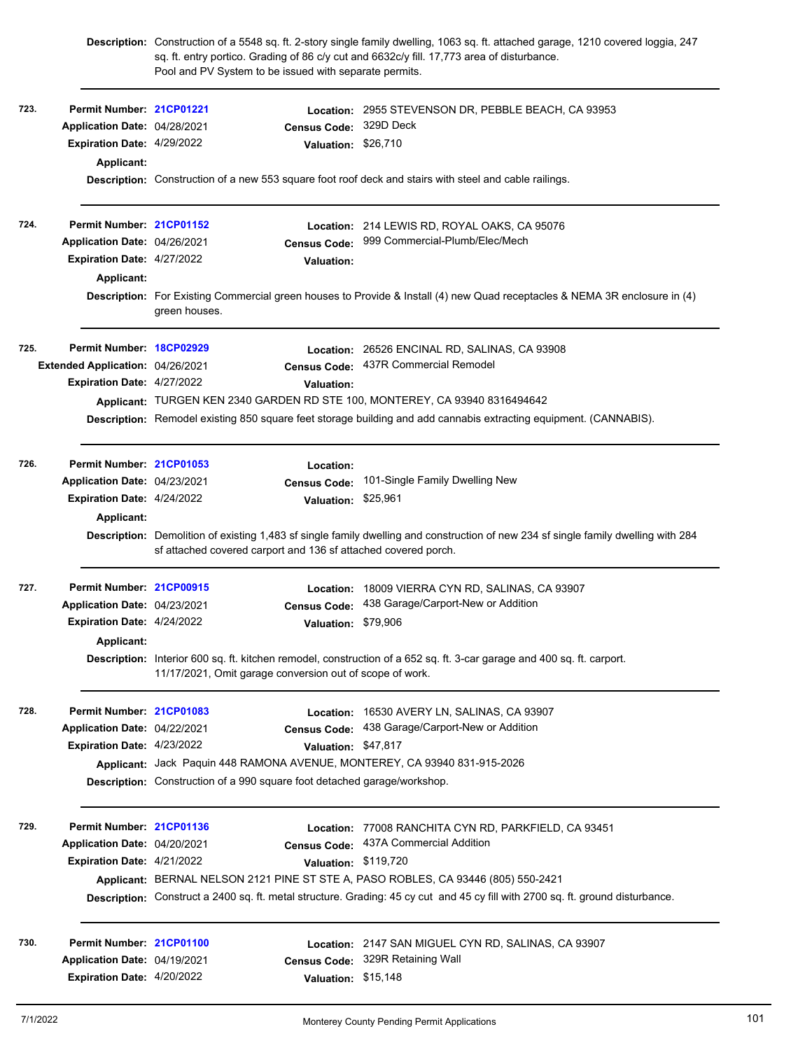|      |                                   |               | Pool and PV System to be issued with separate permits.                   | Description: Construction of a 5548 sq. ft. 2-story single family dwelling, 1063 sq. ft. attached garage, 1210 covered loggia, 247<br>sq. ft. entry portico. Grading of 86 c/y cut and 6632c/y fill. 17,773 area of disturbance. |
|------|-----------------------------------|---------------|--------------------------------------------------------------------------|----------------------------------------------------------------------------------------------------------------------------------------------------------------------------------------------------------------------------------|
| 723. | Permit Number: 21CP01221          |               | Location:                                                                | 2955 STEVENSON DR, PEBBLE BEACH, CA 93953                                                                                                                                                                                        |
|      | Application Date: 04/28/2021      |               | <b>Census Code:</b>                                                      | 329D Deck                                                                                                                                                                                                                        |
|      | Expiration Date: 4/29/2022        |               | Valuation: \$26,710                                                      |                                                                                                                                                                                                                                  |
|      | <b>Applicant:</b>                 |               |                                                                          |                                                                                                                                                                                                                                  |
|      |                                   |               |                                                                          | Description: Construction of a new 553 square foot roof deck and stairs with steel and cable railings.                                                                                                                           |
| 724. | Permit Number: 21CP01152          |               |                                                                          | Location: 214 LEWIS RD, ROYAL OAKS, CA 95076                                                                                                                                                                                     |
|      | Application Date: 04/26/2021      |               |                                                                          | Census Code: 999 Commercial-Plumb/Elec/Mech                                                                                                                                                                                      |
|      | Expiration Date: 4/27/2022        |               | <b>Valuation:</b>                                                        |                                                                                                                                                                                                                                  |
|      | <b>Applicant:</b>                 |               |                                                                          |                                                                                                                                                                                                                                  |
|      |                                   | green houses. |                                                                          | Description: For Existing Commercial green houses to Provide & Install (4) new Quad receptacles & NEMA 3R enclosure in (4)                                                                                                       |
| 725. | Permit Number: 18CP02929          |               |                                                                          | Location: 26526 ENCINAL RD, SALINAS, CA 93908                                                                                                                                                                                    |
|      | Extended Application: 04/26/2021  |               | <b>Census Code:</b>                                                      | 437R Commercial Remodel                                                                                                                                                                                                          |
|      | Expiration Date: 4/27/2022        |               | Valuation:                                                               |                                                                                                                                                                                                                                  |
|      |                                   |               |                                                                          | Applicant: TURGEN KEN 2340 GARDEN RD STE 100, MONTEREY, CA 93940 8316494642                                                                                                                                                      |
|      |                                   |               |                                                                          | Description: Remodel existing 850 square feet storage building and add cannabis extracting equipment. (CANNABIS).                                                                                                                |
| 726. | Permit Number: 21CP01053          |               | Location:                                                                |                                                                                                                                                                                                                                  |
|      | Application Date: 04/23/2021      |               | <b>Census Code:</b>                                                      | 101-Single Family Dwelling New                                                                                                                                                                                                   |
|      | Expiration Date: 4/24/2022        |               | Valuation: \$25,961                                                      |                                                                                                                                                                                                                                  |
|      | <b>Applicant:</b>                 |               |                                                                          |                                                                                                                                                                                                                                  |
|      |                                   |               | sf attached covered carport and 136 sf attached covered porch.           | Description: Demolition of existing 1,483 sf single family dwelling and construction of new 234 sf single family dwelling with 284                                                                                               |
| 727. | Permit Number: 21CP00915          |               | Location:                                                                | 18009 VIERRA CYN RD, SALINAS, CA 93907                                                                                                                                                                                           |
|      | Application Date: 04/23/2021      |               | <b>Census Code:</b>                                                      | 438 Garage/Carport-New or Addition                                                                                                                                                                                               |
|      | <b>Expiration Date: 4/24/2022</b> |               | Valuation: \$79,906                                                      |                                                                                                                                                                                                                                  |
|      | Applicant:                        |               |                                                                          |                                                                                                                                                                                                                                  |
|      |                                   |               | 11/17/2021, Omit garage conversion out of scope of work.                 | Description: Interior 600 sq. ft. kitchen remodel, construction of a 652 sq. ft. 3-car garage and 400 sq. ft. carport.                                                                                                           |
| 728. | Permit Number: 21CP01083          |               |                                                                          | Location: 16530 AVERY LN, SALINAS, CA 93907                                                                                                                                                                                      |
|      | Application Date: 04/22/2021      |               | <b>Census Code:</b>                                                      | 438 Garage/Carport-New or Addition                                                                                                                                                                                               |
|      | Expiration Date: 4/23/2022        |               | Valuation: \$47,817                                                      |                                                                                                                                                                                                                                  |
|      |                                   |               |                                                                          | Applicant: Jack Paquin 448 RAMONA AVENUE, MONTEREY, CA 93940 831-915-2026                                                                                                                                                        |
|      |                                   |               | Description: Construction of a 990 square foot detached garage/workshop. |                                                                                                                                                                                                                                  |
| 729. | Permit Number: 21CP01136          |               |                                                                          | Location: 77008 RANCHITA CYN RD, PARKFIELD, CA 93451                                                                                                                                                                             |
|      | Application Date: 04/20/2021      |               | <b>Census Code:</b>                                                      | 437A Commercial Addition                                                                                                                                                                                                         |
|      | Expiration Date: 4/21/2022        |               | Valuation: \$119,720                                                     |                                                                                                                                                                                                                                  |
|      |                                   |               |                                                                          | Applicant: BERNAL NELSON 2121 PINE ST STE A, PASO ROBLES, CA 93446 (805) 550-2421                                                                                                                                                |
|      |                                   |               |                                                                          | Description: Construct a 2400 sq. ft. metal structure. Grading: 45 cy cut and 45 cy fill with 2700 sq. ft. ground disturbance.                                                                                                   |
| 730. | Permit Number: 21CP01100          |               |                                                                          | Location: 2147 SAN MIGUEL CYN RD, SALINAS, CA 93907                                                                                                                                                                              |
|      | Application Date: 04/19/2021      |               |                                                                          | Census Code: 329R Retaining Wall                                                                                                                                                                                                 |
|      | Expiration Date: 4/20/2022        |               | Valuation: \$15,148                                                      |                                                                                                                                                                                                                                  |
|      |                                   |               |                                                                          |                                                                                                                                                                                                                                  |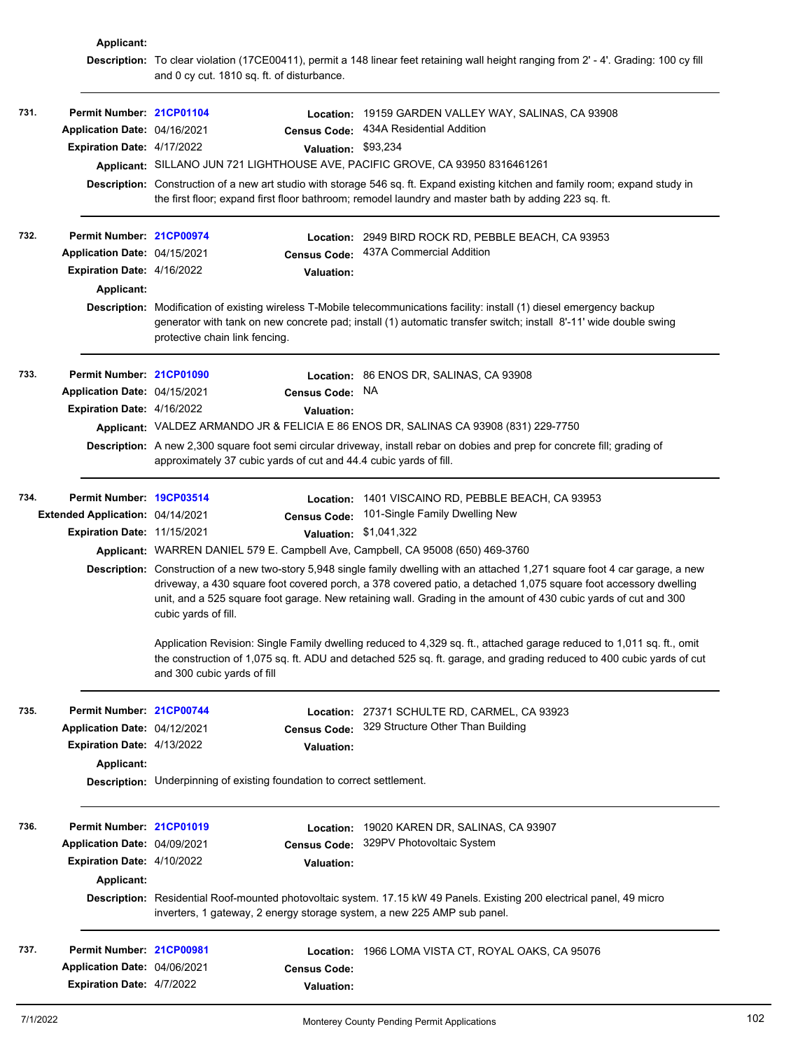|      | Applicant:                       |                                                                                                                                                                                                                                                                                                                                                                                                |                                                                                                                                                                                                                                        |                                                                                                                                                                                                                                               |  |  |  |
|------|----------------------------------|------------------------------------------------------------------------------------------------------------------------------------------------------------------------------------------------------------------------------------------------------------------------------------------------------------------------------------------------------------------------------------------------|----------------------------------------------------------------------------------------------------------------------------------------------------------------------------------------------------------------------------------------|-----------------------------------------------------------------------------------------------------------------------------------------------------------------------------------------------------------------------------------------------|--|--|--|
|      |                                  |                                                                                                                                                                                                                                                                                                                                                                                                | and 0 cy cut. 1810 sq. ft. of disturbance.                                                                                                                                                                                             | Description: To clear violation (17CE00411), permit a 148 linear feet retaining wall height ranging from 2' - 4'. Grading: 100 cy fill                                                                                                        |  |  |  |
| 731. | Permit Number: 21CP01104         |                                                                                                                                                                                                                                                                                                                                                                                                |                                                                                                                                                                                                                                        | Location: 19159 GARDEN VALLEY WAY, SALINAS, CA 93908                                                                                                                                                                                          |  |  |  |
|      | Application Date: 04/16/2021     |                                                                                                                                                                                                                                                                                                                                                                                                | <b>Census Code:</b>                                                                                                                                                                                                                    | 434A Residential Addition                                                                                                                                                                                                                     |  |  |  |
|      | Expiration Date: 4/17/2022       |                                                                                                                                                                                                                                                                                                                                                                                                | Valuation: \$93,234                                                                                                                                                                                                                    |                                                                                                                                                                                                                                               |  |  |  |
|      |                                  |                                                                                                                                                                                                                                                                                                                                                                                                |                                                                                                                                                                                                                                        | Applicant: SILLANO JUN 721 LIGHTHOUSE AVE, PACIFIC GROVE, CA 93950 8316461261                                                                                                                                                                 |  |  |  |
|      |                                  |                                                                                                                                                                                                                                                                                                                                                                                                | Description: Construction of a new art studio with storage 546 sq. ft. Expand existing kitchen and family room; expand study in<br>the first floor; expand first floor bathroom; remodel laundry and master bath by adding 223 sq. ft. |                                                                                                                                                                                                                                               |  |  |  |
| 732. | Permit Number: 21CP00974         |                                                                                                                                                                                                                                                                                                                                                                                                | <b>Location:</b>                                                                                                                                                                                                                       | 2949 BIRD ROCK RD, PEBBLE BEACH, CA 93953                                                                                                                                                                                                     |  |  |  |
|      | Application Date: 04/15/2021     |                                                                                                                                                                                                                                                                                                                                                                                                | <b>Census Code:</b>                                                                                                                                                                                                                    | 437A Commercial Addition                                                                                                                                                                                                                      |  |  |  |
|      | Expiration Date: 4/16/2022       |                                                                                                                                                                                                                                                                                                                                                                                                | <b>Valuation:</b>                                                                                                                                                                                                                      |                                                                                                                                                                                                                                               |  |  |  |
|      | Applicant:                       |                                                                                                                                                                                                                                                                                                                                                                                                |                                                                                                                                                                                                                                        |                                                                                                                                                                                                                                               |  |  |  |
|      |                                  | protective chain link fencing.                                                                                                                                                                                                                                                                                                                                                                 |                                                                                                                                                                                                                                        | Description: Modification of existing wireless T-Mobile telecommunications facility: install (1) diesel emergency backup<br>generator with tank on new concrete pad; install (1) automatic transfer switch; install 8'-11' wide double swing  |  |  |  |
| 733. | Permit Number: 21CP01090         |                                                                                                                                                                                                                                                                                                                                                                                                |                                                                                                                                                                                                                                        | Location: 86 ENOS DR, SALINAS, CA 93908                                                                                                                                                                                                       |  |  |  |
|      | Application Date: 04/15/2021     |                                                                                                                                                                                                                                                                                                                                                                                                | Census Code:                                                                                                                                                                                                                           | NA                                                                                                                                                                                                                                            |  |  |  |
|      | Expiration Date: 4/16/2022       |                                                                                                                                                                                                                                                                                                                                                                                                | Valuation:                                                                                                                                                                                                                             |                                                                                                                                                                                                                                               |  |  |  |
|      |                                  |                                                                                                                                                                                                                                                                                                                                                                                                |                                                                                                                                                                                                                                        | Applicant: VALDEZ ARMANDO JR & FELICIA E 86 ENOS DR, SALINAS CA 93908 (831) 229-7750                                                                                                                                                          |  |  |  |
|      |                                  |                                                                                                                                                                                                                                                                                                                                                                                                | approximately 37 cubic yards of cut and 44.4 cubic yards of fill.                                                                                                                                                                      | Description: A new 2,300 square foot semi circular driveway, install rebar on dobies and prep for concrete fill; grading of                                                                                                                   |  |  |  |
| 734. | Permit Number: 19CP03514         |                                                                                                                                                                                                                                                                                                                                                                                                |                                                                                                                                                                                                                                        | Location: 1401 VISCAINO RD, PEBBLE BEACH, CA 93953                                                                                                                                                                                            |  |  |  |
|      | Extended Application: 04/14/2021 |                                                                                                                                                                                                                                                                                                                                                                                                | <b>Census Code:</b>                                                                                                                                                                                                                    | 101-Single Family Dwelling New                                                                                                                                                                                                                |  |  |  |
|      | Expiration Date: 11/15/2021      |                                                                                                                                                                                                                                                                                                                                                                                                |                                                                                                                                                                                                                                        | Valuation: \$1,041,322                                                                                                                                                                                                                        |  |  |  |
|      |                                  |                                                                                                                                                                                                                                                                                                                                                                                                |                                                                                                                                                                                                                                        | Applicant: WARREN DANIEL 579 E. Campbell Ave, Campbell, CA 95008 (650) 469-3760                                                                                                                                                               |  |  |  |
|      |                                  | Description: Construction of a new two-story 5,948 single family dwelling with an attached 1,271 square foot 4 car garage, a new<br>driveway, a 430 square foot covered porch, a 378 covered patio, a detached 1,075 square foot accessory dwelling<br>unit, and a 525 square foot garage. New retaining wall. Grading in the amount of 430 cubic yards of cut and 300<br>cubic yards of fill. |                                                                                                                                                                                                                                        |                                                                                                                                                                                                                                               |  |  |  |
|      |                                  | and 300 cubic yards of fill                                                                                                                                                                                                                                                                                                                                                                    |                                                                                                                                                                                                                                        | Application Revision: Single Family dwelling reduced to 4,329 sq. ft., attached garage reduced to 1,011 sq. ft., omit<br>the construction of 1,075 sq. ft. ADU and detached 525 sq. ft. garage, and grading reduced to 400 cubic yards of cut |  |  |  |
| 735. | Permit Number: 21CP00744         |                                                                                                                                                                                                                                                                                                                                                                                                |                                                                                                                                                                                                                                        | Location: 27371 SCHULTE RD, CARMEL, CA 93923                                                                                                                                                                                                  |  |  |  |
|      | Application Date: 04/12/2021     |                                                                                                                                                                                                                                                                                                                                                                                                | <b>Census Code:</b>                                                                                                                                                                                                                    | 329 Structure Other Than Building                                                                                                                                                                                                             |  |  |  |
|      | Expiration Date: 4/13/2022       |                                                                                                                                                                                                                                                                                                                                                                                                | <b>Valuation:</b>                                                                                                                                                                                                                      |                                                                                                                                                                                                                                               |  |  |  |
|      | Applicant:                       |                                                                                                                                                                                                                                                                                                                                                                                                |                                                                                                                                                                                                                                        |                                                                                                                                                                                                                                               |  |  |  |
|      |                                  |                                                                                                                                                                                                                                                                                                                                                                                                | Description: Underpinning of existing foundation to correct settlement.                                                                                                                                                                |                                                                                                                                                                                                                                               |  |  |  |
| 736. | Permit Number: 21CP01019         |                                                                                                                                                                                                                                                                                                                                                                                                | Location:                                                                                                                                                                                                                              | 19020 KAREN DR, SALINAS, CA 93907                                                                                                                                                                                                             |  |  |  |
|      | Application Date: 04/09/2021     |                                                                                                                                                                                                                                                                                                                                                                                                | <b>Census Code:</b>                                                                                                                                                                                                                    | 329PV Photovoltaic System                                                                                                                                                                                                                     |  |  |  |
|      | Expiration Date: 4/10/2022       |                                                                                                                                                                                                                                                                                                                                                                                                | <b>Valuation:</b>                                                                                                                                                                                                                      |                                                                                                                                                                                                                                               |  |  |  |
|      | Applicant:                       |                                                                                                                                                                                                                                                                                                                                                                                                |                                                                                                                                                                                                                                        |                                                                                                                                                                                                                                               |  |  |  |
|      |                                  |                                                                                                                                                                                                                                                                                                                                                                                                |                                                                                                                                                                                                                                        | Description: Residential Roof-mounted photovoltaic system. 17.15 kW 49 Panels. Existing 200 electrical panel, 49 micro<br>inverters, 1 gateway, 2 energy storage system, a new 225 AMP sub panel.                                             |  |  |  |
| 737. | Permit Number: 21CP00981         |                                                                                                                                                                                                                                                                                                                                                                                                |                                                                                                                                                                                                                                        | Location: 1966 LOMA VISTA CT, ROYAL OAKS, CA 95076                                                                                                                                                                                            |  |  |  |
|      | Application Date: 04/06/2021     |                                                                                                                                                                                                                                                                                                                                                                                                | <b>Census Code:</b>                                                                                                                                                                                                                    |                                                                                                                                                                                                                                               |  |  |  |
|      | Expiration Date: 4/7/2022        |                                                                                                                                                                                                                                                                                                                                                                                                | <b>Valuation:</b>                                                                                                                                                                                                                      |                                                                                                                                                                                                                                               |  |  |  |
|      |                                  |                                                                                                                                                                                                                                                                                                                                                                                                |                                                                                                                                                                                                                                        |                                                                                                                                                                                                                                               |  |  |  |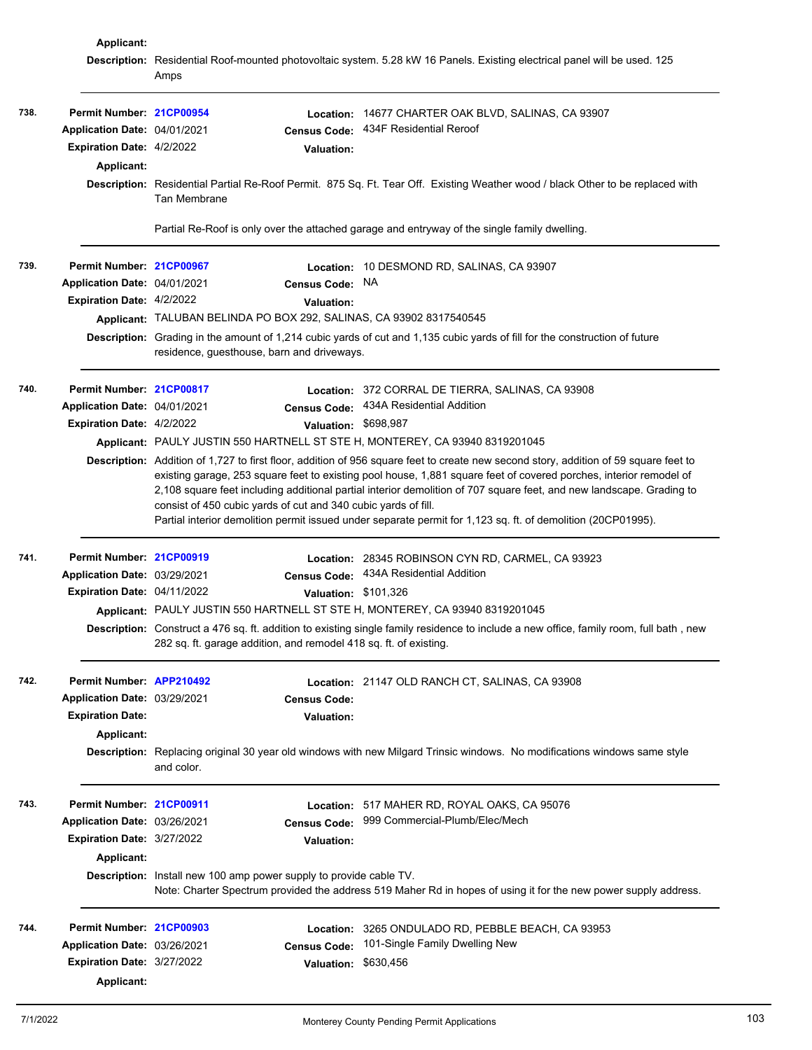|      | Applicant:                   |                                                                    |                      |                                                                                                                                        |
|------|------------------------------|--------------------------------------------------------------------|----------------------|----------------------------------------------------------------------------------------------------------------------------------------|
|      |                              | Amps                                                               |                      | Description: Residential Roof-mounted photovoltaic system. 5.28 kW 16 Panels. Existing electrical panel will be used. 125              |
| 738. | Permit Number: 21CP00954     |                                                                    |                      | Location: 14677 CHARTER OAK BLVD, SALINAS, CA 93907                                                                                    |
|      | Application Date: 04/01/2021 |                                                                    | <b>Census Code:</b>  | 434F Residential Reroof                                                                                                                |
|      | Expiration Date: 4/2/2022    |                                                                    | <b>Valuation:</b>    |                                                                                                                                        |
|      | Applicant:                   |                                                                    |                      |                                                                                                                                        |
|      |                              |                                                                    |                      | Description: Residential Partial Re-Roof Permit. 875 Sq. Ft. Tear Off. Existing Weather wood / black Other to be replaced with         |
|      |                              | Tan Membrane                                                       |                      |                                                                                                                                        |
|      |                              |                                                                    |                      | Partial Re-Roof is only over the attached garage and entryway of the single family dwelling.                                           |
| 739. | Permit Number: 21CP00967     |                                                                    | Location:            | 10 DESMOND RD, SALINAS, CA 93907                                                                                                       |
|      | Application Date: 04/01/2021 |                                                                    | <b>Census Code:</b>  | NA.                                                                                                                                    |
|      | Expiration Date: 4/2/2022    |                                                                    | <b>Valuation:</b>    |                                                                                                                                        |
|      |                              |                                                                    |                      | Applicant: TALUBAN BELINDA PO BOX 292, SALINAS, CA 93902 8317540545                                                                    |
|      |                              | residence, guesthouse, barn and driveways.                         |                      | Description: Grading in the amount of 1,214 cubic yards of cut and 1,135 cubic yards of fill for the construction of future            |
| 740. | Permit Number: 21CP00817     |                                                                    |                      | <b>Location: 372 CORRAL DE TIERRA, SALINAS, CA 93908</b>                                                                               |
|      | Application Date: 04/01/2021 |                                                                    | <b>Census Code:</b>  | 434A Residential Addition                                                                                                              |
|      | Expiration Date: 4/2/2022    |                                                                    | Valuation: \$698,987 |                                                                                                                                        |
|      |                              |                                                                    |                      | Applicant: PAULY JUSTIN 550 HARTNELL ST STE H, MONTEREY, CA 93940 8319201045                                                           |
|      |                              |                                                                    |                      | Description: Addition of 1,727 to first floor, addition of 956 square feet to create new second story, addition of 59 square feet to   |
|      |                              |                                                                    |                      | existing garage, 253 square feet to existing pool house, 1,881 square feet of covered porches, interior remodel of                     |
|      |                              |                                                                    |                      | 2,108 square feet including additional partial interior demolition of 707 square feet, and new landscape. Grading to                   |
|      |                              | consist of 450 cubic yards of cut and 340 cubic yards of fill.     |                      |                                                                                                                                        |
|      |                              |                                                                    |                      | Partial interior demolition permit issued under separate permit for 1,123 sq. ft. of demolition (20CP01995).                           |
| 741. | Permit Number: 21CP00919     |                                                                    |                      | Location: 28345 ROBINSON CYN RD, CARMEL, CA 93923                                                                                      |
|      | Application Date: 03/29/2021 |                                                                    | <b>Census Code:</b>  | 434A Residential Addition                                                                                                              |
|      |                              |                                                                    |                      |                                                                                                                                        |
|      | Expiration Date: 04/11/2022  |                                                                    | Valuation: \$101,326 |                                                                                                                                        |
|      |                              |                                                                    |                      | Applicant: PAULY JUSTIN 550 HARTNELL ST STE H, MONTEREY, CA 93940 8319201045                                                           |
|      |                              | 282 sq. ft. garage addition, and remodel 418 sq. ft. of existing.  |                      | Description: Construct a 476 sq. ft. addition to existing single family residence to include a new office, family room, full bath, new |
| 742. | Permit Number: APP210492     |                                                                    |                      | Location: 21147 OLD RANCH CT, SALINAS, CA 93908                                                                                        |
|      | Application Date: 03/29/2021 |                                                                    | <b>Census Code:</b>  |                                                                                                                                        |
|      | <b>Expiration Date:</b>      |                                                                    | <b>Valuation:</b>    |                                                                                                                                        |
|      | Applicant:                   |                                                                    |                      |                                                                                                                                        |
|      |                              | and color.                                                         |                      | Description: Replacing original 30 year old windows with new Milgard Trinsic windows. No modifications windows same style              |
| 743. | Permit Number: 21CP00911     |                                                                    |                      | Location: 517 MAHER RD, ROYAL OAKS, CA 95076                                                                                           |
|      | Application Date: 03/26/2021 |                                                                    | <b>Census Code:</b>  | 999 Commercial-Plumb/Elec/Mech                                                                                                         |
|      | Expiration Date: 3/27/2022   |                                                                    | <b>Valuation:</b>    |                                                                                                                                        |
|      | Applicant:                   |                                                                    |                      |                                                                                                                                        |
|      |                              |                                                                    |                      |                                                                                                                                        |
|      |                              | Description: Install new 100 amp power supply to provide cable TV. |                      | Note: Charter Spectrum provided the address 519 Maher Rd in hopes of using it for the new power supply address.                        |
| 744. | Permit Number: 21CP00903     |                                                                    |                      | 3265 ONDULADO RD, PEBBLE BEACH, CA 93953                                                                                               |
|      | Application Date: 03/26/2021 |                                                                    | Location:            | 101-Single Family Dwelling New                                                                                                         |
|      |                              |                                                                    | <b>Census Code:</b>  |                                                                                                                                        |
|      | Expiration Date: 3/27/2022   |                                                                    | Valuation: \$630,456 |                                                                                                                                        |
|      | Applicant:                   |                                                                    |                      |                                                                                                                                        |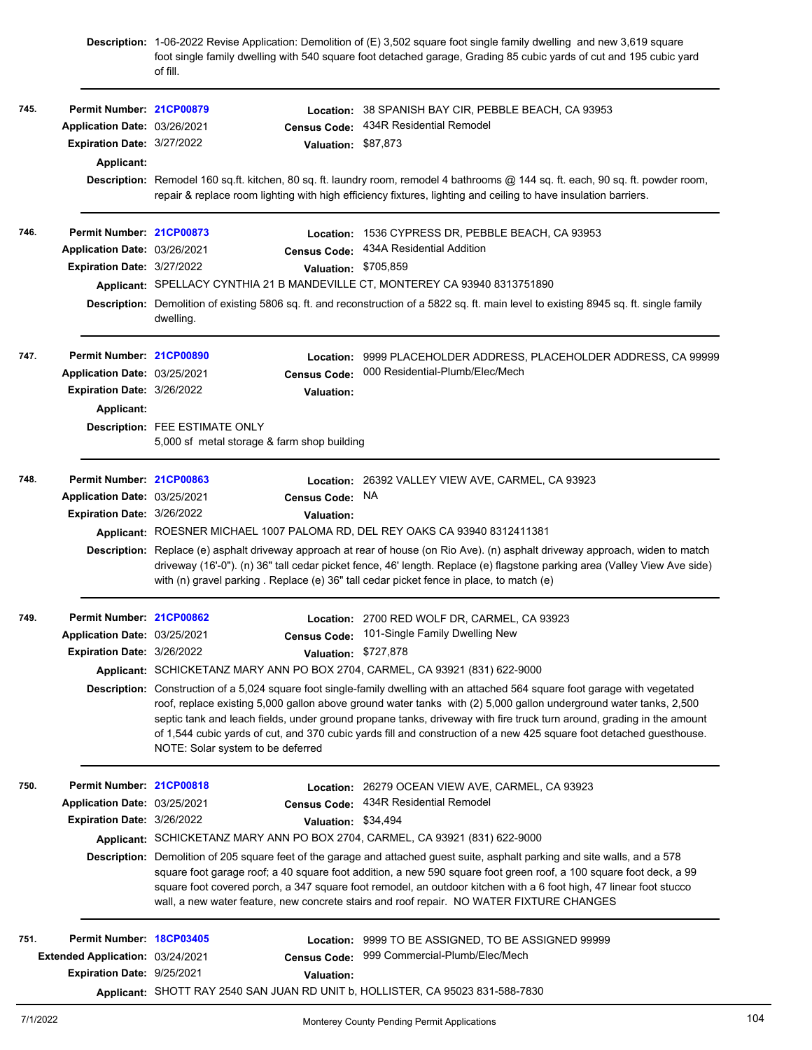|      |                                  | of fill.                                                                             | Description: 1-06-2022 Revise Application: Demolition of (E) 3,502 square foot single family dwelling and new 3,619 square<br>foot single family dwelling with 540 square foot detached garage, Grading 85 cubic yards of cut and 195 cubic yard                                                                                                                                                                                                                                                     |
|------|----------------------------------|--------------------------------------------------------------------------------------|------------------------------------------------------------------------------------------------------------------------------------------------------------------------------------------------------------------------------------------------------------------------------------------------------------------------------------------------------------------------------------------------------------------------------------------------------------------------------------------------------|
| 745. | Permit Number: 21CP00879         |                                                                                      | Location: 38 SPANISH BAY CIR, PEBBLE BEACH, CA 93953                                                                                                                                                                                                                                                                                                                                                                                                                                                 |
|      | Application Date: 03/26/2021     | <b>Census Code:</b>                                                                  | 434R Residential Remodel                                                                                                                                                                                                                                                                                                                                                                                                                                                                             |
|      | Expiration Date: 3/27/2022       | Valuation: \$87,873                                                                  |                                                                                                                                                                                                                                                                                                                                                                                                                                                                                                      |
|      | Applicant:                       |                                                                                      |                                                                                                                                                                                                                                                                                                                                                                                                                                                                                                      |
|      |                                  |                                                                                      | Description: Remodel 160 sq.ft. kitchen, 80 sq. ft. laundry room, remodel 4 bathrooms @ 144 sq. ft. each, 90 sq. ft. powder room,<br>repair & replace room lighting with high efficiency fixtures, lighting and ceiling to have insulation barriers.                                                                                                                                                                                                                                                 |
| 746. | Permit Number: 21CP00873         |                                                                                      | Location: 1536 CYPRESS DR, PEBBLE BEACH, CA 93953                                                                                                                                                                                                                                                                                                                                                                                                                                                    |
|      | Application Date: 03/26/2021     | <b>Census Code:</b>                                                                  | 434A Residential Addition                                                                                                                                                                                                                                                                                                                                                                                                                                                                            |
|      | Expiration Date: 3/27/2022       |                                                                                      | Valuation: \$705,859                                                                                                                                                                                                                                                                                                                                                                                                                                                                                 |
|      |                                  | Applicant: SPELLACY CYNTHIA 21 B MANDEVILLE CT, MONTEREY CA 93940 8313751890         |                                                                                                                                                                                                                                                                                                                                                                                                                                                                                                      |
|      |                                  | dwelling.                                                                            | Description: Demolition of existing 5806 sq. ft. and reconstruction of a 5822 sq. ft. main level to existing 8945 sq. ft. single family                                                                                                                                                                                                                                                                                                                                                              |
| 747. | Permit Number: 21CP00890         | Location:                                                                            | 9999 PLACEHOLDER ADDRESS, PLACEHOLDER ADDRESS, CA 99999                                                                                                                                                                                                                                                                                                                                                                                                                                              |
|      | Application Date: 03/25/2021     | <b>Census Code:</b>                                                                  | 000 Residential-Plumb/Elec/Mech                                                                                                                                                                                                                                                                                                                                                                                                                                                                      |
|      | Expiration Date: 3/26/2022       | <b>Valuation:</b>                                                                    |                                                                                                                                                                                                                                                                                                                                                                                                                                                                                                      |
|      | Applicant:                       |                                                                                      |                                                                                                                                                                                                                                                                                                                                                                                                                                                                                                      |
|      |                                  | <b>Description: FEE ESTIMATE ONLY</b><br>5,000 sf metal storage & farm shop building |                                                                                                                                                                                                                                                                                                                                                                                                                                                                                                      |
| 748. | Permit Number: 21CP00863         |                                                                                      | Location: 26392 VALLEY VIEW AVE, CARMEL, CA 93923                                                                                                                                                                                                                                                                                                                                                                                                                                                    |
|      | Application Date: 03/25/2021     | <b>Census Code:</b>                                                                  | NA.                                                                                                                                                                                                                                                                                                                                                                                                                                                                                                  |
|      | Expiration Date: 3/26/2022       | <b>Valuation:</b>                                                                    |                                                                                                                                                                                                                                                                                                                                                                                                                                                                                                      |
|      |                                  | Applicant: ROESNER MICHAEL 1007 PALOMA RD, DEL REY OAKS CA 93940 8312411381          |                                                                                                                                                                                                                                                                                                                                                                                                                                                                                                      |
|      |                                  |                                                                                      | Description: Replace (e) asphalt driveway approach at rear of house (on Rio Ave). (n) asphalt driveway approach, widen to match<br>driveway (16'-0"). (n) 36" tall cedar picket fence, 46' length. Replace (e) flagstone parking area (Valley View Ave side)<br>with (n) gravel parking . Replace (e) 36" tall cedar picket fence in place, to match (e)                                                                                                                                             |
| 749. | Permit Number: 21CP00862         |                                                                                      | Location: 2700 RED WOLF DR, CARMEL, CA 93923                                                                                                                                                                                                                                                                                                                                                                                                                                                         |
|      | Application Date: 03/25/2021     |                                                                                      | Census Code: 101-Single Family Dwelling New                                                                                                                                                                                                                                                                                                                                                                                                                                                          |
|      | Expiration Date: 3/26/2022       |                                                                                      | Valuation: \$727,878                                                                                                                                                                                                                                                                                                                                                                                                                                                                                 |
|      |                                  | Applicant: SCHICKETANZ MARY ANN PO BOX 2704, CARMEL, CA 93921 (831) 622-9000         |                                                                                                                                                                                                                                                                                                                                                                                                                                                                                                      |
|      |                                  | NOTE: Solar system to be deferred                                                    | Description: Construction of a 5,024 square foot single-family dwelling with an attached 564 square foot garage with vegetated<br>roof, replace existing 5,000 gallon above ground water tanks with (2) 5,000 gallon underground water tanks, 2,500<br>septic tank and leach fields, under ground propane tanks, driveway with fire truck turn around, grading in the amount<br>of 1,544 cubic yards of cut, and 370 cubic yards fill and construction of a new 425 square foot detached guesthouse. |
| 750. | Permit Number: 21CP00818         |                                                                                      | Location: 26279 OCEAN VIEW AVE, CARMEL, CA 93923                                                                                                                                                                                                                                                                                                                                                                                                                                                     |
|      | Application Date: 03/25/2021     | <b>Census Code:</b>                                                                  | 434R Residential Remodel                                                                                                                                                                                                                                                                                                                                                                                                                                                                             |
|      | Expiration Date: 3/26/2022       | Valuation: \$34,494                                                                  |                                                                                                                                                                                                                                                                                                                                                                                                                                                                                                      |
|      |                                  | Applicant: SCHICKETANZ MARY ANN PO BOX 2704, CARMEL, CA 93921 (831) 622-9000         |                                                                                                                                                                                                                                                                                                                                                                                                                                                                                                      |
|      |                                  |                                                                                      | Description: Demolition of 205 square feet of the garage and attached guest suite, asphalt parking and site walls, and a 578<br>square foot garage roof; a 40 square foot addition, a new 590 square foot green roof, a 100 square foot deck, a 99<br>square foot covered porch, a 347 square foot remodel, an outdoor kitchen with a 6 foot high, 47 linear foot stucco<br>wall, a new water feature, new concrete stairs and roof repair. NO WATER FIXTURE CHANGES                                 |
| 751. | Permit Number: 18CP03405         |                                                                                      | Location: 9999 TO BE ASSIGNED, TO BE ASSIGNED 99999                                                                                                                                                                                                                                                                                                                                                                                                                                                  |
|      | Extended Application: 03/24/2021 | <b>Census Code:</b>                                                                  | 999 Commercial-Plumb/Elec/Mech                                                                                                                                                                                                                                                                                                                                                                                                                                                                       |
|      | Expiration Date: 9/25/2021       | Valuation:                                                                           |                                                                                                                                                                                                                                                                                                                                                                                                                                                                                                      |
|      |                                  | Applicant: SHOTT RAY 2540 SAN JUAN RD UNIT b, HOLLISTER, CA 95023 831-588-7830       |                                                                                                                                                                                                                                                                                                                                                                                                                                                                                                      |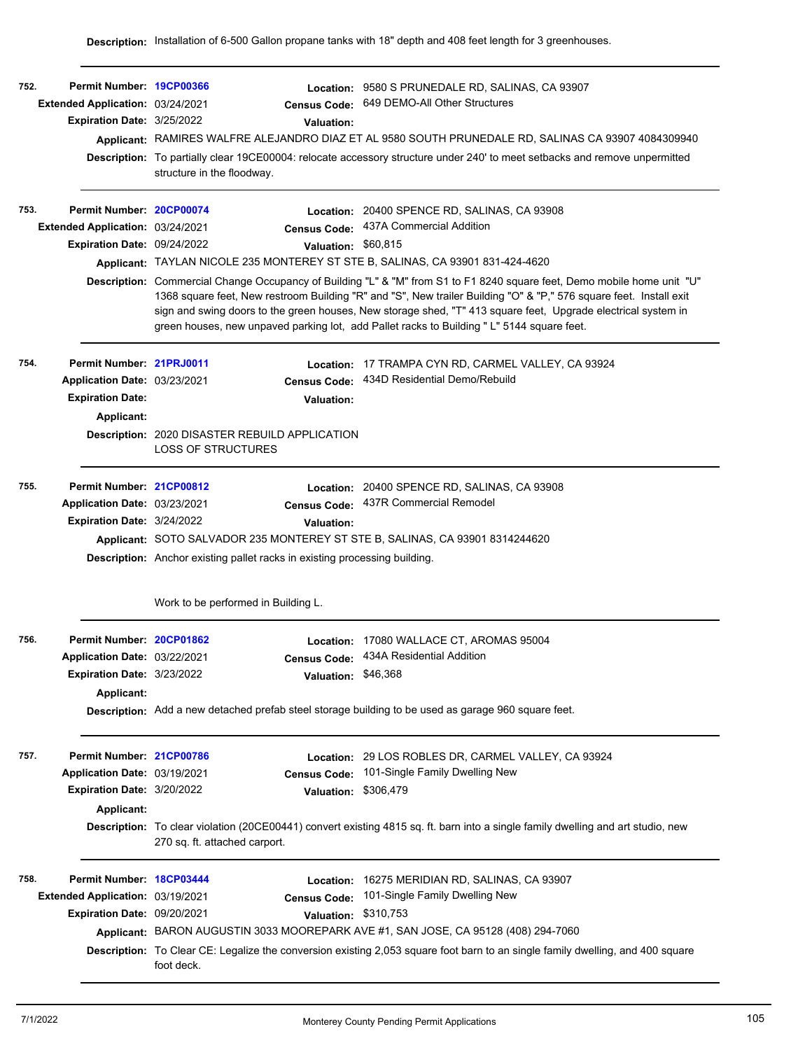| 752. | Permit Number: 19CP00366<br>Extended Application: 03/24/2021<br>Expiration Date: 3/25/2022           | Location:<br><b>Census Code:</b><br>Valuation:<br>structure in the floodway.                                                                                                                                                                  | 9580 S PRUNEDALE RD, SALINAS, CA 93907<br>649 DEMO-All Other Structures<br>Applicant: RAMIRES WALFRE ALEJANDRO DIAZ ET AL 9580 SOUTH PRUNEDALE RD, SALINAS CA 93907 4084309940<br>Description: To partially clear 19CE00004: relocate accessory structure under 240' to meet setbacks and remove unpermitted                                                                                                                                                                                                                             |
|------|------------------------------------------------------------------------------------------------------|-----------------------------------------------------------------------------------------------------------------------------------------------------------------------------------------------------------------------------------------------|------------------------------------------------------------------------------------------------------------------------------------------------------------------------------------------------------------------------------------------------------------------------------------------------------------------------------------------------------------------------------------------------------------------------------------------------------------------------------------------------------------------------------------------|
| 753. | Permit Number: 20CP00074<br>Extended Application: 03/24/2021<br>Expiration Date: 09/24/2022          | <b>Census Code:</b><br>Valuation: \$60,815<br>Applicant: TAYLAN NICOLE 235 MONTEREY ST STE B, SALINAS, CA 93901 831-424-4620                                                                                                                  | Location: 20400 SPENCE RD, SALINAS, CA 93908<br>437A Commercial Addition<br>Description: Commercial Change Occupancy of Building "L" & "M" from S1 to F1 8240 square feet, Demo mobile home unit "U"<br>1368 square feet, New restroom Building "R" and "S", New trailer Building "O" & "P," 576 square feet. Install exit<br>sign and swing doors to the green houses, New storage shed, "T" 413 square feet, Upgrade electrical system in<br>green houses, new unpaved parking lot, add Pallet racks to Building "L" 5144 square feet. |
| 754. | Permit Number: 21PRJ0011<br>Application Date: 03/23/2021<br><b>Expiration Date:</b><br>Applicant:    | Census Code:<br>Valuation:<br><b>Description: 2020 DISASTER REBUILD APPLICATION</b><br><b>LOSS OF STRUCTURES</b>                                                                                                                              | Location: 17 TRAMPA CYN RD, CARMEL VALLEY, CA 93924<br>434D Residential Demo/Rebuild                                                                                                                                                                                                                                                                                                                                                                                                                                                     |
| 755. | Permit Number: 21CP00812<br>Application Date: 03/23/2021<br>Expiration Date: 3/24/2022               | <b>Census Code:</b><br><b>Valuation:</b><br>Applicant: SOTO SALVADOR 235 MONTEREY ST STE B, SALINAS, CA 93901 8314244620<br>Description: Anchor existing pallet racks in existing processing building.<br>Work to be performed in Building L. | Location: 20400 SPENCE RD, SALINAS, CA 93908<br>437R Commercial Remodel                                                                                                                                                                                                                                                                                                                                                                                                                                                                  |
| 756. | Permit Number: 20CP01862<br>Application Date: 03/22/2021<br>Expiration Date: 3/23/2022<br>Applicant: | Valuation: \$46,368                                                                                                                                                                                                                           | Location: 17080 WALLACE CT, AROMAS 95004<br>Census Code: 434A Residential Addition<br>Description: Add a new detached prefab steel storage building to be used as garage 960 square feet.                                                                                                                                                                                                                                                                                                                                                |
| 757. | Permit Number: 21CP00786<br>Application Date: 03/19/2021<br>Expiration Date: 3/20/2022<br>Applicant: | <b>Census Code:</b><br>Valuation: \$306,479                                                                                                                                                                                                   | Location: 29 LOS ROBLES DR, CARMEL VALLEY, CA 93924<br>101-Single Family Dwelling New<br>Description: To clear violation (20CE00441) convert existing 4815 sq. ft. barn into a single family dwelling and art studio, new                                                                                                                                                                                                                                                                                                                |
| 758. | Permit Number: 18CP03444<br>Extended Application: 03/19/2021<br>Expiration Date: 09/20/2021          | 270 sq. ft. attached carport.<br>Location:<br><b>Census Code:</b><br>Valuation:<br>foot deck.                                                                                                                                                 | 16275 MERIDIAN RD, SALINAS, CA 93907<br>101-Single Family Dwelling New<br>\$310,753<br>Applicant: BARON AUGUSTIN 3033 MOOREPARK AVE #1, SAN JOSE, CA 95128 (408) 294-7060<br>Description: To Clear CE: Legalize the conversion existing 2,053 square foot barn to an single family dwelling, and 400 square                                                                                                                                                                                                                              |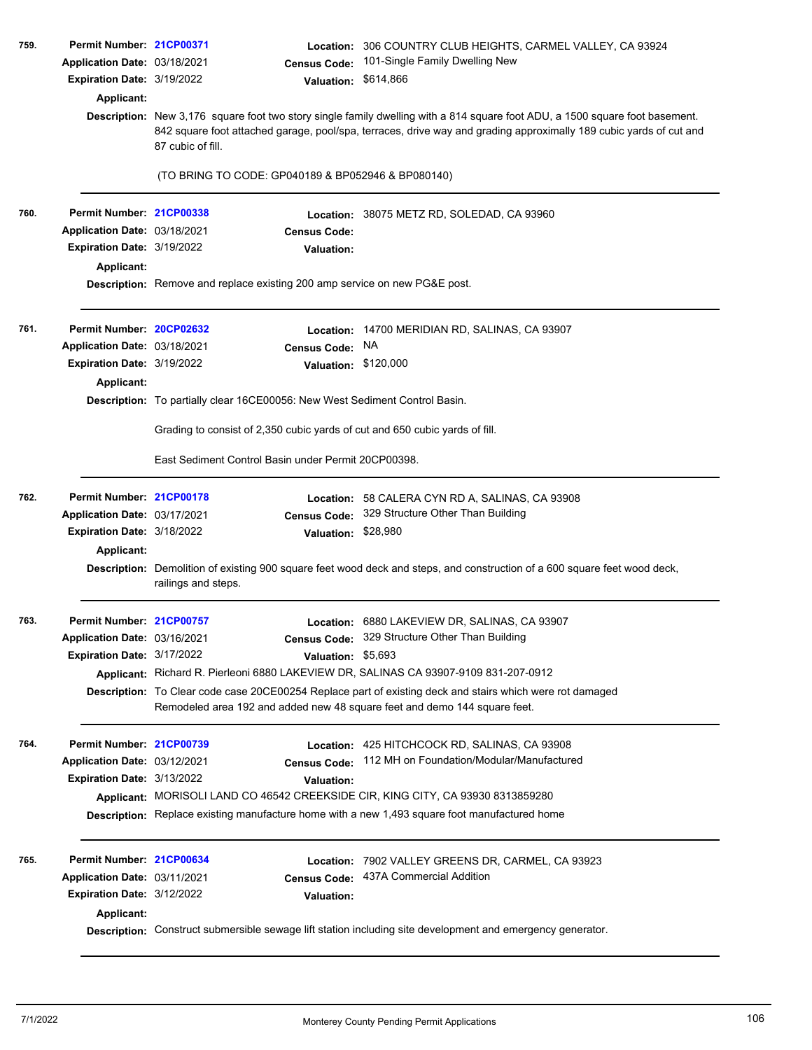| 759. | Permit Number: 21CP00371<br>Application Date: 03/18/2021<br>Expiration Date: 3/19/2022<br><b>Applicant:</b> | <b>Census Code:</b><br>Valuation:                                                    | Location: 306 COUNTRY CLUB HEIGHTS, CARMEL VALLEY, CA 93924<br>101-Single Family Dwelling New<br>\$614,866<br>Description: New 3,176 square foot two story single family dwelling with a 814 square foot ADU, a 1500 square foot basement. |  |  |  |
|------|-------------------------------------------------------------------------------------------------------------|--------------------------------------------------------------------------------------|--------------------------------------------------------------------------------------------------------------------------------------------------------------------------------------------------------------------------------------------|--|--|--|
|      |                                                                                                             | 87 cubic of fill.                                                                    | 842 square foot attached garage, pool/spa, terraces, drive way and grading approximally 189 cubic yards of cut and                                                                                                                         |  |  |  |
|      |                                                                                                             | (TO BRING TO CODE: GP040189 & BP052946 & BP080140)                                   |                                                                                                                                                                                                                                            |  |  |  |
| 760. | Permit Number: 21CP00338                                                                                    |                                                                                      | Location: 38075 METZ RD, SOLEDAD, CA 93960                                                                                                                                                                                                 |  |  |  |
|      | Application Date: 03/18/2021                                                                                | <b>Census Code:</b>                                                                  |                                                                                                                                                                                                                                            |  |  |  |
|      | Expiration Date: 3/19/2022                                                                                  | <b>Valuation:</b>                                                                    |                                                                                                                                                                                                                                            |  |  |  |
|      | Applicant:                                                                                                  | Description: Remove and replace existing 200 amp service on new PG&E post.           |                                                                                                                                                                                                                                            |  |  |  |
| 761. | Permit Number: 20CP02632                                                                                    | <b>Location:</b>                                                                     | 14700 MERIDIAN RD, SALINAS, CA 93907                                                                                                                                                                                                       |  |  |  |
|      | Application Date: 03/18/2021                                                                                | <b>Census Code:</b>                                                                  | NA                                                                                                                                                                                                                                         |  |  |  |
|      | Expiration Date: 3/19/2022                                                                                  | Valuation: \$120,000                                                                 |                                                                                                                                                                                                                                            |  |  |  |
|      | <b>Applicant:</b>                                                                                           |                                                                                      |                                                                                                                                                                                                                                            |  |  |  |
|      |                                                                                                             | Description: To partially clear 16CE00056: New West Sediment Control Basin.          |                                                                                                                                                                                                                                            |  |  |  |
|      |                                                                                                             | Grading to consist of 2,350 cubic yards of cut and 650 cubic yards of fill.          |                                                                                                                                                                                                                                            |  |  |  |
|      |                                                                                                             | East Sediment Control Basin under Permit 20CP00398.                                  |                                                                                                                                                                                                                                            |  |  |  |
| 762. | Permit Number: 21CP00178                                                                                    | Location:                                                                            | 58 CALERA CYN RD A, SALINAS, CA 93908                                                                                                                                                                                                      |  |  |  |
|      | Application Date: 03/17/2021                                                                                | <b>Census Code:</b>                                                                  | 329 Structure Other Than Building                                                                                                                                                                                                          |  |  |  |
|      | Expiration Date: 3/18/2022                                                                                  | Valuation: \$28,980                                                                  |                                                                                                                                                                                                                                            |  |  |  |
|      | <b>Applicant:</b>                                                                                           | railings and steps.                                                                  | Description: Demolition of existing 900 square feet wood deck and steps, and construction of a 600 square feet wood deck,                                                                                                                  |  |  |  |
| 763. | Permit Number: 21CP00757                                                                                    |                                                                                      | Location: 6880 LAKEVIEW DR, SALINAS, CA 93907                                                                                                                                                                                              |  |  |  |
|      | Application Date: 03/16/2021                                                                                |                                                                                      | Census Code: 329 Structure Other Than Building                                                                                                                                                                                             |  |  |  |
|      | <b>Expiration Date: 3/17/2022</b>                                                                           | Valuation:                                                                           | \$5,693                                                                                                                                                                                                                                    |  |  |  |
|      |                                                                                                             | Applicant: Richard R. Pierleoni 6880 LAKEVIEW DR, SALINAS CA 93907-9109 831-207-0912 |                                                                                                                                                                                                                                            |  |  |  |
|      |                                                                                                             | Remodeled area 192 and added new 48 square feet and demo 144 square feet.            | Description: To Clear code case 20CE00254 Replace part of existing deck and stairs which were rot damaged                                                                                                                                  |  |  |  |
| 764. | Permit Number: 21CP00739                                                                                    |                                                                                      | Location: 425 HITCHCOCK RD, SALINAS, CA 93908                                                                                                                                                                                              |  |  |  |
|      | Application Date: 03/12/2021                                                                                | <b>Census Code:</b>                                                                  | 112 MH on Foundation/Modular/Manufactured                                                                                                                                                                                                  |  |  |  |
|      | Expiration Date: 3/13/2022                                                                                  | <b>Valuation:</b>                                                                    |                                                                                                                                                                                                                                            |  |  |  |
|      |                                                                                                             | Applicant: MORISOLI LAND CO 46542 CREEKSIDE CIR, KING CITY, CA 93930 8313859280      |                                                                                                                                                                                                                                            |  |  |  |
|      |                                                                                                             |                                                                                      | Description: Replace existing manufacture home with a new 1,493 square foot manufactured home                                                                                                                                              |  |  |  |
| 765. | Permit Number: 21CP00634                                                                                    | Location:                                                                            | 7902 VALLEY GREENS DR, CARMEL, CA 93923                                                                                                                                                                                                    |  |  |  |
|      | Application Date: 03/11/2021                                                                                | <b>Census Code:</b>                                                                  | 437A Commercial Addition                                                                                                                                                                                                                   |  |  |  |
|      | Expiration Date: 3/12/2022<br>Applicant:                                                                    | <b>Valuation:</b>                                                                    |                                                                                                                                                                                                                                            |  |  |  |
|      |                                                                                                             |                                                                                      | Description: Construct submersible sewage lift station including site development and emergency generator.                                                                                                                                 |  |  |  |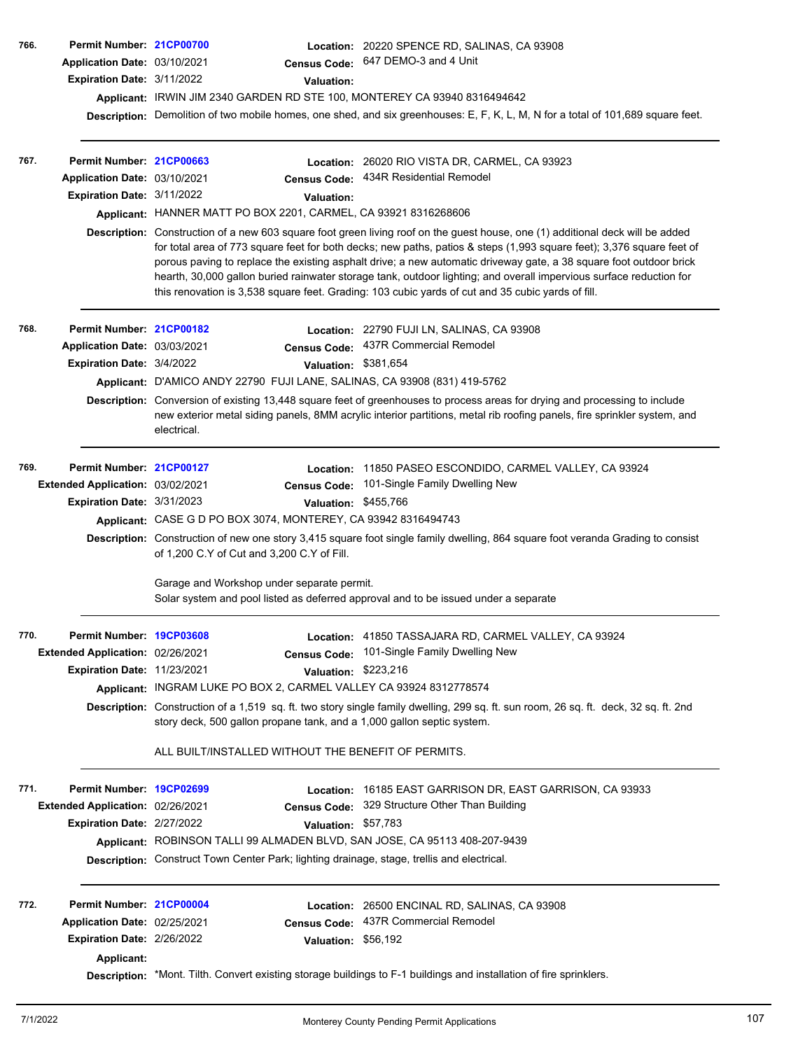| 766.<br>767. | Permit Number: 21CP00700<br>Application Date: 03/10/2021<br>Expiration Date: 3/11/2022<br>Permit Number: 21CP00663<br>Application Date: 03/10/2021<br>Expiration Date: 3/11/2022 | <b>Census Code:</b><br><b>Valuation:</b><br>Applicant: IRWIN JIM 2340 GARDEN RD STE 100, MONTEREY CA 93940 8316494642<br><b>Census Code:</b><br><b>Valuation:</b><br>Applicant: HANNER MATT PO BOX 2201, CARMEL, CA 93921 8316268606                                                                          | <b>Location: 20220 SPENCE RD, SALINAS, CA 93908</b><br>647 DEMO-3 and 4 Unit<br>Description: Demolition of two mobile homes, one shed, and six greenhouses: E, F, K, L, M, N for a total of 101,689 square feet.<br>Location: 26020 RIO VISTA DR, CARMEL, CA 93923<br>434R Residential Remodel<br>Description: Construction of a new 603 square foot green living roof on the guest house, one (1) additional deck will be added<br>for total area of 773 square feet for both decks; new paths, patios & steps (1,993 square feet); 3,376 square feet of<br>porous paving to replace the existing asphalt drive; a new automatic driveway gate, a 38 square foot outdoor brick<br>hearth, 30,000 gallon buried rainwater storage tank, outdoor lighting; and overall impervious surface reduction for<br>this renovation is 3,538 square feet. Grading: 103 cubic yards of cut and 35 cubic yards of fill. |
|--------------|----------------------------------------------------------------------------------------------------------------------------------------------------------------------------------|---------------------------------------------------------------------------------------------------------------------------------------------------------------------------------------------------------------------------------------------------------------------------------------------------------------|-------------------------------------------------------------------------------------------------------------------------------------------------------------------------------------------------------------------------------------------------------------------------------------------------------------------------------------------------------------------------------------------------------------------------------------------------------------------------------------------------------------------------------------------------------------------------------------------------------------------------------------------------------------------------------------------------------------------------------------------------------------------------------------------------------------------------------------------------------------------------------------------------------------|
| 768.         | Permit Number: 21CP00182<br>Application Date: 03/03/2021<br>Expiration Date: 3/4/2022                                                                                            | <b>Census Code:</b><br>Applicant: D'AMICO ANDY 22790 FUJI LANE, SALINAS, CA 93908 (831) 419-5762<br>electrical.                                                                                                                                                                                               | Location: 22790 FUJI LN, SALINAS, CA 93908<br>437R Commercial Remodel<br>Valuation: \$381,654<br>Description: Conversion of existing 13,448 square feet of greenhouses to process areas for drying and processing to include<br>new exterior metal siding panels, 8MM acrylic interior partitions, metal rib roofing panels, fire sprinkler system, and                                                                                                                                                                                                                                                                                                                                                                                                                                                                                                                                                     |
| 769.         | Permit Number: 21CP00127<br>Extended Application: 03/02/2021<br>Expiration Date: 3/31/2023                                                                                       | Location:<br><b>Census Code:</b><br>Valuation: \$455,766<br>Applicant: CASE G D PO BOX 3074, MONTEREY, CA 93942 8316494743<br>of 1,200 C.Y of Cut and 3,200 C.Y of Fill.<br>Garage and Workshop under separate permit.<br>Solar system and pool listed as deferred approval and to be issued under a separate | 11850 PASEO ESCONDIDO, CARMEL VALLEY, CA 93924<br>101-Single Family Dwelling New<br>Description: Construction of new one story 3,415 square foot single family dwelling, 864 square foot veranda Grading to consist                                                                                                                                                                                                                                                                                                                                                                                                                                                                                                                                                                                                                                                                                         |
| 770.         | Permit Number: 19CP03608<br>Extended Application: 02/26/2021<br>Expiration Date: 11/23/2021                                                                                      | <b>Census Code:</b><br>Valuation: \$223,216<br>Applicant: INGRAM LUKE PO BOX 2, CARMEL VALLEY CA 93924 8312778574<br>story deck, 500 gallon propane tank, and a 1,000 gallon septic system.<br>ALL BUILT/INSTALLED WITHOUT THE BENEFIT OF PERMITS.                                                            | Location: 41850 TASSAJARA RD, CARMEL VALLEY, CA 93924<br>101-Single Family Dwelling New<br>Description: Construction of a 1,519 sq. ft. two story single family dwelling, 299 sq. ft. sun room, 26 sq. ft. deck, 32 sq. ft. 2nd                                                                                                                                                                                                                                                                                                                                                                                                                                                                                                                                                                                                                                                                             |
| 771.         | Permit Number: 19CP02699<br>Extended Application: 02/26/2021<br>Expiration Date: 2/27/2022                                                                                       | Location:<br><b>Census Code:</b><br>Valuation: \$57,783<br>Applicant: ROBINSON TALLI 99 ALMADEN BLVD, SAN JOSE, CA 95113 408-207-9439<br>Description: Construct Town Center Park; lighting drainage, stage, trellis and electrical.                                                                           | 16185 EAST GARRISON DR, EAST GARRISON, CA 93933<br>329 Structure Other Than Building                                                                                                                                                                                                                                                                                                                                                                                                                                                                                                                                                                                                                                                                                                                                                                                                                        |
| 772.         | Permit Number: 21CP00004<br>Application Date: 02/25/2021<br>Expiration Date: 2/26/2022<br>Applicant:                                                                             | <b>Census Code:</b><br>Valuation: \$56,192                                                                                                                                                                                                                                                                    | <b>Location: 26500 ENCINAL RD, SALINAS, CA 93908</b><br>437R Commercial Remodel<br>Description: *Mont. Tilth. Convert existing storage buildings to F-1 buildings and installation of fire sprinklers.                                                                                                                                                                                                                                                                                                                                                                                                                                                                                                                                                                                                                                                                                                      |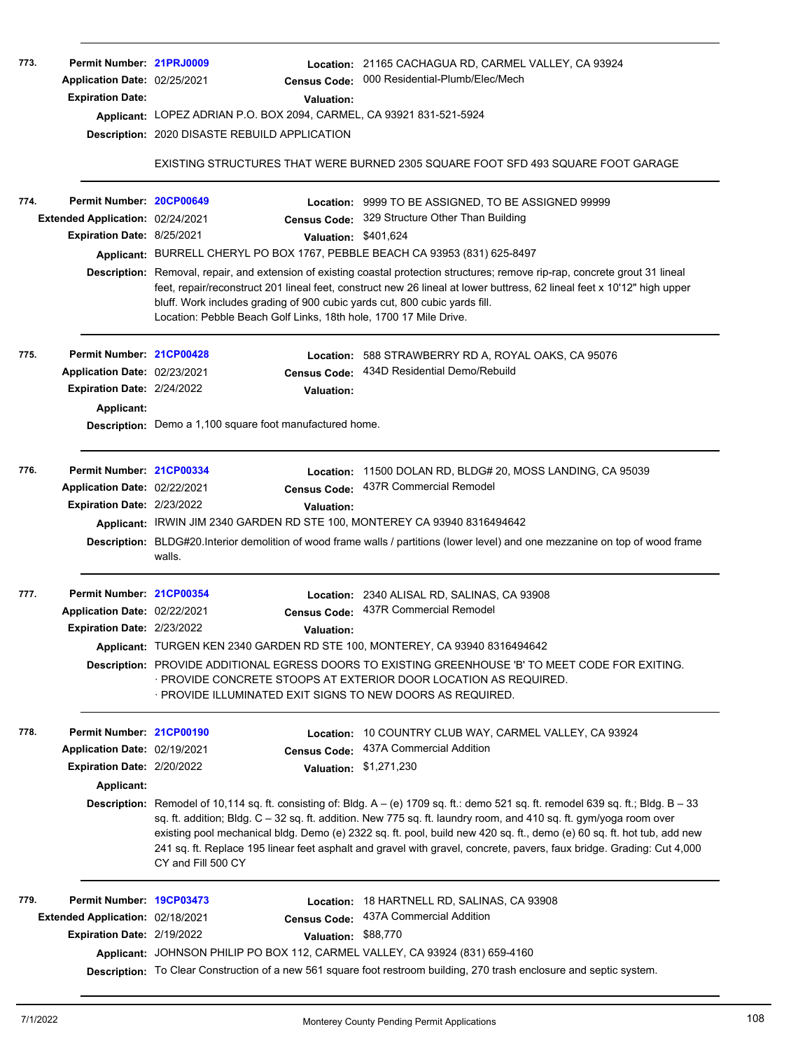| 773.<br>774. | Permit Number: 21PRJ0009<br>Application Date: 02/25/2021<br><b>Expiration Date:</b><br>Permit Number: 20CP00649<br>Extended Application: 02/24/2021<br>Expiration Date: 8/25/2021 | <b>Census Code:</b><br><b>Valuation:</b><br>Applicant: LOPEZ ADRIAN P.O. BOX 2094, CARMEL, CA 93921 831-521-5924<br>Description: 2020 DISASTE REBUILD APPLICATION<br>Applicant: BURRELL CHERYL PO BOX 1767, PEBBLE BEACH CA 93953 (831) 625-8497<br>bluff. Work includes grading of 900 cubic yards cut, 800 cubic yards fill.<br>Location: Pebble Beach Golf Links, 18th hole, 1700 17 Mile Drive. | Location: 21165 CACHAGUA RD, CARMEL VALLEY, CA 93924<br>000 Residential-Plumb/Elec/Mech<br>EXISTING STRUCTURES THAT WERE BURNED 2305 SQUARE FOOT SFD 493 SQUARE FOOT GARAGE<br>Location: 9999 TO BE ASSIGNED, TO BE ASSIGNED 99999<br>Census Code: 329 Structure Other Than Building<br>Valuation: \$401,624<br>Description: Removal, repair, and extension of existing coastal protection structures; remove rip-rap, concrete grout 31 lineal<br>feet, repair/reconstruct 201 lineal feet, construct new 26 lineal at lower buttress, 62 lineal feet x 10'12" high upper                                                  |
|--------------|-----------------------------------------------------------------------------------------------------------------------------------------------------------------------------------|-----------------------------------------------------------------------------------------------------------------------------------------------------------------------------------------------------------------------------------------------------------------------------------------------------------------------------------------------------------------------------------------------------|-----------------------------------------------------------------------------------------------------------------------------------------------------------------------------------------------------------------------------------------------------------------------------------------------------------------------------------------------------------------------------------------------------------------------------------------------------------------------------------------------------------------------------------------------------------------------------------------------------------------------------|
| 775.         | Permit Number: 21CP00428<br>Application Date: 02/23/2021<br>Expiration Date: 2/24/2022<br><b>Applicant:</b>                                                                       | Location:<br><b>Census Code:</b><br>Valuation:<br><b>Description:</b> Demo a 1,100 square foot manufactured home.                                                                                                                                                                                                                                                                                   | 588 STRAWBERRY RD A, ROYAL OAKS, CA 95076<br>434D Residential Demo/Rebuild                                                                                                                                                                                                                                                                                                                                                                                                                                                                                                                                                  |
| 776.         | Permit Number: 21CP00334<br>Application Date: 02/22/2021<br>Expiration Date: 2/23/2022                                                                                            | <b>Census Code:</b><br>Valuation:<br>Applicant: IRWIN JIM 2340 GARDEN RD STE 100, MONTEREY CA 93940 8316494642<br>walls.                                                                                                                                                                                                                                                                            | Location: 11500 DOLAN RD, BLDG# 20, MOSS LANDING, CA 95039<br>437R Commercial Remodel<br>Description: BLDG#20.Interior demolition of wood frame walls / partitions (lower level) and one mezzanine on top of wood frame                                                                                                                                                                                                                                                                                                                                                                                                     |
| 777.         | Permit Number: 21CP00354<br>Application Date: 02/22/2021<br><b>Expiration Date: 2/23/2022</b>                                                                                     | Valuation:<br>Applicant: TURGEN KEN 2340 GARDEN RD STE 100, MONTEREY, CA 93940 8316494642<br>· PROVIDE ILLUMINATED EXIT SIGNS TO NEW DOORS AS REQUIRED.                                                                                                                                                                                                                                             | Location: 2340 ALISAL RD, SALINAS, CA 93908<br>Census Code: 437R Commercial Remodel<br>Description: PROVIDE ADDITIONAL EGRESS DOORS TO EXISTING GREENHOUSE 'B' TO MEET CODE FOR EXITING.<br>· PROVIDE CONCRETE STOOPS AT EXTERIOR DOOR LOCATION AS REQUIRED.                                                                                                                                                                                                                                                                                                                                                                |
| 778.         | Permit Number: 21CP00190<br>Application Date: 02/19/2021<br>Expiration Date: 2/20/2022<br>Applicant:                                                                              | Location:<br><b>Census Code:</b><br>CY and Fill 500 CY                                                                                                                                                                                                                                                                                                                                              | 10 COUNTRY CLUB WAY, CARMEL VALLEY, CA 93924<br>437A Commercial Addition<br>Valuation: \$1,271,230<br><b>Description:</b> Remodel of 10,114 sq. ft. consisting of: Bldg. $A - (e)$ 1709 sq. ft.: demo 521 sq. ft. remodel 639 sq. ft.; Bldg. B - 33<br>sq. ft. addition; Bldg. C - 32 sq. ft. addition. New 775 sq. ft. laundry room, and 410 sq. ft. gym/yoga room over<br>existing pool mechanical bldg. Demo (e) 2322 sq. ft. pool, build new 420 sq. ft., demo (e) 60 sq. ft. hot tub, add new<br>241 sq. ft. Replace 195 linear feet asphalt and gravel with gravel, concrete, pavers, faux bridge. Grading: Cut 4,000 |
| 779.         | Permit Number: 19CP03473<br>Extended Application: 02/18/2021<br>Expiration Date: 2/19/2022                                                                                        | <b>Census Code:</b><br>Valuation: \$88,770<br>Applicant: JOHNSON PHILIP PO BOX 112, CARMEL VALLEY, CA 93924 (831) 659-4160                                                                                                                                                                                                                                                                          | Location: 18 HARTNELL RD, SALINAS, CA 93908<br>437A Commercial Addition<br>Description: To Clear Construction of a new 561 square foot restroom building, 270 trash enclosure and septic system.                                                                                                                                                                                                                                                                                                                                                                                                                            |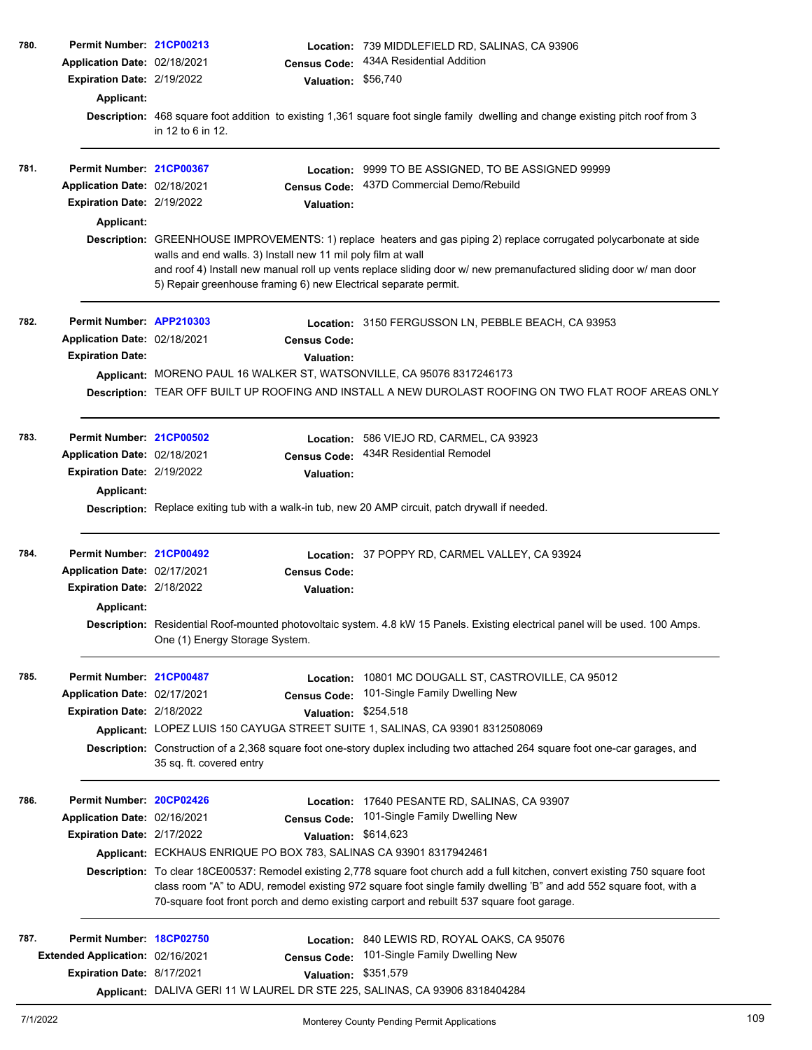| 780. | Permit Number: 21CP00213         |                                                                                                                                                                  |                      | Location: 739 MIDDLEFIELD RD, SALINAS, CA 93906                                                                                  |
|------|----------------------------------|------------------------------------------------------------------------------------------------------------------------------------------------------------------|----------------------|----------------------------------------------------------------------------------------------------------------------------------|
|      | Application Date: 02/18/2021     |                                                                                                                                                                  | <b>Census Code:</b>  | 434A Residential Addition                                                                                                        |
|      | Expiration Date: 2/19/2022       |                                                                                                                                                                  | Valuation: \$56,740  |                                                                                                                                  |
|      | Applicant:                       |                                                                                                                                                                  |                      |                                                                                                                                  |
|      |                                  |                                                                                                                                                                  |                      | Description: 468 square foot addition to existing 1,361 square foot single family dwelling and change existing pitch roof from 3 |
|      |                                  | in 12 to 6 in 12.                                                                                                                                                |                      |                                                                                                                                  |
|      |                                  |                                                                                                                                                                  |                      |                                                                                                                                  |
| 781. | Permit Number: 21CP00367         |                                                                                                                                                                  |                      | Location: 9999 TO BE ASSIGNED, TO BE ASSIGNED 99999                                                                              |
|      | Application Date: 02/18/2021     |                                                                                                                                                                  | <b>Census Code:</b>  | 437D Commercial Demo/Rebuild                                                                                                     |
|      | Expiration Date: 2/19/2022       |                                                                                                                                                                  | <b>Valuation:</b>    |                                                                                                                                  |
|      | Applicant:                       |                                                                                                                                                                  |                      |                                                                                                                                  |
|      |                                  |                                                                                                                                                                  |                      | Description: GREENHOUSE IMPROVEMENTS: 1) replace heaters and gas piping 2) replace corrugated polycarbonate at side              |
|      |                                  | walls and end walls. 3) Install new 11 mil poly film at wall                                                                                                     |                      |                                                                                                                                  |
|      |                                  |                                                                                                                                                                  |                      | and roof 4) Install new manual roll up vents replace sliding door w/ new premanufactured sliding door w/ man door                |
|      |                                  | 5) Repair greenhouse framing 6) new Electrical separate permit.                                                                                                  |                      |                                                                                                                                  |
| 782. | Permit Number: APP210303         |                                                                                                                                                                  |                      | Location: 3150 FERGUSSON LN, PEBBLE BEACH, CA 93953                                                                              |
|      | Application Date: 02/18/2021     |                                                                                                                                                                  |                      |                                                                                                                                  |
|      |                                  |                                                                                                                                                                  | <b>Census Code:</b>  |                                                                                                                                  |
|      | <b>Expiration Date:</b>          |                                                                                                                                                                  | <b>Valuation:</b>    |                                                                                                                                  |
|      |                                  |                                                                                                                                                                  |                      | Applicant: MORENO PAUL 16 WALKER ST, WATSONVILLE, CA 95076 8317246173                                                            |
|      |                                  |                                                                                                                                                                  |                      | Description: TEAR OFF BUILT UP ROOFING AND INSTALL A NEW DUROLAST ROOFING ON TWO FLAT ROOF AREAS ONLY                            |
|      |                                  |                                                                                                                                                                  |                      |                                                                                                                                  |
| 783. | Permit Number: 21CP00502         |                                                                                                                                                                  |                      | Location: 586 VIEJO RD, CARMEL, CA 93923                                                                                         |
|      | Application Date: 02/18/2021     |                                                                                                                                                                  | <b>Census Code:</b>  | 434R Residential Remodel                                                                                                         |
|      | Expiration Date: 2/19/2022       |                                                                                                                                                                  | <b>Valuation:</b>    |                                                                                                                                  |
|      | Applicant:                       |                                                                                                                                                                  |                      |                                                                                                                                  |
|      |                                  |                                                                                                                                                                  |                      | Description: Replace exiting tub with a walk-in tub, new 20 AMP circuit, patch drywall if needed.                                |
| 784. | Permit Number: 21CP00492         |                                                                                                                                                                  |                      | Location: 37 POPPY RD, CARMEL VALLEY, CA 93924                                                                                   |
|      | Application Date: 02/17/2021     |                                                                                                                                                                  |                      |                                                                                                                                  |
|      |                                  |                                                                                                                                                                  | <b>Census Code:</b>  |                                                                                                                                  |
|      | Expiration Date: 2/18/2022       |                                                                                                                                                                  | <b>Valuation:</b>    |                                                                                                                                  |
|      | Applicant:                       |                                                                                                                                                                  |                      |                                                                                                                                  |
|      |                                  | Description: Residential Roof-mounted photovoltaic system. 4.8 kW 15 Panels. Existing electrical panel will be used. 100 Amps.<br>One (1) Energy Storage System. |                      |                                                                                                                                  |
|      |                                  |                                                                                                                                                                  |                      |                                                                                                                                  |
| 785. | Permit Number: 21CP00487         |                                                                                                                                                                  | Location:            | 10801 MC DOUGALL ST, CASTROVILLE, CA 95012                                                                                       |
|      | Application Date: 02/17/2021     |                                                                                                                                                                  | <b>Census Code:</b>  | 101-Single Family Dwelling New                                                                                                   |
|      | Expiration Date: 2/18/2022       |                                                                                                                                                                  | Valuation:           | \$254,518                                                                                                                        |
|      |                                  |                                                                                                                                                                  |                      | Applicant: LOPEZ LUIS 150 CAYUGA STREET SUITE 1, SALINAS, CA 93901 8312508069                                                    |
|      |                                  | Description: Construction of a 2,368 square foot one-story duplex including two attached 264 square foot one-car garages, and<br>35 sq. ft. covered entry        |                      |                                                                                                                                  |
|      |                                  |                                                                                                                                                                  |                      |                                                                                                                                  |
| 786. | Permit Number: 20CP02426         |                                                                                                                                                                  | Location:            | 17640 PESANTE RD, SALINAS, CA 93907                                                                                              |
|      | Application Date: 02/16/2021     |                                                                                                                                                                  | <b>Census Code:</b>  | 101-Single Family Dwelling New                                                                                                   |
|      | Expiration Date: 2/17/2022       |                                                                                                                                                                  | Valuation: \$614,623 |                                                                                                                                  |
|      |                                  | Applicant: ECKHAUS ENRIQUE PO BOX 783, SALINAS CA 93901 8317942461                                                                                               |                      |                                                                                                                                  |
|      |                                  |                                                                                                                                                                  |                      | Description: To clear 18CE00537: Remodel existing 2,778 square foot church add a full kitchen, convert existing 750 square foot  |
|      |                                  |                                                                                                                                                                  |                      | class room "A" to ADU, remodel existing 972 square foot single family dwelling 'B" and add 552 square foot, with a               |
|      |                                  |                                                                                                                                                                  |                      | 70-square foot front porch and demo existing carport and rebuilt 537 square foot garage.                                         |
| 787. | Permit Number: 18CP02750         |                                                                                                                                                                  | Location:            | 840 LEWIS RD, ROYAL OAKS, CA 95076                                                                                               |
|      | Extended Application: 02/16/2021 |                                                                                                                                                                  | <b>Census Code:</b>  | 101-Single Family Dwelling New                                                                                                   |
|      | Expiration Date: 8/17/2021       |                                                                                                                                                                  | <b>Valuation:</b>    | \$351,579                                                                                                                        |
|      |                                  |                                                                                                                                                                  |                      | Applicant: DALIVA GERI 11 W LAUREL DR STE 225, SALINAS, CA 93906 8318404284                                                      |
|      |                                  |                                                                                                                                                                  |                      |                                                                                                                                  |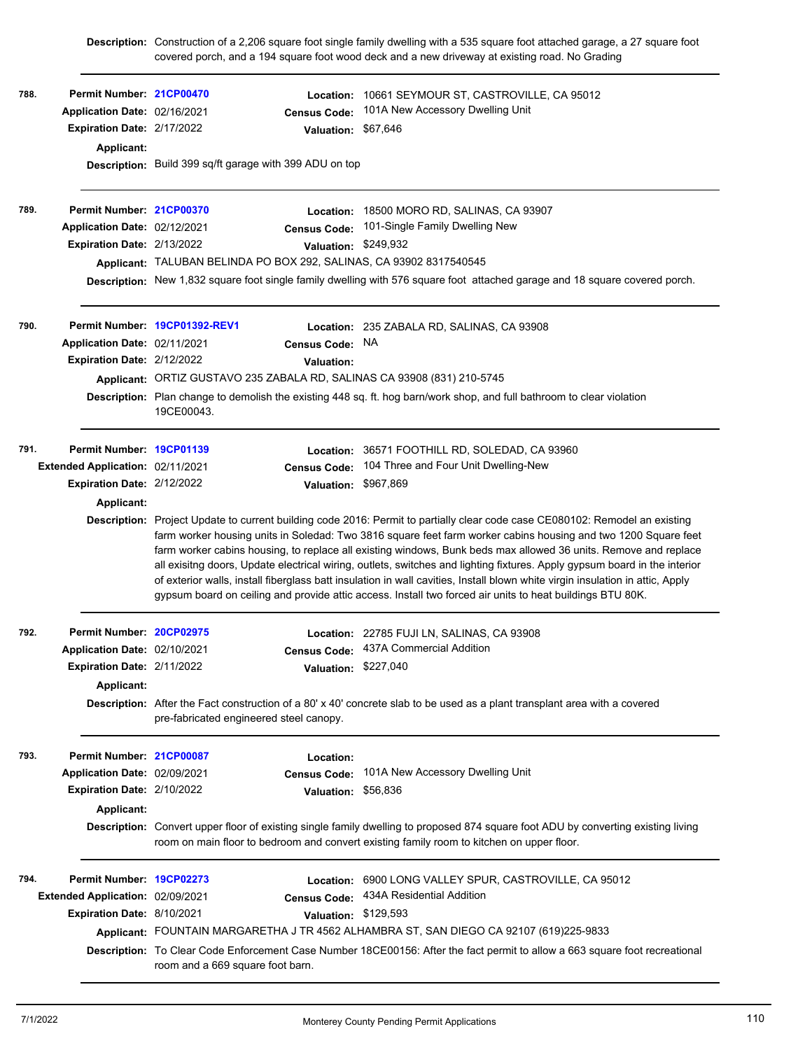|      |                                  |                                                                                                                                                                              |                      | Description: Construction of a 2,206 square foot single family dwelling with a 535 square foot attached garage, a 27 square foot<br>covered porch, and a 194 square foot wood deck and a new driveway at existing road. No Grading                                                                                                                                                                                                                                                                                                                                                                                                                                                                                                           |  |  |
|------|----------------------------------|------------------------------------------------------------------------------------------------------------------------------------------------------------------------------|----------------------|----------------------------------------------------------------------------------------------------------------------------------------------------------------------------------------------------------------------------------------------------------------------------------------------------------------------------------------------------------------------------------------------------------------------------------------------------------------------------------------------------------------------------------------------------------------------------------------------------------------------------------------------------------------------------------------------------------------------------------------------|--|--|
| 788. | Permit Number: 21CP00470         |                                                                                                                                                                              | Location:            | 10661 SEYMOUR ST, CASTROVILLE, CA 95012                                                                                                                                                                                                                                                                                                                                                                                                                                                                                                                                                                                                                                                                                                      |  |  |
|      | Application Date: 02/16/2021     |                                                                                                                                                                              | <b>Census Code:</b>  | 101A New Accessory Dwelling Unit                                                                                                                                                                                                                                                                                                                                                                                                                                                                                                                                                                                                                                                                                                             |  |  |
|      | Expiration Date: 2/17/2022       |                                                                                                                                                                              | Valuation: \$67,646  |                                                                                                                                                                                                                                                                                                                                                                                                                                                                                                                                                                                                                                                                                                                                              |  |  |
|      | Applicant:                       |                                                                                                                                                                              |                      |                                                                                                                                                                                                                                                                                                                                                                                                                                                                                                                                                                                                                                                                                                                                              |  |  |
|      |                                  | Description: Build 399 sq/ft garage with 399 ADU on top                                                                                                                      |                      |                                                                                                                                                                                                                                                                                                                                                                                                                                                                                                                                                                                                                                                                                                                                              |  |  |
| 789. | Permit Number: 21CP00370         |                                                                                                                                                                              |                      | Location: 18500 MORO RD, SALINAS, CA 93907                                                                                                                                                                                                                                                                                                                                                                                                                                                                                                                                                                                                                                                                                                   |  |  |
|      | Application Date: 02/12/2021     |                                                                                                                                                                              | <b>Census Code:</b>  | 101-Single Family Dwelling New                                                                                                                                                                                                                                                                                                                                                                                                                                                                                                                                                                                                                                                                                                               |  |  |
|      | Expiration Date: 2/13/2022       |                                                                                                                                                                              | Valuation: \$249,932 |                                                                                                                                                                                                                                                                                                                                                                                                                                                                                                                                                                                                                                                                                                                                              |  |  |
|      |                                  | Applicant: TALUBAN BELINDA PO BOX 292, SALINAS, CA 93902 8317540545                                                                                                          |                      |                                                                                                                                                                                                                                                                                                                                                                                                                                                                                                                                                                                                                                                                                                                                              |  |  |
|      |                                  |                                                                                                                                                                              |                      | Description: New 1,832 square foot single family dwelling with 576 square foot attached garage and 18 square covered porch.                                                                                                                                                                                                                                                                                                                                                                                                                                                                                                                                                                                                                  |  |  |
| 790. |                                  | Permit Number. 19CP01392-REV1                                                                                                                                                |                      | <b>Location: 235 ZABALA RD, SALINAS, CA 93908</b>                                                                                                                                                                                                                                                                                                                                                                                                                                                                                                                                                                                                                                                                                            |  |  |
|      | Application Date: 02/11/2021     |                                                                                                                                                                              | <b>Census Code:</b>  | NA.                                                                                                                                                                                                                                                                                                                                                                                                                                                                                                                                                                                                                                                                                                                                          |  |  |
|      | Expiration Date: 2/12/2022       |                                                                                                                                                                              | <b>Valuation:</b>    |                                                                                                                                                                                                                                                                                                                                                                                                                                                                                                                                                                                                                                                                                                                                              |  |  |
|      |                                  |                                                                                                                                                                              |                      | Applicant: ORTIZ GUSTAVO 235 ZABALA RD, SALINAS CA 93908 (831) 210-5745                                                                                                                                                                                                                                                                                                                                                                                                                                                                                                                                                                                                                                                                      |  |  |
|      |                                  | Description: Plan change to demolish the existing 448 sq. ft. hog barn/work shop, and full bathroom to clear violation<br>19CE00043.                                         |                      |                                                                                                                                                                                                                                                                                                                                                                                                                                                                                                                                                                                                                                                                                                                                              |  |  |
| 791. | Permit Number: 19CP01139         |                                                                                                                                                                              | Location:            | 36571 FOOTHILL RD, SOLEDAD, CA 93960                                                                                                                                                                                                                                                                                                                                                                                                                                                                                                                                                                                                                                                                                                         |  |  |
|      | Extended Application: 02/11/2021 |                                                                                                                                                                              | <b>Census Code:</b>  | 104 Three and Four Unit Dwelling-New                                                                                                                                                                                                                                                                                                                                                                                                                                                                                                                                                                                                                                                                                                         |  |  |
|      | Expiration Date: 2/12/2022       |                                                                                                                                                                              | <b>Valuation:</b>    | \$967,869                                                                                                                                                                                                                                                                                                                                                                                                                                                                                                                                                                                                                                                                                                                                    |  |  |
|      | Applicant:                       |                                                                                                                                                                              |                      |                                                                                                                                                                                                                                                                                                                                                                                                                                                                                                                                                                                                                                                                                                                                              |  |  |
|      |                                  |                                                                                                                                                                              |                      | Description: Project Update to current building code 2016: Permit to partially clear code case CE080102: Remodel an existing<br>farm worker housing units in Soledad: Two 3816 square feet farm worker cabins housing and two 1200 Square feet<br>farm worker cabins housing, to replace all existing windows, Bunk beds max allowed 36 units. Remove and replace<br>all exisitng doors, Update electrical wiring, outlets, switches and lighting fixtures. Apply gypsum board in the interior<br>of exterior walls, install fiberglass batt insulation in wall cavities, Install blown white virgin insulation in attic, Apply<br>gypsum board on ceiling and provide attic access. Install two forced air units to heat buildings BTU 80K. |  |  |
| 792. | Permit Number: 20CP02975         |                                                                                                                                                                              |                      | Location: 22785 FUJI LN, SALINAS, CA 93908                                                                                                                                                                                                                                                                                                                                                                                                                                                                                                                                                                                                                                                                                                   |  |  |
|      | Application Date: 02/10/2021     |                                                                                                                                                                              | <b>Census Code:</b>  | 437A Commercial Addition                                                                                                                                                                                                                                                                                                                                                                                                                                                                                                                                                                                                                                                                                                                     |  |  |
|      | Expiration Date: 2/11/2022       |                                                                                                                                                                              | Valuation: \$227,040 |                                                                                                                                                                                                                                                                                                                                                                                                                                                                                                                                                                                                                                                                                                                                              |  |  |
|      | <b>Applicant:</b>                |                                                                                                                                                                              |                      |                                                                                                                                                                                                                                                                                                                                                                                                                                                                                                                                                                                                                                                                                                                                              |  |  |
|      |                                  | <b>Description:</b> After the Fact construction of a 80' x 40' concrete slab to be used as a plant transplant area with a covered<br>pre-fabricated engineered steel canopy. |                      |                                                                                                                                                                                                                                                                                                                                                                                                                                                                                                                                                                                                                                                                                                                                              |  |  |
| 793. | Permit Number: 21CP00087         |                                                                                                                                                                              | Location:            |                                                                                                                                                                                                                                                                                                                                                                                                                                                                                                                                                                                                                                                                                                                                              |  |  |
|      | Application Date: 02/09/2021     |                                                                                                                                                                              | <b>Census Code:</b>  | 101A New Accessory Dwelling Unit                                                                                                                                                                                                                                                                                                                                                                                                                                                                                                                                                                                                                                                                                                             |  |  |
|      | Expiration Date: 2/10/2022       |                                                                                                                                                                              | <b>Valuation:</b>    | \$56,836                                                                                                                                                                                                                                                                                                                                                                                                                                                                                                                                                                                                                                                                                                                                     |  |  |
|      | Applicant:                       |                                                                                                                                                                              |                      |                                                                                                                                                                                                                                                                                                                                                                                                                                                                                                                                                                                                                                                                                                                                              |  |  |
|      |                                  |                                                                                                                                                                              |                      | Description: Convert upper floor of existing single family dwelling to proposed 874 square foot ADU by converting existing living<br>room on main floor to bedroom and convert existing family room to kitchen on upper floor.                                                                                                                                                                                                                                                                                                                                                                                                                                                                                                               |  |  |
| 794. | Permit Number: 19CP02273         |                                                                                                                                                                              |                      | Location: 6900 LONG VALLEY SPUR, CASTROVILLE, CA 95012                                                                                                                                                                                                                                                                                                                                                                                                                                                                                                                                                                                                                                                                                       |  |  |
|      | Extended Application: 02/09/2021 |                                                                                                                                                                              | <b>Census Code:</b>  | 434A Residential Addition                                                                                                                                                                                                                                                                                                                                                                                                                                                                                                                                                                                                                                                                                                                    |  |  |
|      | Expiration Date: 8/10/2021       |                                                                                                                                                                              | <b>Valuation:</b>    | \$129,593                                                                                                                                                                                                                                                                                                                                                                                                                                                                                                                                                                                                                                                                                                                                    |  |  |
|      |                                  |                                                                                                                                                                              |                      | Applicant: FOUNTAIN MARGARETHA J TR 4562 ALHAMBRA ST, SAN DIEGO CA 92107 (619)225-9833                                                                                                                                                                                                                                                                                                                                                                                                                                                                                                                                                                                                                                                       |  |  |
|      |                                  | room and a 669 square foot barn.                                                                                                                                             |                      | Description: To Clear Code Enforcement Case Number 18CE00156: After the fact permit to allow a 663 square foot recreational                                                                                                                                                                                                                                                                                                                                                                                                                                                                                                                                                                                                                  |  |  |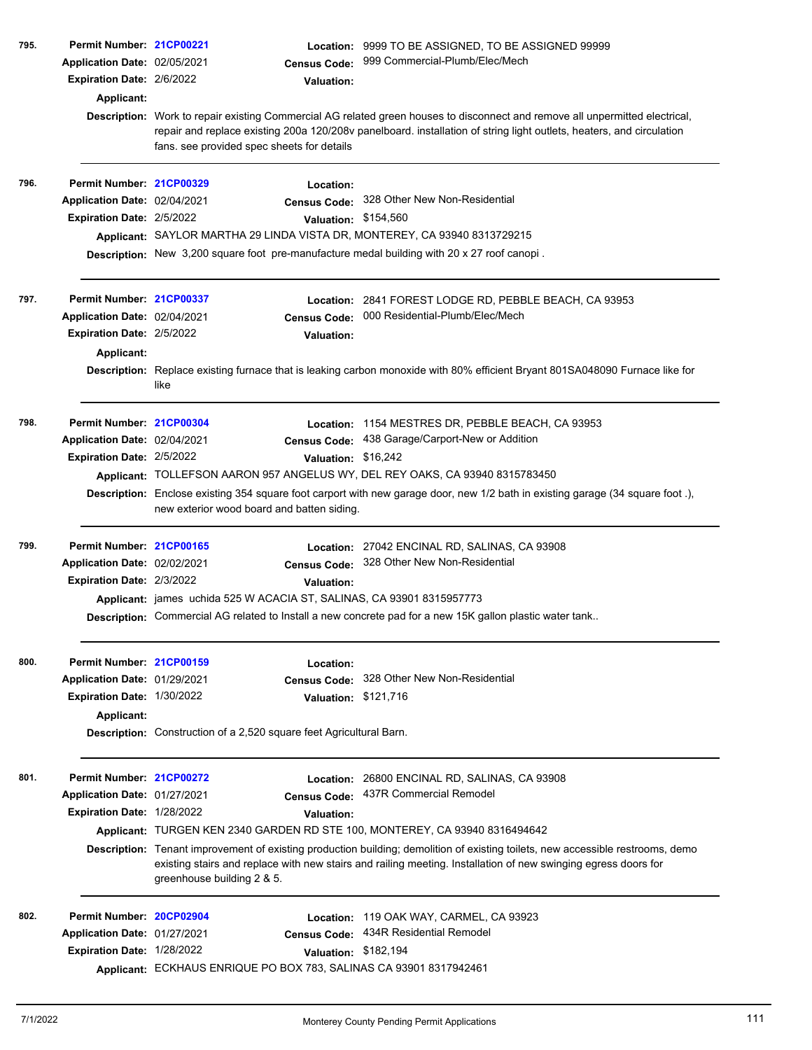| 795. | Permit Number: 21CP00221          |                                                                                                  | Location: 9999 TO BE ASSIGNED, TO BE ASSIGNED 99999                                                                                                                                                                                               |  |
|------|-----------------------------------|--------------------------------------------------------------------------------------------------|---------------------------------------------------------------------------------------------------------------------------------------------------------------------------------------------------------------------------------------------------|--|
|      | Application Date: 02/05/2021      | <b>Census Code:</b>                                                                              | 999 Commercial-Plumb/Elec/Mech                                                                                                                                                                                                                    |  |
|      | Expiration Date: 2/6/2022         | <b>Valuation:</b>                                                                                |                                                                                                                                                                                                                                                   |  |
|      | Applicant:                        |                                                                                                  |                                                                                                                                                                                                                                                   |  |
|      |                                   |                                                                                                  | Description: Work to repair existing Commercial AG related green houses to disconnect and remove all unpermitted electrical,                                                                                                                      |  |
|      |                                   |                                                                                                  | repair and replace existing 200a 120/208v panelboard. installation of string light outlets, heaters, and circulation                                                                                                                              |  |
|      |                                   | fans. see provided spec sheets for details                                                       |                                                                                                                                                                                                                                                   |  |
|      |                                   |                                                                                                  |                                                                                                                                                                                                                                                   |  |
| 796. | Permit Number: 21CP00329          | Location:                                                                                        |                                                                                                                                                                                                                                                   |  |
|      | Application Date: 02/04/2021      | <b>Census Code:</b>                                                                              | 328 Other New Non-Residential                                                                                                                                                                                                                     |  |
|      | Expiration Date: 2/5/2022         |                                                                                                  | Valuation: \$154,560                                                                                                                                                                                                                              |  |
|      |                                   | Applicant: SAYLOR MARTHA 29 LINDA VISTA DR, MONTEREY, CA 93940 8313729215                        |                                                                                                                                                                                                                                                   |  |
|      |                                   | Description: New 3,200 square foot pre-manufacture medal building with 20 x 27 roof canopi.      |                                                                                                                                                                                                                                                   |  |
|      |                                   |                                                                                                  |                                                                                                                                                                                                                                                   |  |
|      |                                   |                                                                                                  |                                                                                                                                                                                                                                                   |  |
| 797. | Permit Number: 21CP00337          |                                                                                                  | Location: 2841 FOREST LODGE RD, PEBBLE BEACH, CA 93953                                                                                                                                                                                            |  |
|      | Application Date: 02/04/2021      | <b>Census Code:</b>                                                                              | 000 Residential-Plumb/Elec/Mech                                                                                                                                                                                                                   |  |
|      | Expiration Date: 2/5/2022         | <b>Valuation:</b>                                                                                |                                                                                                                                                                                                                                                   |  |
|      | Applicant:                        |                                                                                                  |                                                                                                                                                                                                                                                   |  |
|      |                                   |                                                                                                  | Description: Replace existing furnace that is leaking carbon monoxide with 80% efficient Bryant 801SA048090 Furnace like for                                                                                                                      |  |
|      |                                   | like                                                                                             |                                                                                                                                                                                                                                                   |  |
| 798. | Permit Number: 21CP00304          | Location:                                                                                        | 1154 MESTRES DR, PEBBLE BEACH, CA 93953                                                                                                                                                                                                           |  |
|      | Application Date: 02/04/2021      | <b>Census Code:</b>                                                                              | 438 Garage/Carport-New or Addition                                                                                                                                                                                                                |  |
|      | Expiration Date: 2/5/2022         |                                                                                                  | Valuation: \$16,242                                                                                                                                                                                                                               |  |
|      |                                   |                                                                                                  | Applicant: TOLLEFSON AARON 957 ANGELUS WY, DEL REY OAKS, CA 93940 8315783450                                                                                                                                                                      |  |
|      |                                   |                                                                                                  | Description: Enclose existing 354 square foot carport with new garage door, new 1/2 bath in existing garage (34 square foot .),                                                                                                                   |  |
|      |                                   | new exterior wood board and batten siding.                                                       |                                                                                                                                                                                                                                                   |  |
| 799. | Permit Number: 21CP00165          |                                                                                                  | Location: 27042 ENCINAL RD, SALINAS, CA 93908                                                                                                                                                                                                     |  |
|      | Application Date: 02/02/2021      |                                                                                                  | Census Code: 328 Other New Non-Residential                                                                                                                                                                                                        |  |
|      | <b>Expiration Date: 2/3/2022</b>  | <b>Valuation:</b>                                                                                |                                                                                                                                                                                                                                                   |  |
|      |                                   | Applicant: james uchida 525 W ACACIA ST, SALINAS, CA 93901 8315957773                            |                                                                                                                                                                                                                                                   |  |
|      |                                   |                                                                                                  | Description: Commercial AG related to Install a new concrete pad for a new 15K gallon plastic water tank                                                                                                                                          |  |
|      |                                   |                                                                                                  |                                                                                                                                                                                                                                                   |  |
| 800. | Permit Number: 21CP00159          | Location:                                                                                        |                                                                                                                                                                                                                                                   |  |
|      | Application Date: 01/29/2021      | <b>Census Code:</b>                                                                              | 328 Other New Non-Residential                                                                                                                                                                                                                     |  |
|      | <b>Expiration Date: 1/30/2022</b> | <b>Valuation:</b>                                                                                | \$121,716                                                                                                                                                                                                                                         |  |
|      | Applicant:                        |                                                                                                  |                                                                                                                                                                                                                                                   |  |
|      |                                   | <b>Description:</b> Construction of a 2,520 square feet Agricultural Barn.                       |                                                                                                                                                                                                                                                   |  |
|      |                                   |                                                                                                  |                                                                                                                                                                                                                                                   |  |
| 801. | Permit Number: 21CP00272          |                                                                                                  | Location: 26800 ENCINAL RD, SALINAS, CA 93908                                                                                                                                                                                                     |  |
|      | Application Date: 01/27/2021      | Census Code:                                                                                     | 437R Commercial Remodel                                                                                                                                                                                                                           |  |
|      | Expiration Date: 1/28/2022        |                                                                                                  |                                                                                                                                                                                                                                                   |  |
|      |                                   | <b>Valuation:</b><br>Applicant: TURGEN KEN 2340 GARDEN RD STE 100, MONTEREY, CA 93940 8316494642 |                                                                                                                                                                                                                                                   |  |
|      |                                   |                                                                                                  |                                                                                                                                                                                                                                                   |  |
|      |                                   | greenhouse building 2 & 5.                                                                       | Description: Tenant improvement of existing production building; demolition of existing toilets, new accessible restrooms, demo<br>existing stairs and replace with new stairs and railing meeting. Installation of new swinging egress doors for |  |
| 802. | Permit Number: 20CP02904          |                                                                                                  | Location: 119 OAK WAY, CARMEL, CA 93923                                                                                                                                                                                                           |  |
|      | Application Date: 01/27/2021      | <b>Census Code:</b>                                                                              | 434R Residential Remodel                                                                                                                                                                                                                          |  |
|      | Expiration Date: 1/28/2022        |                                                                                                  | Valuation: \$182,194                                                                                                                                                                                                                              |  |
|      |                                   | Applicant: ECKHAUS ENRIQUE PO BOX 783, SALINAS CA 93901 8317942461                               |                                                                                                                                                                                                                                                   |  |
|      |                                   |                                                                                                  |                                                                                                                                                                                                                                                   |  |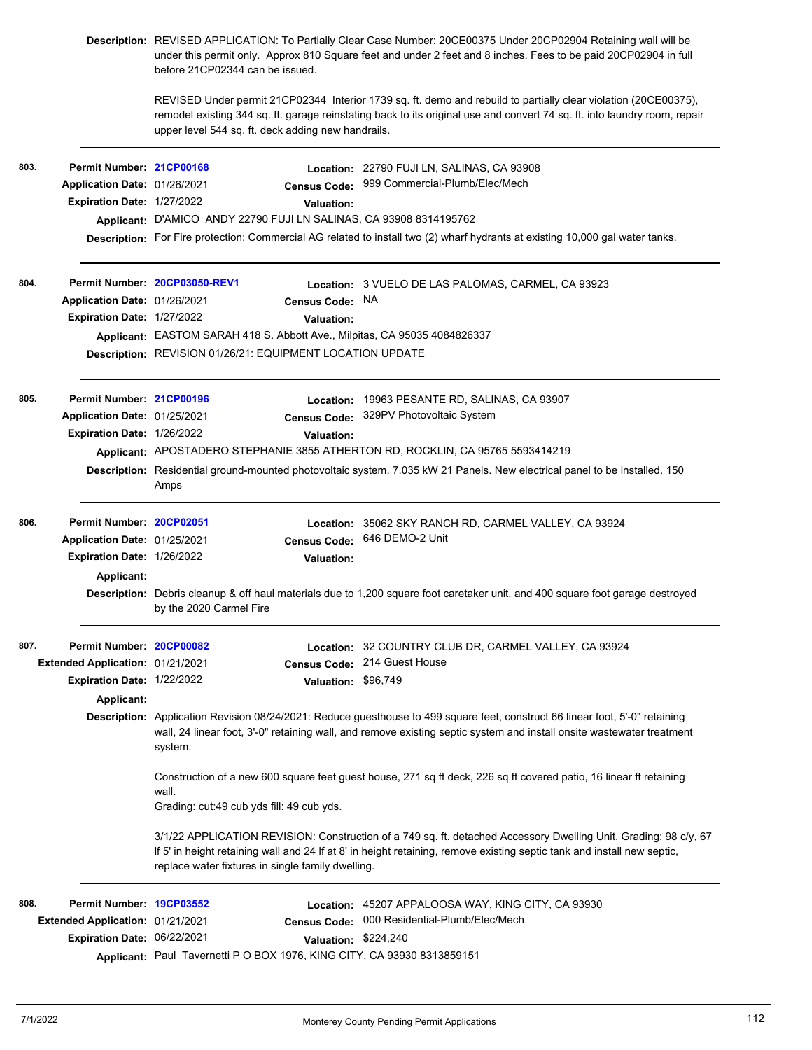|      |                                  | Description: REVISED APPLICATION: To Partially Clear Case Number: 20CE00375 Under 20CP02904 Retaining wall will be<br>under this permit only. Approx 810 Square feet and under 2 feet and 8 inches. Fees to be paid 20CP02904 in full<br>before 21CP02344 can be issued. |                                                                                                                                                                                                                                              |  |  |  |
|------|----------------------------------|--------------------------------------------------------------------------------------------------------------------------------------------------------------------------------------------------------------------------------------------------------------------------|----------------------------------------------------------------------------------------------------------------------------------------------------------------------------------------------------------------------------------------------|--|--|--|
|      |                                  | upper level 544 sq. ft. deck adding new handrails.                                                                                                                                                                                                                       | REVISED Under permit 21CP02344 Interior 1739 sq. ft. demo and rebuild to partially clear violation (20CE00375).<br>remodel existing 344 sq. ft. garage reinstating back to its original use and convert 74 sq. ft. into laundry room, repair |  |  |  |
| 803. | Permit Number: 21CP00168         |                                                                                                                                                                                                                                                                          | Location: 22790 FUJI LN, SALINAS, CA 93908                                                                                                                                                                                                   |  |  |  |
|      | Application Date: 01/26/2021     | <b>Census Code:</b>                                                                                                                                                                                                                                                      | 999 Commercial-Plumb/Elec/Mech                                                                                                                                                                                                               |  |  |  |
|      | Expiration Date: 1/27/2022       | Valuation:                                                                                                                                                                                                                                                               |                                                                                                                                                                                                                                              |  |  |  |
|      |                                  | Applicant: D'AMICO ANDY 22790 FUJI LN SALINAS, CA 93908 8314195762                                                                                                                                                                                                       |                                                                                                                                                                                                                                              |  |  |  |
|      |                                  |                                                                                                                                                                                                                                                                          | Description: For Fire protection: Commercial AG related to install two (2) wharf hydrants at existing 10,000 gal water tanks.                                                                                                                |  |  |  |
| 804. |                                  | Permit Number 20CP03050-REV1                                                                                                                                                                                                                                             | <b>Location: 3 VUELO DE LAS PALOMAS, CARMEL, CA 93923</b>                                                                                                                                                                                    |  |  |  |
|      | Application Date: 01/26/2021     | Census Code: NA                                                                                                                                                                                                                                                          |                                                                                                                                                                                                                                              |  |  |  |
|      | Expiration Date: 1/27/2022       | Valuation:                                                                                                                                                                                                                                                               |                                                                                                                                                                                                                                              |  |  |  |
|      |                                  | Applicant: EASTOM SARAH 418 S. Abbott Ave., Milpitas, CA 95035 4084826337                                                                                                                                                                                                |                                                                                                                                                                                                                                              |  |  |  |
|      |                                  | Description: REVISION 01/26/21: EQUIPMENT LOCATION UPDATE                                                                                                                                                                                                                |                                                                                                                                                                                                                                              |  |  |  |
| 805. | Permit Number: 21CP00196         |                                                                                                                                                                                                                                                                          | Location: 19963 PESANTE RD, SALINAS, CA 93907                                                                                                                                                                                                |  |  |  |
|      | Application Date: 01/25/2021     | <b>Census Code:</b>                                                                                                                                                                                                                                                      | 329PV Photovoltaic System                                                                                                                                                                                                                    |  |  |  |
|      | Expiration Date: 1/26/2022       | Valuation:                                                                                                                                                                                                                                                               |                                                                                                                                                                                                                                              |  |  |  |
|      |                                  |                                                                                                                                                                                                                                                                          | Applicant: APOSTADERO STEPHANIE 3855 ATHERTON RD, ROCKLIN, CA 95765 5593414219                                                                                                                                                               |  |  |  |
|      |                                  | Amps                                                                                                                                                                                                                                                                     | Description: Residential ground-mounted photovoltaic system. 7.035 kW 21 Panels. New electrical panel to be installed. 150                                                                                                                   |  |  |  |
| 806. | Permit Number: 20CP02051         |                                                                                                                                                                                                                                                                          | Location: 35062 SKY RANCH RD, CARMEL VALLEY, CA 93924                                                                                                                                                                                        |  |  |  |
|      | Application Date: 01/25/2021     |                                                                                                                                                                                                                                                                          | Census Code: 646 DEMO-2 Unit                                                                                                                                                                                                                 |  |  |  |
|      | Expiration Date: 1/26/2022       | <b>Valuation:</b>                                                                                                                                                                                                                                                        |                                                                                                                                                                                                                                              |  |  |  |
|      | Applicant:                       |                                                                                                                                                                                                                                                                          |                                                                                                                                                                                                                                              |  |  |  |
|      |                                  | by the 2020 Carmel Fire                                                                                                                                                                                                                                                  | Description: Debris cleanup & off haul materials due to 1,200 square foot caretaker unit, and 400 square foot garage destroyed                                                                                                               |  |  |  |
| 807. | Permit Number: 20CP00082         |                                                                                                                                                                                                                                                                          | Location: 32 COUNTRY CLUB DR, CARMEL VALLEY, CA 93924                                                                                                                                                                                        |  |  |  |
|      | Extended Application: 01/21/2021 | <b>Census Code:</b>                                                                                                                                                                                                                                                      | 214 Guest House                                                                                                                                                                                                                              |  |  |  |
|      | Expiration Date: 1/22/2022       | <b>Valuation:</b>                                                                                                                                                                                                                                                        | \$96,749                                                                                                                                                                                                                                     |  |  |  |
|      | <b>Applicant:</b>                |                                                                                                                                                                                                                                                                          |                                                                                                                                                                                                                                              |  |  |  |
|      |                                  | Description: Application Revision 08/24/2021: Reduce guesthouse to 499 square feet, construct 66 linear foot, 5'-0" retaining<br>wall, 24 linear foot, 3'-0" retaining wall, and remove existing septic system and install onsite wastewater treatment<br>system.        |                                                                                                                                                                                                                                              |  |  |  |
|      |                                  | Construction of a new 600 square feet guest house, 271 sq ft deck, 226 sq ft covered patio, 16 linear ft retaining<br>wall.                                                                                                                                              |                                                                                                                                                                                                                                              |  |  |  |
|      |                                  | Grading: cut:49 cub yds fill: 49 cub yds.                                                                                                                                                                                                                                |                                                                                                                                                                                                                                              |  |  |  |
|      |                                  | replace water fixtures in single family dwelling.                                                                                                                                                                                                                        | 3/1/22 APPLICATION REVISION: Construction of a 749 sq. ft. detached Accessory Dwelling Unit. Grading: 98 c/y, 67<br>If 5' in height retaining wall and 24 If at 8' in height retaining, remove existing septic tank and install new septic,  |  |  |  |
| 808. | Permit Number: 19CP03552         | Location:                                                                                                                                                                                                                                                                | 45207 APPALOOSA WAY, KING CITY, CA 93930                                                                                                                                                                                                     |  |  |  |
|      | Extended Application: 01/21/2021 | <b>Census Code:</b>                                                                                                                                                                                                                                                      | 000 Residential-Plumb/Elec/Mech                                                                                                                                                                                                              |  |  |  |
|      | Expiration Date: 06/22/2021      |                                                                                                                                                                                                                                                                          | Valuation: \$224,240                                                                                                                                                                                                                         |  |  |  |
|      |                                  | Applicant: Paul Tavernetti P O BOX 1976, KING CITY, CA 93930 8313859151                                                                                                                                                                                                  |                                                                                                                                                                                                                                              |  |  |  |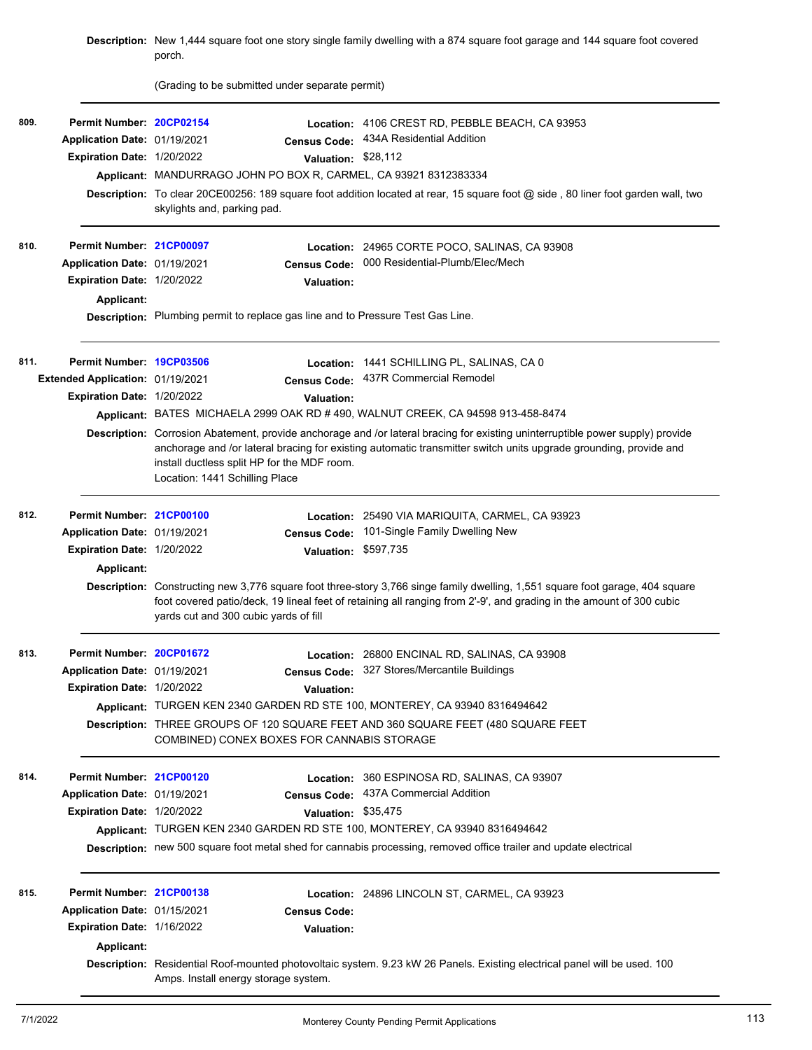|      |                                                                                                             | porch.                                                                                                                                                                                                 | Description: New 1,444 square foot one story single family dwelling with a 874 square foot garage and 144 square foot covered                                                                                                                                                                                                             |
|------|-------------------------------------------------------------------------------------------------------------|--------------------------------------------------------------------------------------------------------------------------------------------------------------------------------------------------------|-------------------------------------------------------------------------------------------------------------------------------------------------------------------------------------------------------------------------------------------------------------------------------------------------------------------------------------------|
|      |                                                                                                             | (Grading to be submitted under separate permit)                                                                                                                                                        |                                                                                                                                                                                                                                                                                                                                           |
| 809. | Permit Number: 20CP02154<br>Application Date: 01/19/2021<br>Expiration Date: 1/20/2022                      | <b>Census Code:</b><br>Valuation: \$28,112<br>Applicant: MANDURRAGO JOHN PO BOX R, CARMEL, CA 93921 8312383334<br>skylights and, parking pad.                                                          | Location: 4106 CREST RD, PEBBLE BEACH, CA 93953<br>434A Residential Addition<br>Description: To clear 20CE00256: 189 square foot addition located at rear, 15 square foot @ side, 80 liner foot garden wall, two                                                                                                                          |
| 810. | Permit Number: 21CP00097<br>Application Date: 01/19/2021<br>Expiration Date: 1/20/2022<br><b>Applicant:</b> | <b>Census Code:</b><br><b>Valuation:</b><br>Description: Plumbing permit to replace gas line and to Pressure Test Gas Line.                                                                            | Location: 24965 CORTE POCO, SALINAS, CA 93908<br>000 Residential-Plumb/Elec/Mech                                                                                                                                                                                                                                                          |
| 811. | Permit Number: 19CP03506<br>Extended Application: 01/19/2021<br>Expiration Date: 1/20/2022                  | <b>Census Code:</b><br>Valuation:<br>Applicant: BATES MICHAELA 2999 OAK RD # 490, WALNUT CREEK, CA 94598 913-458-8474<br>install ductless split HP for the MDF room.<br>Location: 1441 Schilling Place | Location: 1441 SCHILLING PL, SALINAS, CA 0<br>437R Commercial Remodel<br>Description: Corrosion Abatement, provide anchorage and /or lateral bracing for existing uninterruptible power supply) provide<br>anchorage and /or lateral bracing for existing automatic transmitter switch units upgrade grounding, provide and               |
| 812. | Permit Number: 21CP00100<br>Application Date: 01/19/2021<br>Expiration Date: 1/20/2022<br><b>Applicant:</b> | <b>Census Code:</b><br>Valuation: \$597,735<br>yards cut and 300 cubic yards of fill                                                                                                                   | Location: 25490 VIA MARIQUITA, CARMEL, CA 93923<br>101-Single Family Dwelling New<br>Description: Constructing new 3,776 square foot three-story 3,766 singe family dwelling, 1,551 square foot garage, 404 square<br>foot covered patio/deck, 19 lineal feet of retaining all ranging from 2'-9', and grading in the amount of 300 cubic |
| 813. | Permit Number: 20CP01672<br>Application Date: 01/19/2021<br>Expiration Date: 1/20/2022                      | <b>Census Code:</b><br><b>Valuation:</b><br>Applicant: TURGEN KEN 2340 GARDEN RD STE 100, MONTEREY, CA 93940 8316494642<br>COMBINED) CONEX BOXES FOR CANNABIS STORAGE                                  | Location: 26800 ENCINAL RD, SALINAS, CA 93908<br>327 Stores/Mercantile Buildings<br>Description: THREE GROUPS OF 120 SQUARE FEET AND 360 SQUARE FEET (480 SQUARE FEET                                                                                                                                                                     |
| 814. | Permit Number: 21CP00120<br>Application Date: 01/19/2021<br>Expiration Date: 1/20/2022                      | Valuation: \$35,475<br>Applicant: TURGEN KEN 2340 GARDEN RD STE 100, MONTEREY, CA 93940 8316494642                                                                                                     | Location: 360 ESPINOSA RD, SALINAS, CA 93907<br>Census Code: 437A Commercial Addition<br>Description: new 500 square foot metal shed for cannabis processing, removed office trailer and update electrical                                                                                                                                |
| 815. | Permit Number: 21CP00138<br>Application Date: 01/15/2021<br>Expiration Date: 1/16/2022<br><b>Applicant:</b> | <b>Census Code:</b><br><b>Valuation:</b><br>Amps. Install energy storage system.                                                                                                                       | Location: 24896 LINCOLN ST, CARMEL, CA 93923<br>Description: Residential Roof-mounted photovoltaic system. 9.23 kW 26 Panels. Existing electrical panel will be used. 100                                                                                                                                                                 |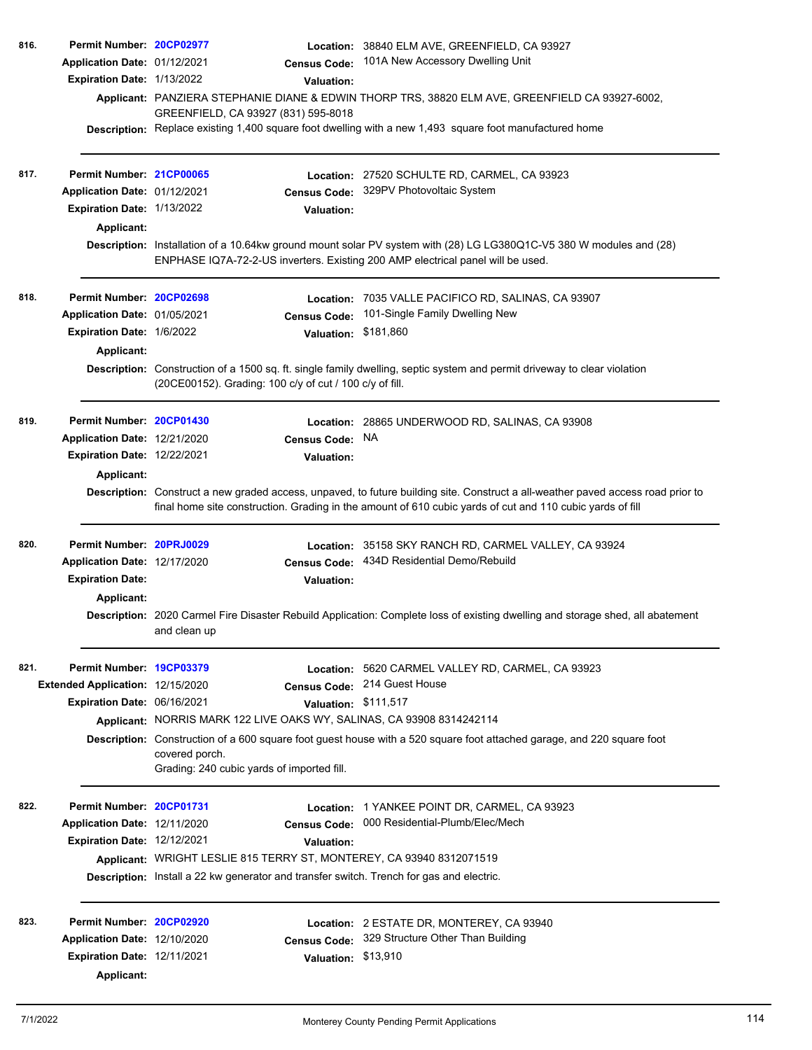| 816. | Permit Number: 20CP02977           |                                                                                          | Location: 38840 ELM AVE, GREENFIELD, CA 93927                                                                                                                                                                                                 |
|------|------------------------------------|------------------------------------------------------------------------------------------|-----------------------------------------------------------------------------------------------------------------------------------------------------------------------------------------------------------------------------------------------|
|      | Application Date: 01/12/2021       | <b>Census Code:</b>                                                                      | 101A New Accessory Dwelling Unit                                                                                                                                                                                                              |
|      | Expiration Date: 1/13/2022         | Valuation:                                                                               |                                                                                                                                                                                                                                               |
|      |                                    | GREENFIELD, CA 93927 (831) 595-8018                                                      | Applicant: PANZIERA STEPHANIE DIANE & EDWIN THORP TRS, 38820 ELM AVE, GREENFIELD CA 93927-6002,                                                                                                                                               |
|      |                                    |                                                                                          | Description: Replace existing 1,400 square foot dwelling with a new 1,493 square foot manufactured home                                                                                                                                       |
| 817. | Permit Number: 21CP00065           |                                                                                          | Location: 27520 SCHULTE RD, CARMEL, CA 93923                                                                                                                                                                                                  |
|      | Application Date: 01/12/2021       |                                                                                          | Census Code: 329PV Photovoltaic System                                                                                                                                                                                                        |
|      | Expiration Date: 1/13/2022         | <b>Valuation:</b>                                                                        |                                                                                                                                                                                                                                               |
|      | <b>Applicant:</b>                  |                                                                                          |                                                                                                                                                                                                                                               |
|      |                                    | ENPHASE IQ7A-72-2-US inverters. Existing 200 AMP electrical panel will be used.          | Description: Installation of a 10.64kw ground mount solar PV system with (28) LG LG380Q1C-V5 380 W modules and (28)                                                                                                                           |
| 818. | Permit Number: 20CP02698           |                                                                                          | Location: 7035 VALLE PACIFICO RD, SALINAS, CA 93907                                                                                                                                                                                           |
|      | Application Date: 01/05/2021       | <b>Census Code:</b>                                                                      | 101-Single Family Dwelling New                                                                                                                                                                                                                |
|      | Expiration Date: 1/6/2022          | <b>Valuation:</b>                                                                        | \$181,860                                                                                                                                                                                                                                     |
|      | <b>Applicant:</b>                  | (20CE00152). Grading: 100 c/y of cut / 100 c/y of fill.                                  | Description: Construction of a 1500 sq. ft. single family dwelling, septic system and permit driveway to clear violation                                                                                                                      |
| 819. | Permit Number: 20CP01430           |                                                                                          | Location: 28865 UNDERWOOD RD, SALINAS, CA 93908                                                                                                                                                                                               |
|      | Application Date: 12/21/2020       | <b>Census Code:</b>                                                                      | NA.                                                                                                                                                                                                                                           |
|      | <b>Expiration Date: 12/22/2021</b> | <b>Valuation:</b>                                                                        |                                                                                                                                                                                                                                               |
|      | <b>Applicant:</b>                  |                                                                                          |                                                                                                                                                                                                                                               |
|      |                                    |                                                                                          | Description: Construct a new graded access, unpaved, to future building site. Construct a all-weather paved access road prior to<br>final home site construction. Grading in the amount of 610 cubic yards of cut and 110 cubic yards of fill |
| 820. | Permit Number: 20PRJ0029           |                                                                                          | Location: 35158 SKY RANCH RD, CARMEL VALLEY, CA 93924                                                                                                                                                                                         |
|      | Application Date: 12/17/2020       | <b>Census Code:</b>                                                                      | 434D Residential Demo/Rebuild                                                                                                                                                                                                                 |
|      | <b>Expiration Date:</b>            | Valuation:                                                                               |                                                                                                                                                                                                                                               |
|      | <b>Applicant:</b>                  |                                                                                          |                                                                                                                                                                                                                                               |
|      |                                    | and clean up                                                                             | Description: 2020 Carmel Fire Disaster Rebuild Application: Complete loss of existing dwelling and storage shed, all abatement                                                                                                                |
| 821. | Permit Number: 19CP03379           |                                                                                          | Location: 5620 CARMEL VALLEY RD, CARMEL, CA 93923                                                                                                                                                                                             |
|      | Extended Application: 12/15/2020   | <b>Census Code:</b>                                                                      | 214 Guest House                                                                                                                                                                                                                               |
|      | Expiration Date: 06/16/2021        |                                                                                          | Valuation: \$111,517                                                                                                                                                                                                                          |
|      |                                    | Applicant: NORRIS MARK 122 LIVE OAKS WY, SALINAS, CA 93908 8314242114                    |                                                                                                                                                                                                                                               |
|      |                                    | covered porch.                                                                           | Description: Construction of a 600 square foot guest house with a 520 square foot attached garage, and 220 square foot                                                                                                                        |
|      |                                    | Grading: 240 cubic yards of imported fill.                                               |                                                                                                                                                                                                                                               |
| 822. | Permit Number: 20CP01731           |                                                                                          | Location: 1 YANKEE POINT DR, CARMEL, CA 93923                                                                                                                                                                                                 |
|      | Application Date: 12/11/2020       | <b>Census Code:</b>                                                                      | 000 Residential-Plumb/Elec/Mech                                                                                                                                                                                                               |
|      | <b>Expiration Date: 12/12/2021</b> | <b>Valuation:</b>                                                                        |                                                                                                                                                                                                                                               |
|      |                                    | Applicant: WRIGHT LESLIE 815 TERRY ST, MONTEREY, CA 93940 8312071519                     |                                                                                                                                                                                                                                               |
|      |                                    | Description: Install a 22 kw generator and transfer switch. Trench for gas and electric. |                                                                                                                                                                                                                                               |
| 823. | Permit Number: 20CP02920           |                                                                                          | Location: 2 ESTATE DR, MONTEREY, CA 93940                                                                                                                                                                                                     |
|      | Application Date: 12/10/2020       | <b>Census Code:</b>                                                                      | 329 Structure Other Than Building                                                                                                                                                                                                             |
|      | Expiration Date: 12/11/2021        | Valuation: \$13,910                                                                      |                                                                                                                                                                                                                                               |
|      | <b>Applicant:</b>                  |                                                                                          |                                                                                                                                                                                                                                               |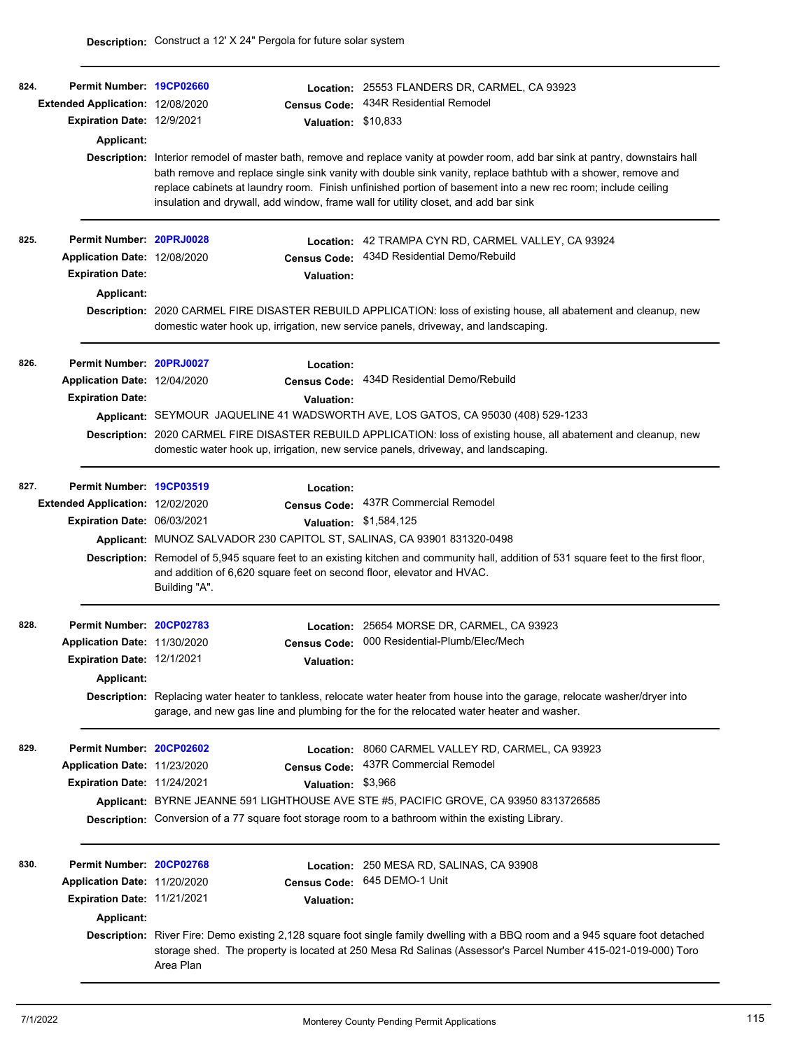| 824. | Permit Number: 19CP02660<br>Extended Application: 12/08/2020<br><b>Expiration Date: 12/9/2021</b><br><b>Applicant:</b> | Valuation: \$10,833<br>insulation and drywall, add window, frame wall for utility closet, and add bar sink                                                                     | Location: 25553 FLANDERS DR, CARMEL, CA 93923<br>Census Code: 434R Residential Remodel<br>Description: Interior remodel of master bath, remove and replace vanity at powder room, add bar sink at pantry, downstairs hall<br>bath remove and replace single sink vanity with double sink vanity, replace bathtub with a shower, remove and<br>replace cabinets at laundry room. Finish unfinished portion of basement into a new rec room; include ceiling |
|------|------------------------------------------------------------------------------------------------------------------------|--------------------------------------------------------------------------------------------------------------------------------------------------------------------------------|------------------------------------------------------------------------------------------------------------------------------------------------------------------------------------------------------------------------------------------------------------------------------------------------------------------------------------------------------------------------------------------------------------------------------------------------------------|
| 825. | Permit Number: 20PRJ0028<br>Application Date: 12/08/2020<br><b>Expiration Date:</b><br>Applicant:                      | <b>Valuation:</b><br>domestic water hook up, irrigation, new service panels, driveway, and landscaping.                                                                        | Location: 42 TRAMPA CYN RD, CARMEL VALLEY, CA 93924<br>Census Code: 434D Residential Demo/Rebuild<br>Description: 2020 CARMEL FIRE DISASTER REBUILD APPLICATION: loss of existing house, all abatement and cleanup, new                                                                                                                                                                                                                                    |
| 826. | Permit Number: 20PRJ0027<br>Application Date: 12/04/2020<br><b>Expiration Date:</b>                                    | Location:<br><b>Valuation:</b><br>domestic water hook up, irrigation, new service panels, driveway, and landscaping.                                                           | Census Code: 434D Residential Demo/Rebuild<br>Applicant: SEYMOUR JAQUELINE 41 WADSWORTH AVE, LOS GATOS, CA 95030 (408) 529-1233<br>Description: 2020 CARMEL FIRE DISASTER REBUILD APPLICATION: loss of existing house, all abatement and cleanup, new                                                                                                                                                                                                      |
| 827. | Permit Number: 19CP03519<br>Extended Application: 12/02/2020<br>Expiration Date: 06/03/2021                            | Location:<br>Applicant: MUNOZ SALVADOR 230 CAPITOL ST, SALINAS, CA 93901 831320-0498<br>and addition of 6,620 square feet on second floor, elevator and HVAC.<br>Building "A". | Census Code: 437R Commercial Remodel<br>Valuation: \$1,584,125<br>Description: Remodel of 5,945 square feet to an existing kitchen and community hall, addition of 531 square feet to the first floor,                                                                                                                                                                                                                                                     |
| 828. | Permit Number: 20CP02783<br>Application Date: 11/30/2020<br>Expiration Date: 12/1/2021<br>Applicant:                   | <b>Census Code:</b><br><b>Valuation:</b>                                                                                                                                       | Location: 25654 MORSE DR, CARMEL, CA 93923<br>000 Residential-Plumb/Elec/Mech<br>Description: Replacing water heater to tankless, relocate water heater from house into the garage, relocate washer/dryer into<br>garage, and new gas line and plumbing for the for the relocated water heater and washer.                                                                                                                                                 |
| 829. | Permit Number: 20CP02602<br>Application Date: 11/23/2020<br>Expiration Date: 11/24/2021                                | <b>Census Code:</b><br>Valuation: \$3,966                                                                                                                                      | Location: 8060 CARMEL VALLEY RD, CARMEL, CA 93923<br>437R Commercial Remodel<br>Applicant: BYRNE JEANNE 591 LIGHTHOUSE AVE STE #5, PACIFIC GROVE, CA 93950 8313726585<br>Description: Conversion of a 77 square foot storage room to a bathroom within the existing Library.                                                                                                                                                                               |
| 830. | Permit Number: 20CP02768<br>Application Date: 11/20/2020<br>Expiration Date: 11/21/2021<br><b>Applicant:</b>           | <b>Census Code:</b><br><b>Valuation:</b><br>Area Plan                                                                                                                          | Location: 250 MESA RD, SALINAS, CA 93908<br>645 DEMO-1 Unit<br>Description: River Fire: Demo existing 2,128 square foot single family dwelling with a BBQ room and a 945 square foot detached<br>storage shed. The property is located at 250 Mesa Rd Salinas (Assessor's Parcel Number 415-021-019-000) Toro                                                                                                                                              |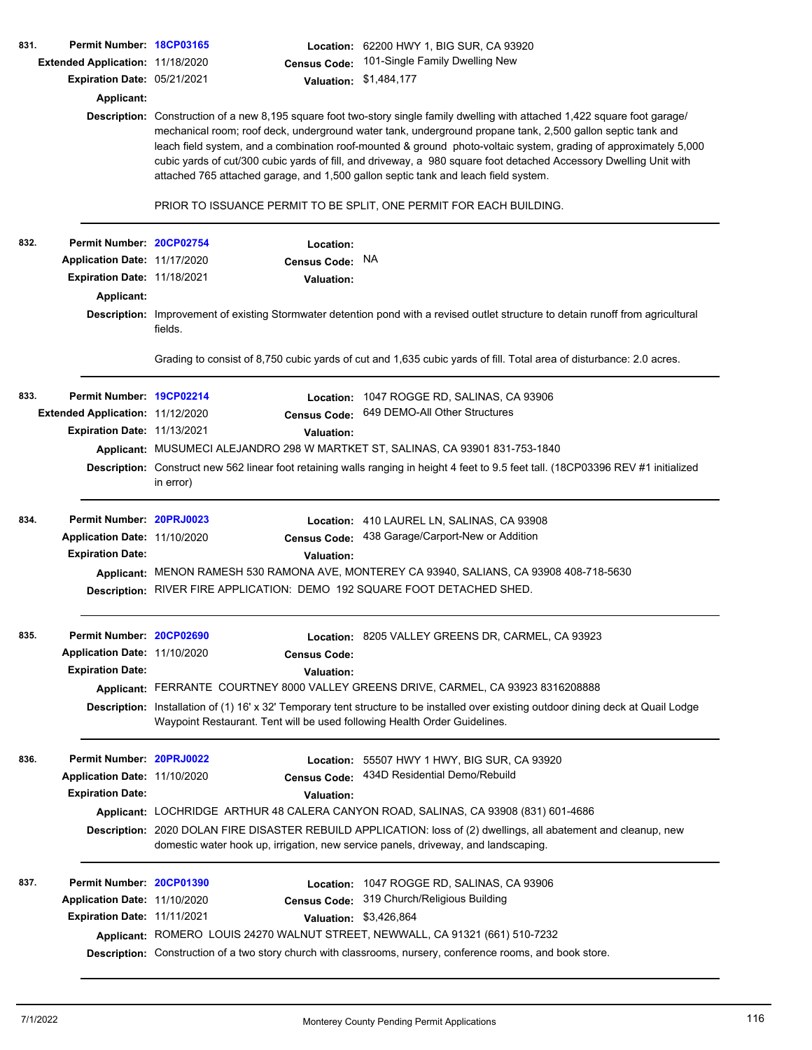| 831. | Permit Number: 18CP03165<br>Extended Application: 11/18/2020<br>Expiration Date: 05/21/2021<br><b>Applicant:</b> | <b>Census Code:</b><br>attached 765 attached garage, and 1,500 gallon septic tank and leach field system.                               | Location: 62200 HWY 1, BIG SUR, CA 93920<br>101-Single Family Dwelling New<br>Valuation: \$1,484,177<br>Description: Construction of a new 8,195 square foot two-story single family dwelling with attached 1,422 square foot garage/<br>mechanical room; roof deck, underground water tank, underground propane tank, 2,500 gallon septic tank and<br>leach field system, and a combination roof-mounted & ground photo-voltaic system, grading of approximately 5,000<br>cubic yards of cut/300 cubic yards of fill, and driveway, a 980 square foot detached Accessory Dwelling Unit with |
|------|------------------------------------------------------------------------------------------------------------------|-----------------------------------------------------------------------------------------------------------------------------------------|----------------------------------------------------------------------------------------------------------------------------------------------------------------------------------------------------------------------------------------------------------------------------------------------------------------------------------------------------------------------------------------------------------------------------------------------------------------------------------------------------------------------------------------------------------------------------------------------|
|      |                                                                                                                  |                                                                                                                                         | PRIOR TO ISSUANCE PERMIT TO BE SPLIT, ONE PERMIT FOR EACH BUILDING.                                                                                                                                                                                                                                                                                                                                                                                                                                                                                                                          |
| 832. | Permit Number: 20CP02754<br>Application Date: 11/17/2020<br>Expiration Date: 11/18/2021<br>Applicant:            | Location:<br><b>Census Code:</b><br><b>Valuation:</b><br>fields.                                                                        | NA.<br>Description: Improvement of existing Stormwater detention pond with a revised outlet structure to detain runoff from agricultural                                                                                                                                                                                                                                                                                                                                                                                                                                                     |
|      |                                                                                                                  |                                                                                                                                         | Grading to consist of 8,750 cubic yards of cut and 1,635 cubic yards of fill. Total area of disturbance: 2.0 acres.                                                                                                                                                                                                                                                                                                                                                                                                                                                                          |
| 833. | Permit Number: 19CP02214<br>Extended Application: 11/12/2020<br>Expiration Date: 11/13/2021                      | <b>Census Code:</b><br><b>Valuation:</b><br>Applicant: MUSUMECI ALEJANDRO 298 W MARTKET ST, SALINAS, CA 93901 831-753-1840<br>in error) | Location: 1047 ROGGE RD, SALINAS, CA 93906<br>649 DEMO-All Other Structures<br>Description: Construct new 562 linear foot retaining walls ranging in height 4 feet to 9.5 feet tall. (18CP03396 REV #1 initialized                                                                                                                                                                                                                                                                                                                                                                           |
| 834. | Permit Number: 20PRJ0023<br>Application Date: 11/10/2020<br><b>Expiration Date:</b>                              | Location:<br><b>Census Code:</b><br><b>Valuation:</b><br>Description: RIVER FIRE APPLICATION: DEMO 192 SQUARE FOOT DETACHED SHED.       | 410 LAUREL LN, SALINAS, CA 93908<br>438 Garage/Carport-New or Addition<br>Applicant: MENON RAMESH 530 RAMONA AVE, MONTEREY CA 93940, SALIANS, CA 93908 408-718-5630                                                                                                                                                                                                                                                                                                                                                                                                                          |
| 835. | Permit Number: 20CP02690<br>Application Date: 11/10/2020<br><b>Expiration Date:</b>                              | <b>Census Code:</b><br><b>Valuation:</b><br>Waypoint Restaurant. Tent will be used following Health Order Guidelines.                   | Location: 8205 VALLEY GREENS DR, CARMEL, CA 93923<br>Applicant: FERRANTE COURTNEY 8000 VALLEY GREENS DRIVE, CARMEL, CA 93923 8316208888<br>Description: Installation of (1) 16' x 32' Temporary tent structure to be installed over existing outdoor dining deck at Quail Lodge                                                                                                                                                                                                                                                                                                              |
| 836. | Permit Number: 20PRJ0022<br>Application Date: 11/10/2020<br><b>Expiration Date:</b>                              | <b>Census Code:</b><br><b>Valuation:</b><br>domestic water hook up, irrigation, new service panels, driveway, and landscaping.          | Location: 55507 HWY 1 HWY, BIG SUR, CA 93920<br>434D Residential Demo/Rebuild<br>Applicant: LOCHRIDGE ARTHUR 48 CALERA CANYON ROAD, SALINAS, CA 93908 (831) 601-4686<br>Description: 2020 DOLAN FIRE DISASTER REBUILD APPLICATION: loss of (2) dwellings, all abatement and cleanup, new                                                                                                                                                                                                                                                                                                     |
| 837. | Permit Number: 20CP01390<br>Application Date: 11/10/2020<br>Expiration Date: 11/11/2021                          | <b>Census Code:</b><br>Applicant: ROMERO LOUIS 24270 WALNUT STREET, NEWWALL, CA 91321 (661) 510-7232                                    | Location: 1047 ROGGE RD, SALINAS, CA 93906<br>319 Church/Religious Building<br>Valuation: \$3,426,864<br>Description: Construction of a two story church with classrooms, nursery, conference rooms, and book store.                                                                                                                                                                                                                                                                                                                                                                         |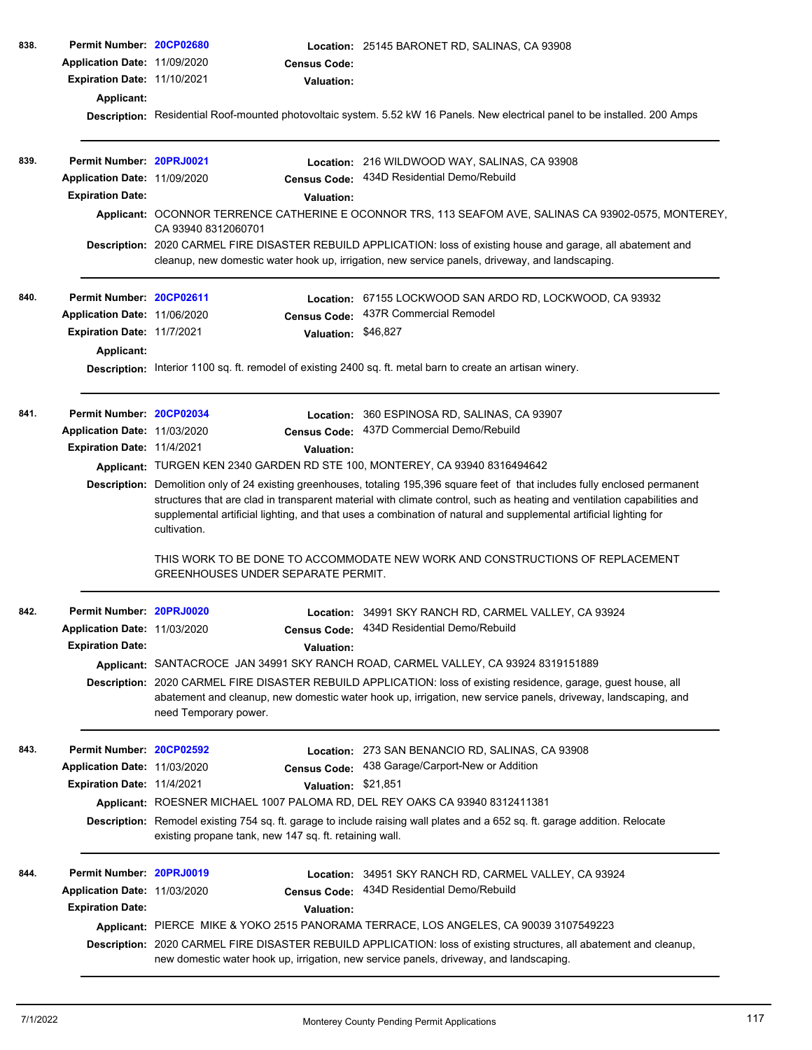| 838. | Permit Number: 20CP02680          |                                                                                                                                                                                                                                              | Location: 25145 BARONET RD, SALINAS, CA 93908                                                                                                                                                                 |  |  |  |
|------|-----------------------------------|----------------------------------------------------------------------------------------------------------------------------------------------------------------------------------------------------------------------------------------------|---------------------------------------------------------------------------------------------------------------------------------------------------------------------------------------------------------------|--|--|--|
|      | Application Date: 11/09/2020      | <b>Census Code:</b>                                                                                                                                                                                                                          |                                                                                                                                                                                                               |  |  |  |
|      | Expiration Date: 11/10/2021       | Valuation:                                                                                                                                                                                                                                   |                                                                                                                                                                                                               |  |  |  |
|      | <b>Applicant:</b>                 |                                                                                                                                                                                                                                              |                                                                                                                                                                                                               |  |  |  |
|      |                                   |                                                                                                                                                                                                                                              | Description: Residential Roof-mounted photovoltaic system. 5.52 kW 16 Panels. New electrical panel to be installed. 200 Amps                                                                                  |  |  |  |
| 839. | Permit Number: 20PRJ0021          |                                                                                                                                                                                                                                              |                                                                                                                                                                                                               |  |  |  |
|      | Application Date: 11/09/2020      |                                                                                                                                                                                                                                              | Location: 216 WILDWOOD WAY, SALINAS, CA 93908<br>434D Residential Demo/Rebuild                                                                                                                                |  |  |  |
|      | <b>Expiration Date:</b>           | <b>Census Code:</b><br><b>Valuation:</b>                                                                                                                                                                                                     |                                                                                                                                                                                                               |  |  |  |
|      |                                   |                                                                                                                                                                                                                                              | Applicant: OCONNOR TERRENCE CATHERINE E OCONNOR TRS, 113 SEAFOM AVE, SALINAS CA 93902-0575, MONTEREY,                                                                                                         |  |  |  |
|      |                                   | CA 93940 8312060701                                                                                                                                                                                                                          |                                                                                                                                                                                                               |  |  |  |
|      |                                   |                                                                                                                                                                                                                                              | Description: 2020 CARMEL FIRE DISASTER REBUILD APPLICATION: loss of existing house and garage, all abatement and                                                                                              |  |  |  |
|      |                                   |                                                                                                                                                                                                                                              | cleanup, new domestic water hook up, irrigation, new service panels, driveway, and landscaping.                                                                                                               |  |  |  |
| 840. | Permit Number: 20CP02611          | Location:                                                                                                                                                                                                                                    | 67155 LOCKWOOD SAN ARDO RD, LOCKWOOD, CA 93932                                                                                                                                                                |  |  |  |
|      | Application Date: 11/06/2020      | <b>Census Code:</b>                                                                                                                                                                                                                          | 437R Commercial Remodel                                                                                                                                                                                       |  |  |  |
|      | Expiration Date: 11/7/2021        | Valuation: \$46,827                                                                                                                                                                                                                          |                                                                                                                                                                                                               |  |  |  |
|      | Applicant:                        |                                                                                                                                                                                                                                              |                                                                                                                                                                                                               |  |  |  |
|      |                                   |                                                                                                                                                                                                                                              | Description: Interior 1100 sq. ft. remodel of existing 2400 sq. ft. metal barn to create an artisan winery.                                                                                                   |  |  |  |
| 841. | Permit Number: 20CP02034          |                                                                                                                                                                                                                                              | Location: 360 ESPINOSA RD, SALINAS, CA 93907                                                                                                                                                                  |  |  |  |
|      | Application Date: 11/03/2020      | <b>Census Code:</b>                                                                                                                                                                                                                          | 437D Commercial Demo/Rebuild                                                                                                                                                                                  |  |  |  |
|      | <b>Expiration Date: 11/4/2021</b> | Valuation:                                                                                                                                                                                                                                   |                                                                                                                                                                                                               |  |  |  |
|      |                                   | Applicant: TURGEN KEN 2340 GARDEN RD STE 100, MONTEREY, CA 93940 8316494642                                                                                                                                                                  |                                                                                                                                                                                                               |  |  |  |
|      |                                   | Description: Demolition only of 24 existing greenhouses, totaling 195,396 square feet of that includes fully enclosed permanent                                                                                                              |                                                                                                                                                                                                               |  |  |  |
|      |                                   | structures that are clad in transparent material with climate control, such as heating and ventilation capabilities and<br>supplemental artificial lighting, and that uses a combination of natural and supplemental artificial lighting for |                                                                                                                                                                                                               |  |  |  |
|      |                                   | cultivation.                                                                                                                                                                                                                                 |                                                                                                                                                                                                               |  |  |  |
|      |                                   |                                                                                                                                                                                                                                              | THIS WORK TO BE DONE TO ACCOMMODATE NEW WORK AND CONSTRUCTIONS OF REPLACEMENT                                                                                                                                 |  |  |  |
|      |                                   | GREENHOUSES UNDER SEPARATE PERMIT.                                                                                                                                                                                                           |                                                                                                                                                                                                               |  |  |  |
| 842. | Permit Number: 20PRJ0020          |                                                                                                                                                                                                                                              | Location: 34991 SKY RANCH RD, CARMEL VALLEY, CA 93924                                                                                                                                                         |  |  |  |
|      | Application Date: 11/03/2020      |                                                                                                                                                                                                                                              | Census Code: 434D Residential Demo/Rebuild                                                                                                                                                                    |  |  |  |
|      | <b>Expiration Date:</b>           | Valuation:                                                                                                                                                                                                                                   |                                                                                                                                                                                                               |  |  |  |
|      |                                   |                                                                                                                                                                                                                                              | Applicant: SANTACROCE JAN 34991 SKY RANCH ROAD, CARMEL VALLEY, CA 93924 8319151889                                                                                                                            |  |  |  |
|      |                                   |                                                                                                                                                                                                                                              | Description: 2020 CARMEL FIRE DISASTER REBUILD APPLICATION: loss of existing residence, garage, guest house, all                                                                                              |  |  |  |
|      |                                   | abatement and cleanup, new domestic water hook up, irrigation, new service panels, driveway, landscaping, and<br>need Temporary power.                                                                                                       |                                                                                                                                                                                                               |  |  |  |
| 843. | Permit Number: 20CP02592          |                                                                                                                                                                                                                                              | Location: 273 SAN BENANCIO RD, SALINAS, CA 93908                                                                                                                                                              |  |  |  |
|      | Application Date: 11/03/2020      |                                                                                                                                                                                                                                              | Census Code: 438 Garage/Carport-New or Addition                                                                                                                                                               |  |  |  |
|      | Expiration Date: 11/4/2021        | Valuation: \$21,851                                                                                                                                                                                                                          |                                                                                                                                                                                                               |  |  |  |
|      |                                   | Applicant: ROESNER MICHAEL 1007 PALOMA RD, DEL REY OAKS CA 93940 8312411381                                                                                                                                                                  |                                                                                                                                                                                                               |  |  |  |
|      |                                   |                                                                                                                                                                                                                                              | Description: Remodel existing 754 sq. ft. garage to include raising wall plates and a 652 sq. ft. garage addition. Relocate                                                                                   |  |  |  |
|      |                                   | existing propane tank, new 147 sq. ft. retaining wall.                                                                                                                                                                                       |                                                                                                                                                                                                               |  |  |  |
| 844. | Permit Number: 20PRJ0019          |                                                                                                                                                                                                                                              | Location: 34951 SKY RANCH RD, CARMEL VALLEY, CA 93924                                                                                                                                                         |  |  |  |
|      | Application Date: 11/03/2020      | <b>Census Code:</b>                                                                                                                                                                                                                          | 434D Residential Demo/Rebuild                                                                                                                                                                                 |  |  |  |
|      | <b>Expiration Date:</b>           | <b>Valuation:</b>                                                                                                                                                                                                                            |                                                                                                                                                                                                               |  |  |  |
|      |                                   |                                                                                                                                                                                                                                              | Applicant: PIERCE MIKE & YOKO 2515 PANORAMA TERRACE, LOS ANGELES, CA 90039 3107549223                                                                                                                         |  |  |  |
|      |                                   |                                                                                                                                                                                                                                              | Description: 2020 CARMEL FIRE DISASTER REBUILD APPLICATION: loss of existing structures, all abatement and cleanup,<br>new domestic water hook up, irrigation, new service panels, driveway, and landscaping. |  |  |  |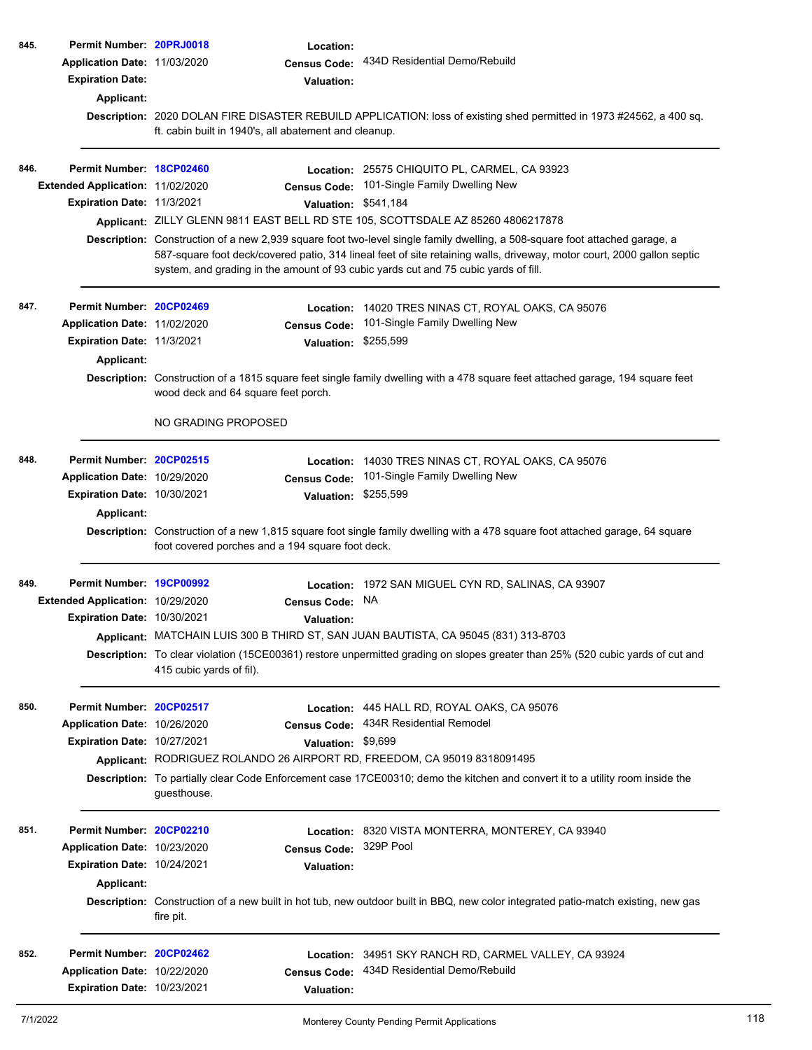| 845. | Permit Number: 20PRJ0018<br>Application Date: 11/03/2020<br><b>Expiration Date:</b><br>Applicant: | ft. cabin built in 1940's, all abatement and cleanup. | Location:<br><b>Census Code:</b><br><b>Valuation:</b> | 434D Residential Demo/Rebuild<br>Description: 2020 DOLAN FIRE DISASTER REBUILD APPLICATION: loss of existing shed permitted in 1973 #24562, a 400 sq.                                                                                                                                                                                        |
|------|---------------------------------------------------------------------------------------------------|-------------------------------------------------------|-------------------------------------------------------|----------------------------------------------------------------------------------------------------------------------------------------------------------------------------------------------------------------------------------------------------------------------------------------------------------------------------------------------|
| 846. | Permit Number: 18CP02460                                                                          |                                                       |                                                       | Location: 25575 CHIQUITO PL, CARMEL, CA 93923                                                                                                                                                                                                                                                                                                |
|      | <b>Extended Application: 11/02/2020</b>                                                           |                                                       | <b>Census Code:</b>                                   | 101-Single Family Dwelling New                                                                                                                                                                                                                                                                                                               |
|      | <b>Expiration Date: 11/3/2021</b>                                                                 |                                                       | Valuation: \$541,184                                  |                                                                                                                                                                                                                                                                                                                                              |
|      |                                                                                                   |                                                       |                                                       | Applicant: ZILLY GLENN 9811 EAST BELL RD STE 105, SCOTTSDALE AZ 85260 4806217878                                                                                                                                                                                                                                                             |
|      |                                                                                                   |                                                       |                                                       | Description: Construction of a new 2,939 square foot two-level single family dwelling, a 508-square foot attached garage, a<br>587-square foot deck/covered patio, 314 lineal feet of site retaining walls, driveway, motor court, 2000 gallon septic<br>system, and grading in the amount of 93 cubic yards cut and 75 cubic yards of fill. |
| 847. | Permit Number: 20CP02469                                                                          |                                                       | Location:                                             | 14020 TRES NINAS CT, ROYAL OAKS, CA 95076                                                                                                                                                                                                                                                                                                    |
|      | Application Date: 11/02/2020                                                                      |                                                       | <b>Census Code:</b>                                   | 101-Single Family Dwelling New                                                                                                                                                                                                                                                                                                               |
|      | Expiration Date: 11/3/2021                                                                        |                                                       | Valuation: \$255,599                                  |                                                                                                                                                                                                                                                                                                                                              |
|      | Applicant:                                                                                        |                                                       |                                                       |                                                                                                                                                                                                                                                                                                                                              |
|      |                                                                                                   | wood deck and 64 square feet porch.                   |                                                       | Description: Construction of a 1815 square feet single family dwelling with a 478 square feet attached garage, 194 square feet                                                                                                                                                                                                               |
|      |                                                                                                   | NO GRADING PROPOSED                                   |                                                       |                                                                                                                                                                                                                                                                                                                                              |
| 848. | Permit Number: 20CP02515                                                                          |                                                       | <b>Location:</b>                                      | 14030 TRES NINAS CT, ROYAL OAKS, CA 95076                                                                                                                                                                                                                                                                                                    |
|      | Application Date: 10/29/2020                                                                      |                                                       | <b>Census Code:</b>                                   | 101-Single Family Dwelling New                                                                                                                                                                                                                                                                                                               |
|      | Expiration Date: 10/30/2021                                                                       |                                                       | Valuation: \$255,599                                  |                                                                                                                                                                                                                                                                                                                                              |
|      | Applicant:                                                                                        | foot covered porches and a 194 square foot deck.      |                                                       | Description: Construction of a new 1,815 square foot single family dwelling with a 478 square foot attached garage, 64 square                                                                                                                                                                                                                |
| 849. | Permit Number: 19CP00992                                                                          |                                                       | Location:                                             | 1972 SAN MIGUEL CYN RD, SALINAS, CA 93907                                                                                                                                                                                                                                                                                                    |
|      | Extended Application: 10/29/2020                                                                  |                                                       | <b>Census Code:</b>                                   | NA                                                                                                                                                                                                                                                                                                                                           |
|      | Expiration Date: 10/30/2021                                                                       |                                                       | <b>Valuation:</b>                                     |                                                                                                                                                                                                                                                                                                                                              |
|      |                                                                                                   |                                                       |                                                       | Applicant: MATCHAIN LUIS 300 B THIRD ST, SAN JUAN BAUTISTA, CA 95045 (831) 313-8703                                                                                                                                                                                                                                                          |
|      |                                                                                                   | 415 cubic yards of fil).                              |                                                       | Description: To clear violation (15CE00361) restore unpermitted grading on slopes greater than 25% (520 cubic yards of cut and                                                                                                                                                                                                               |
| 850. | Permit Number: 20CP02517                                                                          |                                                       |                                                       | <b>Location: 445 HALL RD, ROYAL OAKS, CA 95076</b>                                                                                                                                                                                                                                                                                           |
|      | Application Date: 10/26/2020                                                                      |                                                       | <b>Census Code:</b>                                   | 434R Residential Remodel                                                                                                                                                                                                                                                                                                                     |
|      | Expiration Date: 10/27/2021                                                                       |                                                       | Valuation: \$9,699                                    |                                                                                                                                                                                                                                                                                                                                              |
|      |                                                                                                   |                                                       |                                                       | Applicant: RODRIGUEZ ROLANDO 26 AIRPORT RD, FREEDOM, CA 95019 8318091495                                                                                                                                                                                                                                                                     |
|      |                                                                                                   | guesthouse.                                           |                                                       | Description: To partially clear Code Enforcement case 17CE00310; demo the kitchen and convert it to a utility room inside the                                                                                                                                                                                                                |
| 851. | Permit Number: 20CP02210                                                                          |                                                       |                                                       | Location: 8320 VISTA MONTERRA, MONTEREY, CA 93940                                                                                                                                                                                                                                                                                            |
|      | Application Date: 10/23/2020                                                                      |                                                       | <b>Census Code:</b>                                   | 329P Pool                                                                                                                                                                                                                                                                                                                                    |
|      | Expiration Date: 10/24/2021                                                                       |                                                       | <b>Valuation:</b>                                     |                                                                                                                                                                                                                                                                                                                                              |
|      | Applicant:                                                                                        |                                                       |                                                       |                                                                                                                                                                                                                                                                                                                                              |
|      |                                                                                                   | fire pit.                                             |                                                       | Description: Construction of a new built in hot tub, new outdoor built in BBQ, new color integrated patio-match existing, new gas                                                                                                                                                                                                            |
|      |                                                                                                   |                                                       |                                                       |                                                                                                                                                                                                                                                                                                                                              |
| 852. | Permit Number: 20CP02462                                                                          |                                                       | Location:                                             | 34951 SKY RANCH RD, CARMEL VALLEY, CA 93924                                                                                                                                                                                                                                                                                                  |
|      | Application Date: 10/22/2020                                                                      |                                                       | <b>Census Code:</b>                                   | 434D Residential Demo/Rebuild                                                                                                                                                                                                                                                                                                                |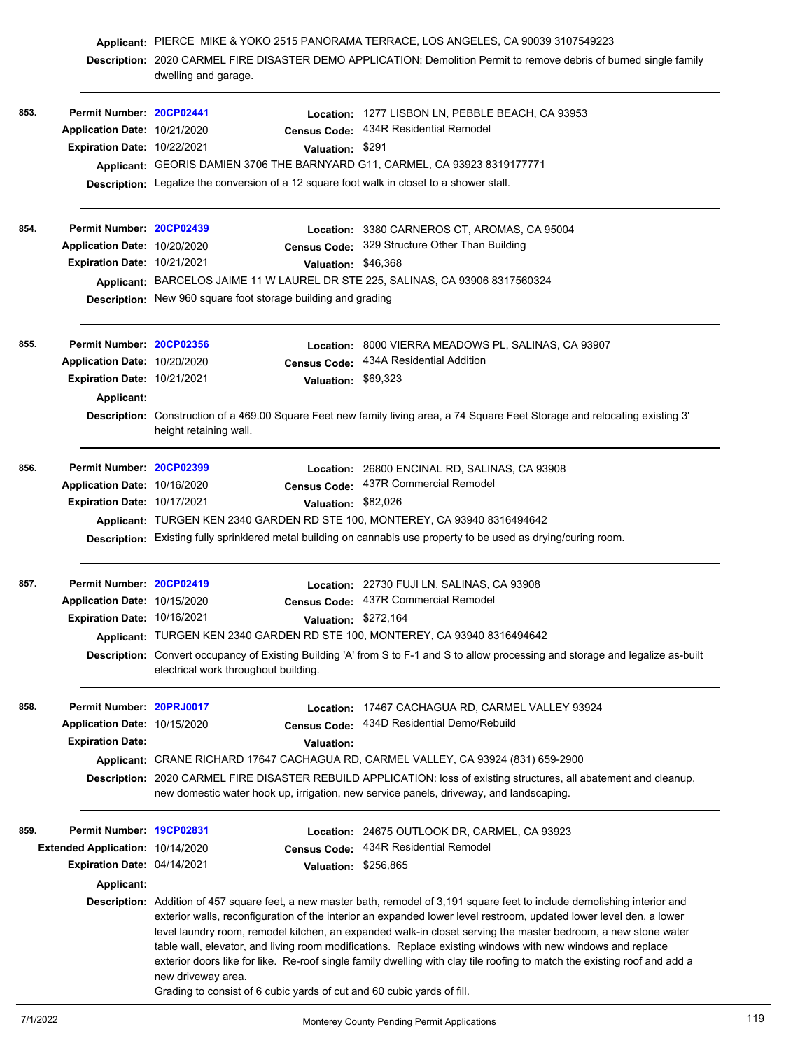|      |                                  | dwelling and garage.                                                                         | Applicant: PIERCE MIKE & YOKO 2515 PANORAMA TERRACE, LOS ANGELES, CA 90039 3107549223<br>Description: 2020 CARMEL FIRE DISASTER DEMO APPLICATION: Demolition Permit to remove debris of burned single family                                                                                                                                                                                                                                                                                                                                                                                                   |
|------|----------------------------------|----------------------------------------------------------------------------------------------|----------------------------------------------------------------------------------------------------------------------------------------------------------------------------------------------------------------------------------------------------------------------------------------------------------------------------------------------------------------------------------------------------------------------------------------------------------------------------------------------------------------------------------------------------------------------------------------------------------------|
| 853. | Permit Number: 20CP02441         |                                                                                              | Location: 1277 LISBON LN, PEBBLE BEACH, CA 93953                                                                                                                                                                                                                                                                                                                                                                                                                                                                                                                                                               |
|      | Application Date: 10/21/2020     | <b>Census Code:</b>                                                                          | 434R Residential Remodel                                                                                                                                                                                                                                                                                                                                                                                                                                                                                                                                                                                       |
|      | Expiration Date: 10/22/2021      | Valuation: \$291                                                                             |                                                                                                                                                                                                                                                                                                                                                                                                                                                                                                                                                                                                                |
|      |                                  | Applicant: GEORIS DAMIEN 3706 THE BARNYARD G11, CARMEL, CA 93923 8319177771                  |                                                                                                                                                                                                                                                                                                                                                                                                                                                                                                                                                                                                                |
|      |                                  | Description: Legalize the conversion of a 12 square foot walk in closet to a shower stall.   |                                                                                                                                                                                                                                                                                                                                                                                                                                                                                                                                                                                                                |
| 854. | Permit Number: 20CP02439         |                                                                                              | Location: 3380 CARNEROS CT, AROMAS, CA 95004                                                                                                                                                                                                                                                                                                                                                                                                                                                                                                                                                                   |
|      | Application Date: 10/20/2020     |                                                                                              | Census Code: 329 Structure Other Than Building                                                                                                                                                                                                                                                                                                                                                                                                                                                                                                                                                                 |
|      | Expiration Date: 10/21/2021      | Valuation: \$46,368                                                                          |                                                                                                                                                                                                                                                                                                                                                                                                                                                                                                                                                                                                                |
|      |                                  | Applicant: BARCELOS JAIME 11 W LAUREL DR STE 225, SALINAS, CA 93906 8317560324               |                                                                                                                                                                                                                                                                                                                                                                                                                                                                                                                                                                                                                |
|      |                                  | <b>Description:</b> New 960 square foot storage building and grading                         |                                                                                                                                                                                                                                                                                                                                                                                                                                                                                                                                                                                                                |
| 855. | Permit Number: 20CP02356         | Location:                                                                                    | 8000 VIERRA MEADOWS PL, SALINAS, CA 93907                                                                                                                                                                                                                                                                                                                                                                                                                                                                                                                                                                      |
|      | Application Date: 10/20/2020     | <b>Census Code:</b>                                                                          | 434A Residential Addition                                                                                                                                                                                                                                                                                                                                                                                                                                                                                                                                                                                      |
|      | Expiration Date: 10/21/2021      | Valuation: \$69,323                                                                          |                                                                                                                                                                                                                                                                                                                                                                                                                                                                                                                                                                                                                |
|      | <b>Applicant:</b>                |                                                                                              |                                                                                                                                                                                                                                                                                                                                                                                                                                                                                                                                                                                                                |
|      |                                  | height retaining wall.                                                                       | Description: Construction of a 469.00 Square Feet new family living area, a 74 Square Feet Storage and relocating existing 3'                                                                                                                                                                                                                                                                                                                                                                                                                                                                                  |
| 856. | Permit Number: 20CP02399         |                                                                                              | Location: 26800 ENCINAL RD, SALINAS, CA 93908                                                                                                                                                                                                                                                                                                                                                                                                                                                                                                                                                                  |
|      | Application Date: 10/16/2020     | <b>Census Code:</b>                                                                          | 437R Commercial Remodel                                                                                                                                                                                                                                                                                                                                                                                                                                                                                                                                                                                        |
|      | Expiration Date: 10/17/2021      | Valuation: \$82,026                                                                          |                                                                                                                                                                                                                                                                                                                                                                                                                                                                                                                                                                                                                |
|      |                                  | Applicant: TURGEN KEN 2340 GARDEN RD STE 100, MONTEREY, CA 93940 8316494642                  |                                                                                                                                                                                                                                                                                                                                                                                                                                                                                                                                                                                                                |
|      |                                  |                                                                                              | Description: Existing fully sprinklered metal building on cannabis use property to be used as drying/curing room.                                                                                                                                                                                                                                                                                                                                                                                                                                                                                              |
| 857. | Permit Number: 20CP02419         |                                                                                              | Location: 22730 FUJI LN, SALINAS, CA 93908                                                                                                                                                                                                                                                                                                                                                                                                                                                                                                                                                                     |
|      | Application Date: 10/15/2020     |                                                                                              | Census Code: 437R Commercial Remodel                                                                                                                                                                                                                                                                                                                                                                                                                                                                                                                                                                           |
|      | Expiration Date: 10/16/2021      |                                                                                              | Valuation: \$272,164                                                                                                                                                                                                                                                                                                                                                                                                                                                                                                                                                                                           |
|      |                                  | Applicant: TURGEN KEN 2340 GARDEN RD STE 100, MONTEREY, CA 93940 8316494642                  |                                                                                                                                                                                                                                                                                                                                                                                                                                                                                                                                                                                                                |
|      |                                  | electrical work throughout building.                                                         | Description: Convert occupancy of Existing Building 'A' from S to F-1 and S to allow processing and storage and legalize as-built                                                                                                                                                                                                                                                                                                                                                                                                                                                                              |
| 858. | Permit Number: 20PRJ0017         |                                                                                              | Location: 17467 CACHAGUA RD, CARMEL VALLEY 93924                                                                                                                                                                                                                                                                                                                                                                                                                                                                                                                                                               |
|      | Application Date: 10/15/2020     | Census Code:                                                                                 | 434D Residential Demo/Rebuild                                                                                                                                                                                                                                                                                                                                                                                                                                                                                                                                                                                  |
|      | <b>Expiration Date:</b>          | <b>Valuation:</b>                                                                            |                                                                                                                                                                                                                                                                                                                                                                                                                                                                                                                                                                                                                |
|      |                                  |                                                                                              | Applicant: CRANE RICHARD 17647 CACHAGUA RD, CARMEL VALLEY, CA 93924 (831) 659-2900                                                                                                                                                                                                                                                                                                                                                                                                                                                                                                                             |
|      |                                  |                                                                                              | Description: 2020 CARMEL FIRE DISASTER REBUILD APPLICATION: loss of existing structures, all abatement and cleanup,<br>new domestic water hook up, irrigation, new service panels, driveway, and landscaping.                                                                                                                                                                                                                                                                                                                                                                                                  |
| 859. | Permit Number: 19CP02831         |                                                                                              | Location: 24675 OUTLOOK DR, CARMEL, CA 93923                                                                                                                                                                                                                                                                                                                                                                                                                                                                                                                                                                   |
|      | Extended Application: 10/14/2020 | <b>Census Code:</b>                                                                          | 434R Residential Remodel                                                                                                                                                                                                                                                                                                                                                                                                                                                                                                                                                                                       |
|      | Expiration Date: 04/14/2021      | Valuation:                                                                                   | \$256,865                                                                                                                                                                                                                                                                                                                                                                                                                                                                                                                                                                                                      |
|      | <b>Applicant:</b>                |                                                                                              |                                                                                                                                                                                                                                                                                                                                                                                                                                                                                                                                                                                                                |
|      |                                  | new driveway area.<br>Grading to consist of 6 cubic yards of cut and 60 cubic yards of fill. | Description: Addition of 457 square feet, a new master bath, remodel of 3,191 square feet to include demolishing interior and<br>exterior walls, reconfiguration of the interior an expanded lower level restroom, updated lower level den, a lower<br>level laundry room, remodel kitchen, an expanded walk-in closet serving the master bedroom, a new stone water<br>table wall, elevator, and living room modifications. Replace existing windows with new windows and replace<br>exterior doors like for like. Re-roof single family dwelling with clay tile roofing to match the existing roof and add a |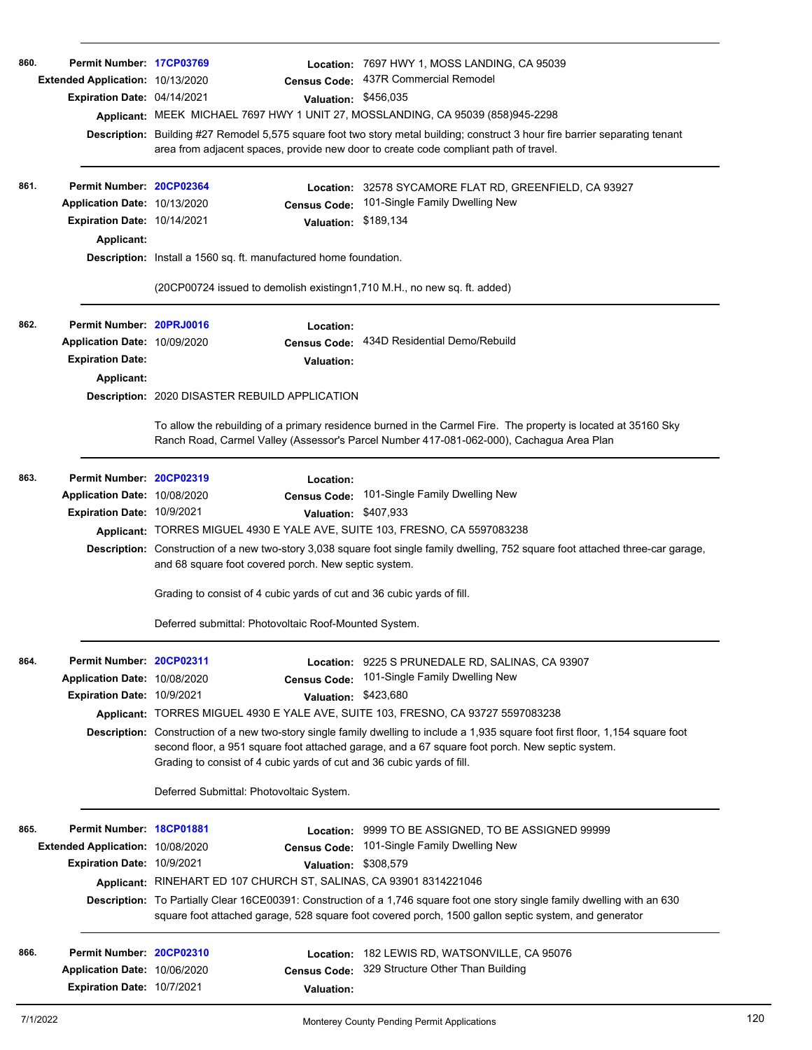| 860.<br>861. | Permit Number: 17CP03769<br>Extended Application: 10/13/2020<br>Expiration Date: 04/14/2021<br>Permit Number: 20CP02364<br>Application Date: 10/13/2020<br>Expiration Date: 10/14/2021<br>Applicant: | <b>Census Code:</b><br>Valuation: \$456,035<br>Applicant: MEEK MICHAEL 7697 HWY 1 UNIT 27, MOSSLANDING, CA 95039 (858)945-2298<br>area from adjacent spaces, provide new door to create code compliant path of travel.<br><b>Census Code:</b><br>Valuation: \$189,134<br>Description: Install a 1560 sq. ft. manufactured home foundation. | Location: 7697 HWY 1, MOSS LANDING, CA 95039<br>437R Commercial Remodel<br>Description: Building #27 Remodel 5,575 square foot two story metal building; construct 3 hour fire barrier separating tenant<br>Location: 32578 SYCAMORE FLAT RD, GREENFIELD, CA 93927<br>101-Single Family Dwelling New                                |
|--------------|------------------------------------------------------------------------------------------------------------------------------------------------------------------------------------------------------|--------------------------------------------------------------------------------------------------------------------------------------------------------------------------------------------------------------------------------------------------------------------------------------------------------------------------------------------|-------------------------------------------------------------------------------------------------------------------------------------------------------------------------------------------------------------------------------------------------------------------------------------------------------------------------------------|
|              |                                                                                                                                                                                                      | (20CP00724 issued to demolish existingn1,710 M.H., no new sq. ft. added)                                                                                                                                                                                                                                                                   |                                                                                                                                                                                                                                                                                                                                     |
| 862.         | Permit Number: 20PRJ0016<br>Application Date: 10/09/2020<br><b>Expiration Date:</b><br>Applicant:                                                                                                    | Location:<br><b>Census Code:</b><br><b>Valuation:</b><br><b>Description: 2020 DISASTER REBUILD APPLICATION</b>                                                                                                                                                                                                                             | 434D Residential Demo/Rebuild                                                                                                                                                                                                                                                                                                       |
|              |                                                                                                                                                                                                      | To allow the rebuilding of a primary residence burned in the Carmel Fire. The property is located at 35160 Sky<br>Ranch Road, Carmel Valley (Assessor's Parcel Number 417-081-062-000), Cachagua Area Plan                                                                                                                                 |                                                                                                                                                                                                                                                                                                                                     |
| 863.         | Permit Number: 20CP02319<br>Application Date: 10/08/2020<br>Expiration Date: 10/9/2021                                                                                                               | Location:<br><b>Census Code:</b><br>Valuation: \$407,933<br>Applicant: TORRES MIGUEL 4930 E YALE AVE, SUITE 103, FRESNO, CA 5597083238<br>and 68 square foot covered porch. New septic system.                                                                                                                                             | 101-Single Family Dwelling New<br>Description: Construction of a new two-story 3,038 square foot single family dwelling, 752 square foot attached three-car garage,                                                                                                                                                                 |
|              |                                                                                                                                                                                                      | Grading to consist of 4 cubic yards of cut and 36 cubic yards of fill.<br>Deferred submittal: Photovoltaic Roof-Mounted System.                                                                                                                                                                                                            |                                                                                                                                                                                                                                                                                                                                     |
| 864.         | Permit Number: 20CP02311<br>Application Date: 10/08/2020<br>Expiration Date: 10/9/2021                                                                                                               | <b>Census Code:</b><br>Valuation: \$423,680<br>Applicant: TORRES MIGUEL 4930 E YALE AVE, SUITE 103, FRESNO, CA 93727 5597083238<br>Grading to consist of 4 cubic yards of cut and 36 cubic yards of fill.<br>Deferred Submittal: Photovoltaic System.                                                                                      | Location: 9225 S PRUNEDALE RD, SALINAS, CA 93907<br>101-Single Family Dwelling New<br>Description: Construction of a new two-story single family dwelling to include a 1,935 square foot first floor, 1,154 square foot<br>second floor, a 951 square foot attached garage, and a 67 square foot porch. New septic system.          |
| 865.         | Permit Number: 18CP01881<br>Extended Application: 10/08/2020<br>Expiration Date: 10/9/2021                                                                                                           | <b>Census Code:</b><br>Valuation: \$308,579<br>Applicant: RINEHART ED 107 CHURCH ST, SALINAS, CA 93901 8314221046                                                                                                                                                                                                                          | <b>Location: 9999 TO BE ASSIGNED, TO BE ASSIGNED 99999</b><br>101-Single Family Dwelling New<br>Description: To Partially Clear 16CE00391: Construction of a 1,746 square foot one story single family dwelling with an 630<br>square foot attached garage, 528 square foot covered porch, 1500 gallon septic system, and generator |
| 866.         | Permit Number: 20CP02310<br>Application Date: 10/06/2020<br>Expiration Date: 10/7/2021                                                                                                               | <b>Census Code:</b><br><b>Valuation:</b>                                                                                                                                                                                                                                                                                                   | Location: 182 LEWIS RD, WATSONVILLE, CA 95076<br>329 Structure Other Than Building                                                                                                                                                                                                                                                  |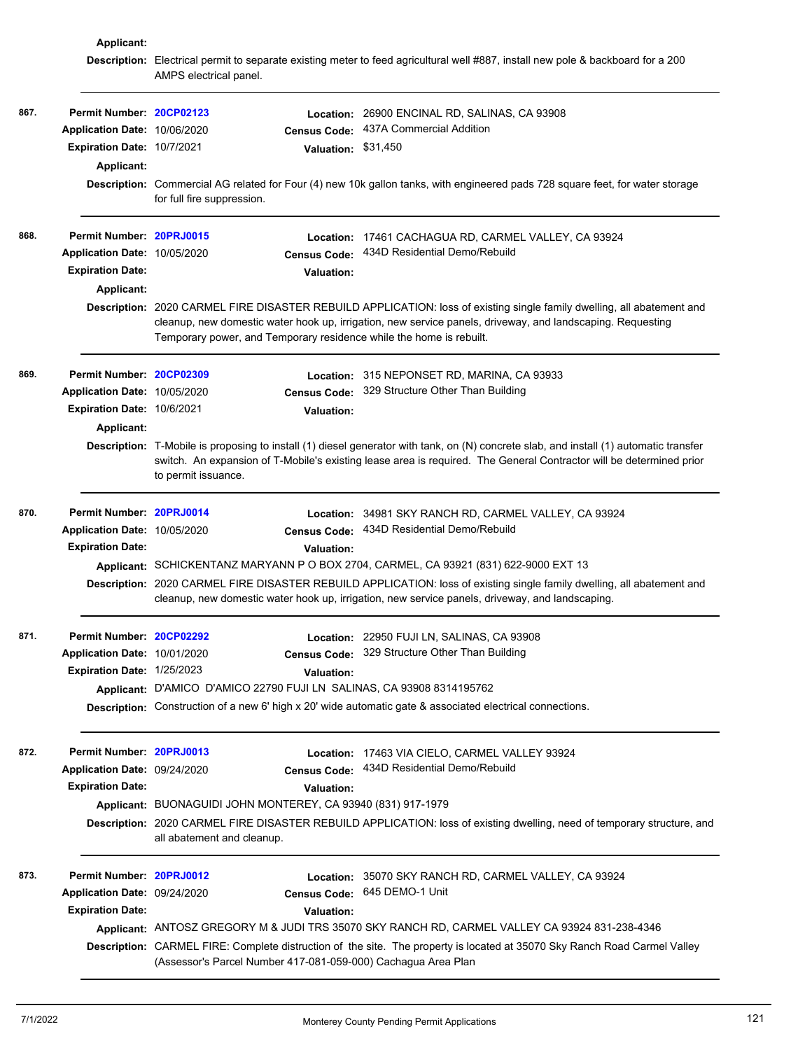|      | Applicant:                   |                                                                       |                                                                                                                                                                                                                                                               |
|------|------------------------------|-----------------------------------------------------------------------|---------------------------------------------------------------------------------------------------------------------------------------------------------------------------------------------------------------------------------------------------------------|
|      |                              | AMPS electrical panel.                                                | Description: Electrical permit to separate existing meter to feed agricultural well #887, install new pole & backboard for a 200                                                                                                                              |
| 867. | Permit Number: 20CP02123     |                                                                       | Location: 26900 ENCINAL RD, SALINAS, CA 93908                                                                                                                                                                                                                 |
|      | Application Date: 10/06/2020 | <b>Census Code:</b>                                                   | 437A Commercial Addition                                                                                                                                                                                                                                      |
|      | Expiration Date: 10/7/2021   |                                                                       | Valuation: \$31,450                                                                                                                                                                                                                                           |
|      | Applicant:                   |                                                                       |                                                                                                                                                                                                                                                               |
|      |                              | for full fire suppression.                                            | Description: Commercial AG related for Four (4) new 10k gallon tanks, with engineered pads 728 square feet, for water storage                                                                                                                                 |
| 868. | Permit Number: 20PRJ0015     |                                                                       | Location: 17461 CACHAGUA RD, CARMEL VALLEY, CA 93924                                                                                                                                                                                                          |
|      | Application Date: 10/05/2020 |                                                                       | Census Code: 434D Residential Demo/Rebuild                                                                                                                                                                                                                    |
|      | <b>Expiration Date:</b>      | <b>Valuation:</b>                                                     |                                                                                                                                                                                                                                                               |
|      | Applicant:                   |                                                                       |                                                                                                                                                                                                                                                               |
|      |                              | Temporary power, and Temporary residence while the home is rebuilt.   | Description: 2020 CARMEL FIRE DISASTER REBUILD APPLICATION: loss of existing single family dwelling, all abatement and<br>cleanup, new domestic water hook up, irrigation, new service panels, driveway, and landscaping. Requesting                          |
| 869. | Permit Number: 20CP02309     |                                                                       | Location: 315 NEPONSET RD, MARINA, CA 93933                                                                                                                                                                                                                   |
|      | Application Date: 10/05/2020 |                                                                       | Census Code: 329 Structure Other Than Building                                                                                                                                                                                                                |
|      | Expiration Date: 10/6/2021   | <b>Valuation:</b>                                                     |                                                                                                                                                                                                                                                               |
|      | Applicant:                   |                                                                       |                                                                                                                                                                                                                                                               |
|      |                              | to permit issuance.                                                   | Description: T-Mobile is proposing to install (1) diesel generator with tank, on (N) concrete slab, and install (1) automatic transfer<br>switch. An expansion of T-Mobile's existing lease area is required. The General Contractor will be determined prior |
| 870. | Permit Number: 20PRJ0014     |                                                                       | Location: 34981 SKY RANCH RD, CARMEL VALLEY, CA 93924                                                                                                                                                                                                         |
|      | Application Date: 10/05/2020 | <b>Census Code:</b>                                                   | 434D Residential Demo/Rebuild                                                                                                                                                                                                                                 |
|      | <b>Expiration Date:</b>      | Valuation:                                                            |                                                                                                                                                                                                                                                               |
|      |                              |                                                                       | Applicant: SCHICKENTANZ MARYANN P O BOX 2704, CARMEL, CA 93921 (831) 622-9000 EXT 13                                                                                                                                                                          |
|      |                              |                                                                       | Description: 2020 CARMEL FIRE DISASTER REBUILD APPLICATION: loss of existing single family dwelling, all abatement and<br>cleanup, new domestic water hook up, irrigation, new service panels, driveway, and landscaping.                                     |
| 871. | Permit Number: 20CP02292     |                                                                       | Location: 22950 FUJI LN, SALINAS, CA 93908                                                                                                                                                                                                                    |
|      | Application Date: 10/01/2020 |                                                                       | Census Code: 329 Structure Other Than Building                                                                                                                                                                                                                |
|      | Expiration Date: 1/25/2023   | <b>Valuation:</b>                                                     |                                                                                                                                                                                                                                                               |
|      |                              | Applicant: D'AMICO D'AMICO 22790 FUJI LN SALINAS, CA 93908 8314195762 |                                                                                                                                                                                                                                                               |
|      |                              |                                                                       | Description: Construction of a new 6' high x 20' wide automatic gate & associated electrical connections.                                                                                                                                                     |
| 872. | Permit Number: 20PRJ0013     |                                                                       | Location: 17463 VIA CIELO, CARMEL VALLEY 93924                                                                                                                                                                                                                |
|      | Application Date: 09/24/2020 |                                                                       | Census Code: 434D Residential Demo/Rebuild                                                                                                                                                                                                                    |
|      | <b>Expiration Date:</b>      | <b>Valuation:</b>                                                     |                                                                                                                                                                                                                                                               |
|      |                              | Applicant: BUONAGUIDI JOHN MONTEREY, CA 93940 (831) 917-1979          |                                                                                                                                                                                                                                                               |
|      |                              | all abatement and cleanup.                                            | Description: 2020 CARMEL FIRE DISASTER REBUILD APPLICATION: loss of existing dwelling, need of temporary structure, and                                                                                                                                       |
| 873. | Permit Number: 20PRJ0012     |                                                                       | Location: 35070 SKY RANCH RD, CARMEL VALLEY, CA 93924                                                                                                                                                                                                         |
|      | Application Date: 09/24/2020 |                                                                       | Census Code: 645 DEMO-1 Unit                                                                                                                                                                                                                                  |
|      | <b>Expiration Date:</b>      | <b>Valuation:</b>                                                     |                                                                                                                                                                                                                                                               |
|      |                              |                                                                       | Applicant: ANTOSZ GREGORY M & JUDI TRS 35070 SKY RANCH RD, CARMEL VALLEY CA 93924 831-238-4346                                                                                                                                                                |
|      |                              | (Assessor's Parcel Number 417-081-059-000) Cachagua Area Plan         | Description: CARMEL FIRE: Complete distruction of the site. The property is located at 35070 Sky Ranch Road Carmel Valley                                                                                                                                     |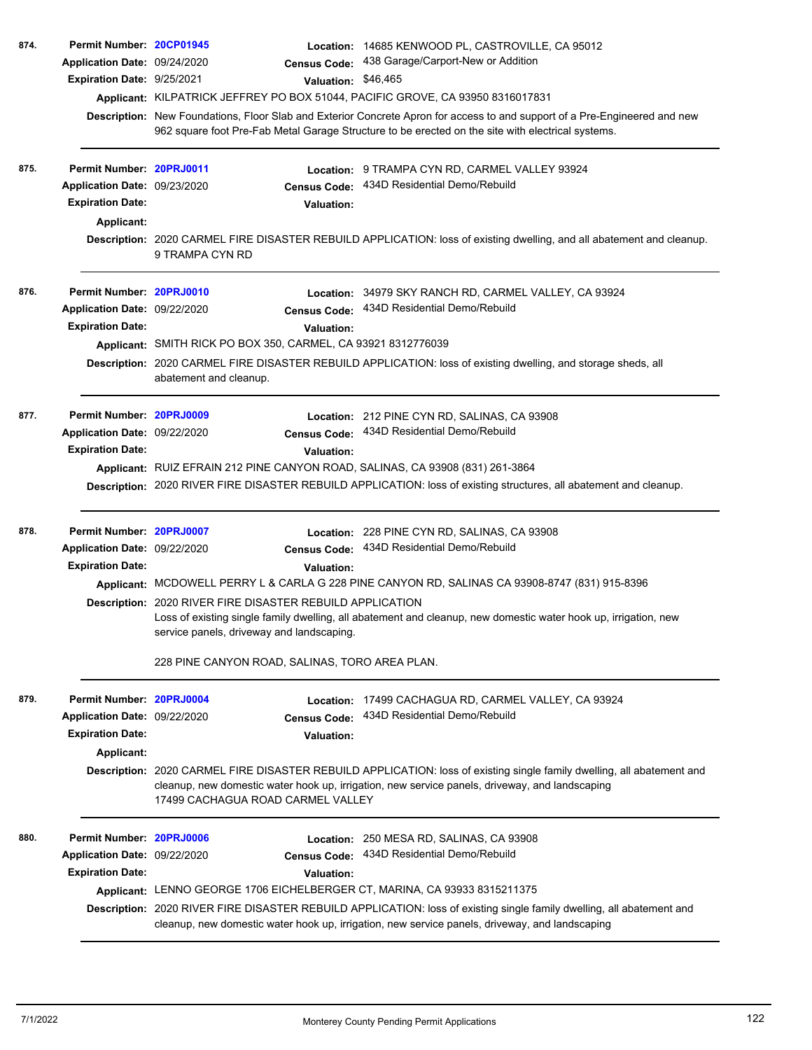| 874.<br>875. | Permit Number: 20CP01945<br>Application Date: 09/24/2020<br>Expiration Date: 9/25/2021<br>Permit Number: 20PRJ0011<br>Application Date: 09/23/2020<br><b>Expiration Date:</b><br>Applicant: | <b>Census Code:</b><br>Valuation: \$46,465<br>Applicant: KILPATRICK JEFFREY PO BOX 51044, PACIFIC GROVE, CA 93950 8316017831<br><b>Census Code:</b><br><b>Valuation:</b>                             | Location: 14685 KENWOOD PL, CASTROVILLE, CA 95012<br>438 Garage/Carport-New or Addition<br>Description: New Foundations, Floor Slab and Exterior Concrete Apron for access to and support of a Pre-Engineered and new<br>962 square foot Pre-Fab Metal Garage Structure to be erected on the site with electrical systems.<br>Location: 9 TRAMPA CYN RD, CARMEL VALLEY 93924<br>434D Residential Demo/Rebuild<br>Description: 2020 CARMEL FIRE DISASTER REBUILD APPLICATION: loss of existing dwelling, and all abatement and cleanup. |
|--------------|---------------------------------------------------------------------------------------------------------------------------------------------------------------------------------------------|------------------------------------------------------------------------------------------------------------------------------------------------------------------------------------------------------|----------------------------------------------------------------------------------------------------------------------------------------------------------------------------------------------------------------------------------------------------------------------------------------------------------------------------------------------------------------------------------------------------------------------------------------------------------------------------------------------------------------------------------------|
| 876.         | Permit Number: 20PRJ0010                                                                                                                                                                    | 9 TRAMPA CYN RD                                                                                                                                                                                      | Location: 34979 SKY RANCH RD, CARMEL VALLEY, CA 93924                                                                                                                                                                                                                                                                                                                                                                                                                                                                                  |
|              | Application Date: 09/22/2020<br><b>Expiration Date:</b>                                                                                                                                     | <b>Census Code:</b><br>Valuation:<br>Applicant: SMITH RICK PO BOX 350, CARMEL, CA 93921 8312776039<br>abatement and cleanup.                                                                         | 434D Residential Demo/Rebuild<br>Description: 2020 CARMEL FIRE DISASTER REBUILD APPLICATION: loss of existing dwelling, and storage sheds, all                                                                                                                                                                                                                                                                                                                                                                                         |
| 877.         | Permit Number: 20PRJ0009<br>Application Date: 09/22/2020<br><b>Expiration Date:</b>                                                                                                         | <b>Census Code:</b><br><b>Valuation:</b><br>Applicant: RUIZ EFRAIN 212 PINE CANYON ROAD, SALINAS, CA 93908 (831) 261-3864                                                                            | Location: 212 PINE CYN RD, SALINAS, CA 93908<br>434D Residential Demo/Rebuild<br>Description: 2020 RIVER FIRE DISASTER REBUILD APPLICATION: loss of existing structures, all abatement and cleanup.                                                                                                                                                                                                                                                                                                                                    |
| 878.         | Permit Number: 20PRJ0007<br>Application Date: 09/22/2020<br><b>Expiration Date:</b>                                                                                                         | <b>Census Code:</b><br>Valuation:<br><b>Description: 2020 RIVER FIRE DISASTER REBUILD APPLICATION</b><br>service panels, driveway and landscaping.<br>228 PINE CANYON ROAD, SALINAS, TORO AREA PLAN. | <b>Location: 228 PINE CYN RD, SALINAS, CA 93908</b><br>434D Residential Demo/Rebuild<br>Applicant: MCDOWELL PERRY L & CARLA G 228 PINE CANYON RD, SALINAS CA 93908-8747 (831) 915-8396<br>Loss of existing single family dwelling, all abatement and cleanup, new domestic water hook up, irrigation, new                                                                                                                                                                                                                              |
| 879.         | Permit Number: 20PRJ0004<br>Application Date: 09/22/2020<br><b>Expiration Date:</b><br><b>Applicant:</b>                                                                                    | Location:<br><b>Census Code:</b><br><b>Valuation:</b><br>17499 CACHAGUA ROAD CARMEL VALLEY                                                                                                           | 17499 CACHAGUA RD, CARMEL VALLEY, CA 93924<br>434D Residential Demo/Rebuild<br>Description: 2020 CARMEL FIRE DISASTER REBUILD APPLICATION: loss of existing single family dwelling, all abatement and<br>cleanup, new domestic water hook up, irrigation, new service panels, driveway, and landscaping                                                                                                                                                                                                                                |
| 880.         | Permit Number: 20PRJ0006<br>Application Date: 09/22/2020<br><b>Expiration Date:</b>                                                                                                         | <b>Census Code:</b><br><b>Valuation:</b><br>Applicant: LENNO GEORGE 1706 EICHELBERGER CT, MARINA, CA 93933 8315211375                                                                                | Location: 250 MESA RD, SALINAS, CA 93908<br>434D Residential Demo/Rebuild<br>Description: 2020 RIVER FIRE DISASTER REBUILD APPLICATION: loss of existing single family dwelling, all abatement and<br>cleanup, new domestic water hook up, irrigation, new service panels, driveway, and landscaping                                                                                                                                                                                                                                   |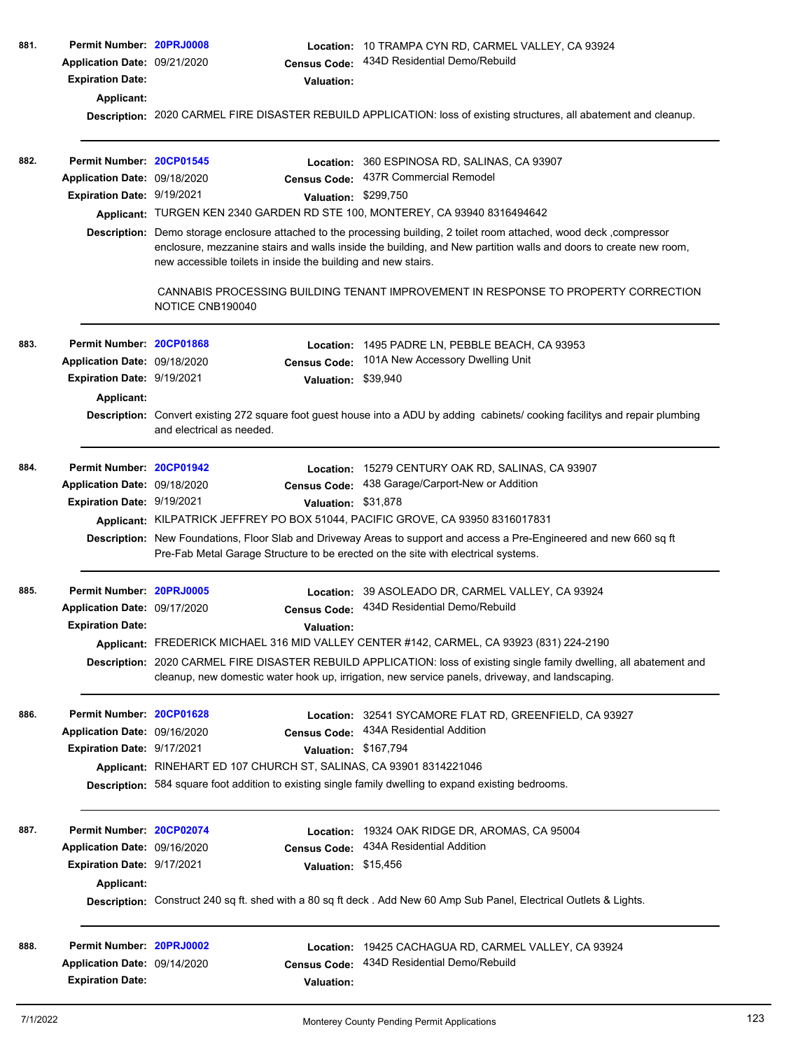| 881. | Permit Number: 20PRJ0008     |                                                                                                                                                                                                                                                                                                             | Location: 10 TRAMPA CYN RD, CARMEL VALLEY, CA 93924                                                                                                                                                                       |  |  |  |  |
|------|------------------------------|-------------------------------------------------------------------------------------------------------------------------------------------------------------------------------------------------------------------------------------------------------------------------------------------------------------|---------------------------------------------------------------------------------------------------------------------------------------------------------------------------------------------------------------------------|--|--|--|--|
|      | Application Date: 09/21/2020 | <b>Census Code:</b>                                                                                                                                                                                                                                                                                         | 434D Residential Demo/Rebuild                                                                                                                                                                                             |  |  |  |  |
|      | <b>Expiration Date:</b>      | <b>Valuation:</b>                                                                                                                                                                                                                                                                                           |                                                                                                                                                                                                                           |  |  |  |  |
|      | Applicant:                   |                                                                                                                                                                                                                                                                                                             |                                                                                                                                                                                                                           |  |  |  |  |
|      |                              |                                                                                                                                                                                                                                                                                                             | Description: 2020 CARMEL FIRE DISASTER REBUILD APPLICATION: loss of existing structures, all abatement and cleanup.                                                                                                       |  |  |  |  |
|      |                              |                                                                                                                                                                                                                                                                                                             |                                                                                                                                                                                                                           |  |  |  |  |
| 882. | Permit Number: 20CP01545     |                                                                                                                                                                                                                                                                                                             | Location: 360 ESPINOSA RD, SALINAS, CA 93907                                                                                                                                                                              |  |  |  |  |
|      | Application Date: 09/18/2020 |                                                                                                                                                                                                                                                                                                             | Census Code: 437R Commercial Remodel                                                                                                                                                                                      |  |  |  |  |
|      | Expiration Date: 9/19/2021   |                                                                                                                                                                                                                                                                                                             | Valuation: \$299,750                                                                                                                                                                                                      |  |  |  |  |
|      |                              |                                                                                                                                                                                                                                                                                                             | Applicant: TURGEN KEN 2340 GARDEN RD STE 100, MONTEREY, CA 93940 8316494642                                                                                                                                               |  |  |  |  |
|      |                              | Description: Demo storage enclosure attached to the processing building, 2 toilet room attached, wood deck, compressor<br>enclosure, mezzanine stairs and walls inside the building, and New partition walls and doors to create new room,<br>new accessible toilets in inside the building and new stairs. |                                                                                                                                                                                                                           |  |  |  |  |
|      |                              | NOTICE CNB190040                                                                                                                                                                                                                                                                                            | CANNABIS PROCESSING BUILDING TENANT IMPROVEMENT IN RESPONSE TO PROPERTY CORRECTION                                                                                                                                        |  |  |  |  |
| 883. | Permit Number: 20CP01868     | Location:                                                                                                                                                                                                                                                                                                   | 1495 PADRE LN, PEBBLE BEACH, CA 93953                                                                                                                                                                                     |  |  |  |  |
|      | Application Date: 09/18/2020 | <b>Census Code:</b>                                                                                                                                                                                                                                                                                         | 101A New Accessory Dwelling Unit                                                                                                                                                                                          |  |  |  |  |
|      | Expiration Date: 9/19/2021   |                                                                                                                                                                                                                                                                                                             | Valuation: \$39,940                                                                                                                                                                                                       |  |  |  |  |
|      | Applicant:                   |                                                                                                                                                                                                                                                                                                             |                                                                                                                                                                                                                           |  |  |  |  |
|      |                              | and electrical as needed.                                                                                                                                                                                                                                                                                   | Description: Convert existing 272 square foot guest house into a ADU by adding cabinets/cooking facilitys and repair plumbing                                                                                             |  |  |  |  |
| 884. | Permit Number: 20CP01942     |                                                                                                                                                                                                                                                                                                             | Location: 15279 CENTURY OAK RD, SALINAS, CA 93907                                                                                                                                                                         |  |  |  |  |
|      | Application Date: 09/18/2020 |                                                                                                                                                                                                                                                                                                             | Census Code: 438 Garage/Carport-New or Addition                                                                                                                                                                           |  |  |  |  |
|      | Expiration Date: 9/19/2021   |                                                                                                                                                                                                                                                                                                             | Valuation: \$31,878                                                                                                                                                                                                       |  |  |  |  |
|      |                              |                                                                                                                                                                                                                                                                                                             | Applicant: KILPATRICK JEFFREY PO BOX 51044, PACIFIC GROVE, CA 93950 8316017831                                                                                                                                            |  |  |  |  |
|      |                              |                                                                                                                                                                                                                                                                                                             | Description: New Foundations, Floor Slab and Driveway Areas to support and access a Pre-Engineered and new 660 sq ft<br>Pre-Fab Metal Garage Structure to be erected on the site with electrical systems.                 |  |  |  |  |
| 885. | Permit Number: 20PRJ0005     |                                                                                                                                                                                                                                                                                                             | Location: 39 ASOLEADO DR, CARMEL VALLEY, CA 93924                                                                                                                                                                         |  |  |  |  |
|      | Application Date: 09/17/2020 |                                                                                                                                                                                                                                                                                                             | Census Code: 434D Residential Demo/Rebuild                                                                                                                                                                                |  |  |  |  |
|      | <b>Expiration Date:</b>      | <b>Valuation:</b>                                                                                                                                                                                                                                                                                           |                                                                                                                                                                                                                           |  |  |  |  |
|      |                              |                                                                                                                                                                                                                                                                                                             | Applicant: FREDERICK MICHAEL 316 MID VALLEY CENTER #142, CARMEL, CA 93923 (831) 224-2190                                                                                                                                  |  |  |  |  |
|      |                              |                                                                                                                                                                                                                                                                                                             | Description: 2020 CARMEL FIRE DISASTER REBUILD APPLICATION: loss of existing single family dwelling, all abatement and<br>cleanup, new domestic water hook up, irrigation, new service panels, driveway, and landscaping. |  |  |  |  |
| 886. | Permit Number: 20CP01628     |                                                                                                                                                                                                                                                                                                             | Location: 32541 SYCAMORE FLAT RD, GREENFIELD, CA 93927                                                                                                                                                                    |  |  |  |  |
|      | Application Date: 09/16/2020 |                                                                                                                                                                                                                                                                                                             | Census Code: 434A Residential Addition                                                                                                                                                                                    |  |  |  |  |
|      | Expiration Date: 9/17/2021   |                                                                                                                                                                                                                                                                                                             | Valuation: \$167,794                                                                                                                                                                                                      |  |  |  |  |
|      |                              | Applicant: RINEHART ED 107 CHURCH ST, SALINAS, CA 93901 8314221046                                                                                                                                                                                                                                          |                                                                                                                                                                                                                           |  |  |  |  |
|      |                              |                                                                                                                                                                                                                                                                                                             | Description: 584 square foot addition to existing single family dwelling to expand existing bedrooms.                                                                                                                     |  |  |  |  |
| 887. | Permit Number: 20CP02074     |                                                                                                                                                                                                                                                                                                             | Location: 19324 OAK RIDGE DR, AROMAS, CA 95004                                                                                                                                                                            |  |  |  |  |
|      | Application Date: 09/16/2020 | <b>Census Code:</b>                                                                                                                                                                                                                                                                                         | 434A Residential Addition                                                                                                                                                                                                 |  |  |  |  |
|      | Expiration Date: 9/17/2021   |                                                                                                                                                                                                                                                                                                             | Valuation: \$15,456                                                                                                                                                                                                       |  |  |  |  |
|      | Applicant:                   |                                                                                                                                                                                                                                                                                                             |                                                                                                                                                                                                                           |  |  |  |  |
|      |                              |                                                                                                                                                                                                                                                                                                             | Description: Construct 240 sq ft. shed with a 80 sq ft deck . Add New 60 Amp Sub Panel, Electrical Outlets & Lights.                                                                                                      |  |  |  |  |
| 888. | Permit Number: 20PRJ0002     |                                                                                                                                                                                                                                                                                                             | Location: 19425 CACHAGUA RD, CARMEL VALLEY, CA 93924                                                                                                                                                                      |  |  |  |  |
|      | Application Date: 09/14/2020 | <b>Census Code:</b>                                                                                                                                                                                                                                                                                         | 434D Residential Demo/Rebuild                                                                                                                                                                                             |  |  |  |  |
|      | <b>Expiration Date:</b>      | <b>Valuation:</b>                                                                                                                                                                                                                                                                                           |                                                                                                                                                                                                                           |  |  |  |  |
|      |                              |                                                                                                                                                                                                                                                                                                             |                                                                                                                                                                                                                           |  |  |  |  |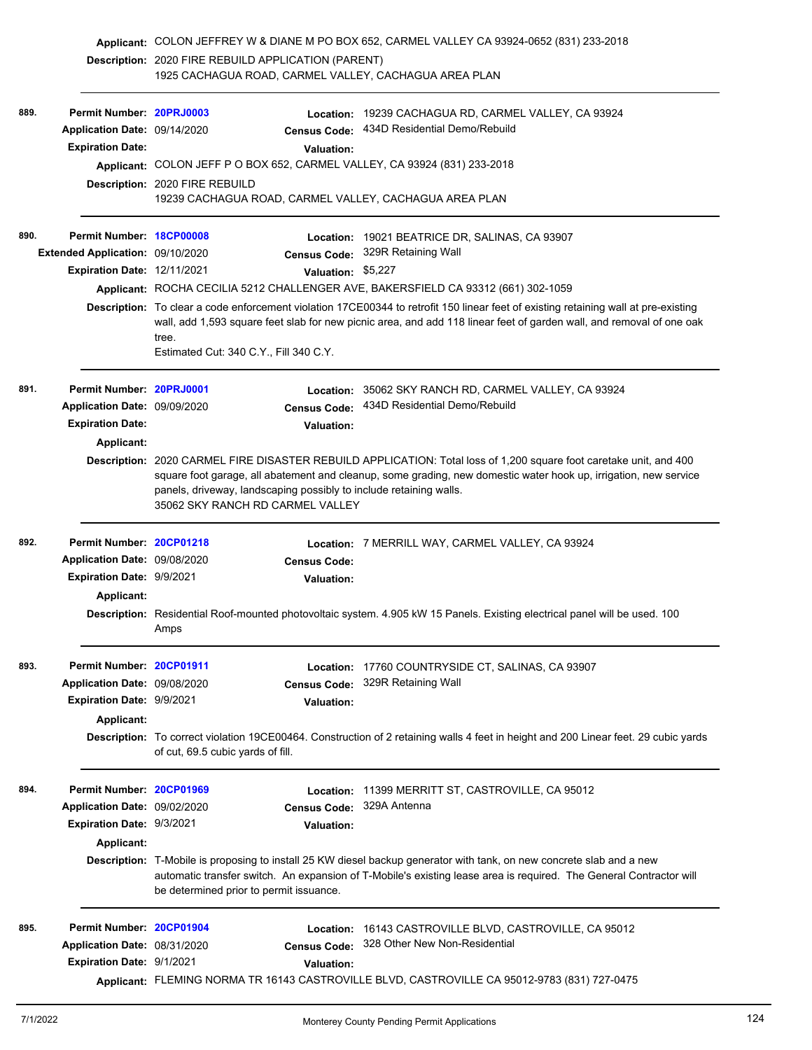|                                                                                                                  |                                  | Applicant: COLON JEFFREY W & DIANE M PO BOX 652, CARMEL VALLEY CA 93924-0652 (831) 233-2018 |                           |                                                                                                                                     |
|------------------------------------------------------------------------------------------------------------------|----------------------------------|---------------------------------------------------------------------------------------------|---------------------------|-------------------------------------------------------------------------------------------------------------------------------------|
|                                                                                                                  |                                  | <b>Description: 2020 FIRE REBUILD APPLICATION (PARENT)</b>                                  |                           |                                                                                                                                     |
|                                                                                                                  |                                  | 1925 CACHAGUA ROAD, CARMEL VALLEY, CACHAGUA AREA PLAN                                       |                           |                                                                                                                                     |
|                                                                                                                  |                                  |                                                                                             |                           |                                                                                                                                     |
| 889.                                                                                                             | Permit Number: 20PRJ0003         |                                                                                             |                           | Location: 19239 CACHAGUA RD, CARMEL VALLEY, CA 93924<br>Census Code: 434D Residential Demo/Rebuild                                  |
|                                                                                                                  | Application Date: 09/14/2020     |                                                                                             |                           |                                                                                                                                     |
|                                                                                                                  | <b>Expiration Date:</b>          |                                                                                             | <b>Valuation:</b>         |                                                                                                                                     |
|                                                                                                                  |                                  |                                                                                             |                           | Applicant: COLON JEFF P O BOX 652, CARMEL VALLEY, CA 93924 (831) 233-2018                                                           |
|                                                                                                                  |                                  | Description: 2020 FIRE REBUILD                                                              |                           | 19239 CACHAGUA ROAD, CARMEL VALLEY, CACHAGUA AREA PLAN                                                                              |
| 890.                                                                                                             | Permit Number: 18CP00008         |                                                                                             |                           | Location: 19021 BEATRICE DR, SALINAS, CA 93907                                                                                      |
|                                                                                                                  | Extended Application: 09/10/2020 |                                                                                             |                           | Census Code: 329R Retaining Wall                                                                                                    |
|                                                                                                                  | Expiration Date: 12/11/2021      |                                                                                             | Valuation: \$5,227        |                                                                                                                                     |
|                                                                                                                  |                                  |                                                                                             |                           | Applicant: ROCHA CECILIA 5212 CHALLENGER AVE, BAKERSFIELD CA 93312 (661) 302-1059                                                   |
|                                                                                                                  |                                  |                                                                                             |                           | Description: To clear a code enforcement violation 17CE00344 to retrofit 150 linear feet of existing retaining wall at pre-existing |
|                                                                                                                  |                                  |                                                                                             |                           | wall, add 1,593 square feet slab for new picnic area, and add 118 linear feet of garden wall, and removal of one oak                |
|                                                                                                                  |                                  | tree.<br>Estimated Cut: 340 C.Y., Fill 340 C.Y.                                             |                           |                                                                                                                                     |
| 891.                                                                                                             | Permit Number: 20PRJ0001         |                                                                                             |                           | Location: 35062 SKY RANCH RD, CARMEL VALLEY, CA 93924                                                                               |
|                                                                                                                  | Application Date: 09/09/2020     |                                                                                             |                           | Census Code: 434D Residential Demo/Rebuild                                                                                          |
|                                                                                                                  | <b>Expiration Date:</b>          |                                                                                             | <b>Valuation:</b>         |                                                                                                                                     |
|                                                                                                                  | <b>Applicant:</b>                |                                                                                             |                           |                                                                                                                                     |
|                                                                                                                  |                                  |                                                                                             |                           | Description: 2020 CARMEL FIRE DISASTER REBUILD APPLICATION: Total loss of 1,200 square foot caretake unit, and 400                  |
| square foot garage, all abatement and cleanup, some grading, new domestic water hook up, irrigation, new service |                                  |                                                                                             |                           |                                                                                                                                     |
|                                                                                                                  |                                  | panels, driveway, landscaping possibly to include retaining walls.                          |                           |                                                                                                                                     |
|                                                                                                                  |                                  | 35062 SKY RANCH RD CARMEL VALLEY                                                            |                           |                                                                                                                                     |
| 892.                                                                                                             | Permit Number: 20CP01218         |                                                                                             |                           | Location: 7 MERRILL WAY, CARMEL VALLEY, CA 93924                                                                                    |
|                                                                                                                  | Application Date: 09/08/2020     |                                                                                             | <b>Census Code:</b>       |                                                                                                                                     |
|                                                                                                                  | Expiration Date: 9/9/2021        |                                                                                             |                           |                                                                                                                                     |
|                                                                                                                  |                                  |                                                                                             | <b>Valuation:</b>         |                                                                                                                                     |
|                                                                                                                  | Applicant:                       |                                                                                             |                           |                                                                                                                                     |
|                                                                                                                  |                                  |                                                                                             |                           | Description: Residential Roof-mounted photovoltaic system. 4.905 kW 15 Panels. Existing electrical panel will be used. 100          |
|                                                                                                                  |                                  | Amps                                                                                        |                           |                                                                                                                                     |
| 893.                                                                                                             | Permit Number: 20CP01911         |                                                                                             |                           | Location: 17760 COUNTRYSIDE CT, SALINAS, CA 93907                                                                                   |
|                                                                                                                  | Application Date: 09/08/2020     |                                                                                             | <b>Census Code:</b>       | 329R Retaining Wall                                                                                                                 |
|                                                                                                                  | Expiration Date: 9/9/2021        |                                                                                             | Valuation:                |                                                                                                                                     |
|                                                                                                                  | <b>Applicant:</b>                |                                                                                             |                           |                                                                                                                                     |
|                                                                                                                  |                                  | of cut, 69.5 cubic yards of fill.                                                           |                           | Description: To correct violation 19CE00464. Construction of 2 retaining walls 4 feet in height and 200 Linear feet. 29 cubic yards |
|                                                                                                                  |                                  |                                                                                             |                           |                                                                                                                                     |
| 894.                                                                                                             | Permit Number: 20CP01969         |                                                                                             |                           | Location: 11399 MERRITT ST, CASTROVILLE, CA 95012                                                                                   |
|                                                                                                                  | Application Date: 09/02/2020     |                                                                                             | Census Code: 329A Antenna |                                                                                                                                     |
|                                                                                                                  | Expiration Date: 9/3/2021        |                                                                                             | <b>Valuation:</b>         |                                                                                                                                     |
|                                                                                                                  | Applicant:                       |                                                                                             |                           |                                                                                                                                     |
|                                                                                                                  |                                  |                                                                                             |                           | Description: T-Mobile is proposing to install 25 KW diesel backup generator with tank, on new concrete slab and a new               |
|                                                                                                                  |                                  | be determined prior to permit issuance.                                                     |                           | automatic transfer switch. An expansion of T-Mobile's existing lease area is required. The General Contractor will                  |
| 895.                                                                                                             | Permit Number: 20CP01904         |                                                                                             |                           | Location: 16143 CASTROVILLE BLVD, CASTROVILLE, CA 95012                                                                             |
|                                                                                                                  | Application Date: 08/31/2020     |                                                                                             | <b>Census Code:</b>       | 328 Other New Non-Residential                                                                                                       |
|                                                                                                                  | Expiration Date: 9/1/2021        |                                                                                             | <b>Valuation:</b>         |                                                                                                                                     |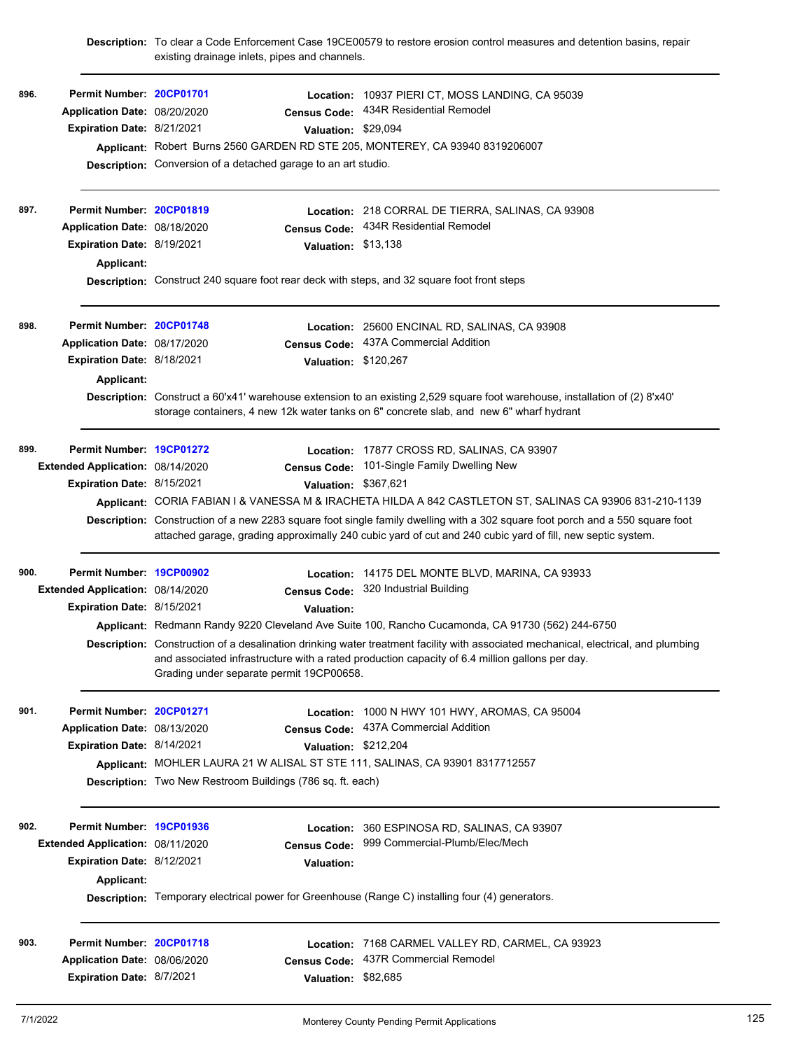|      |                                   | existing drainage inlets, pipes and channels.                         | Description: To clear a Code Enforcement Case 19CE00579 to restore erosion control measures and detention basins, repair                                                                                                                    |
|------|-----------------------------------|-----------------------------------------------------------------------|---------------------------------------------------------------------------------------------------------------------------------------------------------------------------------------------------------------------------------------------|
| 896. | Permit Number: 20CP01701          |                                                                       | Location: 10937 PIERI CT, MOSS LANDING, CA 95039                                                                                                                                                                                            |
|      | Application Date: 08/20/2020      | <b>Census Code:</b>                                                   | 434R Residential Remodel                                                                                                                                                                                                                    |
|      | Expiration Date: 8/21/2021        | Valuation: \$29,094                                                   |                                                                                                                                                                                                                                             |
|      |                                   |                                                                       | Applicant: Robert Burns 2560 GARDEN RD STE 205, MONTEREY, CA 93940 8319206007                                                                                                                                                               |
|      |                                   | <b>Description:</b> Conversion of a detached garage to an art studio. |                                                                                                                                                                                                                                             |
| 897. | Permit Number: 20CP01819          |                                                                       | Location: 218 CORRAL DE TIERRA, SALINAS, CA 93908                                                                                                                                                                                           |
|      | Application Date: 08/18/2020      |                                                                       | Census Code: 434R Residential Remodel                                                                                                                                                                                                       |
|      | <b>Expiration Date: 8/19/2021</b> | Valuation: \$13,138                                                   |                                                                                                                                                                                                                                             |
|      | Applicant:                        |                                                                       |                                                                                                                                                                                                                                             |
|      |                                   |                                                                       | Description: Construct 240 square foot rear deck with steps, and 32 square foot front steps                                                                                                                                                 |
| 898. | Permit Number: 20CP01748          |                                                                       | Location: 25600 ENCINAL RD, SALINAS, CA 93908                                                                                                                                                                                               |
|      | Application Date: 08/17/2020      | <b>Census Code:</b>                                                   | 437A Commercial Addition                                                                                                                                                                                                                    |
|      | Expiration Date: 8/18/2021        | Valuation: \$120,267                                                  |                                                                                                                                                                                                                                             |
|      | Applicant:                        |                                                                       |                                                                                                                                                                                                                                             |
|      |                                   |                                                                       | Description: Construct a 60'x41' warehouse extension to an existing 2,529 square foot warehouse, installation of (2) 8'x40'<br>storage containers, 4 new 12k water tanks on 6" concrete slab, and new 6" wharf hydrant                      |
| 899. | Permit Number: 19CP01272          |                                                                       | Location: 17877 CROSS RD, SALINAS, CA 93907                                                                                                                                                                                                 |
|      | Extended Application: 08/14/2020  | <b>Census Code:</b>                                                   | 101-Single Family Dwelling New                                                                                                                                                                                                              |
|      | Expiration Date: 8/15/2021        | Valuation: \$367,621                                                  |                                                                                                                                                                                                                                             |
|      |                                   |                                                                       | Applicant: CORIA FABIAN I & VANESSA M & IRACHETA HILDA A 842 CASTLETON ST, SALINAS CA 93906 831-210-1139                                                                                                                                    |
|      |                                   |                                                                       | Description: Construction of a new 2283 square foot single family dwelling with a 302 square foot porch and a 550 square foot<br>attached garage, grading approximally 240 cubic yard of cut and 240 cubic yard of fill, new septic system. |
| 900. | Permit Number: 19CP00902          |                                                                       | Location: 14175 DEL MONTE BLVD, MARINA, CA 93933                                                                                                                                                                                            |
|      | Extended Application: 08/14/2020  | <b>Census Code:</b>                                                   | 320 Industrial Building                                                                                                                                                                                                                     |
|      | Expiration Date: 8/15/2021        | <b>Valuation:</b>                                                     |                                                                                                                                                                                                                                             |
|      |                                   |                                                                       | Applicant: Redmann Randy 9220 Cleveland Ave Suite 100, Rancho Cucamonda, CA 91730 (562) 244-6750                                                                                                                                            |
|      |                                   | Grading under separate permit 19CP00658.                              | Description: Construction of a desalination drinking water treatment facility with associated mechanical, electrical, and plumbing<br>and associated infrastructure with a rated production capacity of 6.4 million gallons per day.        |
| 901. | Permit Number: 20CP01271          |                                                                       | Location: 1000 N HWY 101 HWY, AROMAS, CA 95004                                                                                                                                                                                              |
|      | Application Date: 08/13/2020      | <b>Census Code:</b>                                                   | 437A Commercial Addition                                                                                                                                                                                                                    |
|      | Expiration Date: 8/14/2021        | Valuation: \$212,204                                                  |                                                                                                                                                                                                                                             |
|      |                                   |                                                                       | Applicant: MOHLER LAURA 21 W ALISAL ST STE 111, SALINAS, CA 93901 8317712557                                                                                                                                                                |
|      |                                   | Description: Two New Restroom Buildings (786 sq. ft. each)            |                                                                                                                                                                                                                                             |
| 902. | Permit Number: 19CP01936          | Location:                                                             | 360 ESPINOSA RD, SALINAS, CA 93907                                                                                                                                                                                                          |
|      | Extended Application: 08/11/2020  | <b>Census Code:</b>                                                   | 999 Commercial-Plumb/Elec/Mech                                                                                                                                                                                                              |
|      | Expiration Date: 8/12/2021        | <b>Valuation:</b>                                                     |                                                                                                                                                                                                                                             |
|      | Applicant:                        |                                                                       |                                                                                                                                                                                                                                             |
|      |                                   |                                                                       | Description: Temporary electrical power for Greenhouse (Range C) installing four (4) generators.                                                                                                                                            |
| 903. | Permit Number: 20CP01718          | Location:                                                             | 7168 CARMEL VALLEY RD, CARMEL, CA 93923                                                                                                                                                                                                     |
|      | Application Date: 08/06/2020      | <b>Census Code:</b>                                                   | 437R Commercial Remodel                                                                                                                                                                                                                     |
|      | Expiration Date: 8/7/2021         | Valuation: \$82,685                                                   |                                                                                                                                                                                                                                             |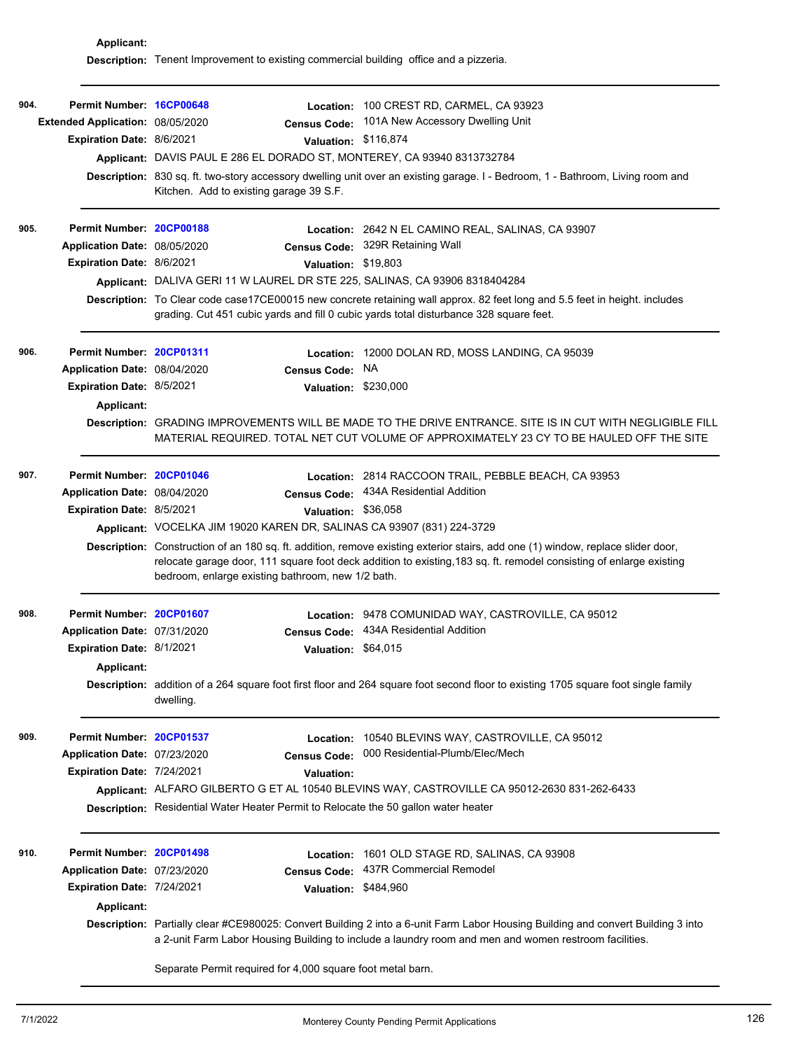**Applicant: Description:** Tenent Improvement to existing commercial building office and a pizzeria.

| 904.<br>905. | Permit Number: 16CP00648<br>Extended Application: 08/05/2020<br><b>Expiration Date: 8/6/2021</b><br>Permit Number: 20CP00188<br>Application Date: 08/05/2020<br><b>Expiration Date: 8/6/2021</b> | <b>Census Code:</b><br>Valuation: \$116,874<br>Applicant: DAVIS PAUL E 286 EL DORADO ST, MONTEREY, CA 93940 8313732784<br>Kitchen. Add to existing garage 39 S.F.<br>Valuation: \$19,803<br>Applicant: DALIVA GERI 11 W LAUREL DR STE 225, SALINAS, CA 93906 8318404284 | Location: 100 CREST RD, CARMEL, CA 93923<br>101A New Accessory Dwelling Unit<br>Description: 830 sq. ft. two-story accessory dwelling unit over an existing garage. I - Bedroom, 1 - Bathroom, Living room and<br>Location: 2642 N EL CAMINO REAL, SALINAS, CA 93907<br>Census Code: 329R Retaining Wall                                    |
|--------------|--------------------------------------------------------------------------------------------------------------------------------------------------------------------------------------------------|-------------------------------------------------------------------------------------------------------------------------------------------------------------------------------------------------------------------------------------------------------------------------|---------------------------------------------------------------------------------------------------------------------------------------------------------------------------------------------------------------------------------------------------------------------------------------------------------------------------------------------|
|              |                                                                                                                                                                                                  | grading. Cut 451 cubic yards and fill 0 cubic yards total disturbance 328 square feet.                                                                                                                                                                                  | Description: To Clear code case17CE00015 new concrete retaining wall approx. 82 feet long and 5.5 feet in height. includes                                                                                                                                                                                                                  |
| 906.         | Permit Number: 20CP01311<br>Application Date: 08/04/2020<br><b>Expiration Date: 8/5/2021</b><br><b>Applicant:</b>                                                                                | <b>Census Code:</b><br>Valuation: \$230,000                                                                                                                                                                                                                             | Location: 12000 DOLAN RD, MOSS LANDING, CA 95039<br><b>NA</b><br>Description: GRADING IMPROVEMENTS WILL BE MADE TO THE DRIVE ENTRANCE. SITE IS IN CUT WITH NEGLIGIBLE FILL<br>MATERIAL REQUIRED. TOTAL NET CUT VOLUME OF APPROXIMATELY 23 CY TO BE HAULED OFF THE SITE                                                                      |
| 907.         | Permit Number: 20CP01046<br>Application Date: 08/04/2020<br>Expiration Date: 8/5/2021                                                                                                            | <b>Census Code:</b><br>Valuation: \$36,058<br>Applicant: VOCELKA JIM 19020 KAREN DR, SALINAS CA 93907 (831) 224-3729<br>bedroom, enlarge existing bathroom, new 1/2 bath.                                                                                               | Location: 2814 RACCOON TRAIL, PEBBLE BEACH, CA 93953<br>434A Residential Addition<br>Description: Construction of an 180 sq. ft. addition, remove existing exterior stairs, add one (1) window, replace slider door,<br>relocate garage door, 111 square foot deck addition to existing, 183 sq. ft. remodel consisting of enlarge existing |
| 908.         | Permit Number: 20CP01607<br>Application Date: 07/31/2020<br><b>Expiration Date: 8/1/2021</b><br>Applicant:                                                                                       | Location:<br><b>Census Code:</b><br>Valuation: \$64,015<br>dwelling.                                                                                                                                                                                                    | 9478 COMUNIDAD WAY, CASTROVILLE, CA 95012<br>434A Residential Addition<br>Description: addition of a 264 square foot first floor and 264 square foot second floor to existing 1705 square foot single family                                                                                                                                |
| 909.         | Permit Number: 20CP01537<br>Application Date: 07/23/2020<br>Expiration Date: 7/24/2021                                                                                                           | <b>Census Code:</b><br>Valuation:<br>Description: Residential Water Heater Permit to Relocate the 50 gallon water heater                                                                                                                                                | Location: 10540 BLEVINS WAY, CASTROVILLE, CA 95012<br>000 Residential-Plumb/Elec/Mech<br>Applicant: ALFARO GILBERTO G ET AL 10540 BLEVINS WAY, CASTROVILLE CA 95012-2630 831-262-6433                                                                                                                                                       |
| 910.         | Permit Number: 20CP01498<br>Application Date: 07/23/2020<br>Expiration Date: 7/24/2021<br><b>Applicant:</b>                                                                                      | <b>Census Code:</b><br>Valuation: \$484,960                                                                                                                                                                                                                             | Location: 1601 OLD STAGE RD, SALINAS, CA 93908<br>437R Commercial Remodel<br>Description: Partially clear #CE980025: Convert Building 2 into a 6-unit Farm Labor Housing Building and convert Building 3 into<br>a 2-unit Farm Labor Housing Building to include a laundry room and men and women restroom facilities.                      |

Separate Permit required for 4,000 square foot metal barn.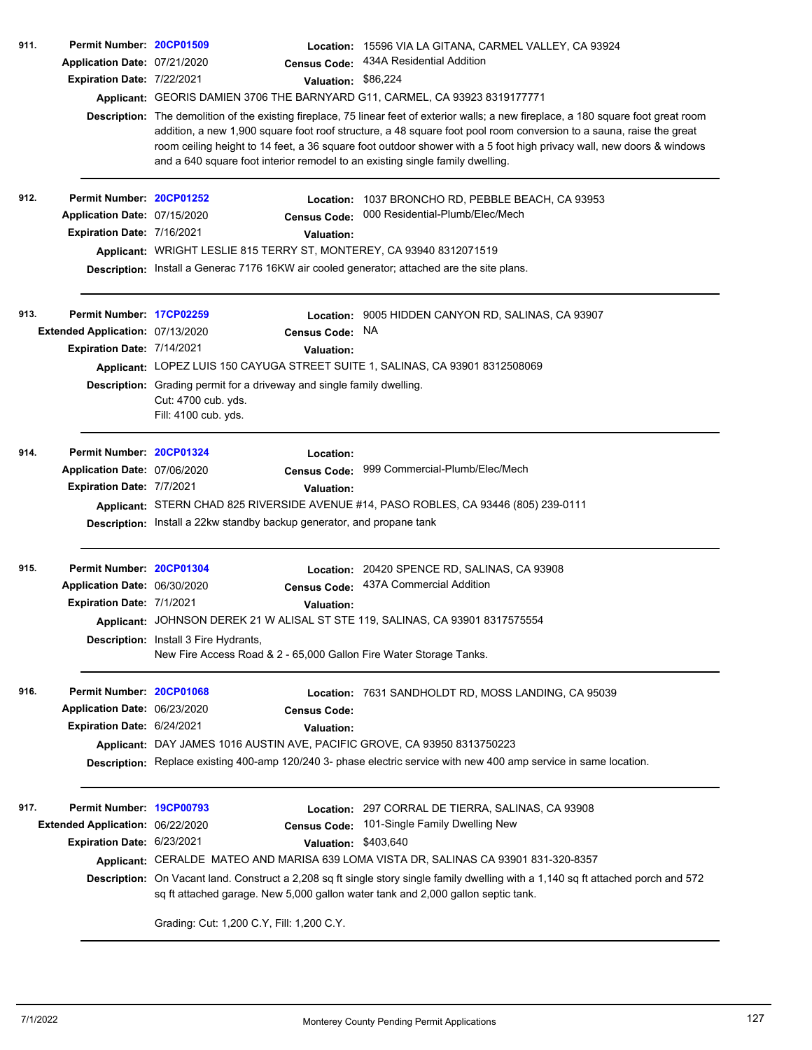| 911. | Permit Number: 20CP01509          |                                                                                                                       | Location: 15596 VIA LA GITANA, CARMEL VALLEY, CA 93924                                                                                                                                                                                                                                                                                                                                |
|------|-----------------------------------|-----------------------------------------------------------------------------------------------------------------------|---------------------------------------------------------------------------------------------------------------------------------------------------------------------------------------------------------------------------------------------------------------------------------------------------------------------------------------------------------------------------------------|
|      | Application Date: 07/21/2020      | <b>Census Code:</b>                                                                                                   | 434A Residential Addition                                                                                                                                                                                                                                                                                                                                                             |
|      | Expiration Date: 7/22/2021        | Valuation: \$86,224                                                                                                   |                                                                                                                                                                                                                                                                                                                                                                                       |
|      |                                   | Applicant: GEORIS DAMIEN 3706 THE BARNYARD G11, CARMEL, CA 93923 8319177771                                           |                                                                                                                                                                                                                                                                                                                                                                                       |
|      |                                   | and a 640 square foot interior remodel to an existing single family dwelling.                                         | Description: The demolition of the existing fireplace, 75 linear feet of exterior walls; a new fireplace, a 180 square foot great room<br>addition, a new 1,900 square foot roof structure, a 48 square foot pool room conversion to a sauna, raise the great<br>room ceiling height to 14 feet, a 36 square foot outdoor shower with a 5 foot high privacy wall, new doors & windows |
| 912. | Permit Number: 20CP01252          |                                                                                                                       | Location: 1037 BRONCHO RD, PEBBLE BEACH, CA 93953                                                                                                                                                                                                                                                                                                                                     |
|      | Application Date: 07/15/2020      | <b>Census Code:</b>                                                                                                   | 000 Residential-Plumb/Elec/Mech                                                                                                                                                                                                                                                                                                                                                       |
|      | Expiration Date: 7/16/2021        | <b>Valuation:</b>                                                                                                     |                                                                                                                                                                                                                                                                                                                                                                                       |
|      |                                   | Applicant: WRIGHT LESLIE 815 TERRY ST, MONTEREY, CA 93940 8312071519                                                  |                                                                                                                                                                                                                                                                                                                                                                                       |
|      |                                   | Description: Install a Generac 7176 16KW air cooled generator; attached are the site plans.                           |                                                                                                                                                                                                                                                                                                                                                                                       |
| 913. | Permit Number: 17CP02259          | Location:                                                                                                             | 9005 HIDDEN CANYON RD, SALINAS, CA 93907                                                                                                                                                                                                                                                                                                                                              |
|      | Extended Application: 07/13/2020  | <b>Census Code:</b>                                                                                                   | NA.                                                                                                                                                                                                                                                                                                                                                                                   |
|      | <b>Expiration Date: 7/14/2021</b> | <b>Valuation:</b>                                                                                                     |                                                                                                                                                                                                                                                                                                                                                                                       |
|      |                                   | Applicant: LOPEZ LUIS 150 CAYUGA STREET SUITE 1, SALINAS, CA 93901 8312508069                                         |                                                                                                                                                                                                                                                                                                                                                                                       |
|      |                                   | Description: Grading permit for a driveway and single family dwelling.<br>Cut: 4700 cub. yds.<br>Fill: 4100 cub. yds. |                                                                                                                                                                                                                                                                                                                                                                                       |
| 914. | Permit Number: 20CP01324          | Location:                                                                                                             |                                                                                                                                                                                                                                                                                                                                                                                       |
|      | Application Date: 07/06/2020      | <b>Census Code:</b>                                                                                                   | 999 Commercial-Plumb/Elec/Mech                                                                                                                                                                                                                                                                                                                                                        |
|      | Expiration Date: 7/7/2021         | <b>Valuation:</b>                                                                                                     |                                                                                                                                                                                                                                                                                                                                                                                       |
|      |                                   |                                                                                                                       | Applicant: STERN CHAD 825 RIVERSIDE AVENUE #14, PASO ROBLES, CA 93446 (805) 239-0111                                                                                                                                                                                                                                                                                                  |
|      |                                   | Description: Install a 22kw standby backup generator, and propane tank                                                |                                                                                                                                                                                                                                                                                                                                                                                       |
| 915. | Permit Number: 20CP01304          | Location:                                                                                                             | 20420 SPENCE RD, SALINAS, CA 93908                                                                                                                                                                                                                                                                                                                                                    |
|      | Application Date: 06/30/2020      | <b>Census Code:</b>                                                                                                   | 437A Commercial Addition                                                                                                                                                                                                                                                                                                                                                              |
|      | Expiration Date: 7/1/2021         | <b>Valuation:</b>                                                                                                     |                                                                                                                                                                                                                                                                                                                                                                                       |
|      |                                   | Applicant: JOHNSON DEREK 21 W ALISAL ST STE 119, SALINAS, CA 93901 8317575554                                         |                                                                                                                                                                                                                                                                                                                                                                                       |
|      |                                   | Description: Install 3 Fire Hydrants,<br>New Fire Access Road & 2 - 65,000 Gallon Fire Water Storage Tanks.           |                                                                                                                                                                                                                                                                                                                                                                                       |
| 916. | Permit Number: 20CP01068          |                                                                                                                       | <b>Location: 7631 SANDHOLDT RD, MOSS LANDING, CA 95039</b>                                                                                                                                                                                                                                                                                                                            |
|      | Application Date: 06/23/2020      | <b>Census Code:</b>                                                                                                   |                                                                                                                                                                                                                                                                                                                                                                                       |
|      | Expiration Date: 6/24/2021        | <b>Valuation:</b>                                                                                                     |                                                                                                                                                                                                                                                                                                                                                                                       |
|      |                                   | Applicant: DAY JAMES 1016 AUSTIN AVE, PACIFIC GROVE, CA 93950 8313750223                                              |                                                                                                                                                                                                                                                                                                                                                                                       |
|      |                                   |                                                                                                                       | Description: Replace existing 400-amp 120/240 3- phase electric service with new 400 amp service in same location.                                                                                                                                                                                                                                                                    |
| 917. | Permit Number: 19CP00793          |                                                                                                                       | Location: 297 CORRAL DE TIERRA, SALINAS, CA 93908                                                                                                                                                                                                                                                                                                                                     |
|      | Extended Application: 06/22/2020  | <b>Census Code:</b>                                                                                                   | 101-Single Family Dwelling New                                                                                                                                                                                                                                                                                                                                                        |
|      | Expiration Date: 6/23/2021        | Valuation: \$403,640                                                                                                  |                                                                                                                                                                                                                                                                                                                                                                                       |
|      |                                   |                                                                                                                       | Applicant: CERALDE MATEO AND MARISA 639 LOMA VISTA DR, SALINAS CA 93901 831-320-8357                                                                                                                                                                                                                                                                                                  |
|      |                                   | sq ft attached garage. New 5,000 gallon water tank and 2,000 gallon septic tank.                                      | Description: On Vacant land. Construct a 2,208 sq ft single story single family dwelling with a 1,140 sq ft attached porch and 572                                                                                                                                                                                                                                                    |
|      |                                   | Grading: Cut: 1,200 C.Y, Fill: 1,200 C.Y.                                                                             |                                                                                                                                                                                                                                                                                                                                                                                       |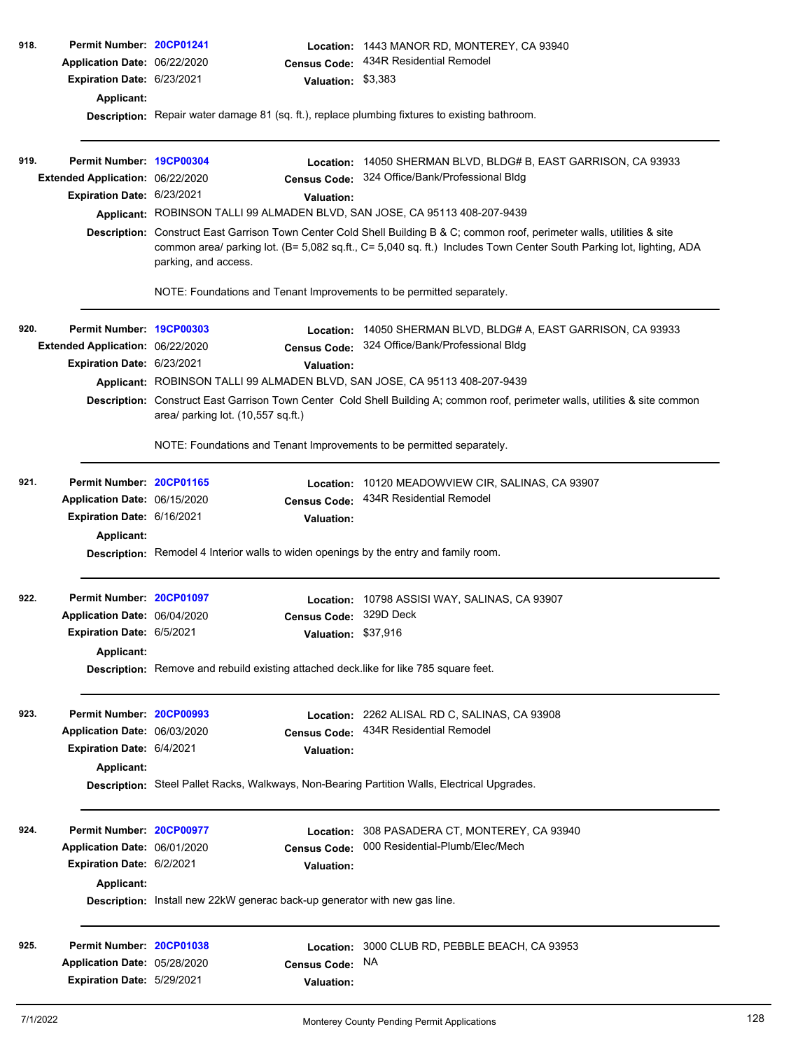| 918. | Permit Number: 20CP01241         |                                                                                                                                                                                                                                                                           | Location:              | 1443 MANOR RD, MONTEREY, CA 93940                                                                                             |  |  |
|------|----------------------------------|---------------------------------------------------------------------------------------------------------------------------------------------------------------------------------------------------------------------------------------------------------------------------|------------------------|-------------------------------------------------------------------------------------------------------------------------------|--|--|
|      | Application Date: 06/22/2020     |                                                                                                                                                                                                                                                                           | <b>Census Code:</b>    | 434R Residential Remodel                                                                                                      |  |  |
|      | Expiration Date: 6/23/2021       |                                                                                                                                                                                                                                                                           | Valuation: \$3,383     |                                                                                                                               |  |  |
|      |                                  |                                                                                                                                                                                                                                                                           |                        |                                                                                                                               |  |  |
|      | <b>Applicant:</b>                | Description: Repair water damage 81 (sq. ft.), replace plumbing fixtures to existing bathroom.                                                                                                                                                                            |                        |                                                                                                                               |  |  |
|      |                                  |                                                                                                                                                                                                                                                                           |                        |                                                                                                                               |  |  |
| 919. | Permit Number: 19CP00304         |                                                                                                                                                                                                                                                                           | Location:              | 14050 SHERMAN BLVD, BLDG# B, EAST GARRISON, CA 93933                                                                          |  |  |
|      | Extended Application: 06/22/2020 |                                                                                                                                                                                                                                                                           | <b>Census Code:</b>    | 324 Office/Bank/Professional Bldg                                                                                             |  |  |
|      | Expiration Date: 6/23/2021       |                                                                                                                                                                                                                                                                           |                        |                                                                                                                               |  |  |
|      |                                  |                                                                                                                                                                                                                                                                           | <b>Valuation:</b>      |                                                                                                                               |  |  |
|      |                                  | Applicant: ROBINSON TALLI 99 ALMADEN BLVD, SAN JOSE, CA 95113 408-207-9439                                                                                                                                                                                                |                        |                                                                                                                               |  |  |
|      |                                  | Description: Construct East Garrison Town Center Cold Shell Building B & C; common roof, perimeter walls, utilities & site<br>common area/ parking lot. (B= 5,082 sq.ft., C= 5,040 sq. ft.) Includes Town Center South Parking lot, lighting, ADA<br>parking, and access. |                        |                                                                                                                               |  |  |
|      |                                  |                                                                                                                                                                                                                                                                           |                        | NOTE: Foundations and Tenant Improvements to be permitted separately.                                                         |  |  |
| 920. | Permit Number: 19CP00303         |                                                                                                                                                                                                                                                                           |                        | Location: 14050 SHERMAN BLVD, BLDG# A, EAST GARRISON, CA 93933                                                                |  |  |
|      | Extended Application: 06/22/2020 |                                                                                                                                                                                                                                                                           | Census Code:           | 324 Office/Bank/Professional Bldg                                                                                             |  |  |
|      | Expiration Date: 6/23/2021       |                                                                                                                                                                                                                                                                           | <b>Valuation:</b>      |                                                                                                                               |  |  |
|      |                                  |                                                                                                                                                                                                                                                                           |                        | Applicant: ROBINSON TALLI 99 ALMADEN BLVD, SAN JOSE, CA 95113 408-207-9439                                                    |  |  |
|      |                                  | area/ parking lot. (10,557 sq.ft.)                                                                                                                                                                                                                                        |                        | Description: Construct East Garrison Town Center Cold Shell Building A; common roof, perimeter walls, utilities & site common |  |  |
|      |                                  |                                                                                                                                                                                                                                                                           |                        | NOTE: Foundations and Tenant Improvements to be permitted separately.                                                         |  |  |
| 921. | Permit Number: 20CP01165         |                                                                                                                                                                                                                                                                           | Location:              | 10120 MEADOWVIEW CIR, SALINAS, CA 93907                                                                                       |  |  |
|      | Application Date: 06/15/2020     |                                                                                                                                                                                                                                                                           | <b>Census Code:</b>    | 434R Residential Remodel                                                                                                      |  |  |
|      | Expiration Date: 6/16/2021       |                                                                                                                                                                                                                                                                           | <b>Valuation:</b>      |                                                                                                                               |  |  |
|      | Applicant:                       |                                                                                                                                                                                                                                                                           |                        |                                                                                                                               |  |  |
|      |                                  |                                                                                                                                                                                                                                                                           |                        | <b>Description:</b> Remodel 4 Interior walls to widen openings by the entry and family room.                                  |  |  |
| 922. | Permit Number: 20CP01097         |                                                                                                                                                                                                                                                                           | Location:              | 10798 ASSISI WAY, SALINAS, CA 93907                                                                                           |  |  |
|      | Application Date: 06/04/2020     |                                                                                                                                                                                                                                                                           | Census Code: 329D Deck |                                                                                                                               |  |  |
|      | Expiration Date: 6/5/2021        |                                                                                                                                                                                                                                                                           | Valuation: \$37,916    |                                                                                                                               |  |  |
|      |                                  |                                                                                                                                                                                                                                                                           |                        |                                                                                                                               |  |  |
|      | Applicant:                       |                                                                                                                                                                                                                                                                           |                        |                                                                                                                               |  |  |
|      |                                  |                                                                                                                                                                                                                                                                           |                        | Description: Remove and rebuild existing attached deck.like for like 785 square feet.                                         |  |  |
| 923. | Permit Number: 20CP00993         |                                                                                                                                                                                                                                                                           |                        | Location: 2262 ALISAL RD C, SALINAS, CA 93908                                                                                 |  |  |
|      | Application Date: 06/03/2020     |                                                                                                                                                                                                                                                                           | <b>Census Code:</b>    | 434R Residential Remodel                                                                                                      |  |  |
|      | Expiration Date: 6/4/2021        |                                                                                                                                                                                                                                                                           | <b>Valuation:</b>      |                                                                                                                               |  |  |
|      | Applicant:                       |                                                                                                                                                                                                                                                                           |                        |                                                                                                                               |  |  |
|      |                                  |                                                                                                                                                                                                                                                                           |                        | Description: Steel Pallet Racks, Walkways, Non-Bearing Partition Walls, Electrical Upgrades.                                  |  |  |
| 924. | Permit Number: 20CP00977         |                                                                                                                                                                                                                                                                           | Location:              | 308 PASADERA CT, MONTEREY, CA 93940                                                                                           |  |  |
|      | Application Date: 06/01/2020     |                                                                                                                                                                                                                                                                           | <b>Census Code:</b>    | 000 Residential-Plumb/Elec/Mech                                                                                               |  |  |
|      | Expiration Date: 6/2/2021        |                                                                                                                                                                                                                                                                           | <b>Valuation:</b>      |                                                                                                                               |  |  |
|      | Applicant:                       |                                                                                                                                                                                                                                                                           |                        |                                                                                                                               |  |  |
|      |                                  | Description: Install new 22kW generac back-up generator with new gas line.                                                                                                                                                                                                |                        |                                                                                                                               |  |  |
| 925. | Permit Number: 20CP01038         |                                                                                                                                                                                                                                                                           |                        | Location: 3000 CLUB RD, PEBBLE BEACH, CA 93953                                                                                |  |  |
|      | Application Date: 05/28/2020     |                                                                                                                                                                                                                                                                           | <b>Census Code:</b>    | NA.                                                                                                                           |  |  |
|      | Expiration Date: 5/29/2021       |                                                                                                                                                                                                                                                                           |                        |                                                                                                                               |  |  |
|      |                                  |                                                                                                                                                                                                                                                                           | <b>Valuation:</b>      |                                                                                                                               |  |  |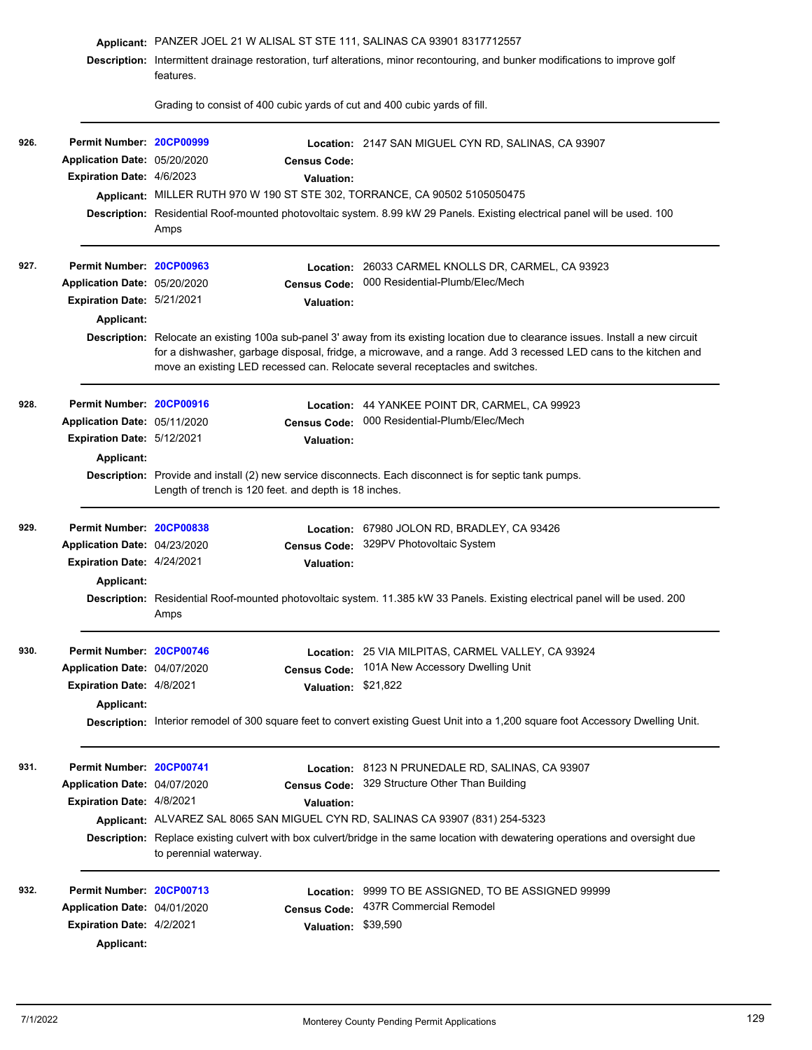|      |                              | Applicant: PANZER JOEL 21 W ALISAL ST STE 111, SALINAS CA 93901 8317712557<br>Description: Intermittent drainage restoration, turf alterations, minor recontouring, and bunker modifications to improve golf<br>features. |                                                                                                                                                                                                                                                        |  |
|------|------------------------------|---------------------------------------------------------------------------------------------------------------------------------------------------------------------------------------------------------------------------|--------------------------------------------------------------------------------------------------------------------------------------------------------------------------------------------------------------------------------------------------------|--|
|      |                              |                                                                                                                                                                                                                           |                                                                                                                                                                                                                                                        |  |
|      |                              | Grading to consist of 400 cubic yards of cut and 400 cubic yards of fill.                                                                                                                                                 |                                                                                                                                                                                                                                                        |  |
| 926. | Permit Number: 20CP00999     |                                                                                                                                                                                                                           | <b>Location: 2147 SAN MIGUEL CYN RD, SALINAS, CA 93907</b>                                                                                                                                                                                             |  |
|      | Application Date: 05/20/2020 | <b>Census Code:</b>                                                                                                                                                                                                       |                                                                                                                                                                                                                                                        |  |
|      | Expiration Date: 4/6/2023    | Valuation:                                                                                                                                                                                                                |                                                                                                                                                                                                                                                        |  |
|      |                              | Applicant: MILLER RUTH 970 W 190 ST STE 302, TORRANCE, CA 90502 5105050475                                                                                                                                                |                                                                                                                                                                                                                                                        |  |
|      |                              | Amps                                                                                                                                                                                                                      | Description: Residential Roof-mounted photovoltaic system. 8.99 kW 29 Panels. Existing electrical panel will be used. 100                                                                                                                              |  |
| 927. | Permit Number: 20CP00963     |                                                                                                                                                                                                                           | Location: 26033 CARMEL KNOLLS DR, CARMEL, CA 93923                                                                                                                                                                                                     |  |
|      | Application Date: 05/20/2020 | <b>Census Code:</b>                                                                                                                                                                                                       | 000 Residential-Plumb/Elec/Mech                                                                                                                                                                                                                        |  |
|      | Expiration Date: 5/21/2021   | <b>Valuation:</b>                                                                                                                                                                                                         |                                                                                                                                                                                                                                                        |  |
|      | Applicant:                   |                                                                                                                                                                                                                           |                                                                                                                                                                                                                                                        |  |
|      |                              | move an existing LED recessed can. Relocate several receptacles and switches.                                                                                                                                             | Description: Relocate an existing 100a sub-panel 3' away from its existing location due to clearance issues. Install a new circuit<br>for a dishwasher, garbage disposal, fridge, a microwave, and a range. Add 3 recessed LED cans to the kitchen and |  |
| 928. | Permit Number: 20CP00916     |                                                                                                                                                                                                                           | Location: 44 YANKEE POINT DR, CARMEL, CA 99923                                                                                                                                                                                                         |  |
|      | Application Date: 05/11/2020 | <b>Census Code:</b>                                                                                                                                                                                                       | 000 Residential-Plumb/Elec/Mech                                                                                                                                                                                                                        |  |
|      | Expiration Date: 5/12/2021   | <b>Valuation:</b>                                                                                                                                                                                                         |                                                                                                                                                                                                                                                        |  |
|      | <b>Applicant:</b>            |                                                                                                                                                                                                                           |                                                                                                                                                                                                                                                        |  |
|      |                              | Length of trench is 120 feet. and depth is 18 inches.                                                                                                                                                                     | Description: Provide and install (2) new service disconnects. Each disconnect is for septic tank pumps.                                                                                                                                                |  |
| 929. | Permit Number: 20CP00838     |                                                                                                                                                                                                                           | Location: 67980 JOLON RD, BRADLEY, CA 93426                                                                                                                                                                                                            |  |
|      | Application Date: 04/23/2020 | <b>Census Code:</b>                                                                                                                                                                                                       | 329PV Photovoltaic System                                                                                                                                                                                                                              |  |
|      | Expiration Date: 4/24/2021   | <b>Valuation:</b>                                                                                                                                                                                                         |                                                                                                                                                                                                                                                        |  |
|      | Applicant:                   |                                                                                                                                                                                                                           |                                                                                                                                                                                                                                                        |  |
|      |                              | Description: Residential Roof-mounted photovoltaic system. 11.385 kW 33 Panels. Existing electrical panel will be used. 200<br>Amps                                                                                       |                                                                                                                                                                                                                                                        |  |
| 930. | Permit Number: 20CP00746     |                                                                                                                                                                                                                           | Location: 25 VIA MILPITAS, CARMEL VALLEY, CA 93924                                                                                                                                                                                                     |  |
|      | Application Date: 04/07/2020 | <b>Census Code:</b>                                                                                                                                                                                                       | 101A New Accessory Dwelling Unit                                                                                                                                                                                                                       |  |
|      | Expiration Date: 4/8/2021    | Valuation: \$21,822                                                                                                                                                                                                       |                                                                                                                                                                                                                                                        |  |
|      | Applicant:                   |                                                                                                                                                                                                                           |                                                                                                                                                                                                                                                        |  |
|      |                              |                                                                                                                                                                                                                           | Description: Interior remodel of 300 square feet to convert existing Guest Unit into a 1,200 square foot Accessory Dwelling Unit.                                                                                                                      |  |
| 931. | Permit Number: 20CP00741     |                                                                                                                                                                                                                           | <b>Location: 8123 N PRUNEDALE RD, SALINAS, CA 93907</b>                                                                                                                                                                                                |  |
|      | Application Date: 04/07/2020 |                                                                                                                                                                                                                           | Census Code: 329 Structure Other Than Building                                                                                                                                                                                                         |  |
|      | Expiration Date: 4/8/2021    | <b>Valuation:</b>                                                                                                                                                                                                         |                                                                                                                                                                                                                                                        |  |
|      |                              | Applicant: ALVAREZ SAL 8065 SAN MIGUEL CYN RD, SALINAS CA 93907 (831) 254-5323                                                                                                                                            |                                                                                                                                                                                                                                                        |  |
|      |                              | to perennial waterway.                                                                                                                                                                                                    | Description: Replace existing culvert with box culvert/bridge in the same location with dewatering operations and oversight due                                                                                                                        |  |
| 932. | Permit Number: 20CP00713     | Location:                                                                                                                                                                                                                 | 9999 TO BE ASSIGNED, TO BE ASSIGNED 99999                                                                                                                                                                                                              |  |
|      | Application Date: 04/01/2020 | <b>Census Code:</b>                                                                                                                                                                                                       | 437R Commercial Remodel                                                                                                                                                                                                                                |  |
|      | Expiration Date: 4/2/2021    | Valuation: \$39,590                                                                                                                                                                                                       |                                                                                                                                                                                                                                                        |  |
|      | Applicant:                   |                                                                                                                                                                                                                           |                                                                                                                                                                                                                                                        |  |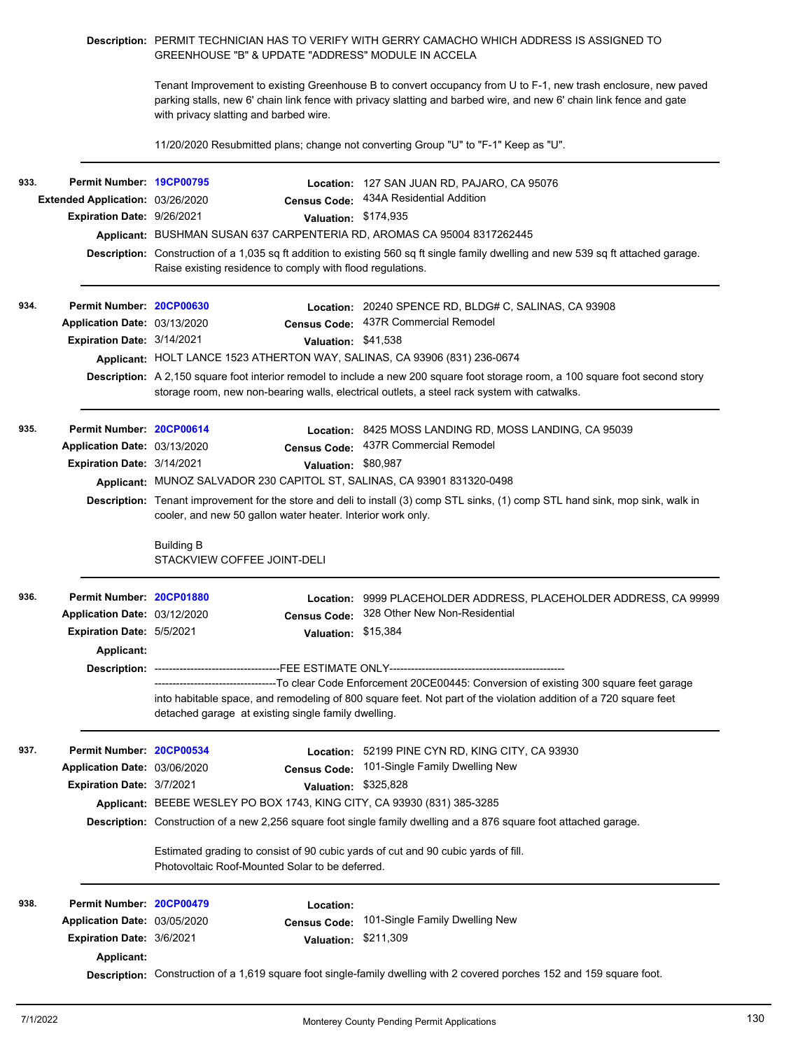## **Description:** PERMIT TECHNICIAN HAS TO VERIFY WITH GERRY CAMACHO WHICH ADDRESS IS ASSIGNED TO GREENHOUSE "B" & UPDATE "ADDRESS" MODULE IN ACCELA

Tenant Improvement to existing Greenhouse B to convert occupancy from U to F-1, new trash enclosure, new paved parking stalls, new 6' chain link fence with privacy slatting and barbed wire, and new 6' chain link fence and gate with privacy slatting and barbed wire.

11/20/2020 Resubmitted plans; change not converting Group "U" to "F-1" Keep as "U".

| 933. | Permit Number: 19CP00795                                                                                                                                                                       |                                                            |                                                                                                                                                                                                                                | Location: 127 SAN JUAN RD, PAJARO, CA 95076                                                                                                                                                                                               |  |  |  |
|------|------------------------------------------------------------------------------------------------------------------------------------------------------------------------------------------------|------------------------------------------------------------|--------------------------------------------------------------------------------------------------------------------------------------------------------------------------------------------------------------------------------|-------------------------------------------------------------------------------------------------------------------------------------------------------------------------------------------------------------------------------------------|--|--|--|
|      | Extended Application: 03/26/2020                                                                                                                                                               |                                                            | <b>Census Code:</b>                                                                                                                                                                                                            | 434A Residential Addition                                                                                                                                                                                                                 |  |  |  |
|      | Expiration Date: 9/26/2021                                                                                                                                                                     |                                                            | Valuation: \$174,935                                                                                                                                                                                                           |                                                                                                                                                                                                                                           |  |  |  |
|      |                                                                                                                                                                                                |                                                            |                                                                                                                                                                                                                                | Applicant: BUSHMAN SUSAN 637 CARPENTERIA RD, AROMAS CA 95004 8317262445                                                                                                                                                                   |  |  |  |
|      |                                                                                                                                                                                                | Raise existing residence to comply with flood regulations. |                                                                                                                                                                                                                                | Description: Construction of a 1,035 sq ft addition to existing 560 sq ft single family dwelling and new 539 sq ft attached garage.                                                                                                       |  |  |  |
| 934. | Permit Number: 20CP00630                                                                                                                                                                       |                                                            |                                                                                                                                                                                                                                | Location: 20240 SPENCE RD, BLDG# C, SALINAS, CA 93908                                                                                                                                                                                     |  |  |  |
|      | Application Date: 03/13/2020                                                                                                                                                                   |                                                            | <b>Census Code:</b>                                                                                                                                                                                                            | 437R Commercial Remodel                                                                                                                                                                                                                   |  |  |  |
|      | Expiration Date: 3/14/2021                                                                                                                                                                     |                                                            | Valuation: \$41,538                                                                                                                                                                                                            |                                                                                                                                                                                                                                           |  |  |  |
|      |                                                                                                                                                                                                |                                                            |                                                                                                                                                                                                                                | Applicant: HOLT LANCE 1523 ATHERTON WAY, SALINAS, CA 93906 (831) 236-0674                                                                                                                                                                 |  |  |  |
|      |                                                                                                                                                                                                |                                                            | Description: A 2,150 square foot interior remodel to include a new 200 square foot storage room, a 100 square foot second story<br>storage room, new non-bearing walls, electrical outlets, a steel rack system with catwalks. |                                                                                                                                                                                                                                           |  |  |  |
| 935. | Permit Number: 20CP00614                                                                                                                                                                       |                                                            |                                                                                                                                                                                                                                | Location: 8425 MOSS LANDING RD, MOSS LANDING, CA 95039                                                                                                                                                                                    |  |  |  |
|      | Application Date: 03/13/2020                                                                                                                                                                   |                                                            | <b>Census Code:</b>                                                                                                                                                                                                            | 437R Commercial Remodel                                                                                                                                                                                                                   |  |  |  |
|      | Expiration Date: 3/14/2021                                                                                                                                                                     |                                                            | Valuation: \$80,987                                                                                                                                                                                                            |                                                                                                                                                                                                                                           |  |  |  |
|      |                                                                                                                                                                                                |                                                            |                                                                                                                                                                                                                                | Applicant: MUNOZ SALVADOR 230 CAPITOL ST, SALINAS, CA 93901 831320-0498                                                                                                                                                                   |  |  |  |
|      | Description: Tenant improvement for the store and deli to install (3) comp STL sinks, (1) comp STL hand sink, mop sink, walk in<br>cooler, and new 50 gallon water heater. Interior work only. |                                                            |                                                                                                                                                                                                                                |                                                                                                                                                                                                                                           |  |  |  |
|      |                                                                                                                                                                                                | <b>Building B</b><br>STACKVIEW COFFEE JOINT-DELI           |                                                                                                                                                                                                                                |                                                                                                                                                                                                                                           |  |  |  |
| 936. | Permit Number: 20CP01880                                                                                                                                                                       |                                                            |                                                                                                                                                                                                                                | Location: 9999 PLACEHOLDER ADDRESS, PLACEHOLDER ADDRESS, CA 99999                                                                                                                                                                         |  |  |  |
|      | Application Date: 03/12/2020                                                                                                                                                                   |                                                            | <b>Census Code:</b>                                                                                                                                                                                                            | 328 Other New Non-Residential                                                                                                                                                                                                             |  |  |  |
|      | Expiration Date: 5/5/2021                                                                                                                                                                      |                                                            | Valuation: \$15,384                                                                                                                                                                                                            |                                                                                                                                                                                                                                           |  |  |  |
|      | <b>Applicant:</b>                                                                                                                                                                              |                                                            |                                                                                                                                                                                                                                |                                                                                                                                                                                                                                           |  |  |  |
|      |                                                                                                                                                                                                |                                                            |                                                                                                                                                                                                                                |                                                                                                                                                                                                                                           |  |  |  |
|      |                                                                                                                                                                                                |                                                            |                                                                                                                                                                                                                                |                                                                                                                                                                                                                                           |  |  |  |
|      |                                                                                                                                                                                                | detached garage at existing single family dwelling.        |                                                                                                                                                                                                                                | -----------------------------------To clear Code Enforcement 20CE00445: Conversion of existing 300 square feet garage<br>into habitable space, and remodeling of 800 square feet. Not part of the violation addition of a 720 square feet |  |  |  |
| 937. | Permit Number: 20CP00534                                                                                                                                                                       |                                                            |                                                                                                                                                                                                                                | Location: 52199 PINE CYN RD, KING CITY, CA 93930                                                                                                                                                                                          |  |  |  |
|      | Application Date: 03/06/2020                                                                                                                                                                   |                                                            | <b>Census Code:</b>                                                                                                                                                                                                            | 101-Single Family Dwelling New                                                                                                                                                                                                            |  |  |  |
|      | <b>Expiration Date: 3/7/2021</b>                                                                                                                                                               |                                                            | Valuation: \$325,828                                                                                                                                                                                                           |                                                                                                                                                                                                                                           |  |  |  |
|      |                                                                                                                                                                                                |                                                            |                                                                                                                                                                                                                                | Applicant: BEEBE WESLEY PO BOX 1743, KING CITY, CA 93930 (831) 385-3285                                                                                                                                                                   |  |  |  |
|      |                                                                                                                                                                                                |                                                            |                                                                                                                                                                                                                                | Description: Construction of a new 2,256 square foot single family dwelling and a 876 square foot attached garage.                                                                                                                        |  |  |  |
|      |                                                                                                                                                                                                | Photovoltaic Roof-Mounted Solar to be deferred.            |                                                                                                                                                                                                                                | Estimated grading to consist of 90 cubic yards of cut and 90 cubic yards of fill.                                                                                                                                                         |  |  |  |
| 938. | Permit Number: 20CP00479                                                                                                                                                                       |                                                            | Location:                                                                                                                                                                                                                      |                                                                                                                                                                                                                                           |  |  |  |
|      | Application Date: 03/05/2020                                                                                                                                                                   |                                                            | <b>Census Code:</b>                                                                                                                                                                                                            | 101-Single Family Dwelling New                                                                                                                                                                                                            |  |  |  |
|      | Expiration Date: 3/6/2021                                                                                                                                                                      |                                                            | Valuation: \$211,309                                                                                                                                                                                                           |                                                                                                                                                                                                                                           |  |  |  |
|      | <b>Applicant:</b>                                                                                                                                                                              |                                                            |                                                                                                                                                                                                                                | Description: Construction of a 1,619 square foot single-family dwelling with 2 covered porches 152 and 159 square foot.                                                                                                                   |  |  |  |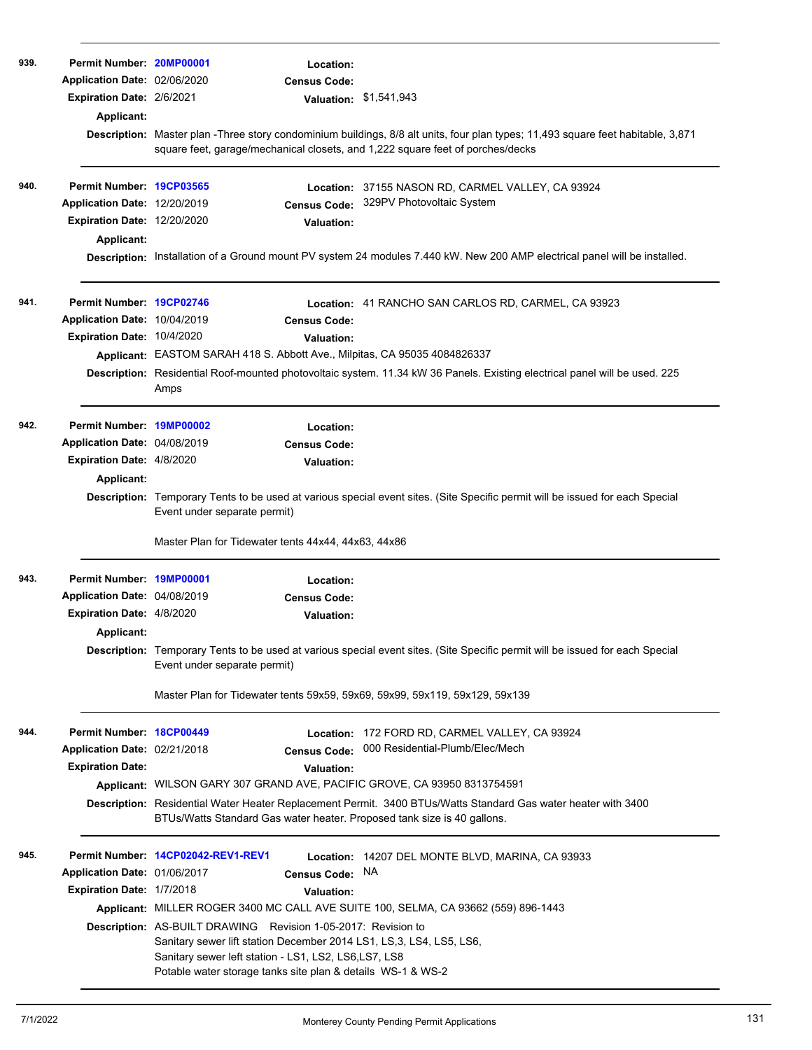| 939. | Permit Number: 20MP00001<br>Application Date: 02/06/2020<br><b>Expiration Date: 2/6/2021</b><br>Applicant:   | Location:<br><b>Census Code:</b><br>Valuation: \$1,541,943<br>Description: Master plan -Three story condominium buildings, 8/8 alt units, four plan types; 11,493 square feet habitable, 3,871<br>square feet, garage/mechanical closets, and 1,222 square feet of porches/decks                                                                                                                                                                                                       |
|------|--------------------------------------------------------------------------------------------------------------|----------------------------------------------------------------------------------------------------------------------------------------------------------------------------------------------------------------------------------------------------------------------------------------------------------------------------------------------------------------------------------------------------------------------------------------------------------------------------------------|
| 940. | Permit Number: 19CP03565<br>Application Date: 12/20/2019<br><b>Expiration Date: 12/20/2020</b><br>Applicant: | Location: 37155 NASON RD, CARMEL VALLEY, CA 93924<br>329PV Photovoltaic System<br><b>Census Code:</b><br><b>Valuation:</b><br>Description: Installation of a Ground mount PV system 24 modules 7.440 kW. New 200 AMP electrical panel will be installed.                                                                                                                                                                                                                               |
| 941. | Permit Number: 19CP02746<br>Application Date: 10/04/2019<br>Expiration Date: 10/4/2020                       | Location: 41 RANCHO SAN CARLOS RD, CARMEL, CA 93923<br><b>Census Code:</b><br><b>Valuation:</b><br>Applicant: EASTOM SARAH 418 S. Abbott Ave., Milpitas, CA 95035 4084826337<br>Description: Residential Roof-mounted photovoltaic system. 11.34 kW 36 Panels. Existing electrical panel will be used. 225<br>Amps                                                                                                                                                                     |
| 942. | Permit Number: 19MP00002<br>Application Date: 04/08/2019<br>Expiration Date: 4/8/2020<br>Applicant:          | Location:<br><b>Census Code:</b><br><b>Valuation:</b><br>Description: Temporary Tents to be used at various special event sites. (Site Specific permit will be issued for each Special<br>Event under separate permit)<br>Master Plan for Tidewater tents 44x44, 44x63, 44x86                                                                                                                                                                                                          |
| 943. | Permit Number: 19MP00001<br>Application Date: 04/08/2019<br><b>Expiration Date: 4/8/2020</b><br>Applicant:   | Location:<br><b>Census Code:</b><br><b>Valuation:</b><br>Description: Temporary Tents to be used at various special event sites. (Site Specific permit will be issued for each Special<br>Event under separate permit)<br>Master Plan for Tidewater tents 59x59, 59x69, 59x99, 59x119, 59x129, 59x139                                                                                                                                                                                  |
| 944. | Permit Number: 18CP00449<br>Application Date: 02/21/2018<br><b>Expiration Date:</b>                          | Location: 172 FORD RD, CARMEL VALLEY, CA 93924<br>000 Residential-Plumb/Elec/Mech<br><b>Census Code:</b><br><b>Valuation:</b><br>Applicant: WILSON GARY 307 GRAND AVE, PACIFIC GROVE, CA 93950 8313754591<br><b>Description:</b> Residential Water Heater Replacement Permit. 3400 BTUs/Watts Standard Gas water heater with 3400<br>BTUs/Watts Standard Gas water heater. Proposed tank size is 40 gallons.                                                                           |
| 945. | Application Date: 01/06/2017<br>Expiration Date: 1/7/2018                                                    | Permit Number: 14CP02042-REV1-REV1<br>Location: 14207 DEL MONTE BLVD, MARINA, CA 93933<br>NA<br><b>Census Code:</b><br>Valuation:<br>Applicant: MILLER ROGER 3400 MC CALL AVE SUITE 100, SELMA, CA 93662 (559) 896-1443<br>Description: AS-BUILT DRAWING Revision 1-05-2017: Revision to<br>Sanitary sewer lift station December 2014 LS1, LS,3, LS4, LS5, LS6,<br>Sanitary sewer left station - LS1, LS2, LS6,LS7, LS8<br>Potable water storage tanks site plan & details WS-1 & WS-2 |